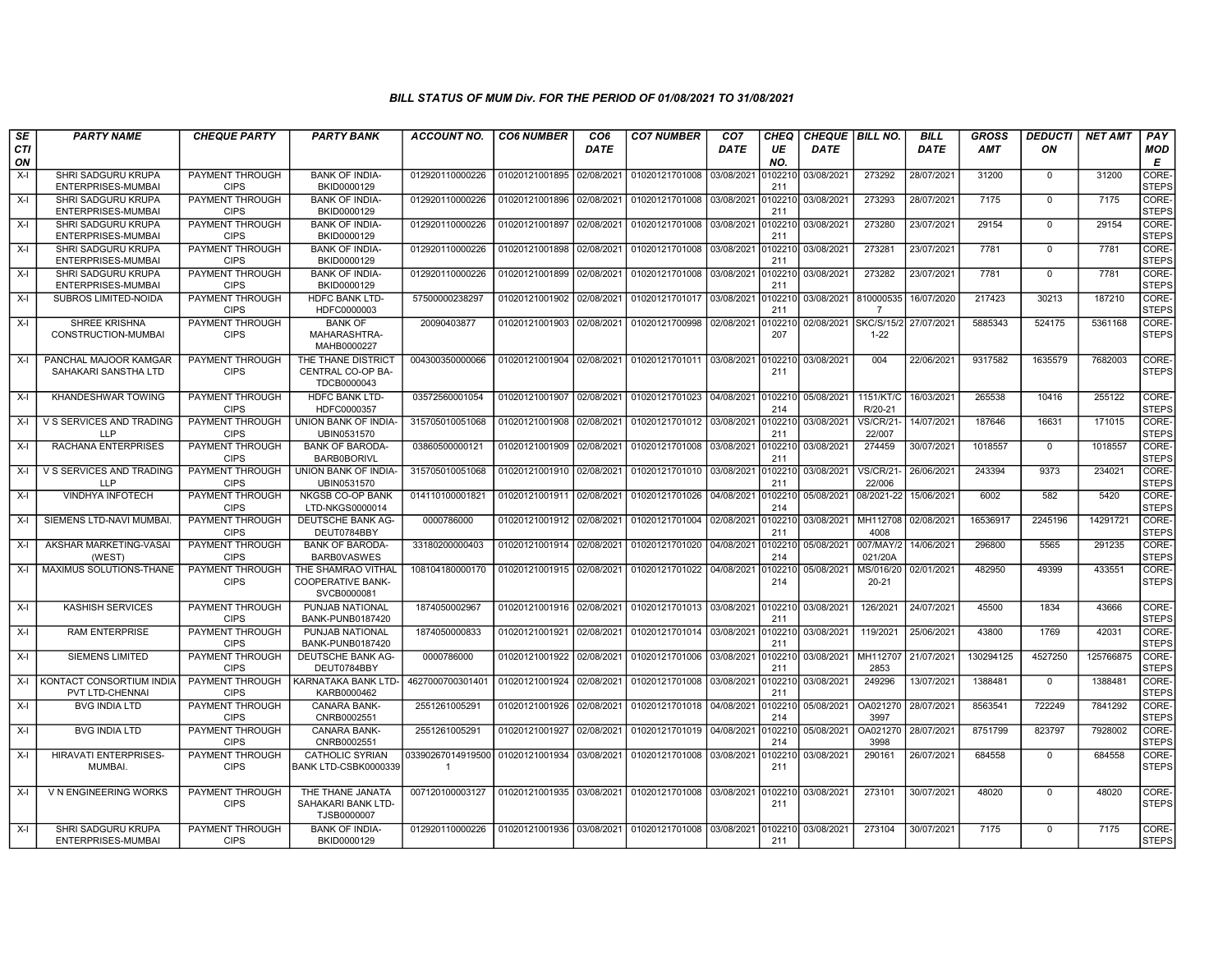| SE        | <b>PARTY NAME</b>                                  | <b>CHEQUE PARTY</b>                   | <b>PARTY BANK</b>                                             | ACCOUNT NO.                      | <b>CO6 NUMBER</b>         | CO6        | <b>CO7 NUMBER</b>                                   | CO <sub>7</sub> | CHEQ           | <b>CHEQUE   BILL NO.</b> |                               | BILL        | GROSS      | <b>DEDUCTI</b> | <b>NET AMT</b> | <b>PAY</b>            |
|-----------|----------------------------------------------------|---------------------------------------|---------------------------------------------------------------|----------------------------------|---------------------------|------------|-----------------------------------------------------|-----------------|----------------|--------------------------|-------------------------------|-------------|------------|----------------|----------------|-----------------------|
| CTI<br>ON |                                                    |                                       |                                                               |                                  |                           | DATE       |                                                     | DATE            | UE<br>NO.      | DATE                     |                               | <b>DATE</b> | <b>AMT</b> | ON             |                | MOD<br>E              |
| $X-I$     | SHRI SADGURU KRUPA<br>ENTERPRISES-MUMBAI           | PAYMENT THROUGH<br><b>CIPS</b>        | <b>BANK OF INDIA-</b><br>BKID0000129                          | 012920110000226                  | 01020121001895            | 02/08/2021 | 01020121701008                                      | 03/08/2021      | 102210<br>211  | 03/08/2021               | 273292                        | 28/07/2021  | 31200      | $\mathbf 0$    | 31200          | CORE-<br><b>STEPS</b> |
| $X-I$     | SHRI SADGURU KRUPA<br>ENTERPRISES-MUMBAI           | <b>PAYMENT THROUGH</b><br><b>CIPS</b> | <b>BANK OF INDIA-</b><br>BKID0000129                          | 012920110000226                  | 01020121001896            | 02/08/2021 | 01020121701008                                      | 03/08/2021      | 0102210<br>211 | 03/08/2021               | 273293                        | 28/07/2021  | 7175       | $\mathbf 0$    | 7175           | CORE-<br><b>STEPS</b> |
| $X-I$     | SHRI SADGURU KRUPA<br>ENTERPRISES-MUMBAI           | PAYMENT THROUGH<br><b>CIPS</b>        | <b>BANK OF INDIA-</b><br>BKID0000129                          | 012920110000226                  | 01020121001897            | 02/08/2021 | 01020121701008                                      | 03/08/2021      | 0102210<br>211 | 03/08/2021               | 273280                        | 23/07/2021  | 29154      | $\Omega$       | 29154          | CORE-<br><b>STEPS</b> |
| $X-I$     | SHRI SADGURU KRUPA<br>ENTERPRISES-MUMBAI           | PAYMENT THROUGH<br><b>CIPS</b>        | <b>BANK OF INDIA-</b><br>BKID0000129                          | 012920110000226                  | 01020121001898            | 02/08/2021 | 01020121701008                                      | 03/08/2021      | 102210<br>211  | 03/08/2021               | 273281                        | 23/07/2021  | 7781       | $\Omega$       | 7781           | CORE-<br><b>STEPS</b> |
| $X-I$     | SHRI SADGURU KRUPA<br>ENTERPRISES-MUMBAI           | PAYMENT THROUGH<br><b>CIPS</b>        | <b>BANK OF INDIA-</b><br>BKID0000129                          | 012920110000226                  | 01020121001899            | 02/08/2021 | 01020121701008 03/08/2021                           |                 | 0102210<br>211 | 03/08/2021               | 273282                        | 23/07/2021  | 7781       | $\mathbf 0$    | 7781           | CORE-<br><b>STEPS</b> |
| $X-I$     | SUBROS LIMITED-NOIDA                               | PAYMENT THROUGH<br><b>CIPS</b>        | HDFC BANK LTD-<br>HDFC0000003                                 | 57500000238297                   | 01020121001902            | 02/08/2021 | 01020121701017                                      | 03/08/2021      | 102210<br>211  | 03/08/2021 810000535     | $\overline{7}$                | 16/07/2020  | 217423     | 30213          | 187210         | CORE-<br><b>STEPS</b> |
| $X-I$     | <b>SHREE KRISHNA</b><br>CONSTRUCTION-MUMBAI        | PAYMENT THROUGH<br><b>CIPS</b>        | <b>BANK OF</b><br>MAHARASHTRA-<br>MAHB0000227                 | 20090403877                      | 01020121001903            | 02/08/2021 | 01020121700998                                      | 02/08/2021      | 102210<br>207  | 02/08/2021               | <b>SKC/S/15/2</b><br>$1 - 22$ | 27/07/2021  | 5885343    | 524175         | 5361168        | CORE-<br><b>STEPS</b> |
| $X-I$     | PANCHAL MAJOOR KAMGAR<br>SAHAKARI SANSTHA LTD      | <b>PAYMENT THROUGH</b><br><b>CIPS</b> | THE THANE DISTRICT<br>CENTRAL CO-OP BA-<br>TDCB0000043        | 004300350000066                  | 01020121001904 02/08/2021 |            | 01020121701011 03/08/2021                           |                 | 0102210<br>211 | 03/08/2021               | 004                           | 22/06/2021  | 9317582    | 1635579        | 7682003        | CORE-<br><b>STEPS</b> |
| $X-I$     | KHANDESHWAR TOWING                                 | PAYMENT THROUGH<br><b>CIPS</b>        | <b>HDFC BANK LTD-</b><br>HDFC0000357                          | 03572560001054                   | 01020121001907 02/08/2021 |            | 01020121701023 04/08/2021 0102210                   |                 | 214            | 05/08/2021               | 1151/KT/C<br>R/20-21          | 16/03/2021  | 265538     | 10416          | 255122         | CORE-<br><b>STEPS</b> |
| $X-I$     | V S SERVICES AND TRADING<br><b>LLP</b>             | <b>PAYMENT THROUGH</b><br><b>CIPS</b> | <b>UNION BANK OF INDIA-</b><br>UBIN0531570                    | 315705010051068                  | 01020121001908            | 02/08/2021 | 01020121701012                                      | 03/08/2021      | 102210<br>211  | 03/08/2021               | <b>VS/CR/21-</b><br>22/007    | 14/07/2021  | 187646     | 16631          | 171015         | CORE-<br><b>STEPS</b> |
| $X-I$     | RACHANA ENTERPRISES                                | PAYMENT THROUGH<br><b>CIPS</b>        | <b>BANK OF BARODA-</b><br><b>BARB0BORIVL</b>                  | 03860500000121                   | 01020121001909            | 02/08/2021 | 01020121701008                                      | 03/08/2021      | 0102210<br>211 | 03/08/2021               | 274459                        | 30/07/2021  | 1018557    | $\mathbf 0$    | 1018557        | CORE-<br><b>STEPS</b> |
| X-I       | V S SERVICES AND TRADING<br><b>LLP</b>             | PAYMENT THROUGH<br><b>CIPS</b>        | UNION BANK OF INDIA-<br>UBIN0531570                           | 315705010051068                  | 01020121001910            | 02/08/2021 | 01020121701010                                      | 03/08/2021      | )102210<br>211 | 03/08/2021               | <b>VS/CR/21</b><br>22/006     | 26/06/2021  | 243394     | 9373           | 234021         | CORE-<br><b>STEPS</b> |
| $X-I$     | <b>VINDHYA INFOTECH</b>                            | PAYMENT THROUGH<br><b>CIPS</b>        | <b>NKGSB CO-OP BANK</b><br>LTD-NKGS0000014                    | 014110100001821                  | 01020121001911            | 02/08/2021 | 01020121701026                                      | 04/08/2021      | 0102210<br>214 | 05/08/2021               | 08/2021-22                    | 15/06/2021  | 6002       | 582            | 5420           | CORE-<br><b>STEPS</b> |
| $X-I$     | SIEMENS LTD-NAVI MUMBAI                            | PAYMENT THROUGH<br><b>CIPS</b>        | DEUTSCHE BANK AG-<br>DEUT0784BBY                              | 0000786000                       | 01020121001912            | 02/08/2021 | 01020121701004                                      | 02/08/2021      | 102210<br>211  | 03/08/2021               | MH112708<br>4008              | 02/08/2021  | 16536917   | 2245196        | 14291721       | CORE-<br><b>STEPS</b> |
| $X-I$     | AKSHAR MARKETING-VASAI<br>(WEST)                   | <b>PAYMENT THROUGH</b><br><b>CIPS</b> | <b>BANK OF BARODA-</b><br><b>BARBOVASWES</b>                  | 33180200000403                   | 01020121001914            | 02/08/2021 | 01020121701020                                      | 04/08/2021      | 0102210<br>214 | 05/08/2021               | 007/MAY/2<br>021/20A          | 14/06/2021  | 296800     | 5565           | 291235         | CORE-<br><b>STEPS</b> |
| $X-I$     | MAXIMUS SOLUTIONS-THANE                            | PAYMENT THROUGH<br><b>CIPS</b>        | THE SHAMRAO VITHAL<br><b>COOPERATIVE BANK-</b><br>SVCB0000081 | 108104180000170                  | 01020121001915 02/08/2021 |            | 01020121701022 04/08/2021                           |                 | 0102210<br>214 | 05/08/2021               | MS/016/20<br>$20 - 21$        | 02/01/2021  | 482950     | 49399          | 433551         | CORE-<br><b>STEPS</b> |
| $X-I$     | <b>KASHISH SERVICES</b>                            | PAYMENT THROUGH<br><b>CIPS</b>        | PUNJAB NATIONAL<br>BANK-PUNB0187420                           | 1874050002967                    | 01020121001916 02/08/2021 |            | 01020121701013                                      | 03/08/2021      | 0102210<br>211 | 03/08/2021               | 126/2021                      | 24/07/2021  | 45500      | 1834           | 43666          | CORE-<br><b>STEPS</b> |
| $X-I$     | <b>RAM ENTERPRISE</b>                              | PAYMENT THROUGH<br><b>CIPS</b>        | PUNJAB NATIONAL<br>BANK-PUNB0187420                           | 1874050000833                    | 01020121001921            | 02/08/2021 | 01020121701014                                      | 03/08/2021      | 0102210<br>211 | 03/08/2021               | 119/2021                      | 25/06/2021  | 43800      | 1769           | 42031          | CORE-<br><b>STEPS</b> |
| $X-I$     | <b>SIEMENS LIMITED</b>                             | PAYMENT THROUGH<br><b>CIPS</b>        | DEUTSCHE BANK AG-<br>DEUT0784BBY                              | 0000786000                       | 01020121001922            | 02/08/2021 | 01020121701006                                      | 03/08/2021      | 0102210<br>211 | 03/08/2021               | MH112707<br>2853              | 21/07/2021  | 130294125  | 4527250        | 125766875      | CORE-<br><b>STEPS</b> |
| $X-I$     | KONTACT CONSORTIUM INDIA<br><b>PVT LTD-CHENNAI</b> | PAYMENT THROUGH<br><b>CIPS</b>        | KARNATAKA BANK LTD-<br>KARB0000462                            | 4627000700301401                 | 01020121001924            | 02/08/2021 | 01020121701008 03/08/2021                           |                 | 102210<br>211  | 03/08/2021               | 249296                        | 13/07/2021  | 1388481    | $\mathbf 0$    | 1388481        | CORE-<br><b>STEPS</b> |
| X-I       | <b>BVG INDIA LTD</b>                               | PAYMENT THROUGH<br><b>CIPS</b>        | <b>CANARA BANK-</b><br>CNRB0002551                            | 2551261005291                    | 01020121001926            | 02/08/2021 | 01020121701018 04/08/2021                           |                 | 0102210<br>214 | 05/08/2021               | OA021270<br>3997              | 28/07/2021  | 8563541    | 722249         | 7841292        | CORE-<br><b>STEPS</b> |
| $X-I$     | <b>BVG INDIA LTD</b>                               | PAYMENT THROUGH<br><b>CIPS</b>        | <b>CANARA BANK-</b><br>CNRB0002551                            | 2551261005291                    | 01020121001927            | 02/08/2021 | 01020121701019                                      | 04/08/2021      | 102210<br>214  | 05/08/2021               | OA021270<br>3998              | 28/07/2021  | 8751799    | 823797         | 7928002        | CORE-<br><b>STEPS</b> |
| $X-I$     | <b>HIRAVATI ENTERPRISES-</b><br><b>MUMBAI</b>      | PAYMENT THROUGH<br><b>CIPS</b>        | <b>CATHOLIC SYRIAN</b><br>BANK LTD-CSBK0000339                | 03390267014919500<br>$\mathbf 1$ | 01020121001934            | 03/08/2021 | 01020121701008                                      | 03/08/2021      | 010221<br>211  | 03/08/2021               | 290161                        | 26/07/2021  | 684558     | $\Omega$       | 684558         | CORE-<br><b>STEPS</b> |
| $X-I$     | V N ENGINEERING WORKS                              | PAYMENT THROUGH<br><b>CIPS</b>        | THE THANE JANATA<br>SAHAKARI BANK LTD-<br>TJSB0000007         | 007120100003127                  | 01020121001935            | 03/08/2021 | 01020121701008                                      | 03/08/2021      | 0102210<br>211 | 03/08/2021               | 273101                        | 30/07/2021  | 48020      | $\mathbf{0}$   | 48020          | CORE-<br><b>STEPS</b> |
| $X-I$     | <b>SHRI SADGURU KRUPA</b><br>ENTERPRISES-MUMBAI    | PAYMENT THROUGH<br><b>CIPS</b>        | <b>BANK OF INDIA-</b><br>BKID0000129                          | 012920110000226                  |                           |            | 01020121001936 03/08/2021 01020121701008 03/08/2021 |                 | 0102210<br>211 | 03/08/2021               | 273104                        | 30/07/2021  | 7175       | $\Omega$       | 7175           | CORE-<br><b>STEPS</b> |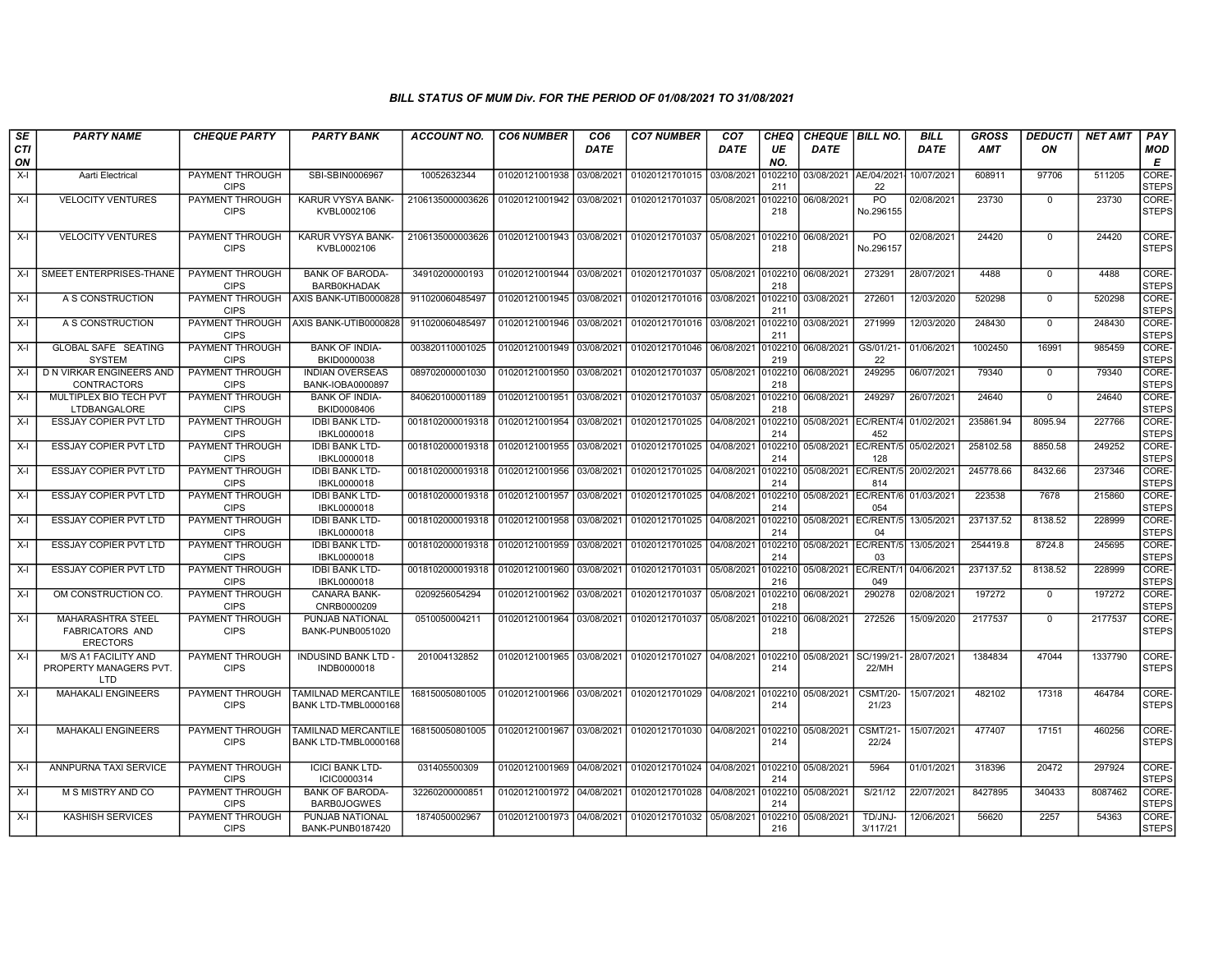| SE               | <b>PARTY NAME</b>                                                     | <b>CHEQUE PARTY</b>                   | <b>PARTY BANK</b>                            | ACCOUNT NO.                                    | <b>CO6 NUMBER</b>         | CO6         | <b>CO7 NUMBER</b>         | CO7         | CHEQ           | <b>CHEQUE   BILL NO.</b>        |                             | BILL        | GROSS      | <b>DEDUCTI</b> | <b>NET AMT</b> | <b>PAY</b>            |
|------------------|-----------------------------------------------------------------------|---------------------------------------|----------------------------------------------|------------------------------------------------|---------------------------|-------------|---------------------------|-------------|----------------|---------------------------------|-----------------------------|-------------|------------|----------------|----------------|-----------------------|
| <b>CTI</b><br>ON |                                                                       |                                       |                                              |                                                |                           | <b>DATE</b> |                           | <b>DATE</b> | UE<br>NO.      | <b>DATE</b>                     |                             | <b>DATE</b> | <b>AMT</b> | ON             |                | MOD<br>Е              |
| $X-I$            | Aarti Electrical                                                      | <b>PAYMENT THROUGH</b><br><b>CIPS</b> | SBI-SBIN0006967                              | 10052632344                                    | 01020121001938            | 03/08/2021  | 01020121701015 03/08/2021 |             | 102210<br>211  | 03/08/2021 AE/04/2021           | 22                          | 10/07/2021  | 608911     | 97706          | 511205         | CORE-<br><b>STEPS</b> |
| X-I              | <b>VELOCITY VENTURES</b>                                              | <b>PAYMENT THROUGH</b><br><b>CIPS</b> | KARUR VYSYA BANK-<br>KVBL0002106             | 2106135000003626                               | 01020121001942 03/08/2021 |             | 01020121701037 05/08/2021 |             | 102210<br>218  | 06/08/2021                      | PO<br>No.296155             | 02/08/2021  | 23730      | $\mathbf{0}$   | 23730          | CORE-<br><b>STEPS</b> |
| X-I              | <b>VELOCITY VENTURES</b>                                              | PAYMENT THROUGH<br><b>CIPS</b>        | KARUR VYSYA BANK-<br>KVBL0002106             | 2106135000003626                               | 01020121001943            | 03/08/2021  | 01020121701037 05/08/2021 |             | 0102210<br>218 | 06/08/2021                      | P <sub>O</sub><br>No.296157 | 02/08/2021  | 24420      | $\mathbf{0}$   | 24420          | CORE-<br><b>STEPS</b> |
| X-I              | SMEET ENTERPRISES-THANE                                               | PAYMENT THROUGH<br><b>CIPS</b>        | <b>BANK OF BARODA-</b><br>BARB0KHADAK        | 34910200000193                                 | 01020121001944            | 03/08/2021  | 01020121701037            | 05/08/2021  | 102210<br>218  | 06/08/2021                      | 273291                      | 28/07/2021  | 4488       | $\mathbf{0}$   | 4488           | CORE-<br><b>STEPS</b> |
| X-I              | A S CONSTRUCTION                                                      | PAYMENT THROUGH<br><b>CIPS</b>        | AXIS BANK-UTIB0000828                        | 911020060485497                                | 01020121001945 03/08/2021 |             | 01020121701016 03/08/2021 |             | 0102210<br>211 | 03/08/2021                      | 272601                      | 12/03/2020  | 520298     | $\Omega$       | 520298         | CORE-<br><b>STEPS</b> |
| X-I              | A S CONSTRUCTION                                                      | PAYMENT THROUGH<br><b>CIPS</b>        | AXIS BANK-UTIB0000828                        | 911020060485497                                | 01020121001946 03/08/2021 |             | 01020121701016 03/08/2021 |             | 102210<br>211  | 03/08/2021                      | 271999                      | 12/03/2020  | 248430     | $\mathbf 0$    | 248430         | CORE-<br><b>STEPS</b> |
| X-I              | GLOBAL SAFE SEATING<br><b>SYSTEM</b>                                  | <b>PAYMENT THROUGH</b><br><b>CIPS</b> | <b>BANK OF INDIA-</b><br>BKID0000038         | 003820110001025                                | 01020121001949            | 03/08/2021  | 01020121701046            | 06/08/2021  | 0102210<br>219 | 06/08/2021                      | GS/01/21<br>22              | 01/06/2021  | 1002450    | 16991          | 985459         | CORE-<br><b>STEPS</b> |
| X-I              | D N VIRKAR ENGINEERS AND<br>CONTRACTORS                               | PAYMENT THROUGH<br><b>CIPS</b>        | <b>INDIAN OVERSEAS</b><br>BANK-IOBA0000897   | 089702000001030                                | 01020121001950            | 03/08/2021  | 01020121701037            | 05/08/2021  | 102210<br>218  | 06/08/2021                      | 249295                      | 06/07/2021  | 79340      | $\mathbf 0$    | 79340          | CORE-<br><b>STEPS</b> |
| $X-I$            | MULTIPLEX BIO TECH PVT<br>LTDBANGALORE                                | PAYMENT THROUGH<br><b>CIPS</b>        | <b>BANK OF INDIA-</b><br>BKID0008406         | 840620100001189                                | 01020121001951            | 03/08/2021  | 01020121701037            | 05/08/2021  | 102210<br>218  | 06/08/2021                      | 249297                      | 26/07/2021  | 24640      | $\mathbf 0$    | 24640          | CORE-<br><b>STEPS</b> |
| X-I              | <b>ESSJAY COPIER PVT LTD</b>                                          | PAYMENT THROUGH<br><b>CIPS</b>        | <b>IDBI BANK LTD-</b><br>IBKL0000018         | 0018102000019318 01020121001954                |                           | 03/08/2021  | 01020121701025 04/08/2021 |             | 102210<br>214  | 05/08/2021 EC/RENT/4            | 452                         | 01/02/2021  | 235861.94  | 8095.94        | 227766         | CORE-<br><b>STEPS</b> |
| X-I              | <b>ESSJAY COPIER PVT LTD</b>                                          | PAYMENT THROUGH<br><b>CIPS</b>        | <b>IDBI BANK LTD-</b><br>IBKL0000018         | 0018102000019318                               | 01020121001955            | 03/08/2021  | 01020121701025            | 04/08/2021  | 102210<br>214  | 05/08/2021                      | EC/RENT/5<br>128            | 05/02/2021  | 258102.58  | 8850.58        | 249252         | CORE-<br><b>STEPS</b> |
| X-I              | <b>ESSJAY COPIER PVT LTD</b>                                          | PAYMENT THROUGH<br><b>CIPS</b>        | <b>IDBI BANK LTD-</b><br>IBKL0000018         | 0018102000019318                               | 01020121001956            | 03/08/2021  | 01020121701025            | 04/08/2021  | 102210<br>214  | 05/08/2021 EC/RENT/5            | 814                         | 20/02/2021  | 245778.66  | 8432.66        | 237346         | CORE-<br><b>STEPS</b> |
| X-I              | <b>ESSJAY COPIER PVT LTD</b>                                          | PAYMENT THROUGH<br><b>CIPS</b>        | <b>IDBI BANK LTD-</b><br>IBKL0000018         | 0018102000019318                               | 01020121001957            | 03/08/2021  | 01020121701025            | 04/08/2021  | 102210<br>214  | 05/08/2021                      | EC/RENT/6 01/03/2021<br>054 |             | 223538     | 7678           | 215860         | CORE-<br><b>STEPS</b> |
| $X-I$            | <b>ESSJAY COPIER PVT LTD</b>                                          | <b>PAYMENT THROUGH</b><br><b>CIPS</b> | <b>IDBI BANK LTD-</b><br>IBKL0000018         | 0018102000019318                               | 01020121001958            | 03/08/2021  | 01020121701025 04/08/2021 |             | 102210<br>214  |                                 | 05/08/2021 EC/RENT/5<br>04  | 13/05/2021  | 237137.52  | 8138.52        | 228999         | CORE-<br><b>STEPS</b> |
| X-I              | ESSJAY COPIER PVT LTD                                                 | PAYMENT THROUGH<br><b>CIPS</b>        | <b>IDBI BANK LTD-</b><br>IBKL0000018         | 0018102000019318   01020121001959   03/08/2021 |                           |             | 01020121701025 04/08/2021 |             | 0102210<br>214 | 05/08/2021 EC/RENT/5 13/05/2021 | 03                          |             | 254419.8   | 8724.8         | 245695         | CORE-<br><b>STEPS</b> |
| X-I              | ESSJAY COPIER PVT LTD                                                 | PAYMENT THROUGH<br><b>CIPS</b>        | <b>IDBI BANK LTD-</b><br>IBKL0000018         | 0018102000019318                               | 01020121001960            | 03/08/2021  | 01020121701031            | 05/08/2021  | 102210<br>216  | 05/08/2021                      | EC/RENT/1<br>049            | 04/06/2021  | 237137.52  | 8138.52        | 228999         | CORE-<br><b>STEPS</b> |
| X-I              | OM CONSTRUCTION CO.                                                   | PAYMENT THROUGH<br><b>CIPS</b>        | CANARA BANK-<br>CNRB0000209                  | 0209256054294                                  | 01020121001962            | 03/08/2021  | 01020121701037            | 05/08/2021  | 102210<br>218  | 06/08/2021                      | 290278                      | 02/08/2021  | 197272     | $\mathbf 0$    | 197272         | CORE-<br><b>STEPS</b> |
| $X-I$            | <b>MAHARASHTRA STEEL</b><br><b>FABRICATORS AND</b><br><b>ERECTORS</b> | <b>PAYMENT THROUGH</b><br><b>CIPS</b> | <b>PUNJAB NATIONAL</b><br>BANK-PUNB0051020   | 0510050004211                                  | 01020121001964            | 03/08/2021  | 01020121701037            | 05/08/2021  | 102210<br>218  | 06/08/2021                      | 272526                      | 15/09/2020  | 2177537    | $\mathbf 0$    | 2177537        | CORE-<br><b>STEPS</b> |
| $X-I$            | M/S A1 FACILITY AND<br>PROPERTY MANAGERS PVT.<br><b>LTD</b>           | PAYMENT THROUGH<br><b>CIPS</b>        | <b>INDUSIND BANK LTD -</b><br>INDB0000018    | 201004132852                                   | 01020121001965 03/08/2021 |             | 01020121701027 04/08/2021 |             | 0102210<br>214 | 05/08/2021                      | SC/199/21-<br>22/MH         | 28/07/2021  | 1384834    | 47044          | 1337790        | CORE-<br><b>STEPS</b> |
| X-I              | <b>MAHAKALI ENGINEERS</b>                                             | PAYMENT THROUGH<br><b>CIPS</b>        | TAMILNAD MERCANTILE<br>BANK LTD-TMBL0000168  | 168150050801005                                | 01020121001966 03/08/2021 |             | 01020121701029 04/08/2021 |             | 0102210<br>214 | 05/08/2021                      | <b>CSMT/20-</b><br>21/23    | 15/07/2021  | 482102     | 17318          | 464784         | CORE-<br><b>STEPS</b> |
| X-I              | <b>MAHAKALI ENGINEERS</b>                                             | PAYMENT THROUGH<br><b>CIPS</b>        | TAMILNAD MERCANTILE<br>BANK LTD-TMBL0000168  | 168150050801005                                | 01020121001967 03/08/2021 |             | 01020121701030 04/08/2021 |             | 0102210<br>214 | 05/08/2021                      | <b>CSMT/21-</b><br>22/24    | 15/07/2021  | 477407     | 17151          | 460256         | CORE-<br><b>STEPS</b> |
| X-I              | ANNPURNA TAXI SERVICE                                                 | PAYMENT THROUGH<br><b>CIPS</b>        | <b>ICICI BANK LTD-</b><br>ICIC0000314        | 031405500309                                   | 01020121001969 04/08/2021 |             | 01020121701024 04/08/2021 |             | 102210<br>214  | 05/08/2021                      | 5964                        | 01/01/2021  | 318396     | 20472          | 297924         | CORE-<br><b>STEPS</b> |
| $X-I$            | <b>M S MISTRY AND CO</b>                                              | <b>PAYMENT THROUGH</b><br><b>CIPS</b> | <b>BANK OF BARODA-</b><br><b>BARB0JOGWES</b> | 32260200000851                                 | 01020121001972            | 04/08/2021  | 01020121701028 04/08/2021 |             | 0102210<br>214 | 05/08/2021                      | S/21/12                     | 22/07/2021  | 8427895    | 340433         | 8087462        | CORE-<br><b>STEPS</b> |
| $X-I$            | <b>KASHISH SERVICES</b>                                               | PAYMENT THROUGH<br><b>CIPS</b>        | PUNJAB NATIONAL<br>BANK-PUNB0187420          | 1874050002967                                  | 01020121001973 04/08/2021 |             | 01020121701032 05/08/2021 |             | 102210<br>216  | 05/08/2021                      | TD/JNJ-<br>3/117/21         | 12/06/2021  | 56620      | 2257           | 54363          | CORE-<br><b>STEPS</b> |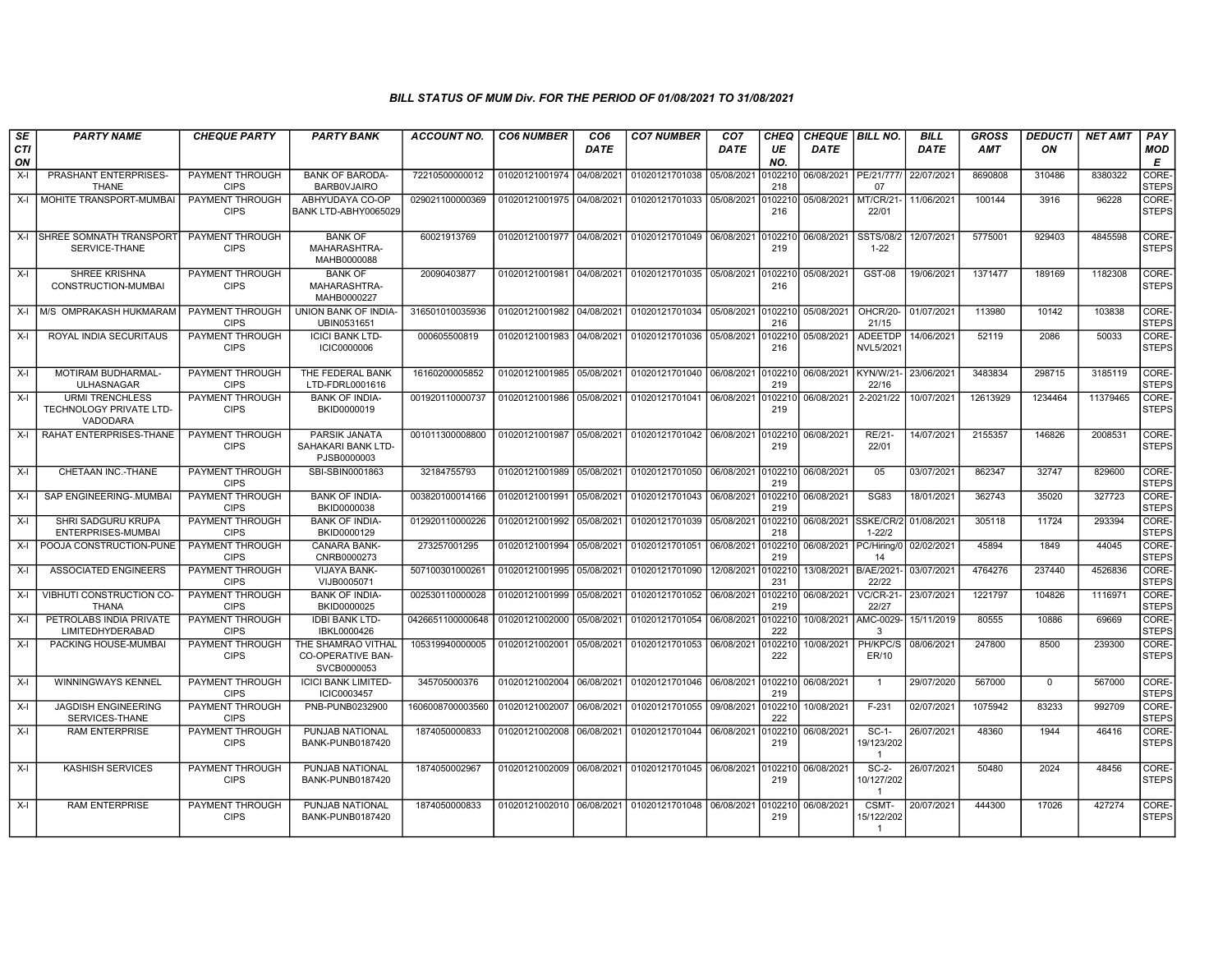| SE<br><b>CTI</b> | <b>PARTY NAME</b>                                             | <b>CHEQUE PARTY</b>                   | <b>PARTY BANK</b>                                             | <b>ACCOUNT NO.</b>                         | <b>CO6 NUMBER</b>         | CO <sub>6</sub><br><b>DATE</b> | <b>CO7 NUMBER</b>                                   | CO <sub>7</sub><br><b>DATE</b> | <b>CHEQ</b><br>UE | <b>CHEQUE   BILL NO.</b><br><b>DATE</b> |                                         | <b>BILL</b><br><b>DATE</b> | <b>GROSS</b><br><b>AMT</b> | <b>DEDUCTI</b><br>ON | <b>NET AMT</b> | PAY<br>MOD            |
|------------------|---------------------------------------------------------------|---------------------------------------|---------------------------------------------------------------|--------------------------------------------|---------------------------|--------------------------------|-----------------------------------------------------|--------------------------------|-------------------|-----------------------------------------|-----------------------------------------|----------------------------|----------------------------|----------------------|----------------|-----------------------|
| ON               |                                                               |                                       |                                                               |                                            |                           |                                |                                                     |                                | NO.               |                                         |                                         |                            |                            |                      |                | E                     |
| X-I              | PRASHANT ENTERPRISES-<br><b>THANE</b>                         | PAYMENT THROUGH<br><b>CIPS</b>        | <b>BANK OF BARODA-</b><br><b>BARBOVJAIRO</b>                  | 72210500000012                             | 01020121001974            | 04/08/2021                     | 01020121701038                                      | 05/08/2021                     | )102210<br>218    | 06/08/2021   PE/21/777/                 | 07                                      | 22/07/2021                 | 8690808                    | 310486               | 8380322        | CORE-<br><b>STEPS</b> |
| $X-I$            | MOHITE TRANSPORT-MUMBAI                                       | PAYMENT THROUGH<br><b>CIPS</b>        | ABHYUDAYA CO-OP<br>BANK LTD-ABHY0065029                       | 029021100000369                            | 01020121001975 04/08/2021 |                                | 01020121701033 05/08/2021                           |                                | 102210<br>216     | 05/08/2021                              | MT/CR/21-<br>22/01                      | 11/06/2021                 | 100144                     | 3916                 | 96228          | CORE-<br><b>STEPS</b> |
| $X-I$            | <b>ISHREE SOMNATH TRANSPORT</b><br>SERVICE-THANE              | PAYMENT THROUGH<br><b>CIPS</b>        | <b>BANK OF</b><br>MAHARASHTRA-<br>MAHB0000088                 | 60021913769                                | 01020121001977 04/08/2021 |                                | 01020121701049 06/08/2021                           |                                | 102210<br>219     | 06/08/2021                              | SSTS/08/2<br>$1 - 22$                   | 12/07/2021                 | 5775001                    | 929403               | 4845598        | CORE-<br><b>STEPS</b> |
| X-I              | <b>SHREE KRISHNA</b><br>CONSTRUCTION-MUMBAI                   | PAYMENT THROUGH<br><b>CIPS</b>        | <b>BANK OF</b><br>MAHARASHTRA-<br>MAHB0000227                 | 20090403877                                | 01020121001981            | 04/08/2021                     | 01020121701035 05/08/2021                           |                                | 102210<br>216     | 05/08/2021                              | <b>GST-08</b>                           | 19/06/2021                 | 1371477                    | 189169               | 1182308        | CORE-<br><b>STEPS</b> |
| $X-I$            | M/S OMPRAKASH HUKMARAM                                        | PAYMENT THROUGH<br><b>CIPS</b>        | UNION BANK OF INDIA-<br>UBIN0531651                           | 316501010035936                            | 01020121001982            | 04/08/2021                     | 01020121701034                                      | 05/08/2021                     | 0102210<br>216    | 05/08/2021                              | OHCR/20-<br>21/15                       | 01/07/2021                 | 113980                     | 10142                | 103838         | CORE-<br><b>STEPS</b> |
| X-I              | ROYAL INDIA SECURITAUS                                        | PAYMENT THROUGH<br><b>CIPS</b>        | <b>ICICI BANK LTD-</b><br><b>ICIC0000006</b>                  | 000605500819                               | 01020121001983 04/08/2021 |                                | 01020121701036                                      | 05/08/2021                     | 102210<br>216     | 05/08/2021                              | <b>ADEETDP</b><br>NVL5/2021             | 14/06/2021                 | 52119                      | 2086                 | 50033          | CORE-<br><b>STEPS</b> |
| $X-I$            | MOTIRAM BUDHARMAL-<br><b>ULHASNAGAR</b>                       | <b>PAYMENT THROUGH</b><br><b>CIPS</b> | THE FEDERAL BANK<br>LTD-FDRL0001616                           | 16160200005852                             |                           |                                | 01020121001985 05/08/2021 01020121701040 06/08/2021 |                                | 0102210<br>219    | 06/08/2021 KYN/W/21-                    | 22/16                                   | 23/06/2021                 | 3483834                    | 298715               | 3185119        | CORE-<br><b>STEPS</b> |
| X-I              | <b>URMI TRENCHLESS</b><br>TECHNOLOGY PRIVATE LTD-<br>VADODARA | PAYMENT THROUGH<br><b>CIPS</b>        | <b>BANK OF INDIA-</b><br>BKID0000019                          | 001920110000737                            | 01020121001986            | 05/08/2021                     | 01020121701041 06/08/2021                           |                                | 102210<br>219     | 06/08/2021                              | 2-2021/22                               | 10/07/2021                 | 12613929                   | 1234464              | 11379465       | CORE-<br><b>STEPS</b> |
| $X-I$            | RAHAT ENTERPRISES-THANE                                       | PAYMENT THROUGH<br><b>CIPS</b>        | PARSIK JANATA<br>SAHAKARI BANK LTD-<br>PJSB0000003            | 001011300008800                            | 01020121001987 05/08/2021 |                                | 01020121701042 06/08/2021                           |                                | 102210<br>219     | 06/08/2021                              | <b>RE/21-</b><br>22/01                  | 14/07/2021                 | 2155357                    | 146826               | 2008531        | CORE-<br><b>STEPS</b> |
| X-I              | CHETAAN INC.-THANE                                            | PAYMENT THROUGH<br><b>CIPS</b>        | SBI-SBIN0001863                                               | 32184755793                                | 01020121001989 05/08/2021 |                                | 01020121701050                                      | 06/08/2021                     | 0102210<br>219    | 06/08/2021                              | 05                                      | 03/07/2021                 | 862347                     | 32747                | 829600         | CORE-<br><b>STEPS</b> |
| X-I              | SAP ENGINEERING-.MUMBAI                                       | PAYMENT THROUGH<br><b>CIPS</b>        | <b>BANK OF INDIA-</b><br>BKID0000038                          | 003820100014166                            | 01020121001991            | 05/08/2021                     | 01020121701043 06/08/2021                           |                                | 0102210<br>219    | 06/08/2021                              | <b>SG83</b>                             | 18/01/2021                 | 362743                     | 35020                | 327723         | CORE-<br><b>STEPS</b> |
| X-I              | SHRI SADGURU KRUPA<br>ENTERPRISES-MUMBAI                      | PAYMENT THROUGH<br><b>CIPS</b>        | <b>BANK OF INDIA-</b><br>BKID0000129                          | 012920110000226                            | 01020121001992            | 05/08/2021                     | 01020121701039                                      | 05/08/2021                     | 102210<br>218     |                                         | 06/08/2021 SSKE/CR/2<br>$1 - 22/2$      | 01/08/2021                 | 305118                     | 11724                | 293394         | CORE-<br><b>STEPS</b> |
| $X-I$            | POOJA CONSTRUCTION-PUNE                                       | PAYMENT THROUGH<br><b>CIPS</b>        | <b>CANARA BANK-</b><br>CNRB0000273                            | 273257001295                               | 01020121001994            | 05/08/2021                     | 01020121701051                                      | 06/08/2021                     | 102210<br>219     | 06/08/2021 PC/Hiring/0                  | 14                                      | 02/02/2021                 | 45894                      | 1849                 | 44045          | CORE-<br><b>STEPS</b> |
| X-I              | <b>ASSOCIATED ENGINEERS</b>                                   | PAYMENT THROUGH<br><b>CIPS</b>        | <b>VIJAYA BANK-</b><br>VIJB0005071                            | 507100301000261                            | 01020121001995            | 05/08/2021                     | 01020121701090                                      | 12/08/2021                     | 102210<br>231     | 13/08/2021 B/AE/2021                    | 22/22                                   | 03/07/2021                 | 4764276                    | 237440               | 4526836        | CORE-<br><b>STEPS</b> |
| X-I              | VIBHUTI CONSTRUCTION CO-<br><b>THANA</b>                      | <b>PAYMENT THROUGH</b><br><b>CIPS</b> | <b>BANK OF INDIA-</b><br>BKID0000025                          | 002530110000028                            | 01020121001999            | 05/08/2021                     | 01020121701052                                      | 06/08/2021                     | 0102210<br>219    | 06/08/2021                              | <b>VC/CR-21-</b><br>22/27               | 23/07/2021                 | 1221797                    | 104826               | 1116971        | CORE-<br><b>STEPS</b> |
| $X-I$            | PETROLABS INDIA PRIVATE<br><b>LIMITEDHYDERABAD</b>            | PAYMENT THROUGH<br><b>CIPS</b>        | <b>IDBI BANK LTD-</b><br>IBKL0000426                          | 0426651100000648 01020121002000 05/08/2021 |                           |                                | 01020121701054 06/08/2021                           |                                | 0102210<br>222    |                                         | 10/08/2021 AMC-0029-<br>$\mathcal{R}$   | 15/11/2019                 | 80555                      | 10886                | 69669          | CORE-<br><b>STEPS</b> |
| X-I              | PACKING HOUSE-MUMBAI                                          | PAYMENT THROUGH<br><b>CIPS</b>        | THE SHAMRAO VITHAL<br><b>CO-OPERATIVE BAN-</b><br>SVCB0000053 | 105319940000005                            | 01020121002001            | 05/08/2021                     | 01020121701053                                      | 06/08/2021                     | 102210<br>222     | 10/08/2021                              | PH/KPC/S<br>ER/10                       | 08/06/2021                 | 247800                     | 8500                 | 239300         | CORE-<br><b>STEPS</b> |
| X-I              | <b>WINNINGWAYS KENNEL</b>                                     | PAYMENT THROUGH<br><b>CIPS</b>        | <b>ICICI BANK LIMITED-</b><br>ICIC0003457                     | 345705000376                               | 01020121002004            | 06/08/2021                     | 01020121701046 06/08/2021                           |                                | 0102210<br>219    | 06/08/2021                              | $\overline{1}$                          | 29/07/2020                 | 567000                     | $\mathbf{0}$         | 567000         | CORE-<br><b>STEPS</b> |
| $X-I$            | <b>JAGDISH ENGINEERING</b><br>SERVICES-THANE                  | PAYMENT THROUGH<br><b>CIPS</b>        | PNB-PUNB0232900                                               | 1606008700003560                           | 01020121002007            | 06/08/2021                     | 01020121701055                                      | 09/08/2021                     | 0102210<br>222    | 10/08/2021                              | F-231                                   | 02/07/2021                 | 1075942                    | 83233                | 992709         | CORE-<br><b>STEPS</b> |
| X-I              | <b>RAM ENTERPRISE</b>                                         | PAYMENT THROUGH<br><b>CIPS</b>        | PUNJAB NATIONAL<br>BANK-PUNB0187420                           | 1874050000833                              | 01020121002008 06/08/2021 |                                | 01020121701044 06/08/2021                           |                                | 102210<br>219     | 06/08/2021                              | $SC-1-$<br>19/123/202<br>$\overline{1}$ | 26/07/2021                 | 48360                      | 1944                 | 46416          | CORE-<br><b>STEPS</b> |
| $X-I$            | <b>KASHISH SERVICES</b>                                       | PAYMENT THROUGH<br><b>CIPS</b>        | PUNJAB NATIONAL<br>BANK-PUNB0187420                           | 1874050002967                              | 01020121002009 06/08/2021 |                                | 01020121701045 06/08/2021                           |                                | 102210<br>219     | 06/08/2021                              | SC-2-<br>10/127/202<br>$\overline{1}$   | 26/07/2021                 | 50480                      | 2024                 | 48456          | CORE-<br><b>STEPS</b> |
| X-I              | <b>RAM ENTERPRISE</b>                                         | PAYMENT THROUGH<br><b>CIPS</b>        | PUNJAB NATIONAL<br>BANK-PUNB0187420                           | 1874050000833                              | 01020121002010 06/08/2021 |                                | 01020121701048 06/08/2021                           |                                | 102210<br>219     | 06/08/2021                              | CSMT-<br>15/122/202<br>$\overline{1}$   | 20/07/2021                 | 444300                     | 17026                | 427274         | CORE-<br><b>STEPS</b> |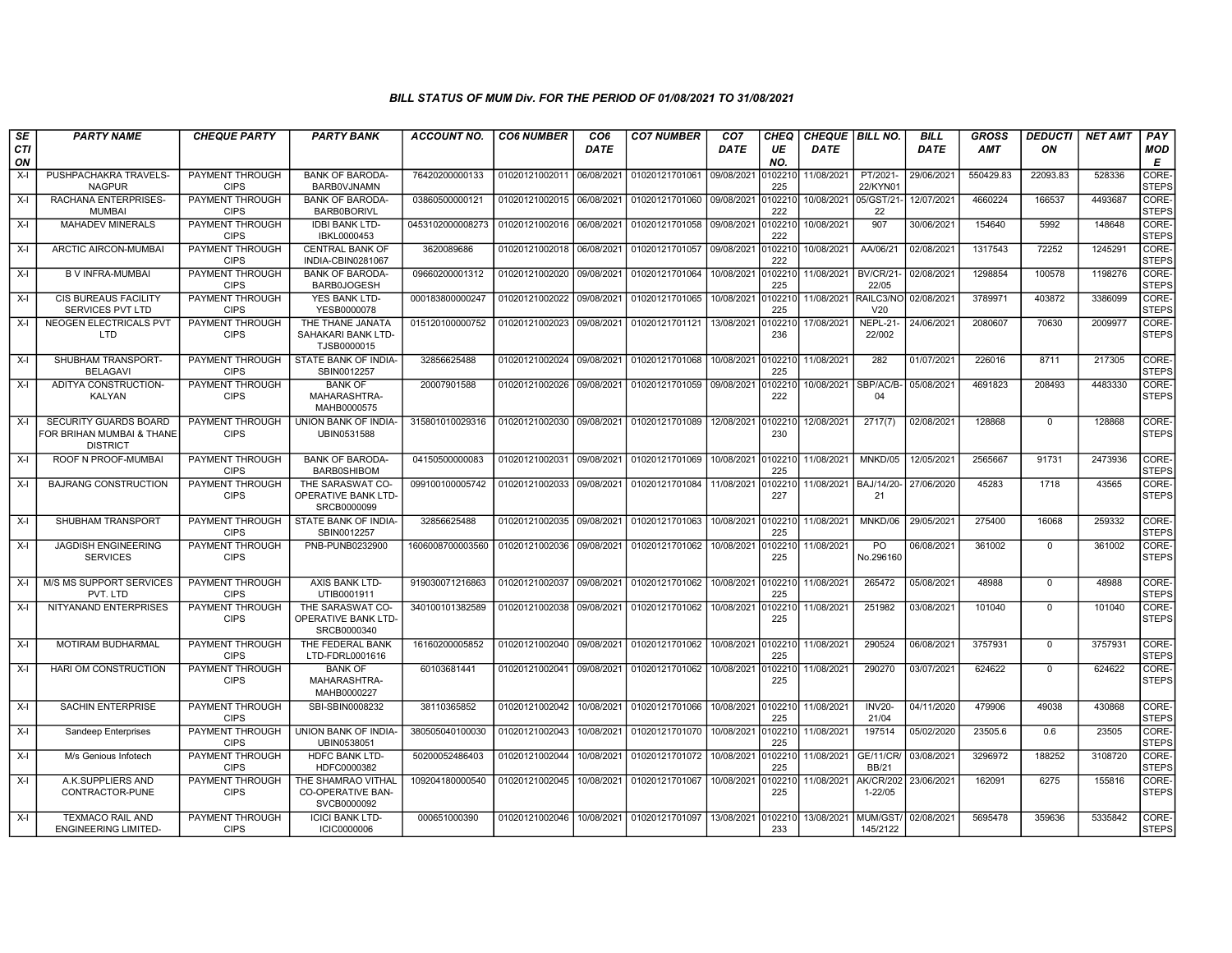| SE               | <b>PARTY NAME</b>                                                              | <b>CHEQUE PARTY</b>                   | <b>PARTY BANK</b>                                             | ACCOUNT NO.      | <b>CO6 NUMBER</b>         | CO <sub>6</sub> | <b>CO7 NUMBER</b>                        | CO <sub>7</sub>    | CHEQ           | <b>CHEQUE   BILL NO.</b> |                                  | <b>BILL</b> | <b>GROSS</b> | <b>DEDUCTI</b> | <b>NET AMT</b> | PAY                   |
|------------------|--------------------------------------------------------------------------------|---------------------------------------|---------------------------------------------------------------|------------------|---------------------------|-----------------|------------------------------------------|--------------------|----------------|--------------------------|----------------------------------|-------------|--------------|----------------|----------------|-----------------------|
| <b>CTI</b><br>ON |                                                                                |                                       |                                                               |                  |                           | <b>DATE</b>     |                                          | <b>DATE</b>        | UE<br>NO.      | <b>DATE</b>              |                                  | <b>DATE</b> | <b>AMT</b>   | ON             |                | MOD<br>Е              |
| $X-I$            | PUSHPACHAKRA TRAVELS-<br><b>NAGPUR</b>                                         | PAYMENT THROUGH<br><b>CIPS</b>        | <b>BANK OF BARODA-</b><br>BARB0VJNAMN                         | 76420200000133   | 01020121002011            | 06/08/2021      | 01020121701061                           | 09/08/2021         | 102210<br>225  | 11/08/2021               | PT/2021-<br>22/KYN01             | 29/06/2021  | 550429.83    | 22093.83       | 528336         | CORE-<br><b>STEPS</b> |
| $X-I$            | RACHANA ENTERPRISES-<br><b>MUMBAI</b>                                          | <b>PAYMENT THROUGH</b><br><b>CIPS</b> | <b>BANK OF BARODA-</b><br><b>BARB0BORIVL</b>                  | 03860500000121   | 01020121002015 06/08/2021 |                 | 01020121701060 09/08/2021                |                    | 102210<br>222  | 10/08/2021 05/GST/21     | 22                               | 12/07/2021  | 4660224      | 166537         | 4493687        | CORE-<br><b>STEPS</b> |
| $X-I$            | <b>MAHADEV MINERALS</b>                                                        | PAYMENT THROUGH<br><b>CIPS</b>        | <b>IDBI BANK LTD-</b><br>IBKL0000453                          | 0453102000008273 | 01020121002016            | 06/08/2021      | 01020121701058                           | 09/08/2021         | 102210<br>222  | 10/08/2021               | 907                              | 30/06/2021  | 154640       | 5992           | 148648         | CORE-<br>STEPS        |
| $X-I$            | ARCTIC AIRCON-MUMBAI                                                           | PAYMENT THROUGH<br><b>CIPS</b>        | <b>CENTRAL BANK OF</b><br>INDIA-CBIN0281067                   | 3620089686       | 01020121002018            | 06/08/2021      | 01020121701057                           | 09/08/2021         | 102210<br>222  | 10/08/2021               | AA/06/21                         | 02/08/2021  | 1317543      | 72252          | 1245291        | CORE-<br><b>STEPS</b> |
| $X-I$            | <b>B V INFRA-MUMBAI</b>                                                        | <b>PAYMENT THROUGH</b><br><b>CIPS</b> | <b>BANK OF BARODA-</b><br><b>BARB0JOGESH</b>                  | 09660200001312   | 01020121002020            | 09/08/2021      | 01020121701064                           | 10/08/2021         | 0102210<br>225 | 11/08/2021               | BV/CR/21<br>22/05                | 02/08/2021  | 1298854      | 100578         | 1198276        | CORE-<br><b>STEPS</b> |
| $X-I$            | <b>CIS BUREAUS FACILITY</b><br><b>SERVICES PVT LTD</b>                         | <b>PAYMENT THROUGH</b><br><b>CIPS</b> | YES BANK LTD-<br>YESB0000078                                  | 000183800000247  | 01020121002022            | 09/08/2021      | 01020121701065                           | 10/08/2021         | 0102210<br>225 | 11/08/2021               | RAILC3/NO<br>V20                 | 02/08/2021  | 3789971      | 403872         | 3386099        | CORE-<br><b>STEPS</b> |
| $X-I$            | NEOGEN ELECTRICALS PVT<br><b>LTD</b>                                           | PAYMENT THROUGH<br><b>CIPS</b>        | THE THANE JANATA<br>SAHAKARI BANK LTD-<br>TJSB0000015         | 015120100000752  | 01020121002023            | 09/08/2021      | 01020121701121                           | 13/08/2021         | 102210<br>236  | 17/08/2021               | NEPL-21-<br>22/002               | 24/06/2021  | 2080607      | 70630          | 2009977        | CORE-<br><b>STEPS</b> |
| $X-I$            | SHUBHAM TRANSPORT-<br><b>BELAGAVI</b>                                          | PAYMENT THROUGH<br><b>CIPS</b>        | STATE BANK OF INDIA<br>SBIN0012257                            | 32856625488      | 01020121002024            | 09/08/2021      | 01020121701068                           | 10/08/2021         | 102210<br>225  | 11/08/2021               | 282                              | 01/07/2021  | 226016       | 8711           | 217305         | CORE-<br><b>STEPS</b> |
| $X-I$            | ADITYA CONSTRUCTION-<br>KALYAN                                                 | PAYMENT THROUGH<br><b>CIPS</b>        | <b>BANK OF</b><br>MAHARASHTRA-<br>MAHB0000575                 | 20007901588      | 01020121002026            | 09/08/2021      | 01020121701059                           | 09/08/2021         | 0102210<br>222 | 10/08/2021               | SBP/AC/B-<br>04                  | 05/08/2021  | 4691823      | 208493         | 4483330        | CORE-<br><b>STEPS</b> |
| $X-I$            | <b>SECURITY GUARDS BOARD</b><br>FOR BRIHAN MUMBAI & THANE I<br><b>DISTRICT</b> | PAYMENT THROUGH<br><b>CIPS</b>        | <b>UNION BANK OF INDIA-</b><br>UBIN0531588                    | 315801010029316  | 01020121002030            | 09/08/2021      | 01020121701089                           | 12/08/2021         | 0102210<br>230 | 12/08/2021               | 2717(7)                          | 02/08/2021  | 128868       | $\Omega$       | 128868         | CORE-<br><b>STEPS</b> |
| $X-I$            | ROOF N PROOF-MUMBAI                                                            | PAYMENT THROUGH<br><b>CIPS</b>        | <b>BANK OF BARODA-</b><br><b>BARB0SHIBOM</b>                  | 04150500000083   | 01020121002031            | 09/08/2021      | 01020121701069                           | 10/08/2021         | 0102210<br>225 | 11/08/2021               | MNKD/05                          | 12/05/2021  | 2565667      | 91731          | 2473936        | CORE-<br><b>STEPS</b> |
| $X-I$            | <b>BAJRANG CONSTRUCTION</b>                                                    | PAYMENT THROUGH<br><b>CIPS</b>        | THE SARASWAT CO-<br><b>OPERATIVE BANK LTD-</b><br>SRCB0000099 | 099100100005742  | 01020121002033            | 09/08/2021      | 01020121701084                           | 11/08/2021         | 102210<br>227  | 11/08/2021               | <b>BAJ/14/20-</b><br>21          | 27/06/2020  | 45283        | 1718           | 43565          | CORE-<br><b>STEPS</b> |
| $X-I$            | SHUBHAM TRANSPORT                                                              | PAYMENT THROUGH<br><b>CIPS</b>        | STATE BANK OF INDIA-<br>SBIN0012257                           | 32856625488      | 01020121002035            | 09/08/2021      | 01020121701063                           | 10/08/2021         | 0102210<br>225 | 11/08/2021               | MNKD/06                          | 29/05/2021  | 275400       | 16068          | 259332         | CORE-<br><b>STEPS</b> |
| $X-I$            | <b>JAGDISH ENGINEERING</b><br><b>SERVICES</b>                                  | PAYMENT THROUGH<br><b>CIPS</b>        | PNB-PUNB0232900                                               | 1606008700003560 | 01020121002036 09/08/2021 |                 | 01020121701062                           | 10/08/2021         | 102210<br>225  | 11/08/2021               | PO<br>No.296160                  | 06/08/2021  | 361002       | $\mathbf{0}$   | 361002         | CORE-<br><b>STEPS</b> |
| X-I              | M/S MS SUPPORT SERVICES<br>PVT. LTD                                            | PAYMENT THROUGH<br><b>CIPS</b>        | <b>AXIS BANK LTD-</b><br>UTIB0001911                          | 919030071216863  | 01020121002037            | 09/08/2021      | 01020121701062                           | 10/08/2021 0102210 | 225            | 11/08/2021               | 265472                           | 05/08/2021  | 48988        | $\Omega$       | 48988          | CORE-<br><b>STEPS</b> |
| $X-I$            | NITYANAND ENTERPRISES                                                          | PAYMENT THROUGH<br><b>CIPS</b>        | THE SARASWAT CO-<br>OPERATIVE BANK LTD-<br>SRCB0000340        | 340100101382589  | 01020121002038            | 09/08/2021      | 01020121701062                           | 10/08/2021         | 102210<br>225  | 11/08/2021               | 251982                           | 03/08/2021  | 101040       | $\Omega$       | 101040         | CORE-<br><b>STEPS</b> |
| $X-I$            | MOTIRAM BUDHARMAL                                                              | PAYMENT THROUGH<br><b>CIPS</b>        | THE FEDERAL BANK<br>LTD-FDRL0001616                           | 16160200005852   | 01020121002040            | 09/08/2021      | 01020121701062                           | 10/08/2021         | 102210<br>225  | 11/08/2021               | 290524                           | 06/08/2021  | 3757931      | $\Omega$       | 3757931        | CORE-<br><b>STEPS</b> |
| $X-I$            | HARI OM CONSTRUCTION                                                           | PAYMENT THROUGH<br><b>CIPS</b>        | <b>BANK OF</b><br>MAHARASHTRA-<br>MAHB0000227                 | 60103681441      | 01020121002041            | 09/08/2021      | 01020121701062                           | 10/08/2021         | 0102210<br>225 | 11/08/2021               | 290270                           | 03/07/2021  | 624622       | $\mathbf{0}$   | 624622         | CORE-<br><b>STEPS</b> |
| $X-I$            | <b>SACHIN ENTERPRISE</b>                                                       | PAYMENT THROUGH<br><b>CIPS</b>        | SBI-SBIN0008232                                               | 38110365852      | 01020121002042            | 10/08/2021      | 01020121701066                           | 10/08/2021         | 0102210<br>225 | 11/08/2021               | <b>INV20-</b><br>21/04           | 04/11/2020  | 479906       | 49038          | 430868         | CORE-<br><b>STEPS</b> |
| $X-I$            | <b>Sandeep Enterprises</b>                                                     | PAYMENT THROUGH<br><b>CIPS</b>        | UNION BANK OF INDIA-<br>UBIN0538051                           | 380505040100030  | 01020121002043            | 10/08/2021      | 01020121701070                           | 10/08/2021         | 102210<br>225  | 11/08/2021               | 197514                           | 05/02/2020  | 23505.6      | 0.6            | 23505          | CORE-<br><b>STEPS</b> |
| $X-I$            | M/s Genious Infotech                                                           | PAYMENT THROUGH<br><b>CIPS</b>        | <b>HDFC BANK LTD-</b><br>HDFC0000382                          | 50200052486403   | 01020121002044            | 10/08/2021      | 01020121701072                           | 10/08/2021         | 0102210<br>225 | 11/08/2021               | <b>GE/11/CR/</b><br><b>BB/21</b> | 03/08/2021  | 3296972      | 188252         | 3108720        | CORE-<br><b>STEPS</b> |
| $X-I$            | A.K.SUPPLIERS AND<br>CONTRACTOR-PUNE                                           | PAYMENT THROUGH<br><b>CIPS</b>        | THE SHAMRAO VITHAL<br><b>CO-OPERATIVE BAN-</b><br>SVCB0000092 | 109204180000540  | 01020121002045            | 10/08/2021      | 01020121701067                           | 10/08/2021         | 102210<br>225  | 11/08/2021               | <b>AK/CR/202</b><br>$1 - 22/05$  | 23/06/2021  | 162091       | 6275           | 155816         | CORE-<br><b>STEPS</b> |
| $X-I$            | <b>TEXMACO RAIL AND</b><br><b>ENGINEERING LIMITED-</b>                         | PAYMENT THROUGH<br><b>CIPS</b>        | <b>ICICI BANK LTD-</b><br><b>ICIC0000006</b>                  | 000651000390     |                           |                 | 01020121002046 10/08/2021 01020121701097 | 13/08/2021         | 102210<br>233  | 13/08/2021 MUM/GST/      | 145/2122                         | 02/08/2021  | 5695478      | 359636         | 5335842        | CORE-<br><b>STEPS</b> |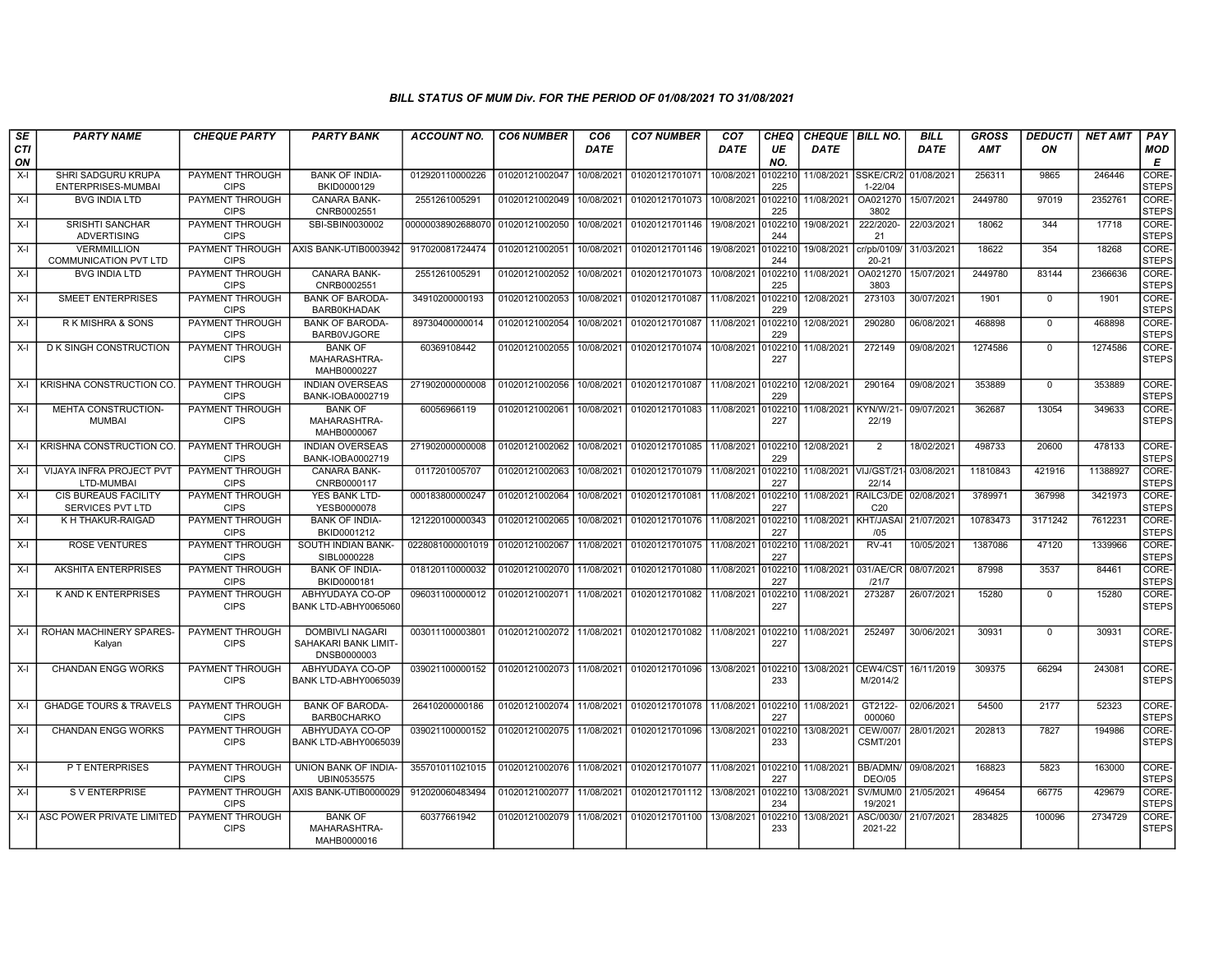| <b>SE</b>        | <b>PARTY NAME</b>                                      | <b>CHEQUE PARTY</b>                   | <b>PARTY BANK</b>                                             | ACCOUNT NO.       | <b>CO6 NUMBER</b>                        | CO <sub>6</sub> | <b>CO7 NUMBER</b>          | CO <sub>7</sub>    | CHEQ           | CHEQUE BILL NO.     |                                         | <b>BILL</b> | <b>GROSS</b> | <b>DEDUCTI</b> | <b>NET AMT</b> | PAY                         |
|------------------|--------------------------------------------------------|---------------------------------------|---------------------------------------------------------------|-------------------|------------------------------------------|-----------------|----------------------------|--------------------|----------------|---------------------|-----------------------------------------|-------------|--------------|----------------|----------------|-----------------------------|
| <b>CTI</b><br>ON |                                                        |                                       |                                                               |                   |                                          | <b>DATE</b>     |                            | DATE               | UE<br>NO.      | DATE                |                                         | <b>DATE</b> | <b>AMT</b>   | ON             |                | MOD<br>Е                    |
| $X-I$            | SHRI SADGURU KRUPA<br>ENTERPRISES-MUMBAI               | PAYMENT THROUGH<br><b>CIPS</b>        | <b>BANK OF INDIA-</b><br>BKID0000129                          | 012920110000226   | 01020121002047                           | 10/08/2021      | 01020121701071             | 10/08/2021         | )102210<br>225 |                     | 11/08/2021 SSKE/CR/2<br>$1 - 22/04$     | 01/08/2021  | 256311       | 9865           | 246446         | <b>CORE</b><br><b>STEPS</b> |
| $X-I$            | <b>BVG INDIA LTD</b>                                   | PAYMENT THROUGH<br><b>CIPS</b>        | <b>CANARA BANK-</b><br>CNRB0002551                            | 2551261005291     | 01020121002049                           | 10/08/2021      | 01020121701073             | 10/08/2021         | 102210<br>225  | 11/08/2021          | OA021270<br>3802                        | 15/07/2021  | 2449780      | 97019          | 2352761        | CORE-<br><b>STEPS</b>       |
| $X-I$            | <b>SRISHTI SANCHAR</b><br><b>ADVERTISING</b>           | PAYMENT THROUGH<br><b>CIPS</b>        | SBI-SBIN0030002                                               | 00000038902688070 | 01020121002050                           | 10/08/2021      | 01020121701146             | 19/08/2021         | 102210<br>244  | 19/08/2021          | 222/2020-<br>21                         | 22/03/2021  | 18062        | 344            | 17718          | CORE-<br><b>STEPS</b>       |
| $X-I$            | <b>VERMMILLION</b><br><b>COMMUNICATION PVT LTD</b>     | <b>CIPS</b>                           | PAYMENT THROUGH   AXIS BANK-UTIB0003942                       | 917020081724474   | 01020121002051                           | 10/08/2021      | 01020121701146             | 19/08/2021         | 102210<br>244  | 19/08/2021          | cr/pb/0109/<br>$20 - 21$                | 31/03/2021  | 18622        | 354            | 18268          | CORE-<br><b>STEPS</b>       |
| $X-I$            | <b>BVG INDIA LTD</b>                                   | PAYMENT THROUGH<br><b>CIPS</b>        | <b>CANARA BANK-</b><br>CNRB0002551                            | 255126100529      | 01020121002052                           | 10/08/2021      | 01020121701073             | 10/08/2021         | 0102210<br>225 | 11/08/2021          | OA021270<br>3803                        | 15/07/2021  | 2449780      | 83144          | 2366636        | CORE-<br><b>STEPS</b>       |
| $X-I$            | <b>SMEET ENTERPRISES</b>                               | PAYMENT THROUGH<br><b>CIPS</b>        | <b>BANK OF BARODA</b><br><b>BARB0KHADAK</b>                   | 34910200000193    | 01020121002053                           | 10/08/2021      | 01020121701087             | 11/08/2021         | 10221<br>229   | 12/08/2021          | 273103                                  | 30/07/2021  | 1901         | $\Omega$       | 1901           | CORE-<br><b>STEPS</b>       |
| $X-I$            | R K MISHRA & SONS                                      | PAYMENT THROUGH<br><b>CIPS</b>        | <b>BANK OF BARODA-</b><br><b>BARBOVJGORE</b>                  | 89730400000014    | 01020121002054                           | 10/08/2021      | 01020121701087             | 11/08/2021         | 102210<br>229  | 12/08/2021          | 290280                                  | 06/08/2021  | 468898       | $\Omega$       | 468898         | CORE-<br><b>STEPS</b>       |
| X-I              | D K SINGH CONSTRUCTION                                 | PAYMENT THROUGH<br><b>CIPS</b>        | <b>BANK OF</b><br>MAHARASHTRA-<br>MAHB0000227                 | 60369108442       | 01020121002055                           | 10/08/2021      | 01020121701074             | 10/08/2021         | 102210<br>227  | 11/08/2021          | 272149                                  | 09/08/2021  | 1274586      | $\mathbf{0}$   | 1274586        | CORE-<br><b>STEPS</b>       |
| X-I              | KRISHNA CONSTRUCTION CO                                | PAYMENT THROUGH<br><b>CIPS</b>        | <b>INDIAN OVERSEAS</b><br>BANK-IOBA0002719                    | 271902000000008   | 01020121002056                           | 10/08/2021      | 01020121701087             | 11/08/2021         | 102210<br>229  | 12/08/2021          | 290164                                  | 09/08/2021  | 353889       | $\Omega$       | 353889         | CORE-<br><b>STEPS</b>       |
| $X-I$            | MEHTA CONSTRUCTION-<br><b>MUMBAI</b>                   | PAYMENT THROUGH<br><b>CIPS</b>        | <b>BANK OF</b><br>MAHARASHTRA-<br>MAHB0000067                 | 60056966119       | 01020121002061                           | 10/08/2021      | 01020121701083             | 11/08/2021         | 102210<br>227  | 11/08/2021          | <b>KYN/W/21</b><br>22/19                | 09/07/2021  | 362687       | 13054          | 349633         | CORE-<br><b>STEPS</b>       |
| $X-I$            | KRISHNA CONSTRUCTION CO.                               | PAYMENT THROUGH<br><b>CIPS</b>        | <b>INDIAN OVERSEAS</b><br>BANK-IOBA0002719                    | 271902000000008   | 01020121002062                           | 10/08/2021      | 01020121701085             | 11/08/2021         | 0102210<br>229 | 12/08/2021          | 2                                       | 18/02/2021  | 498733       | 20600          | 478133         | CORE-<br><b>STEPS</b>       |
| $X-I$            | VIJAYA INFRA PROJECT PVT<br>LTD-MUMBAI                 | PAYMENT THROUGH<br><b>CIPS</b>        | <b>CANARA BANK-</b><br>CNRB0000117                            | 0117201005707     | 01020121002063                           | 10/08/2021      | 01020121701079             | 11/08/2021         | 102210<br>227  | 11/08/2021          | VIJ/GST/21<br>22/14                     | 03/08/2021  | 11810843     | 421916         | 11388927       | CORE-<br><b>STEPS</b>       |
| $X-I$            | <b>CIS BUREAUS FACILITY</b><br><b>SERVICES PVT LTD</b> | PAYMENT THROUGH<br><b>CIPS</b>        | <b>YES BANK LTD-</b><br>YESB0000078                           | 000183800000247   | 01020121002064                           | 10/08/2021      | 01020121701081             | 11/08/2021         | 0102210<br>227 |                     | 11/08/2021 RAILC3/DE<br>C <sub>20</sub> | 02/08/2021  | 3789971      | 367998         | 3421973        | CORE-<br><b>STEPS</b>       |
| $X-I$            | K H THAKUR-RAIGAD                                      | <b>PAYMENT THROUGH</b><br><b>CIPS</b> | <b>BANK OF INDIA-</b><br>BKID0001212                          | 121220100000343   | 01020121002065                           | 10/08/2021      | 01020121701076             | 11/08/2021         | 102210<br>227  | 11/08/2021          | <b>KHT/JASAI</b><br>/05                 | 21/07/2021  | 10783473     | 3171242        | 7612231        | CORE-<br><b>STEPS</b>       |
| $X-I$            | <b>ROSE VENTURES</b>                                   | <b>PAYMENT THROUGH</b><br><b>CIPS</b> | SOUTH INDIAN BANK-<br>SIBL0000228                             | 0228081000001019  | 01020121002067                           | 11/08/2021      | 01020121701075 11/08/2021  |                    | 0102210<br>227 | 11/08/2021          | $RV-41$                                 | 10/05/2021  | 1387086      | 47120          | 1339966        | CORE-<br><b>STEPS</b>       |
| $X-I$            | <b>AKSHITA ENTERPRISES</b>                             | PAYMENT THROUGH<br><b>CIPS</b>        | <b>BANK OF INDIA-</b><br>BKID0000181                          | 018120110000032   | 01020121002070                           | 11/08/2021      | 01020121701080             | 11/08/2021         | 0102210<br>227 | 11/08/2021          | 031/AE/CR<br>121/7                      | 08/07/2021  | 87998        | 3537           | 84461          | CORE-<br><b>STEPS</b>       |
| $X-I$            | <b>K AND K ENTERPRISES</b>                             | PAYMENT THROUGH<br><b>CIPS</b>        | ABHYUDAYA CO-OP<br>BANK LTD-ABHY0065060                       | 096031100000012   | 01020121002071                           | 11/08/2021      | 01020121701082             | 11/08/2021         | 102210<br>227  | 11/08/2021          | 273287                                  | 26/07/2021  | 15280        | $\mathbf 0$    | 15280          | CORE-<br><b>STEPS</b>       |
| $X-I$            | ROHAN MACHINERY SPARES-<br>Kalyan                      | PAYMENT THROUGH<br><b>CIPS</b>        | <b>DOMBIVLI NAGARI</b><br>SAHAKARI BANK LIMIT-<br>DNSB0000003 | 003011100003801   | 01020121002072                           | 11/08/2021      | 01020121701082             | 11/08/2021         | 0102210<br>227 | 11/08/2021          | 252497                                  | 30/06/2021  | 30931        | $\Omega$       | 30931          | CORE-<br><b>STEPS</b>       |
| $X-I$            | <b>CHANDAN ENGG WORKS</b>                              | PAYMENT THROUGH<br><b>CIPS</b>        | ABHYUDAYA CO-OP<br>BANK LTD-ABHY0065039                       | 039021100000152   | 01020121002073 11/08/2021 01020121701096 |                 |                            | 13/08/2021 0102210 | 233            | 13/08/2021 CEW4/CST | M/2014/2                                | 16/11/2019  | 309375       | 66294          | 243081         | CORE-<br><b>STEPS</b>       |
| $X-I$            | <b>GHADGE TOURS &amp; TRAVELS</b>                      | PAYMENT THROUGH<br><b>CIPS</b>        | <b>BANK OF BARODA-</b><br><b>BARB0CHARKO</b>                  | 26410200000186    | 01020121002074                           | 11/08/2021      | 01020121701078 111/08/2021 |                    | 0102210<br>227 | 11/08/2021          | GT2122-<br>000060                       | 02/06/2021  | 54500        | 2177           | 52323          | CORE-<br><b>STEPS</b>       |
| $X-I$            | <b>CHANDAN ENGG WORKS</b>                              | <b>PAYMENT THROUGH</b><br><b>CIPS</b> | ABHYUDAYA CO-OP<br>BANK LTD-ABHY0065039                       | 039021100000152   | 01020121002075                           | 11/08/2021      | 01020121701096             | 13/08/2021         | 102210<br>233  | 13/08/2021          | CEW/007/<br><b>CSMT/201</b>             | 28/01/2021  | 202813       | 7827           | 194986         | CORE-<br><b>STEPS</b>       |
| $X-I$            | P T ENTERPRISES                                        | PAYMENT THROUGH<br><b>CIPS</b>        | UNION BANK OF INDIA-<br>UBIN0535575                           | 355701011021015   | 01020121002076                           | 11/08/2021      | 01020121701077             | 11/08/2021         | 102210<br>227  | 11/08/2021          | BB/ADMN/<br><b>DEO/05</b>               | 09/08/2021  | 168823       | 5823           | 163000         | CORE-<br><b>STEPS</b>       |
| $X-I$            | <b>SVENTERPRISE</b>                                    | PAYMENT THROUGH<br><b>CIPS</b>        | AXIS BANK-UTIB0000029                                         | 912020060483494   | 01020121002077                           | 11/08/2021      | 01020121701112             | 13/08/2021         | 102210<br>234  | 13/08/2021          | SV/MUM/0<br>19/2021                     | 21/05/2021  | 496454       | 66775          | 429679         | CORE-<br><b>STEPS</b>       |
|                  | X-I LASC POWER PRIVATE LIMITED                         | PAYMENT THROUGH<br><b>CIPS</b>        | <b>BANK OF</b><br>MAHARASHTRA-<br>MAHB0000016                 | 60377661942       | 01020121002079                           | 11/08/2021      | 01020121701100             | 13/08/2021         | 102210<br>233  | 13/08/2021          | ASC/0030/<br>2021-22                    | 21/07/2021  | 2834825      | 100096         | 2734729        | CORE-<br><b>STEPS</b>       |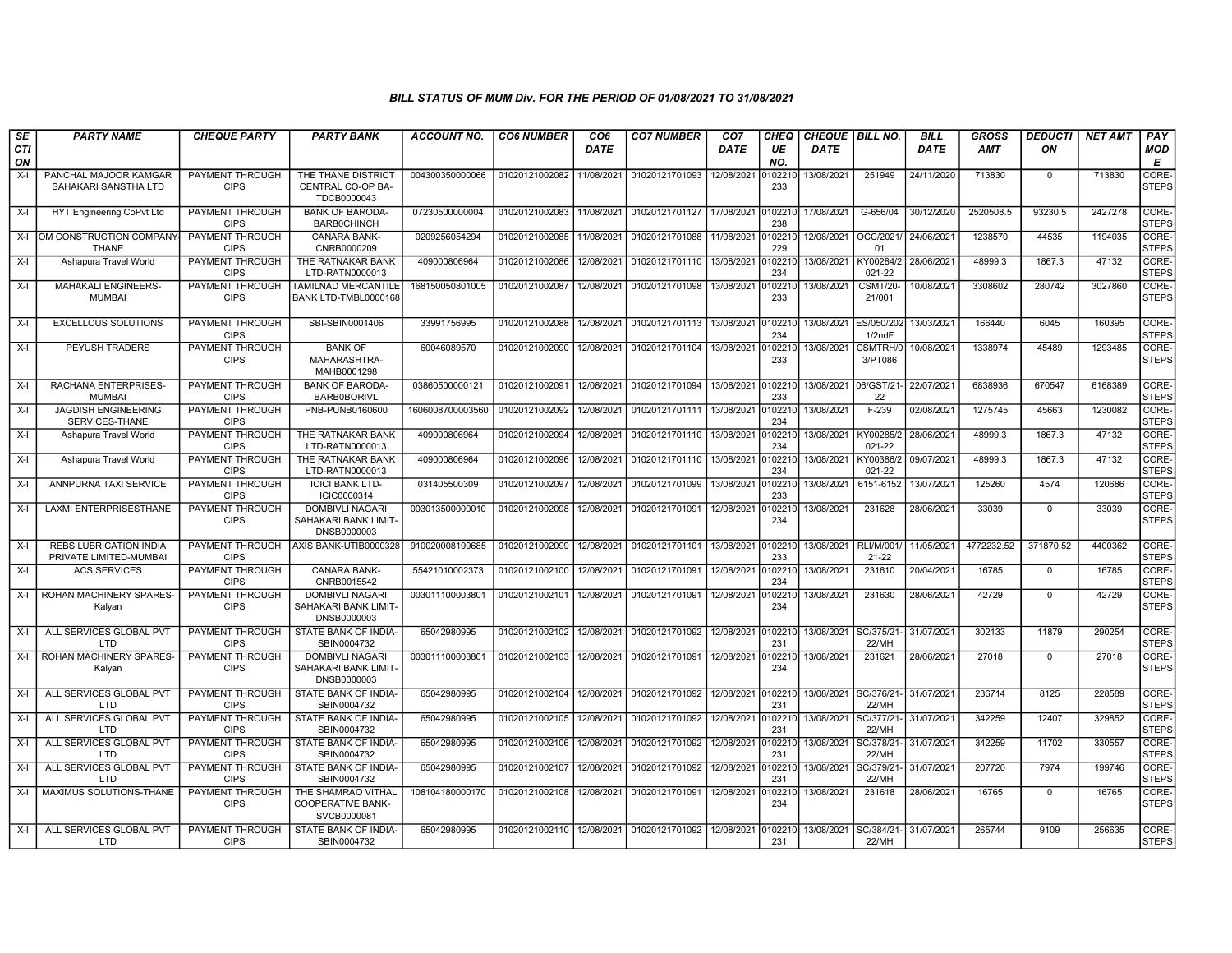| SE               | <b>PARTY NAME</b>                                       | <b>CHEQUE PARTY</b>                   | <b>PARTY BANK</b>                                             | ACCOUNT NO.      | <b>CO6 NUMBER</b> | CO <sub>6</sub> | <b>CO7 NUMBER</b>         | CO <sub>7</sub> | CHEQ           | <b>CHEQUE   BILL NO.</b> |                               | <b>BILL</b> | GROSS      | <b>DEDUCTI</b> | <b>NET AMT</b> | <b>PAY</b>            |
|------------------|---------------------------------------------------------|---------------------------------------|---------------------------------------------------------------|------------------|-------------------|-----------------|---------------------------|-----------------|----------------|--------------------------|-------------------------------|-------------|------------|----------------|----------------|-----------------------|
| <b>CTI</b><br>ON |                                                         |                                       |                                                               |                  |                   | DATE            |                           | DATE            | UE<br>NO.      | DATE                     |                               | DATE        | AMT        | ON             |                | <b>MOD</b><br>Е       |
| X-I              | PANCHAL MAJOOR KAMGAR<br>SAHAKARI SANSTHA LTD           | PAYMENT THROUGH<br><b>CIPS</b>        | THE THANE DISTRICT<br>CENTRAL CO-OP BA-<br>TDCB0000043        | 004300350000066  | 01020121002082    | 11/08/2021      | 01020121701093            | 12/08/2021      | 10221<br>233   | 13/08/2021               | 251949                        | 24/11/2020  | 713830     | $\mathbf{0}$   | 713830         | CORE-<br><b>STEPS</b> |
| X-I              | <b>HYT Engineering CoPvt Ltd</b>                        | PAYMENT THROUGH<br><b>CIPS</b>        | <b>BANK OF BARODA</b><br><b>BARBOCHINCH</b>                   | 07230500000004   | 01020121002083    | 11/08/2021      | 01020121701127            | 17/08/2021      | 102210<br>238  | 17/08/2021               | G-656/04                      | 30/12/2020  | 2520508.5  | 93230.5        | 2427278        | CORE-<br><b>STEPS</b> |
| $X-I$            | IOM CONSTRUCTION COMPANY<br><b>THANE</b>                | <b>PAYMENT THROUGH</b><br><b>CIPS</b> | <b>CANARA BANK-</b><br>CNRB0000209                            | 0209256054294    | 01020121002085    | 11/08/2021      | 01020121701088            | 11/08/2021      | 0102210<br>229 | 12/08/2021               | OCC/2021<br>01                | 24/06/2021  | 1238570    | 44535          | 1194035        | CORE-<br><b>STEPS</b> |
| X-I              | Ashapura Travel World                                   | <b>PAYMENT THROUGH</b><br><b>CIPS</b> | THE RATNAKAR BANK<br>LTD-RATN0000013                          | 409000806964     | 01020121002086    | 12/08/2021      | 01020121701110            | 13/08/2021      | 102210<br>234  | 13/08/2021               | KY00284/2<br>021-22           | 28/06/2021  | 48999.3    | 1867.3         | 47132          | CORE-<br><b>STEPS</b> |
| $X-I$            | <b>MAHAKALI ENGINEERS-</b><br><b>MUMBAI</b>             | PAYMENT THROUGH<br><b>CIPS</b>        | TAMILNAD MERCANTILE<br>BANK LTD-TMBL0000168                   | 168150050801005  | 01020121002087    | 12/08/2021      | 01020121701098            | 13/08/2021      | 102210<br>233  | 13/08/2021               | <b>CSMT/20-</b><br>21/001     | 10/08/2021  | 3308602    | 280742         | 3027860        | CORE-<br><b>STEPS</b> |
| X-I              | <b>EXCELLOUS SOLUTIONS</b>                              | <b>PAYMENT THROUGH</b><br><b>CIPS</b> | SBI-SBIN0001406                                               | 33991756995      | 01020121002088    | 12/08/2021      | 01020121701113 13/08/2021 |                 | 0102210<br>234 | 13/08/2021 ES/050/202    | 1/2ndF                        | 13/03/2021  | 166440     | 6045           | 160395         | CORE-<br><b>STEPS</b> |
| X-I              | PEYUSH TRADERS                                          | PAYMENT THROUGH<br><b>CIPS</b>        | <b>BANK OF</b><br>MAHARASHTRA-<br>MAHB0001298                 | 60046089570      | 01020121002090    | 12/08/2021      | 01020121701104            | 13/08/2021      | 102210<br>233  | 13/08/2021               | CSMTRH/<br>3/PT086            | 10/08/2021  | 1338974    | 45489          | 1293485        | CORE-<br><b>STEPS</b> |
| X-I              | RACHANA ENTERPRISES-<br><b>MUMBAI</b>                   | <b>PAYMENT THROUGH</b><br><b>CIPS</b> | <b>BANK OF BARODA-</b><br><b>BARB0BORIVL</b>                  | 03860500000121   | 01020121002091    | 12/08/2021      | 01020121701094            | 13/08/2021      | 102210<br>233  | 13/08/2021               | 06/GST/21<br>22               | 22/07/2021  | 6838936    | 670547         | 6168389        | CORE-<br><b>STEPS</b> |
| X-I              | <b>JAGDISH ENGINEERING</b><br>SERVICES-THANE            | <b>PAYMENT THROUGH</b><br><b>CIPS</b> | PNB-PUNB0160600                                               | 1606008700003560 | 01020121002092    | 12/08/2021      | 01020121701111            | 13/08/2021      | 102210<br>234  | 13/08/2021               | $F-239$                       | 02/08/2021  | 1275745    | 45663          | 1230082        | CORE-<br><b>STEPS</b> |
| X-I              | Ashapura Travel World                                   | PAYMENT THROUGH<br><b>CIPS</b>        | THE RATNAKAR BANK<br>LTD-RATN0000013                          | 409000806964     | 01020121002094    | 12/08/2021      | 01020121701110            | 13/08/2021      | 102210<br>234  | 13/08/2021               | KY00285/2<br>021-22           | 28/06/2021  | 48999.3    | 1867.3         | 47132          | CORE-<br><b>STEPS</b> |
| $X-I$            | Ashapura Travel World                                   | PAYMENT THROUGH<br><b>CIPS</b>        | THE RATNAKAR BANK<br>LTD-RATN0000013                          | 409000806964     | 01020121002096    | 12/08/2021      | 01020121701110            | 13/08/2021      | 102210<br>234  | 13/08/2021               | KY00386/2<br>021-22           | 09/07/2021  | 48999.3    | 1867.3         | 47132          | CORE-<br><b>STEPS</b> |
| $X-I$            | ANNPURNA TAXI SERVICE                                   | <b>PAYMENT THROUGH</b><br><b>CIPS</b> | <b>ICICI BANK LTD-</b><br>ICIC0000314                         | 031405500309     | 01020121002097    | 12/08/2021      | 01020121701099            | 13/08/2021      | 102210<br>233  | 13/08/2021               | 6151-6152                     | 13/07/2021  | 125260     | 4574           | 120686         | CORE-<br><b>STEPS</b> |
| X-I              | <b>LAXMI ENTERPRISESTHANE</b>                           | PAYMENT THROUGH<br><b>CIPS</b>        | <b>DOMBIVLI NAGARI</b><br>SAHAKARI BANK LIMIT-<br>DNSB0000003 | 003013500000010  | 01020121002098    | 12/08/2021      | 01020121701091            | 12/08/2021      | 102210<br>234  | 13/08/2021               | 231628                        | 28/06/2021  | 33039      | $\mathbf{0}$   | 33039          | CORE-<br><b>STEPS</b> |
| X-I              | <b>REBS LUBRICATION INDIA</b><br>PRIVATE LIMITED-MUMBAI | PAYMENT THROUGH<br><b>CIPS</b>        | AXIS BANK-UTIB0000328                                         | 910020008199685  | 01020121002099    | 12/08/2021      | 01020121701101            | 13/08/2021      | 102210<br>233  | 13/08/2021               | <b>RLI/M/001</b><br>$21 - 22$ | 11/05/2021  | 4772232.52 | 371870.52      | 4400362        | CORE-<br><b>STEPS</b> |
| X-I              | <b>ACS SERVICES</b>                                     | <b>PAYMENT THROUGH</b><br><b>CIPS</b> | <b>CANARA BANK-</b><br>CNRB0015542                            | 55421010002373   | 01020121002100    | 12/08/2021      | 01020121701091            | 12/08/2021      | 102210<br>234  | 13/08/2021               | 231610                        | 20/04/2021  | 16785      | $\mathbf 0$    | 16785          | CORE-<br><b>STEPS</b> |
| X-I              | ROHAN MACHINERY SPARES-<br>Kalyan                       | PAYMENT THROUGH<br><b>CIPS</b>        | <b>DOMBIVLI NAGARI</b><br>SAHAKARI BANK LIMIT-<br>DNSB0000003 | 00301110000380   | 01020121002101    | 12/08/2021      | 01020121701091            | 12/08/2021      | 102210<br>234  | 13/08/2021               | 231630                        | 28/06/2021  | 42729      | $\mathbf 0$    | 42729          | CORE-<br><b>STEPS</b> |
| X-I              | ALL SERVICES GLOBAL PVT<br>LTD                          | <b>PAYMENT THROUGH</b><br><b>CIPS</b> | STATE BANK OF INDIA-<br>SBIN0004732                           | 65042980995      | 01020121002102    | 12/08/2021      | 01020121701092            | 12/08/2021      | 102210<br>231  | 13/08/2021               | SC/375/21<br>22/MH            | 31/07/2021  | 302133     | 11879          | 290254         | CORE-<br><b>STEPS</b> |
| X-I              | ROHAN MACHINERY SPARES-<br>Kalyan                       | PAYMENT THROUGH<br><b>CIPS</b>        | <b>DOMBIVLI NAGARI</b><br>SAHAKARI BANK LIMIT-<br>DNSB0000003 | 00301110000380   | 01020121002103    | 12/08/2021      | 01020121701091            | 12/08/2021      | 102210<br>234  | 13/08/2021               | 231621                        | 28/06/2021  | 27018      | $\mathbf 0$    | 27018          | CORE-<br><b>STEPS</b> |
| X-I              | ALL SERVICES GLOBAL PVT<br><b>LTD</b>                   | PAYMENT THROUGH<br><b>CIPS</b>        | STATE BANK OF INDIA-<br>SBIN0004732                           | 65042980995      | 01020121002104    | 12/08/2021      | 01020121701092            | 12/08/2021      | 102210<br>231  | 13/08/2021               | SC/376/21<br>22/MH            | 31/07/2021  | 236714     | 8125           | 228589         | CORE-<br><b>STEPS</b> |
| X-I              | ALL SERVICES GLOBAL PVT<br>LTD                          | PAYMENT THROUGH<br><b>CIPS</b>        | STATE BANK OF INDIA-<br>SBIN0004732                           | 65042980995      | 01020121002105    | 12/08/2021      | 01020121701092            | 12/08/2021      | 102210<br>231  | 13/08/2021               | SC/377/21<br>22/MH            | 31/07/2021  | 342259     | 12407          | 329852         | CORE-<br><b>STEPS</b> |
| $X-I$            | ALL SERVICES GLOBAL PVT<br>LTD                          | PAYMENT THROUGH<br><b>CIPS</b>        | STATE BANK OF INDIA-<br>SBIN0004732                           | 65042980995      | 01020121002106    | 12/08/2021      | 01020121701092            | 12/08/2021      | 102210<br>231  | 13/08/2021               | SC/378/21<br>22/MH            | 31/07/2021  | 342259     | 11702          | 330557         | CORE-<br><b>STEPS</b> |
| $X-I$            | ALL SERVICES GLOBAL PVT<br><b>LTD</b>                   | <b>PAYMENT THROUGH</b><br><b>CIPS</b> | STATE BANK OF INDIA-<br>SBIN0004732                           | 65042980995      | 01020121002107    | 12/08/2021      | 01020121701092            | 12/08/2021      | 102210<br>231  | 13/08/2021               | SC/379/21<br>22/MH            | 31/07/2021  | 207720     | 7974           | 199746         | CORE-<br><b>STEPS</b> |
| X-I              | MAXIMUS SOLUTIONS-THANE                                 | <b>PAYMENT THROUGH</b><br><b>CIPS</b> | THE SHAMRAO VITHAL<br><b>COOPERATIVE BANK-</b><br>SVCB0000081 | 108104180000170  | 01020121002108    | 12/08/2021      | 01020121701091            | 12/08/2021      | 0102210<br>234 | 13/08/2021               | 231618                        | 28/06/2021  | 16765      | $\mathbf{0}$   | 16765          | CORE-<br><b>STEPS</b> |
| X-I              | ALL SERVICES GLOBAL PVT<br>LTD                          | PAYMENT THROUGH<br><b>CIPS</b>        | STATE BANK OF INDIA-<br>SBIN0004732                           | 65042980995      | 01020121002110    | 12/08/2021      | 01020121701092            | 12/08/2021      | 102210<br>231  | 13/08/2021               | SC/384/21<br>22/MH            | 31/07/2021  | 265744     | 9109           | 256635         | CORE-<br><b>STEPS</b> |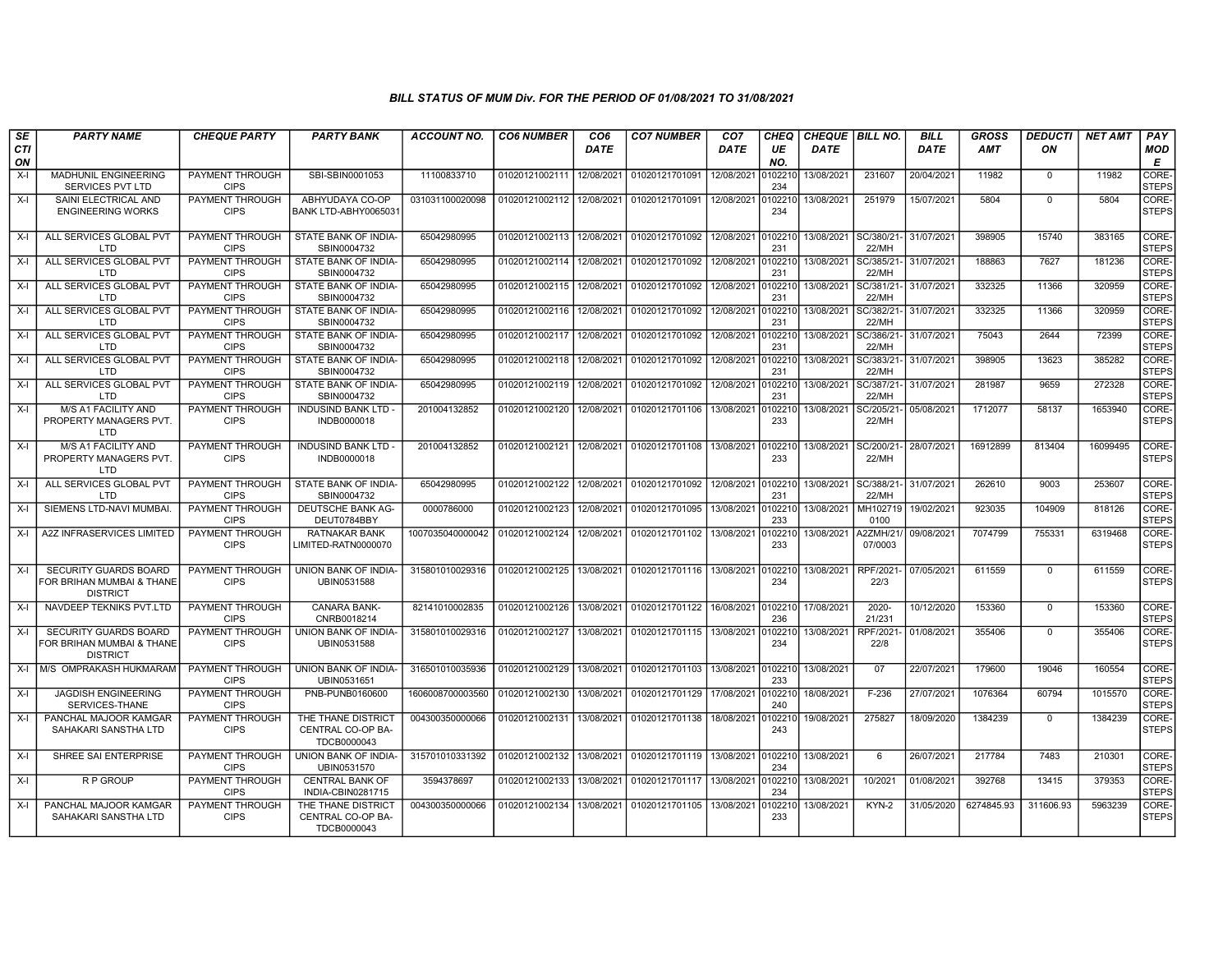| SE               | <b>PARTY NAME</b>                                                            | <b>CHEQUE PARTY</b>                   | <b>PARTY BANK</b>                                      | <b>ACCOUNT NO.</b> | <b>CO6 NUMBER</b> | CO <sub>6</sub> | <b>CO7 NUMBER</b>         | CO <sub>7</sub> | CHEQ           | <b>CHEQUE   BILL NO.</b> |                         | <b>BILL</b> | <b>GROSS</b> | DEDUCTI      | <b>NET AMT</b> | PAY                   |
|------------------|------------------------------------------------------------------------------|---------------------------------------|--------------------------------------------------------|--------------------|-------------------|-----------------|---------------------------|-----------------|----------------|--------------------------|-------------------------|-------------|--------------|--------------|----------------|-----------------------|
| <b>CTI</b><br>ON |                                                                              |                                       |                                                        |                    |                   | <b>DATE</b>     |                           | <b>DATE</b>     | UE<br>NO.      | <b>DATE</b>              |                         | <b>DATE</b> | AMT          | ON           |                | MOD<br>E              |
| X-I              | <b>MADHUNIL ENGINEERING</b><br>SERVICES PVT LTD                              | PAYMENT THROUGH<br><b>CIPS</b>        | SBI-SBIN0001053                                        | 11100833710        | 01020121002111    | 12/08/2021      | 01020121701091            | 12/08/2021      | )102210<br>234 | 13/08/2021               | 231607                  | 20/04/2021  | 11982        | $\mathbf{0}$ | 11982          | CORE-<br><b>STEPS</b> |
| X-I              | SAINI ELECTRICAL AND<br><b>ENGINEERING WORKS</b>                             | PAYMENT THROUGH<br><b>CIPS</b>        | ABHYUDAYA CO-OP<br>BANK LTD-ABHY0065031                | 031031100020098    | 01020121002112    | 12/08/2021      | 01020121701091            | 12/08/2021      | 102210<br>234  | 13/08/2021               | 251979                  | 15/07/2021  | 5804         | $\Omega$     | 5804           | CORE-<br><b>STEPS</b> |
| X-I              | ALL SERVICES GLOBAL PVT<br>LTD                                               | PAYMENT THROUGH<br><b>CIPS</b>        | STATE BANK OF INDIA-<br>SBIN0004732                    | 65042980995        | 01020121002113    | 12/08/2021      | 01020121701092 12/08/2021 |                 | 102210<br>231  | 13/08/2021 SC/380/21-    | 22/MH                   | 31/07/2021  | 398905       | 15740        | 383165         | CORE-<br><b>STEPS</b> |
| X-I              | ALL SERVICES GLOBAL PVT<br>LTD                                               | PAYMENT THROUGH<br><b>CIPS</b>        | STATE BANK OF INDIA-<br>SBIN0004732                    | 65042980995        | 01020121002114    | 12/08/2021      | 01020121701092            | 12/08/2021      | 0102210<br>231 | 13/08/2021               | SC/385/21-<br>22/MH     | 31/07/2021  | 188863       | 7627         | 181236         | CORE-<br><b>STEPS</b> |
| $X-I$            | ALL SERVICES GLOBAL PVT<br>LTD                                               | PAYMENT THROUGH<br><b>CIPS</b>        | STATE BANK OF INDIA-<br>SBIN0004732                    | 65042980995        | 01020121002115    | 12/08/2021      | 01020121701092            | 12/08/2021      | 102210<br>231  | 13/08/2021               | SC/381/21<br>22/MH      | 31/07/2021  | 332325       | 11366        | 320959         | CORE-<br><b>STEPS</b> |
| X-I              | ALL SERVICES GLOBAL PVT<br>LTD                                               | PAYMENT THROUGH<br><b>CIPS</b>        | STATE BANK OF INDIA-<br>SBIN0004732                    | 65042980995        | 01020121002116    | 12/08/2021      | 01020121701092            | 12/08/2021      | 102210<br>231  | 13/08/2021               | SC/382/21<br>22/MH      | 31/07/2021  | 332325       | 11366        | 320959         | CORE-<br><b>STEPS</b> |
| X-I              | ALL SERVICES GLOBAL PVT<br>LTD                                               | <b>PAYMENT THROUGH</b><br><b>CIPS</b> | STATE BANK OF INDIA-<br>SBIN0004732                    | 65042980995        | 01020121002117    | 12/08/2021      | 01020121701092            | 12/08/2021      | 0102210<br>231 | 13/08/2021               | SC/386/21-<br>22/MH     | 31/07/2021  | 75043        | 2644         | 72399          | CORE-<br><b>STEPS</b> |
| X-I              | ALL SERVICES GLOBAL PVT<br>LTD                                               | <b>PAYMENT THROUGH</b><br><b>CIPS</b> | STATE BANK OF INDIA-<br>SBIN0004732                    | 65042980995        | 01020121002118    | 12/08/2021      | 01020121701092            | 12/08/2021      | 102210<br>231  | 13/08/2021               | SC/383/21-<br>22/MH     | 31/07/2021  | 398905       | 13623        | 385282         | CORE-<br><b>STEPS</b> |
| X-I              | ALL SERVICES GLOBAL PVT<br>LTD                                               | PAYMENT THROUGH<br><b>CIPS</b>        | STATE BANK OF INDIA-<br>SBIN0004732                    | 65042980995        | 01020121002119    | 12/08/2021      | 01020121701092            | 12/08/2021      | 102210<br>231  | 13/08/2021               | SC/387/21-<br>22/MH     | 31/07/2021  | 281987       | 9659         | 272328         | CORE-<br><b>STEPS</b> |
| $X-I$            | M/S A1 FACILITY AND<br>PROPERTY MANAGERS PVT.<br><b>LTD</b>                  | <b>PAYMENT THROUGH</b><br><b>CIPS</b> | <b>INDUSIND BANK LTD-</b><br>INDB0000018               | 201004132852       | 01020121002120    | 12/08/2021      | 01020121701106            | 13/08/2021      | 102210<br>233  | 13/08/2021               | SC/205/21<br>22/MH      | 05/08/2021  | 1712077      | 58137        | 1653940        | CORE-<br><b>STEPS</b> |
| $X-I$            | M/S A1 FACILITY AND<br>PROPERTY MANAGERS PVT.<br>LTD                         | PAYMENT THROUGH<br><b>CIPS</b>        | <b>INDUSIND BANK LTD -</b><br>INDB0000018              | 201004132852       | 01020121002121    | 12/08/2021      | 01020121701108            | 13/08/2021      | 0102210<br>233 | 13/08/2021               | SC/200/21<br>22/MH      | 28/07/2021  | 16912899     | 813404       | 16099495       | CORE-<br><b>STEPS</b> |
| $X-I$            | ALL SERVICES GLOBAL PVT<br>LTD                                               | PAYMENT THROUGH<br><b>CIPS</b>        | STATE BANK OF INDIA-<br>SBIN0004732                    | 65042980995        | 01020121002122    | 12/08/2021      | 01020121701092            | 12/08/2021      | 102210<br>231  | 13/08/2021               | SC/388/21-<br>22/MH     | 31/07/2021  | 262610       | 9003         | 253607         | CORE-<br><b>STEPS</b> |
| X-I              | SIEMENS LTD-NAVI MUMBAI                                                      | <b>PAYMENT THROUGH</b><br><b>CIPS</b> | DEUTSCHE BANK AG-<br>DEUT0784BBY                       | 0000786000         | 01020121002123    | 12/08/2021      | 01020121701095            | 13/08/2021      | 0102210<br>233 | 13/08/2021               | MH102719<br>0100        | 19/02/2021  | 923035       | 104909       | 818126         | CORE-<br><b>STEPS</b> |
| $X-I$            | A2Z INFRASERVICES LIMITED                                                    | PAYMENT THROUGH<br><b>CIPS</b>        | <b>RATNAKAR BANK</b><br>LIMITED-RATN0000070            | 1007035040000042   | 01020121002124    | 12/08/2021      | 01020121701102            | 13/08/2021      | 102210<br>233  | 13/08/2021               | 42ZMH/21<br>07/0003     | 09/08/2021  | 7074799      | 755331       | 6319468        | CORE-<br><b>STEPS</b> |
| $X-I$            | <b>SECURITY GUARDS BOARD</b><br>FOR BRIHAN MUMBAI & THANE<br><b>DISTRICT</b> | PAYMENT THROUGH<br><b>CIPS</b>        | UNION BANK OF INDIA-<br>UBIN0531588                    | 315801010029316    | 01020121002125    | 13/08/2021      | 01020121701116 13/08/2021 |                 | 102210<br>234  | 13/08/2021               | RPF/2021<br>22/3        | 07/05/2021  | 611559       | $\Omega$     | 611559         | CORE-<br><b>STEPS</b> |
| X-I              | NAVDEEP TEKNIKS PVT.LTD                                                      | PAYMENT THROUGH<br><b>CIPS</b>        | <b>CANARA BANK-</b><br>CNRB0018214                     | 82141010002835     | 01020121002126    | 13/08/2021      | 01020121701122            | 16/08/2021      | 102210<br>236  | 17/08/2021               | $2020 -$<br>21/231      | 10/12/2020  | 153360       | $\mathbf 0$  | 153360         | CORE-<br><b>STEPS</b> |
| X-I              | <b>SECURITY GUARDS BOARD</b><br>FOR BRIHAN MUMBAI & THANE<br><b>DISTRICT</b> | <b>PAYMENT THROUGH</b><br><b>CIPS</b> | UNION BANK OF INDIA-<br>UBIN0531588                    | 315801010029316    | 01020121002127    | 13/08/2021      | 01020121701115            | 13/08/2021      | 0102210<br>234 | 13/08/2021               | <b>RPF/2021</b><br>22/8 | 01/08/2021  | 355406       | $\mathbf 0$  | 355406         | CORE-<br><b>STEPS</b> |
| $X-I$            | M/S OMPRAKASH HUKMARAM                                                       | PAYMENT THROUGH<br><b>CIPS</b>        | UNION BANK OF INDIA-<br>UBIN0531651                    | 316501010035936    | 01020121002129    | 13/08/2021      | 01020121701103            | 13/08/2021      | 0102210<br>233 | 13/08/2021               | 07                      | 22/07/2021  | 179600       | 19046        | 160554         | CORE-<br><b>STEPS</b> |
| X-I              | <b>JAGDISH ENGINEERING</b><br>SERVICES-THANE                                 | PAYMENT THROUGH<br><b>CIPS</b>        | PNB-PUNB0160600                                        | 1606008700003560   | 01020121002130    | 13/08/2021      | 01020121701129            | 17/08/2021      | 102210<br>240  | 18/08/2021               | F-236                   | 27/07/2021  | 1076364      | 60794        | 1015570        | CORE-<br><b>STEPS</b> |
| X-I              | PANCHAL MAJOOR KAMGAR<br>SAHAKARI SANSTHA LTD                                | PAYMENT THROUGH<br><b>CIPS</b>        | THE THANE DISTRICT<br>CENTRAL CO-OP BA-<br>TDCB0000043 | 004300350000066    | 01020121002131    | 13/08/2021      | 01020121701138            | 18/08/2021      | 102210<br>243  | 19/08/2021               | 275827                  | 18/09/2020  | 1384239      | $\mathbf{0}$ | 1384239        | CORE-<br><b>STEPS</b> |
| $X-I$            | SHREE SAI ENTERPRISE                                                         | <b>PAYMENT THROUGH</b><br><b>CIPS</b> | UNION BANK OF INDIA-<br>UBIN0531570                    | 315701010331392    | 01020121002132    | 13/08/2021      | 01020121701119 13/08/2021 |                 | 0102210<br>234 | 13/08/2021               | 6                       | 26/07/2021  | 217784       | 7483         | 210301         | CORE-<br><b>STEPS</b> |
| X-I              | <b>RP GROUP</b>                                                              | <b>PAYMENT THROUGH</b><br><b>CIPS</b> | <b>CENTRAL BANK OF</b><br>INDIA-CBIN0281715            | 3594378697         | 01020121002133    | 13/08/2021      | 01020121701117            | 13/08/2021      | 102210<br>234  | 13/08/2021               | 10/2021                 | 01/08/2021  | 392768       | 13415        | 379353         | CORE-<br><b>STEPS</b> |
| X-I              | PANCHAL MAJOOR KAMGAR<br>SAHAKARI SANSTHA LTD                                | PAYMENT THROUGH<br><b>CIPS</b>        | THE THANE DISTRICT<br>CENTRAL CO-OP BA-<br>TDCB0000043 | 004300350000066    | 01020121002134    | 13/08/2021      | 01020121701105            | 13/08/2021      | 102210<br>233  | 13/08/2021               | KYN-2                   | 31/05/2020  | 6274845.93   | 311606.93    | 5963239        | CORE-<br><b>STEPS</b> |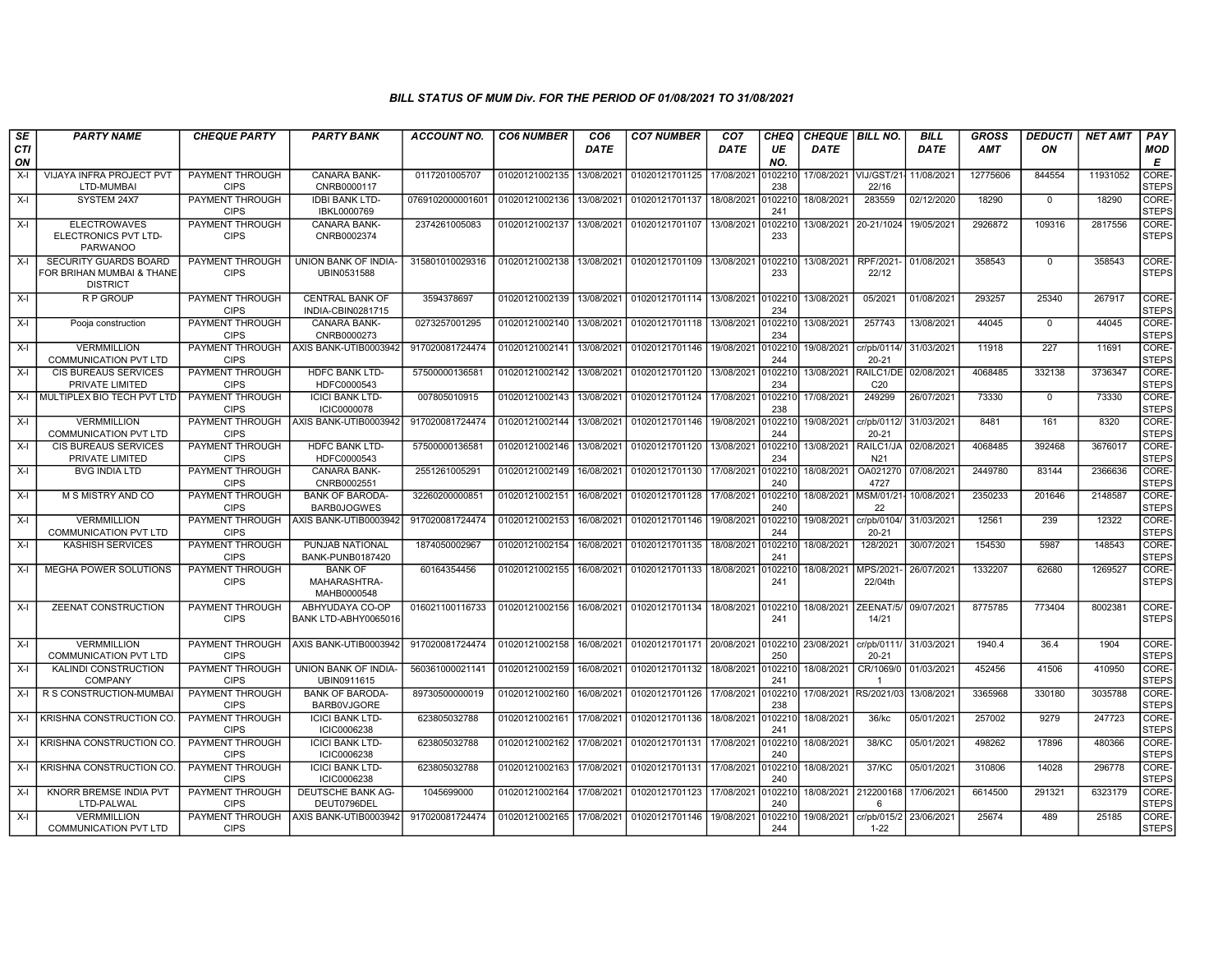| SE               | <b>PARTY NAME</b>                                                            | <b>CHEQUE PARTY</b>                   | <b>PARTY BANK</b>                             | <b>ACCOUNT NO.</b> | <b>CO6 NUMBER</b>         | CO <sub>6</sub> | <b>CO7 NUMBER</b>         | CO <sub>7</sub>    | CHEQ           | CHEQUE   BILL NO.     |                                                  | BILL        | <b>GROSS</b> | <b>DEDUCTI</b> | <b>NET AMT</b> | <b>PAY</b>            |
|------------------|------------------------------------------------------------------------------|---------------------------------------|-----------------------------------------------|--------------------|---------------------------|-----------------|---------------------------|--------------------|----------------|-----------------------|--------------------------------------------------|-------------|--------------|----------------|----------------|-----------------------|
| <b>CTI</b><br>ON |                                                                              |                                       |                                               |                    |                           | <b>DATE</b>     |                           | <b>DATE</b>        | UE<br>NO.      | <b>DATE</b>           |                                                  | <b>DATE</b> | <b>AMT</b>   | ON             |                | MOD<br>Е              |
| $X-I$            | <b>VIJAYA INFRA PROJECT PVT</b><br>LTD-MUMBAI                                | <b>PAYMENT THROUGH</b><br><b>CIPS</b> | <b>CANARA BANK-</b><br>CNRB0000117            | 0117201005707      | 01020121002135            | 13/08/2021      | 01020121701125            | 17/08/2021         | 102210<br>238  | 17/08/2021 VIJ/GST/21 | 22/16                                            | 11/08/2021  | 12775606     | 844554         | 11931052       | CORE-<br><b>STEPS</b> |
| $X-I$            | SYSTEM 24X7                                                                  | PAYMENT THROUGH<br><b>CIPS</b>        | <b>IDBI BANK LTD-</b><br>IBKL0000769          | 0769102000001601   | 01020121002136            | 13/08/2021      | 01020121701137            | 18/08/2021         | 102210<br>241  | 18/08/2021            | 283559                                           | 02/12/2020  | 18290        | $\Omega$       | 18290          | CORE-<br><b>STEPS</b> |
| X-I              | <b>ELECTROWAVES</b><br><b>ELECTRONICS PVT LTD-</b><br><b>PARWANOO</b>        | PAYMENT THROUGH<br><b>CIPS</b>        | CANARA BANK-<br>CNRB0002374                   | 2374261005083      | 01020121002137            | 13/08/2021      | 01020121701107            | 13/08/2021         | 102210<br>233  | 13/08/2021 20-21/1024 |                                                  | 19/05/2021  | 2926872      | 109316         | 2817556        | CORE-<br><b>STEPS</b> |
| $X-I$            | <b>SECURITY GUARDS BOARD</b><br>FOR BRIHAN MUMBAI & THANE<br><b>DISTRICT</b> | <b>PAYMENT THROUGH</b><br><b>CIPS</b> | <b>UNION BANK OF INDIA-</b><br>UBIN0531588    | 315801010029316    | 01020121002138 13/08/2021 |                 | 01020121701109            | 13/08/2021 0102210 | 233            | 13/08/2021 RPF/2021   | 22/12                                            | 01/08/2021  | 358543       | $\Omega$       | 358543         | CORE-<br><b>STEPS</b> |
| $X-I$            | <b>R P GROUP</b>                                                             | PAYMENT THROUGH<br><b>CIPS</b>        | CENTRAL BANK OF<br>INDIA-CBIN0281715          | 3594378697         | 01020121002139 13/08/2021 |                 | 01020121701114            | 13/08/2021 0102210 | 234            | 13/08/2021            | 05/2021                                          | 01/08/2021  | 293257       | 25340          | 267917         | CORE-<br><b>STEPS</b> |
| X-I              | Pooja construction                                                           | PAYMENT THROUGH<br><b>CIPS</b>        | CANARA BANK-<br>CNRB0000273                   | 0273257001295      | 01020121002140            | 13/08/2021      | 01020121701118            | 13/08/2021         | 102210<br>234  | 13/08/2021            | 257743                                           | 13/08/2021  | 44045        | $\mathbf{0}$   | 44045          | CORE-<br><b>STEPS</b> |
| X-I              | <b>VERMMILLION</b><br><b>COMMUNICATION PVT LTD</b>                           | PAYMENT THROUGH<br><b>CIPS</b>        | AXIS BANK-UTIB0003942                         | 917020081724474    | 01020121002141            | 13/08/2021      | 01020121701146            | 19/08/2021         | 010221<br>244  | 19/08/2021            | cr/pb/0114/<br>$20 - 21$                         | 31/03/2021  | 11918        | 227            | 11691          | CORE-<br><b>STEPS</b> |
| $X-I$            | <b>CIS BUREAUS SERVICES</b><br>PRIVATE LIMITED                               | PAYMENT THROUGH<br><b>CIPS</b>        | <b>HDFC BANK LTD-</b><br>HDFC0000543          | 5750000013658      | 01020121002142            | 13/08/2021      | 01020121701120            | 13/08/2021         | 102210<br>234  | 13/08/2021            | RAILC1/DE<br>C <sub>20</sub>                     | 02/08/2021  | 4068485      | 332138         | 3736347        | CORE-<br><b>STEPS</b> |
|                  | X-I MULTIPLEX BIO TECH PVT LTD                                               | <b>PAYMENT THROUGH</b><br><b>CIPS</b> | <b>ICICI BANK LTD-</b><br><b>ICIC0000078</b>  | 007805010915       | 01020121002143            | 13/08/2021      | 01020121701124            | 17/08/2021         | 0102210<br>238 | 17/08/2021            | 249299                                           | 26/07/2021  | 73330        | $\mathbf 0$    | 73330          | CORE-<br><b>STEPS</b> |
| $X-I$            | <b>VERMMILLION</b><br><b>COMMUNICATION PVT LTD</b>                           | PAYMENT THROUGH<br><b>CIPS</b>        | AXIS BANK-UTIB0003942                         | 917020081724474    | 01020121002144            | 13/08/2021      | 01020121701146            | 19/08/2021         | 0102210<br>244 | 19/08/2021            | cr/pb/0112/<br>$20 - 21$                         | 31/03/2021  | 8481         | 161            | 8320           | CORE-<br><b>STEPS</b> |
| X-I              | <b>CIS BUREAUS SERVICES</b><br>PRIVATE LIMITED                               | PAYMENT THROUGH<br><b>CIPS</b>        | <b>HDFC BANK LTD-</b><br>HDFC0000543          | 5750000013658      | 01020121002146            | 13/08/2021      | 01020121701120            | 13/08/2021         | 102210<br>234  | 13/08/2021            | RAILC1/JA<br>N <sub>21</sub>                     | 02/08/2021  | 4068485      | 392468         | 3676017        | CORE-<br><b>STEPS</b> |
| $X-I$            | <b>BVG INDIA LTD</b>                                                         | <b>PAYMENT THROUGH</b><br><b>CIPS</b> | CANARA BANK-<br>CNRB0002551                   | 2551261005291      | 01020121002149            | 16/08/2021      | 01020121701130            | 17/08/2021         | 010221<br>240  | 18/08/2021            | OA021270<br>4727                                 | 07/08/2021  | 2449780      | 83144          | 2366636        | CORE-<br><b>STEPS</b> |
| $X-I$            | M S MISTRY AND CO                                                            | PAYMENT THROUGH<br><b>CIPS</b>        | <b>BANK OF BARODA-</b><br><b>BARB0JOGWES</b>  | 3226020000085      | 01020121002151            | 16/08/2021      | 01020121701128            | 17/08/2021         | 102210<br>240  | 18/08/2021 MSM/01/2   | 22                                               | 10/08/2021  | 2350233      | 201646         | 2148587        | CORE-<br><b>STEPS</b> |
| $X-I$            | <b>VERMMILLION</b><br><b>COMMUNICATION PVT LTD</b>                           | PAYMENT THROUGH<br><b>CIPS</b>        | AXIS BANK-UTIB0003942                         | 917020081724474    | 01020121002153            | 16/08/2021      | 01020121701146            | 19/08/2021         | 0102210<br>244 | 19/08/2021            | cr/pb/0104/<br>$20 - 21$                         | 31/03/2021  | 12561        | 239            | 12322          | CORE-<br><b>STEPS</b> |
| X-I              | <b>KASHISH SERVICES</b>                                                      | PAYMENT THROUGH<br><b>CIPS</b>        | PUNJAB NATIONAL<br><b>BANK-PUNB0187420</b>    | 1874050002967      | 01020121002154            | 16/08/2021      | 01020121701135            | 18/08/2021         | 0102210<br>241 | 18/08/2021            | 128/2021                                         | 30/07/2021  | 154530       | 5987           | 148543         | CORE-<br><b>STEPS</b> |
| $X-I$            | MEGHA POWER SOLUTIONS                                                        | PAYMENT THROUGH<br><b>CIPS</b>        | <b>BANK OF</b><br>MAHARASHTRA-<br>MAHB0000548 | 60164354456        | 01020121002155            | 16/08/2021      | 01020121701133            | 18/08/2021         | 102210<br>241  | 18/08/2021            | MPS/2021<br>22/04th                              | 26/07/2021  | 1332207      | 62680          | 1269527        | CORE-<br><b>STEPS</b> |
| $X-I$            | <b>ZEENAT CONSTRUCTION</b>                                                   | PAYMENT THROUGH<br><b>CIPS</b>        | ABHYUDAYA CO-OP<br>BANK LTD-ABHY0065016       | 016021100116733    | 01020121002156            | 16/08/2021      | 01020121701134            | 18/08/2021         | 102210<br>241  | 18/08/2021            | ZEENAT/5/<br>14/21                               | 09/07/2021  | 8775785      | 773404         | 8002381        | CORE-<br><b>STEPS</b> |
| $X-I$            | <b>VERMMILLION</b><br><b>COMMUNICATION PVT LTD</b>                           | PAYMENT THROUGH<br><b>CIPS</b>        | AXIS BANK-UTIB0003942                         | 917020081724474    | 01020121002158            | 16/08/2021      | 01020121701171 20/08/2021 |                    | 0102210<br>250 |                       | 23/08/2021   cr/pb/0111/ 31/03/2021<br>$20 - 21$ |             | 1940.4       | 36.4           | 1904           | CORE-<br><b>STEPS</b> |
| X-I              | KALINDI CONSTRUCTION<br><b>COMPANY</b>                                       | PAYMENT THROUGH<br><b>CIPS</b>        | UNION BANK OF INDIA-<br>UBIN0911615           | 560361000021141    | 01020121002159            | 16/08/2021      | 01020121701132            | 18/08/2021         | 0102210<br>241 | 18/08/2021            | CR/1069/0 01/03/2021                             |             | 452456       | 41506          | 410950         | CORE-<br><b>STEPS</b> |
| $X-I$            | R S CONSTRUCTION-MUMBAI                                                      | PAYMENT THROUGH<br><b>CIPS</b>        | <b>BANK OF BARODA</b><br><b>BARB0VJGORE</b>   | 89730500000019     | 01020121002160            | 16/08/2021      | 01020121701126            | 17/08/2021         | 102210<br>238  | 17/08/2021            | RS/2021/03                                       | 13/08/2021  | 3365968      | 330180         | 3035788        | CORE-<br><b>STEPS</b> |
|                  | X-I KRISHNA CONSTRUCTION CO                                                  | PAYMENT THROUGH<br><b>CIPS</b>        | <b>ICICI BANK LTD-</b><br>ICIC0006238         | 623805032788       | 01020121002161            | 17/08/2021      | 01020121701136            | 18/08/2021         | 102210<br>241  | 18/08/2021            | 36/kc                                            | 05/01/2021  | 257002       | 9279           | 247723         | CORE-<br><b>STEPS</b> |
|                  | X-I KRISHNA CONSTRUCTION CO                                                  | <b>PAYMENT THROUGH</b><br><b>CIPS</b> | <b>ICICI BANK LTD-</b><br>ICIC0006238         | 623805032788       | 01020121002162            | 17/08/2021      | 01020121701131            | 17/08/2021         | 102210<br>240  | 18/08/2021            | 38/KC                                            | 05/01/2021  | 498262       | 17896          | 480366         | CORE-<br><b>STEPS</b> |
|                  | X-I KRISHNA CONSTRUCTION CO                                                  | <b>PAYMENT THROUGH</b><br><b>CIPS</b> | <b>ICICI BANK LTD-</b><br>ICIC0006238         | 623805032788       | 01020121002163 17/08/2021 |                 | 01020121701131            | 17/08/2021         | 102210<br>240  | 18/08/2021            | 37/KC                                            | 05/01/2021  | 310806       | 14028          | 296778         | CORE-<br><b>STEPS</b> |
| $X-I$            | KNORR BREMSE INDIA PVT<br>LTD-PALWAL                                         | PAYMENT THROUGH<br><b>CIPS</b>        | DEUTSCHE BANK AG-<br>DEUT0796DEL              | 1045699000         | 01020121002164            | 17/08/2021      | 01020121701123            | 17/08/2021         | 0102210<br>240 | 18/08/2021 212200168  | 6                                                | 17/06/2021  | 6614500      | 291321         | 6323179        | CORE-<br><b>STEPS</b> |
| $X-I$            | <b>VERMMILLION</b><br><b>COMMUNICATION PVT LTD</b>                           | PAYMENT THROUGH<br><b>CIPS</b>        | AXIS BANK-UTIB0003942                         | 917020081724474    | 01020121002165            | 17/08/2021      | 01020121701146            | 19/08/2021         | 102210<br>244  | 19/08/2021            | cr/pb/015/2<br>$1 - 22$                          | 23/06/2021  | 25674        | 489            | 25185          | CORE-<br><b>STEPS</b> |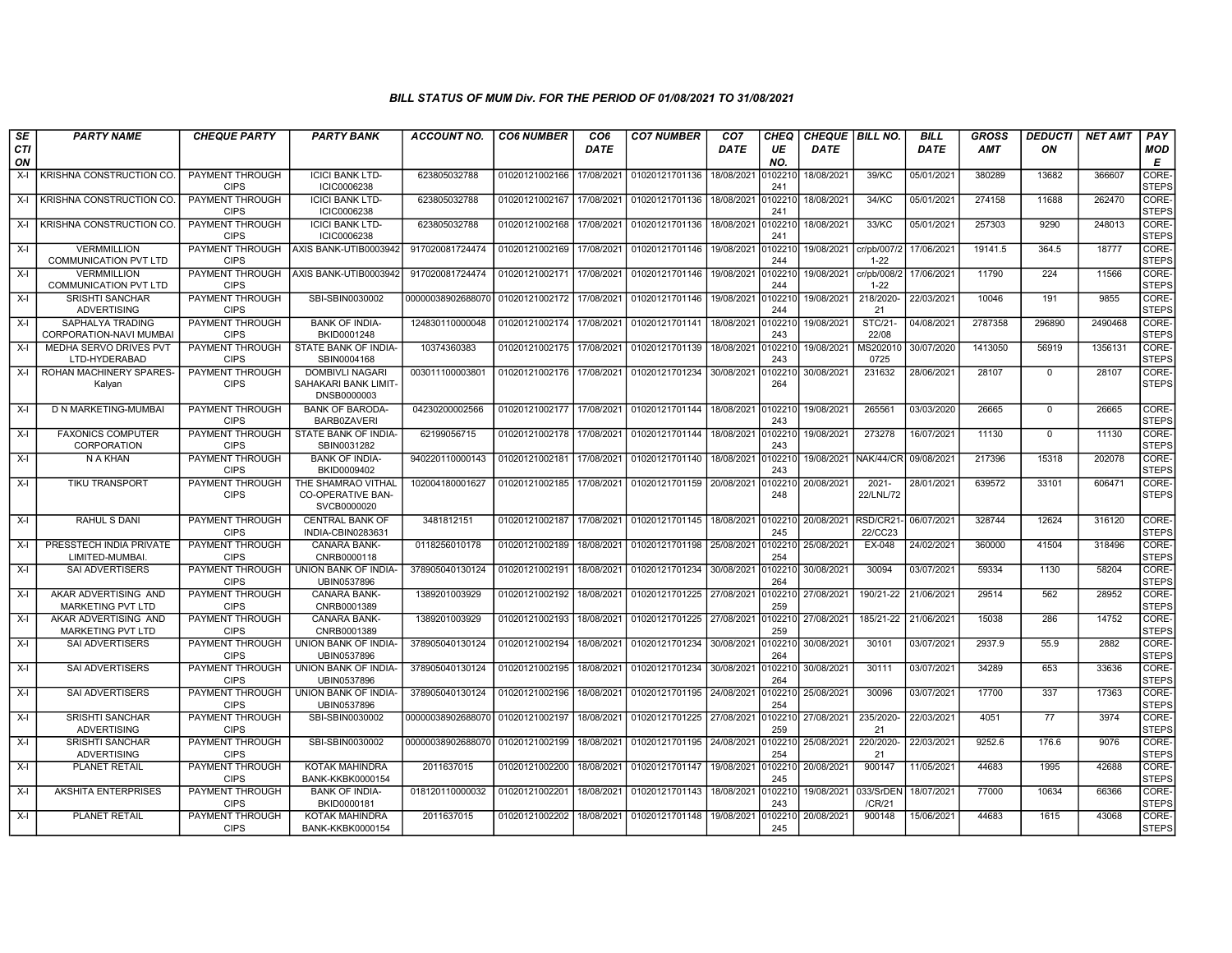| SE               | <b>PARTY NAME</b>                                  | <b>CHEQUE PARTY</b>                   | <b>PARTY BANK</b>                                             | ACCOUNT NO.                      | <b>CO6 NUMBER</b> | CO <sub>6</sub> | <b>CO7 NUMBER</b>                 | CO <sub>7</sub>   | <b>CHEQ</b>    | CHEQUE   BILL NO.    |                                   | <b>BILL</b> | <b>GROSS</b> | <b>DEDUCTI</b> | <b>NET AMT</b> | PAY                   |
|------------------|----------------------------------------------------|---------------------------------------|---------------------------------------------------------------|----------------------------------|-------------------|-----------------|-----------------------------------|-------------------|----------------|----------------------|-----------------------------------|-------------|--------------|----------------|----------------|-----------------------|
| <b>CTI</b><br>ON |                                                    |                                       |                                                               |                                  |                   | <b>DATE</b>     |                                   | DATE              | UE<br>NO.      | <b>DATE</b>          |                                   | <b>DATE</b> | <b>AMT</b>   | ON             |                | <b>MOD</b><br>E       |
| X-I              | KRISHNA CONSTRUCTION CO.                           | PAYMENT THROUGH<br><b>CIPS</b>        | <b>ICICI BANK LTD-</b><br>ICIC0006238                         | 623805032788                     | 01020121002166    | 17/08/2021      | 01020121701136                    | 18/08/2021        | 10221<br>241   | 18/08/2021           | 39/KC                             | 05/01/2021  | 380289       | 13682          | 366607         | CORE-<br><b>STEPS</b> |
| X-I              | <b>KRISHNA CONSTRUCTION CO.</b>                    | <b>PAYMENT THROUGH</b><br><b>CIPS</b> | <b>ICICI BANK LTD-</b><br>ICIC0006238                         | 623805032788                     | 01020121002167    | 17/08/2021      | 01020121701136 18/08/2021         |                   | 010221<br>241  | 18/08/2021           | 34/KC                             | 05/01/2021  | 274158       | 11688          | 262470         | CORE-<br>STEPS        |
| $X-I$            | KRISHNA CONSTRUCTION CO.                           | PAYMENT THROUGH<br><b>CIPS</b>        | <b>ICICI BANK LTD-</b><br>ICIC0006238                         | 623805032788                     | 01020121002168    | 17/08/2021      | 01020121701136                    | 18/08/2021        | 010221<br>241  | 18/08/2021           | 33/KC                             | 05/01/2021  | 257303       | 9290           | 248013         | CORE-<br><b>STEPS</b> |
| $X-I$            | <b>VERMMILLION</b><br><b>COMMUNICATION PVT LTD</b> | PAYMENT THROUGH<br><b>CIPS</b>        | AXIS BANK-UTIB0003942                                         | 917020081724474                  | 01020121002169    | 17/08/2021      | 01020121701146                    | 19/08/2021        | 010221<br>244  | 19/08/2021           | cr/pb/007/2<br>$1 - 22$           | 17/06/2021  | 19141.5      | 364.5          | 18777          | CORE-<br>STEPS        |
| X-I              | <b>VERMMILLION</b><br><b>COMMUNICATION PVT LTD</b> | PAYMENT THROUGH<br><b>CIPS</b>        | AXIS BANK-UTIB0003942                                         | 917020081724474                  | 01020121002171    | 17/08/2021      | 01020121701146                    | 19/08/2021 010221 | 244            | 19/08/2021           | cr/pb/008/2<br>$1 - 22$           | 17/06/2021  | 11790        | 224            | 11566          | CORE-<br><b>STEPS</b> |
| X-I              | <b>SRISHTI SANCHAR</b><br><b>ADVERTISING</b>       | <b>PAYMENT THROUGH</b><br><b>CIPS</b> | SBI-SBIN0030002                                               | 00000038902688070                | 01020121002172    | 17/08/2021      | 01020121701146                    | 19/08/2021        | 010221<br>244  | 19/08/2021           | 218/2020-<br>21                   | 22/03/2021  | 10046        | 191            | 9855           | CORE-<br><b>STEPS</b> |
| $X-I$            | SAPHALYA TRADING<br>CORPORATION-NAVI MUMBAI        | PAYMENT THROUGH<br><b>CIPS</b>        | <b>BANK OF INDIA-</b><br>BKID0001248                          | 124830110000048                  | 01020121002174    | 17/08/2021      | 01020121701141                    | 18/08/2021        | 10221<br>243   | 19/08/2021           | STC/21-<br>22/08                  | 04/08/2021  | 2787358      | 296890         | 2490468        | CORE-<br><b>STEPS</b> |
| X-I              | MEDHA SERVO DRIVES PVT<br>LTD-HYDERABAD            | PAYMENT THROUGH<br><b>CIPS</b>        | STATE BANK OF INDIA-<br>SBIN0004168                           | 10374360383                      | 01020121002175    | 17/08/2021      | 01020121701139                    | 18/08/2021        | 010221<br>243  | 19/08/2021           | MS202010<br>0725                  | 30/07/2020  | 1413050      | 56919          | 1356131        | CORE-<br><b>STEPS</b> |
| $X-I$            | ROHAN MACHINERY SPARES-<br>Kalyan                  | PAYMENT THROUGH<br><b>CIPS</b>        | <b>DOMBIVLI NAGARI</b><br>SAHAKARI BANK LIMIT-<br>DNSB0000003 | 003011100003801                  | 01020121002176    | 17/08/2021      | 01020121701234                    | 30/08/2021        | 10221<br>264   | 30/08/2021           | 231632                            | 28/06/2021  | 28107        | $\mathbf 0$    | 28107          | CORE-<br>STEPS        |
| X-I              | D N MARKETING-MUMBAI                               | PAYMENT THROUGH<br><b>CIPS</b>        | <b>BANK OF BARODA-</b><br>BARB0ZAVERI                         | 04230200002566                   | 01020121002177    | 17/08/2021      | 01020121701144 18/08/2021         |                   | 0102210<br>243 | 19/08/2021           | 265561                            | 03/03/2020  | 26665        | $\Omega$       | 26665          | CORE-<br><b>STEPS</b> |
| X-I              | <b>FAXONICS COMPUTER</b><br>CORPORATION            | <b>PAYMENT THROUGH</b><br><b>CIPS</b> | STATE BANK OF INDIA-<br>SBIN0031282                           | 62199056715                      | 01020121002178    | 17/08/2021      | 01020121701144                    | 18/08/2021        | 010221<br>243  | 19/08/2021           | 273278                            | 16/07/2021  | 11130        | $\mathbf 0$    | 11130          | CORE-<br><b>STEPS</b> |
| X-I              | N A KHAN                                           | <b>PAYMENT THROUGH</b><br><b>CIPS</b> | <b>BANK OF INDIA-</b><br>BKID0009402                          | 940220110000143                  | 01020121002181    | 17/08/2021      | 01020121701140                    | 18/08/2021        | 0102210<br>243 |                      | 19/08/2021   NAK/44/CR 09/08/2021 |             | 217396       | 15318          | 202078         | CORE-<br><b>STEPS</b> |
| X-I              | <b>TIKU TRANSPORT</b>                              | PAYMENT THROUGH<br><b>CIPS</b>        | THE SHAMRAO VITHAL<br><b>CO-OPERATIVE BAN-</b><br>SVCB0000020 | 102004180001627                  | 01020121002185    | 17/08/2021      | 01020121701159 20/08/2021         |                   | 102210<br>248  | 20/08/2021           | $2021 -$<br>22/LNL/72             | 28/01/2021  | 639572       | 33101          | 606471         | CORE-<br><b>STEPS</b> |
| X-I              | RAHUL S DANI                                       | PAYMENT THROUGH<br><b>CIPS</b>        | <b>CENTRAL BANK OF</b><br>INDIA-CBIN0283631                   | 3481812151                       | 01020121002187    | 17/08/2021      | 01020121701145 18/08/2021 0102210 |                   | 245            | 20/08/2021 RSD/CR21- | 22/CC23                           | 06/07/2021  | 328744       | 12624          | 316120         | CORE-<br><b>STEPS</b> |
| X-I              | PRESSTECH INDIA PRIVATE<br>LIMITED-MUMBAI          | <b>PAYMENT THROUGH</b><br><b>CIPS</b> | <b>CANARA BANK-</b><br>CNRB0000118                            | 0118256010178                    | 01020121002189    | 18/08/2021      | 01020121701198 25/08/2021         |                   | 0102210<br>254 | 25/08/2021           | EX-048                            | 24/02/2021  | 360000       | 41504          | 318496         | CORE-<br><b>STEPS</b> |
| X-I              | SAI ADVERTISERS                                    | <b>PAYMENT THROUGH</b><br><b>CIPS</b> | UNION BANK OF INDIA-<br>UBIN0537896                           | 378905040130124                  | 01020121002191    | 18/08/2021      | 01020121701234                    | 30/08/2021        | 10221<br>264   | 30/08/2021           | 30094                             | 03/07/2021  | 59334        | 1130           | 58204          | CORE-<br><b>STEPS</b> |
| X-I              | AKAR ADVERTISING AND<br><b>MARKETING PVT LTD</b>   | PAYMENT THROUGH<br><b>CIPS</b>        | CANARA BANK-<br>CNRB0001389                                   | 1389201003929                    | 01020121002192    | 18/08/2021      | 01020121701225 27/08/2021         |                   | 010221<br>259  | 27/08/2021           | 190/21-22                         | 21/06/202   | 29514        | 562            | 28952          | CORE-<br><b>STEPS</b> |
| $X-I$            | AKAR ADVERTISING AND<br>MARKETING PVT LTD          | PAYMENT THROUGH<br><b>CIPS</b>        | <b>CANARA BANK-</b><br>CNRB0001389                            | 1389201003929                    | 01020121002193    | 18/08/2021      | 01020121701225 27/08/2021         |                   | 0102210<br>259 | 27/08/2021           | 185/21-22                         | 21/06/2021  | 15038        | 286            | 14752          | CORE-<br><b>STEPS</b> |
| X-I              | <b>SAI ADVERTISERS</b>                             | <b>PAYMENT THROUGH</b><br><b>CIPS</b> | UNION BANK OF INDIA-<br>UBIN0537896                           | 378905040130124                  | 01020121002194    | 18/08/2021      | 01020121701234 30/08/2021         |                   | 0102210<br>264 | 30/08/2021           | 30101                             | 03/07/2021  | 2937.9       | 55.9           | 2882           | CORE-<br><b>STEPS</b> |
| $X-I$            | SAI ADVERTISERS                                    | PAYMENT THROUGH<br><b>CIPS</b>        | UNION BANK OF INDIA-<br>UBIN0537896                           | 378905040130124                  | 01020121002195    | 18/08/2021      | 01020121701234                    | 30/08/2021        | 0102210<br>264 | 30/08/2021           | 30111                             | 03/07/2021  | 34289        | 653            | 33636          | CORE-<br><b>STEPS</b> |
| X-I              | SAI ADVERTISERS                                    | <b>PAYMENT THROUGH</b><br><b>CIPS</b> | UNION BANK OF INDIA-<br>UBIN0537896                           | 378905040130124                  | 01020121002196    | 18/08/2021      | 01020121701195 24/08/2021         |                   | 10221<br>254   | 25/08/2021           | 30096                             | 03/07/2021  | 17700        | 337            | 17363          | CORE-<br><b>STEPS</b> |
| X-I              | <b>SRISHTI SANCHAR</b><br>ADVERTISING              | PAYMENT THROUGH<br><b>CIPS</b>        | SBI-SBIN0030002                                               | 00000038902688070 01020121002197 |                   | 18/08/2021      | 01020121701225 27/08/2021         |                   | 010221<br>259  | 27/08/2021           | 235/2020<br>21                    | 22/03/2021  | 4051         | 77             | 3974           | CORE-<br><b>STEPS</b> |
| $X-I$            | <b>SRISHTI SANCHAR</b><br><b>ADVERTISING</b>       | PAYMENT THROUGH<br><b>CIPS</b>        | SBI-SBIN0030002                                               | 00000038902688070 01020121002199 |                   | 18/08/2021      | 01020121701195 24/08/2021         |                   | 0102210<br>254 | 25/08/2021           | 220/2020-<br>21                   | 22/03/2021  | 9252.6       | 176.6          | 9076           | CORE-<br><b>STEPS</b> |
| X-I              | PLANET RETAIL                                      | <b>PAYMENT THROUGH</b><br><b>CIPS</b> | KOTAK MAHINDRA<br><b>BANK-KKBK0000154</b>                     | 2011637015                       | 01020121002200    | 18/08/2021      | 01020121701147                    | 19/08/2021        | 102210<br>245  | 20/08/2021           | 900147                            | 11/05/2021  | 44683        | 1995           | 42688          | CORE-<br><b>STEPS</b> |
| $X-I$            | <b>AKSHITA ENTERPRISES</b>                         | <b>PAYMENT THROUGH</b><br><b>CIPS</b> | <b>BANK OF INDIA-</b><br>BKID0000181                          | 018120110000032                  | 01020121002201    | 18/08/2021      | 01020121701143                    | 18/08/2021        | 0102210<br>243 | 19/08/2021           | 033/SrDEN<br>/CR/21               | 18/07/2021  | 77000        | 10634          | 66366          | CORE-<br><b>STEPS</b> |
| $X-I$            | <b>PLANET RETAIL</b>                               | PAYMENT THROUGH<br><b>CIPS</b>        | <b>KOTAK MAHINDRA</b><br>BANK-KKBK0000154                     | 2011637015                       | 01020121002202    | 18/08/2021      | 01020121701148 19/08/2021         |                   | 102210<br>245  | 20/08/2021           | 900148                            | 15/06/2021  | 44683        | 1615           | 43068          | CORE-<br><b>STEPS</b> |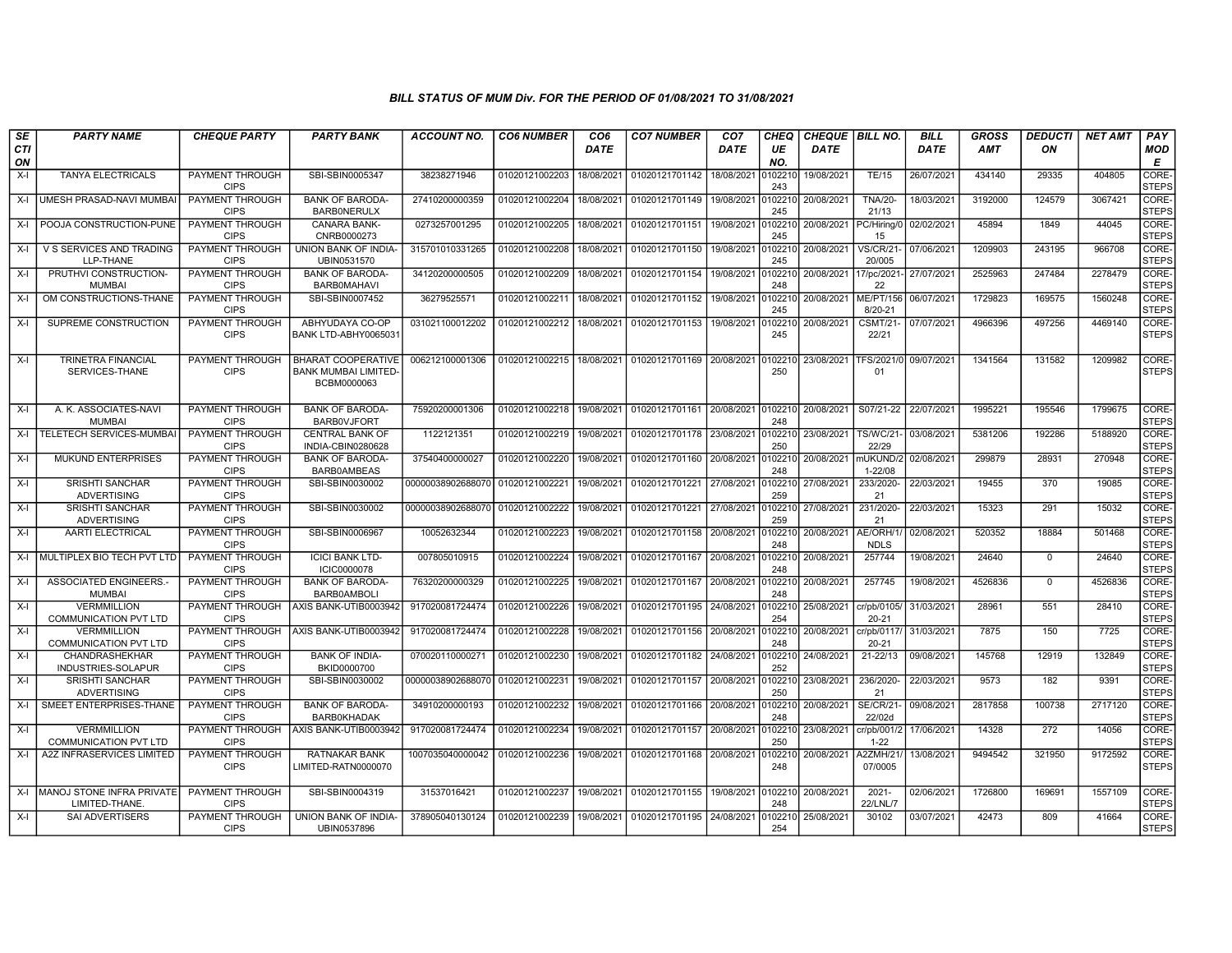| SE               | <b>PARTY NAME</b>                                  | <b>CHEQUE PARTY</b>                   | <b>PARTY BANK</b>                                                       | ACCOUNT NO.                      | <b>CO6 NUMBER</b> | CO <sub>6</sub> | <b>CO7 NUMBER</b>         | CO <sub>7</sub> | <b>CHEQ</b>    | <b>CHEQUE BILL NO.</b> |                                | <b>BILL</b> | <b>GROSS</b> | <b>DEDUCTI</b> | <b>NET AMT</b> | <b>PAY</b>            |
|------------------|----------------------------------------------------|---------------------------------------|-------------------------------------------------------------------------|----------------------------------|-------------------|-----------------|---------------------------|-----------------|----------------|------------------------|--------------------------------|-------------|--------------|----------------|----------------|-----------------------|
| <b>CTI</b><br>ON |                                                    |                                       |                                                                         |                                  |                   | <b>DATE</b>     |                           | <b>DATE</b>     | UE<br>NO.      | <b>DATE</b>            |                                | <b>DATE</b> | <b>AMT</b>   | ON             |                | MOD<br>E              |
| $X-I$            | TANYA ELECTRICALS                                  | PAYMENT THROUGH<br><b>CIPS</b>        | SBI-SBIN0005347                                                         | 38238271946                      | 01020121002203    | 18/08/2021      | 01020121701142            | 18/08/202       | 0102210<br>243 | 19/08/2021             | <b>TE/15</b>                   | 26/07/2021  | 434140       | 29335          | 404805         | CORE-<br><b>STEPS</b> |
| $X-I$            | <b>UMESH PRASAD-NAVI MUMBAI</b>                    | PAYMENT THROUGH<br><b>CIPS</b>        | <b>BANK OF BARODA</b><br><b>BARBONERULX</b>                             | 27410200000359                   | 01020121002204    | 18/08/2021      | 01020121701149            | 19/08/2021      | 0102210<br>245 | 20/08/2021             | <b>TNA/20-</b><br>21/13        | 18/03/2021  | 3192000      | 124579         | 3067421        | CORE-<br><b>STEPS</b> |
| $X-I$            | POOJA CONSTRUCTION-PUNE                            | PAYMENT THROUGH<br><b>CIPS</b>        | <b>CANARA BANK-</b><br>CNRB0000273                                      | 0273257001295                    | 01020121002205    | 18/08/2021      | 01020121701151            | 19/08/2021      | 0102210<br>245 |                        | 20/08/2021   PC/Hiring/0<br>15 | 02/02/2021  | 45894        | 1849           | 44045          | CORE-<br><b>STEPS</b> |
| $X-I$            | V S SERVICES AND TRADING<br>LLP-THANE              | PAYMENT THROUGH<br><b>CIPS</b>        | UNION BANK OF INDIA-<br>UBIN0531570                                     | 315701010331265                  | 01020121002208    | 18/08/2021      | 01020121701150            | 19/08/2021      | 0102210<br>245 | 20/08/2021             | <b>VS/CR/21</b><br>20/005      | 07/06/2021  | 1209903      | 243195         | 966708         | CORE-<br><b>STEPS</b> |
| $X-I$            | PRUTHVI CONSTRUCTION-<br><b>MUMBAI</b>             | <b>PAYMENT THROUGH</b><br><b>CIPS</b> | <b>BANK OF BARODA-</b><br><b>BARBOMAHAVI</b>                            | 34120200000505                   | 01020121002209    | 18/08/2021      | 01020121701154            | 19/08/2021      | 0102210<br>248 | 20/08/2021 17/pc/2021  | 22                             | 27/07/2021  | 2525963      | 247484         | 2278479        | CORE-<br><b>STEPS</b> |
| X-I              | OM CONSTRUCTIONS-THANE                             | PAYMENT THROUGH<br><b>CIPS</b>        | SBI-SBIN0007452                                                         | 36279525571                      | 01020121002211    | 18/08/2021      | 01020121701152            | 19/08/2021      | 0102210<br>245 | 20/08/2021             | ME/PT/156<br>8/20-21           | 06/07/2021  | 1729823      | 169575         | 1560248        | CORE-<br><b>STEPS</b> |
| $X-I$            | SUPREME CONSTRUCTION                               | PAYMENT THROUGH<br><b>CIPS</b>        | ABHYUDAYA CO-OP<br>BANK LTD-ABHY0065031                                 | 031021100012202                  | 01020121002212    | 18/08/2021      | 01020121701153            | 19/08/2021      | 102210<br>245  | 20/08/2021             | <b>CSMT/21-</b><br>22/21       | 07/07/2021  | 4966396      | 497256         | 4469140        | CORE-<br><b>STEPS</b> |
| $X-I$            | <b>TRINETRA FINANCIAL</b><br>SERVICES-THANE        | <b>PAYMENT THROUGH</b><br><b>CIPS</b> | <b>BHARAT COOPERATIVE</b><br><b>BANK MUMBAI LIMITED-</b><br>BCBM0000063 | 006212100001306                  | 01020121002215    | 18/08/2021      | 01020121701169            | 20/08/2021      | 102210<br>250  |                        | 23/08/2021 TFS/2021/0<br>01    | 09/07/2021  | 1341564      | 131582         | 1209982        | CORE-<br><b>STEPS</b> |
| X-I              | A. K. ASSOCIATES-NAVI<br><b>MUMBAI</b>             | PAYMENT THROUGH<br><b>CIPS</b>        | <b>BANK OF BARODA-</b><br><b>BARBOVJFORT</b>                            | 75920200001306                   | 01020121002218    | 19/08/2021      | 01020121701161 20/08/2021 |                 | 0102210<br>248 | 20/08/2021 S07/21-22   |                                | 22/07/2021  | 1995221      | 195546         | 1799675        | CORE-<br><b>STEPS</b> |
| $X-I$            | <b>TELETECH SERVICES-MUMBA</b>                     | PAYMENT THROUGH<br><b>CIPS</b>        | <b>CENTRAL BANK OF</b><br>INDIA-CBIN0280628                             | 1122121351                       | 01020121002219    | 19/08/2021      | 01020121701178            | 23/08/2021      | 0102210<br>250 | 23/08/2021             | <b>TS/WC/21-</b><br>22/29      | 03/08/2021  | 5381206      | 192286         | 5188920        | CORE-<br><b>STEPS</b> |
| $X-I$            | <b>MUKUND ENTERPRISES</b>                          | PAYMENT THROUGH<br><b>CIPS</b>        | <b>BANK OF BARODA-</b><br>BARB0AMBEAS                                   | 37540400000027                   | 01020121002220    | 19/08/2021      | 01020121701160            | 20/08/2021      | 0102210<br>248 | 20/08/2021             | nUKUND/2<br>1-22/08            | 02/08/2021  | 299879       | 28931          | 270948         | CORE-<br><b>STEPS</b> |
| $X-I$            | <b>SRISHTI SANCHAR</b><br><b>ADVERTISING</b>       | PAYMENT THROUGH<br><b>CIPS</b>        | SBI-SBIN0030002                                                         | 00000038902688070 01020121002221 |                   | 19/08/2021      | 01020121701221            | 27/08/2021      | 0102210<br>259 | 27/08/2021             | 233/2020-<br>21                | 22/03/2021  | 19455        | 370            | 19085          | CORE-<br><b>STEPS</b> |
| $X-I$            | <b>SRISHTI SANCHAR</b><br><b>ADVERTISING</b>       | PAYMENT THROUGH<br><b>CIPS</b>        | SBI-SBIN0030002                                                         | 00000038902688070 01020121002222 |                   | 19/08/2021      | 01020121701221            | 27/08/2021      | 0102210<br>259 | 27/08/2021             | 231/2020-<br>21                | 22/03/2021  | 15323        | 291            | 15032          | CORE-<br><b>STEPS</b> |
| X-I              | AARTI ELECTRICAL                                   | PAYMENT THROUGH<br><b>CIPS</b>        | SBI-SBIN0006967                                                         | 10052632344                      | 01020121002223    | 19/08/2021      | 01020121701158            | 20/08/2021      | 0102210<br>248 | 20/08/2021   AE/ORH/1  | <b>NDLS</b>                    | 02/08/2021  | 520352       | 18884          | 501468         | CORE-<br><b>STEPS</b> |
| $X-I$            | MULTIPLEX BIO TECH PVT LTD                         | PAYMENT THROUGH<br><b>CIPS</b>        | <b>ICICI BANK LTD-</b><br><b>ICIC0000078</b>                            | 007805010915                     | 01020121002224    | 19/08/2021      | 01020121701167            | 20/08/2021      | 0102210<br>248 | 20/08/2021             | 257744                         | 19/08/2021  | 24640        | $\Omega$       | 24640          | CORE-<br><b>STEPS</b> |
| $X-I$            | <b>ASSOCIATED ENGINEERS.</b><br><b>MUMBAI</b>      | PAYMENT THROUGH<br><b>CIPS</b>        | <b>BANK OF BARODA-</b><br><b>BARB0AMBOLI</b>                            | 76320200000329                   | 01020121002225    | 19/08/2021      | 01020121701167            | 20/08/2021      | 0102210<br>248 | 20/08/2021             | 257745                         | 19/08/2021  | 4526836      | $\Omega$       | 4526836        | CORE-<br><b>STEPS</b> |
| $X-I$            | <b>VERMMILLION</b><br><b>COMMUNICATION PVT LTD</b> | PAYMENT THROUGH<br><b>CIPS</b>        | AXIS BANK-UTIB0003942                                                   | 917020081724474                  | 01020121002226    | 19/08/2021      | 01020121701195            | 24/08/2021      | 0102210<br>254 | 25/08/2021             | cr/pb/0105/<br>$20 - 21$       | 31/03/2021  | 28961        | 551            | 28410          | CORE-<br><b>STEPS</b> |
| $X-I$            | <b>VERMMILLION</b><br><b>COMMUNICATION PVT LTD</b> | PAYMENT THROUGH<br><b>CIPS</b>        | AXIS BANK-UTIB0003942                                                   | 917020081724474                  | 01020121002228    | 19/08/2021      | 01020121701156            | 20/08/2021      | 0102210<br>248 | 20/08/2021             | cr/pb/0117/<br>$20 - 21$       | 31/03/2021  | 7875         | 150            | 7725           | CORE-<br><b>STEPS</b> |
| $X-I$            | <b>CHANDRASHEKHAR</b><br>INDUSTRIES-SOLAPUR        | <b>PAYMENT THROUGH</b><br><b>CIPS</b> | <b>BANK OF INDIA-</b><br>BKID0000700                                    | 070020110000271                  | 01020121002230    | 19/08/2021      | 01020121701182            | 24/08/2021      | 0102210<br>252 | 24/08/2021             | $21 - 22/13$                   | 09/08/2021  | 145768       | 12919          | 132849         | CORE-<br><b>STEPS</b> |
| $X-I$            | <b>SRISHTI SANCHAR</b><br>ADVERTISING              | PAYMENT THROUGH<br><b>CIPS</b>        | SBI-SBIN0030002                                                         | 00000038902688070                | 01020121002231    | 19/08/2021      | 01020121701157            | 20/08/2021      | 0102210<br>250 | 23/08/2021             | 236/2020-<br>21                | 22/03/2021  | 9573         | 182            | 9391           | CORE-<br><b>STEPS</b> |
| $X-I$            | SMEET ENTERPRISES-THANE                            | PAYMENT THROUGH<br><b>CIPS</b>        | <b>BANK OF BARODA-</b><br><b>BARBOKHADAK</b>                            | 34910200000193                   | 01020121002232    | 19/08/2021      | 01020121701166            | 20/08/2021      | 0102210<br>248 | 20/08/2021             | <b>SE/CR/21-</b><br>22/02d     | 09/08/2021  | 2817858      | 100738         | 2717120        | CORE-<br><b>STEPS</b> |
| $X-I$            | <b>VERMMILLION</b><br><b>COMMUNICATION PVT LTD</b> | PAYMENT THROUGH<br><b>CIPS</b>        | AXIS BANK-UTIB0003942                                                   | 917020081724474                  | 01020121002234    | 19/08/2021      | 01020121701157            | 20/08/2021      | 0102210<br>250 | 23/08/2021             | cr/pb/001/2<br>$1 - 22$        | 17/06/2021  | 14328        | 272            | 14056          | CORE-<br><b>STEPS</b> |
| $X-I$            | A2Z INFRASERVICES LIMITED                          | PAYMENT THROUGH<br><b>CIPS</b>        | <b>RATNAKAR BANK</b><br>LIMITED-RATN0000070                             | 1007035040000042                 | 01020121002236    | 19/08/2021      | 01020121701168            | 20/08/2021      | 0102210<br>248 | 20/08/2021             | 42ZMH/21<br>07/0005            | 13/08/2021  | 9494542      | 321950         | 9172592        | CORE-<br><b>STEPS</b> |
| $X-I$            | MANOJ STONE INFRA PRIVATE I<br>LIMITED-THANE.      | PAYMENT THROUGH<br><b>CIPS</b>        | SBI-SBIN0004319                                                         | 31537016421                      | 01020121002237    | 19/08/2021      | 01020121701155            | 19/08/2021      | 0102210<br>248 | 20/08/2021             | $2021 -$<br>22/LNL/7           | 02/06/2021  | 1726800      | 169691         | 1557109        | CORE-<br><b>STEPS</b> |
| $X-I$            | <b>SAI ADVERTISERS</b>                             | PAYMENT THROUGH<br><b>CIPS</b>        | UNION BANK OF INDIA-<br>UBIN0537896                                     | 378905040130124                  | 01020121002239    | 19/08/2021      | 01020121701195            | 24/08/2021      | )102210<br>254 | 25/08/2021             | 30102                          | 03/07/2021  | 42473        | 809            | 41664          | CORE-<br><b>STEPS</b> |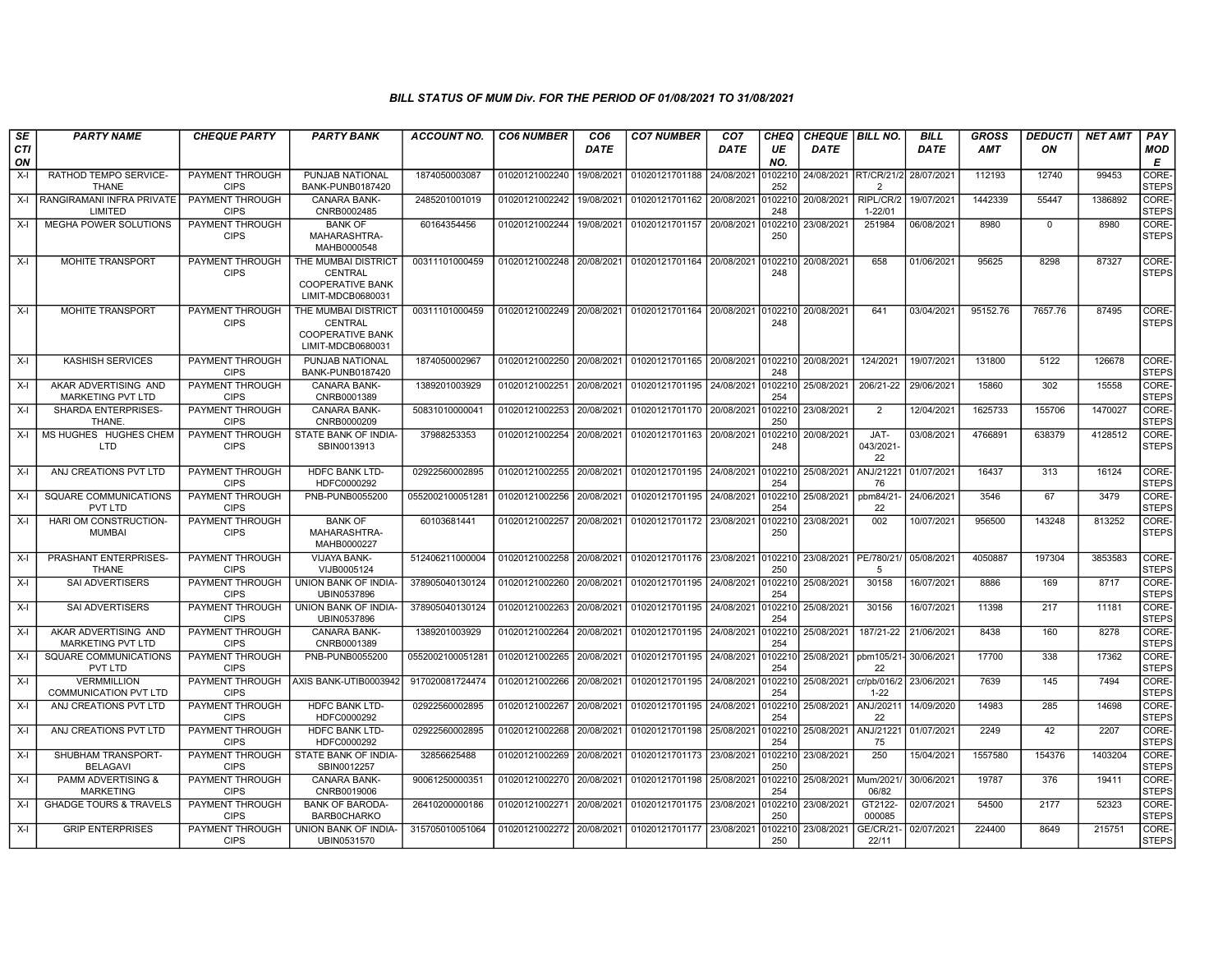| SE        | <b>PARTY NAME</b>                                  | <b>CHEQUE PARTY</b>                   | <b>PARTY BANK</b>                                                                     | <b>ACCOUNT NO.</b> | <b>CO6 NUMBER</b>         | CO <sub>6</sub> | <b>CO7 NUMBER</b>                                           | CO <sub>7</sub> | <b>CHEQ</b>    | <b>CHEQUE   BILL NO.</b> |                          | <b>BILL</b> | <b>GROSS</b> | <b>DEDUCTI</b> | <b>NET AMT</b> | PAY                   |
|-----------|----------------------------------------------------|---------------------------------------|---------------------------------------------------------------------------------------|--------------------|---------------------------|-----------------|-------------------------------------------------------------|-----------------|----------------|--------------------------|--------------------------|-------------|--------------|----------------|----------------|-----------------------|
| CTI<br>ON |                                                    |                                       |                                                                                       |                    |                           | <b>DATE</b>     |                                                             | DATE            | UE<br>NO.      | <b>DATE</b>              |                          | <b>DATE</b> | <b>AMT</b>   | ON             |                | MOD<br>Е              |
| $X-I$     | RATHOD TEMPO SERVICE-<br><b>THANE</b>              | <b>PAYMENT THROUGH</b><br><b>CIPS</b> | PUNJAB NATIONAL<br>BANK-PUNB0187420                                                   | 1874050003087      | 01020121002240            | 19/08/2021      | 01020121701188                                              | 24/08/2021      | 102210<br>252  | 24/08/2021 RT/CR/21/2    | 2                        | 28/07/2021  | 112193       | 12740          | 99453          | CORE-<br><b>STEPS</b> |
| $X-I$     | RANGIRAMANI INFRA PRIVATE<br>LIMITED               | PAYMENT THROUGH<br><b>CIPS</b>        | <b>CANARA BANK-</b><br>CNRB0002485                                                    | 2485201001019      | 01020121002242            | 19/08/2021      | 01020121701162 20/08/2021                                   |                 | 0102210<br>248 | 20/08/2021               | RIPL/CR/2<br>$1 - 22/01$ | 19/07/2021  | 1442339      | 55447          | 1386892        | CORE-<br><b>STEPS</b> |
| $X-I$     | MEGHA POWER SOLUTIONS                              | PAYMENT THROUGH<br><b>CIPS</b>        | <b>BANK OF</b><br>MAHARASHTRA-<br>MAHB0000548                                         | 60164354456        | 01020121002244            | 19/08/2021      | 01020121701157                                              | 20/08/2021      | 0102210<br>250 | 23/08/2021               | 251984                   | 06/08/2021  | 8980         | $\mathbf 0$    | 8980           | CORE-<br><b>STEPS</b> |
| $X-I$     | MOHITE TRANSPORT                                   | <b>PAYMENT THROUGH</b><br><b>CIPS</b> | THE MUMBAI DISTRICT<br>CENTRAL<br><b>COOPERATIVE BANK</b><br>LIMIT-MDCB0680031        | 00311101000459     |                           |                 | 01020121002248 20/08/2021 01020121701164 20/08/2021         |                 | 0102210<br>248 | 20/08/2021               | 658                      | 01/06/2021  | 95625        | 8298           | 87327          | CORE-<br><b>STEPS</b> |
| $X-I$     | MOHITE TRANSPORT                                   | PAYMENT THROUGH<br><b>CIPS</b>        | THE MUMBAI DISTRICT<br><b>CENTRAL</b><br><b>COOPERATIVE BANK</b><br>LIMIT-MDCB0680031 | 00311101000459     |                           |                 | 01020121002249 20/08/2021 01020121701164 20/08/2021 0102210 |                 | 248            | 20/08/2021               | 641                      | 03/04/2021  | 95152.76     | 7657.76        | 87495          | CORE-<br><b>STEPS</b> |
| $X-I$     | <b>KASHISH SERVICES</b>                            | PAYMENT THROUGH<br><b>CIPS</b>        | PUNJAB NATIONAL<br>BANK-PUNB0187420                                                   | 1874050002967      | 01020121002250            | 20/08/2021      | 01020121701165 20/08/2021                                   |                 | 248            | 0102210 20/08/2021       | 124/2021                 | 19/07/2021  | 131800       | 5122           | 126678         | CORE-<br><b>STEPS</b> |
| $X-I$     | AKAR ADVERTISING AND<br>MARKETING PVT LTD          | PAYMENT THROUGH<br><b>CIPS</b>        | <b>CANARA BANK-</b><br>CNRB0001389                                                    | 1389201003929      | 01020121002251            | 20/08/2021      | 01020121701195                                              | 24/08/2021      | 0102210<br>254 | 25/08/2021               | 206/21-22                | 29/06/2021  | 15860        | 302            | 15558          | CORE-<br><b>STEPS</b> |
| $X-I$     | SHARDA ENTERPRISES-<br>THANE.                      | <b>PAYMENT THROUGH</b><br><b>CIPS</b> | <b>CANARA BANK-</b><br>CNRB0000209                                                    | 50831010000041     | 01020121002253            | 20/08/2021      | 01020121701170 20/08/2021                                   |                 | 0102210<br>250 | 23/08/2021               | 2                        | 12/04/2021  | 1625733      | 155706         | 1470027        | CORE-<br><b>STEPS</b> |
| $X-I$     | MS HUGHES HUGHES CHEM<br><b>LTD</b>                | PAYMENT THROUGH<br><b>CIPS</b>        | STATE BANK OF INDIA-<br>SBIN0013913                                                   | 37988253353        | 01020121002254            | 20/08/2021      | 01020121701163                                              | 20/08/2021      | 102210<br>248  | 20/08/2021               | JAT-<br>043/2021<br>22   | 03/08/2021  | 4766891      | 638379         | 4128512        | CORE-<br><b>STEPS</b> |
| $X-I$     | ANJ CREATIONS PVT LTD                              | <b>PAYMENT THROUGH</b><br><b>CIPS</b> | <b>HDFC BANK LTD-</b><br>HDFC0000292                                                  | 02922560002895     | 01020121002255 20/08/2021 |                 | 01020121701195 24/08/2021                                   |                 | 0102210<br>254 | 25/08/2021               | ANJ/21221<br>76          | 01/07/2021  | 16437        | 313            | 16124          | CORE-<br><b>STEPS</b> |
| $X-I$     | SQUARE COMMUNICATIONS<br>PVT LTD                   | PAYMENT THROUGH<br><b>CIPS</b>        | PNB-PUNB0055200                                                                       | 055200210005128    | 01020121002256            | 20/08/2021      | 01020121701195                                              | 24/08/2021      | 0102210<br>254 | 25/08/2021               | pbm84/21<br>22           | 24/06/2021  | 3546         | 67             | 3479           | CORE-<br><b>STEPS</b> |
| $X-I$     | HARI OM CONSTRUCTION-<br><b>MUMBAI</b>             | PAYMENT THROUGH<br><b>CIPS</b>        | <b>BANK OF</b><br>MAHARASHTRA-<br>MAHB0000227                                         | 60103681441        | 01020121002257            | 20/08/2021      | 01020121701172                                              | 23/08/2021      | 102210<br>250  | 23/08/2021               | 002                      | 10/07/2021  | 956500       | 143248         | 813252         | CORE-<br><b>STEPS</b> |
| $X-I$     | PRASHANT ENTERPRISES<br><b>THANE</b>               | PAYMENT THROUGH<br><b>CIPS</b>        | <b>VIJAYA BANK-</b><br>VIJB0005124                                                    | 512406211000004    | 01020121002258            | 20/08/2021      | 01020121701176 23/08/2021                                   |                 | 0102210<br>250 | 23/08/2021 PE/780/21/    | -5                       | 05/08/2021  | 4050887      | 197304         | 3853583        | CORE-<br><b>STEPS</b> |
| $X-I$     | <b>SAI ADVERTISERS</b>                             | PAYMENT THROUGH<br><b>CIPS</b>        | UNION BANK OF INDIA-<br>UBIN0537896                                                   | 378905040130124    | 01020121002260            | 20/08/2021      | 01020121701195                                              | 24/08/2021      | 0102210<br>254 | 25/08/2021               | 30158                    | 16/07/2021  | 8886         | 169            | 8717           | CORE-<br><b>STEPS</b> |
| $X-I$     | <b>SAI ADVERTISERS</b>                             | PAYMENT THROUGH<br><b>CIPS</b>        | UNION BANK OF INDIA-<br>UBIN0537896                                                   | 378905040130124    | 01020121002263            | 20/08/2021      | 01020121701195                                              | 24/08/2021      | 0102210<br>254 | 25/08/2021               | 30156                    | 16/07/2021  | 11398        | 217            | 11181          | CORE-<br><b>STEPS</b> |
| $X-I$     | AKAR ADVERTISING AND<br>MARKETING PVT LTD          | PAYMENT THROUGH<br><b>CIPS</b>        | CANARA BANK-<br>CNRB0001389                                                           | 1389201003929      | 01020121002264            | 20/08/2021      | 01020121701195                                              | 24/08/2021      | 0102210<br>254 | 25/08/2021               | 187/21-22                | 21/06/2021  | 8438         | 160            | 8278           | CORE-<br><b>STEPS</b> |
| $X-I$     | SQUARE COMMUNICATIONS<br>PVT LTD                   | PAYMENT THROUGH<br><b>CIPS</b>        | PNB-PUNB0055200                                                                       | 055200210005128    | 01020121002265            | 20/08/2021      | 01020121701195                                              | 24/08/2021      | 102210<br>254  | 25/08/2021               | pbm105/21-<br>22         | 30/06/2021  | 17700        | 338            | 17362          | CORE-<br><b>STEPS</b> |
| $X-I$     | <b>VERMMILLION</b><br><b>COMMUNICATION PVT LTD</b> | <b>PAYMENT THROUGH</b><br><b>CIPS</b> | AXIS BANK-UTIB0003942                                                                 | 917020081724474    | 01020121002266            | 20/08/2021      | 01020121701195                                              | 24/08/2021      | 0102210<br>254 | 25/08/2021               | cr/pb/016/2<br>$1 - 22$  | 23/06/2021  | 7639         | 145            | 7494           | CORE-<br><b>STEPS</b> |
| $X-I$     | ANJ CREATIONS PVT LTD                              | PAYMENT THROUGH<br><b>CIPS</b>        | <b>HDFC BANK LTD-</b><br>HDFC0000292                                                  | 02922560002895     | 01020121002267            | 20/08/2021      | 01020121701195 24/08/2021                                   |                 | 0102210<br>254 | 25/08/2021               | ANJ/20211<br>22          | 14/09/2020  | 14983        | 285            | 14698          | CORE-<br><b>STEPS</b> |
| $X-I$     | ANJ CREATIONS PVT LTD                              | <b>PAYMENT THROUGH</b><br><b>CIPS</b> | <b>HDFC BANK LTD-</b><br>HDFC0000292                                                  | 02922560002895     | 01020121002268            | 20/08/2021      | 01020121701198                                              | 25/08/2021      | 102210<br>254  | 25/08/2021               | ANJ/21221<br>75          | 01/07/2021  | 2249         | 42             | 2207           | CORE-<br><b>STEPS</b> |
| $X-I$     | SHUBHAM TRANSPORT-<br><b>BELAGAVI</b>              | PAYMENT THROUGH<br><b>CIPS</b>        | STATE BANK OF INDIA-<br>SBIN0012257                                                   | 32856625488        | 01020121002269            | 20/08/2021      | 01020121701173 23/08/2021                                   |                 | 0102210<br>250 | 23/08/2021               | 250                      | 15/04/2021  | 1557580      | 154376         | 1403204        | CORE-<br><b>STEPS</b> |
| $X-I$     | <b>PAMM ADVERTISING &amp;</b><br><b>MARKETING</b>  | PAYMENT THROUGH<br><b>CIPS</b>        | <b>CANARA BANK-</b><br>CNRB0019006                                                    | 9006125000035      | 01020121002270            | 20/08/2021      | 01020121701198                                              | 25/08/2021      | 102210<br>254  | 25/08/2021               | Mum/2021<br>06/82        | 30/06/2021  | 19787        | 376            | 19411          | CORE-<br><b>STEPS</b> |
| $X-I$     | <b>GHADGE TOURS &amp; TRAVELS</b>                  | PAYMENT THROUGH<br><b>CIPS</b>        | <b>BANK OF BARODA</b><br><b>BARB0CHARKO</b>                                           | 26410200000186     | 01020121002271            | 20/08/2021      | 01020121701175 23/08/2021                                   |                 | 0102210<br>250 | 23/08/2021               | GT2122-<br>000085        | 02/07/2021  | 54500        | 2177           | 52323          | CORE-<br><b>STEPS</b> |
| $X-I$     | <b>GRIP ENTERPRISES</b>                            | PAYMENT THROUGH<br><b>CIPS</b>        | UNION BANK OF INDIA-<br>UBIN0531570                                                   | 315705010051064    | 01020121002272 20/08/2021 |                 | 01020121701177 23/08/2021                                   |                 | 102210<br>250  | 23/08/2021               | <b>GE/CR/21</b><br>22/11 | 02/07/2021  | 224400       | 8649           | 215751         | CORE-<br><b>STEPS</b> |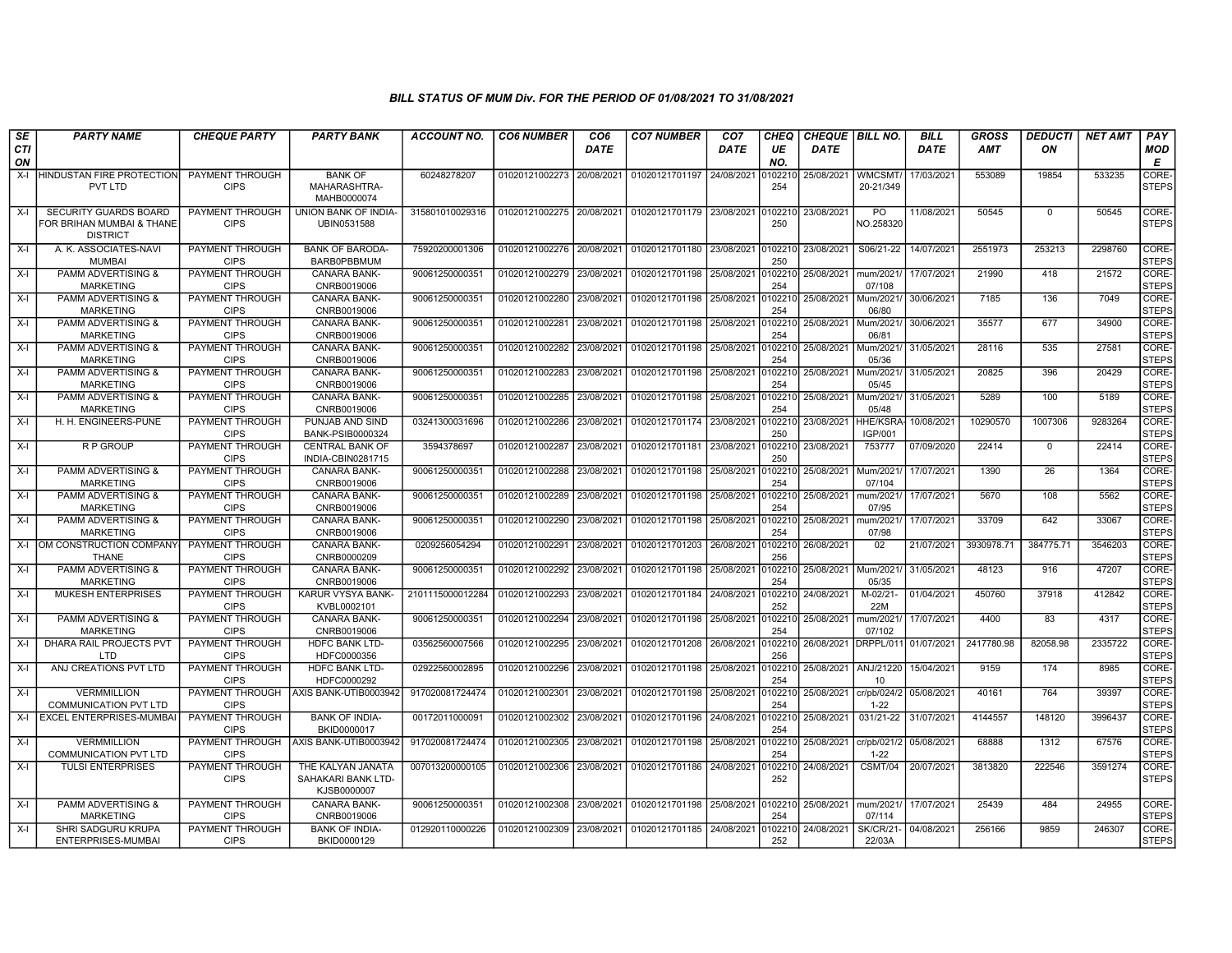| SE               | <b>PARTY NAME</b>                                                            | <b>CHEQUE PARTY</b>                   | <b>PARTY BANK</b>                                      | <b>ACCOUNT NO.</b> | <b>CO6 NUMBER</b>         | CO <sub>6</sub> | <b>CO7 NUMBER</b>         | CO <sub>7</sub> | CHEQ           | <b>CHEQUE   BILL NO.</b> |                            | <b>BILL</b> | <b>GROSS</b> | <b>DEDUCTI</b> | <b>NET AMT</b> | PAY                   |
|------------------|------------------------------------------------------------------------------|---------------------------------------|--------------------------------------------------------|--------------------|---------------------------|-----------------|---------------------------|-----------------|----------------|--------------------------|----------------------------|-------------|--------------|----------------|----------------|-----------------------|
| <b>CTI</b><br>ON |                                                                              |                                       |                                                        |                    |                           | <b>DATE</b>     |                           | <b>DATE</b>     | UE<br>NO.      | <b>DATE</b>              |                            | <b>DATE</b> | <b>AMT</b>   | ON             |                | <b>MOD</b><br>E       |
| $X-I$            | HINDUSTAN FIRE PROTECTION<br>PVT LTD                                         | PAYMENT THROUGH<br><b>CIPS</b>        | <b>BANK OF</b><br>MAHARASHTRA-<br>MAHB0000074          | 60248278207        | 01020121002273            | 20/08/2021      | 01020121701197            | 24/08/2021      | 102210<br>254  | 25/08/2021               | <b>WMCSMT</b><br>20-21/349 | 17/03/2021  | 553089       | 19854          | 533235         | CORE-<br><b>STEPS</b> |
| X-I              | <b>SECURITY GUARDS BOARD</b><br>FOR BRIHAN MUMBAI & THANE<br><b>DISTRICT</b> | PAYMENT THROUGH<br><b>CIPS</b>        | UNION BANK OF INDIA-<br>UBIN0531588                    | 315801010029316    | 01020121002275 20/08/2021 |                 | 01020121701179 23/08/2021 |                 | 102210<br>250  | 23/08/2021               | PO.<br>NO.258320           | 11/08/2021  | 50545        | $\mathbf{0}$   | 50545          | CORE-<br><b>STEPS</b> |
| $X-I$            | A. K. ASSOCIATES-NAVI<br><b>MUMBAI</b>                                       | PAYMENT THROUGH<br><b>CIPS</b>        | <b>BANK OF BARODA</b><br><b>BARB0PBBMUM</b>            | 75920200001306     | 01020121002276 20/08/2021 |                 | 01020121701180 23/08/2021 |                 | 102210<br>250  | 23/08/2021               | S06/21-22                  | 14/07/2021  | 2551973      | 253213         | 2298760        | CORE-<br><b>STEPS</b> |
| X-I              | <b>PAMM ADVERTISING &amp;</b><br><b>MARKETING</b>                            | PAYMENT THROUGH<br><b>CIPS</b>        | <b>CANARA BANK-</b><br>CNRB0019006                     | 90061250000351     | 01020121002279            | 23/08/2021      | 01020121701198            | 25/08/2021      | 0102210<br>254 | 25/08/2021               | mum/2021<br>07/108         | 17/07/2021  | 21990        | 418            | 21572          | CORE-<br><b>STEPS</b> |
| X-I              | <b>PAMM ADVERTISING &amp;</b><br><b>MARKETING</b>                            | PAYMENT THROUGH<br><b>CIPS</b>        | <b>CANARA BANK-</b><br>CNRB0019006                     | 90061250000351     | 01020121002280            | 23/08/2021      | 01020121701198            | 25/08/2021      | 102210<br>254  | 25/08/2021               | Mum/2021<br>06/80          | 30/06/2021  | 7185         | 136            | 7049           | CORE-<br><b>STEPS</b> |
| X-I              | <b>PAMM ADVERTISING &amp;</b><br><b>MARKETING</b>                            | <b>PAYMENT THROUGH</b><br><b>CIPS</b> | CANARA BANK-<br>CNRB0019006                            | 90061250000351     | 01020121002281            | 23/08/2021      | 01020121701198            | 25/08/2021      | 102210<br>254  | 25/08/2021               | Mum/2021<br>06/81          | 30/06/2021  | 35577        | 677            | 34900          | CORE-<br><b>STEPS</b> |
| $X-I$            | <b>PAMM ADVERTISING &amp;</b><br><b>MARKETING</b>                            | PAYMENT THROUGH<br><b>CIPS</b>        | CANARA BANK-<br>CNRB0019006                            | 90061250000351     | 01020121002282            | 23/08/2021      | 01020121701198            | 25/08/2021      | 102210<br>254  | 25/08/2021               | Mum/2021<br>05/36          | 31/05/2021  | 28116        | 535            | 27581          | CORE-<br><b>STEPS</b> |
| X-I              | <b>PAMM ADVERTISING &amp;</b><br><b>MARKETING</b>                            | PAYMENT THROUGH<br><b>CIPS</b>        | <b>CANARA BANK-</b><br>CNRB0019006                     | 90061250000351     | 01020121002283            | 23/08/2021      | 01020121701198            | 25/08/2021      | 102210<br>254  | 25/08/2021               | Mum/2021/<br>05/45         | 31/05/2021  | 20825        | 396            | 20429          | CORE-<br><b>STEPS</b> |
| X-I              | <b>PAMM ADVERTISING &amp;</b><br><b>MARKETING</b>                            | PAYMENT THROUGH<br><b>CIPS</b>        | <b>CANARA BANK-</b><br>CNRB0019006                     | 90061250000351     | 01020121002285            | 23/08/2021      | 01020121701198            | 25/08/2021      | 102210<br>254  | 25/08/2021               | Mum/2021/<br>05/48         | 31/05/2021  | 5289         | 100            | 5189           | CORE-<br><b>STEPS</b> |
| X-I              | H. H. ENGINEERS-PUNE                                                         | PAYMENT THROUGH<br><b>CIPS</b>        | PUNJAB AND SIND<br>BANK-PSIB0000324                    | 03241300031696     | 01020121002286            | 23/08/2021      | 01020121701174 23/08/2021 |                 | 102210<br>250  | 23/08/2021               | HHE/KSRA<br>IGP/001        | 10/08/2021  | 10290570     | 1007306        | 9283264        | CORE-<br><b>STEPS</b> |
| $X-I$            | R P GROUP                                                                    | <b>PAYMENT THROUGH</b><br><b>CIPS</b> | <b>CENTRAL BANK OF</b><br>INDIA-CBIN0281715            | 3594378697         | 01020121002287            | 23/08/2021      | 01020121701181            | 23/08/2021      | 102210<br>250  | 23/08/2021               | 753777                     | 07/09/2020  | 22414        | $\mathbf 0$    | 22414          | CORE-<br><b>STEPS</b> |
| X-I              | <b>PAMM ADVERTISING &amp;</b><br><b>MARKETING</b>                            | PAYMENT THROUGH<br><b>CIPS</b>        | <b>CANARA BANK-</b><br>CNRB0019006                     | 9006125000035      | 01020121002288            | 23/08/202       | 01020121701198            | 25/08/2021      | 102210<br>254  | 25/08/2021               | Mum/2021<br>07/104         | 17/07/2021  | 1390         | 26             | 1364           | CORE-<br><b>STEPS</b> |
| X-I              | <b>PAMM ADVERTISING &amp;</b><br><b>MARKETING</b>                            | PAYMENT THROUGH<br><b>CIPS</b>        | <b>CANARA BANK-</b><br>CNRB0019006                     | 90061250000351     | 01020121002289            | 23/08/2021      | 01020121701198            | 25/08/2021      | 0102210<br>254 | 25/08/2021               | mum/2021<br>07/95          | 17/07/2021  | 5670         | 108            | 5562           | CORE-<br>STEPS        |
| X-I              | <b>PAMM ADVERTISING &amp;</b><br><b>MARKETING</b>                            | PAYMENT THROUGH<br><b>CIPS</b>        | CANARA BANK-<br>CNRB0019006                            | 90061250000351     | 01020121002290            | 23/08/2021      | 01020121701198            | 25/08/2021      | 102210<br>254  | 25/08/2021               | num/2021<br>07/98          | 17/07/2021  | 33709        | 642            | 33067          | CORE-<br><b>STEPS</b> |
| $X-I$            | OM CONSTRUCTION COMPANY<br><b>THANE</b>                                      | <b>PAYMENT THROUGH</b><br><b>CIPS</b> | <b>CANARA BANK-</b><br>CNRB0000209                     | 0209256054294      | 01020121002291            | 23/08/2021      | 01020121701203            | 26/08/2021      | 102210<br>256  | 26/08/2021               | 02                         | 21/07/2021  | 3930978.71   | 384775.71      | 3546203        | CORE-<br><b>STEPS</b> |
| X-I              | <b>PAMM ADVERTISING &amp;</b><br><b>MARKETING</b>                            | PAYMENT THROUGH<br><b>CIPS</b>        | <b>CANARA BANK-</b><br>CNRB0019006                     | 90061250000351     | 01020121002292            | 23/08/2021      | 01020121701198            | 25/08/2021      | 102210<br>254  | 25/08/2021               | Mum/2021/<br>05/35         | 31/05/2021  | 48123        | 916            | 47207          | CORE-<br><b>STEPS</b> |
| X-I              | <b>MUKESH ENTERPRISES</b>                                                    | PAYMENT THROUGH<br><b>CIPS</b>        | KARUR VYSYA BANK-<br>KVBL0002101                       | 2101115000012284   | 01020121002293            | 23/08/2021      | 01020121701184 24/08/2021 |                 | 102210<br>252  | 24/08/2021               | M-02/21-<br>22M            | 01/04/2021  | 450760       | 37918          | 412842         | CORE-<br><b>STEPS</b> |
| X-I              | <b>PAMM ADVERTISING &amp;</b><br><b>MARKETING</b>                            | PAYMENT THROUGH<br><b>CIPS</b>        | <b>CANARA BANK-</b><br>CNRB0019006                     | 90061250000351     | 01020121002294            | 23/08/2021      | 01020121701198            | 25/08/2021      | 102210<br>254  | 25/08/2021               | mum/2021<br>07/102         | 17/07/2021  | 4400         | 83             | 4317           | CORE-<br><b>STEPS</b> |
| X-I              | DHARA RAIL PROJECTS PVT<br><b>LTD</b>                                        | <b>PAYMENT THROUGH</b><br><b>CIPS</b> | <b>HDFC BANK LTD-</b><br>HDFC0000356                   | 03562560007566     | 01020121002295            | 23/08/2021      | 01020121701208 26/08/2021 |                 | 102210<br>256  | 26/08/2021               | DRPPL/011 01/07/2021       |             | 2417780.98   | 82058.98       | 2335722        | CORE-<br><b>STEPS</b> |
| X-I              | ANJ CREATIONS PVT LTD                                                        | PAYMENT THROUGH<br><b>CIPS</b>        | <b>HDFC BANK LTD-</b><br>HDFC0000292                   | 02922560002895     | 01020121002296            | 23/08/2021      | 01020121701198            | 25/08/2021      | 0102210<br>254 | 25/08/2021               | ANJ/21220<br>10            | 15/04/2021  | 9159         | 174            | 8985           | CORE-<br><b>STEPS</b> |
| X-I              | VERMMILLION<br><b>COMMUNICATION PVT LTD</b>                                  | PAYMENT THROUGH<br><b>CIPS</b>        | AXIS BANK-UTIB0003942                                  | 917020081724474    | 01020121002301            | 23/08/2021      | 01020121701198            | 25/08/2021      | 102210<br>254  | 25/08/2021               | cr/pb/024/2<br>$1 - 22$    | 05/08/2021  | 40161        | 764            | 39397          | CORE-<br><b>STEPS</b> |
| X-I              | EXCEL ENTERPRISES-MUMBAI                                                     | <b>PAYMENT THROUGH</b><br><b>CIPS</b> | <b>BANK OF INDIA-</b><br>BKID0000017                   | 00172011000091     | 01020121002302            | 23/08/2021      | 01020121701196            | 24/08/2021      | 102210<br>254  | 25/08/2021               | 031/21-22                  | 31/07/2021  | 4144557      | 148120         | 3996437        | CORE-<br><b>STEPS</b> |
| X-I              | <b>VERMMILLION</b><br><b>COMMUNICATION PVT LTD</b>                           | PAYMENT THROUGH<br><b>CIPS</b>        | AXIS BANK-UTIB0003942                                  | 917020081724474    | 01020121002305            | 23/08/2021      | 01020121701198            | 25/08/2021      | 0102210<br>254 | 25/08/2021               | cr/pb/021/2<br>$1 - 22$    | 05/08/2021  | 68888        | 1312           | 67576          | CORE-<br><b>STEPS</b> |
| $X-I$            | <b>TULSI ENTERPRISES</b>                                                     | PAYMENT THROUGH<br><b>CIPS</b>        | THE KALYAN JANATA<br>SAHAKARI BANK LTD-<br>KJSB0000007 | 007013200000105    | 01020121002306            | 23/08/2021      | 01020121701186            | 24/08/2021      | 102210<br>252  | 24/08/2021               | CSMT/04                    | 20/07/2021  | 3813820      | 222546         | 3591274        | CORE-<br><b>STEPS</b> |
| X-I              | <b>PAMM ADVERTISING &amp;</b><br><b>MARKETING</b>                            | <b>PAYMENT THROUGH</b><br><b>CIPS</b> | <b>CANARA BANK-</b><br>CNRB0019006                     | 90061250000351     | 01020121002308            | 23/08/2021      | 01020121701198            | 25/08/2021      | 102210<br>254  | 25/08/2021               | mum/2021<br>07/114         | 17/07/2021  | 25439        | 484            | 24955          | CORE-<br><b>STEPS</b> |
| $X-I$            | SHRI SADGURU KRUPA<br>ENTERPRISES-MUMBAI                                     | PAYMENT THROUGH<br><b>CIPS</b>        | <b>BANK OF INDIA-</b><br>BKID0000129                   | 012920110000226    | 01020121002309            | 23/08/2021      | 01020121701185            | 24/08/2021      | 102210<br>252  | 24/08/2021               | <b>SK/CR/21-</b><br>22/03A | 04/08/2021  | 256166       | 9859           | 246307         | CORE-<br><b>STEPS</b> |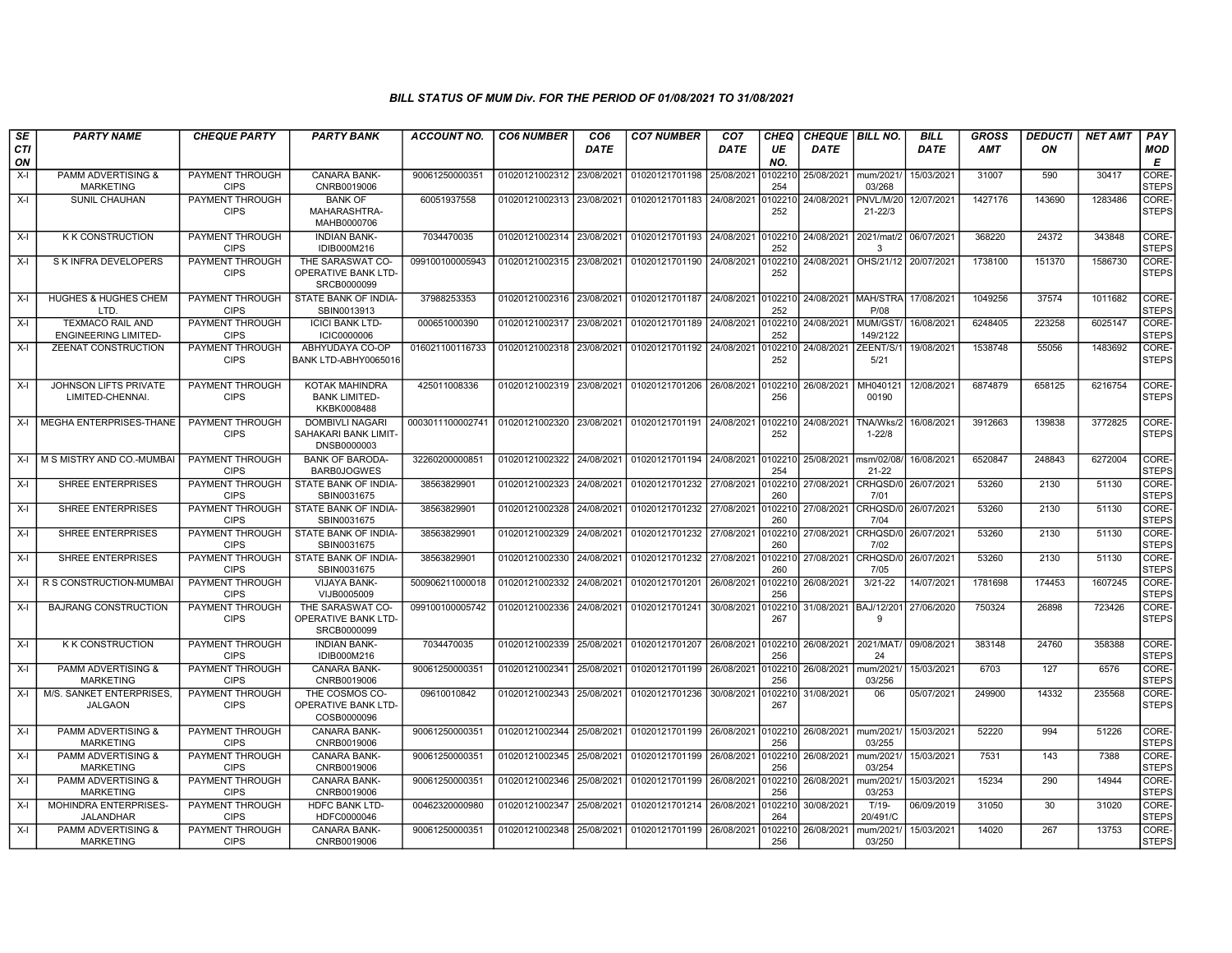| SE               | <b>PARTY NAME</b>                                      | <b>CHEQUE PARTY</b>                   | <b>PARTY BANK</b>                                             | ACCOUNT NO.      | <b>CO6 NUMBER</b>         | CO <sub>6</sub> | <b>CO7 NUMBER</b>         | CO <sub>7</sub> | CHEQ           | <b>CHEQUE   BILL NO.</b> |                             | <b>BILL</b> | GROSS      | <b>DEDUCTI</b> | <b>NET AMT</b> | PAY                   |
|------------------|--------------------------------------------------------|---------------------------------------|---------------------------------------------------------------|------------------|---------------------------|-----------------|---------------------------|-----------------|----------------|--------------------------|-----------------------------|-------------|------------|----------------|----------------|-----------------------|
| <b>CTI</b><br>ON |                                                        |                                       |                                                               |                  |                           | DATE            |                           | DATE            | UE<br>NO.      | DATE                     |                             | DATE        | <b>AMT</b> | ON             |                | <b>MOD</b><br>E       |
| $X-I$            | PAMM ADVERTISING &<br><b>MARKETING</b>                 | PAYMENT THROUGH<br><b>CIPS</b>        | CANARA BANK-<br>CNRB0019006                                   | 90061250000351   | 01020121002312            | 23/08/2021      | 01020121701198            | 25/08/2021      | 102210<br>254  | 25/08/2021               | mum/2021<br>03/268          | 15/03/2021  | 31007      | 590            | 30417          | CORE-<br><b>STEPS</b> |
| X-I              | <b>SUNIL CHAUHAN</b>                                   | <b>PAYMENT THROUGH</b><br><b>CIPS</b> | <b>BANK OF</b><br>MAHARASHTRA-<br>MAHB0000706                 | 60051937558      | 01020121002313            | 23/08/2021      | 01020121701183            | 24/08/2021      | 102210<br>252  | 24/08/2021               | PNVL/M/20<br>$21 - 22/3$    | 12/07/2021  | 1427176    | 143690         | 1283486        | CORE-<br><b>STEPS</b> |
| X-I              | <b>K K CONSTRUCTION</b>                                | PAYMENT THROUGH<br><b>CIPS</b>        | <b>INDIAN BANK-</b><br>IDIB000M216                            | 7034470035       | 01020121002314            | 23/08/2021      | 01020121701193 24/08/2021 |                 | 0102210<br>252 | 24/08/2021               | 2021/mat/2<br>-3            | 06/07/2021  | 368220     | 24372          | 343848         | CORE-<br><b>STEPS</b> |
| X-I              | S K INFRA DEVELOPERS                                   | <b>PAYMENT THROUGH</b><br><b>CIPS</b> | THE SARASWAT CO-<br>OPERATIVE BANK LTD-<br>SRCB0000099        | 099100100005943  | 01020121002315            | 23/08/2021      | 01020121701190            | 24/08/2021      | 102210<br>252  | 24/08/2021               | OHS/21/12 20/07/2021        |             | 1738100    | 151370         | 1586730        | CORE-<br><b>STEPS</b> |
| X-I              | <b>HUGHES &amp; HUGHES CHEM</b><br>LTD.                | PAYMENT THROUGH<br><b>CIPS</b>        | STATE BANK OF INDIA-<br>SBIN0013913                           | 37988253353      | 01020121002316 23/08/2021 |                 | 01020121701187 24/08/2021 |                 | 102210<br>252  | 24/08/2021 MAH/STRA      | P/08                        | 17/08/2021  | 1049256    | 37574          | 1011682        | CORE-<br><b>STEPS</b> |
| X-I              | <b>TEXMACO RAIL AND</b><br><b>ENGINEERING LIMITED-</b> | <b>PAYMENT THROUGH</b><br><b>CIPS</b> | <b>ICICI BANK LTD-</b><br><b>ICIC0000006</b>                  | 000651000390     | 01020121002317 23/08/2021 |                 | 01020121701189 24/08/2021 |                 | 0102210<br>252 | 24/08/2021               | MUM/GST<br>149/2122         | 16/08/2021  | 6248405    | 223258         | 6025147        | CORE-<br><b>STEPS</b> |
| X-I              | <b>ZEENAT CONSTRUCTION</b>                             | PAYMENT THROUGH<br><b>CIPS</b>        | ABHYUDAYA CO-OP<br>BANK LTD-ABHY0065016                       | 016021100116733  | 01020121002318            | 23/08/2021      | 01020121701192            | 24/08/2021      | 102210<br>252  | 24/08/2021               | ZEENT/S/<br>5/21            | 19/08/2021  | 1538748    | 55056          | 1483692        | CORE-<br><b>STEPS</b> |
| X-I              | JOHNSON LIFTS PRIVATE<br>LIMITED-CHENNAI.              | PAYMENT THROUGH<br><b>CIPS</b>        | KOTAK MAHINDRA<br><b>BANK LIMITED-</b><br>KKBK0008488         | 425011008336     | 01020121002319 23/08/2021 |                 | 01020121701206 26/08/2021 |                 | 102210<br>256  | 26/08/2021               | MH040121<br>00190           | 12/08/2021  | 6874879    | 658125         | 6216754        | CORE-<br><b>STEPS</b> |
| X-I              | MEGHA ENTERPRISES-THANE                                | PAYMENT THROUGH<br><b>CIPS</b>        | <b>DOMBIVLI NAGARI</b><br>SAHAKARI BANK LIMIT-<br>DNSB0000003 | 0003011100002741 | 01020121002320 23/08/2021 |                 | 01020121701191 24/08/2021 |                 | 102210<br>252  | 24/08/2021               | TNA/Wks/2<br>$1 - 22/8$     | 16/08/2021  | 3912663    | 139838         | 3772825        | CORE-<br><b>STEPS</b> |
| X-I              | M S MISTRY AND CO.-MUMBA                               | PAYMENT THROUGH<br><b>CIPS</b>        | <b>BANK OF BARODA-</b><br><b>BARB0JOGWES</b>                  | 32260200000851   | 01020121002322            | 24/08/2021      | 01020121701194            | 24/08/2021      | 0102210<br>254 | 25/08/2021               | msm/02/08/<br>21-22         | 16/08/2021  | 6520847    | 248843         | 6272004        | CORE-<br><b>STEPS</b> |
| $X-I$            | <b>SHREE ENTERPRISES</b>                               | PAYMENT THROUGH<br><b>CIPS</b>        | STATE BANK OF INDIA-<br>SBIN0031675                           | 38563829901      | 01020121002323            | 24/08/2021      | 01020121701232            | 27/08/2021      | 0102210<br>260 | 27/08/2021               | CRHQSD/0<br>7/01            | 26/07/2021  | 53260      | 2130           | 51130          | CORE-<br><b>STEPS</b> |
| X-I              | <b>SHREE ENTERPRISES</b>                               | PAYMENT THROUGH<br><b>CIPS</b>        | STATE BANK OF INDIA-<br>SBIN0031675                           | 38563829901      | 01020121002328            | 24/08/2021      | 01020121701232 27/08/2021 |                 | 102210<br>260  | 27/08/2021               | CRHQSD/0<br>7/04            | 26/07/2021  | 53260      | 2130           | 51130          | CORE-<br><b>STEPS</b> |
| X-I              | SHREE ENTERPRISES                                      | <b>PAYMENT THROUGH</b><br><b>CIPS</b> | STATE BANK OF INDIA-<br>SBIN0031675                           | 38563829901      | 01020121002329 24/08/2021 |                 | 01020121701232 27/08/2021 |                 | 260            | 102210 27/08/2021        | CRHQSD/0 26/07/2021<br>7/02 |             | 53260      | 2130           | 51130          | CORE-<br><b>STEPS</b> |
| X-I              | <b>SHREE ENTERPRISES</b>                               | PAYMENT THROUGH<br><b>CIPS</b>        | STATE BANK OF INDIA-<br>SBIN0031675                           | 38563829901      | 01020121002330            | 24/08/2021      | 01020121701232            | 27/08/2021      | 102210<br>260  | 27/08/2021               | <b>CRHOSD/0</b><br>7/05     | 26/07/2021  | 53260      | 2130           | 51130          | CORE-<br><b>STEPS</b> |
| X-I              | R S CONSTRUCTION-MUMBAI                                | <b>PAYMENT THROUGH</b><br><b>CIPS</b> | VIJAYA BANK-<br>VIJB0005009                                   | 500906211000018  | 01020121002332            | 24/08/2021      | 01020121701201            | 26/08/2021      | 256            | 102210 26/08/2021        | $3/21 - 22$                 | 14/07/2021  | 1781698    | 174453         | 1607245        | CORE-<br><b>STEPS</b> |
| X-I              | <b>BAJRANG CONSTRUCTION</b>                            | PAYMENT THROUGH<br><b>CIPS</b>        | THE SARASWAT CO-<br>OPERATIVE BANK LTD-<br>SRCB0000099        | 099100100005742  | 01020121002336            | 24/08/2021      | 01020121701241            | 30/08/2021      | 102210<br>267  | 31/08/2021 BAJ/12/201    | g                           | 27/06/2020  | 750324     | 26898          | 723426         | CORE-<br><b>STEPS</b> |
| X-I              | K K CONSTRUCTION                                       | PAYMENT THROUGH<br><b>CIPS</b>        | <b>INDIAN BANK-</b><br>IDIB000M216                            | 7034470035       | 01020121002339            | 25/08/2021      | 01020121701207 26/08/2021 |                 | 102210<br>256  | 26/08/2021               | 2021/MAT<br>24              | 09/08/2021  | 383148     | 24760          | 358388         | CORE-<br><b>STEPS</b> |
| X-I              | <b>PAMM ADVERTISING &amp;</b><br><b>MARKETING</b>      | PAYMENT THROUGH<br><b>CIPS</b>        | <b>CANARA BANK-</b><br>CNRB0019006                            | 90061250000351   | 01020121002341 25/08/2021 |                 | 01020121701199 26/08/2021 |                 | 256            | 0102210 26/08/2021       | mum/2021<br>03/256          | 15/03/2021  | 6703       | 127            | 6576           | CORE-<br><b>STEPS</b> |
| $X-I$            | M/S. SANKET ENTERPRISES.<br><b>JALGAON</b>             | PAYMENT THROUGH<br><b>CIPS</b>        | THE COSMOS CO-<br><b>OPERATIVE BANK LTD-</b><br>COSB0000096   | 09610010842      | 01020121002343            | 25/08/2021      | 01020121701236            | 30/08/2021      | 102210<br>267  | 31/08/2021               | 06                          | 05/07/2021  | 249900     | 14332          | 235568         | CORE-<br><b>STEPS</b> |
| X-I              | <b>PAMM ADVERTISING &amp;</b><br><b>MARKETING</b>      | PAYMENT THROUGH<br><b>CIPS</b>        | <b>CANARA BANK-</b><br>CNRB0019006                            | 90061250000351   | 01020121002344            | 25/08/2021      | 01020121701199 26/08/2021 |                 | 102210<br>256  | 26/08/2021               | mum/2021/<br>03/255         | 15/03/2021  | 52220      | 994            | 51226          | CORE-<br><b>STEPS</b> |
| X-I              | <b>PAMM ADVERTISING &amp;</b><br><b>MARKETING</b>      | PAYMENT THROUGH<br><b>CIPS</b>        | <b>CANARA BANK-</b><br>CNRB0019006                            | 90061250000351   | 01020121002345            | 25/08/2021      | 01020121701199 26/08/2021 |                 | 256            | 102210 26/08/2021        | mum/2021<br>03/254          | 15/03/2021  | 7531       | 143            | 7388           | CORE-<br><b>STEPS</b> |
| X-I              | <b>PAMM ADVERTISING &amp;</b><br><b>MARKETING</b>      | PAYMENT THROUGH<br><b>CIPS</b>        | CANARA BANK-<br>CNRB0019006                                   | 90061250000351   | 01020121002346            | 25/08/2021      | 01020121701199 26/08/2021 |                 | 102210<br>256  | 26/08/2021               | mum/2021<br>03/253          | 15/03/2021  | 15234      | 290            | 14944          | CORE-<br><b>STEPS</b> |
| $X-I$            | MOHINDRA ENTERPRISES-<br>JALANDHAR                     | PAYMENT THROUGH<br><b>CIPS</b>        | <b>HDFC BANK LTD-</b><br>HDFC0000046                          | 00462320000980   | 01020121002347            | 25/08/2021      | 01020121701214 26/08/2021 |                 | 0102210<br>264 | 30/08/2021               | $T/19-$<br>20/491/C         | 06/09/2019  | 31050      | 30             | 31020          | CORE-<br><b>STEPS</b> |
| X-I              | PAMM ADVERTISING &<br><b>MARKETING</b>                 | PAYMENT THROUGH<br><b>CIPS</b>        | CANARA BANK-<br>CNRB0019006                                   | 90061250000351   | 01020121002348            | 25/08/2021      | 01020121701199 26/08/2021 |                 | 102210<br>256  | 26/08/2021               | mum/2021/<br>03/250         | 15/03/2021  | 14020      | 267            | 13753          | CORE-<br><b>STEPS</b> |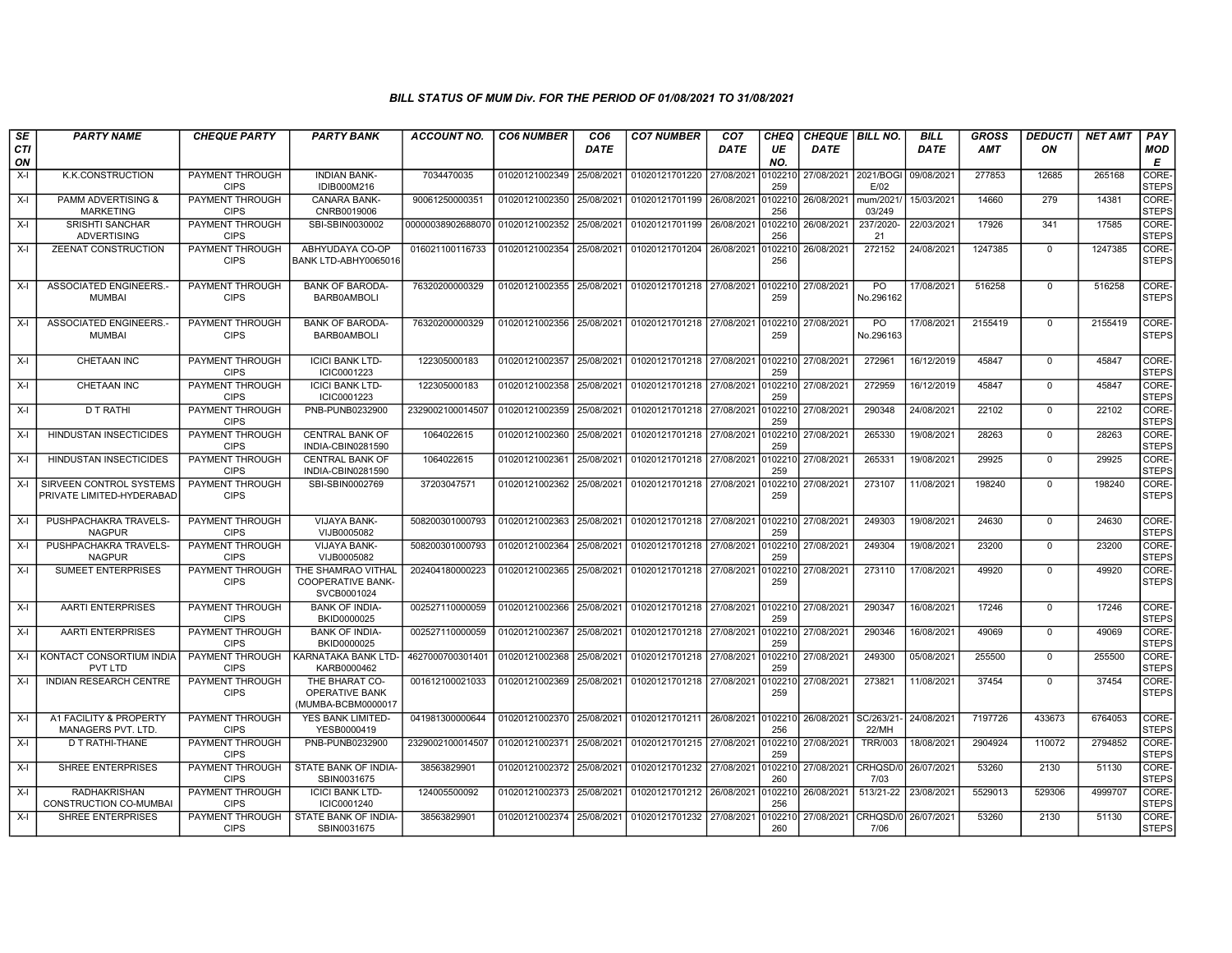| SE               | <b>PARTY NAME</b>                                    | <b>CHEQUE PARTY</b>                   | <b>PARTY BANK</b>                                             | <b>ACCOUNT NO.</b> | <b>CO6 NUMBER</b>         | CO6         | <b>CO7 NUMBER</b>         | CO <sub>7</sub> | CHEQ           | CHEQUE   BILL NO.    |                     | BILL        | <b>GROSS</b> | <b>DEDUCTI</b> | <b>NET AMT</b> | <b>PAY</b>            |
|------------------|------------------------------------------------------|---------------------------------------|---------------------------------------------------------------|--------------------|---------------------------|-------------|---------------------------|-----------------|----------------|----------------------|---------------------|-------------|--------------|----------------|----------------|-----------------------|
| <b>CTI</b><br>ON |                                                      |                                       |                                                               |                    |                           | <b>DATE</b> |                           | <b>DATE</b>     | UE<br>NO.      | <b>DATE</b>          |                     | <b>DATE</b> | <b>AMT</b>   | ON             |                | MOD<br>E              |
| $X-I$            | <b>K.K.CONSTRUCTION</b>                              | PAYMENT THROUGH<br><b>CIPS</b>        | <b>INDIAN BANK-</b><br>IDIB000M216                            | 7034470035         | 01020121002349            | 25/08/2021  | 01020121701220            | 27/08/2021      | 102210<br>259  | 27/08/2021 2021/BOGI | E/02                | 09/08/2021  | 277853       | 12685          | 265168         | CORE-<br><b>STEPS</b> |
| $X-I$            | <b>PAMM ADVERTISING &amp;</b><br><b>MARKETING</b>    | <b>PAYMENT THROUGH</b><br><b>CIPS</b> | <b>CANARA BANK-</b><br>CNRB0019006                            | 90061250000351     | 01020121002350 25/08/2021 |             | 01020121701199            | 26/08/2021      | 102210<br>256  | 26/08/2021           | mum/2021/<br>03/249 | 15/03/2021  | 14660        | 279            | 14381          | CORE-<br><b>STEPS</b> |
| $X-I$            | <b>SRISHTI SANCHAR</b><br><b>ADVERTISING</b>         | PAYMENT THROUGH<br><b>CIPS</b>        | SBI-SBIN0030002                                               | 00000038902688070  | 01020121002352            | 25/08/2021  | 01020121701199            | 26/08/2021      | 0102210<br>256 | 26/08/2021           | 237/2020-<br>21     | 22/03/2021  | 17926        | 341            | 17585          | CORE-<br><b>STEPS</b> |
| X-I              | ZEENAT CONSTRUCTION                                  | PAYMENT THROUGH<br><b>CIPS</b>        | ABHYUDAYA CO-OP<br>BANK LTD-ABHY0065016                       | 016021100116733    | 01020121002354            | 25/08/2021  | 01020121701204            | 26/08/2021      | 102210<br>256  | 26/08/2021           | 272152              | 24/08/2021  | 1247385      | $\Omega$       | 1247385        | CORE-<br><b>STEPS</b> |
| $X-I$            | ASSOCIATED ENGINEERS.<br><b>MUMBAI</b>               | PAYMENT THROUGH<br><b>CIPS</b>        | <b>BANK OF BARODA</b><br><b>BARB0AMBOLI</b>                   | 76320200000329     | 01020121002355            | 25/08/2021  | 01020121701218 27/08/2021 |                 | 102210<br>259  | 27/08/2021           | PO<br>No.296162     | 17/08/2021  | 516258       | $\Omega$       | 516258         | CORE-<br><b>STEPS</b> |
| $X-I$            | ASSOCIATED ENGINEERS.<br><b>MUMBAI</b>               | PAYMENT THROUGH<br><b>CIPS</b>        | <b>BANK OF BARODA-</b><br><b>BARB0AMBOLI</b>                  | 76320200000329     | 01020121002356            | 25/08/2021  | 01020121701218 27/08/2021 |                 | 102210<br>259  | 27/08/2021           | PO<br>No.296163     | 17/08/2021  | 2155419      | $\mathbf 0$    | 2155419        | CORE-<br><b>STEPS</b> |
| X-I              | CHETAAN INC                                          | PAYMENT THROUGH<br><b>CIPS</b>        | <b>ICICI BANK LTD-</b><br>ICIC0001223                         | 122305000183       | 01020121002357            | 25/08/2021  | 01020121701218 27/08/2021 |                 | )102210<br>259 | 27/08/2021           | 272961              | 16/12/2019  | 45847        | $\mathbf{0}$   | 45847          | CORE-<br><b>STEPS</b> |
| X-I              | CHETAAN INC                                          | PAYMENT THROUGH<br><b>CIPS</b>        | <b>ICICI BANK LTD-</b><br>ICIC0001223                         | 122305000183       | 01020121002358            | 25/08/2021  | 01020121701218 27/08/2021 |                 | 0102210<br>259 | 27/08/2021           | 272959              | 16/12/2019  | 45847        | $\Omega$       | 45847          | CORE-<br><b>STEPS</b> |
| X-I              | D T RATHI                                            | PAYMENT THROUGH<br><b>CIPS</b>        | PNB-PUNB0232900                                               | 2329002100014507   | 01020121002359            | 25/08/2021  | 01020121701218            | 27/08/2021      | 102210<br>259  | 27/08/2021           | 290348              | 24/08/2021  | 22102        | $\mathbf{0}$   | 22102          | CORE-<br><b>STEPS</b> |
| $X-I$            | <b>HINDUSTAN INSECTICIDES</b>                        | PAYMENT THROUGH<br><b>CIPS</b>        | <b>CENTRAL BANK OF</b><br>INDIA-CBIN0281590                   | 1064022615         | 01020121002360            | 25/08/2021  | 01020121701218            | 27/08/2021      | 0102210<br>259 | 27/08/2021           | 265330              | 19/08/2021  | 28263        | $\Omega$       | 28263          | CORE-<br><b>STEPS</b> |
| X-I              | <b>HINDUSTAN INSECTICIDES</b>                        | PAYMENT THROUGH<br><b>CIPS</b>        | <b>CENTRAL BANK OF</b><br>INDIA-CBIN0281590                   | 1064022615         | 01020121002361            | 25/08/2021  | 01020121701218            | 27/08/2021      | 0102210<br>259 | 27/08/2021           | 265331              | 19/08/2021  | 29925        | $\mathbf{0}$   | 29925          | CORE-<br><b>STEPS</b> |
| X-I              | SIRVEEN CONTROL SYSTEMS<br>PRIVATE LIMITED-HYDERABAD | PAYMENT THROUGH<br><b>CIPS</b>        | SBI-SBIN0002769                                               | 37203047571        | 01020121002362 25/08/2021 |             | 01020121701218 27/08/2021 |                 | 102210<br>259  | 27/08/2021           | 273107              | 11/08/2021  | 198240       | $\mathbf 0$    | 198240         | CORE-<br><b>STEPS</b> |
| $X-I$            | PUSHPACHAKRA TRAVELS-<br><b>NAGPUR</b>               | PAYMENT THROUGH<br><b>CIPS</b>        | <b>VIJAYA BANK-</b><br>VIJB0005082                            | 508200301000793    | 01020121002363            | 25/08/2021  | 01020121701218            | 27/08/2021      | 0102210<br>259 | 27/08/2021           | 249303              | 19/08/2021  | 24630        | $\Omega$       | 24630          | CORE-<br><b>STEPS</b> |
| $X-I$            | PUSHPACHAKRA TRAVELS-<br><b>NAGPUR</b>               | PAYMENT THROUGH<br><b>CIPS</b>        | <b>VIJAYA BANK-</b><br>VIJB0005082                            | 508200301000793    | 01020121002364            | 25/08/2021  | 01020121701218 27/08/2021 |                 | 0102210<br>259 | 27/08/2021           | 249304              | 19/08/2021  | 23200        | $\Omega$       | 23200          | CORE-<br><b>STEPS</b> |
| $X-I$            | <b>SUMEET ENTERPRISES</b>                            | <b>PAYMENT THROUGH</b><br><b>CIPS</b> | THE SHAMRAO VITHAL<br><b>COOPERATIVE BANK-</b><br>SVCB0001024 | 202404180000223    | 01020121002365            | 25/08/2021  | 01020121701218 27/08/2021 |                 | 102210<br>259  | 27/08/2021           | 273110              | 17/08/2021  | 49920        | $\mathbf{0}$   | 49920          | CORE-<br><b>STEPS</b> |
| X-I              | <b>AARTI ENTERPRISES</b>                             | PAYMENT THROUGH<br><b>CIPS</b>        | <b>BANK OF INDIA-</b><br>BKID0000025                          | 002527110000059    | 01020121002366            | 25/08/2021  | 01020121701218 27/08/2021 |                 | 102210<br>259  | 27/08/2021           | 290347              | 16/08/2021  | 17246        | $\Omega$       | 17246          | CORE-<br><b>STEPS</b> |
| X-I              | <b>AARTI ENTERPRISES</b>                             | PAYMENT THROUGH<br><b>CIPS</b>        | <b>BANK OF INDIA-</b><br>BKID0000025                          | 002527110000059    | 01020121002367            | 25/08/2021  | 01020121701218            | 27/08/2021      | 0102210<br>259 | 27/08/2021           | 290346              | 16/08/2021  | 49069        | $\mathbf{0}$   | 49069          | CORE-<br><b>STEPS</b> |
| $X-I$            | KONTACT CONSORTIUM INDIA<br><b>PVT LTD</b>           | PAYMENT THROUGH<br><b>CIPS</b>        | KARNATAKA BANK LTD-<br>KARB0000462                            | 4627000700301401   | 01020121002368            | 25/08/2021  | 01020121701218            | 27/08/2021      | 102210<br>259  | 27/08/2021           | 249300              | 05/08/2021  | 255500       | $\mathbf 0$    | 255500         | CORE-<br><b>STEPS</b> |
| $X-I$            | <b>INDIAN RESEARCH CENTRE</b>                        | PAYMENT THROUGH<br><b>CIPS</b>        | THE BHARAT CO-<br><b>OPERATIVE BANK</b><br>(MUMBA-BCBM0000017 | 001612100021033    | 01020121002369            | 25/08/2021  | 01020121701218            | 27/08/2021      | 102210<br>259  | 27/08/2021           | 273821              | 11/08/2021  | 37454        | $\Omega$       | 37454          | CORE-<br><b>STEPS</b> |
| $X-I$            | A1 FACILITY & PROPERTY<br>MANAGERS PVT. LTD.         | PAYMENT THROUGH<br><b>CIPS</b>        | YES BANK LIMITED-<br>YESB0000419                              | 041981300000644    | 01020121002370            | 25/08/2021  | 01020121701211            | 26/08/2021      | 0102210<br>256 | 26/08/2021 SC/263/21 | 22/MH               | 24/08/2021  | 7197726      | 433673         | 6764053        | CORE-<br><b>STEPS</b> |
| $X-I$            | D T RATHI-THANE                                      | PAYMENT THROUGH<br><b>CIPS</b>        | PNB-PUNB0232900                                               | 2329002100014507   | 01020121002371            | 25/08/2021  | 01020121701215            | 27/08/2021      | 0102210<br>259 | 27/08/2021           | <b>TRR/003</b>      | 18/08/2021  | 2904924      | 110072         | 2794852        | CORE-<br><b>STEPS</b> |
| X-I              | <b>SHREE ENTERPRISES</b>                             | PAYMENT THROUGH<br><b>CIPS</b>        | STATE BANK OF INDIA-<br>SBIN0031675                           | 38563829901        | 01020121002372            | 25/08/2021  | 01020121701232            | 27/08/2021      | 102210<br>260  | 27/08/2021           | CRHQSD/0<br>7/03    | 26/07/2021  | 53260        | 2130           | 51130          | CORE-<br><b>STEPS</b> |
| X-I              | <b>RADHAKRISHAN</b><br>CONSTRUCTION CO-MUMBAI        | <b>PAYMENT THROUGH</b><br><b>CIPS</b> | <b>ICICI BANK LTD-</b><br>ICIC0001240                         | 124005500092       | 01020121002373            | 25/08/2021  | 01020121701212 26/08/2021 |                 | 0102210<br>256 | 26/08/2021           | 513/21-22           | 23/08/2021  | 5529013      | 529306         | 4999707        | CORE-<br><b>STEPS</b> |
| $X-I$            | <b>SHREE ENTERPRISES</b>                             | PAYMENT THROUGH<br><b>CIPS</b>        | <b>STATE BANK OF INDIA-</b><br>SBIN0031675                    | 38563829901        | 01020121002374 25/08/2021 |             | 01020121701232            | 27/08/2021      | 102210<br>260  | 27/08/2021 CRHQSD/0  | 7/06                | 26/07/2021  | 53260        | 2130           | 51130          | CORE-<br><b>STEPS</b> |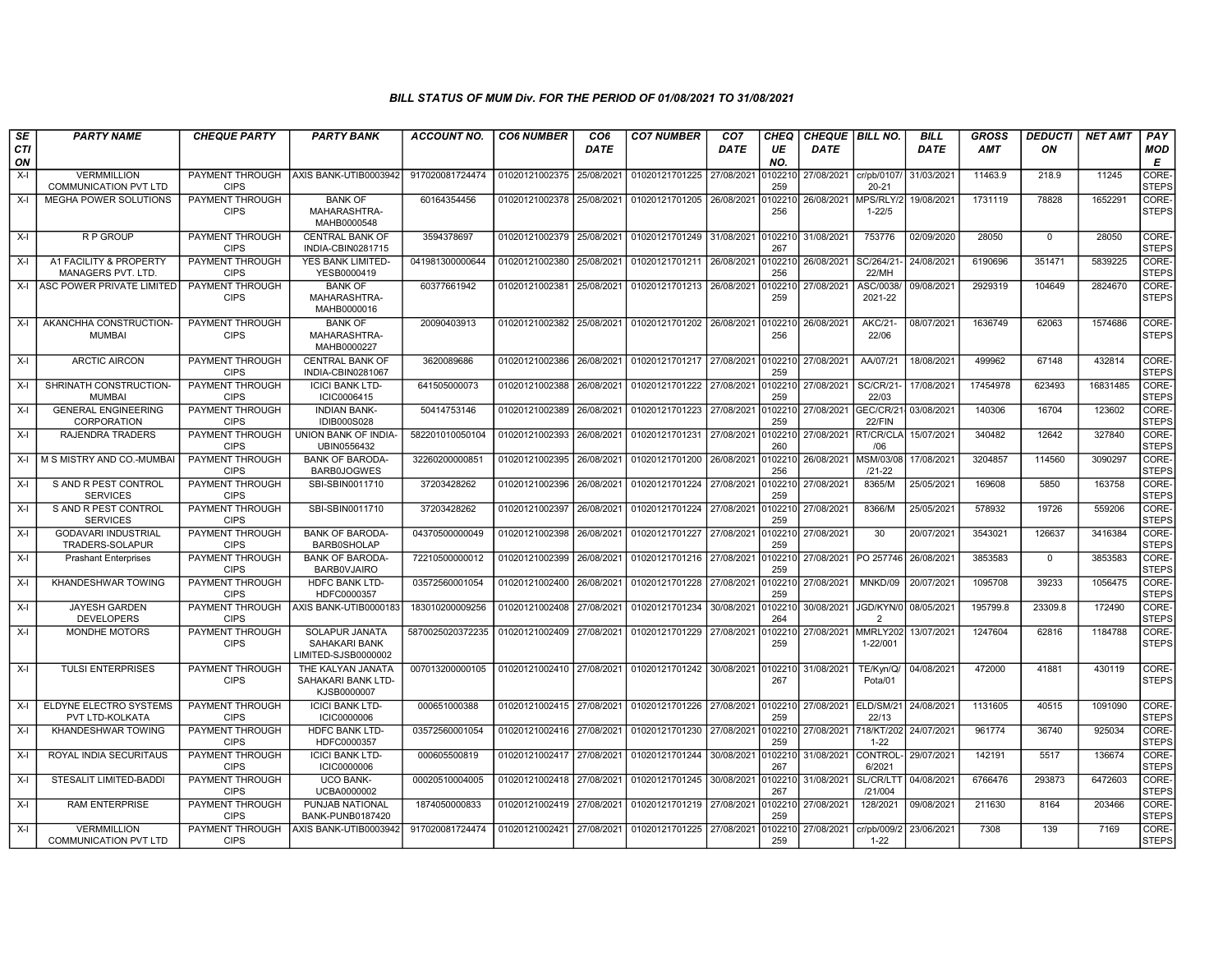| SE        | <b>PARTY NAME</b>                                  | <b>CHEQUE PARTY</b>                   | <b>PARTY BANK</b>                                      | <b>ACCOUNT NO.</b> | <b>CO6 NUMBER</b>         | CO <sub>6</sub> | <b>CO7 NUMBER</b>                                   | CO <sub>7</sub> | <b>CHEQ</b>    | <b>CHEQUE   BILL NO.</b> |                              | <b>BILL</b> | <b>GROSS</b> | <b>DEDUCTI</b> | <b>NET AMT</b> | <b>PAY</b>            |
|-----------|----------------------------------------------------|---------------------------------------|--------------------------------------------------------|--------------------|---------------------------|-----------------|-----------------------------------------------------|-----------------|----------------|--------------------------|------------------------------|-------------|--------------|----------------|----------------|-----------------------|
| CTI<br>ON |                                                    |                                       |                                                        |                    |                           | <b>DATE</b>     |                                                     | DATE            | UE<br>NO.      | <b>DATE</b>              |                              | <b>DATE</b> | <b>AMT</b>   | ON             |                | <b>MOD</b><br>E       |
| $X-I$     | <b>VERMMILLION</b><br><b>COMMUNICATION PVT LTD</b> | PAYMENT THROUGH<br><b>CIPS</b>        | AXIS BANK-UTIB0003942                                  | 917020081724474    | 01020121002375 25/08/2021 |                 | 01020121701225 27/08/2021                           |                 | 102210<br>259  | 27/08/2021               | cr/pb/0107/<br>$20 - 21$     | 31/03/2021  | 11463.9      | 218.9          | 11245          | CORE-<br><b>STEPS</b> |
| $X-I$     | <b>MEGHA POWER SOLUTIONS</b>                       | PAYMENT THROUGH<br><b>CIPS</b>        | <b>BANK OF</b><br>MAHARASHTRA-<br>MAHB0000548          | 60164354456        | 01020121002378 25/08/2021 |                 | 01020121701205 26/08/2021                           |                 | 102210<br>256  | 26/08/2021 MPS/RLY/2     | $1 - 22/5$                   | 19/08/2021  | 1731119      | 78828          | 1652291        | CORE-<br><b>STEPS</b> |
| X-I       | <b>RP GROUP</b>                                    | PAYMENT THROUGH<br><b>CIPS</b>        | <b>CENTRAL BANK OF</b><br>INDIA-CBIN0281715            | 3594378697         | 01020121002379            | 25/08/2021      | 01020121701249                                      | 31/08/2021      | 0102210<br>267 | 31/08/2021               | 753776                       | 02/09/2020  | 28050        | $\mathbf 0$    | 28050          | CORE-<br><b>STEPS</b> |
| $X-I$     | A1 FACILITY & PROPERTY<br>MANAGERS PVT. LTD.       | <b>PAYMENT THROUGH</b><br><b>CIPS</b> | <b>YES BANK LIMITED-</b><br>YESB0000419                | 041981300000644    | 01020121002380            | 25/08/2021      | 01020121701211                                      | 26/08/2021      | 0102210<br>256 | 26/08/2021               | SC/264/21<br>22/MH           | 24/08/2021  | 6190696      | 351471         | 5839225        | CORE-<br><b>STEPS</b> |
|           | X-I ASC POWER PRIVATE LIMITED                      | PAYMENT THROUGH<br><b>CIPS</b>        | <b>BANK OF</b><br>MAHARASHTRA-<br>MAHB0000016          | 60377661942        | 01020121002381            | 25/08/2021      | 01020121701213                                      | 26/08/2021      | 102210<br>259  | 27/08/2021               | ASC/0038/<br>2021-22         | 09/08/2021  | 2929319      | 104649         | 2824670        | CORE-<br><b>STEPS</b> |
| $X-I$     | AKANCHHA CONSTRUCTION-<br><b>MUMBAI</b>            | <b>PAYMENT THROUGH</b><br><b>CIPS</b> | <b>BANK OF</b><br>MAHARASHTRA-<br>MAHB0000227          | 20090403913        |                           |                 | 01020121002382 25/08/2021 01020121701202 26/08/2021 |                 | 0102210<br>256 | 26/08/2021               | <b>AKC/21-</b><br>22/06      | 08/07/2021  | 1636749      | 62063          | 1574686        | CORE-<br><b>STEPS</b> |
| $X-I$     | <b>ARCTIC AIRCON</b>                               | PAYMENT THROUGH<br><b>CIPS</b>        | <b>CENTRAL BANK OF</b><br>INDIA-CBIN0281067            | 3620089686         | 01020121002386            |                 | 26/08/2021 01020121701217 27/08/2021                |                 | 0102210<br>259 | 27/08/2021               | AA/07/21                     | 18/08/2021  | 499962       | 67148          | 432814         | CORE-<br><b>STEPS</b> |
| X-I       | SHRINATH CONSTRUCTION-<br><b>MUMBAI</b>            | PAYMENT THROUGH<br><b>CIPS</b>        | <b>ICICI BANK LTD-</b><br>ICIC0006415                  | 641505000073       | 01020121002388 26/08/2021 |                 | 01020121701222 27/08/2021                           |                 | 102210<br>259  | 27/08/2021               | <b>SC/CR/21</b><br>22/03     | 17/08/2021  | 17454978     | 623493         | 16831485       | CORE-<br><b>STEPS</b> |
| X-I       | <b>GENERAL ENGINEERING</b><br><b>CORPORATION</b>   | PAYMENT THROUGH<br><b>CIPS</b>        | <b>INDIAN BANK-</b><br><b>IDIB000S028</b>              | 50414753146        | 01020121002389            | 26/08/2021      | 01020121701223 27/08/2021                           |                 | 0102210<br>259 | 27/08/2021 GEC/CR/2      | <b>22/FIN</b>                | 03/08/2021  | 140306       | 16704          | 123602         | CORE-<br><b>STEPS</b> |
| $X-I$     | RAJENDRA TRADERS                                   | PAYMENT THROUGH<br><b>CIPS</b>        | UNION BANK OF INDIA-<br>UBIN0556432                    | 582201010050104    | 01020121002393            | 26/08/2021      | 01020121701231                                      | 27/08/2021      | 102210<br>260  | 27/08/2021               | RT/CR/CLA<br>/06             | 15/07/2021  | 340482       | 12642          | 327840         | CORE-<br><b>STEPS</b> |
|           | X-I   M S MISTRY AND CO.-MUMBA                     | PAYMENT THROUGH<br><b>CIPS</b>        | <b>BANK OF BARODA-</b><br><b>BARB0JOGWES</b>           | 3226020000085      | 01020121002395            | 26/08/2021      | 01020121701200                                      | 26/08/2021      | 0102210<br>256 | 26/08/2021               | <b>MSM/03/08</b><br>$/21-22$ | 17/08/2021  | 3204857      | 114560         | 3090297        | CORE-<br><b>STEPS</b> |
| $X-I$     | S AND R PEST CONTROL<br><b>SERVICES</b>            | PAYMENT THROUGH<br><b>CIPS</b>        | SBI-SBIN0011710                                        | 37203428262        | 01020121002396 26/08/2021 |                 | 01020121701224                                      | 27/08/2021      | 0102210<br>259 | 27/08/2021               | 8365/M                       | 25/05/2021  | 169608       | 5850           | 163758         | CORE-<br><b>STEPS</b> |
| $X-I$     | S AND R PEST CONTROL<br><b>SERVICES</b>            | <b>PAYMENT THROUGH</b><br><b>CIPS</b> | SBI-SBIN0011710                                        | 37203428262        | 01020121002397 26/08/2021 |                 | 01020121701224 27/08/2021                           |                 | 0102210<br>259 | 27/08/2021               | 8366/M                       | 25/05/2021  | 578932       | 19726          | 559206         | CORE-<br><b>STEPS</b> |
| $X-I$     | <b>GODAVARI INDUSTRIAL</b><br>TRADERS-SOLAPUR      | PAYMENT THROUGH<br><b>CIPS</b>        | <b>BANK OF BARODA-</b><br><b>BARB0SHOLAP</b>           | 04370500000049     | 01020121002398            | 26/08/2021      | 01020121701227                                      | 27/08/2021      | 102210<br>259  | 27/08/2021               | 30                           | 20/07/2021  | 3543021      | 126637         | 3416384        | CORE-<br><b>STEPS</b> |
| $X-I$     | <b>Prashant Enterprises</b>                        | PAYMENT THROUGH<br><b>CIPS</b>        | <b>BANK OF BARODA-</b><br><b>BARBOVJAIRO</b>           | 72210500000012     | 01020121002399            | 26/08/2021      | 01020121701216                                      | 27/08/2021      | 102210<br>259  | 27/08/2021   PO 257746   |                              | 26/08/2021  | 3853583      | $\mathbf 0$    | 3853583        | CORE-<br><b>STEPS</b> |
| $X-I$     | <b>KHANDESHWAR TOWING</b>                          | PAYMENT THROUGH<br><b>CIPS</b>        | <b>HDFC BANK LTD-</b><br>HDFC0000357                   | 03572560001054     | 01020121002400            | 26/08/2021      | 01020121701228                                      | 27/08/2021      | 0102210<br>259 | 27/08/2021               | MNKD/09                      | 20/07/2021  | 1095708      | 39233          | 1056475        | CORE-<br><b>STEPS</b> |
| $X-I$     | <b>JAYESH GARDEN</b><br><b>DEVELOPERS</b>          | <b>CIPS</b>                           | PAYMENT THROUGH AXIS BANK-UTIB0000183                  | 183010200009256    | 01020121002408 27/08/2021 |                 | 01020121701234                                      | 30/08/2021      | 0102210<br>264 | 30/08/2021 JJGD/KYN/0    | $\mathcal{P}$                | 08/05/2021  | 195799.8     | 23309.8        | 172490         | CORE-<br><b>STEPS</b> |
| X-I       | MONDHE MOTORS                                      | PAYMENT THROUGH<br><b>CIPS</b>        | SOLAPUR JANATA<br>SAHAKARI BANK<br>LIMITED-SJSB0000002 | 5870025020372235   | 01020121002409            | 27/08/2021      | 01020121701229                                      | 27/08/2021      | 102210<br>259  | 27/08/2021               | MMRLY202<br>1-22/001         | 13/07/2021  | 1247604      | 62816          | 1184788        | CORE-<br><b>STEPS</b> |
| $X-I$     | <b>TULSI ENTERPRISES</b>                           | PAYMENT THROUGH<br><b>CIPS</b>        | THE KALYAN JANATA<br>SAHAKARI BANK LTD-<br>KJSB0000007 | 007013200000105    | 01020121002410 27/08/2021 |                 | 01020121701242                                      | 30/08/2021      | 0102210<br>267 | 31/08/2021               | TE/Kyn/Q/<br>Pota/01         | 04/08/2021  | 472000       | 41881          | 430119         | CORE-<br><b>STEPS</b> |
| $X-I$     | ELDYNE ELECTRO SYSTEMS<br>PVT LTD-KOLKATA          | PAYMENT THROUGH<br><b>CIPS</b>        | <b>ICICI BANK LTD-</b><br><b>ICIC0000006</b>           | 000651000388       | 01020121002415 27/08/2021 |                 | 01020121701226 27/08/2021                           |                 | 0102210<br>259 | 27/08/2021 ELD/SM/21     | 22/13                        | 24/08/2021  | 1131605      | 40515          | 1091090        | CORE-<br><b>STEPS</b> |
| X-I       | KHANDESHWAR TOWING                                 | PAYMENT THROUGH<br><b>CIPS</b>        | <b>HDFC BANK LTD-</b><br>HDFC0000357                   | 03572560001054     | 01020121002416 27/08/2021 |                 | 01020121701230                                      | 27/08/2021      | 0102210<br>259 | 27/08/2021               | 718/KT/202<br>$1 - 22$       | 24/07/2021  | 961774       | 36740          | 925034         | CORE-<br><b>STEPS</b> |
| $X-I$     | ROYAL INDIA SECURITAUS                             | PAYMENT THROUGH<br><b>CIPS</b>        | <b>ICICI BANK LTD-</b><br><b>ICIC0000006</b>           | 000605500819       | 01020121002417            | 27/08/2021      | 01020121701244                                      | 30/08/2021      | 0102210<br>267 | 31/08/2021               | <b>CONTROL</b><br>6/2021     | 29/07/2021  | 142191       | 5517           | 136674         | CORE-<br><b>STEPS</b> |
| $X-I$     | STESALIT LIMITED-BADDI                             | PAYMENT THROUGH<br><b>CIPS</b>        | <b>UCO BANK-</b><br>UCBA0000002                        | 00020510004005     | 01020121002418 27/08/2021 |                 | 01020121701245                                      | 30/08/2021      | 102210<br>267  | 31/08/2021               | SL/CR/LTT<br>/21/004         | 04/08/2021  | 6766476      | 293873         | 6472603        | CORE-<br><b>STEPS</b> |
| X-I       | <b>RAM ENTERPRISE</b>                              | PAYMENT THROUGH<br><b>CIPS</b>        | PUNJAB NATIONAL<br>BANK-PUNB0187420                    | 1874050000833      | 01020121002419            | 27/08/2021      | 01020121701219                                      | 27/08/2021      | 0102210<br>259 | 27/08/2021               | 128/2021                     | 09/08/2021  | 211630       | 8164           | 203466         | CORE-<br><b>STEPS</b> |
| X-I       | VERMMILLION<br><b>COMMUNICATION PVT LTD</b>        | PAYMENT THROUGH<br><b>CIPS</b>        | AXIS BANK-UTIB0003942                                  | 917020081724474    | 01020121002421 27/08/2021 |                 | 01020121701225                                      | 27/08/2021      | 102210<br>259  | 27/08/2021               | cr/pb/009/2<br>$1-22$        | 23/06/2021  | 7308         | 139            | 7169           | CORE-<br><b>STEPS</b> |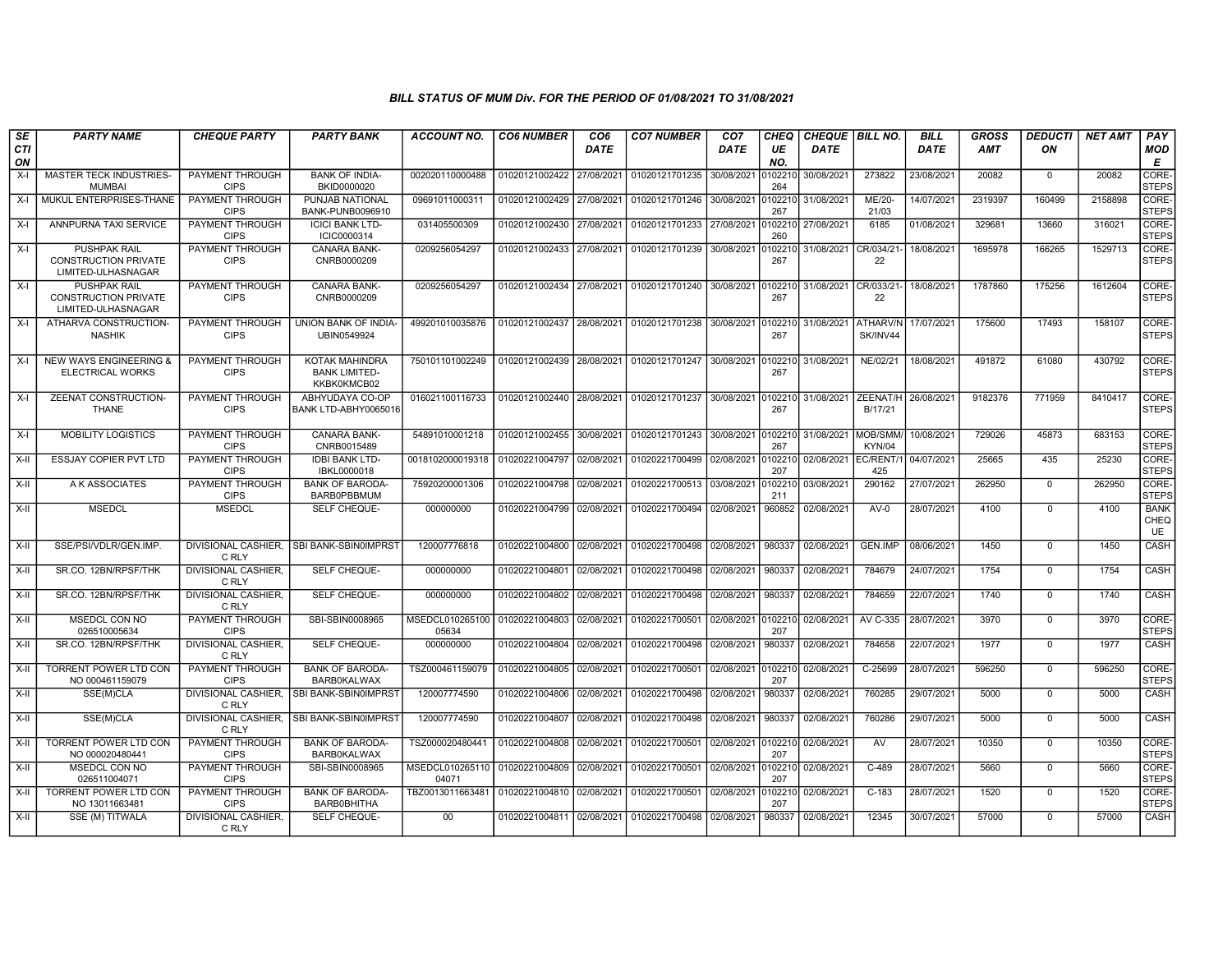| SE        | <b>PARTY NAME</b>                                                        | <b>CHEQUE PARTY</b>                   | <b>PARTY BANK</b>                                     | ACCOUNT NO.                             | <b>CO6 NUMBER</b>         | CO <sub>6</sub> | <b>CO7 NUMBER</b> | CO <sub>7</sub> | <b>CHEQ</b>    | <b>CHEQUE   BILL NO.</b>      |                             | <b>BILL</b> | <b>GROSS</b> | <b>DEDUCTI</b> | <b>NET AMT</b> | PAY                       |
|-----------|--------------------------------------------------------------------------|---------------------------------------|-------------------------------------------------------|-----------------------------------------|---------------------------|-----------------|-------------------|-----------------|----------------|-------------------------------|-----------------------------|-------------|--------------|----------------|----------------|---------------------------|
| CTI<br>ON |                                                                          |                                       |                                                       |                                         |                           | <b>DATE</b>     |                   | <b>DATE</b>     | UE<br>NO.      | <b>DATE</b>                   |                             | <b>DATE</b> | <b>AMT</b>   | ON             |                | MOD<br>E                  |
| $X-I$     | MASTER TECK INDUSTRIES-<br><b>MUMBAI</b>                                 | PAYMENT THROUGH<br><b>CIPS</b>        | <b>BANK OF INDIA-</b><br>BKID0000020                  | 002020110000488                         | 01020121002422            | 27/08/2021      | 01020121701235    | 30/08/2021      | 0102210<br>264 | 30/08/2021                    | 273822                      | 23/08/2021  | 20082        | $\mathbf{0}$   | 20082          | CORE-<br><b>STEPS</b>     |
| $X-I$     | MUKUL ENTERPRISES-THANE                                                  | PAYMENT THROUGH<br><b>CIPS</b>        | PUNJAB NATIONAL<br>BANK-PUNB0096910                   | 09691011000311                          | 01020121002429            | 27/08/2021      | 01020121701246    | 30/08/2021      | 0102210<br>267 | 31/08/2021                    | ME/20-<br>21/03             | 14/07/2021  | 2319397      | 160499         | 2158898        | CORE-<br><b>STEPS</b>     |
| $X-I$     | ANNPURNA TAXI SERVICE                                                    | PAYMENT THROUGH<br><b>CIPS</b>        | <b>ICICI BANK LTD-</b><br>ICIC0000314                 | 031405500309                            | 01020121002430            | 27/08/2021      | 01020121701233    | 27/08/2021      | 102210<br>260  | 27/08/2021                    | 6185                        | 01/08/2021  | 329681       | 13660          | 316021         | CORE-<br><b>STEPS</b>     |
| $X-I$     | <b>PUSHPAK RAIL</b><br><b>CONSTRUCTION PRIVATE</b><br>LIMITED-ULHASNAGAR | PAYMENT THROUGH<br><b>CIPS</b>        | CANARA BANK-<br>CNRB0000209                           | 0209256054297                           | 01020121002433            | 27/08/2021      | 01020121701239    | 30/08/2021      | 102210<br>267  | 31/08/2021                    | CR/034/21<br>22             | 18/08/2021  | 1695978      | 166265         | 1529713        | CORE-<br><b>STEPS</b>     |
| X-I       | <b>PUSHPAK RAIL</b><br><b>CONSTRUCTION PRIVATE</b><br>LIMITED-ULHASNAGAR | PAYMENT THROUGH<br><b>CIPS</b>        | CANARA BANK-<br>CNRB0000209                           | 0209256054297                           | 01020121002434            | 27/08/2021      | 01020121701240    | 30/08/2021      | 102210<br>267  | 31/08/2021 CR/033/21          | 22                          | 18/08/2021  | 1787860      | 175256         | 1612604        | CORE-<br><b>STEPS</b>     |
| X-I       | ATHARVA CONSTRUCTION-<br><b>NASHIK</b>                                   | <b>PAYMENT THROUGH</b><br><b>CIPS</b> | UNION BANK OF INDIA-<br>UBIN0549924                   | 499201010035876                         | 01020121002437            | 28/08/2021      | 01020121701238    | 30/08/2021      | 102210<br>267  | 31/08/2021                    | <b>ATHARV/N</b><br>SK/INV44 | 17/07/2021  | 175600       | 17493          | 158107         | CORE-<br><b>STEPS</b>     |
| $X-I$     | <b>NEW WAYS ENGINEERING &amp;</b><br>ELECTRICAL WORKS                    | PAYMENT THROUGH<br><b>CIPS</b>        | KOTAK MAHINDRA<br><b>BANK LIMITED-</b><br>KKBK0KMCB02 | 750101101002249                         | 01020121002439            | 28/08/2021      | 01020121701247    | 30/08/2021      | 102210<br>267  | 31/08/2021                    | NE/02/21                    | 18/08/2021  | 491872       | 61080          | 430792         | CORE-<br><b>STEPS</b>     |
| $X-I$     | ZEENAT CONSTRUCTION-<br>THANE                                            | PAYMENT THROUGH<br><b>CIPS</b>        | ABHYUDAYA CO-OP<br>BANK LTD-ABHY0065016               | 016021100116733                         | 01020121002440 28/08/2021 |                 | 01020121701237    | 30/08/2021      | 102210<br>267  | 31/08/2021                    | ZEENAT/H<br>B/17/21         | 26/08/2021  | 9182376      | 771959         | 8410417        | CORE-<br><b>STEPS</b>     |
| $X-I$     | <b>MOBILITY LOGISTICS</b>                                                | PAYMENT THROUGH<br><b>CIPS</b>        | <b>CANARA BANK-</b><br>CNRB0015489                    | 54891010001218                          | 01020121002455 30/08/2021 |                 | 01020121701243    | 30/08/2021      | 102210<br>267  | 31/08/2021 MOB/SMM            | KYN/04                      | 10/08/2021  | 729026       | 45873          | 683153         | CORE-<br><b>STEPS</b>     |
| X-II      | ESSJAY COPIER PVT LTD                                                    | PAYMENT THROUGH<br><b>CIPS</b>        | <b>IDBI BANK LTD-</b><br>IBKL0000018                  | 0018102000019318                        | 01020221004797            | 02/08/2021      | 01020221700499    | 02/08/2021      | 0102210<br>207 | 02/08/2021 EC/RENT/1          | 425                         | 04/07/2021  | 25665        | 435            | 25230          | CORE-<br><b>STEPS</b>     |
| X-II      | A K ASSOCIATES                                                           | PAYMENT THROUGH<br><b>CIPS</b>        | <b>BANK OF BARODA-</b><br><b>BARB0PBBMUM</b>          | 75920200001306                          | 01020221004798            | 02/08/2021      | 01020221700513    | 03/08/2021      | 102210<br>211  | 03/08/2021                    | 290162                      | 27/07/2021  | 262950       | $\mathbf 0$    | 262950         | CORE-<br><b>STEPS</b>     |
| X-II      | <b>MSEDCL</b>                                                            | <b>MSEDCL</b>                         | SELF CHEQUE-                                          | 000000000                               | 01020221004799            | 02/08/2021      | 01020221700494    | 02/08/2021      | 960852         | 02/08/2021                    | $AV-0$                      | 28/07/2021  | 4100         | $\mathbf{0}$   | 4100           | <b>BANK</b><br>CHEQ<br>UE |
| $X-H$     | SSE/PSI/VDLR/GEN.IMP.                                                    | C RLY                                 | DIVISIONAL CASHIER. ISBI BANK-SBIN0IMPRST             | 120007776818                            | 01020221004800 02/08/2021 |                 | 01020221700498    | 02/08/2021      | 980337         | 02/08/2021                    | <b>GEN.IMP</b>              | 08/06/2021  | 1450         | $\Omega$       | 1450           | CASH                      |
| $X-H$     | SR.CO. 12BN/RPSF/THK                                                     | <b>DIVISIONAL CASHIER.</b><br>C RLY   | <b>SELF CHEQUE-</b>                                   | 000000000                               | 01020221004801            | 02/08/2021      | 01020221700498    | 02/08/2021      | 980337         | 02/08/2021                    | 784679                      | 24/07/2021  | 1754         | $\mathbf 0$    | 1754           | CASH                      |
| $X-H$     | SR.CO. 12BN/RPSF/THK                                                     | <b>DIVISIONAL CASHIER.</b><br>C RLY   | <b>SELF CHEQUE-</b>                                   | 000000000                               | 01020221004802            | 02/08/2021      | 01020221700498    | 02/08/2021      | 980337         | 02/08/2021                    | 784659                      | 22/07/2021  | 1740         | $\Omega$       | 1740           | <b>CASH</b>               |
| X-II      | MSEDCL CON NO<br>026510005634                                            | PAYMENT THROUGH<br><b>CIPS</b>        | SBI-SBIN0008965                                       | MSEDCL010265100 01020221004803<br>05634 |                           | 02/08/2021      | 01020221700501    |                 | 207            | 02/08/2021 0102210 02/08/2021 | AV C-335                    | 28/07/2021  | 3970         | $\Omega$       | 3970           | CORE-<br><b>STEPS</b>     |
| X-II      | SR.CO. 12BN/RPSF/THK                                                     | DIVISIONAL CASHIER,<br>C RLY          | SELF CHEQUE-                                          | 000000000                               | 01020221004804            | 02/08/2021      | 01020221700498    | 02/08/2021      | 980337         | 02/08/2021                    | 784658                      | 22/07/2021  | 1977         | $\mathbf 0$    | 1977           | CASH                      |
| $X-H$     | <b>TORRENT POWER LTD CON</b><br>NO 000461159079                          | PAYMENT THROUGH<br><b>CIPS</b>        | <b>BANK OF BARODA</b><br><b>BARB0KALWAX</b>           | TSZ000461159079                         | 01020221004805            | 02/08/2021      | 01020221700501    | 02/08/2021      | 0102210<br>207 | 02/08/2021                    | $C-25699$                   | 28/07/2021  | 596250       | $\Omega$       | 596250         | CORE-<br><b>STEPS</b>     |
| X-II      | SSE(M)CLA                                                                | DIVISIONAL CASHIER.<br>C RLY          | <b>ISBI BANK-SBIN0IMPRST</b>                          | 120007774590                            | 01020221004806 02/08/2021 |                 | 01020221700498    | 02/08/2021      | 980337         | 02/08/2021                    | 760285                      | 29/07/2021  | 5000         | $\mathbf 0$    | 5000           | CASH                      |
| $X-H$     | SSE(M)CLA                                                                | <b>DIVISIONAL CASHIER,</b><br>C RLY   | <b>SBI BANK-SBIN0IMPRST</b>                           | 120007774590                            | 01020221004807            | 02/08/2021      | 01020221700498    | 02/08/2021      | 980337         | 02/08/2021                    | 760286                      | 29/07/2021  | 5000         | $\mathbf 0$    | 5000           | <b>CASH</b>               |
| X-II      | <b>TORRENT POWER LTD CON</b><br>NO 000020480441                          | PAYMENT THROUGH<br><b>CIPS</b>        | <b>BANK OF BARODA-</b><br><b>BARB0KALWAX</b>          | TSZ000020480441                         | 01020221004808            | 02/08/2021      | 01020221700501    | 02/08/2021      | 0102210<br>207 | 02/08/2021                    | AV                          | 28/07/2021  | 10350        | $\Omega$       | 10350          | CORE-<br><b>STEPS</b>     |
| X-II      | MSEDCL CON NO<br>026511004071                                            | PAYMENT THROUGH<br><b>CIPS</b>        | SBI-SBIN0008965                                       | MSEDCL010265110<br>04071                | 01020221004809            | 02/08/2021      | 01020221700501    | 02/08/2021      | 102210<br>207  | 02/08/2021                    | C-489                       | 28/07/2021  | 5660         | $\mathbf 0$    | 5660           | CORE-<br><b>STEPS</b>     |
| $X-H$     | <b>TORRENT POWER LTD CON</b><br>NO 13011663481                           | <b>PAYMENT THROUGH</b><br><b>CIPS</b> | <b>BANK OF BARODA</b><br><b>BARB0BHITHA</b>           | TBZ0013011663481                        | 01020221004810 02/08/2021 |                 | 01020221700501    | 02/08/2021      | 0102210<br>207 | 02/08/2021                    | $C-183$                     | 28/07/2021  | 1520         | $\Omega$       | 1520           | CORE-<br><b>STEPS</b>     |
| X-II      | SSE (M) TITWALA                                                          | DIVISIONAL CASHIER.<br>C RLY          | SELF CHEQUE-                                          | $00\,$                                  | 01020221004811 02/08/2021 |                 | 01020221700498    | 02/08/2021      | 980337         | 02/08/2021                    | 12345                       | 30/07/2021  | 57000        | $\Omega$       | 57000          | CASH                      |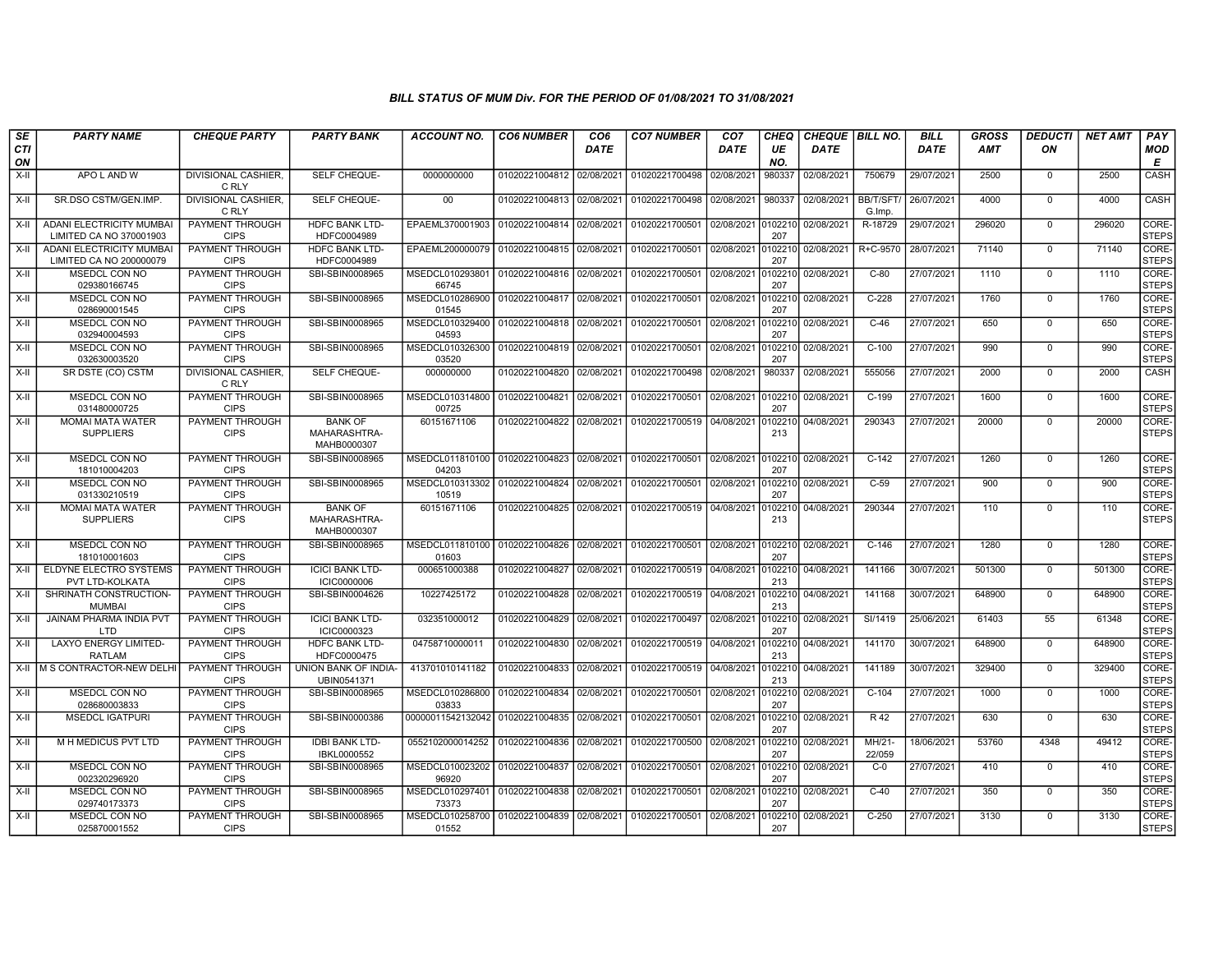| SE               | <b>PARTY NAME</b>                                          | <b>CHEQUE PARTY</b>                   | <b>PARTY BANK</b>                             | <b>ACCOUNT NO.</b>                                 | <b>CO6 NUMBER</b>         | CO <sub>6</sub> | <b>CO7 NUMBER</b>                            | CO <sub>7</sub> | CHEQ           | <b>CHEQUE   BILL NO.</b> |                            | <b>BILL</b> | <b>GROSS</b> | <i><b>DEDUCTI</b></i> | <b>NET AMT</b> | <b>PAY</b>            |
|------------------|------------------------------------------------------------|---------------------------------------|-----------------------------------------------|----------------------------------------------------|---------------------------|-----------------|----------------------------------------------|-----------------|----------------|--------------------------|----------------------------|-------------|--------------|-----------------------|----------------|-----------------------|
| <b>CTI</b><br>ON |                                                            |                                       |                                               |                                                    |                           | <b>DATE</b>     |                                              | <b>DATE</b>     | UE<br>NO.      | <b>DATE</b>              |                            | <b>DATE</b> | AMT          | ON                    |                | <b>MOD</b><br>E       |
| $X-H$            | APO L AND W                                                | DIVISIONAL CASHIER,<br>C RLY          | SELF CHEQUE-                                  | 0000000000                                         | 01020221004812 02/08/2021 |                 | 01020221700498 02/08/2021                    |                 | 980337         | 02/08/2021               | 750679                     | 29/07/2021  | 2500         | $\mathbf 0$           | 2500           | <b>CASH</b>           |
| $X-H$            | SR.DSO CSTM/GEN.IMP.                                       | <b>DIVISIONAL CASHIER.</b><br>C RLY   | SELF CHEQUE-                                  | $00 \,$                                            | 01020221004813            | 02/08/2021      | 01020221700498 02/08/2021                    |                 | 980337         | 02/08/2021               | <b>BB/T/SFT/</b><br>G.Imp. | 26/07/2021  | 4000         | $\Omega$              | 4000           | CASH                  |
| $X-II$           | <b>ADANI ELECTRICITY MUMBAI</b><br>LIMITED CA NO 370001903 | PAYMENT THROUGH<br><b>CIPS</b>        | <b>HDFC BANK LTD-</b><br>HDFC0004989          | EPAEML370001903                                    | 01020221004814            | 02/08/2021      | 01020221700501                               | 02/08/2021      | 0102210<br>207 | 02/08/2021               | R-18729                    | 29/07/2021  | 296020       | $\mathbf 0$           | 296020         | CORE-<br><b>STEPS</b> |
| $X-II$           | ADANI ELECTRICITY MUMBAI<br>LIMITED CA NO 200000079        | PAYMENT THROUGH<br><b>CIPS</b>        | <b>HDFC BANK LTD-</b><br>HDFC0004989          | EPAEML200000079                                    | 01020221004815            | 02/08/2021      | 01020221700501                               | 02/08/2021      | 0102210<br>207 | 02/08/2021               | R+C-9570                   | 28/07/2021  | 71140        | $\overline{0}$        | 71140          | CORE-<br><b>STEPS</b> |
| $X-H$            | <b>MSEDCL CON NO</b><br>029380166745                       | PAYMENT THROUGH<br><b>CIPS</b>        | SBI-SBIN0008965                               | MSEDCL010293801<br>66745                           | 01020221004816            | 02/08/2021      | 01020221700501                               | 02/08/2021      | 102210<br>207  | 02/08/2021               | $C-80$                     | 27/07/2021  | 1110         | $\mathbf 0$           | 1110           | CORE-<br><b>STEPS</b> |
| $X-H$            | MSEDCL CON NO<br>028690001545                              | PAYMENT THROUGH<br><b>CIPS</b>        | SBI-SBIN0008965                               | MSEDCL010286900<br>01545                           | 01020221004817 02/08/2021 |                 | 01020221700501 02/08/2021 0102210 02/08/2021 |                 | 207            |                          | $C-228$                    | 27/07/2021  | 1760         | $\mathbf 0$           | 1760           | CORE-<br><b>STEPS</b> |
| X-II             | MSEDCL CON NO<br>032940004593                              | PAYMENT THROUGH<br><b>CIPS</b>        | SBI-SBIN0008965                               | MSEDCL010329400<br>04593                           | 01020221004818            | 02/08/2021      | 01020221700501                               | 02/08/2021      | 102210<br>207  | 02/08/2021               | $C-46$                     | 27/07/2021  | 650          | $\mathbf 0$           | 650            | CORE-<br>STEPS        |
| $X-H$            | MSEDCL CON NO<br>032630003520                              | PAYMENT THROUGH<br><b>CIPS</b>        | SBI-SBIN0008965                               | MSEDCL010326300<br>03520                           | 01020221004819            | 02/08/2021      | 01020221700501                               | 02/08/2021      | 102210<br>207  | 02/08/2021               | $C-100$                    | 27/07/2021  | 990          | $\Omega$              | 990            | CORE-<br>STEPS        |
| X-II             | SR DSTE (CO) CSTM                                          | <b>DIVISIONAL CASHIER,</b><br>C RLY   | SELF CHEQUE-                                  | 000000000                                          | 01020221004820            | 02/08/2021      | 01020221700498                               | 02/08/2021      | 980337         | 02/08/2021               | 555056                     | 27/07/2021  | 2000         | $\mathbf 0$           | 2000           | <b>CASH</b>           |
| $X-H$            | MSEDCL CON NO<br>031480000725                              | <b>PAYMENT THROUGH</b><br><b>CIPS</b> | SBI-SBIN0008965                               | MSEDCL010314800<br>00725                           | 01020221004821            | 02/08/2021      | 01020221700501                               | 02/08/2021      | 0102210<br>207 | 02/08/2021               | $C-199$                    | 27/07/2021  | 1600         | $\mathbf 0$           | 1600           | CORE-<br><b>STEPS</b> |
| X-II             | <b>MOMAI MATA WATER</b><br><b>SUPPLIERS</b>                | PAYMENT THROUGH<br><b>CIPS</b>        | <b>BANK OF</b><br>MAHARASHTRA-<br>MAHB0000307 | 60151671106                                        | 01020221004822            | 02/08/2021      | 01020221700519 04/08/2021                    |                 | 0102210<br>213 | 04/08/2021               | 290343                     | 27/07/2021  | 20000        | $\Omega$              | 20000          | CORE-<br><b>STEPS</b> |
| $X-H$            | MSEDCL CON NO<br>181010004203                              | PAYMENT THROUGH<br><b>CIPS</b>        | SBI-SBIN0008965                               | MSEDCL011810100<br>04203                           | 01020221004823            | 02/08/2021      | 01020221700501                               | 02/08/2021      | 0102210<br>207 | 02/08/2021               | $\overline{C-142}$         | 27/07/2021  | 1260         | $\mathbf 0$           | 1260           | CORE-<br><b>STEPS</b> |
| X-II             | MSEDCL CON NO<br>031330210519                              | <b>PAYMENT THROUGH</b><br><b>CIPS</b> | SBI-SBIN0008965                               | MSEDCL010313302<br>10519                           | 01020221004824            | 02/08/2021      | 01020221700501                               | 02/08/2021      | 102210<br>207  | 02/08/2021               | $C-59$                     | 27/07/2021  | 900          | $\mathbf 0$           | 900            | CORE-<br><b>STEPS</b> |
| X-II             | <b>MOMAI MATA WATER</b><br><b>SUPPLIERS</b>                | PAYMENT THROUGH<br><b>CIPS</b>        | <b>BANK OF</b><br>MAHARASHTRA-<br>MAHB0000307 | 60151671106                                        | 01020221004825            | 02/08/2021      | 01020221700519 04/08/2021                    |                 | 102210<br>213  | 04/08/2021               | 290344                     | 27/07/2021  | 110          | $\Omega$              | 110            | CORE-<br><b>STEPS</b> |
| $X-H$            | MSEDCL CON NO<br>181010001603                              | PAYMENT THROUGH<br><b>CIPS</b>        | SBI-SBIN0008965                               | MSEDCL011810100 01020221004826 02/08/2021<br>01603 |                           |                 | 01020221700501 02/08/2021 0102210 02/08/2021 |                 | 207            |                          | $C-146$                    | 27/07/2021  | 1280         | $\Omega$              | 1280           | CORE-<br><b>STEPS</b> |
| X-II             | ELDYNE ELECTRO SYSTEMS<br>PVT LTD-KOLKATA                  | PAYMENT THROUGH<br><b>CIPS</b>        | <b>ICICI BANK LTD-</b><br><b>ICIC0000006</b>  | 000651000388                                       | 01020221004827            | 02/08/2021      | 01020221700519 04/08/2021                    |                 | 102210<br>213  | 04/08/2021               | 141166                     | 30/07/2021  | 501300       | $\mathbf 0$           | 501300         | CORE-<br><b>STEPS</b> |
| $X-H$            | SHRINATH CONSTRUCTION-<br><b>MUMBAI</b>                    | <b>PAYMENT THROUGH</b><br><b>CIPS</b> | SBI-SBIN0004626                               | 10227425172                                        | 01020221004828            | 02/08/2021      | 01020221700519 04/08/2021                    |                 | 102210<br>213  | 04/08/2021               | 141168                     | 30/07/2021  | 648900       | $\Omega$              | 648900         | CORE-<br><b>STEPS</b> |
| X-II             | <b>JAINAM PHARMA INDIA PVT</b><br>LTD.                     | <b>PAYMENT THROUGH</b><br><b>CIPS</b> | <b>ICICI BANK LTD-</b><br>ICIC0000323         | 032351000012                                       | 01020221004829            | 02/08/2021      | 01020221700497                               | 02/08/2021      | 102210<br>207  | 02/08/2021               | SI/1419                    | 25/06/2021  | 61403        | 55                    | 61348          | CORE-<br><b>STEPS</b> |
| $X-H$            | <b>LAXYO ENERGY LIMITED-</b><br><b>RATLAM</b>              | <b>PAYMENT THROUGH</b><br><b>CIPS</b> | <b>HDFC BANK LTD-</b><br>HDFC0000475          | 04758710000011                                     | 01020221004830            | 02/08/2021      | 01020221700519 04/08/2021                    |                 | 213            | 0102210 04/08/2021       | 141170                     | 30/07/2021  | 648900       | $\overline{0}$        | 648900         | CORE-<br><b>STEPS</b> |
| $X-H$            | M S CONTRACTOR-NEW DELHI                                   | PAYMENT THROUGH<br><b>CIPS</b>        | UNION BANK OF INDIA-<br>UBIN0541371           | 413701010141182                                    | 01020221004833            | 02/08/2021      | 01020221700519 04/08/2021                    |                 | 0102210<br>213 | 04/08/2021               | 141189                     | 30/07/2021  | 329400       | $\Omega$              | 329400         | CORE-<br><b>STEPS</b> |
| X-II             | MSEDCL CON NO<br>028680003833                              | PAYMENT THROUGH<br><b>CIPS</b>        | SBI-SBIN0008965                               | MSEDCL010286800<br>03833                           | 01020221004834            | 02/08/2021      | 01020221700501                               | 02/08/2021      | 102210<br>207  | 02/08/2021               | $C-104$                    | 27/07/2021  | 1000         | $\mathbf 0$           | 1000           | CORE-<br><b>STEPS</b> |
| X-II             | <b>MSEDCL IGATPURI</b>                                     | <b>PAYMENT THROUGH</b><br><b>CIPS</b> | SBI-SBIN0000386                               | 00000011542132042                                  | 01020221004835            | 02/08/2021      | 01020221700501 02/08/2021                    |                 | 0102210<br>207 | 02/08/2021               | R <sub>42</sub>            | 27/07/2021  | 630          | $\mathbf 0$           | 630            | CORE-<br><b>STEPS</b> |
| X-II             | M H MEDICUS PVT LTD                                        | <b>PAYMENT THROUGH</b><br><b>CIPS</b> | <b>IDBI BANK LTD-</b><br>IBKL0000552          | 0552102000014252                                   | 01020221004836            | 02/08/2021      | 01020221700500                               | 02/08/2021      | 102210<br>207  | 02/08/2021               | $MH/21-$<br>22/059         | 18/06/2021  | 53760        | 4348                  | 49412          | CORE-<br><b>STEPS</b> |
| X-II             | MSEDCL CON NO<br>002320296920                              | <b>PAYMENT THROUGH</b><br><b>CIPS</b> | SBI-SBIN0008965                               | MSEDCL010023202<br>96920                           | 01020221004837            | 02/08/2021      | 01020221700501                               | 02/08/2021      | 102210<br>207  | 02/08/2021               | $C-0$                      | 27/07/2021  | 410          | $\mathbf 0$           | 410            | CORE-<br><b>STEPS</b> |
| X-II             | MSEDCL CON NO<br>029740173373                              | PAYMENT THROUGH<br><b>CIPS</b>        | SBI-SBIN0008965                               | MSEDCL010297401<br>73373                           | 01020221004838            | 02/08/2021      | 01020221700501                               | 02/08/2021      | 102210<br>207  | 02/08/2021               | $C-40$                     | 27/07/2021  | 350          | $\Omega$              | 350            | CORE-<br>STEPS        |
| X-II             | MSEDCL CON NO<br>025870001552                              | PAYMENT THROUGH<br><b>CIPS</b>        | SBI-SBIN0008965                               | MSEDCL010258700<br>01552                           | 01020221004839            | 02/08/2021      | 01020221700501 02/08/2021                    |                 | 207            | 102210 02/08/2021        | $C-250$                    | 27/07/2021  | 3130         | $\mathbf 0$           | 3130           | CORE-<br>STEPS        |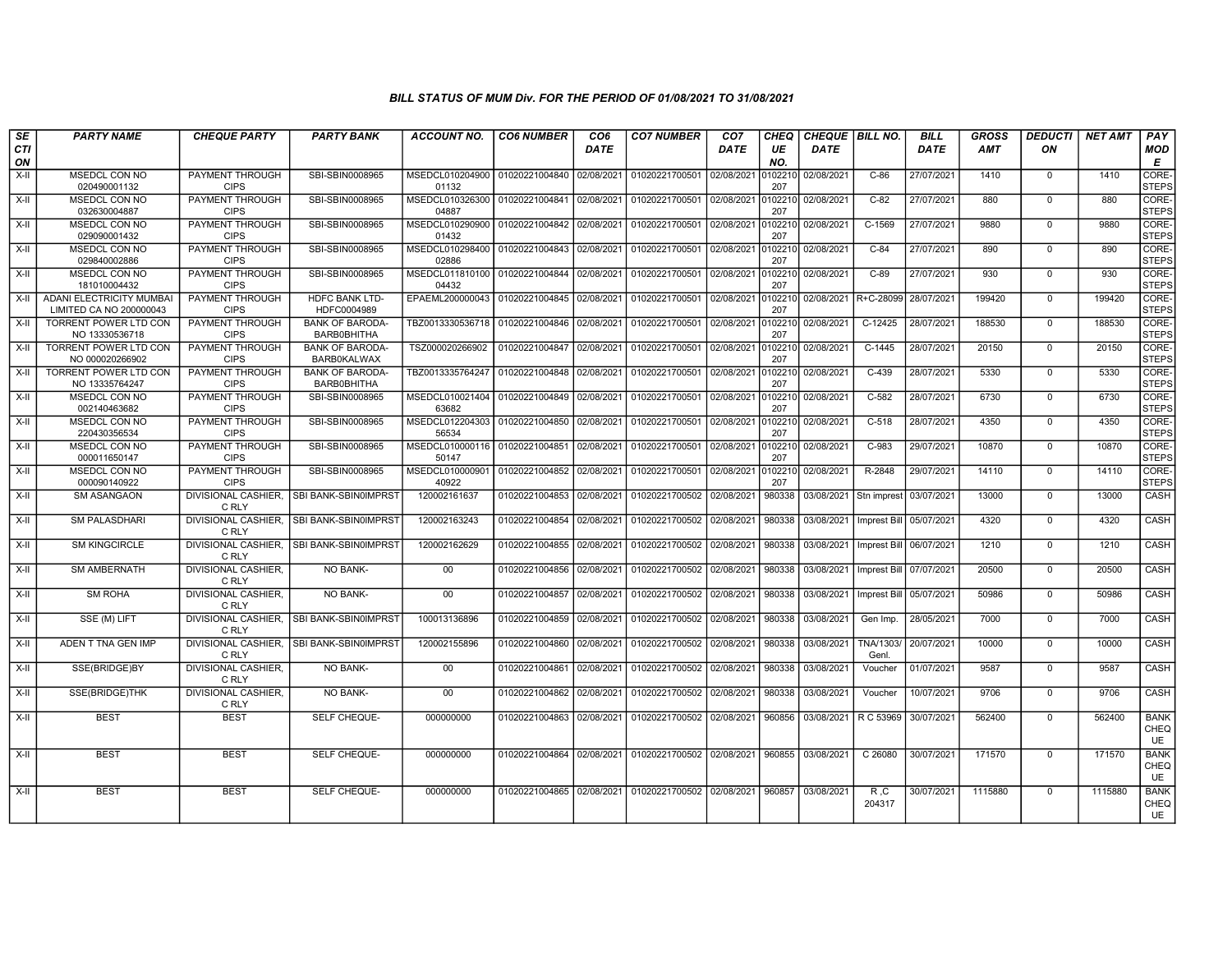| SE        | <b>PARTY NAME</b>                                          | <b>CHEQUE PARTY</b>                   | <b>PARTY BANK</b>                            | <b>ACCOUNT NO.</b>                                 | <b>CO6 NUMBER</b>         | CO <sub>6</sub> | <b>CO7 NUMBER</b> | CO <sub>7</sub> | <b>CHEQ</b>    | <b>CHEQUE BILL NO.</b> |                                   | <b>BILL</b> | <b>GROSS</b> | <b>DEDUCTI</b> | <b>NET AMT</b> | PAY                       |
|-----------|------------------------------------------------------------|---------------------------------------|----------------------------------------------|----------------------------------------------------|---------------------------|-----------------|-------------------|-----------------|----------------|------------------------|-----------------------------------|-------------|--------------|----------------|----------------|---------------------------|
| CTI<br>ON |                                                            |                                       |                                              |                                                    |                           | <b>DATE</b>     |                   | DATE            | UE<br>NO.      | DATE                   |                                   | <b>DATE</b> | <b>AMT</b>   | ON             |                | <b>MOD</b><br>E           |
| $X-H$     | <b>MSEDCL CON NO</b><br>020490001132                       | PAYMENT THROUGH<br><b>CIPS</b>        | SBI-SBIN0008965                              | MSEDCL010204900 01020221004840 02/08/2021<br>01132 |                           |                 | 01020221700501    | 02/08/2021      | 102210<br>207  | 02/08/2021             | $C-86$                            | 27/07/2021  | 1410         | $\Omega$       | 1410           | CORE-<br><b>STEPS</b>     |
| X-II      | <b>MSEDCL CON NO</b><br>032630004887                       | PAYMENT THROUGH<br><b>CIPS</b>        | SBI-SBIN0008965                              | MSEDCL010326300 01020221004841<br>04887            |                           | 02/08/2021      | 01020221700501    | 02/08/2021      | 102210<br>207  | 02/08/2021             | $C-82$                            | 27/07/2021  | 880          | $\mathbf{0}$   | 880            | CORE-<br><b>STEPS</b>     |
| X-II      | MSEDCL CON NO<br>029090001432                              | PAYMENT THROUGH<br><b>CIPS</b>        | SBI-SBIN0008965                              | MSEDCL010290900<br>01432                           | 01020221004842            | 02/08/2021      | 01020221700501    | 02/08/2021      | 102210<br>207  | 02/08/2021             | C-1569                            | 27/07/2021  | 9880         | $\mathbf 0$    | 9880           | CORE-<br><b>STEPS</b>     |
| X-II      | MSEDCL CON NO<br>029840002886                              | PAYMENT THROUGH<br><b>CIPS</b>        | SBI-SBIN0008965                              | MSEDCL010298400 01020221004843 02/08/2021<br>02886 |                           |                 | 01020221700501    | 02/08/2021      | 0102210<br>207 | 02/08/2021             | $C-84$                            | 27/07/2021  | 890          | $\mathbf{0}$   | 890            | CORE-<br><b>STEPS</b>     |
| $X-H$     | MSEDCL CON NO<br>181010004432                              | <b>PAYMENT THROUGH</b><br><b>CIPS</b> | SBI-SBIN0008965                              | MSEDCL011810100 01020221004844<br>04432            |                           | 02/08/2021      | 01020221700501    | 02/08/2021      | 102210<br>207  | 02/08/2021             | $C-89$                            | 27/07/2021  | 930          | $\Omega$       | 930            | CORE-<br><b>STEPS</b>     |
| $X-H$     | <b>ADANI ELECTRICITY MUMBAI</b><br>LIMITED CA NO 200000043 | PAYMENT THROUGH<br><b>CIPS</b>        | <b>HDFC BANK LTD-</b><br>HDFC0004989         | EPAEML200000043 01020221004845 02/08/2021          |                           |                 | 01020221700501    | 02/08/2021      | 102210<br>207  | 02/08/2021 R+C-28099   |                                   | 28/07/2021  | 199420       | $\Omega$       | 199420         | CORE-<br><b>STEPS</b>     |
| X-II      | TORRENT POWER LTD CON<br>NO 13330536718                    | PAYMENT THROUGH<br><b>CIPS</b>        | <b>BANK OF BARODA-</b><br>BARB0BHITHA        | TBZ0013330536718                                   | 01020221004846 02/08/2021 |                 | 01020221700501    | 02/08/2021      | 0102210<br>207 | 02/08/2021             | C-12425                           | 28/07/2021  | 188530       | $\Omega$       | 188530         | CORE-<br><b>STEPS</b>     |
| X-II      | TORRENT POWER LTD CON<br>NO 000020266902                   | PAYMENT THROUGH<br><b>CIPS</b>        | <b>BANK OF BARODA-</b><br><b>BARB0KALWAX</b> | TSZ000020266902                                    | 01020221004847            | 02/08/2021      | 01020221700501    | 02/08/2021      | 102210<br>207  | 02/08/2021             | $C-1445$                          | 28/07/2021  | 20150        | $\mathbf 0$    | 20150          | CORE-<br><b>STEPS</b>     |
| X-II      | TORRENT POWER LTD CON<br>NO 13335764247                    | PAYMENT THROUGH<br><b>CIPS</b>        | <b>BANK OF BARODA</b><br>BARB0BHITHA         | TBZ0013335764247                                   | 01020221004848 02/08/2021 |                 | 01020221700501    | 02/08/2021      | 0102210<br>207 | 02/08/2021             | $C-439$                           | 28/07/2021  | 5330         | $\mathbf 0$    | 5330           | CORE-<br><b>STEPS</b>     |
| $X-H$     | MSEDCL CON NO<br>002140463682                              | PAYMENT THROUGH<br><b>CIPS</b>        | SBI-SBIN0008965                              | MSEDCL010021404<br>63682                           | 01020221004849 02/08/2021 |                 | 01020221700501    | 02/08/2021      | 0102210<br>207 | 02/08/2021             | $C-582$                           | 28/07/2021  | 6730         | $\mathbf 0$    | 6730           | CORE-<br><b>STEPS</b>     |
| X-II      | MSEDCL CON NO<br>220430356534                              | PAYMENT THROUGH<br><b>CIPS</b>        | SBI-SBIN0008965                              | MSEDCL012204303<br>56534                           | 01020221004850 02/08/2021 |                 | 01020221700501    | 02/08/2021      | 102210<br>207  | 02/08/2021             | $C-518$                           | 28/07/2021  | 4350         | $\Omega$       | 4350           | CORE-<br><b>STEPS</b>     |
| X-II      | MSEDCL CON NO<br>000011650147                              | PAYMENT THROUGH<br><b>CIPS</b>        | SBI-SBIN0008965                              | MSEDCL010000116<br>50147                           | 01020221004851            | 02/08/2021      | 01020221700501    | 02/08/2021      | 0102210<br>207 | 02/08/2021             | C-983                             | 29/07/2021  | 10870        | $\Omega$       | 10870          | CORE-<br><b>STEPS</b>     |
| $X-H$     | <b>MSEDCL CON NO</b><br>000090140922                       | PAYMENT THROUGH<br><b>CIPS</b>        | SBI-SBIN0008965                              | MSEDCL010000901<br>40922                           | 01020221004852            | 02/08/2021      | 01020221700501    | 02/08/2021      | 102210<br>207  | 02/08/2021             | R-2848                            | 29/07/2021  | 14110        | $\mathbf 0$    | 14110          | CORE-<br><b>STEPS</b>     |
| $X-H$     | <b>SM ASANGAON</b>                                         | <b>DIVISIONAL CASHIER,</b><br>C RLY   | SBI BANK-SBIN0IMPRST                         | 120002161637                                       | 01020221004853 02/08/2021 |                 | 01020221700502    | 02/08/2021      | 980338         |                        | 03/08/2021 Stn imprest 03/07/2021 |             | 13000        | $\mathbf 0$    | 13000          | CASH                      |
| X-II      | <b>SM PALASDHARI</b>                                       | C RLY                                 | DIVISIONAL CASHIER, SBI BANK-SBIN0IMPRST     | 120002163243                                       | 01020221004854            | 02/08/2021      | 01020221700502    | 02/08/2021      | 980338         | 03/08/2021             | Imprest Bill 05/07/2021           |             | 4320         | $^{\circ}$     | 4320           | CASH                      |
| $X-H$     | <b>SM KINGCIRCLE</b>                                       | C RLY                                 | DIVISIONAL CASHIER. ISBI BANK-SBIN0IMPRST    | 120002162629                                       | 01020221004855            | 02/08/2021      | 01020221700502    | 02/08/2021      | 980338         | 03/08/2021             | Imprest Bill                      | 06/07/2021  | 1210         | $\Omega$       | 1210           | CASH                      |
| $X-H$     | <b>SM AMBERNATH</b>                                        | <b>DIVISIONAL CASHIER.</b><br>C RLY   | <b>NO BANK-</b>                              | 00                                                 | 01020221004856            | 02/08/2021      | 01020221700502    | 02/08/2021      | 980338         | 03/08/2021             | Imprest Bill                      | 07/07/2021  | 20500        | $\Omega$       | 20500          | <b>CASH</b>               |
| X-II      | <b>SM ROHA</b>                                             | DIVISIONAL CASHIER.<br>C RLY          | NO BANK-                                     | 00                                                 | 01020221004857 02/08/2021 |                 | 01020221700502    | 02/08/2021      | 980338         | 03/08/2021             | Imprest Bill 05/07/2021           |             | 50986        | $\mathbf 0$    | 50986          | CASH                      |
| X-II      | SSE (M) LIFT                                               | C RLY                                 | DIVISIONAL CASHIER, SBI BANK-SBIN0IMPRST     | 100013136896                                       | 01020221004859            | 02/08/2021      | 01020221700502    | 02/08/2021      | 980338         | 03/08/2021             | Gen Imp.                          | 28/05/2021  | 7000         | $\mathbf 0$    | 7000           | CASH                      |
| $X-II$    | ADEN T TNA GEN IMP                                         | C RLY                                 | DIVISIONAL CASHIER, SBI BANK-SBIN0IMPRST     | 120002155896                                       | 01020221004860            | 02/08/2021      | 01020221700502    | 02/08/2021      | 980338         | 03/08/2021             | TNA/1303/<br>Genl.                | 20/07/2021  | 10000        | $\mathbf 0$    | 10000          | CASH                      |
| X-II      | SSE(BRIDGE)BY                                              | DIVISIONAL CASHIER,<br>C RLY          | NO BANK-                                     | 00                                                 | 01020221004861            | 02/08/2021      | 01020221700502    | 02/08/2021      | 980338         | 03/08/2021             | Voucher                           | 01/07/2021  | 9587         | $\mathbf 0$    | 9587           | <b>CASH</b>               |
| $X-H$     | <b>SSE(BRIDGE)THK</b>                                      | DIVISIONAL CASHIER.<br>C RLY          | <b>NO BANK-</b>                              | 00                                                 | 01020221004862            | 02/08/2021      | 01020221700502    | 02/08/2021      | 980338         | 03/08/2021             | Voucher                           | 10/07/2021  | 9706         | $\Omega$       | 9706           | <b>CASH</b>               |
| $X-H$     | <b>BEST</b>                                                | <b>BEST</b>                           | SELF CHEQUE-                                 | 000000000                                          | 01020221004863            | 02/08/2021      | 01020221700502    | 02/08/2021      | 960856         | 03/08/2021             | R C 53969                         | 30/07/2021  | 562400       | $\mathbf 0$    | 562400         | <b>BANK</b><br>CHEQ<br>UE |
| $X-H$     | <b>BEST</b>                                                | <b>BEST</b>                           | SELF CHEQUE-                                 | 000000000                                          | 01020221004864            | 02/08/2021      | 01020221700502    | 02/08/2021      | 960855         | 03/08/2021             | C 26080                           | 30/07/2021  | 171570       | $\mathbf 0$    | 171570         | <b>BANK</b><br>CHEQ<br>UE |
| $X-II$    | <b>BEST</b>                                                | <b>BEST</b>                           | SELF CHEQUE-                                 | 000000000                                          | 01020221004865            | 02/08/2021      | 01020221700502    | 02/08/2021      | 960857         | 03/08/2021             | R, C<br>204317                    | 30/07/2021  | 1115880      | $\mathbf{0}$   | 1115880        | <b>BANK</b><br>CHEQ<br>UE |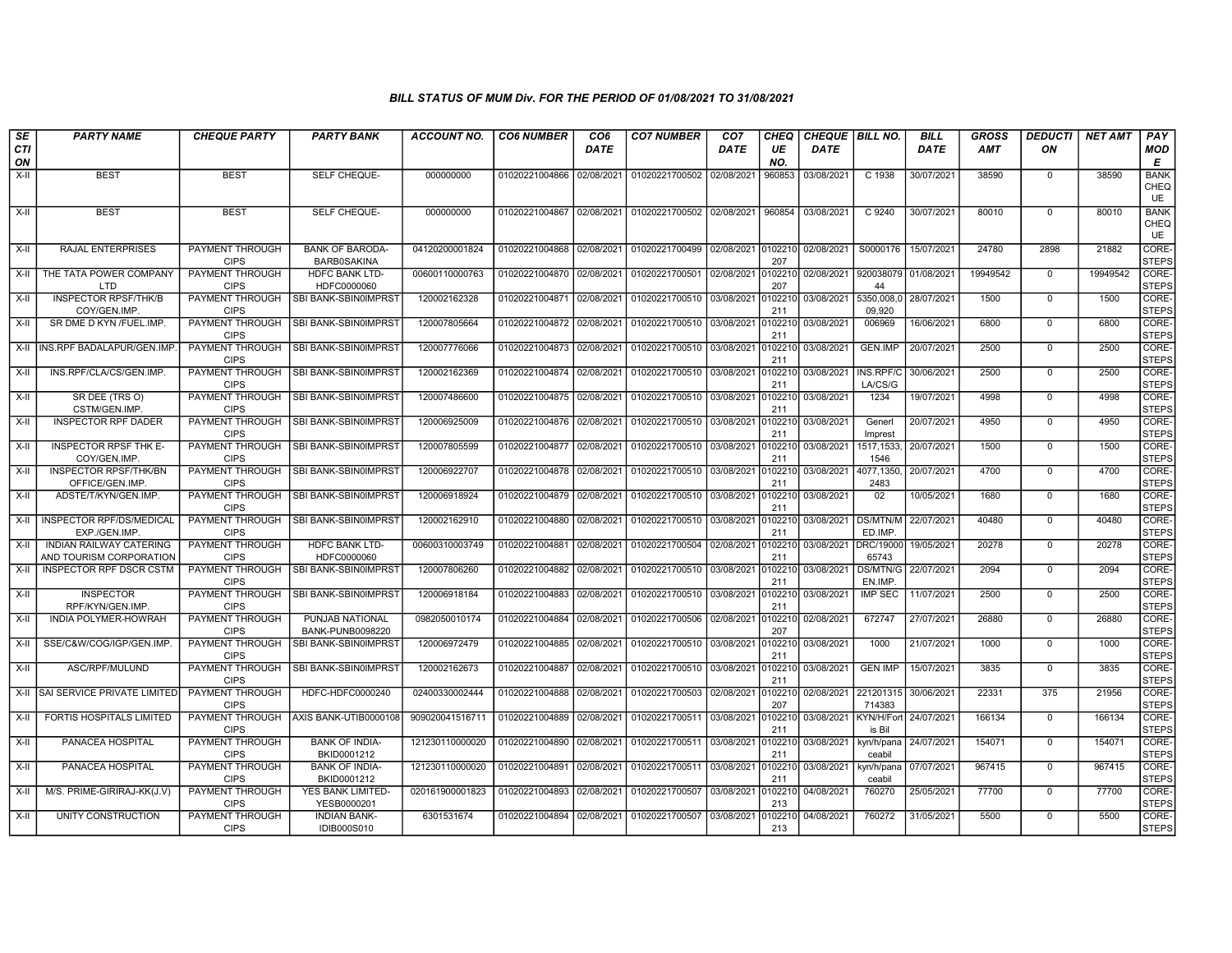| SE               | <b>PARTY NAME</b>                                         | <b>CHEQUE PARTY</b>                   | <b>PARTY BANK</b>                            | ACCOUNT NO.     | <b>CO6 NUMBER</b>         | CO <sub>6</sub> | <b>CO7 NUMBER</b>         | CO <sub>7</sub> | <b>CHEQ</b>    | CHEQUE   BILL NO. |                                 | <b>BILL</b> | GROSS      | <b>DEDUCTI</b> | NET AMT  | <b>PAY</b>                       |
|------------------|-----------------------------------------------------------|---------------------------------------|----------------------------------------------|-----------------|---------------------------|-----------------|---------------------------|-----------------|----------------|-------------------|---------------------------------|-------------|------------|----------------|----------|----------------------------------|
| <b>CTI</b><br>ON |                                                           |                                       |                                              |                 |                           | <b>DATE</b>     |                           | DATE            | UE<br>NO.      | <b>DATE</b>       |                                 | <b>DATE</b> | <b>AMT</b> | ON             |          | <b>MOD</b><br>E                  |
| $X-H$            | <b>BEST</b>                                               | <b>BEST</b>                           | SELF CHEQUE-                                 | 000000000       | 01020221004866            | 02/08/2021      | 01020221700502            | 02/08/2021      | 960853         | 03/08/2021        | C 1938                          | 30/07/2021  | 38590      | 0              | 38590    | <b>BANK</b><br>CHEQ<br><b>UE</b> |
| $X-H$            | <b>BEST</b>                                               | <b>BEST</b>                           | SELF CHEQUE-                                 | 000000000       | 01020221004867            | 02/08/2021      | 01020221700502            | 02/08/2021      | 960854         | 03/08/2021        | C 9240                          | 30/07/2021  | 80010      | $\mathbf 0$    | 80010    | <b>BANK</b><br>CHEQ<br><b>UE</b> |
| X-II             | <b>RAJAL ENTERPRISES</b>                                  | PAYMENT THROUGH<br><b>CIPS</b>        | <b>BANK OF BARODA-</b><br><b>BARB0SAKINA</b> | 04120200001824  | 01020221004868            | 02/08/2021      | 01020221700499            | 02/08/2021      | 0102210<br>207 | 02/08/2021        | S0000176                        | 15/07/2021  | 24780      | 2898           | 21882    | CORE-<br><b>STEPS</b>            |
| X-II             | THE TATA POWER COMPANY<br>LTD                             | PAYMENT THROUGH<br><b>CIPS</b>        | <b>HDFC BANK LTD-</b><br>HDFC0000060         | 00600110000763  | 01020221004870            | 02/08/2021      | 01020221700501            | 02/08/2021      | 010221<br>207  | 02/08/2021        | 920038079<br>44                 | 01/08/202   | 19949542   | $\mathbf 0$    | 19949542 | CORE-<br><b>STEPS</b>            |
| X-II             | <b>INSPECTOR RPSF/THK/B</b><br>COY/GEN.IMP.               | <b>PAYMENT THROUGH</b><br><b>CIPS</b> | SBI BANK-SBIN0IMPRST                         | 120002162328    | 01020221004871 02/08/2021 |                 | 01020221700510 03/08/2021 |                 | 0102210<br>211 | 03/08/2021        | 5350,008,0 28/07/2021<br>09,920 |             | 1500       | $\Omega$       | 1500     | CORE-<br><b>STEPS</b>            |
| X-II             | SR DME D KYN /FUEL.IMP                                    | <b>PAYMENT THROUGH</b><br><b>CIPS</b> | SBI BANK-SBIN0IMPRST                         | 120007805664    | 01020221004872            | 02/08/2021      | 01020221700510 03/08/2021 |                 | 0102210<br>211 | 03/08/2021        | 006969                          | 16/06/2021  | 6800       | $\mathbf 0$    | 6800     | CORE-<br><b>STEPS</b>            |
| X-II             | INS.RPF BADALAPUR/GEN.IMP                                 | PAYMENT THROUGH<br><b>CIPS</b>        | SBI BANK-SBIN0IMPRS                          | 120007776066    | 01020221004873            | 02/08/2021      | 01020221700510 03/08/2021 |                 | 010221<br>211  | 03/08/2021        | GEN.IMP                         | 20/07/2021  | 2500       | $\mathbf 0$    | 2500     | CORE-<br><b>STEPS</b>            |
| X-II             | INS.RPF/CLA/CS/GEN.IMP.                                   | PAYMENT THROUGH<br><b>CIPS</b>        | SBI BANK-SBIN0IMPRST                         | 120002162369    | 01020221004874 02/08/2021 |                 | 01020221700510 03/08/2021 |                 | 010221<br>211  | 03/08/2021        | INS.RPF/C<br>LA/CS/G            | 30/06/2021  | 2500       | $\mathbf 0$    | 2500     | CORE-<br><b>STEPS</b>            |
| $X-H$            | SR DEE (TRS O)<br>CSTM/GEN.IMP.                           | <b>PAYMENT THROUGH</b><br><b>CIPS</b> | SBI BANK-SBIN0IMPRS                          | 120007486600    | 01020221004875            | 02/08/2021      | 01020221700510 03/08/2021 |                 | 0102210<br>211 | 03/08/2021        | 1234                            | 19/07/2021  | 4998       | $\overline{0}$ | 4998     | CORE-<br><b>STEPS</b>            |
| X-II             | <b>INSPECTOR RPF DADER</b>                                | <b>PAYMENT THROUGH</b><br><b>CIPS</b> | I SBI BANK-SBIN0IMPRST                       | 120006925009    | 01020221004876 02/08/2021 |                 | 01020221700510            | 03/08/2021      | 0102210<br>211 | 03/08/2021        | Generl<br>Imprest               | 20/07/2021  | 4950       | $\mathbf 0$    | 4950     | CORE-<br><b>STEPS</b>            |
| X-II             | INSPECTOR RPSF THK E-<br>COY/GEN.IMP.                     | PAYMENT THROUGH<br><b>CIPS</b>        | SBI BANK-SBIN0IMPRS'                         | 120007805599    | 01020221004877            | 02/08/2021      | 01020221700510            | 03/08/2021      | 0102210<br>211 | 03/08/2021        | 1517, 1533,<br>1546             | 20/07/2021  | 1500       | $\mathbf 0$    | 1500     | CORE-<br><b>STEPS</b>            |
| $X-II$           | <b>INSPECTOR RPSF/THK/BN</b><br>OFFICE/GEN.IMP            | PAYMENT THROUGH<br><b>CIPS</b>        | SBI BANK-SBIN0IMPRS                          | 120006922707    | 01020221004878            | 02/08/2021      | 01020221700510 03/08/2021 |                 | 010221<br>211  | 03/08/2021        | 4077.1350<br>2483               | 20/07/2021  | 4700       | $\Omega$       | 4700     | CORE-<br><b>STEPS</b>            |
| X-II             | ADSTE/T/KYN/GEN.IMP.                                      | PAYMENT THROUGH<br><b>CIPS</b>        | SBI BANK-SBIN0IMPRST                         | 120006918924    | 01020221004879 02/08/2021 |                 | 01020221700510            | 03/08/2021      | 010221<br>211  | 03/08/2021        | 02                              | 10/05/2021  | 1680       | $\mathbf 0$    | 1680     | CORE-<br><b>STEPS</b>            |
| $X-H$            | INSPECTOR RPF/DS/MEDICAL<br>EXP./GEN.IMP.                 | <b>PAYMENT THROUGH</b><br><b>CIPS</b> | SBI BANK-SBIN0IMPRST                         | 120002162910    | 01020221004880            | 02/08/2021      | 01020221700510 03/08/2021 |                 | 0102210<br>211 | 03/08/2021        | <b>DS/MTN/M</b><br>ED.IMP.      | 22/07/2021  | 40480      | $\mathbf 0$    | 40480    | CORE-<br><b>STEPS</b>            |
| X-II             | <b>INDIAN RAILWAY CATERING</b><br>AND TOURISM CORPORATION | <b>PAYMENT THROUGH</b><br><b>CIPS</b> | <b>HDFC BANK LTD-</b><br>HDFC0000060         | 00600310003749  | 01020221004881            | 02/08/2021      | 01020221700504            | 02/08/2021      | 0102210<br>211 | 03/08/2021        | <b>DRC/19000</b><br>65743       | 19/05/2021  | 20278      | $\mathbf 0$    | 20278    | CORE-<br><b>STEPS</b>            |
| X-II             | <b>INSPECTOR RPF DSCR CSTM</b>                            | PAYMENT THROUGH<br><b>CIPS</b>        | SBI BANK-SBIN0IMPRST                         | 120007806260    | 01020221004882            | 02/08/2021      | 01020221700510            | 03/08/2021      | 010221<br>211  | 03/08/2021        | <b>DS/MTN/G</b><br>EN.IMP.      | 22/07/2021  | 2094       | $\mathsf 0$    | 2094     | CORE-<br><b>STEPS</b>            |
| X-II             | <b>INSPECTOR</b><br>RPF/KYN/GEN.IMP.                      | <b>PAYMENT THROUGH</b><br><b>CIPS</b> | SBI BANK-SBIN0IMPRST                         | 120006918184    | 01020221004883            | 02/08/2021      | 01020221700510 03/08/2021 |                 | 010221<br>211  | 03/08/2021        | <b>IMP SEC</b>                  | 11/07/2021  | 2500       | $\mathbf 0$    | 2500     | CORE-<br><b>STEPS</b>            |
| X-II             | INDIA POLYMER-HOWRAH                                      | <b>PAYMENT THROUGH</b><br><b>CIPS</b> | PUNJAB NATIONAL<br>BANK-PUNB0098220          | 0982050010174   | 01020221004884            | 02/08/2021      | 01020221700506            | 02/08/2021      | 010221<br>207  | 02/08/2021        | 672747                          | 27/07/2021  | 26880      | $\mathbf 0$    | 26880    | CORE-<br><b>STEPS</b>            |
| $X-H$            | SSE/C&W/COG/IGP/GEN.IMP                                   | <b>PAYMENT THROUGH</b><br><b>CIPS</b> | SBI BANK-SBIN0IMPRST                         | 120006972479    | 01020221004885            | 02/08/2021      | 01020221700510 03/08/2021 |                 | 0102210<br>211 | 03/08/2021        | 1000                            | 21/07/2021  | 1000       | $\mathbf 0$    | 1000     | CORE-<br><b>STEPS</b>            |
| X-II             | ASC/RPF/MULUND                                            | PAYMENT THROUGH<br><b>CIPS</b>        | SBI BANK-SBIN0IMPRST                         | 120002162673    | 01020221004887            | 02/08/2021      | 01020221700510 03/08/2021 |                 | 0102210<br>211 | 03/08/2021        | <b>GEN IMP</b>                  | 15/07/2021  | 3835       | $\mathbf 0$    | 3835     | CORE-<br><b>STEPS</b>            |
|                  | X-II SAI SERVICE PRIVATE LIMITED                          | PAYMENT THROUGH<br><b>CIPS</b>        | HDFC-HDFC0000240                             | 02400330002444  | 01020221004888            | 02/08/2021      | 01020221700503            | 02/08/2021      | 0102210<br>207 | 02/08/2021        | 221201315<br>714383             | 30/06/2021  | 22331      | 375            | 21956    | CORE-<br><b>STEPS</b>            |
| X-II             | FORTIS HOSPITALS LIMITED                                  | <b>PAYMENT THROUGH</b><br><b>CIPS</b> | AXIS BANK-UTIB0000108                        | 909020041516711 | 01020221004889            | 02/08/2021      | 01020221700511            | 03/08/2021      | 010221<br>211  | 03/08/2021        | KYN/H/Fort<br>is Bil            | 24/07/2021  | 166134     | $\mathbf 0$    | 166134   | CORE-<br><b>STEPS</b>            |
| X-II             | PANACEA HOSPITAL                                          | PAYMENT THROUGH<br><b>CIPS</b>        | <b>BANK OF INDIA-</b><br>BKID0001212         | 121230110000020 | 01020221004890            | 02/08/2021      | 01020221700511            | 03/08/2021      | 010221<br>211  | 03/08/2021        | kyn/h/pana<br>ceabil            | 24/07/2021  | 154071     | $\mathbf 0$    | 154071   | CORE-<br><b>STEPS</b>            |
| $X-I$            | PANACEA HOSPITAL                                          | <b>PAYMENT THROUGH</b><br><b>CIPS</b> | <b>BANK OF INDIA-</b><br>BKID0001212         | 121230110000020 | 01020221004891            | 02/08/2021      | 01020221700511            | 03/08/2021      | 0102210<br>211 | 03/08/2021        | kyn/h/pana<br>ceabil            | 07/07/2021  | 967415     | $\mathbf 0$    | 967415   | CORE-<br><b>STEPS</b>            |
| $X-II$           | M/S. PRIME-GIRIRAJ-KK(J.V)                                | <b>PAYMENT THROUGH</b><br><b>CIPS</b> | YES BANK LIMITED-<br>YESB0000201             | 020161900001823 | 01020221004893            | 02/08/2021      | 01020221700507            | 03/08/2021      | 0102210<br>213 | 04/08/2021        | 760270                          | 25/05/2021  | 77700      | $\mathbf 0$    | 77700    | CORE-<br><b>STEPS</b>            |
| X-II             | UNITY CONSTRUCTION                                        | PAYMENT THROUGH<br><b>CIPS</b>        | <b>INDIAN BANK-</b><br><b>IDIB000S010</b>    | 6301531674      | 01020221004894 02/08/2021 |                 | 01020221700507            | 03/08/2021      | 0102210<br>213 | 04/08/2021        | 760272                          | 31/05/2021  | 5500       | $\mathbf 0$    | 5500     | CORE-<br><b>STEPS</b>            |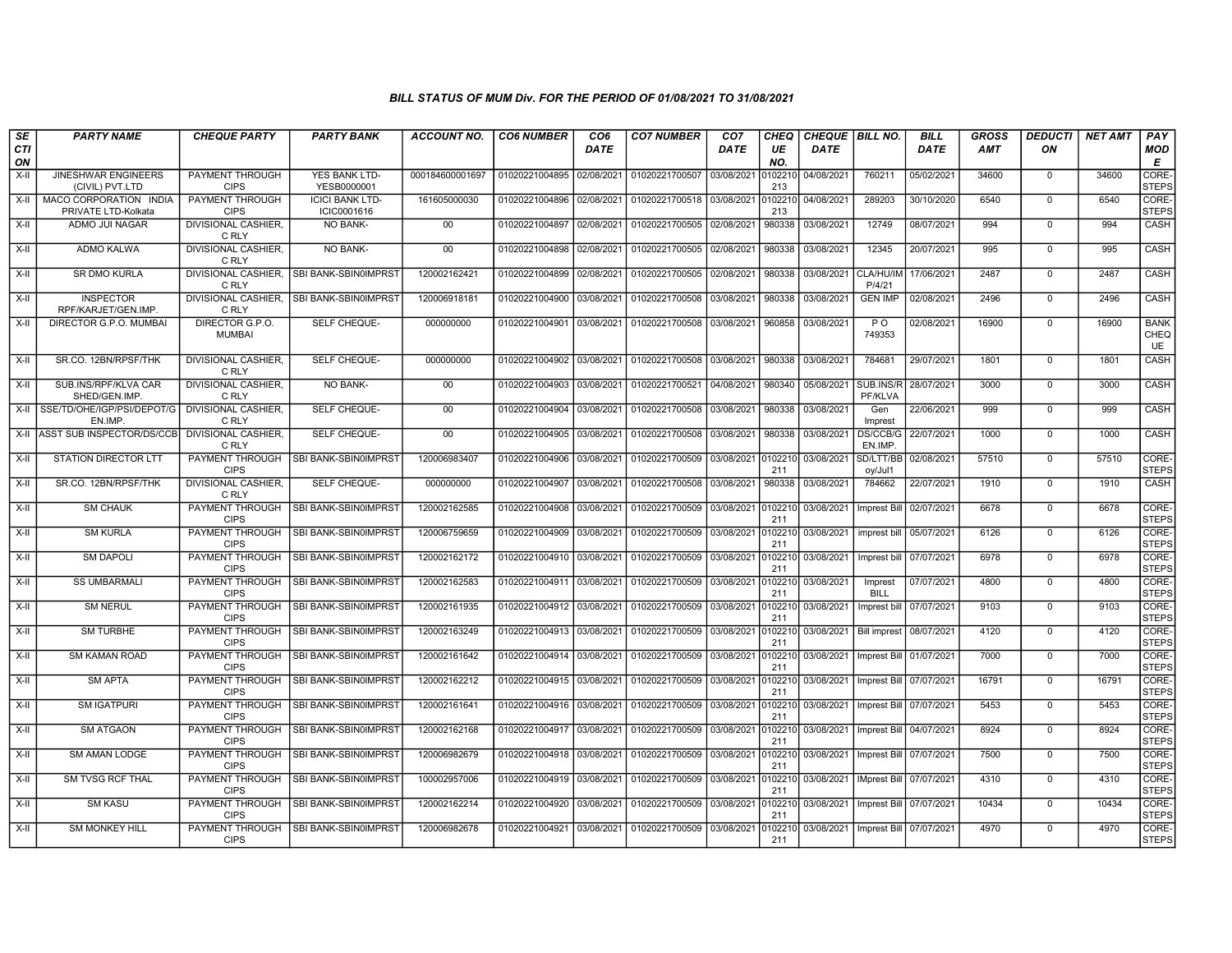| SE<br><b>CTI</b><br>ON | <b>PARTY NAME</b>                             | <b>CHEQUE PARTY</b>                   | <b>PARTY BANK</b>                     | <b>ACCOUNT NO.</b> | <b>CO6 NUMBER</b>         | CO <sub>6</sub><br><b>DATE</b> | <b>CO7 NUMBER</b>         | CO <sub>7</sub><br><b>DATE</b> | CHEQ<br>UE<br>NO. | <b>CHEQUE   BILL NO.</b><br><b>DATE</b> |                                        | <b>BILL</b><br><b>DATE</b> | <b>GROSS</b><br><b>AMT</b> | <b>DEDUCTI</b><br>ON | <b>NET AMT</b> | PAY<br>MOD<br>Е             |
|------------------------|-----------------------------------------------|---------------------------------------|---------------------------------------|--------------------|---------------------------|--------------------------------|---------------------------|--------------------------------|-------------------|-----------------------------------------|----------------------------------------|----------------------------|----------------------------|----------------------|----------------|-----------------------------|
| $X-H$                  | <b>JINESHWAR ENGINEERS</b><br>(CIVIL) PVT.LTD | PAYMENT THROUGH<br><b>CIPS</b>        | <b>YES BANK LTD-</b><br>YESB0000001   | 000184600001697    | 01020221004895            | 02/08/2021                     | 01020221700507            | 03/08/2021                     | )102210<br>213    | 04/08/2021                              | 760211                                 | 05/02/2021                 | 34600                      | $\mathbf 0$          | 34600          | <b>CORE</b><br><b>STEPS</b> |
| $X-H$                  | MACO CORPORATION INDIA<br>PRIVATE LTD-Kolkata | <b>PAYMENT THROUGH</b><br><b>CIPS</b> | <b>ICICI BANK LTD-</b><br>ICIC0001616 | 161605000030       | 01020221004896            | 02/08/2021                     | 01020221700518 03/08/2021 |                                | 102210<br>213     | 04/08/2021                              | 289203                                 | 30/10/2020                 | 6540                       | $\Omega$             | 6540           | CORE-<br><b>STEPS</b>       |
| X-II                   | ADMO JUI NAGAR                                | DIVISIONAL CASHIER,<br>C RLY          | NO BANK-                              | $00\,$             | 01020221004897            | 02/08/2021                     | 01020221700505 02/08/2021 |                                | 980338            | 03/08/2021                              | 12749                                  | 08/07/2021                 | 994                        | $\mathbf 0$          | 994            | CASH                        |
| X-II                   | ADMO KALWA                                    | DIVISIONAL CASHIER.<br>C RLY          | NO BANK-                              | $00\,$             | 01020221004898            | 02/08/2021                     | 01020221700505            | 02/08/2021                     | 980338            | 03/08/2021                              | 12345                                  | 20/07/2021                 | 995                        | $^{\circ}$           | 995            | CASH                        |
| X-II                   | <b>SR DMO KURLA</b>                           | <b>DIVISIONAL CASHIER.</b><br>C RLY   | SBI BANK-SBIN0IMPRST                  | 120002162421       | 01020221004899            | 02/08/2021                     | 01020221700505            | 02/08/2021                     | 980338            | 03/08/2021                              | CLA/HU/IM<br>P/4/21                    | 17/06/2021                 | 2487                       | $\mathbf 0$          | 2487           | CASH                        |
| X-II                   | <b>INSPECTOR</b><br>RPF/KARJET/GEN.IMP.       | <b>DIVISIONAL CASHIER,</b><br>C RLY   | <b>SBI BANK-SBIN0IMPRST</b>           | 120006918181       | 01020221004900            | 03/08/2021                     | 01020221700508            | 03/08/2021                     | 980338            | 03/08/2021                              | <b>GEN IMP</b>                         | 02/08/2021                 | 2496                       | $\Omega$             | 2496           | CASH                        |
| X-II                   | DIRECTOR G.P.O. MUMBAI                        | DIRECTOR G.P.O.<br><b>MUMBAI</b>      | SELF CHEQUE-                          | 000000000          | 01020221004901            | 03/08/2021                     | 01020221700508            | 03/08/2021                     | 960858            | 03/08/2021                              | P <sub>O</sub><br>749353               | 02/08/2021                 | 16900                      | $\mathbf{0}$         | 16900          | <b>BANK</b><br>CHEQ<br>UE   |
| $X-H$                  | SR.CO. 12BN/RPSF/THK                          | <b>DIVISIONAL CASHIER,</b><br>C RLY   | SELF CHEQUE-                          | 000000000          | 01020221004902            | 03/08/2021                     | 01020221700508 03/08/2021 |                                | 980338            | 03/08/2021                              | 784681                                 | 29/07/2021                 | 1801                       | $^{\circ}$           | 1801           | <b>CASH</b>                 |
| X-II                   | SUB.INS/RPF/KLVA CAR<br>SHED/GEN.IMP.         | DIVISIONAL CASHIER.<br>C RLY          | <b>NO BANK-</b>                       | $00\,$             | 01020221004903            | 03/08/2021                     | 01020221700521            | 04/08/2021                     | 980340            | 05/08/2021                              | SUB.INS/R<br>PF/KLVA                   | 28/07/2021                 | 3000                       | $\mathbf 0$          | 3000           | CASH                        |
| X-II                   | SSE/TD/OHE/IGP/PSI/DEPOT/G<br>EN.IMP.         | DIVISIONAL CASHIER,<br>C RLY          | SELF CHEQUE-                          | 00                 | 01020221004904            | 03/08/2021                     | 01020221700508            | 03/08/2021                     | 980338            | 03/08/2021                              | Gen<br>Imprest                         | 22/06/2021                 | 999                        | $\mathbf 0$          | 999            | CASH                        |
| X-II                   | ASST SUB INSPECTOR/DS/CCB                     | <b>DIVISIONAL CASHIER.</b><br>C RLY   | SELF CHEQUE-                          | 00                 | 01020221004905            | 03/08/2021                     | 01020221700508            | 03/08/2021                     | 980338            | 03/08/2021                              | <b>DS/CCB/G</b><br>EN.IMP.             | 22/07/2021                 | 1000                       | $\mathbf 0$          | 1000           | CASH                        |
| $X-H$                  | <b>STATION DIRECTOR LTT</b>                   | PAYMENT THROUGH<br><b>CIPS</b>        | SBI BANK-SBIN0IMPRST                  | 120006983407       | 01020221004906            | 03/08/2021                     | 01020221700509            | 03/08/2021                     | 0102210<br>211    | 03/08/2021                              | SD/LTT/BB<br>oy/Jul1                   | 02/08/2021                 | 57510                      | $\mathbf 0$          | 57510          | CORE-<br><b>STEPS</b>       |
| X-II                   | SR.CO. 12BN/RPSF/THK                          | DIVISIONAL CASHIER,<br>C RLY          | SELF CHEQUE-                          | 000000000          | 01020221004907            | 03/08/2021                     | 01020221700508            | 03/08/2021                     | 980338            | 03/08/2021                              | 784662                                 | 22/07/2021                 | 1910                       | $^{\circ}$           | 1910           | CASH                        |
| X-II                   | <b>SM CHAUK</b>                               | PAYMENT THROUGH<br><b>CIPS</b>        | SBI BANK-SBIN0IMPRST                  | 120002162585       | 01020221004908            | 03/08/2021                     | 01020221700509            | 03/08/2021                     | 102210<br>211     | 03/08/2021                              |                                        | Imprest Bill   02/07/2021  | 6678                       | $\Omega$             | 6678           | CORE-<br><b>STEPS</b>       |
| X-II                   | <b>SM KURLA</b>                               | PAYMENT THROUGH<br><b>CIPS</b>        | SBI BANK-SBIN0IMPRST                  | 120006759659       | 01020221004909            | 03/08/2021                     | 01020221700509 03/08/2021 |                                | 0102210<br>211    | 03/08/2021                              | imprest bill   05/07/2021              |                            | 6126                       | $\Omega$             | 6126           | CORE-<br><b>STEPS</b>       |
| $X-H$                  | <b>SM DAPOLI</b>                              | PAYMENT THROUGH<br><b>CIPS</b>        | SBI BANK-SBIN0IMPRST                  | 120002162172       | 01020221004910            | 03/08/2021                     | 01020221700509            | 03/08/2021                     | 102210<br>211     | 03/08/2021                              | Imprest bill                           | 07/07/2021                 | 6978                       | $\mathbf 0$          | 6978           | CORE-<br><b>STEPS</b>       |
| X-II                   | <b>SS UMBARMALI</b>                           | PAYMENT THROUGH<br><b>CIPS</b>        | SBI BANK-SBIN0IMPRST                  | 120002162583       | 01020221004911            | 03/08/2021                     | 01020221700509            | 03/08/2021                     | 102210<br>211     | 03/08/2021                              | Imprest<br>BILL                        | 07/07/2021                 | 4800                       | $\mathbf 0$          | 4800           | CORE-<br><b>STEPS</b>       |
| X-II                   | <b>SM NERUL</b>                               | PAYMENT THROUGH<br><b>CIPS</b>        | SBI BANK-SBIN0IMPRST                  | 120002161935       | 01020221004912            | 03/08/2021                     | 01020221700509            | 03/08/2021                     | 102210<br>211     | 03/08/2021                              | Imprest bill                           | 07/07/2021                 | 9103                       | $\mathbf 0$          | 9103           | CORE-<br><b>STEPS</b>       |
| $X-H$                  | <b>SM TURBHE</b>                              | PAYMENT THROUGH<br><b>CIPS</b>        | SBI BANK-SBIN0IMPRST                  | 120002163249       | 01020221004913            | 03/08/2021                     | 01020221700509            | 03/08/2021                     | 0102210<br>211    | 03/08/2021                              | <b>Bill imprest</b>                    | 08/07/2021                 | 4120                       | $\mathsf{O}$         | 4120           | CORE-<br><b>STEPS</b>       |
| $X-H$                  | <b>SM KAMAN ROAD</b>                          | PAYMENT THROUGH<br><b>CIPS</b>        | SBI BANK-SBIN0IMPRST                  | 120002161642       | 01020221004914            | 03/08/2021                     | 01020221700509            | 03/08/2021                     | 0102210<br>211    | 03/08/2021                              | Imprest Bill 01/07/2021                |                            | 7000                       | $\mathbf 0$          | 7000           | CORE-<br><b>STEPS</b>       |
| $X-H$                  | <b>SM APTA</b>                                | PAYMENT THROUGH<br><b>CIPS</b>        | SBI BANK-SBIN0IMPRST                  | 120002162212       | 01020221004915            | 03/08/2021                     | 01020221700509 03/08/2021 |                                | 102210<br>211     | 03/08/2021                              | Imprest Bill 07/07/2021                |                            | 16791                      | $\mathbf{0}$         | 16791          | CORE-<br><b>STEPS</b>       |
| X-II                   | <b>SM IGATPURI</b>                            | PAYMENT THROUGH<br><b>CIPS</b>        | SBI BANK-SBIN0IMPRST                  | 120002161641       | 01020221004916 03/08/2021 |                                | 01020221700509 03/08/2021 |                                | 0102210<br>211    | 03/08/2021                              | Imprest Bill   07/07/2021              |                            | 5453                       | $\Omega$             | 5453           | CORE-<br><b>STEPS</b>       |
| $X-H$                  | <b>SM ATGAON</b>                              | PAYMENT THROUGH<br><b>CIPS</b>        | SBI BANK-SBIN0IMPRST                  | 120002162168       | 01020221004917            | 03/08/2021                     | 01020221700509            | 03/08/2021                     | 102210<br>211     | 03/08/2021                              | Imprest Bill   04/07/2021              |                            | 8924                       | $\mathsf{O}$         | 8924           | CORE-<br><b>STEPS</b>       |
| $X-H$                  | <b>SM AMAN LODGE</b>                          | <b>PAYMENT THROUGH</b><br><b>CIPS</b> | SBI BANK-SBIN0IMPRST                  | 120006982679       | 01020221004918            | 03/08/2021                     | 01020221700509            | 03/08/2021                     | 102210<br>211     | 03/08/2021                              | Imprest Bill 07/07/2021                |                            | 7500                       | $\mathbf 0$          | 7500           | CORE-<br><b>STEPS</b>       |
| X-II                   | <b>SM TVSG RCF THAL</b>                       | PAYMENT THROUGH<br><b>CIPS</b>        | SBI BANK-SBIN0IMPRST                  | 100002957006       | 01020221004919            | 03/08/2021                     | 01020221700509            | 03/08/2021                     | 102210<br>211     |                                         | 03/08/2021   IMprest Bill   07/07/2021 |                            | 4310                       | $\mathbf{0}$         | 4310           | CORE-<br><b>STEPS</b>       |
| X-II                   | <b>SM KASU</b>                                | PAYMENT THROUGH<br><b>CIPS</b>        | SBI BANK-SBIN0IMPRST                  | 120002162214       | 01020221004920            | 03/08/2021                     | 01020221700509            | 03/08/2021                     | 102210<br>211     | 03/08/2021                              | Imprest Bill 07/07/2021                |                            | 10434                      | $\mathbf 0$          | 10434          | CORE-<br><b>STEPS</b>       |
| $X-H$                  | <b>SM MONKEY HILL</b>                         | PAYMENT THROUGH<br><b>CIPS</b>        | SBI BANK-SBIN0IMPRST                  | 120006982678       | 01020221004921 03/08/2021 |                                | 01020221700509            | 03/08/2021                     | 102210<br>211     | 03/08/2021                              | Imprest Bill 07/07/2021                |                            | 4970                       | $\mathbf 0$          | 4970           | CORE-<br><b>STEPS</b>       |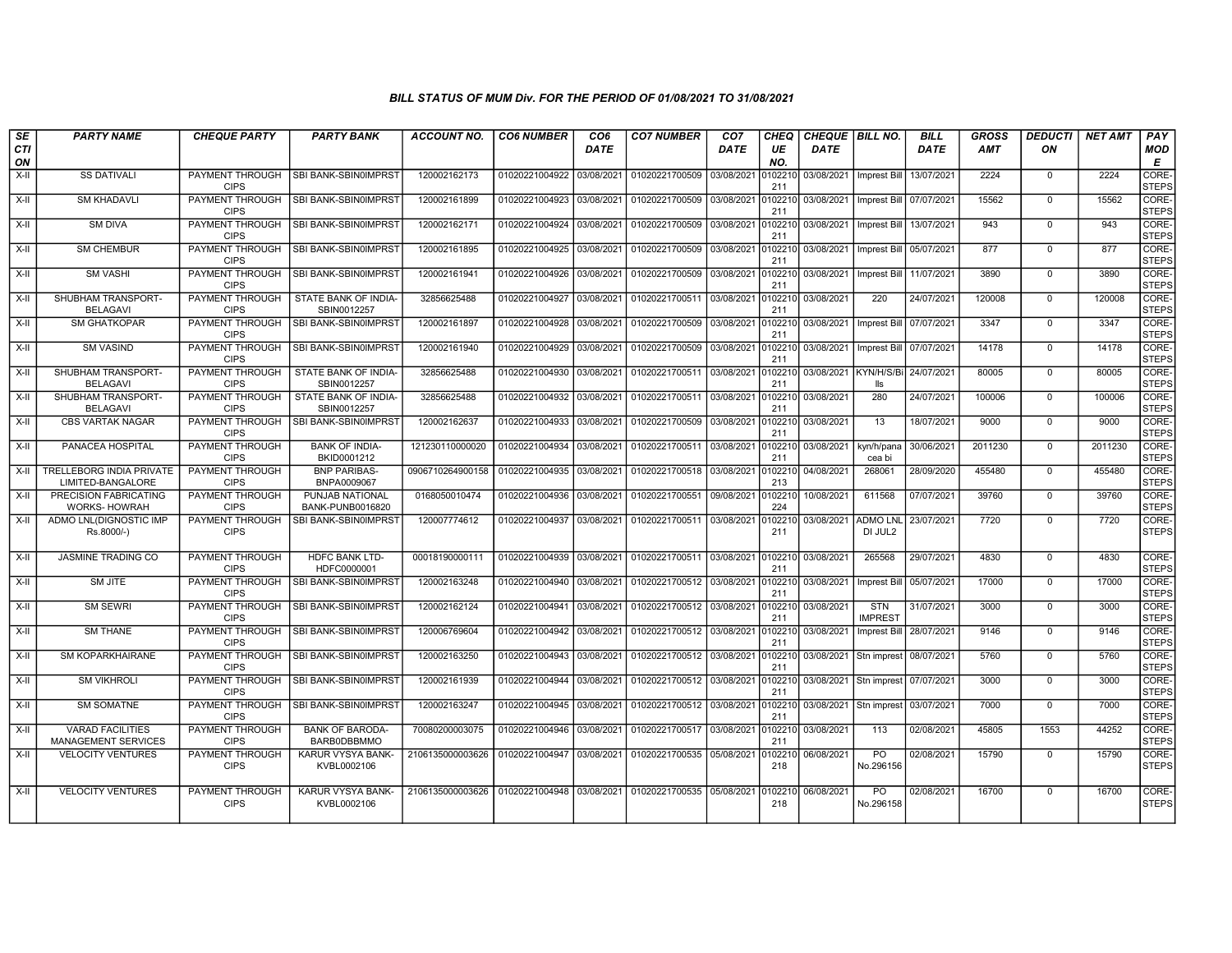| SE        | <b>PARTY NAME</b>                                   | <b>CHEQUE PARTY</b>                   | <b>PARTY BANK</b>                            | <b>ACCOUNT NO.</b>                             | <b>CO6 NUMBER</b>         | CO <sub>6</sub> | <b>CO7 NUMBER</b>                                           | CO <sub>7</sub> | <b>CHEQ</b>    | <b>CHEQUE BILL NO.</b>            |                              | <b>BILL</b> | GROSS   | DEDUCTI        | <b>NET AMT</b> | PAY                   |
|-----------|-----------------------------------------------------|---------------------------------------|----------------------------------------------|------------------------------------------------|---------------------------|-----------------|-------------------------------------------------------------|-----------------|----------------|-----------------------------------|------------------------------|-------------|---------|----------------|----------------|-----------------------|
| CTI<br>ON |                                                     |                                       |                                              |                                                |                           | DATE            |                                                             | DATE            | UE<br>NO.      | <b>DATE</b>                       |                              | <b>DATE</b> | AMT     | ON             |                | <b>MOD</b><br>E       |
| X-II      | <b>SS DATIVALI</b>                                  | <b>CIPS</b>                           | PAYMENT THROUGH   SBI BANK-SBIN0IMPRST       | 120002162173                                   | 01020221004922 03/08/2021 |                 | 01020221700509 03/08/2021                                   |                 | 0102210<br>211 | 03/08/2021   Imprest Bill         |                              | 13/07/2021  | 2224    | $^{\circ}$     | 2224           | CORE-<br><b>STEPS</b> |
| X-II      | <b>SM KHADAVLI</b>                                  | PAYMENT THROUGH<br><b>CIPS</b>        | <b>SBI BANK-SBIN0IMPRST</b>                  | 120002161899                                   | 01020221004923 03/08/2021 |                 | 01020221700509 03/08/2021                                   |                 | 0102210<br>211 | 03/08/2021   Imprest Bill         |                              | 07/07/2021  | 15562   | $\mathbf{0}$   | 15562          | CORE-<br><b>STEPS</b> |
| X-II      | <b>SM DIVA</b>                                      | PAYMENT THROUGH<br><b>CIPS</b>        | SBI BANK-SBIN0IMPRST                         | 120002162171                                   | 01020221004924 03/08/2021 |                 | 01020221700509 03/08/2021                                   |                 | 010221<br>211  | 03/08/2021   Imprest Bill         |                              | 13/07/2021  | 943     | $\Omega$       | 943            | CORE-<br><b>STEPS</b> |
| X-II      | <b>SM CHEMBUR</b>                                   | <b>CIPS</b>                           | PAYMENT THROUGH ISBI BANK-SBIN0IMPRST        | 120002161895                                   | 01020221004925 03/08/2021 |                 | 01020221700509 03/08/2021                                   |                 | 0102210<br>211 | 03/08/2021   Imprest Bill         |                              | 05/07/2021  | 877     | $\Omega$       | 877            | CORE-<br><b>STEPS</b> |
| X-II      | <b>SM VASHI</b>                                     | PAYMENT THROUGH<br><b>CIPS</b>        | <b>SBI BANK-SBIN0IMPRST</b>                  | 120002161941                                   | 01020221004926 03/08/2021 |                 | 01020221700509 03/08/2021                                   |                 | 0102210<br>211 | 03/08/2021                        | Imprest Bill                 | 11/07/2021  | 3890    | $\mathbf{0}$   | 3890           | CORE-<br><b>STEPS</b> |
| X-II      | SHUBHAM TRANSPORT-<br><b>BELAGAVI</b>               | PAYMENT THROUGH<br><b>CIPS</b>        | STATE BANK OF INDIA-<br>SBIN0012257          | 32856625488                                    | 01020221004927 03/08/2021 |                 | 01020221700511 03/08/2021 0102210                           |                 | 211            | 03/08/2021                        | 220                          | 24/07/2021  | 120008  | $^{\circ}$     | 120008         | CORE-<br><b>STEPS</b> |
| X-II      | <b>SM GHATKOPAR</b>                                 | <b>CIPS</b>                           | PAYMENT THROUGH ISBI BANK-SBIN0IMPRST        | 120002161897                                   | 01020221004928 03/08/2021 |                 | 01020221700509 03/08/2021 0102210                           |                 | 211            | 03/08/2021   Imprest Bill         |                              | 07/07/2021  | 3347    | $\Omega$       | 3347           | CORE-<br><b>STEPS</b> |
| X-II      | <b>SM VASIND</b>                                    | PAYMENT THROUGH<br><b>CIPS</b>        | SBI BANK-SBIN0IMPRST                         | 120002161940                                   | 01020221004929 03/08/2021 |                 | 01020221700509 03/08/2021                                   |                 | 0102210<br>211 | 03/08/2021                        | Imprest Bill                 | 07/07/2021  | 14178   | $\mathbf{0}$   | 14178          | CORE-<br><b>STEPS</b> |
| X-II      | SHUBHAM TRANSPORT-<br><b>BELAGAVI</b>               | PAYMENT THROUGH<br><b>CIPS</b>        | STATE BANK OF INDIA-<br>SBIN0012257          | 32856625488                                    | 01020221004930 03/08/2021 |                 | 01020221700511 03/08/2021                                   |                 | 010221<br>211  | 03/08/2021 KYN/H/S/Bi             | lls                          | 24/07/2021  | 80005   | $\mathbf{0}$   | 80005          | CORE-<br><b>STEPS</b> |
| $X-H$     | SHUBHAM TRANSPORT-<br><b>BELAGAVI</b>               | <b>PAYMENT THROUGH</b><br><b>CIPS</b> | STATE BANK OF INDIA-<br>SBIN0012257          | 32856625488                                    | 01020221004932 03/08/2021 |                 | 01020221700511 03/08/2021                                   |                 | 0102210<br>211 | 03/08/2021                        | 280                          | 24/07/2021  | 100006  | $\Omega$       | 100006         | CORE-<br><b>STEPS</b> |
| X-II      | <b>CBS VARTAK NAGAR</b>                             | PAYMENT THROUGH<br><b>CIPS</b>        | SBI BANK-SBIN0IMPRST                         | 120002162637                                   | 01020221004933 03/08/2021 |                 | 01020221700509 03/08/2021                                   |                 | 0102210<br>211 | 03/08/2021                        | 13                           | 18/07/2021  | 9000    | $\mathbf{0}$   | 9000           | CORE-<br><b>STEPS</b> |
| X-II      | PANACEA HOSPITAL                                    | PAYMENT THROUGH<br><b>CIPS</b>        | <b>BANK OF INDIA-</b><br>BKID0001212         | 121230110000020                                | 01020221004934 03/08/2021 |                 | 01020221700511 03/08/2021                                   |                 | 010221<br>211  | 03/08/2021                        | kyn/h/pana<br>cea bi         | 30/06/2021  | 2011230 | $^{\circ}$     | 2011230        | CORE-<br><b>STEPS</b> |
| X-II      | TRELLEBORG INDIA PRIVATE<br>LIMITED-BANGALORE       | <b>PAYMENT THROUGH</b><br><b>CIPS</b> | <b>BNP PARIBAS-</b><br>BNPA0009067           | 0906710264900158                               | 01020221004935            | 03/08/2021      | 01020221700518 03/08/2021                                   |                 | 0102210<br>213 | 04/08/2021                        | 268061                       | 28/09/2020  | 455480  | $^{\circ}$     | 455480         | CORE-<br><b>STEPS</b> |
| $X-H$     | <b>PRECISION FABRICATING</b><br><b>WORKS-HOWRAH</b> | <b>PAYMENT THROUGH</b><br><b>CIPS</b> | PUNJAB NATIONAL<br>BANK-PUNB0016820          | 0168050010474                                  | 01020221004936 03/08/2021 |                 | 01020221700551 09/08/2021                                   |                 | 0102210<br>224 | 10/08/2021                        | 611568                       | 07/07/2021  | 39760   | $\overline{0}$ | 39760          | CORE-<br><b>STEPS</b> |
| X-II      | ADMO LNL(DIGNOSTIC IMP<br>Rs.8000/-)                | PAYMENT THROUGH<br><b>CIPS</b>        | SBI BANK-SBIN0IMPRST                         | 120007774612                                   | 01020221004937 03/08/2021 |                 | 01020221700511 03/08/2021                                   |                 | 010221<br>211  | 03/08/2021                        | <b>ADMO LNL</b><br>DI JUL2   | 23/07/2021  | 7720    | $\mathbf{0}$   | 7720           | CORE-<br><b>STEPS</b> |
| X-II      | <b>JASMINE TRADING CO</b>                           | PAYMENT THROUGH<br><b>CIPS</b>        | <b>HDFC BANK LTD-</b><br>HDFC0000001         | 00018190000111                                 |                           |                 | 01020221004939 03/08/2021 01020221700511 03/08/2021 0102210 |                 | 211            | 03/08/2021                        | 265568                       | 29/07/2021  | 4830    | $\mathbf{0}$   | 4830           | CORE-<br><b>STEPS</b> |
| X-II      | SM JITE                                             | PAYMENT THROUGH<br><b>CIPS</b>        | SBI BANK-SBIN0IMPRST                         | 120002163248                                   | 01020221004940 03/08/2021 |                 | 01020221700512 03/08/2021                                   |                 | 0102210<br>211 | 03/08/2021                        | <b>Imprest Bill</b>          | 05/07/2021  | 17000   | $\Omega$       | 17000          | CORE-<br><b>STEPS</b> |
| X-II      | SM SEWRI                                            | PAYMENT THROUGH<br><b>CIPS</b>        | SBI BANK-SBIN0IMPRST                         | 120002162124                                   | 01020221004941 03/08/2021 |                 | 01020221700512 03/08/2021                                   |                 | 0102210<br>211 | 03/08/2021                        | <b>STN</b><br><b>IMPREST</b> | 31/07/2021  | 3000    | $\mathbf{0}$   | 3000           | CORE-<br><b>STEPS</b> |
| X-II      | <b>SM THANE</b>                                     | PAYMENT THROUGH<br><b>CIPS</b>        | SBI BANK-SBIN0IMPRST                         | 120006769604                                   | 01020221004942 03/08/2021 |                 | 01020221700512 03/08/2021                                   |                 | 0102210<br>211 | 03/08/2021                        | Imprest Bill                 | 28/07/2021  | 9146    | $^{\circ}$     | 9146           | CORE-<br><b>STEPS</b> |
| $X-H$     | <b>SM KOPARKHAIRANE</b>                             | PAYMENT THROUGH<br><b>CIPS</b>        | <b>SBI BANK-SBIN0IMPRST</b>                  | 120002163250                                   | 01020221004943 03/08/2021 |                 | 01020221700512 03/08/2021                                   |                 | 0102210<br>211 | 03/08/2021 Stn imprest            |                              | 08/07/2021  | 5760    | $\overline{0}$ | 5760           | CORE-<br><b>STEPS</b> |
| X-II      | <b>SM VIKHROLI</b>                                  | PAYMENT THROUGH<br><b>CIPS</b>        | <b>SBI BANK-SBIN0IMPRST</b>                  | 120002161939                                   | 01020221004944 03/08/2021 |                 | 01020221700512 03/08/2021 0102210                           |                 | 211            | 03/08/2021 Stn imprest 07/07/2021 |                              |             | 3000    | $\mathbf 0$    | 3000           | CORE-<br><b>STEPS</b> |
| X-II      | <b>SM SOMATNE</b>                                   | PAYMENT THROUGH<br><b>CIPS</b>        | SBI BANK-SBIN0IMPRST                         | 120002163247                                   | 01020221004945 03/08/2021 |                 | 01020221700512 03/08/2021 0102210                           |                 | 211            | 03/08/2021 Stn imprest            |                              | 03/07/2021  | 7000    | $^{\circ}$     | 7000           | CORE-<br><b>STEPS</b> |
| X-II      | <b>VARAD FACILITIES</b><br>MANAGEMENT SERVICES      | PAYMENT THROUGH<br><b>CIPS</b>        | <b>BANK OF BARODA-</b><br><b>BARB0DBBMMO</b> | 70080200003075                                 | 01020221004946 03/08/2021 |                 | 01020221700517 03/08/2021                                   |                 | 0102210<br>211 | 03/08/2021                        | 113                          | 02/08/2021  | 45805   | 1553           | 44252          | CORE-<br><b>STEPS</b> |
| $X-H$     | <b>VELOCITY VENTURES</b>                            | PAYMENT THROUGH<br><b>CIPS</b>        | KARUR VYSYA BANK-<br>KVBL0002106             | 2106135000003626                               | 01020221004947 03/08/2021 |                 | 01020221700535 05/08/2021                                   |                 | 0102210<br>218 | 06/08/2021                        | PO<br>No.296156              | 02/08/2021  | 15790   | $\Omega$       | 15790          | CORE-<br><b>STEPS</b> |
| $X-II$    | <b>VELOCITY VENTURES</b>                            | PAYMENT THROUGH<br><b>CIPS</b>        | KARUR VYSYA BANK-<br>KVBL0002106             | 2106135000003626   01020221004948   03/08/2021 |                           |                 | 01020221700535 05/08/2021 0102210                           |                 | 218            | 06/08/2021                        | <b>PO</b><br>No.296158       | 02/08/2021  | 16700   | $\mathbf{0}$   | 16700          | CORE-<br><b>STEPS</b> |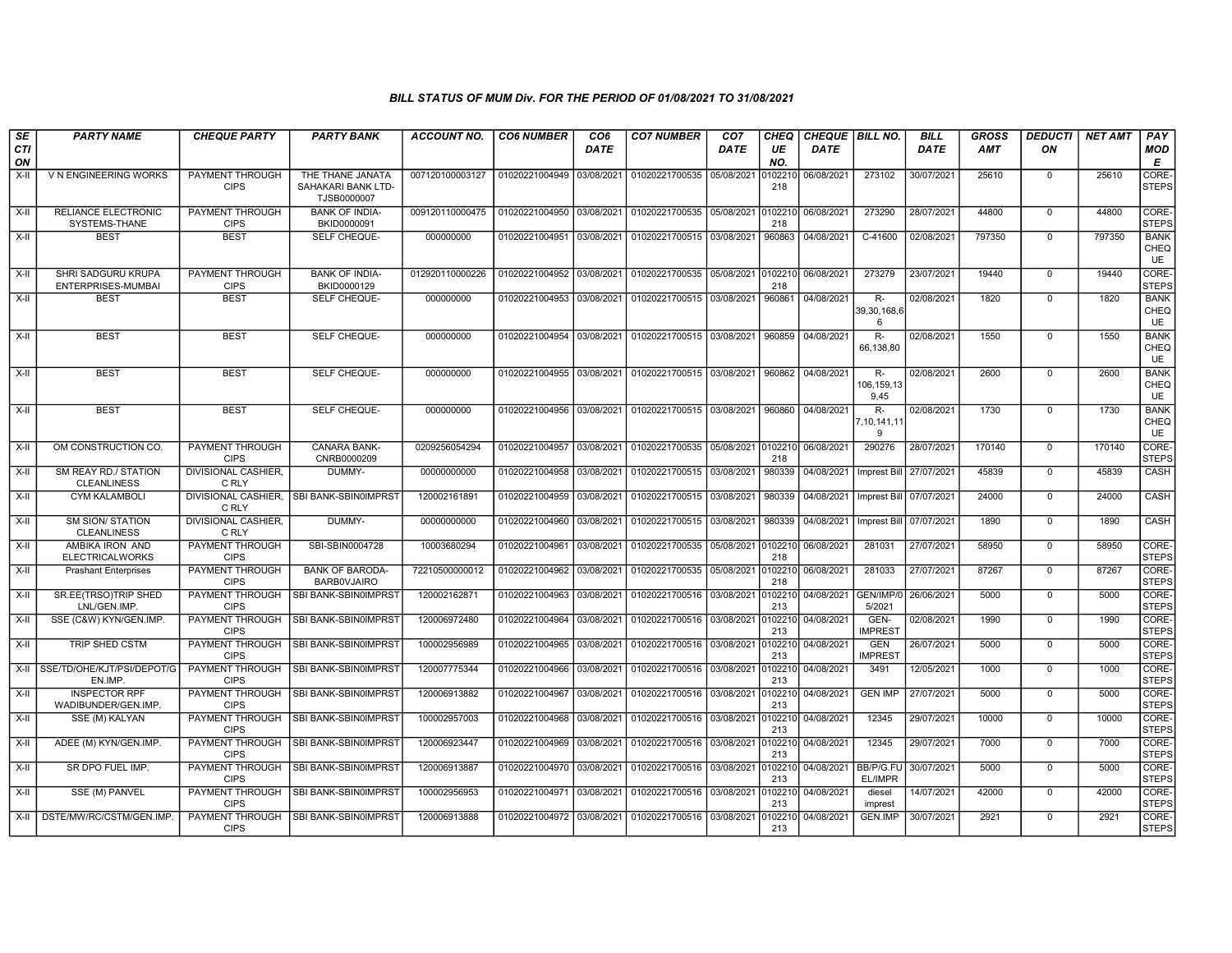| SE        | <b>PARTY NAME</b>                             | <b>CHEQUE PARTY</b>                   | <b>PARTY BANK</b>                                     | <b>ACCOUNT NO.</b> | <b>CO6 NUMBER</b>         | CO <sub>6</sub> | <b>CO7 NUMBER</b>                                   | CO <sub>7</sub> | CHEQ           | CHEQUE   BILL NO. |                              | <b>BILL</b> | GROSS      | <b>DEDUCTI</b> | <b>NET AMT</b> | <b>PAY</b>                       |
|-----------|-----------------------------------------------|---------------------------------------|-------------------------------------------------------|--------------------|---------------------------|-----------------|-----------------------------------------------------|-----------------|----------------|-------------------|------------------------------|-------------|------------|----------------|----------------|----------------------------------|
| CTI<br>ON |                                               |                                       |                                                       |                    |                           | <b>DATE</b>     |                                                     | DATE            | UE<br>NO.      | <b>DATE</b>       |                              | <b>DATE</b> | <b>AMT</b> | ON             |                | <b>MOD</b><br>E                  |
| $X-H$     | V N ENGINEERING WORKS                         | PAYMENT THROUGH<br><b>CIPS</b>        | THE THANE JANATA<br>SAHAKARI BANK LTD-<br>TJSB0000007 | 007120100003127    | 01020221004949            | 03/08/2021      | 01020221700535 05/08/2021                           |                 | )10221<br>218  | 06/08/2021        | 273102                       | 30/07/2021  | 25610      | $\mathbf 0$    | 25610          | CORE-<br><b>STEPS</b>            |
| $X-II$    | RELIANCE ELECTRONIC<br>SYSTEMS-THANE          | PAYMENT THROUGH<br><b>CIPS</b>        | <b>BANK OF INDIA-</b><br>BKID0000091                  | 009120110000475    | 01020221004950            | 03/08/2021      | 01020221700535 05/08/2021                           |                 | 010221<br>218  | 06/08/2021        | 273290                       | 28/07/2021  | 44800      | $\mathbf 0$    | 44800          | CORE-<br><b>STEPS</b>            |
| $X-H$     | <b>BEST</b>                                   | <b>BEST</b>                           | <b>SELF CHEQUE-</b>                                   | 000000000          | 01020221004951 03/08/2021 |                 | 01020221700515 03/08/2021                           |                 | 960863         | 04/08/2021        | $C-41600$                    | 02/08/2021  | 797350     | $\mathbf 0$    | 797350         | <b>BANK</b><br>CHEQ<br>UE        |
| $X-H$     | SHRI SADGURU KRUPA<br>ENTERPRISES-MUMBAI      | PAYMENT THROUGH<br><b>CIPS</b>        | <b>BANK OF INDIA-</b><br>BKID0000129                  | 012920110000226    | 01020221004952            | 03/08/2021      | 01020221700535 05/08/2021 0102210                   |                 | 218            | 06/08/2021        | 273279                       | 23/07/2021  | 19440      | $\overline{0}$ | 19440          | CORE-<br><b>STEPS</b>            |
| X-II      | <b>BEST</b>                                   | <b>BEST</b>                           | SELF CHEQUE-                                          | 000000000          | 01020221004953            | 03/08/2021      | 01020221700515 03/08/2021                           |                 | 960861         | 04/08/2021        | R-<br>39,30,168,6<br>6       | 02/08/2021  | 1820       | $\mathbf 0$    | 1820           | <b>BANK</b><br>CHEQ<br>UE        |
| X-II      | <b>BEST</b>                                   | <b>BEST</b>                           | SELF CHEQUE-                                          | 000000000          | 01020221004954            | 03/08/2021      | 01020221700515 03/08/2021                           |                 | 960859         | 04/08/2021        | $R-$<br>66.138.80            | 02/08/2021  | 1550       | $\mathbf 0$    | 1550           | <b>BANK</b><br>CHEQ<br><b>UE</b> |
| X-II      | <b>BEST</b>                                   | <b>BEST</b>                           | SELF CHEQUE-                                          | 000000000          | 01020221004955 03/08/2021 |                 | 01020221700515 03/08/2021                           |                 | 960862         | 04/08/2021        | R-<br>106,159,13<br>9,45     | 02/08/2021  | 2600       | $\mathbf 0$    | 2600           | <b>BANK</b><br>CHEQ<br><b>UE</b> |
| X-II      | <b>BEST</b>                                   | <b>BEST</b>                           | SELF CHEQUE-                                          | 000000000          |                           |                 | 01020221004956 03/08/2021 01020221700515 03/08/2021 |                 | 960860         | 04/08/2021        | $R -$<br>7, 10, 141, 11<br>9 | 02/08/2021  | 1730       | $\mathbf 0$    | 1730           | <b>BANK</b><br>CHEQ<br>UE        |
| X-II      | OM CONSTRUCTION CO                            | PAYMENT THROUGH<br><b>CIPS</b>        | <b>CANARA BANK-</b><br>CNRB0000209                    | 0209256054294      | 01020221004957 03/08/2021 |                 | 01020221700535 05/08/2021 0102210                   |                 | 218            | 06/08/2021        | 290276                       | 28/07/2021  | 170140     | $\overline{0}$ | 170140         | CORE-<br><b>STEPS</b>            |
| $X-H$     | SM REAY RD./ STATION<br><b>CLEANLINESS</b>    | DIVISIONAL CASHIER,<br>C RLY          | DUMMY-                                                | 00000000000        | 01020221004958            | 03/08/2021      | 01020221700515 03/08/2021                           |                 | 980339         | 04/08/2021        | Imprest Bill                 | 27/07/2021  | 45839      | $\Omega$       | 45839          | CASH                             |
| X-II      | <b>CYM KALAMBOLI</b>                          | DIVISIONAL CASHIER,<br>C RLY          | SBI BANK-SBIN0IMPRST                                  | 120002161891       | 01020221004959            | 03/08/2021      | 01020221700515 03/08/2021                           |                 | 980339         | 04/08/2021        | Imprest Bill                 | 07/07/2021  | 24000      | $\mathbf 0$    | 24000          | <b>CASH</b>                      |
| X-II      | <b>SM SION/ STATION</b><br><b>CLEANLINESS</b> | <b>DIVISIONAL CASHIER,</b><br>C RLY   | DUMMY-                                                | 00000000000        | 01020221004960            | 03/08/2021      | 01020221700515 03/08/2021                           |                 | 980339         | 04/08/2021        | Imprest Bill                 | 07/07/2021  | 1890       | $\mathbf 0$    | 1890           | CASH                             |
| $X-II$    | AMBIKA IRON AND<br><b>ELECTRICALWORKS</b>     | PAYMENT THROUGH<br><b>CIPS</b>        | SBI-SBIN0004728                                       | 10003680294        | 01020221004961            | 03/08/2021      | 01020221700535 05/08/2021 010221                    |                 | 218            | 06/08/2021        | 281031                       | 27/07/2021  | 58950      | $\Omega$       | 58950          | CORE-<br><b>STEPS</b>            |
| X-II      | <b>Prashant Enterprises</b>                   | PAYMENT THROUGH<br><b>CIPS</b>        | <b>BANK OF BARODA-</b><br><b>BARBOVJAIRO</b>          | 72210500000012     | 01020221004962            | 03/08/2021      | 01020221700535                                      | 05/08/2021      | 010221<br>218  | 06/08/2021        | 281033                       | 27/07/2021  | 87267      | $\mathbf 0$    | 87267          | CORE-<br><b>STEPS</b>            |
| $X-H$     | SR.EE(TRSO)TRIP SHED<br>LNL/GEN.IMP           | <b>PAYMENT THROUGH</b><br><b>CIPS</b> | SBI BANK-SBIN0IMPRST                                  | 120002162871       | 01020221004963            | 03/08/2021      | 01020221700516 03/08/2021                           |                 | 010221<br>213  | 04/08/2021        | GEN/IMP/<br>5/2021           | 26/06/2021  | 5000       | $\Omega$       | 5000           | CORE-<br><b>STEPS</b>            |
| X-II      | SSE (C&W) KYN/GEN.IMP.                        | PAYMENT THROUGH<br><b>CIPS</b>        | SBI BANK-SBIN0IMPRST                                  | 120006972480       | 01020221004964            | 03/08/2021      | 01020221700516 03/08/2021                           |                 | 0102210<br>213 | 04/08/2021        | GEN-<br><b>IMPREST</b>       | 02/08/2021  | 1990       | $\mathbf 0$    | 1990           | CORE-<br><b>STEPS</b>            |
| $X-II$    | TRIP SHED CSTM                                | PAYMENT THROUGH<br><b>CIPS</b>        | SBI BANK-SBIN0IMPRST                                  | 100002956989       | 01020221004965            | 03/08/2021      | 01020221700516 03/08/2021                           |                 | 0102210<br>213 | 04/08/2021        | <b>GEN</b><br><b>IMPREST</b> | 26/07/2021  | 5000       | $\mathbf 0$    | 5000           | CORE-<br><b>STEPS</b>            |
| X-II      | SSE/TD/OHE/KJT/PSI/DEPOT/G<br>EN.IMP.         | PAYMENT THROUGH<br><b>CIPS</b>        | SBI BANK-SBIN0IMPRST                                  | 120007775344       | 01020221004966            | 03/08/2021      | 01020221700516 03/08/2021                           |                 | 0102210<br>213 | 04/08/2021        | 3491                         | 12/05/2021  | 1000       | $\mathbf 0$    | 1000           | CORE-<br><b>STEPS</b>            |
| X-II      | <b>INSPECTOR RPF</b><br>WADIBUNDER/GEN.IMP.   | PAYMENT THROUGH<br><b>CIPS</b>        | SBI BANK-SBIN0IMPRST                                  | 120006913882       | 01020221004967            | 03/08/2021      | 01020221700516 03/08/2021                           |                 | 010221<br>213  | 04/08/2021        | <b>GEN IMP</b>               | 27/07/2021  | 5000       | $\mathbf 0$    | 5000           | CORE-<br><b>STEPS</b>            |
| $X-H$     | SSE (M) KALYAN                                | <b>PAYMENT THROUGH</b><br><b>CIPS</b> | SBI BANK-SBIN0IMPRST                                  | 100002957003       | 01020221004968            | 03/08/2021      | 01020221700516 03/08/2021                           |                 | 010221<br>213  | 04/08/2021        | 12345                        | 29/07/2021  | 10000      | $\Omega$       | 10000          | CORE-<br><b>STEPS</b>            |
| X-II      | ADEE (M) KYN/GEN.IMP.                         | <b>PAYMENT THROUGH</b><br><b>CIPS</b> | SBI BANK-SBIN0IMPRST                                  | 120006923447       | 01020221004969            | 03/08/2021      | 01020221700516                                      | 03/08/2021      | 0102210<br>213 | 04/08/2021        | 12345                        | 29/07/2021  | 7000       | $\mathbf 0$    | 7000           | CORE-<br><b>STEPS</b>            |
| X-II      | SR DPO FUEL IMP.                              | PAYMENT THROUGH<br><b>CIPS</b>        | SBI BANK-SBIN0IMPRST                                  | 120006913887       | 01020221004970 03/08/2021 |                 | 01020221700516 03/08/2021                           |                 | 0102210<br>213 | 04/08/2021        | BB/P/G.FU<br>EL/IMPR         | 30/07/2021  | 5000       | $\mathbf 0$    | 5000           | CORE-<br><b>STEPS</b>            |
| X-II      | SSE (M) PANVEL                                | PAYMENT THROUGH<br><b>CIPS</b>        | SBI BANK-SBIN0IMPRST                                  | 100002956953       | 01020221004971 03/08/2021 |                 | 01020221700516 03/08/2021                           |                 | 0102210<br>213 | 04/08/2021        | diesel<br>imprest            | 14/07/2021  | 42000      | $\mathbf 0$    | 42000          | CORE-<br><b>STEPS</b>            |
| X-II      | DSTE/MW/RC/CSTM/GEN.IMP.                      | PAYMENT THROUGH<br><b>CIPS</b>        | SBI BANK-SBIN0IMPRST                                  | 120006913888       | 01020221004972            | 03/08/2021      |                                                     |                 | 010221<br>213  | 04/08/2021        | <b>GEN.IMP</b>               | 30/07/2021  | 2921       | $\mathbf 0$    | 2921           | CORE-<br><b>STEPS</b>            |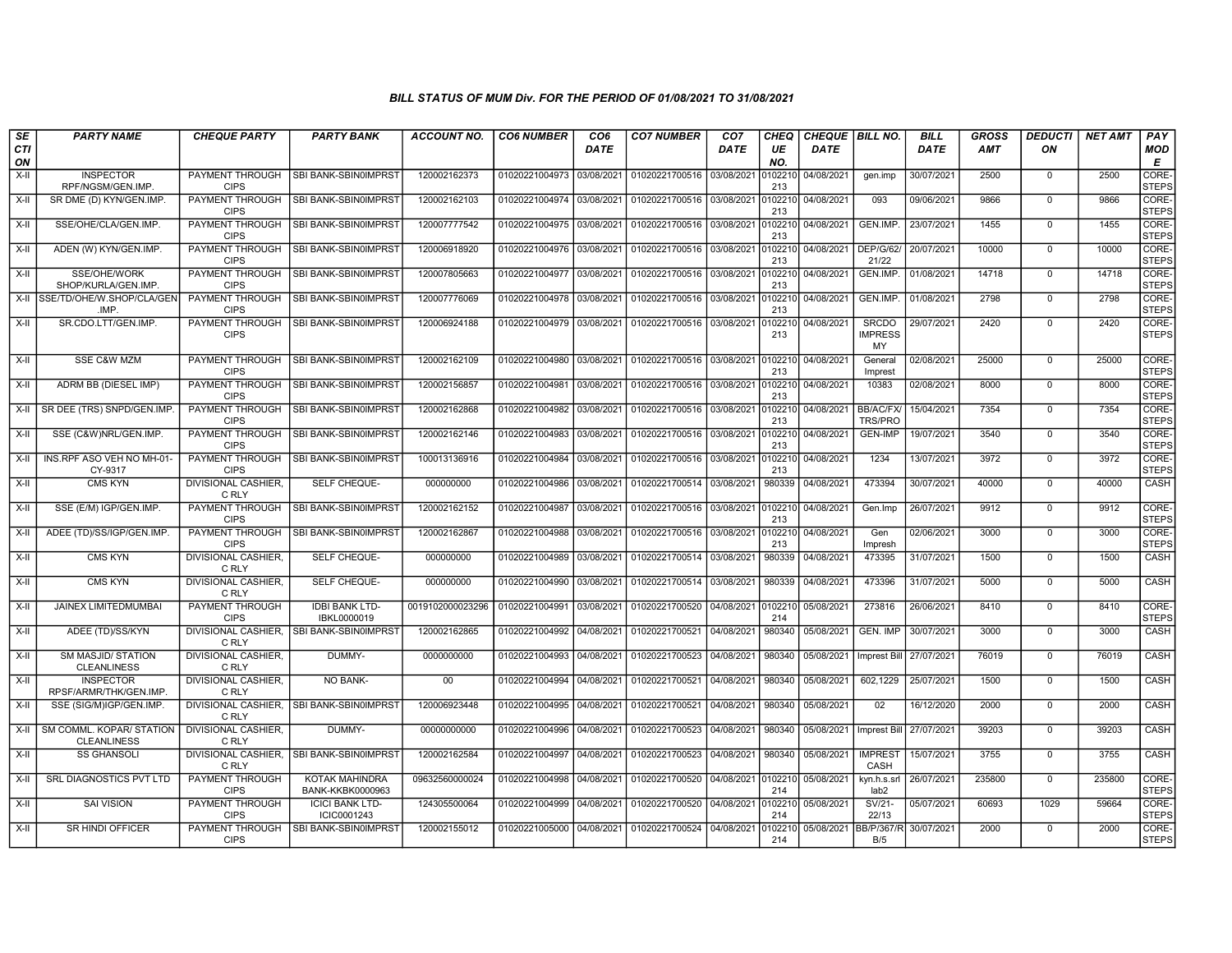| SE               | <b>PARTY NAME</b>                              | <b>CHEQUE PARTY</b>                   | <b>PARTY BANK</b>                     | <b>ACCOUNT NO.</b> | <b>CO6 NUMBER</b>         | CO <sub>6</sub> | <b>CO7 NUMBER</b>         | CO <sub>7</sub> | CHEQ           | CHEQUE BILL NO. |                                      | <b>BILL</b> | <b>GROSS</b> | <b>DEDUCTI</b> | <b>NET AMT</b> | <b>PAY</b>                  |
|------------------|------------------------------------------------|---------------------------------------|---------------------------------------|--------------------|---------------------------|-----------------|---------------------------|-----------------|----------------|-----------------|--------------------------------------|-------------|--------------|----------------|----------------|-----------------------------|
| <b>CTI</b><br>ON |                                                |                                       |                                       |                    |                           | <b>DATE</b>     |                           | <b>DATE</b>     | UE<br>NO.      | <b>DATE</b>     |                                      | <b>DATE</b> | <b>AMT</b>   | ON             |                | <b>MOD</b><br>E             |
| $X-H$            | <b>INSPECTOR</b><br>RPF/NGSM/GEN.IMP.          | PAYMENT THROUGH<br><b>CIPS</b>        | SBI BANK-SBIN0IMPRST                  | 120002162373       | 01020221004973            | 03/08/2021      | 01020221700516 03/08/2021 |                 | 10221<br>213   | 04/08/2021      | gen.imp                              | 30/07/2021  | 2500         | $\mathbf 0$    | 2500           | <b>CORE</b><br><b>STEPS</b> |
| X-II             | SR DME (D) KYN/GEN.IMP.                        | <b>PAYMENT THROUGH</b><br><b>CIPS</b> | SBI BANK-SBIN0IMPRST                  | 120002162103       | 01020221004974            | 03/08/2021      | 01020221700516 03/08/2021 |                 | 010221<br>213  | 04/08/2021      | 093                                  | 09/06/2021  | 9866         | $\mathbf 0$    | 9866           | CORE-<br><b>STEPS</b>       |
| X-II             | SSE/OHE/CLA/GEN.IMP.                           | PAYMENT THROUGH<br><b>CIPS</b>        | SBI BANK-SBIN0IMPRST                  | 120007777542       | 01020221004975 03/08/2021 |                 | 01020221700516 03/08/2021 |                 | 0102210<br>213 | 04/08/2021      | GEN.IMP.                             | 23/07/2021  | 1455         | $\mathbf 0$    | 1455           | CORE-<br>STEPS              |
| $X-H$            | ADEN (W) KYN/GEN.IMP                           | <b>PAYMENT THROUGH</b><br><b>CIPS</b> | SBI BANK-SBIN0IMPRST                  | 120006918920       | 01020221004976            | 03/08/2021      | 01020221700516 03/08/2021 |                 | 0102210<br>213 | 04/08/2021      | <b>DEP/G/62/</b><br>21/22            | 20/07/2021  | 10000        | $\mathbf 0$    | 10000          | CORE-<br><b>STEPS</b>       |
| $X-H$            | SSE/OHE/WORK<br>SHOP/KURLA/GEN.IMP.            | <b>PAYMENT THROUGH</b><br><b>CIPS</b> | SBI BANK-SBIN0IMPRST                  | 120007805663       | 01020221004977            | 03/08/2021      | 01020221700516 03/08/2021 |                 | 0102210<br>213 | 04/08/2021      | GEN.IMP.                             | 01/08/2021  | 14718        | $\mathbf 0$    | 14718          | CORE-<br><b>STEPS</b>       |
| X-II             | SSE/TD/OHE/W.SHOP/CLA/GEN<br>IMP.              | <b>PAYMENT THROUGH</b><br><b>CIPS</b> | SBI BANK-SBIN0IMPRST                  | 120007776069       | 01020221004978            | 03/08/2021      | 01020221700516 03/08/2021 |                 | 0102210<br>213 | 04/08/2021      | GEN.IMP.                             | 01/08/2021  | 2798         | $\mathbf 0$    | 2798           | CORE-<br><b>STEPS</b>       |
| X-II             | SR.CDO.LTT/GEN.IMP.                            | PAYMENT THROUGH<br><b>CIPS</b>        | SBI BANK-SBIN0IMPRST                  | 120006924188       | 01020221004979            | 03/08/2021      | 01020221700516 03/08/2021 |                 | 010221<br>213  | 04/08/2021      | <b>SRCDO</b><br><b>IMPRESS</b><br>MY | 29/07/2021  | 2420         | $\mathbf 0$    | 2420           | CORE-<br><b>STEPS</b>       |
| X-II             | <b>SSE C&amp;W MZM</b>                         | PAYMENT THROUGH<br><b>CIPS</b>        | SBI BANK-SBIN0IMPRST                  | 120002162109       | 01020221004980 03/08/2021 |                 | 01020221700516 03/08/2021 |                 | 0102210<br>213 | 04/08/2021      | General<br>Imprest                   | 02/08/2021  | 25000        | $\mathbf 0$    | 25000          | CORE-<br><b>STEPS</b>       |
| X-II             | ADRM BB (DIESEL IMP)                           | PAYMENT THROUGH<br><b>CIPS</b>        | SBI BANK-SBIN0IMPRST                  | 120002156857       | 01020221004981            | 03/08/2021      | 01020221700516 03/08/2021 |                 | 0102210<br>213 | 04/08/2021      | 10383                                | 02/08/2021  | 8000         | $\mathbf 0$    | 8000           | CORE-<br>STEPS              |
| X-II             | SR DEE (TRS) SNPD/GEN.IMP                      | PAYMENT THROUGH<br><b>CIPS</b>        | SBI BANK-SBIN0IMPRST                  | 120002162868       | 01020221004982            | 03/08/2021      | 01020221700516 03/08/2021 |                 | 010221<br>213  | 04/08/2021      | <b>BB/AC/FX</b><br><b>TRS/PRO</b>    | 15/04/2021  | 7354         | $\mathbf 0$    | 7354           | CORE-<br><b>STEPS</b>       |
| X-II             | SSE (C&W)NRL/GEN.IMP.                          | PAYMENT THROUGH<br><b>CIPS</b>        | SBI BANK-SBIN0IMPRST                  | 120002162146       | 01020221004983            | 03/08/2021      | 01020221700516 03/08/2021 |                 | 0102210<br>213 | 04/08/2021      | <b>GEN-IMP</b>                       | 19/07/2021  | 3540         | $\mathbf 0$    | 3540           | CORE-<br><b>STEPS</b>       |
| $X-H$            | INS.RPF ASO VEH NO MH-01<br>CY-9317            | <b>PAYMENT THROUGH</b><br><b>CIPS</b> | SBI BANK-SBIN0IMPRST                  | 100013136916       | 01020221004984            | 03/08/2021      | 01020221700516 03/08/2021 |                 | 010221<br>213  | 04/08/2021      | 1234                                 | 13/07/2021  | 3972         | $\mathbf 0$    | 3972           | CORE-<br><b>STEPS</b>       |
| X-II             | <b>CMS KYN</b>                                 | DIVISIONAL CASHIER,<br>C RLY          | SELF CHEQUE-                          | 000000000          | 01020221004986            | 03/08/2021      | 01020221700514            | 03/08/2021      | 980339         | 04/08/2021      | 473394                               | 30/07/2021  | 40000        | $\mathbf 0$    | 40000          | CASH                        |
| X-II             | SSE (E/M) IGP/GEN.IMP.                         | <b>PAYMENT THROUGH</b><br><b>CIPS</b> | SBI BANK-SBIN0IMPRST                  | 120002162152       | 01020221004987            | 03/08/2021      | 01020221700516 03/08/2021 |                 | 0102210<br>213 | 04/08/2021      | Gen.Imp                              | 26/07/2021  | 9912         | $\mathbf 0$    | 9912           | CORE-<br><b>STEPS</b>       |
| X-II             | ADEE (TD)/SS/IGP/GEN.IMP                       | PAYMENT THROUGH<br><b>CIPS</b>        | SBI BANK-SBIN0IMPRST                  | 120002162867       | 01020221004988            | 03/08/2021      | 01020221700516 03/08/2021 |                 | 0102210<br>213 | 04/08/2021      | Gen<br>Impresh                       | 02/06/2021  | 3000         | $\Omega$       | 3000           | CORE-<br><b>STEPS</b>       |
| $X-H$            | <b>CMS KYN</b>                                 | <b>DIVISIONAL CASHIER,</b><br>C RLY   | SELF CHEQUE-                          | 000000000          | 01020221004989            | 03/08/2021      | 01020221700514 03/08/2021 |                 | 980339         | 04/08/2021      | 473395                               | 31/07/2021  | 1500         | $\overline{0}$ | 1500           | CASH                        |
| X-II             | <b>CMS KYN</b>                                 | <b>DIVISIONAL CASHIER,</b><br>C RLY   | SELF CHEQUE-                          | 000000000          | 01020221004990            | 03/08/2021      | 01020221700514 03/08/2021 |                 | 980339         | 04/08/2021      | 473396                               | 31/07/2021  | 5000         | $\Omega$       | 5000           | CASH                        |
| X-II             | JAINEX LIMITEDMUMBAI                           | PAYMENT THROUGH<br><b>CIPS</b>        | <b>IDBI BANK LTD-</b><br>IBKL0000019  | 0019102000023296   | 01020221004991            | 03/08/2021      | 01020221700520            | 04/08/2021      | 010221<br>214  | 05/08/2021      | 273816                               | 26/06/2021  | 8410         | $\mathbf 0$    | 8410           | CORE-<br><b>STEPS</b>       |
| X-II             | ADEE (TD)/SS/KYN                               | DIVISIONAL CASHIER,<br>C RLY          | SBI BANK-SBIN0IMPRST                  | 120002162865       | 01020221004992            | 04/08/2021      | 01020221700521            | 04/08/2021      | 980340         | 05/08/2021      | <b>GEN. IMP</b>                      | 30/07/2021  | 3000         | $\Omega$       | 3000           | <b>CASH</b>                 |
| X-II             | SM MASJID/ STATION<br><b>CLEANLINESS</b>       | <b>DIVISIONAL CASHIER,</b><br>C RLY   | DUMMY-                                | 0000000000         | 01020221004993            | 04/08/2021      | 01020221700523            | 04/08/2021      | 980340         | 05/08/2021      | <b>Imprest Bill</b>                  | 27/07/2021  | 76019        | $\mathbf 0$    | 76019          | <b>CASH</b>                 |
| $X-II$           | <b>INSPECTOR</b><br>RPSF/ARMR/THK/GEN.IMP.     | <b>DIVISIONAL CASHIER,</b><br>C RLY   | <b>NO BANK-</b>                       | 00                 | 01020221004994            | 04/08/2021      | 01020221700521 04/08/2021 |                 | 980340         | 05/08/2021      | 602,1229                             | 25/07/2021  | 1500         | $\mathbf 0$    | 1500           | CASH                        |
| X-II             | SSE (SIG/M)IGP/GEN.IMP.                        | DIVISIONAL CASHIER,<br>C RLY          | <b>SBI BANK-SBIN0IMPRST</b>           | 120006923448       | 01020221004995            | 04/08/2021      | 01020221700521            | 04/08/2021      | 980340         | 05/08/2021      | 02                                   | 16/12/2020  | 2000         | $\mathbf 0$    | 2000           | CASH                        |
| X-II             | SM COMML. KOPAR/ STATION<br><b>CLEANLINESS</b> | <b>DIVISIONAL CASHIER,</b><br>C RLY   | DUMMY-                                | 00000000000        | 01020221004996            | 04/08/2021      | 01020221700523            | 04/08/2021      | 980340         | 05/08/2021      | <b>Imprest Bill</b>                  | 27/07/2021  | 39203        | $\mathbf 0$    | 39203          | CASH                        |
| X-II             | <b>SS GHANSOLI</b>                             | DIVISIONAL CASHIER,<br>C RLY          | SBI BANK-SBIN0IMPRST                  | 120002162584       | 01020221004997            | 04/08/2021      | 01020221700523            | 04/08/2021      | 980340         | 05/08/2021      | <b>IMPREST</b><br>CASH               | 15/07/2021  | 3755         | $\mathbf 0$    | 3755           | <b>CASH</b>                 |
| X-II             | <b>SRL DIAGNOSTICS PVT LTD</b>                 | <b>PAYMENT THROUGH</b><br><b>CIPS</b> | KOTAK MAHINDRA<br>BANK-KKBK0000963    | 09632560000024     | 01020221004998            | 04/08/2021      | 01020221700520 04/08/2021 |                 | 010221<br>214  | 05/08/2021      | kyn.h.s.srl<br>lab2                  | 26/07/2021  | 235800       | $\mathbf 0$    | 235800         | <b>CORE</b><br><b>STEPS</b> |
| X-II             | <b>SAI VISION</b>                              | PAYMENT THROUGH<br><b>CIPS</b>        | <b>ICICI BANK LTD-</b><br>ICIC0001243 | 124305500064       | 01020221004999            | 04/08/2021      | 01020221700520 04/08/2021 |                 | 010221<br>214  | 05/08/2021      | SV/21-<br>22/13                      | 05/07/2021  | 60693        | 1029           | 59664          | CORE-<br><b>STEPS</b>       |
| $X-H$            | <b>SR HINDI OFFICER</b>                        | PAYMENT THROUGH<br><b>CIPS</b>        | SBI BANK-SBIN0IMPRST                  | 120002155012       | 01020221005000            | 04/08/2021      | 01020221700524            | 04/08/2021      | 0102210<br>214 | 05/08/2021      | <b>BB/P/367/R</b><br>B/5             | 30/07/2021  | 2000         | $\mathbf 0$    | 2000           | CORE-<br>STEPS              |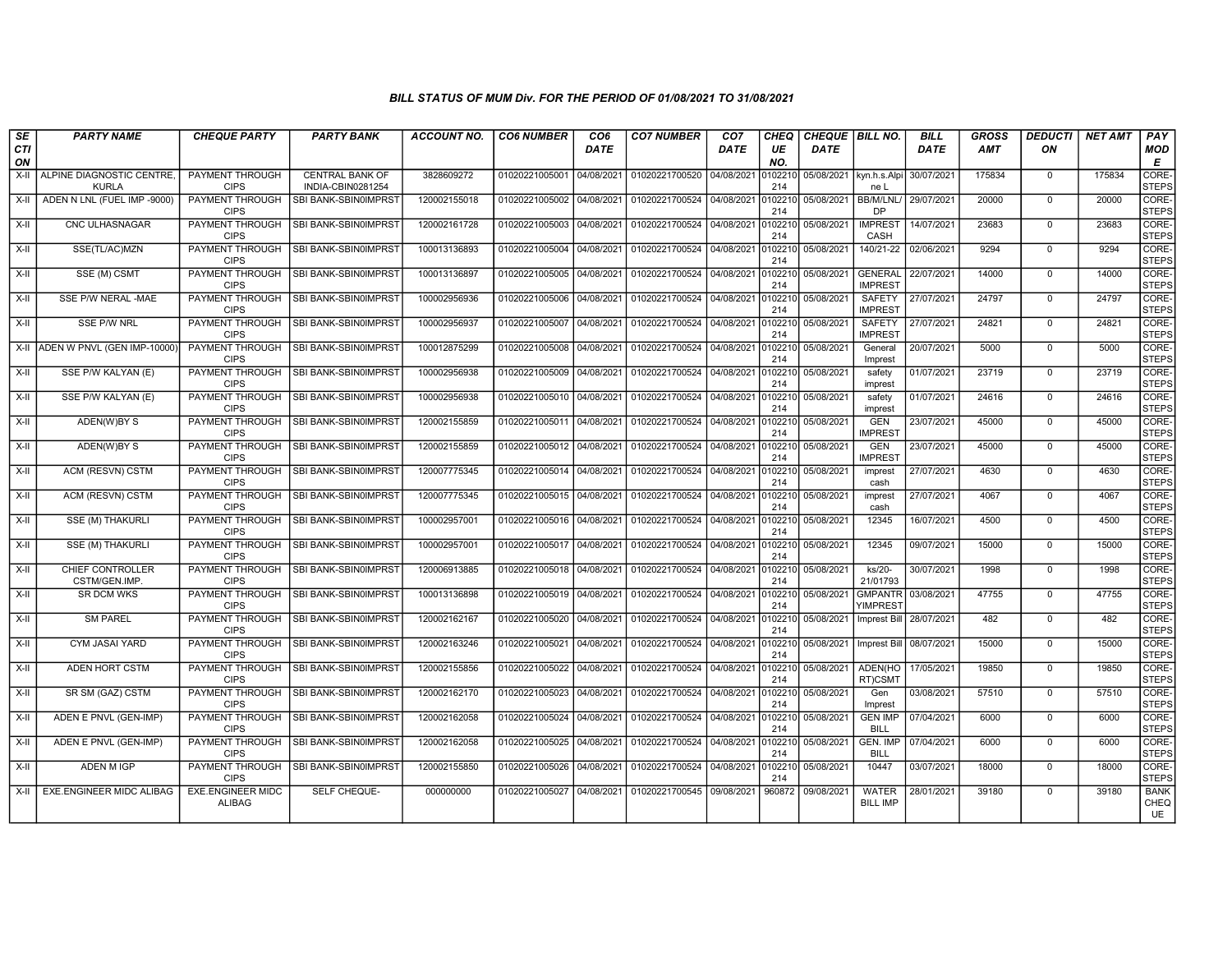| SE               | <b>PARTY NAME</b>                         | <b>CHEQUE PARTY</b>                       | <b>PARTY BANK</b>                           | <b>ACCOUNT NO.</b> | <b>CO6 NUMBER</b>         | CO <sub>6</sub> | <b>CO7 NUMBER</b>         | CO7        | <b>CHEQ</b>    | CHEQUE   BILL NO. |                                        | <b>BILL</b> | <b>GROSS</b> | <b>DEDUCTI</b> | <b>NET AMT</b> | PAY                   |
|------------------|-------------------------------------------|-------------------------------------------|---------------------------------------------|--------------------|---------------------------|-----------------|---------------------------|------------|----------------|-------------------|----------------------------------------|-------------|--------------|----------------|----------------|-----------------------|
| <b>CTI</b><br>ON |                                           |                                           |                                             |                    |                           | <b>DATE</b>     |                           | DATE       | UE<br>NO.      | <b>DATE</b>       |                                        | <b>DATE</b> | AMT          | ON             |                | <b>MOD</b><br>Е       |
| X-II             | ALPINE DIAGNOSTIC CENTRE,<br><b>KURLA</b> | <b>PAYMENT THROUGH</b><br><b>CIPS</b>     | <b>CENTRAL BANK OF</b><br>INDIA-CBIN0281254 | 3828609272         | 01020221005001 04/08/2021 |                 | 01020221700520 04/08/2021 |            | 102210<br>214  | 05/08/2021        | kyn.h.s.Alpi<br>ne <sub>L</sub>        | 30/07/2021  | 175834       | $\Omega$       | 175834         | CORE-<br><b>STEPS</b> |
| X-II             | ADEN N LNL (FUEL IMP -9000)               | <b>PAYMENT THROUGH</b><br><b>CIPS</b>     | SBI BANK-SBIN0IMPRST                        | 120002155018       | 01020221005002 04/08/2021 |                 | 01020221700524 04/08/2021 |            | 0102210<br>214 | 05/08/2021        | <b>BB/M/LNL/</b><br><b>DP</b>          | 29/07/2021  | 20000        | $\mathbf{0}$   | 20000          | CORE-<br><b>STEPS</b> |
| X-II             | CNC ULHASNAGAR                            | PAYMENT THROUGH<br><b>CIPS</b>            | SBI BANK-SBIN0IMPRST                        | 120002161728       | 01020221005003            | 04/08/2021      | 01020221700524 04/08/2021 |            | 0102210<br>214 | 05/08/2021        | <b>IMPREST</b><br>CASH                 | 14/07/2021  | 23683        | $\mathbf 0$    | 23683          | CORE-<br><b>STEPS</b> |
| $X-II$           | SSE(TL/AC)MZN                             | <b>CIPS</b>                               | PAYMENT THROUGH   SBI BANK-SBIN0IMPRST      | 100013136893       | 01020221005004 04/08/2021 |                 | 01020221700524 04/08/2021 |            | 0102210<br>214 | 05/08/2021        | 140/21-22                              | 02/06/2021  | 9294         | $\Omega$       | 9294           | CORE-<br>STEPS        |
| $X-H$            | SSE (M) CSMT                              | PAYMENT THROUGH<br><b>CIPS</b>            | SBI BANK-SBIN0IMPRST                        | 100013136897       | 01020221005005 04/08/2021 |                 | 01020221700524 04/08/2021 |            | 0102210<br>214 | 05/08/2021        | <b>GENERAL</b><br><b>IMPREST</b>       | 22/07/2021  | 14000        | $\mathbf{0}$   | 14000          | CORE-<br><b>STEPS</b> |
| X-II             | SSE P/W NERAL -MAE                        | <b>PAYMENT THROUGH</b><br><b>CIPS</b>     | SBI BANK-SBIN0IMPRST                        | 100002956936       | 01020221005006            | 04/08/2021      | 01020221700524 04/08/2021 |            | 010221<br>214  | 05/08/2021        | <b>SAFETY</b><br><b>IMPREST</b>        | 27/07/2021  | 24797        | $\mathbf 0$    | 24797          | CORE-<br><b>STEPS</b> |
| X-II             | SSE P/W NRL                               | <b>CIPS</b>                               | PAYMENT THROUGH   SBI BANK-SBIN0IMPRST      | 100002956937       | 01020221005007 04/08/2021 |                 | 01020221700524 04/08/2021 |            | 0102210<br>214 | 05/08/2021        | SAFETY<br><b>IMPREST</b>               | 27/07/2021  | 24821        | $\mathbf{0}$   | 24821          | CORE-<br>STEPS        |
| X-II             | ADEN W PNVL (GEN IMP-10000)               | PAYMENT THROUGH<br><b>CIPS</b>            | SBI BANK-SBIN0IMPRST                        | 100012875299       | 01020221005008            | 04/08/2021      | 01020221700524            | 04/08/2021 | 0102210<br>214 | 05/08/2021        | General<br>Imprest                     | 20/07/2021  | 5000         | $\mathbf 0$    | 5000           | CORE-<br><b>STEPS</b> |
| $X-H$            | SSE P/W KALYAN (E)                        | PAYMENT THROUGH<br><b>CIPS</b>            | SBI BANK-SBIN0IMPRST                        | 100002956938       | 01020221005009 04/08/2021 |                 | 01020221700524 04/08/2021 |            | 0102210<br>214 | 05/08/2021        | safety<br>imprest                      | 01/07/2021  | 23719        | $\overline{0}$ | 23719          | CORE-<br>STEPS        |
| $X-H$            | SSE P/W KALYAN (E)                        | <b>CIPS</b>                               | PAYMENT THROUGH SBI BANK-SBIN0IMPRST        | 100002956938       | 01020221005010 04/08/2021 |                 | 01020221700524 04/08/2021 |            | 0102210<br>214 | 05/08/2021        | safety<br>imprest                      | 01/07/2021  | 24616        | $\mathbf{0}$   | 24616          | CORE-<br>STEPS        |
| X-II             | ADEN(W)BY S                               | PAYMENT THROUGH<br><b>CIPS</b>            | SBI BANK-SBIN0IMPRST                        | 120002155859       | 01020221005011 04/08/2021 |                 | 01020221700524 04/08/2021 |            | 0102210<br>214 | 05/08/2021        | <b>GEN</b><br><b>IMPREST</b>           | 23/07/2021  | 45000        | $\mathbf 0$    | 45000          | CORE-<br><b>STEPS</b> |
| X-II             | ADEN(W)BY S                               | PAYMENT THROUGH<br><b>CIPS</b>            | SBI BANK-SBIN0IMPRST                        | 120002155859       | 01020221005012 04/08/2021 |                 | 01020221700524 04/08/2021 |            | 010221<br>214  | 05/08/2021        | <b>GEN</b><br><b>IMPREST</b>           | 23/07/2021  | 45000        | $\mathbf 0$    | 45000          | CORE-<br><b>STEPS</b> |
| X-II             | ACM (RESVN) CSTM                          | <b>CIPS</b>                               | PAYMENT THROUGH SBI BANK-SBIN0IMPRST        | 120007775345       | 01020221005014 04/08/2021 |                 | 01020221700524 04/08/2021 |            | 0102210<br>214 | 05/08/2021        | imprest<br>cash                        | 27/07/2021  | 4630         | $\mathbf 0$    | 4630           | CORE-<br><b>STEPS</b> |
| $X-H$            | ACM (RESVN) CSTM                          | <b>CIPS</b>                               | PAYMENT THROUGH   SBI BANK-SBIN0IMPRST      | 120007775345       | 01020221005015 04/08/2021 |                 | 01020221700524 04/08/2021 |            | 0102210<br>214 | 05/08/2021        | imprest<br>cash                        | 27/07/2021  | 4067         | $\overline{0}$ | 4067           | CORE-<br>STEPS        |
| X-II             | SSE (M) THAKURLI                          | PAYMENT THROUGH<br><b>CIPS</b>            | SBI BANK-SBIN0IMPRST                        | 10000295700        | 01020221005016 04/08/2021 |                 | 01020221700524            | 04/08/2021 | 010221<br>214  | 05/08/2021        | 12345                                  | 16/07/2021  | 4500         | $\mathbf{0}$   | 4500           | CORE-<br><b>STEPS</b> |
| X-II             | SSE (M) THAKURLI                          | PAYMENT THROUGH<br><b>CIPS</b>            | SBI BANK-SBIN0IMPRST                        | 100002957001       | 01020221005017 04/08/2021 |                 | 01020221700524            | 04/08/2021 | 0102210<br>214 | 05/08/2021        | 12345                                  | 09/07/2021  | 15000        | $\mathbf{0}$   | 15000          | CORE-<br><b>STEPS</b> |
| X-II             | CHIEF CONTROLLER<br>CSTM/GEN.IMP.         | PAYMENT THROUGH<br><b>CIPS</b>            | <b>SBI BANK-SBIN0IMPRST</b>                 | 120006913885       | 01020221005018 04/08/2021 |                 | 01020221700524 04/08/2021 |            | 0102210<br>214 | 05/08/2021        | $ks/20-$<br>21/01793                   | 30/07/2021  | 1998         | $\mathbf{0}$   | 1998           | CORE-<br><b>STEPS</b> |
| X-II             | <b>SR DCM WKS</b>                         | PAYMENT THROUGH<br><b>CIPS</b>            | SBI BANK-SBIN0IMPRST                        | 100013136898       | 01020221005019 04/08/2021 |                 | 01020221700524 04/08/2021 |            | 0102210<br>214 | 05/08/2021        | <b>GMPANTR</b><br>YIMPRES <sup>®</sup> | 03/08/2021  | 47755        | $\Omega$       | 47755          | CORE-<br>STEPS        |
| X-II             | <b>SM PAREL</b>                           | PAYMENT THROUGH<br><b>CIPS</b>            | SBI BANK-SBIN0IMPRST                        | 120002162167       | 01020221005020            | 04/08/2021      | 01020221700524            | 04/08/2021 | 010221<br>214  | 05/08/2021        | <b>Imprest Bill</b>                    | 28/07/2021  | 482          | $\mathbf 0$    | 482            | CORE-<br><b>STEPS</b> |
| X-II             | CYM JASAI YARD                            | PAYMENT THROUGH<br><b>CIPS</b>            | SBI BANK-SBIN0IMPRST                        | 120002163246       | 01020221005021 04/08/2021 |                 | 01020221700524 04/08/2021 |            | 0102210<br>214 | 05/08/2021        | <b>Imprest Bill</b>                    | 08/07/2021  | 15000        | $\mathbf{0}$   | 15000          | CORE-<br><b>STEPS</b> |
| X-II             | ADEN HORT CSTM                            | PAYMENT THROUGH<br><b>CIPS</b>            | SBI BANK-SBIN0IMPRST                        | 120002155856       | 01020221005022 04/08/2021 |                 | 01020221700524 04/08/2021 |            | 0102210<br>214 | 05/08/2021        | ADEN(HO<br>RT)CSMT                     | 17/05/2021  | 19850        | $\mathbf{0}$   | 19850          | CORE-<br><b>STEPS</b> |
| X-II             | SR SM (GAZ) CSTM                          | <b>CIPS</b>                               | PAYMENT THROUGH SBI BANK-SBIN0IMPRST        | 120002162170       | 01020221005023 04/08/2021 |                 | 01020221700524 04/08/2021 |            | 010221<br>214  | 05/08/2021        | Gen<br>Imprest                         | 03/08/2021  | 57510        | $\mathbf{0}$   | 57510          | CORE-<br><b>STEPS</b> |
| X-II             | ADEN E PNVL (GEN-IMP)                     | PAYMENT THROUGH<br><b>CIPS</b>            | SBI BANK-SBIN0IMPRST                        | 120002162058       | 01020221005024 04/08/2021 |                 | 01020221700524 04/08/2021 |            | 0102210<br>214 | 05/08/2021        | <b>GEN IMP</b><br><b>BILL</b>          | 07/04/2021  | 6000         | $\mathbf 0$    | 6000           | CORE-<br><b>STEPS</b> |
| X-II             | ADEN E PNVL (GEN-IMP)                     | PAYMENT THROUGH<br><b>CIPS</b>            | SBI BANK-SBIN0IMPRST                        | 120002162058       | 01020221005025 04/08/2021 |                 | 01020221700524 04/08/2021 |            | 0102210<br>214 | 05/08/2021        | <b>GEN. IMP</b><br><b>BILL</b>         | 07/04/2021  | 6000         | $\mathbf{0}$   | 6000           | CORE-<br><b>STEPS</b> |
| X-II             | <b>ADEN M IGP</b>                         | PAYMENT THROUGH<br><b>CIPS</b>            | SBI BANK-SBIN0IMPRST                        | 120002155850       | 01020221005026            | 04/08/2021      | 01020221700524            | 04/08/2021 | 010221<br>214  | 05/08/2021        | 10447                                  | 03/07/2021  | 18000        | $\mathbf{0}$   | 18000          | CORE-<br><b>STEPS</b> |
| X-II             | <b>EXE.ENGINEER MIDC ALIBAG</b>           | <b>EXE.ENGINEER MIDC</b><br><b>ALIBAG</b> | SELF CHEQUE-                                | 000000000          | 01020221005027            | 04/08/2021      | 01020221700545 09/08/2021 |            | 960872         | 09/08/2021        | <b>WATER</b><br><b>BILL IMP</b>        | 28/01/2021  | 39180        | $\mathbf 0$    | 39180          | <b>BANK</b><br>CHEQ   |
|                  |                                           |                                           |                                             |                    |                           |                 |                           |            |                |                   |                                        |             |              |                |                | UE                    |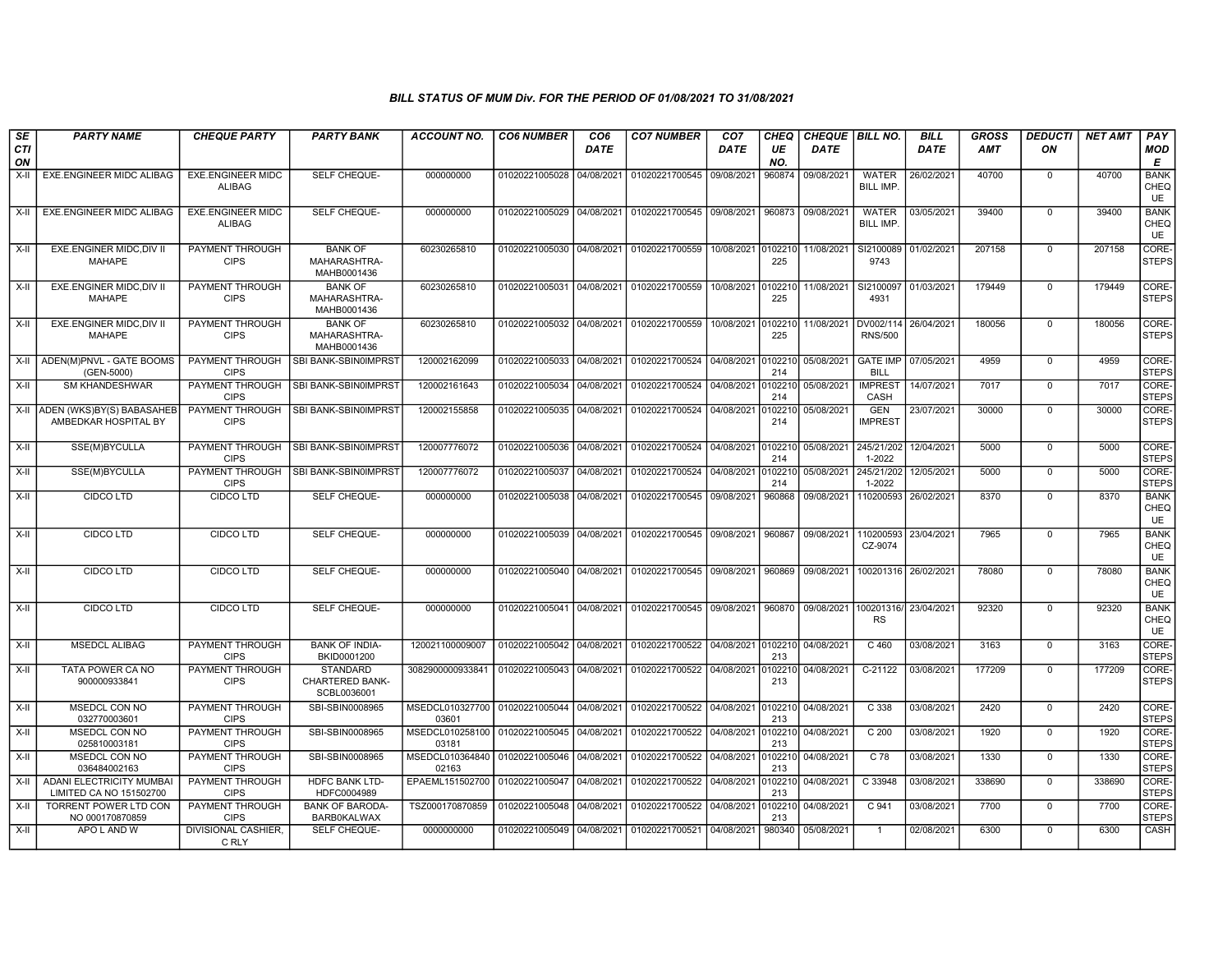| SE        | <b>PARTY NAME</b>                                          | <b>CHEQUE PARTY</b>                       | <b>PARTY BANK</b>                                 | <b>ACCOUNT NO.</b>                        | <b>CO6 NUMBER</b>         | CO <sub>6</sub> | <b>CO7 NUMBER</b>                                   | CO <sub>7</sub>    | CHEQ           | <b>CHEQUE   BILL NO.</b> |                              | <b>BILL</b> | <b>GROSS</b> | <b>DEDUCTI</b> | <b>NET AMT</b> | <b>PAY</b>                       |
|-----------|------------------------------------------------------------|-------------------------------------------|---------------------------------------------------|-------------------------------------------|---------------------------|-----------------|-----------------------------------------------------|--------------------|----------------|--------------------------|------------------------------|-------------|--------------|----------------|----------------|----------------------------------|
| CTI<br>ON |                                                            |                                           |                                                   |                                           |                           | DATE            |                                                     | DATE               | UE<br>NO.      | <b>DATE</b>              |                              | <b>DATE</b> | <b>AMT</b>   | ON             |                | <b>MOD</b><br>E                  |
| $X-II$    | EXE.ENGINEER MIDC ALIBAG                                   | <b>EXE.ENGINEER MIDC</b><br><b>ALIBAG</b> | SELF CHEQUE-                                      | 000000000                                 | 01020221005028            | 04/08/2021      | 01020221700545                                      | 09/08/2021         | 960874         | 09/08/2021               | <b>WATER</b><br>BILL IMP.    | 26/02/2021  | 40700        | $\mathbf 0$    | 40700          | <b>BANK</b><br>CHEQ<br><b>UE</b> |
| X-II      | EXE.ENGINEER MIDC ALIBAG                                   | <b>EXE.ENGINEER MIDC</b><br><b>ALIBAG</b> | SELF CHEQUE-                                      | 000000000                                 | 01020221005029            | 04/08/2021      | 01020221700545 09/08/2021                           |                    | 960873         | 09/08/2021               | <b>WATER</b><br>BILL IMP.    | 03/05/2021  | 39400        | $\mathbf 0$    | 39400          | <b>BANK</b><br>CHEQ<br><b>UE</b> |
| X-II      | EXE.ENGINER MIDC, DIV II<br><b>MAHAPE</b>                  | PAYMENT THROUGH<br><b>CIPS</b>            | <b>BANK OF</b><br>MAHARASHTRA-<br>MAHB0001436     | 60230265810                               | 01020221005030            | 04/08/2021      | 01020221700559                                      | 10/08/2021         | 102210<br>225  | 11/08/2021               | SI2100089<br>9743            | 01/02/2021  | 207158       | $\mathbf 0$    | 207158         | CORE-<br><b>STEPS</b>            |
| X-II      | EXE.ENGINER MIDC, DIV II<br><b>MAHAPE</b>                  | <b>PAYMENT THROUGH</b><br><b>CIPS</b>     | <b>BANK OF</b><br>MAHARASHTRA-<br>MAHB0001436     | 60230265810                               | 01020221005031            | 04/08/2021      | 01020221700559                                      | 10/08/2021         | 0102210<br>225 | 11/08/2021               | SI2100097<br>4931            | 01/03/2021  | 179449       | $\mathbf 0$    | 179449         | CORE-<br><b>STEPS</b>            |
| X-II      | EXE.ENGINER MIDC, DIV II<br><b>MAHAPE</b>                  | PAYMENT THROUGH<br><b>CIPS</b>            | <b>BANK OF</b><br>MAHARASHTRA-<br>MAHB0001436     | 60230265810                               |                           |                 | 01020221005032 04/08/2021 01020221700559            | 10/08/2021 0102210 | 225            | 11/08/2021               | DV002/114<br><b>RNS/500</b>  | 26/04/2021  | 180056       | $\Omega$       | 180056         | CORE-<br><b>STEPS</b>            |
| X-II      | ADEN(M)PNVL - GATE BOOMS<br>(GEN-5000)                     | PAYMENT THROUGH<br><b>CIPS</b>            | <b>SBI BANK-SBIN0IMPRST</b>                       | 120002162099                              | 01020221005033            | 04/08/2021      | 01020221700524 04/08/2021                           |                    | 0102210<br>214 | 05/08/2021               | GATE IMP<br><b>BILL</b>      | 07/05/2021  | 4959         | $\mathbf 0$    | 4959           | CORE-<br><b>STEPS</b>            |
| X-II      | <b>SM KHANDESHWAR</b>                                      | PAYMENT THROUGH<br><b>CIPS</b>            | <b>SBI BANK-SBIN0IMPRST</b>                       | 120002161643                              | 01020221005034            | 04/08/2021      | 01020221700524                                      | 04/08/2021         | 0102210<br>214 | 05/08/2021               | <b>IMPREST</b><br>CASH       | 14/07/2021  | 7017         | $\mathbf 0$    | 7017           | CORE-<br><b>STEPS</b>            |
|           | X-II ADEN (WKS)BY(S) BABASAHEE<br>AMBEDKAR HOSPITAL BY     | PAYMENT THROUGH<br><b>CIPS</b>            | <b>SBI BANK-SBIN0IMPRST</b>                       | 120002155858                              | 01020221005035            | 04/08/2021      | 01020221700524 04/08/2021                           |                    | 0102210<br>214 | 05/08/2021               | <b>GEN</b><br><b>IMPREST</b> | 23/07/2021  | 30000        | $\mathbf 0$    | 30000          | CORE-<br><b>STEPS</b>            |
| X-II      | SSE(M)BYCULLA                                              | PAYMENT THROUGH<br><b>CIPS</b>            | <b>SBI BANK-SBIN0IMPRST</b>                       | 120007776072                              | 01020221005036            | 04/08/2021      | 01020221700524                                      | 04/08/2021         | 0102210<br>214 | 05/08/2021               | 245/21/202<br>1-2022         | 12/04/2021  | 5000         | $\Omega$       | 5000           | CORE-<br><b>STEPS</b>            |
| $X-H$     | SSE(M)BYCULLA                                              | PAYMENT THROUGH<br><b>CIPS</b>            | <b>SBI BANK-SBIN0IMPRST</b>                       | 120007776072                              | 01020221005037            | 04/08/2021      | 01020221700524                                      | 04/08/2021         | 0102210<br>214 | 05/08/2021               | 245/21/202<br>1-2022         | 12/05/2021  | 5000         | $\overline{0}$ | 5000           | CORE-<br><b>STEPS</b>            |
| X-II      | <b>CIDCO LTD</b>                                           | <b>CIDCO LTD</b>                          | SELF CHEQUE-                                      | 000000000                                 | 01020221005038            | 04/08/2021      | 01020221700545 09/08/2021                           |                    | 960868         | 09/08/2021               | 110200593                    | 26/02/2021  | 8370         | $\Omega$       | 8370           | <b>BANK</b><br>CHEQ<br><b>UE</b> |
| X-II      | CIDCO LTD                                                  | CIDCO LTD                                 | SELF CHEQUE-                                      | 000000000                                 | 01020221005039 04/08/2021 |                 | 01020221700545 09/08/2021                           |                    | 960867         | 09/08/2021               | 110200593<br>CZ-9074         | 23/04/2021  | 7965         | $\Omega$       | 7965           | <b>BANK</b><br>CHEQ<br><b>UE</b> |
| X-II      | CIDCO LTD                                                  | CIDCO LTD                                 | SELF CHEQUE-                                      | 000000000                                 |                           |                 | 01020221005040 04/08/2021 01020221700545 09/08/2021 |                    | 960869         | 09/08/2021               | 100201316                    | 26/02/2021  | 78080        | $\mathbf 0$    | 78080          | <b>BANK</b><br>CHEQ<br><b>UE</b> |
| X-II      | CIDCO LTD                                                  | CIDCO LTD                                 | SELF CHEQUE-                                      | 000000000                                 |                           |                 | 01020221005041 04/08/2021 01020221700545 09/08/2021 |                    | 960870         | 09/08/2021               | 100201316/<br><b>RS</b>      | 23/04/2021  | 92320        | $\mathbf 0$    | 92320          | <b>BANK</b><br>CHEQ<br>UE        |
| $X-II$    | <b>MSEDCL ALIBAG</b>                                       | <b>PAYMENT THROUGH</b><br><b>CIPS</b>     | <b>BANK OF INDIA-</b><br>BKID0001200              | 120021100009007                           | 01020221005042 04/08/2021 |                 | 01020221700522 04/08/2021 0102210 04/08/2021        |                    | 213            |                          | $C$ 460                      | 03/08/2021  | 3163         | $\overline{0}$ | 3163           | CORE-<br><b>STEPS</b>            |
| X-II      | TATA POWER CA NO<br>900000933841                           | <b>PAYMENT THROUGH</b><br><b>CIPS</b>     | <b>STANDARD</b><br>CHARTERED BANK-<br>SCBL0036001 | 3082900000933841                          | 01020221005043            |                 | 04/08/2021 01020221700522 04/08/2021                |                    | 0102210<br>213 | 04/08/2021               | $C-21122$                    | 03/08/2021  | 177209       | $\Omega$       | 177209         | CORE-<br><b>STEPS</b>            |
| X-II      | MSEDCL CON NO<br>032770003601                              | PAYMENT THROUGH<br><b>CIPS</b>            | SBI-SBIN0008965                                   | MSEDCL010327700 01020221005044<br>03601   |                           | 04/08/2021      | 01020221700522 04/08/2021                           |                    | 0102210<br>213 | 04/08/2021               | C 338                        | 03/08/2021  | 2420         | $\mathbf 0$    | 2420           | CORE-<br><b>STEPS</b>            |
| X-II      | <b>MSEDCL CON NO</b><br>025810003181                       | PAYMENT THROUGH<br><b>CIPS</b>            | SBI-SBIN0008965                                   | MSEDCL010258100   01020221005045<br>03181 |                           | 04/08/2021      | 01020221700522                                      | 04/08/2021         | 102210<br>213  | 04/08/2021               | C <sub>200</sub>             | 03/08/2021  | 1920         | $\mathbf 0$    | 1920           | CORE-<br><b>STEPS</b>            |
| X-II      | <b>MSEDCL CON NO</b><br>036484002163                       | <b>PAYMENT THROUGH</b><br><b>CIPS</b>     | SBI-SBIN0008965                                   | MSEDCL010364840<br>02163                  | 01020221005046            | 04/08/2021      | 01020221700522                                      | 04/08/2021         | 0102210<br>213 | 04/08/2021               | $C$ 78                       | 03/08/2021  | 1330         | $\mathbf 0$    | 1330           | CORE-<br><b>STEPS</b>            |
| $X-H$     | <b>ADANI ELECTRICITY MUMBAI</b><br>LIMITED CA NO 151502700 | PAYMENT THROUGH<br><b>CIPS</b>            | <b>HDFC BANK LTD-</b><br>HDFC0004989              | EPAEML151502700 01020221005047            |                           | 04/08/2021      | 01020221700522                                      | 04/08/2021         | 0102210<br>213 | 04/08/2021               | C 33948                      | 03/08/2021  | 338690       | $\mathbf 0$    | 338690         | CORE-<br><b>STEPS</b>            |
| X-II      | <b>TORRENT POWER LTD CON</b><br>NO 000170870859            | PAYMENT THROUGH<br><b>CIPS</b>            | <b>BANK OF BARODA-</b><br><b>BARB0KALWAX</b>      | TSZ000170870859                           | 01020221005048 04/08/2021 |                 | 01020221700522                                      | 04/08/2021         | 102210<br>213  | 04/08/2021               | C 941                        | 03/08/2021  | 7700         | $\mathbf 0$    | 7700           | CORE-<br>STEPS                   |
| X-II      | APO L AND W                                                | DIVISIONAL CASHIER,<br>C RLY              | SELF CHEQUE-                                      | 0000000000                                | 01020221005049 04/08/2021 |                 | 01020221700521 04/08/2021                           |                    | 980340         | 05/08/2021               | $\overline{1}$               | 02/08/2021  | 6300         | $\mathbf 0$    | 6300           | <b>CASH</b>                      |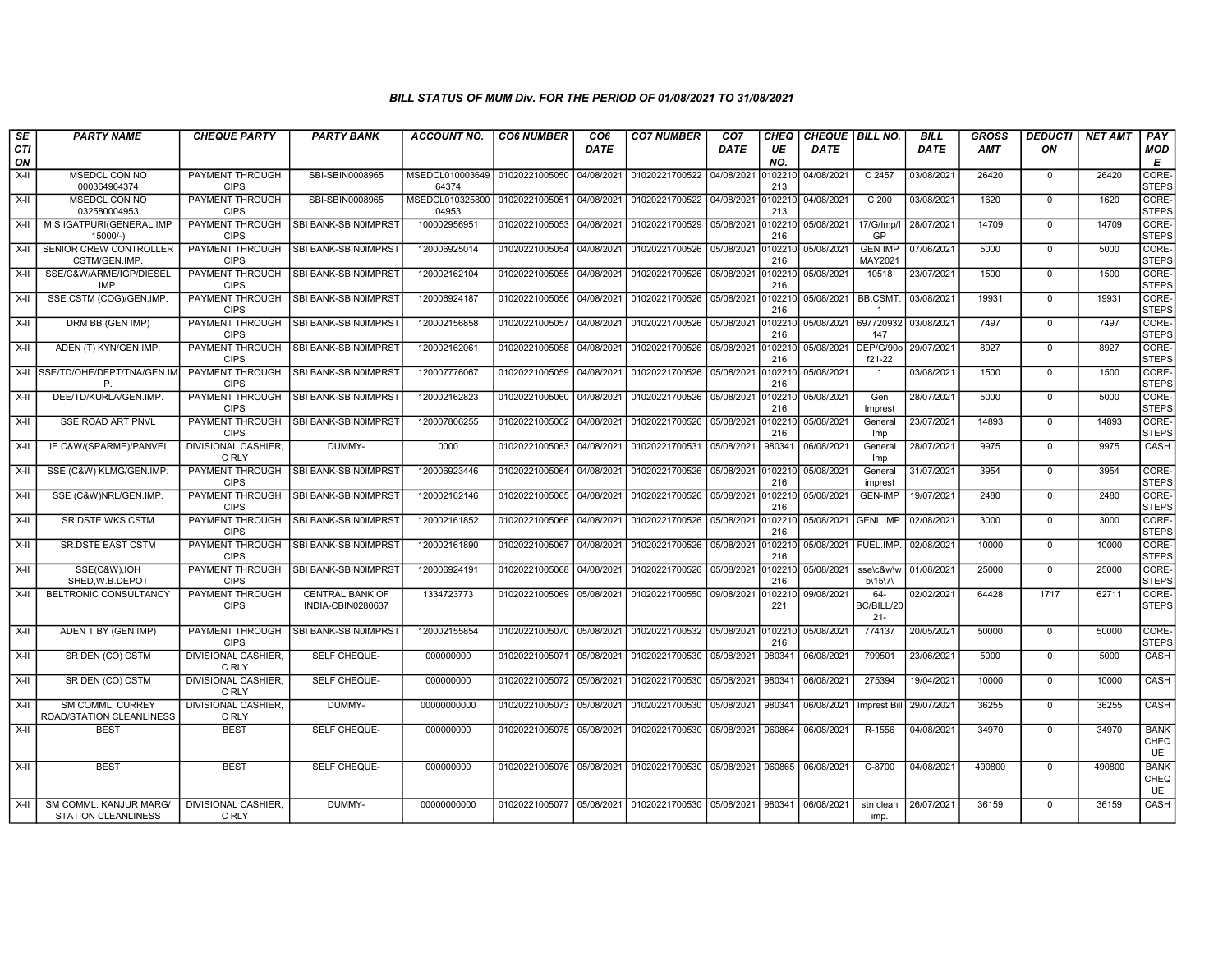| SE               | <b>PARTY NAME</b>                                    | <b>CHEQUE PARTY</b>                   | <b>PARTY BANK</b>                           | <b>ACCOUNT NO.</b>                                     | <b>CO6 NUMBER</b>         | CO <sub>6</sub> | <b>CO7 NUMBER</b>                                   | CO <sub>7</sub> | CHEQ           | <b>CHEQUE BILL NO.</b> |                                | <b>BILL</b> | <b>GROSS</b> | <b>DEDUCTI</b> | <b>NET AMT</b> | PAY                              |
|------------------|------------------------------------------------------|---------------------------------------|---------------------------------------------|--------------------------------------------------------|---------------------------|-----------------|-----------------------------------------------------|-----------------|----------------|------------------------|--------------------------------|-------------|--------------|----------------|----------------|----------------------------------|
| <b>CTI</b><br>ON |                                                      |                                       |                                             |                                                        |                           | <b>DATE</b>     |                                                     | <b>DATE</b>     | UE<br>NO.      | <b>DATE</b>            |                                | <b>DATE</b> | AMT          | ON             |                | <b>MOD</b><br>E                  |
| X-II             | MSEDCL CON NO<br>000364964374                        | <b>PAYMENT THROUGH</b><br><b>CIPS</b> | SBI-SBIN0008965                             | MSEDCL010003649 01020221005050 04/08/2021<br>64374     |                           |                 | 01020221700522 04/08/2021                           |                 | 102210<br>213  | 04/08/2021             | C <sub>2457</sub>              | 03/08/2021  | 26420        | $\mathbf 0$    | 26420          | CORE-<br><b>STEPS</b>            |
| X-II             | MSEDCL CON NO<br>032580004953                        | PAYMENT THROUGH<br><b>CIPS</b>        | SBI-SBIN0008965                             | MSEDCL010325800   01020221005051   04/08/2021<br>04953 |                           |                 | 01020221700522 04/08/2021                           |                 | 102210<br>213  | 04/08/2021             | C 200                          | 03/08/2021  | 1620         | $\mathbf{0}$   | 1620           | CORE-<br><b>STEPS</b>            |
| X-II             | M S IGATPURI(GENERAL IMP<br>$15000/-$                | <b>PAYMENT THROUGH</b><br><b>CIPS</b> | SBI BANK-SBIN0IMPRST                        | 100002956951                                           | 01020221005053            | 04/08/2021      | 01020221700529 05/08/2021                           |                 | 0102210<br>216 | 05/08/2021             | 17/G/Imp/I<br>GP               | 28/07/2021  | 14709        | $\mathbf 0$    | 14709          | CORE-<br><b>STEPS</b>            |
| X-II             | SENIOR CREW CONTROLLER<br>CSTM/GEN.IMP               | <b>PAYMENT THROUGH</b><br><b>CIPS</b> | SBI BANK-SBIN0IMPRST                        | 120006925014                                           | 01020221005054 04/08/2021 |                 | 01020221700526 05/08/2021                           |                 | 0102210<br>216 | 05/08/2021             | <b>GEN IMP</b><br>MAY2021      | 07/06/2021  | 5000         | $\mathbf 0$    | 5000           | CORE-<br><b>STEPS</b>            |
| X-II             | SSE/C&W/ARME/IGP/DIESEL<br>IMP.                      | PAYMENT THROUGH<br><b>CIPS</b>        | SBI BANK-SBIN0IMPRST                        | 120002162104                                           | 01020221005055            | 04/08/2021      | 01020221700526                                      | 05/08/2021      | 0102210<br>216 | 05/08/2021             | 10518                          | 23/07/2021  | 1500         | $\mathbf 0$    | 1500           | CORE-<br><b>STEPS</b>            |
| X-II             | SSE CSTM (COG)/GEN.IMP.                              | <b>PAYMENT THROUGH</b><br><b>CIPS</b> | SBI BANK-SBIN0IMPRST                        | 120006924187                                           | 01020221005056            | 04/08/2021      | 01020221700526 05/08/2021                           |                 | 0102210<br>216 | 05/08/2021             | <b>BB.CSMT</b><br>$\mathbf{1}$ | 03/08/2021  | 19931        | $\mathbf 0$    | 19931          | CORE-<br><b>STEPS</b>            |
| X-II             | DRM BB (GEN IMP)                                     | PAYMENT THROUGH<br><b>CIPS</b>        | <b>SBI BANK-SBIN0IMPRST</b>                 | 120002156858                                           | 01020221005057 04/08/2021 |                 | 01020221700526 05/08/2021                           |                 | 0102210<br>216 | 05/08/2021             | 697720932<br>147               | 03/08/2021  | 7497         | $\mathbf 0$    | 7497           | CORE-<br><b>STEPS</b>            |
| X-II             | ADEN (T) KYN/GEN.IMP.                                | PAYMENT THROUGH<br><b>CIPS</b>        | SBI BANK-SBIN0IMPRST                        | 120002162061                                           | 01020221005058            | 04/08/2021      | 01020221700526                                      | 05/08/2021      | 0102210<br>216 | 05/08/2021             | DEP/G/90o<br>$f21-22$          | 29/07/2021  | 8927         | $\mathbf 0$    | 8927           | CORE-<br><b>STEPS</b>            |
|                  | X-II SSE/TD/OHE/DEPT/TNA/GEN.II<br>Р.                | <b>PAYMENT THROUGH</b><br><b>CIPS</b> | SBI BANK-SBIN0IMPRST                        | 120007776067                                           | 01020221005059            | 04/08/2021      | 01020221700526                                      | 05/08/2021      | 0102210<br>216 | 05/08/2021             | $\overline{1}$                 | 03/08/2021  | 1500         | $\overline{0}$ | 1500           | CORE-<br><b>STEPS</b>            |
| X-II             | DEE/TD/KURLA/GEN.IMP.                                | <b>PAYMENT THROUGH</b><br><b>CIPS</b> | I SBI BANK-SBIN0IMPRST                      | 120002162823                                           | 01020221005060 04/08/2021 |                 | 01020221700526 05/08/2021                           |                 | 0102210<br>216 | 05/08/2021             | Gen<br>Imprest                 | 28/07/2021  | 5000         | $\Omega$       | 5000           | CORE-<br><b>STEPS</b>            |
| X-II             | SSE ROAD ART PNVL                                    | PAYMENT THROUGH<br><b>CIPS</b>        | SBI BANK-SBIN0IMPRST                        | 120007806255                                           | 01020221005062            | 04/08/2021      | 01020221700526                                      | 05/08/2021      | 0102210<br>216 | 05/08/2021             | General<br>Imp                 | 23/07/2021  | 14893        | $\mathbf{0}$   | 14893          | CORE-<br><b>STEPS</b>            |
| $X-II$           | JE C&W/(SPARME)/PANVEL                               | <b>DIVISIONAL CASHIER.</b><br>C RLY   | DUMMY-                                      | 0000                                                   | 01020221005063            | 04/08/2021      | 01020221700531                                      | 05/08/2021      | 980341         | 06/08/2021             | General<br>Imp                 | 28/07/2021  | 9975         | $\overline{0}$ | 9975           | CASH                             |
| X-II             | SSE (C&W) KLMG/GEN.IMP                               | <b>PAYMENT THROUGH</b><br><b>CIPS</b> | I SBI BANK-SBIN0IMPRST                      | 120006923446                                           | 01020221005064 04/08/2021 |                 | 01020221700526 05/08/2021                           |                 | 0102210<br>216 | 05/08/2021             | General<br>imprest             | 31/07/2021  | 3954         | $\mathbf 0$    | 3954           | CORE-<br><b>STEPS</b>            |
| X-II             | SSE (C&W)NRL/GEN.IMP.                                | <b>PAYMENT THROUGH</b><br><b>CIPS</b> | SBI BANK-SBIN0IMPRST                        | 120002162146                                           | 01020221005065            | 04/08/2021      | 01020221700526 05/08/2021                           |                 | 0102210<br>216 | 05/08/2021             | <b>GEN-IMP</b>                 | 19/07/2021  | 2480         | $\mathbf 0$    | 2480           | CORE-<br><b>STEPS</b>            |
| X-II             | SR DSTE WKS CSTM                                     | <b>PAYMENT THROUGH</b><br><b>CIPS</b> | SBI BANK-SBIN0IMPRST                        | 120002161852                                           | 01020221005066            | 04/08/2021      | 01020221700526                                      | 05/08/2021      | 0102210<br>216 | 05/08/2021             | <b>GENL.IMP</b>                | 02/08/2021  | 3000         | $\mathbf 0$    | 3000           | CORE-<br><b>STEPS</b>            |
| X-II             | <b>SR.DSTE EAST CSTM</b>                             | PAYMENT THROUGH<br><b>CIPS</b>        | SBI BANK-SBIN0IMPRST                        | 120002161890                                           | 01020221005067 04/08/2021 |                 | 01020221700526 05/08/2021                           |                 | 0102210<br>216 | 05/08/2021   FUEL.IMP. |                                | 02/08/2021  | 10000        | $\Omega$       | 10000          | CORE-<br><b>STEPS</b>            |
| X-II             | SSE(C&W), IOH<br>SHED, W.B.DEPOT                     | <b>PAYMENT THROUGH</b><br><b>CIPS</b> | SBI BANK-SBIN0IMPRST                        | 120006924191                                           | 01020221005068            | 04/08/2021      | 01020221700526 05/08/2021                           |                 | 0102210<br>216 | 05/08/2021             | sse\c&w\w<br>b\15\7\           | 01/08/2021  | 25000        | $\mathbf 0$    | 25000          | CORE-<br><b>STEPS</b>            |
| X-II             | BELTRONIC CONSULTANCY                                | <b>PAYMENT THROUGH</b><br><b>CIPS</b> | <b>CENTRAL BANK OF</b><br>INDIA-CBIN0280637 | 1334723773                                             | 01020221005069            | 05/08/2021      | 01020221700550 09/08/2021                           |                 | 102210<br>221  | 09/08/2021             | 64-<br>BC/BILL/20<br>$21 -$    | 02/02/2021  | 64428        | 1717           | 62711          | CORE-<br><b>STEPS</b>            |
| X-II             | ADEN T BY (GEN IMP)                                  | PAYMENT THROUGH<br><b>CIPS</b>        | SBI BANK-SBIN0IMPRST                        | 120002155854                                           | 01020221005070 05/08/2021 |                 | 01020221700532 05/08/2021                           |                 | 0102210<br>216 | 05/08/2021             | 774137                         | 20/05/2021  | 50000        | $\mathbf 0$    | 50000          | CORE-<br><b>STEPS</b>            |
| X-II             | SR DEN (CO) CSTM                                     | <b>DIVISIONAL CASHIER,</b><br>C RLY   | SELF CHEQUE-                                | 000000000                                              | 01020221005071 05/08/2021 |                 | 01020221700530 05/08/2021                           |                 | 980341         | 06/08/2021             | 799501                         | 23/06/2021  | 5000         | $\mathbf 0$    | 5000           | CASH                             |
| X-II             | SR DEN (CO) CSTM                                     | <b>DIVISIONAL CASHIER.</b><br>C RLY   | <b>SELF CHEQUE-</b>                         | 000000000                                              | 01020221005072 05/08/2021 |                 | 01020221700530 05/08/2021                           |                 | 980341         | 06/08/2021             | 275394                         | 19/04/2021  | 10000        | $\mathbf 0$    | 10000          | CASH                             |
| X-II             | SM COMML. CURREY<br>ROAD/STATION CLEANLINESS         | DIVISIONAL CASHIER,<br>C RLY          | DUMMY-                                      | 00000000000                                            | 01020221005073 05/08/2021 |                 | 01020221700530 05/08/2021                           |                 | 980341         | 06/08/2021             | Imprest Bil                    | 29/07/2021  | 36255        | $\mathbf 0$    | 36255          | CASH                             |
| X-II             | <b>BEST</b>                                          | <b>BEST</b>                           | <b>SELF CHEQUE-</b>                         | 000000000                                              | 01020221005075 05/08/2021 |                 | 01020221700530 05/08/2021                           |                 | 960864         | 06/08/2021             | R-1556                         | 04/08/2021  | 34970        | $\mathbf 0$    | 34970          | <b>BANK</b><br>CHEQ<br><b>UE</b> |
| $X-H$            | <b>BEST</b>                                          | <b>BEST</b>                           | SELF CHEQUE-                                | 000000000                                              | 01020221005076 05/08/2021 |                 | 01020221700530 05/08/2021                           |                 | 960865         | 06/08/2021             | C-8700                         | 04/08/2021  | 490800       | $\Omega$       | 490800         | <b>BANK</b><br>CHEQ<br>UE        |
| X-II             | SM COMML, KANJUR MARG/<br><b>STATION CLEANLINESS</b> | DIVISIONAL CASHIER,<br>C RLY          | DUMMY-                                      | 00000000000                                            |                           |                 | 01020221005077 05/08/2021 01020221700530 05/08/2021 |                 |                | 980341 06/08/2021      | stn clean<br>imp.              | 26/07/2021  | 36159        | $\mathbf{0}$   | 36159          | <b>CASH</b>                      |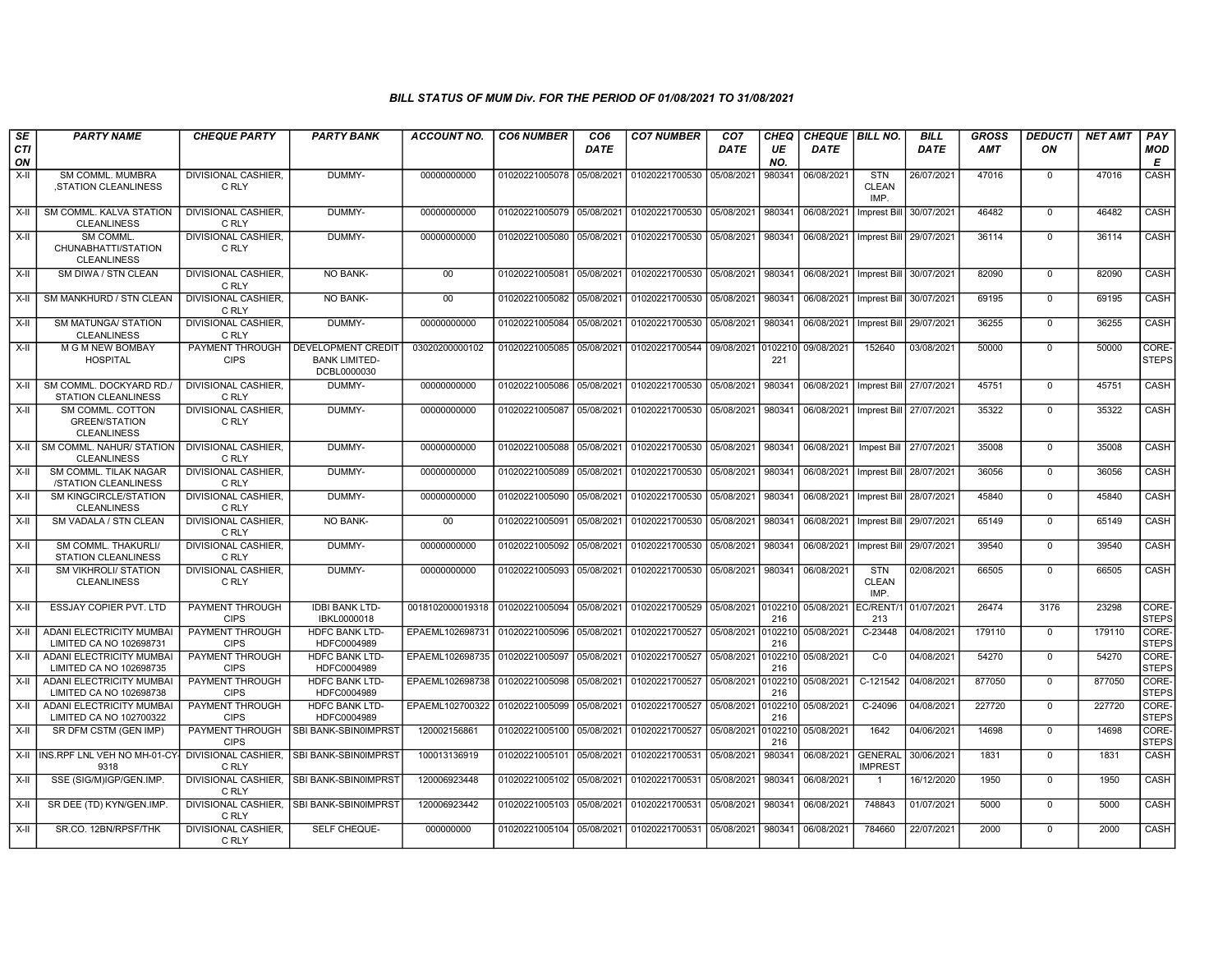| SE               | <b>PARTY NAME</b>                                                    | <b>CHEQUE PARTY</b>                   | <b>PARTY BANK</b>                                                | ACCOUNT NO.                                    | <b>CO6 NUMBER</b>         | CO <sub>6</sub> | <b>CO7 NUMBER</b>                 | CO <sub>7</sub> | CHEQ           | <b>CHEQUE BILL NO.</b> |                                    | BILL        | <b>GROSS</b> | <b>DEDUCTI</b> | NET AMT | <b>PAY</b>            |
|------------------|----------------------------------------------------------------------|---------------------------------------|------------------------------------------------------------------|------------------------------------------------|---------------------------|-----------------|-----------------------------------|-----------------|----------------|------------------------|------------------------------------|-------------|--------------|----------------|---------|-----------------------|
| <b>CTI</b><br>ON |                                                                      |                                       |                                                                  |                                                |                           | <b>DATE</b>     |                                   | <b>DATE</b>     | UE<br>NO.      | <b>DATE</b>            |                                    | <b>DATE</b> | <b>AMT</b>   | ON             |         | <b>MOD</b><br>E       |
| $X-H$            | SM COMML, MUMBRA<br>STATION CLEANLINESS                              | DIVISIONAL CASHIER.<br>C RLY          | DUMMY-                                                           | 00000000000                                    | 01020221005078 05/08/2021 |                 | 01020221700530                    | 05/08/2021      | 980341         | 06/08/2021             | <b>STN</b><br><b>CLEAN</b><br>IMP. | 26/07/2021  | 47016        | $\mathbf 0$    | 47016   | CASH                  |
| $X-II$           | SM COMML. KALVA STATION<br><b>CLEANLINESS</b>                        | <b>DIVISIONAL CASHIER.</b><br>C RLY   | DUMMY-                                                           | 00000000000                                    | 01020221005079 05/08/2021 |                 | 01020221700530 05/08/2021         |                 | 980341         | 06/08/2021             | <b>Imprest Bill</b>                | 30/07/2021  | 46482        | $\overline{0}$ | 46482   | CASH                  |
| X-II             | SM COMML<br>CHUNABHATTI/STATION<br><b>CLEANLINESS</b>                | <b>DIVISIONAL CASHIER.</b><br>C RLY   | DUMMY-                                                           | 00000000000                                    | 01020221005080            | 05/08/2021      | 01020221700530 05/08/2021         |                 | 980341         | 06/08/2021             | Imprest Bill 29/07/2021            |             | 36114        | $\mathbf 0$    | 36114   | CASH                  |
| $X-II$           | SM DIWA / STN CLEAN                                                  | DIVISIONAL CASHIER,<br>C RLY          | NO BANK-                                                         | $00\,$                                         | 01020221005081            | 05/08/2021      | 01020221700530 05/08/2021         |                 | 980341         | 06/08/2021             | Imprest Bill                       | 30/07/2021  | 82090        | $\overline{0}$ | 82090   | CASH                  |
| X-II             | SM MANKHURD / STN CLEAN                                              | DIVISIONAL CASHIER.<br>C RLY          | NO BANK-                                                         | $00\,$                                         | 01020221005082            | 05/08/2021      | 01020221700530 05/08/2021         |                 | 980341         | 06/08/2021             | Imprest Bill                       | 30/07/2021  | 69195        | $\mathbf 0$    | 69195   | CASH                  |
| X-II             | <b>SM MATUNGA/ STATION</b><br><b>CLEANLINESS</b>                     | <b>DIVISIONAL CASHIER.</b><br>C RLY   | DUMMY-                                                           | 00000000000                                    | 01020221005084            | 05/08/2021      | 01020221700530 05/08/2021         |                 | 980341         | 06/08/2021             | Imprest Bill                       | 29/07/2021  | 36255        | $\mathbf 0$    | 36255   | CASH                  |
| X-II             | M G M NEW BOMBAY<br><b>HOSPITAL</b>                                  | PAYMENT THROUGH<br><b>CIPS</b>        | <b>DEVELOPMENT CREDIT</b><br><b>BANK LIMITED-</b><br>DCBL0000030 | 03020200000102                                 | 01020221005085            | 05/08/2021      | 01020221700544 09/08/2021 0102210 |                 | 221            | 09/08/2021             | 152640                             | 03/08/2021  | 50000        | $\mathbf 0$    | 50000   | CORE-<br><b>STEPS</b> |
| $X-H$            | SM COMML, DOCKYARD RD.<br><b>STATION CLEANLINESS</b>                 | <b>DIVISIONAL CASHIER.</b><br>C RLY   | DUMMY-                                                           | 00000000000                                    | 01020221005086 05/08/2021 |                 | 01020221700530 05/08/2021         |                 | 980341         | 06/08/2021             | Imprest Bill                       | 27/07/2021  | 45751        | $\overline{0}$ | 45751   | CASH                  |
| $X-H$            | SM COMML, COTTON<br><b>GREEN/STATION</b><br><b>CLEANLINESS</b>       | <b>DIVISIONAL CASHIER.</b><br>C RLY   | DUMMY-                                                           | 00000000000                                    | 01020221005087            | 05/08/2021      | 01020221700530 05/08/2021         |                 | 980341         | 06/08/2021             | Imprest Bill 27/07/2021            |             | 35322        | $\Omega$       | 35322   | CASH                  |
| $X-H$            | SM COMML. NAHUR/ STATION   DIVISIONAL CASHIER,<br><b>CLEANLINESS</b> | C RLY                                 | DUMMY-                                                           | 00000000000                                    | 01020221005088            | 05/08/2021      | 01020221700530                    | 05/08/2021      | 980341         | 06/08/2021             | Impest Bill                        | 27/07/2021  | 35008        | $\mathbf 0$    | 35008   | CASH                  |
| $X-H$            | SM COMML. TILAK NAGAR<br>/STATION CLEANLINESS                        | <b>DIVISIONAL CASHIER.</b><br>C RLY   | DUMMY-                                                           | 00000000000                                    | 01020221005089            | 05/08/2021      | 01020221700530 05/08/2021         |                 | 980341         | 06/08/2021             | Imprest Bill                       | 28/07/2021  | 36056        | $\mathbf 0$    | 36056   | CASH                  |
| X-II             | <b>SM KINGCIRCLE/STATION</b><br><b>CLEANLINESS</b>                   | <b>DIVISIONAL CASHIER.</b><br>C RLY   | DUMMY-                                                           | 00000000000                                    | 01020221005090            | 05/08/2021      | 01020221700530 05/08/2021         |                 | 980341         | 06/08/2021             | Imprest Bill                       | 28/07/202   | 45840        | $\Omega$       | 45840   | CASH                  |
| $X-II$           | SM VADALA / STN CLEAN                                                | <b>DIVISIONAL CASHIER.</b><br>C RLY   | <b>NO BANK-</b>                                                  | 00                                             | 01020221005091            | 05/08/2021      | 01020221700530                    | 05/08/2021      | 980341         | 06/08/2021             | Imprest Bill                       | 29/07/2021  | 65149        | $\overline{0}$ | 65149   | CASH                  |
| X-II             | SM COMML. THAKURLI/<br><b>STATION CLEANLINESS</b>                    | DIVISIONAL CASHIER,<br>C RLY          | DUMMY-                                                           | 00000000000                                    | 01020221005092            | 05/08/2021      | 01020221700530                    | 05/08/2021      | 980341         | 06/08/2021             | Imprest Bill                       | 29/07/2021  | 39540        | $\Omega$       | 39540   | CASH                  |
| $X-H$            | <b>SM VIKHROLI/ STATION</b><br><b>CLEANLINESS</b>                    | <b>DIVISIONAL CASHIER,</b><br>C RLY   | DUMMY-                                                           | 00000000000                                    | 01020221005093            | 05/08/2021      | 01020221700530 05/08/2021         |                 | 980341         | 06/08/2021             | <b>STN</b><br><b>CLEAN</b><br>IMP. | 02/08/2021  | 66505        | $\mathbf 0$    | 66505   | CASH                  |
| X-II             | <b>ESSJAY COPIER PVT. LTD</b>                                        | PAYMENT THROUGH<br><b>CIPS</b>        | <b>IDBI BANK LTD-</b><br>IBKL0000018                             | 0018102000019318   01020221005094   05/08/2021 |                           |                 | 01020221700529 05/08/2021 0102210 |                 | 216            | 05/08/2021             | EC/RENT/<br>213                    | 01/07/2021  | 26474        | 3176           | 23298   | CORE-<br><b>STEPS</b> |
| X-II             | ADANI ELECTRICITY MUMBAI<br>LIMITED CA NO 102698731                  | <b>PAYMENT THROUGH</b><br><b>CIPS</b> | HDFC BANK LTD-<br>HDFC0004989                                    | EPAEML102698731                                | 01020221005096            | 05/08/2021      | 01020221700527                    | 05/08/2021      | 010221<br>216  | 05/08/2021             | $C-23448$                          | 04/08/202   | 179110       | $\mathbf 0$    | 179110  | CORE-<br><b>STEPS</b> |
| $X-II$           | <b>ADANI ELECTRICITY MUMBAI</b><br>LIMITED CA NO 102698735           | PAYMENT THROUGH<br><b>CIPS</b>        | <b>HDFC BANK LTD-</b><br>HDFC0004989                             | EPAEML102698735                                | 01020221005097            | 05/08/2021      | 01020221700527                    | 05/08/2021      | 0102210<br>216 | 05/08/2021             | $C-0$                              | 04/08/2021  | 54270        | $\mathbf 0$    | 54270   | CORE-<br><b>STEPS</b> |
| X-II             | ADANI ELECTRICITY MUMBAI<br>LIMITED CA NO 102698738                  | PAYMENT THROUGH<br><b>CIPS</b>        | <b>HDFC BANK LTD-</b><br>HDFC0004989                             | EPAEML102698738                                | 01020221005098            | 05/08/2021      | 01020221700527                    | 05/08/2021      | 0102210<br>216 | 05/08/2021             | C-121542                           | 04/08/2021  | 877050       | $\mathbf 0$    | 877050  | CORE-<br><b>STEPS</b> |
| $X-II$           | <b>ADANI ELECTRICITY MUMBAI</b><br>LIMITED CA NO 102700322           | PAYMENT THROUGH<br><b>CIPS</b>        | <b>HDFC BANK LTD-</b><br>HDFC0004989                             | EPAEML102700322                                | 01020221005099            | 05/08/2021      | 01020221700527                    | 05/08/2021      | 0102210<br>216 | 05/08/2021             | C-24096                            | 04/08/2021  | 227720       | $\mathbf 0$    | 227720  | CORE-<br><b>STEPS</b> |
| X-II             | SR DFM CSTM (GEN IMP)                                                | PAYMENT THROUGH<br><b>CIPS</b>        | SBI BANK-SBIN0IMPRST                                             | 120002156861                                   | 01020221005100 05/08/2021 |                 | 01020221700527                    | 05/08/2021      | 0102210<br>216 | 05/08/2021             | 1642                               | 04/06/2021  | 14698        | $\mathbf 0$    | 14698   | CORE-<br><b>STEPS</b> |
| X-II             | INS.RPF LNL VEH NO MH-01-CY<br>9318                                  | <b>DIVISIONAL CASHIER.</b><br>C RLY   | SBI BANK-SBIN0IMPRST                                             | 100013136919                                   | 01020221005101            | 05/08/2021      | 01020221700531                    | 05/08/2021      | 980341         | 06/08/2021             | <b>GENERAL</b><br><b>IMPREST</b>   | 30/06/2021  | 1831         | $\Omega$       | 1831    | CASH                  |
| X-II             | SSE (SIG/M)IGP/GEN.IMP.                                              | DIVISIONAL CASHIER.<br>C RLY          | SBI BANK-SBIN0IMPRST                                             | 120006923448                                   | 01020221005102            | 05/08/2021      | 01020221700531                    | 05/08/2021      | 980341         | 06/08/2021             | $\overline{1}$                     | 16/12/2020  | 1950         | $\mathbf 0$    | 1950    | CASH                  |
| $X-II$           | SR DEE (TD) KYN/GEN.IMP                                              | DIVISIONAL CASHIER,<br>C RLY          | SBI BANK-SBIN0IMPRST                                             | 120006923442                                   | 01020221005103            | 05/08/2021      | 01020221700531                    | 05/08/2021      | 980341         | 06/08/2021             | 748843                             | 01/07/2021  | 5000         | $\Omega$       | 5000    | CASH                  |
| $X-H$            | SR.CO. 12BN/RPSF/THK                                                 | <b>DIVISIONAL CASHIER,</b><br>C RLY   | SELF CHEQUE-                                                     | 000000000                                      | 01020221005104 05/08/2021 |                 | 01020221700531                    | 05/08/2021      | 980341         | 06/08/2021             | 784660                             | 22/07/2021  | 2000         | $\mathbf 0$    | 2000    | <b>CASH</b>           |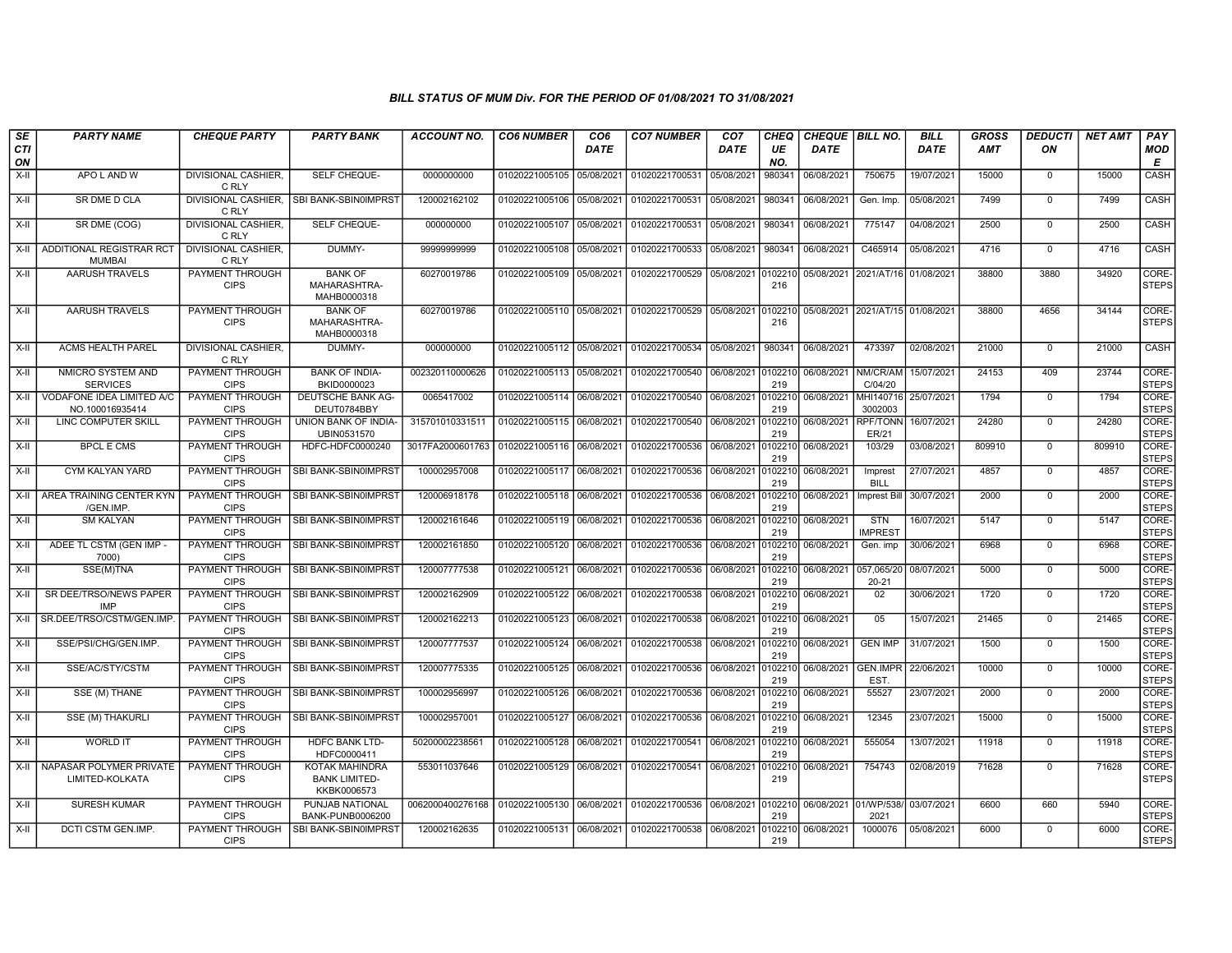| SE<br><b>CTI</b> | <b>PARTY NAME</b>                            | <b>CHEQUE PARTY</b>                   | <b>PARTY BANK</b>                                     | <b>ACCOUNT NO.</b> | <b>CO6 NUMBER</b>         | CO <sub>6</sub><br><b>DATE</b> | <b>CO7 NUMBER</b>          | CO <sub>7</sub><br><b>DATE</b> | CHEQ<br>UE     | <b>CHEQUE   BILL NO.</b><br><b>DATE</b> |                                  | <b>BILL</b><br><b>DATE</b> | <b>GROSS</b><br><b>AMT</b> | <b>DEDUCTI</b><br>ON | <b>NET AMT</b> | PAY<br><b>MOD</b>     |
|------------------|----------------------------------------------|---------------------------------------|-------------------------------------------------------|--------------------|---------------------------|--------------------------------|----------------------------|--------------------------------|----------------|-----------------------------------------|----------------------------------|----------------------------|----------------------------|----------------------|----------------|-----------------------|
| ON<br>$X-H$      | APO L AND W                                  | DIVISIONAL CASHIER,                   | SELF CHEQUE-                                          | 0000000000         | 01020221005105            | 05/08/2021                     | 01020221700531  05/08/2021 |                                | NO.<br>980341  | 06/08/2021                              | 750675                           | 19/07/2021                 | 15000                      | $^{\circ}$           | 15000          | Е<br>CASH             |
|                  |                                              | C RLY                                 |                                                       |                    |                           |                                |                            |                                |                |                                         |                                  |                            |                            |                      |                |                       |
| X-II             | SR DME D CLA                                 | DIVISIONAL CASHIER.<br>C RLY          | SBI BANK-SBIN0IMPRST                                  | 120002162102       | 01020221005106            | 05/08/2021                     | 01020221700531             | 05/08/2021                     | 980341         | 06/08/2021                              | Gen. Imp.                        | 05/08/2021                 | 7499                       | $\mathbf 0$          | 7499           | <b>CASH</b>           |
| X-II             | SR DME (COG)                                 | <b>DIVISIONAL CASHIER.</b><br>C RLY   | SELF CHEQUE-                                          | 000000000          | 01020221005107            | 05/08/2021                     | 01020221700531             | 05/08/2021                     | 980341         | 06/08/2021                              | 775147                           | 04/08/2021                 | 2500                       | $\mathbf 0$          | 2500           | CASH                  |
| $X-H$            | ADDITIONAL REGISTRAR RCT<br><b>MUMBAI</b>    | DIVISIONAL CASHIER.<br>C RLY          | DUMMY-                                                | 99999999999        | 01020221005108            | 05/08/2021                     | 01020221700533             | 05/08/2021                     | 980341         | 06/08/2021                              | C465914                          | 05/08/2021                 | 4716                       | $\Omega$             | 4716           | CASH                  |
| X-II             | <b>AARUSH TRAVELS</b>                        | PAYMENT THROUGH<br><b>CIPS</b>        | <b>BANK OF</b><br>MAHARASHTRA-<br>MAHB0000318         | 60270019786        | 01020221005109            | 05/08/2021                     | 01020221700529             | 05/08/2021                     | 0102210<br>216 |                                         | 05/08/2021 2021/AT/16 01/08/2021 |                            | 38800                      | 3880                 | 34920          | CORE-<br><b>STEPS</b> |
| $X-H$            | <b>AARUSH TRAVELS</b>                        | PAYMENT THROUGH<br><b>CIPS</b>        | <b>BANK OF</b><br>MAHARASHTRA-<br>MAHB0000318         | 60270019786        | 01020221005110 05/08/2021 |                                | 01020221700529             | 05/08/2021                     | 0102210<br>216 |                                         | 05/08/2021 2021/AT/15 01/08/2021 |                            | 38800                      | 4656                 | 34144          | CORE-<br><b>STEPS</b> |
| X-II             | <b>ACMS HEALTH PAREL</b>                     | <b>DIVISIONAL CASHIER.</b><br>C RLY   | DUMMY-                                                | 000000000          | 01020221005112 05/08/2021 |                                | 01020221700534 05/08/2021  |                                | 980341         | 06/08/2021                              | 473397                           | 02/08/2021                 | 21000                      | $\Omega$             | 21000          | CASH                  |
| X-II             | NMICRO SYSTEM AND<br><b>SERVICES</b>         | PAYMENT THROUGH<br><b>CIPS</b>        | <b>BANK OF INDIA-</b><br>BKID0000023                  | 002320110000626    | 01020221005113            | 05/08/2021                     | 01020221700540 06/08/2021  |                                | 102210<br>219  | 06/08/2021                              | NM/CR/AM<br>C/04/20              | 15/07/2021                 | 24153                      | 409                  | 23744          | CORE-<br><b>STEPS</b> |
| X-II             | VODAFONE IDEA LIMITED A/C<br>NO.100016935414 | PAYMENT THROUGH<br><b>CIPS</b>        | DEUTSCHE BANK AG-<br>DEUT0784BBY                      | 0065417002         | 01020221005114 06/08/2021 |                                | 01020221700540 06/08/2021  |                                | 102210<br>219  | 06/08/2021                              | MHI140716<br>3002003             | 25/07/2021                 | 1794                       | $\Omega$             | 1794           | CORE-<br><b>STEPS</b> |
| $X-H$            | <b>LINC COMPUTER SKILL</b>                   | PAYMENT THROUGH<br><b>CIPS</b>        | UNION BANK OF INDIA-<br>UBIN0531570                   | 315701010331511    | 01020221005115            | 06/08/2021                     | 01020221700540             | 06/08/2021                     | 102210<br>219  | 06/08/2021                              | <b>RPF/TONN</b><br>ER/21         | 16/07/2021                 | 24280                      | $\mathbf 0$          | 24280          | CORE-<br><b>STEPS</b> |
| X-II             | <b>BPCL E CMS</b>                            | PAYMENT THROUGH<br><b>CIPS</b>        | HDFC-HDFC0000240                                      | 3017FA2000601763   | 01020221005116            | 06/08/2021                     | 01020221700536             | 06/08/2021                     | 102210<br>219  | 06/08/2021                              | 103/29                           | 03/08/2021                 | 809910                     | $\mathbf 0$          | 809910         | CORE-<br><b>STEPS</b> |
| X-II             | CYM KALYAN YARD                              | PAYMENT THROUGH<br><b>CIPS</b>        | SBI BANK-SBIN0IMPRST                                  | 100002957008       | 01020221005117            | 06/08/2021                     | 01020221700536             | 06/08/2021                     | 102210<br>219  | 06/08/2021                              | Imprest<br><b>BILL</b>           | 27/07/2021                 | 4857                       | $\mathbf 0$          | 4857           | CORE-<br><b>STEPS</b> |
| X-II             | AREA TRAINING CENTER KYN<br>/GEN.IMP.        | PAYMENT THROUGH<br><b>CIPS</b>        | SBI BANK-SBIN0IMPRST                                  | 120006918178       | 01020221005118            | 06/08/2021                     | 01020221700536             | 06/08/2021                     | 0102210<br>219 | 06/08/2021                              | <b>Imprest Bill</b>              | 30/07/2021                 | 2000                       | $\mathbf 0$          | 2000           | CORE-<br><b>STEPS</b> |
| $X-H$            | <b>SM KALYAN</b>                             | PAYMENT THROUGH<br><b>CIPS</b>        | <b>SBI BANK-SBIN0IMPRST</b>                           | 120002161646       | 01020221005119            | 06/08/2021                     | 01020221700536             | 06/08/2021                     | 0102210<br>219 | 06/08/2021                              | <b>STN</b><br><b>IMPREST</b>     | 16/07/2021                 | 5147                       | $\mathbf 0$          | 5147           | CORE-<br><b>STEPS</b> |
| X-II             | ADEE TL CSTM (GEN IMP -<br>7000)             | <b>PAYMENT THROUGH</b><br><b>CIPS</b> | SBI BANK-SBIN0IMPRST                                  | 120002161850       | 01020221005120 06/08/2021 |                                | 01020221700536 06/08/2021  |                                | 102210<br>219  | 06/08/2021                              | Gen. imp                         | 30/06/2021                 | 6968                       | $\Omega$             | 6968           | CORE-<br><b>STEPS</b> |
| X-II             | SSE(M)TNA                                    | PAYMENT THROUGH<br><b>CIPS</b>        | SBI BANK-SBIN0IMPRST                                  | 120007777538       | 01020221005121            | 06/08/2021                     | 01020221700536 06/08/2021  |                                | 102210<br>219  | 06/08/2021                              | 057,065/20<br>$20 - 21$          | 08/07/2021                 | 5000                       | $\mathbf 0$          | 5000           | CORE-<br><b>STEPS</b> |
| $X-II$           | SR DEE/TRSO/NEWS PAPER<br><b>IMP</b>         | <b>PAYMENT THROUGH</b><br><b>CIPS</b> | SBI BANK-SBIN0IMPRST                                  | 120002162909       | 01020221005122            | 06/08/2021                     | 01020221700538             | 06/08/2021                     | 102210<br>219  | 06/08/2021                              | 02                               | 30/06/2021                 | 1720                       | $\mathbf 0$          | 1720           | CORE-<br><b>STEPS</b> |
| X-II             | SR.DEE/TRSO/CSTM/GEN.IMP                     | <b>PAYMENT THROUGH</b><br><b>CIPS</b> | SBI BANK-SBIN0IMPRST                                  | 120002162213       | 01020221005123            | 06/08/2021                     | 01020221700538             | 06/08/2021                     | 0102210<br>219 | 06/08/2021                              | 05                               | 15/07/2021                 | 21465                      | $\mathbf{0}$         | 21465          | CORE-<br><b>STEPS</b> |
| X-II             | SSE/PSI/CHG/GEN.IMP.                         | PAYMENT THROUGH<br><b>CIPS</b>        | SBI BANK-SBIN0IMPRST                                  | 120007777537       | 01020221005124            | 06/08/2021                     | 01020221700538 06/08/2021  |                                | 102210<br>219  | 06/08/2021                              | <b>GEN IMP</b>                   | 31/07/2021                 | 1500                       | $\Omega$             | 1500           | CORE-<br><b>STEPS</b> |
| X-II             | SSE/AC/STY/CSTM                              | PAYMENT THROUGH<br><b>CIPS</b>        | SBI BANK-SBIN0IMPRST                                  | 120007775335       | 01020221005125            | 06/08/2021                     | 01020221700536             | 06/08/2021                     | 102210<br>219  | 06/08/2021                              | <b>GEN.IMPR</b><br>EST.          | 22/06/2021                 | 10000                      | $\mathbf 0$          | 10000          | CORE-<br><b>STEPS</b> |
| $X-II$           | SSE (M) THANE                                | PAYMENT THROUGH<br><b>CIPS</b>        | SBI BANK-SBIN0IMPRST                                  | 100002956997       | 01020221005126            | 06/08/2021                     | 01020221700536             | 06/08/2021                     | 102210<br>219  | 06/08/2021                              | 55527                            | 23/07/2021                 | 2000                       | $\Omega$             | 2000           | CORE-<br><b>STEPS</b> |
| $X-H$            | <b>SSE (M) THAKURLI</b>                      | <b>PAYMENT THROUGH</b><br><b>CIPS</b> | SBI BANK-SBIN0IMPRST                                  | 100002957001       | 01020221005127            | 06/08/2021                     | 01020221700536 06/08/2021  |                                | 102210<br>219  | 06/08/2021                              | 12345                            | 23/07/2021                 | 15000                      | $\mathbf 0$          | 15000          | CORE-<br><b>STEPS</b> |
| $X-H$            | <b>WORLD IT</b>                              | PAYMENT THROUGH<br><b>CIPS</b>        | <b>HDFC BANK LTD-</b><br>HDFC0000411                  | 50200002238561     | 01020221005128 06/08/2021 |                                | 01020221700541 06/08/2021  |                                | 102210<br>219  | 06/08/2021                              | 555054                           | 13/07/2021                 | 11918                      | $\mathbf 0$          | 11918          | CORE-<br><b>STEPS</b> |
| X-II             | NAPASAR POLYMER PRIVATE<br>LIMITED-KOLKATA   | PAYMENT THROUGH<br><b>CIPS</b>        | KOTAK MAHINDRA<br><b>BANK LIMITED-</b><br>KKBK0006573 | 553011037646       | 01020221005129            | 06/08/2021                     | 01020221700541 06/08/2021  |                                | 102210<br>219  | 06/08/2021                              | 754743                           | 02/08/2019                 | 71628                      | $\mathbf 0$          | 71628          | CORE-<br><b>STEPS</b> |
| $X-H$            | <b>SURESH KUMAR</b>                          | PAYMENT THROUGH<br><b>CIPS</b>        | PUNJAB NATIONAL<br>BANK-PUNB0006200                   | 0062000400276168   | 01020221005130 06/08/2021 |                                | 01020221700536 06/08/2021  |                                | 102210<br>219  | 06/08/2021 01/WP/538/                   | 2021                             | 03/07/2021                 | 6600                       | 660                  | 5940           | CORE-<br><b>STEPS</b> |
| X-II             | DCTI CSTM GEN.IMP.                           | <b>PAYMENT THROUGH</b><br><b>CIPS</b> | SBI BANK-SBIN0IMPRST                                  | 120002162635       | 01020221005131 06/08/2021 |                                | 01020221700538 06/08/2021  |                                | 102210<br>219  | 06/08/2021                              | 1000076                          | 05/08/2021                 | 6000                       | $\Omega$             | 6000           | CORE-<br><b>STEPS</b> |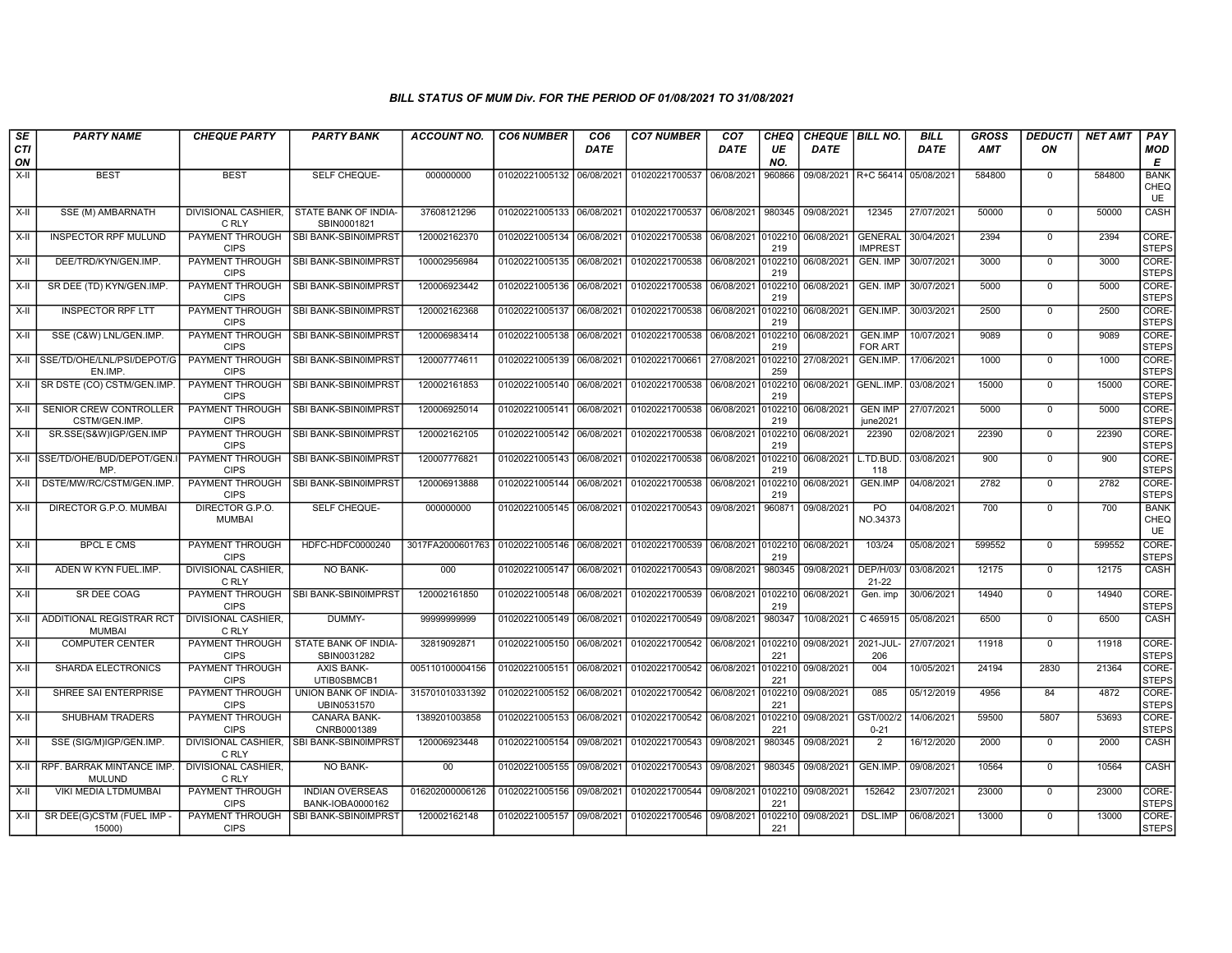| SE               | <b>PARTY NAME</b>                         | <b>CHEQUE PARTY</b>                   | <b>PARTY BANK</b>                          | <b>ACCOUNT NO.</b>                         | <b>CO6 NUMBER</b>         | CO <sub>6</sub> | <b>CO7 NUMBER</b>         | CO <sub>7</sub>    | CHEQ           | CHEQUE   BILL NO. |                                  | <b>BILL</b> | <b>GROSS</b> | <b>DEDUCTI</b> | <b>NET AMT</b> | PAY                              |
|------------------|-------------------------------------------|---------------------------------------|--------------------------------------------|--------------------------------------------|---------------------------|-----------------|---------------------------|--------------------|----------------|-------------------|----------------------------------|-------------|--------------|----------------|----------------|----------------------------------|
| <b>CTI</b><br>ON |                                           |                                       |                                            |                                            |                           | <b>DATE</b>     |                           | <b>DATE</b>        | UE<br>NO.      | <b>DATE</b>       |                                  | <b>DATE</b> | <b>AMT</b>   | ON             |                | MOD<br>E                         |
| X-II             | <b>BEST</b>                               | <b>BEST</b>                           | SELF CHEQUE-                               | 000000000                                  | 01020221005132            | 06/08/2021      | 01020221700537            | 06/08/2021         | 960866         |                   | 09/08/2021 R+C 56414             | 05/08/2021  | 584800       | $\mathbf 0$    | 584800         | <b>BANK</b><br>CHEQ<br><b>UE</b> |
| X-II             | SSE (M) AMBARNATH                         | DIVISIONAL CASHIER,<br>C RLY          | STATE BANK OF INDIA-<br>SBIN0001821        | 37608121296                                | 01020221005133            | 06/08/2021      | 01020221700537            | 06/08/2021         | 980345         | 09/08/2021        | 12345                            | 27/07/2021  | 50000        | $^{\circ}$     | 50000          | CASH                             |
| X-II             | <b>INSPECTOR RPF MULUND</b>               | PAYMENT THROUGH<br><b>CIPS</b>        | SBI BANK-SBIN0IMPRST                       | 120002162370                               | 01020221005134            | 06/08/2021      | 01020221700538            | 06/08/2021         | 0102210<br>219 | 06/08/2021        | <b>GENERAL</b><br><b>IMPREST</b> | 30/04/2021  | 2394         | $\Omega$       | 2394           | CORE-<br><b>STEPS</b>            |
| X-II             | DEE/TRD/KYN/GEN.IMP.                      | PAYMENT THROUGH<br><b>CIPS</b>        | SBI BANK-SBIN0IMPRST                       | 100002956984                               | 01020221005135            | 06/08/2021      | 01020221700538            | 06/08/2021         | 0102210<br>219 | 06/08/2021        | <b>GEN. IMP</b>                  | 30/07/2021  | 3000         | $\mathbf 0$    | 3000           | CORE-<br><b>STEPS</b>            |
| X-II             | SR DEE (TD) KYN/GEN.IMP                   | PAYMENT THROUGH<br><b>CIPS</b>        | SBI BANK-SBIN0IMPRST                       | 120006923442                               | 01020221005136            | 06/08/2021      | 01020221700538            | 06/08/2021         | 0102210<br>219 | 06/08/2021        | <b>GEN. IMP</b>                  | 30/07/2021  | 5000         | $\mathbf 0$    | 5000           | CORE-<br><b>STEPS</b>            |
| X-II             | <b>INSPECTOR RPF LTT</b>                  | PAYMENT THROUGH<br><b>CIPS</b>        | SBI BANK-SBIN0IMPRST                       | 120002162368                               | 01020221005137            | 06/08/2021      | 01020221700538            | 06/08/2021         | 0102210<br>219 | 06/08/2021        | GEN.IMP.                         | 30/03/2021  | 2500         | $\mathbf 0$    | 2500           | CORE-<br><b>STEPS</b>            |
| X-II             | SSE (C&W) LNL/GEN.IMP.                    | <b>PAYMENT THROUGH</b><br><b>CIPS</b> | SBI BANK-SBIN0IMPRST                       | 120006983414                               | 01020221005138            | 06/08/2021      | 01020221700538            | 06/08/2021         | 0102210<br>219 | 06/08/2021        | <b>GEN.IMP</b><br><b>FOR ART</b> | 10/07/2021  | 9089         | $^{\circ}$     | 9089           | CORE-<br><b>STEPS</b>            |
| X-II             | SSE/TD/OHE/LNL/PSI/DEPOT/G<br>EN.IMP.     | PAYMENT THROUGH<br><b>CIPS</b>        | SBI BANK-SBIN0IMPRST                       | 120007774611                               | 01020221005139            | 06/08/2021      | 01020221700661            | 27/08/2021         | 0102210<br>259 | 27/08/2021        | GEN.IMP.                         | 17/06/2021  | 1000         | $\overline{0}$ | 1000           | CORE-<br>STEPS                   |
| X-II             | SR DSTE (CO) CSTM/GEN.IMP                 | PAYMENT THROUGH<br><b>CIPS</b>        | SBI BANK-SBIN0IMPRST                       | 120002161853                               | 01020221005140            | 06/08/2021      | 01020221700538            | 06/08/2021         | 0102210<br>219 | 06/08/2021        | GENL.IMP.                        | 03/08/2021  | 15000        | $\mathbf 0$    | 15000          | CORE-<br><b>STEPS</b>            |
| X-II             | SENIOR CREW CONTROLLER<br>CSTM/GEN.IMP    | PAYMENT THROUGH<br><b>CIPS</b>        | SBI BANK-SBIN0IMPRST                       | 120006925014                               | 01020221005141            | 06/08/2021      | 01020221700538            | 06/08/2021         | 0102210<br>219 | 06/08/2021        | <b>GEN IMP</b><br>june2021       | 27/07/2021  | 5000         | $\mathbf 0$    | 5000           | CORE-<br><b>STEPS</b>            |
| X-II             | SR.SSE(S&W)IGP/GEN.IMP                    | PAYMENT THROUGH<br><b>CIPS</b>        | SBI BANK-SBIN0IMPRST                       | 120002162105                               | 01020221005142            | 06/08/2021      | 01020221700538            | 06/08/2021         | 0102210<br>219 | 06/08/2021        | 22390                            | 02/08/2021  | 22390        | $\mathbf 0$    | 22390          | CORE-<br><b>STEPS</b>            |
| X-II             | ISSE/TD/OHE/BUD/DEPOT/GEN.<br>MP.         | <b>PAYMENT THROUGH</b><br><b>CIPS</b> | SBI BANK-SBIN0IMPRST                       | 120007776821                               | 01020221005143            | 06/08/2021      | 01020221700538            | 06/08/2021         | 0102210<br>219 | 06/08/2021        | L.TD.BUD.<br>118                 | 03/08/2021  | 900          | $\mathbf{0}$   | 900            | CORE-<br><b>STEPS</b>            |
| X-II             | DSTE/MW/RC/CSTM/GEN.IMP                   | PAYMENT THROUGH<br><b>CIPS</b>        | SBI BANK-SBIN0IMPRST                       | 120006913888                               | 01020221005144            | 06/08/2021      | 01020221700538            | 06/08/2021         | 0102210<br>219 | 06/08/2021        | GEN.IMP                          | 04/08/2021  | 2782         | $\Omega$       | 2782           | CORE-<br>STEPS                   |
| X-II             | DIRECTOR G.P.O. MUMBAI                    | DIRECTOR G.P.O.<br><b>MUMBAI</b>      | SELF CHEQUE-                               | 000000000                                  | 01020221005145 06/08/2021 |                 | 01020221700543            | 09/08/2021         | 960871         | 09/08/2021        | PO<br>NO.34373                   | 04/08/2021  | 700          | $\Omega$       | 700            | <b>BANK</b><br>CHEQ<br>UE        |
| X-II             | <b>BPCL E CMS</b>                         | PAYMENT THROUGH<br><b>CIPS</b>        | HDFC-HDFC0000240                           | 3017FA2000601763 01020221005146 06/08/2021 |                           |                 | 01020221700539            | 06/08/2021         | 0102210<br>219 | 06/08/2021        | 103/24                           | 05/08/2021  | 599552       | $\Omega$       | 599552         | CORE-<br><b>STEPS</b>            |
| X-II             | ADEN W KYN FUEL.IMP.                      | DIVISIONAL CASHIER,<br>C RLY          | NO BANK-                                   | 000                                        | 01020221005147            | 06/08/2021      | 01020221700543            | 09/08/2021         | 980345         | 09/08/2021        | DEP/H/03/<br>$21 - 22$           | 03/08/2021  | 12175        | $\mathbf 0$    | 12175          | CASH                             |
| $X-II$           | SR DEE COAG                               | PAYMENT THROUGH<br><b>CIPS</b>        | SBI BANK-SBIN0IMPRST                       | 120002161850                               | 01020221005148            | 06/08/2021      | 01020221700539            | 06/08/2021         | 0102210<br>219 | 06/08/2021        | Gen. imp                         | 30/06/2021  | 14940        | $\Omega$       | 14940          | CORE-<br><b>STEPS</b>            |
| X-II             | ADDITIONAL REGISTRAR RCT<br><b>MUMBAI</b> | <b>DIVISIONAL CASHIER,</b><br>C RLY   | DUMMY-                                     | 9999999999                                 | 01020221005149            | 06/08/2021      | 01020221700549            | 09/08/2021         | 980347         | 10/08/2021        | C 465915                         | 05/08/2021  | 6500         | $\mathbf 0$    | 6500           | CASH                             |
| $X-H$            | <b>COMPUTER CENTER</b>                    | PAYMENT THROUGH<br><b>CIPS</b>        | STATE BANK OF INDIA-<br>SBIN0031282        | 32819092871                                | 01020221005150            | 06/08/2021      | 01020221700542 06/08/2021 |                    | 0102210<br>221 | 09/08/2021        | 2021-JUL<br>206                  | 27/07/2021  | 11918        | $\overline{0}$ | 11918          | CORE-<br><b>STEPS</b>            |
| X-II             | SHARDA ELECTRONICS                        | PAYMENT THROUGH<br><b>CIPS</b>        | <b>AXIS BANK-</b><br>UTIB0SBMCB1           | 005110100004156                            | 01020221005151            | 06/08/2021      | 01020221700542            | 06/08/2021         | 0102210<br>221 | 09/08/2021        | 004                              | 10/05/2021  | 24194        | 2830           | 21364          | CORE-<br><b>STEPS</b>            |
| X-II             | SHREE SAI ENTERPRISE                      | PAYMENT THROUGH<br><b>CIPS</b>        | UNION BANK OF INDIA-<br>UBIN0531570        | 315701010331392                            | 01020221005152            | 06/08/2021      | 01020221700542            | 06/08/2021         | 0102210<br>221 | 09/08/2021        | 085                              | 05/12/2019  | 4956         | 84             | 4872           | CORE-<br><b>STEPS</b>            |
| $X-H$            | <b>SHUBHAM TRADERS</b>                    | PAYMENT THROUGH<br><b>CIPS</b>        | <b>CANARA BANK-</b><br>CNRB0001389         | 1389201003858                              | 01020221005153            | 06/08/2021      | 01020221700542            | 06/08/2021         | 0102210<br>221 | 09/08/2021        | GST/002/2<br>$0 - 21$            | 14/06/2021  | 59500        | 5807           | 53693          | CORE-<br><b>STEPS</b>            |
| X-II             | SSE (SIG/M)IGP/GEN.IMP                    | C RLY                                 | DIVISIONAL CASHIER, SBI BANK-SBIN0IMPRST   | 120006923448                               | 01020221005154            | 09/08/2021      | 01020221700543            | 09/08/2021         | 980345         | 09/08/2021        | $\overline{2}$                   | 16/12/2020  | 2000         | $\mathbf 0$    | 2000           | <b>CASH</b>                      |
| X-II             | RPF. BARRAK MINTANCE IMP<br><b>MULUND</b> | DIVISIONAL CASHIER,<br>C RLY          | NO BANK-                                   | 00 <sup>°</sup>                            | 01020221005155            | 09/08/2021      | 01020221700543            | 09/08/2021         | 980345         | 09/08/2021        | GEN.IMP.                         | 09/08/2021  | 10564        | $^{\circ}$     | 10564          | CASH                             |
| X-II             | VIKI MEDIA LTDMUMBAI                      | PAYMENT THROUGH<br><b>CIPS</b>        | <b>INDIAN OVERSEAS</b><br>BANK-IOBA0000162 | 016202000006126                            | 01020221005156            | 09/08/2021      | 01020221700544            | 09/08/2021 0102210 | 221            | 09/08/2021        | 152642                           | 23/07/2021  | 23000        | $\mathbf 0$    | 23000          | CORE-<br><b>STEPS</b>            |
| X-II             | SR DEE(G)CSTM (FUEL IMP<br>15000)         | PAYMENT THROUGH<br><b>CIPS</b>        | SBI BANK-SBIN0IMPRST                       | 120002162148                               | 01020221005157            | 09/08/2021      | 01020221700546            | 09/08/2021         | 0102210<br>221 | 09/08/2021        | <b>DSL.IMP</b>                   | 06/08/2021  | 13000        | $^{\circ}$     | 13000          | CORE-<br><b>STEPS</b>            |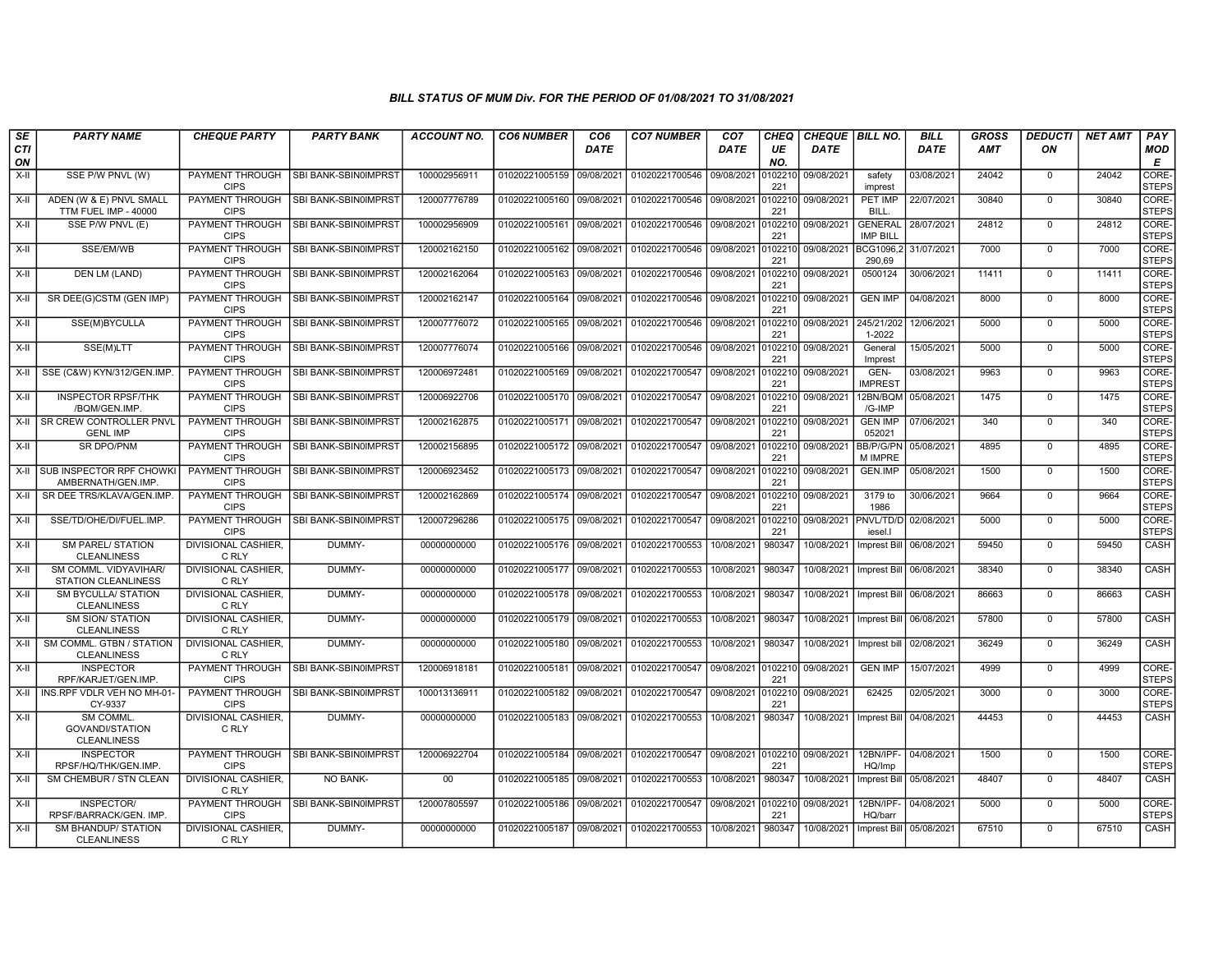| SE               | <b>PARTY NAME</b>                                        | <b>CHEQUE PARTY</b>                   | <b>PARTY BANK</b>           | <b>ACCOUNT NO.</b> | <b>CO6 NUMBER</b>         | CO <sub>6</sub> | <b>CO7 NUMBER</b> | CO <sub>7</sub>               | <b>CHEQ</b>    | <b>CHEQUE   BILL NO.</b> |                                   | <b>BILL</b> | GROSS      | <b>DEDUCTI</b> | NET AMT | <b>PAY</b>            |
|------------------|----------------------------------------------------------|---------------------------------------|-----------------------------|--------------------|---------------------------|-----------------|-------------------|-------------------------------|----------------|--------------------------|-----------------------------------|-------------|------------|----------------|---------|-----------------------|
| <b>CTI</b><br>ON |                                                          |                                       |                             |                    |                           | <b>DATE</b>     |                   | DATE                          | UE<br>NO.      | <b>DATE</b>              |                                   | DATE        | <b>AMT</b> | ΟN             |         | <b>MOD</b><br>E       |
| X-II             | SSE P/W PNVL (W)                                         | PAYMENT THROUGH<br><b>CIPS</b>        | SBI BANK-SBIN0IMPRST        | 100002956911       | 01020221005159 09/08/2021 |                 | 01020221700546    | 09/08/2021                    | 010221<br>221  | 09/08/2021               | safety<br>imprest                 | 03/08/2021  | 24042      | $^{\circ}$     | 24042   | CORE-<br><b>STEPS</b> |
| X-II             | ADEN (W & E) PNVL SMALL<br>TTM FUEL IMP - 40000          | <b>PAYMENT THROUGH</b><br><b>CIPS</b> | SBI BANK-SBIN0IMPRST        | 120007776789       | 01020221005160 09/08/2021 |                 | 01020221700546    | 09/08/2021                    | 0102210<br>221 | 09/08/2021               | <b>PET IMP</b><br><b>BILL</b>     | 22/07/2021  | 30840      | $\mathbf 0$    | 30840   | CORE-<br><b>STEPS</b> |
| X-II             | SSE P/W PNVL (E)                                         | PAYMENT THROUGH<br><b>CIPS</b>        | <b>SBI BANK-SBIN0IMPRST</b> | 100002956909       | 01020221005161 09/08/2021 |                 | 01020221700546    | 09/08/2021                    | 0102210<br>221 | 09/08/2021               | <b>GENERAL</b><br><b>IMP BILL</b> | 28/07/2021  | 24812      | $\Omega$       | 24812   | CORE-<br><b>STEPS</b> |
| X-II             | SSE/EM/WB                                                | PAYMENT THROUGH<br><b>CIPS</b>        | SBI BANK-SBIN0IMPRST        | 120002162150       | 01020221005162 09/08/2021 |                 | 01020221700546    | 09/08/2021                    | 0102210<br>221 | 09/08/2021               | BCG1096,2<br>290.69               | 31/07/2021  | 7000       | $\Omega$       | 7000    | CORE-<br><b>STEPS</b> |
| X-II             | DEN LM (LAND)                                            | PAYMENT THROUGH<br><b>CIPS</b>        | SBI BANK-SBIN0IMPRST        | 120002162064       | 01020221005163 09/08/2021 |                 | 01020221700546    | 09/08/2021                    | 0102210<br>221 | 09/08/2021               | 0500124                           | 30/06/2021  | 11411      | $\mathbf{0}$   | 11411   | CORE-<br><b>STEPS</b> |
| $X-H$            | SR DEE(G)CSTM (GEN IMP)                                  | PAYMENT THROUGH<br><b>CIPS</b>        | SBI BANK-SBIN0IMPRST        | 120002162147       | 01020221005164 09/08/2021 |                 | 01020221700546    | 09/08/2021                    | 0102210<br>221 | 09/08/2021               | <b>GEN IMP</b>                    | 04/08/2021  | 8000       | $\mathbf{0}$   | 8000    | CORE-<br><b>STEPS</b> |
| X-II             | SSE(M)BYCULLA                                            | PAYMENT THROUGH<br><b>CIPS</b>        | SBI BANK-SBIN0IMPRST        | 120007776072       | 01020221005165 09/08/2021 |                 | 01020221700546    | 09/08/2021                    | 0102210<br>221 | 09/08/2021               | 245/21/202<br>1-2022              | 12/06/2021  | 5000       | $\Omega$       | 5000    | CORE-<br><b>STEPS</b> |
| X-II             | SSE(M)LTT                                                | PAYMENT THROUGH<br><b>CIPS</b>        | SBI BANK-SBIN0IMPRST        | 120007776074       | 01020221005166 09/08/2021 |                 | 01020221700546    | 09/08/2021                    | 0102210<br>221 | 09/08/2021               | General<br>Imprest                | 15/05/2021  | 5000       | $\mathbf 0$    | 5000    | CORE-<br><b>STEPS</b> |
| $X-H$            | SSE (C&W) KYN/312/GEN.IMP                                | <b>PAYMENT THROUGH</b><br><b>CIPS</b> | SBI BANK-SBIN0IMPRST        | 120006972481       | 01020221005169 09/08/2021 |                 | 01020221700547    | 09/08/2021                    | 0102210<br>221 | 09/08/2021               | GEN-<br><b>IMPREST</b>            | 03/08/2021  | 9963       | $\mathbf 0$    | 9963    | CORE-<br><b>STEPS</b> |
| X-II             | <b>INSPECTOR RPSF/THK</b><br>/BQM/GEN.IMP.               | <b>PAYMENT THROUGH</b><br><b>CIPS</b> | SBI BANK-SBIN0IMPRST        | 120006922706       | 01020221005170 09/08/2021 |                 | 01020221700547    | 09/08/2021                    | 0102210<br>221 | 09/08/2021               | 12BN/BQM 05/08/2021<br>/G-IMP     |             | 1475       | $\mathbf 0$    | 1475    | CORE-<br><b>STEPS</b> |
|                  | X-II SR CREW CONTROLLER PNVL<br><b>GENL IMP</b>          | PAYMENT THROUGH<br><b>CIPS</b>        | SBI BANK-SBIN0IMPRST        | 120002162875       | 01020221005171 09/08/2021 |                 | 01020221700547    | 09/08/2021                    | 0102210<br>221 | 09/08/2021               | <b>GEN IMP</b><br>052021          | 07/06/2021  | 340        | $\mathbf 0$    | 340     | CORE-<br><b>STEPS</b> |
| X-II             | <b>SR DPO/PNM</b>                                        | PAYMENT THROUGH<br><b>CIPS</b>        | SBI BANK-SBIN0IMPRST        | 120002156895       | 01020221005172 09/08/2021 |                 | 01020221700547    | 09/08/2021                    | 0102210<br>221 | 09/08/2021               | BB/P/G/PN<br>M IMPRE              | 05/08/2021  | 4895       | $\mathbf 0$    | 4895    | CORE-<br><b>STEPS</b> |
|                  | X-II SUB INSPECTOR RPF CHOWKI<br>AMBERNATH/GEN.IMP       | PAYMENT THROUGH<br><b>CIPS</b>        | SBI BANK-SBIN0IMPRST        | 120006923452       | 01020221005173 09/08/2021 |                 | 01020221700547    | 09/08/2021                    | 0102210<br>221 | 09/08/2021               | GEN.IMP                           | 05/08/2021  | 1500       | $\mathbf{0}$   | 1500    | CORE-<br><b>STEPS</b> |
|                  | X-II SR DEE TRS/KLAVA/GEN.IMP                            | <b>PAYMENT THROUGH</b><br><b>CIPS</b> | SBI BANK-SBIN0IMPRST        | 120002162869       | 01020221005174 09/08/2021 |                 | 01020221700547    | 09/08/2021                    | 0102210<br>221 | 09/08/2021               | 3179 to<br>1986                   | 30/06/2021  | 9664       | $\Omega$       | 9664    | CORE-<br><b>STEPS</b> |
| X-II             | SSE/TD/OHE/DI/FUEL.IMP.                                  | PAYMENT THROUGH<br><b>CIPS</b>        | <b>SBI BANK-SBINOIMPRST</b> | 120007296286       | 01020221005175 09/08/2021 |                 | 01020221700547    | 09/08/2021                    | 010221<br>221  | 09/08/2021               | PNVL/TD/D<br>iesel.               | 02/08/2021  | 5000       | $\mathbf 0$    | 5000    | CORE-<br><b>STEPS</b> |
| X-II             | <b>SM PAREL/ STATION</b><br><b>CLEANLINESS</b>           | DIVISIONAL CASHIER,<br>C RLY          | DUMMY-                      | 00000000000        | 01020221005176 09/08/2021 |                 | 01020221700553    | 10/08/2021                    | 980347         | 10/08/2021               | <b>Imprest Bill</b>               | 06/08/2021  | 59450      | $\Omega$       | 59450   | CASH                  |
| X-II             | SM COMML, VIDYAVIHAR/<br><b>STATION CLEANLINESS</b>      | DIVISIONAL CASHIER,<br>C RLY          | DUMMY-                      | 00000000000        | 01020221005177 09/08/2021 |                 | 01020221700553    | 10/08/2021                    | 980347         | 10/08/2021               | Imprest Bill                      | 06/08/2021  | 38340      | $\mathbf 0$    | 38340   | CASH                  |
| X-II             | <b>SM BYCULLA/ STATION</b><br><b>CLEANLINESS</b>         | <b>DIVISIONAL CASHIER.</b><br>C RLY   | DUMMY-                      | 00000000000        | 01020221005178 09/08/2021 |                 | 01020221700553    | 10/08/2021                    | 980347         | 10/08/2021               | Imprest Bill                      | 06/08/2021  | 86663      | $\mathbf 0$    | 86663   | <b>CASH</b>           |
| X-II             | <b>SM SION/ STATION</b><br><b>CLEANLINESS</b>            | DIVISIONAL CASHIER,<br>C RLY          | DUMMY-                      | 00000000000        | 01020221005179 09/08/2021 |                 | 01020221700553    | 10/08/2021                    | 980347         | 10/08/2021               | Imprest Bill                      | 06/08/2021  | 57800      | $\Omega$       | 57800   | CASH                  |
| X-II             | SM COMML. GTBN / STATION<br><b>CLEANLINESS</b>           | DIVISIONAL CASHIER.<br>C RLY          | DUMMY-                      | 00000000000        | 01020221005180 09/08/2021 |                 | 01020221700553    | 10/08/2021                    | 980347         | 10/08/2021               | Imprest bill                      | 02/08/2021  | 36249      | $\Omega$       | 36249   | CASH                  |
| X-II             | <b>INSPECTOR</b><br>RPF/KARJET/GEN.IMP.                  | <b>PAYMENT THROUGH</b><br><b>CIPS</b> | SBI BANK-SBIN0IMPRST        | 120006918181       | 01020221005181 09/08/2021 |                 | 01020221700547    | 09/08/2021 0102210 09/08/2021 | 221            |                          | <b>GEN IMP</b>                    | 15/07/2021  | 4999       | $^{\circ}$     | 4999    | CORE-<br><b>STEPS</b> |
|                  | X-II   INS.RPF VDLR VEH NO MH-01-<br>CY-9337             | PAYMENT THROUGH<br><b>CIPS</b>        | <b>SBI BANK-SBIN0IMPRS</b>  | 100013136911       | 01020221005182 09/08/2021 |                 | 01020221700547    | 09/08/2021                    | 010221<br>221  | 09/08/2021               | 62425                             | 02/05/2021  | 3000       | $^{\circ}$     | 3000    | CORE-<br><b>STEPS</b> |
| X-II             | <b>SM COMML</b><br>GOVANDI/STATION<br><b>CLEANLINESS</b> | <b>DIVISIONAL CASHIER.</b><br>C RLY   | DUMMY-                      | 00000000000        | 01020221005183 09/08/2021 |                 | 01020221700553    | 10/08/2021                    | 980347         | 10/08/2021               | Imprest Bill                      | 04/08/2021  | 44453      | $\Omega$       | 44453   | CASH                  |
| X-II             | <b>INSPECTOR</b><br>RPSF/HQ/THK/GEN.IMP.                 | PAYMENT THROUGH<br><b>CIPS</b>        | SBI BANK-SBIN0IMPRST        | 120006922704       | 01020221005184 09/08/2021 |                 | 01020221700547    | 09/08/2021                    | 221            | 0102210 09/08/2021       | 12BN/IPF-<br>HQ/Imp               | 04/08/2021  | 1500       | $\mathbf{0}$   | 1500    | CORE-<br><b>STEPS</b> |
| $X-H$            | SM CHEMBUR / STN CLEAN                                   | <b>DIVISIONAL CASHIER.</b><br>C RLY   | <b>NO BANK-</b>             | $00\,$             | 01020221005185 09/08/2021 |                 | 01020221700553    | 10/08/2021                    | 980347         | 10/08/2021               | <b>Imprest Bill</b>               | 05/08/2021  | 48407      | $^{\circ}$     | 48407   | CASH                  |
| X-II             | INSPECTOR/<br>RPSF/BARRACK/GEN. IMP                      | PAYMENT THROUGH<br><b>CIPS</b>        | SBI BANK-SBIN0IMPRST        | 120007805597       | 01020221005186 09/08/2021 |                 | 01020221700547    | 09/08/2021                    | 0102210<br>221 | 09/08/2021               | 12BN/IPF-<br>HQ/barr              | 04/08/2021  | 5000       | $\Omega$       | 5000    | CORE-<br>STEPS        |
| X-II             | <b>SM BHANDUP/ STATION</b><br><b>CLEANLINESS</b>         | DIVISIONAL CASHIER,<br>C RLY          | DUMMY-                      | 00000000000        | 01020221005187 09/08/2021 |                 | 01020221700553    | 10/08/2021                    | 980347         | 10/08/2021               | Imprest Bill 05/08/2021           |             | 67510      | $\Omega$       | 67510   | CASH                  |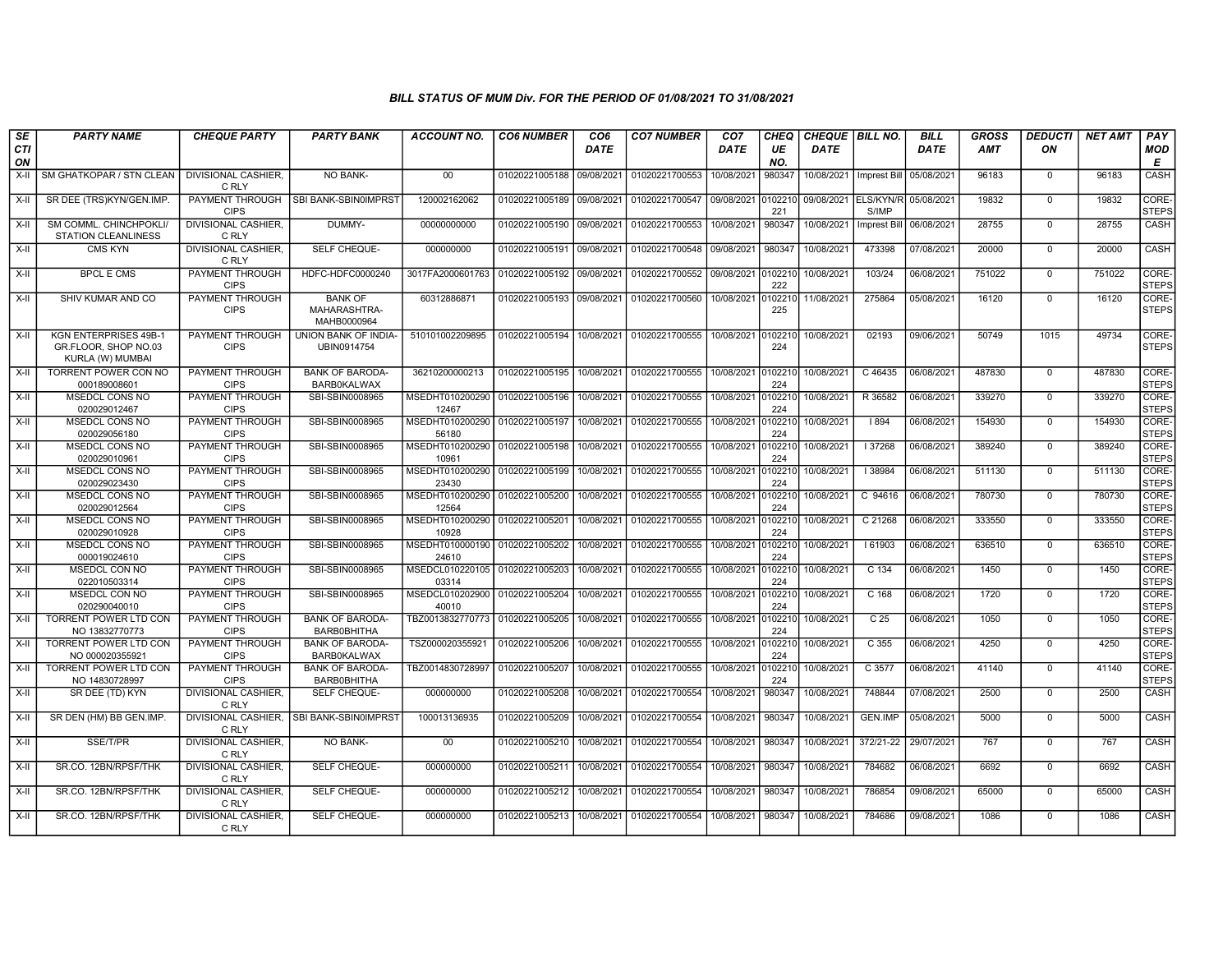| SE               | <b>PARTY NAME</b>                                                        | <b>CHEQUE PARTY</b>                   | <b>PARTY BANK</b>                             | ACCOUNT NO.              | <b>CO6 NUMBER</b>         | CO <sub>6</sub> | <b>CO7 NUMBER</b>         | CO <sub>7</sub>   | CHEQ           | CHEQUE   BILL NO.         |                    | <b>BILL</b> | <b>GROSS</b> | <b>DEDUCTI</b> | <b>NET AMT</b> | <b>PAY</b>            |
|------------------|--------------------------------------------------------------------------|---------------------------------------|-----------------------------------------------|--------------------------|---------------------------|-----------------|---------------------------|-------------------|----------------|---------------------------|--------------------|-------------|--------------|----------------|----------------|-----------------------|
| <b>CTI</b><br>ON |                                                                          |                                       |                                               |                          |                           | <b>DATE</b>     |                           | <b>DATE</b>       | UE<br>NO.      | <b>DATE</b>               |                    | <b>DATE</b> | <b>AMT</b>   | ON             |                | MOD<br>E              |
| $X-H$            | SM GHATKOPAR / STN CLEAN                                                 | <b>DIVISIONAL CASHIER,</b><br>C RLY   | NO BANK-                                      | 00                       | 01020221005188            | 09/08/2021      | 01020221700553            | 10/08/2021        | 980347         | 10/08/2021   Imprest Bill |                    | 05/08/2021  | 96183        | $\mathbf 0$    | 96183          | CASH                  |
| X-II             | SR DEE (TRS)KYN/GEN.IMP.                                                 | <b>CIPS</b>                           | PAYMENT THROUGH   SBI BANK-SBIN0IMPRST        | 120002162062             | 01020221005189 09/08/2021 |                 | 01020221700547 09/08/2021 |                   | 0102210<br>221 | 09/08/2021 ELS/KYN/R      | S/IMP              | 05/08/2021  | 19832        | $\mathbf 0$    | 19832          | CORE-<br><b>STEPS</b> |
| X-II             | SM COMML. CHINCHPOKLI/<br><b>STATION CLEANLINESS</b>                     | DIVISIONAL CASHIER,<br>C RLY          | DUMMY-                                        | 00000000000              | 01020221005190            | 09/08/2021      | 01020221700553            | 10/08/2021        | 980347         | 10/08/2021                | Imprest Bill       | 06/08/2021  | 28755        | $\mathbf 0$    | 28755          | CASH                  |
| X-II             | <b>CMS KYN</b>                                                           | <b>DIVISIONAL CASHIER.</b><br>C RLY   | SELF CHEQUE-                                  | 000000000                | 01020221005191            | 09/08/2021      | 01020221700548            | 09/08/2021        | 980347         | 10/08/2021                | 473398             | 07/08/2021  | 20000        | $\mathbf 0$    | 20000          | CASH                  |
| X-II             | <b>BPCL E CMS</b>                                                        | PAYMENT THROUGH<br><b>CIPS</b>        | HDFC-HDFC0000240                              | 3017FA2000601763         | 01020221005192            | 09/08/2021      | 01020221700552            | 09/08/2021        | 010221<br>222  | 10/08/2021                | 103/24             | 06/08/2021  | 751022       | $\mathbf 0$    | 751022         | CORE-<br><b>STEPS</b> |
| X-II             | SHIV KUMAR AND CO                                                        | <b>PAYMENT THROUGH</b><br><b>CIPS</b> | <b>BANK OF</b><br>MAHARASHTRA-<br>MAHB0000964 | 60312886871              | 01020221005193            | 09/08/2021      | 01020221700560            | 10/08/2021        | 010221<br>225  | 11/08/2021                | 275864             | 05/08/2021  | 16120        | $\Omega$       | 16120          | CORE-<br><b>STEPS</b> |
| X-II             | <b>KGN ENTERPRISES 49B-1</b><br>GR.FLOOR, SHOP NO.03<br>KURLA (W) MUMBAI | PAYMENT THROUGH<br><b>CIPS</b>        | UNION BANK OF INDIA-<br>UBIN0914754           | 510101002209895          | 01020221005194            | 10/08/2021      | 01020221700555            | 10/08/2021        | 010221<br>224  | 10/08/2021                | 02193              | 09/06/2021  | 50749        | 1015           | 49734          | CORE-<br><b>STEPS</b> |
| $X-H$            | TORRENT POWER CON NO<br>000189008601                                     | PAYMENT THROUGH<br><b>CIPS</b>        | <b>BANK OF BARODA-</b><br><b>BARB0KALWAX</b>  | 36210200000213           | 01020221005195            | 10/08/2021      | 01020221700555            | 10/08/2021        | 010221<br>224  | 10/08/2021                | C 46435            | 06/08/2021  | 487830       | $\Omega$       | 487830         | CORE-<br><b>STEPS</b> |
| $X-II$           | <b>MSEDCL CONS NO</b><br>020029012467                                    | <b>PAYMENT THROUGH</b><br><b>CIPS</b> | SBI-SBIN0008965                               | MSEDHT010200290<br>12467 | 01020221005196            | 10/08/2021      | 01020221700555            | 10/08/2021        | 0102210<br>224 | 10/08/2021                | R 36582            | 06/08/2021  | 339270       | $\overline{0}$ | 339270         | CORE-<br><b>STEPS</b> |
| X-II             | <b>MSEDCL CONS NO</b><br>020029056180                                    | PAYMENT THROUGH<br><b>CIPS</b>        | SBI-SBIN0008965                               | MSEDHT010200290<br>56180 | 01020221005197            | 10/08/2021      | 01020221700555            | 10/08/2021 010221 | 224            | 10/08/2021                | 894                | 06/08/2021  | 154930       | $\mathbf 0$    | 154930         | CORE-<br><b>STEPS</b> |
| X-II             | MSEDCL CONS NO<br>020029010961                                           | PAYMENT THROUGH<br><b>CIPS</b>        | SBI-SBIN0008965                               | MSEDHT010200290<br>10961 | 01020221005198            | 10/08/2021      | 01020221700555            | 10/08/2021        | 10221<br>224   | 10/08/2021                | 37268              | 06/08/2021  | 389240       | $\mathbf 0$    | 389240         | CORE-<br><b>STEPS</b> |
| $X-H$            | <b>MSEDCL CONS NO</b><br>020029023430                                    | PAYMENT THROUGH<br><b>CIPS</b>        | SBI-SBIN0008965                               | MSEDHT010200290<br>23430 | 01020221005199            | 10/08/2021      | 01020221700555            | 10/08/2021        | 10221<br>224   | 10/08/2021                | 38984              | 06/08/2021  | 511130       | $\Omega$       | 511130         | CORE-<br><b>STEPS</b> |
| $X-II$           | MSEDCL CONS NO<br>020029012564                                           | PAYMENT THROUGH<br><b>CIPS</b>        | SBI-SBIN0008965                               | MSEDHT010200290<br>12564 | 01020221005200            | 10/08/2021      | 01020221700555            | 10/08/2021        | 10221<br>224   | 10/08/2021                | C 94616            | 06/08/2021  | 780730       | $\mathbf 0$    | 780730         | CORE-<br><b>STEPS</b> |
| $X-H$            | <b>MSEDCL CONS NO</b><br>020029010928                                    | <b>PAYMENT THROUGH</b><br><b>CIPS</b> | SBI-SBIN0008965                               | MSEDHT010200290<br>10928 | 01020221005201            | 10/08/2021      | 01020221700555            | 10/08/2021        | 0102210<br>224 | 10/08/2021                | C <sub>21268</sub> | 06/08/2021  | 333550       | $\overline{0}$ | 333550         | CORE-<br><b>STEPS</b> |
| X-II             | MSEDCL CONS NO<br>000019024610                                           | <b>PAYMENT THROUGH</b><br><b>CIPS</b> | SBI-SBIN0008965                               | MSEDHT010000190<br>24610 | 01020221005202            | 10/08/2021      | 01020221700555            | 10/08/2021        | 010221<br>224  | 10/08/2021                | 161903             | 06/08/2021  | 636510       | $\mathbf 0$    | 636510         | CORE-<br><b>STEPS</b> |
| X-II             | MSEDCL CON NO<br>022010503314                                            | PAYMENT THROUGH<br><b>CIPS</b>        | SBI-SBIN0008965                               | MSEDCL010220105<br>03314 | 01020221005203            | 10/08/2021      | 01020221700555            | 10/08/2021        | 10221<br>224   | 10/08/2021                | $C$ 134            | 06/08/2021  | 1450         | $\mathbf 0$    | 1450           | CORE-<br><b>STEPS</b> |
| X-II             | MSEDCL CON NO<br>020290040010                                            | <b>PAYMENT THROUGH</b><br><b>CIPS</b> | SBI-SBIN0008965                               | MSEDCL010202900<br>40010 | 01020221005204            | 10/08/2021      | 01020221700555            | 10/08/2021        | 010221<br>224  | 10/08/2021                | C 168              | 06/08/2021  | 1720         | $\Omega$       | 1720           | CORE-<br><b>STEPS</b> |
| $X-II$           | <b>TORRENT POWER LTD CON</b><br>NO 13832770773                           | PAYMENT THROUGH<br><b>CIPS</b>        | <b>BANK OF BARODA-</b><br>BARB0BHITHA         | TBZ0013832770773         | 01020221005205            | 10/08/2021      | 01020221700555            | 10/08/2021        | 010221<br>224  | 10/08/2021                | C <sub>25</sub>    | 06/08/2021  | 1050         | $\mathbf 0$    | 1050           | CORE-<br><b>STEPS</b> |
| $X-H$            | <b>TORRENT POWER LTD CON</b><br>NO 000020355921                          | PAYMENT THROUGH<br><b>CIPS</b>        | <b>BANK OF BARODA-</b><br><b>BARB0KALWAX</b>  | TSZ000020355921          | 01020221005206            | 10/08/2021      | 01020221700555            | 10/08/2021        | 010221<br>224  | 10/08/2021                | C <sub>355</sub>   | 06/08/2021  | 4250         | $\mathbf 0$    | 4250           | CORE-<br><b>STEPS</b> |
| X-II             | <b>TORRENT POWER LTD CON</b><br>NO 14830728997                           | PAYMENT THROUGH<br><b>CIPS</b>        | <b>BANK OF BARODA-</b><br>BARB0BHITHA         | TBZ0014830728997         | 01020221005207            | 10/08/2021      | 01020221700555            | 10/08/2021        | 010221<br>224  | 10/08/2021                | C 3577             | 06/08/2021  | 41140        | $\Omega$       | 41140          | CORE-<br><b>STEPS</b> |
| X-II             | SR DEE (TD) KYN                                                          | <b>DIVISIONAL CASHIER.</b><br>C RLY   | SELF CHEQUE-                                  | 000000000                | 01020221005208            | 10/08/2021      | 01020221700554            | 10/08/2021        | 980347         | 10/08/2021                | 748844             | 07/08/2021  | 2500         | $\mathbf 0$    | 2500           | CASH                  |
| X-II             | SR DEN (HM) BB GEN.IMP.                                                  | C RLY                                 | DIVISIONAL CASHIER, SBI BANK-SBIN0IMPRST      | 100013136935             | 01020221005209            | 10/08/2021      | 01020221700554            | 10/08/2021        | 980347         | 10/08/2021                | <b>GEN.IMP</b>     | 05/08/2021  | 5000         | $\mathbf 0$    | 5000           | CASH                  |
| X-II             | SSE/T/PR                                                                 | <b>DIVISIONAL CASHIER.</b><br>C RLY   | NO BANK-                                      | 00                       | 01020221005210            | 10/08/2021      | 01020221700554            | 10/08/2021        | 980347         | 10/08/2021                | 372/21-22          | 29/07/2021  | 767          | $\mathbf 0$    | 767            | CASH                  |
| X-II             | SR.CO. 12BN/RPSF/THK                                                     | <b>DIVISIONAL CASHIER,</b><br>C RLY   | SELF CHEQUE-                                  | 000000000                | 01020221005211            | 10/08/2021      | 01020221700554            | 10/08/2021        | 980347         | 10/08/2021                | 784682             | 06/08/2021  | 6692         | $\mathbf 0$    | 6692           | CASH                  |
| X-II             | SR.CO. 12BN/RPSF/THK                                                     | <b>DIVISIONAL CASHIER,</b><br>C RLY   | SELF CHEQUE-                                  | 000000000                | 01020221005212            | 10/08/2021      | 01020221700554            | 10/08/2021        | 980347         | 10/08/2021                | 786854             | 09/08/2021  | 65000        | $\mathbf 0$    | 65000          | CASH                  |
| X-II             | SR.CO. 12BN/RPSF/THK                                                     | <b>DIVISIONAL CASHIER.</b><br>C RLY   | SELF CHEQUE-                                  | 000000000                | 01020221005213            | 10/08/2021      | 01020221700554            | 10/08/2021        | 980347         | 10/08/2021                | 784686             | 09/08/2021  | 1086         | $\mathbf 0$    | 1086           | <b>CASH</b>           |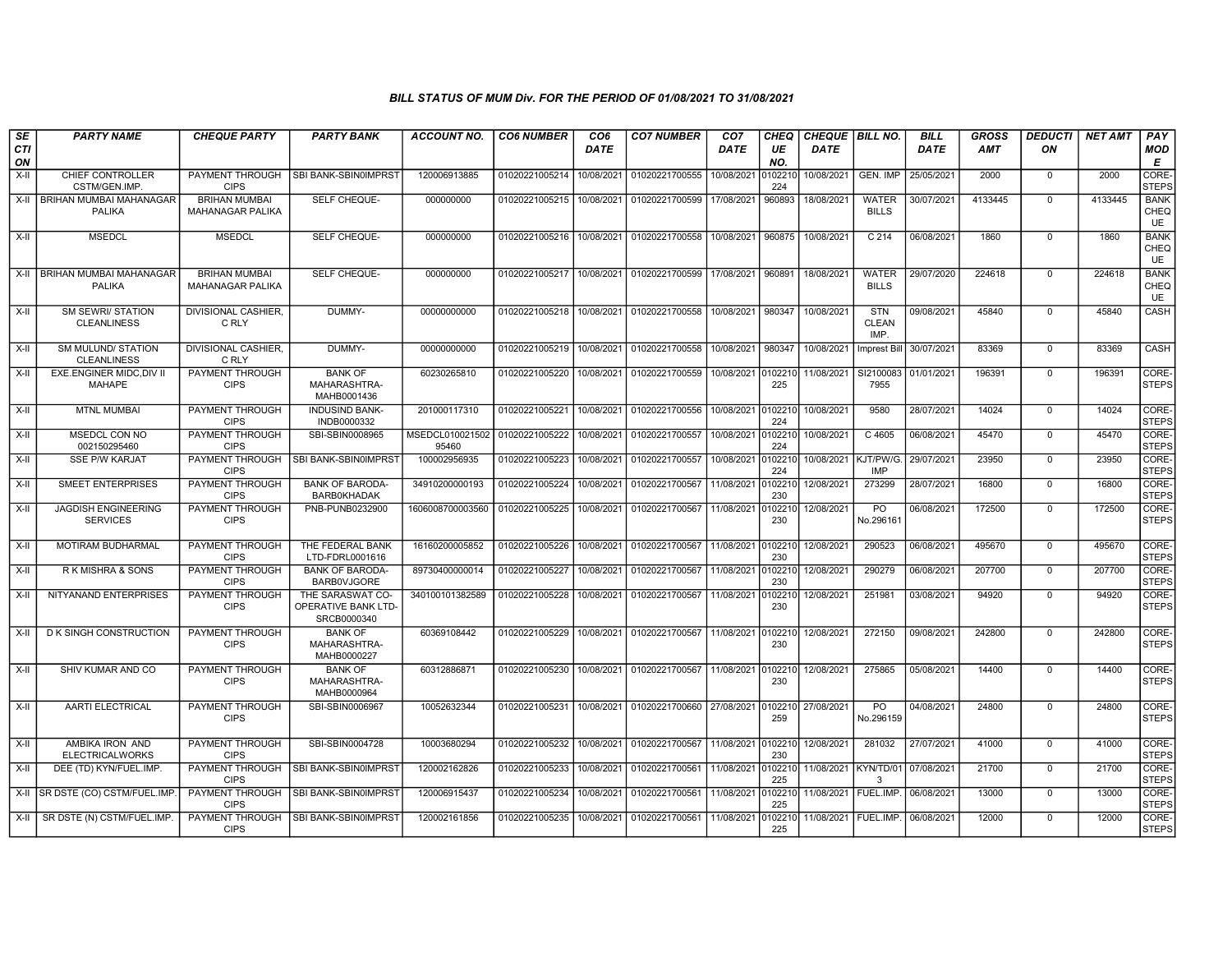| SE               | <b>PARTY NAME</b>                               | <b>CHEQUE PARTY</b>                             | <b>PARTY BANK</b>                                      | <b>ACCOUNT NO.</b>       | <b>CO6 NUMBER</b> | CO <sub>6</sub> | <b>CO7 NUMBER</b> | CO <sub>7</sub>    | CHEQ           | <b>CHEQUE   BILL NO.</b> |                                    | <b>BILL</b> | <b>GROSS</b> | <b>DEDUCTI</b> | <b>NET AMT</b> | <b>PAY</b>                       |
|------------------|-------------------------------------------------|-------------------------------------------------|--------------------------------------------------------|--------------------------|-------------------|-----------------|-------------------|--------------------|----------------|--------------------------|------------------------------------|-------------|--------------|----------------|----------------|----------------------------------|
| <b>CTI</b><br>ON |                                                 |                                                 |                                                        |                          |                   | <b>DATE</b>     |                   | <b>DATE</b>        | UE<br>NO.      | <b>DATE</b>              |                                    | <b>DATE</b> | <b>AMT</b>   | ON             |                | <b>MOD</b><br>Е                  |
| $X-H$            | CHIEF CONTROLLER<br>CSTM/GEN.IMP.               | PAYMENT THROUGH<br><b>CIPS</b>                  | SBI BANK-SBIN0IMPRST                                   | 120006913885             | 01020221005214    | 10/08/2021      | 01020221700555    | 10/08/2021         | 0102210<br>224 | 10/08/2021               | GEN. IMP                           | 25/05/2021  | 2000         | $\mathbf 0$    | 2000           | <b>CORE</b><br><b>STEPS</b>      |
| $X-H$            | <b>BRIHAN MUMBAI MAHANAGAR</b><br><b>PALIKA</b> | <b>BRIHAN MUMBAI</b><br><b>MAHANAGAR PALIKA</b> | SELF CHEQUE-                                           | 000000000                | 01020221005215    | 10/08/2021      | 01020221700599    | 17/08/2021         | 960893         | 18/08/2021               | <b>WATER</b><br><b>BILLS</b>       | 30/07/2021  | 4133445      | $\Omega$       | 4133445        | <b>BANK</b><br><b>CHEQ</b><br>UE |
| $X-II$           | <b>MSEDCL</b>                                   | <b>MSEDCL</b>                                   | SELF CHEQUE-                                           | 000000000                | 01020221005216    | 10/08/2021      | 01020221700558    | 10/08/2021         | 960875         | 10/08/2021               | C <sub>214</sub>                   | 06/08/2021  | 1860         | $\Omega$       | 1860           | <b>BANK</b><br><b>CHEQ</b><br>UE |
| $X-II$           | BRIHAN MUMBAI MAHANAGAR<br><b>PALIKA</b>        | <b>BRIHAN MUMBAI</b><br>MAHANAGAR PALIKA        | SELF CHEQUE-                                           | 000000000                | 01020221005217    | 10/08/2021      | 01020221700599    | 17/08/2021         | 960891         | 18/08/2021               | <b>WATER</b><br><b>BILLS</b>       | 29/07/2020  | 224618       | $\overline{0}$ | 224618         | <b>BANK</b><br>CHEQ<br>UE        |
| X-II             | <b>SM SEWRI/ STATION</b><br><b>CLEANLINESS</b>  | DIVISIONAL CASHIER,<br>C RLY                    | DUMMY-                                                 | 00000000000              | 01020221005218    | 10/08/2021      | 01020221700558    | 10/08/2021         | 980347         | 10/08/2021               | <b>STN</b><br><b>CLEAN</b><br>IMP. | 09/08/202   | 45840        | $\Omega$       | 45840          | CASH                             |
| $X-H$            | <b>SM MULUND/ STATION</b><br><b>CLEANLINESS</b> | <b>DIVISIONAL CASHIER.</b><br>C RLY             | DUMMY-                                                 | 00000000000              | 01020221005219    | 10/08/2021      | 01020221700558    | 10/08/2021         | 980347         | 10/08/2021               | <b>Imprest Bill</b>                | 30/07/2021  | 83369        | $\Omega$       | 83369          | CASH                             |
| $X-H$            | <b>EXE.ENGINER MIDC.DIV II</b><br><b>MAHAPE</b> | PAYMENT THROUGH<br><b>CIPS</b>                  | <b>BANK OF</b><br>MAHARASHTRA-<br>MAHB0001436          | 60230265810              | 01020221005220    | 10/08/2021      | 01020221700559    | 10/08/2021         | 0102210<br>225 | 11/08/2021               | SI2100083<br>7955                  | 01/01/2021  | 196391       | $\Omega$       | 196391         | CORE-<br><b>STEPS</b>            |
| $X-H$            | <b>MTNL MUMBAI</b>                              | PAYMENT THROUGH<br><b>CIPS</b>                  | <b>INDUSIND BANK-</b><br>INDB0000332                   | 201000117310             | 01020221005221    | 10/08/2021      | 01020221700556    | 10/08/2021         | 0102210<br>224 | 10/08/2021               | 9580                               | 28/07/2021  | 14024        | $\mathbf 0$    | 14024          | <b>CORE</b><br><b>STEPS</b>      |
| X-II             | MSEDCL CON NO<br>002150295460                   | PAYMENT THROUGH<br><b>CIPS</b>                  | SBI-SBIN0008965                                        | MSEDCL010021502<br>95460 | 01020221005222    | 10/08/2021      | 01020221700557    | 10/08/2021         | 0102210<br>224 | 10/08/2021               | C 4605                             | 06/08/2021  | 45470        | $\mathbf 0$    | 45470          | CORE-<br><b>STEPS</b>            |
| X-II             | <b>SSE P/W KARJAT</b>                           | PAYMENT THROUGH<br><b>CIPS</b>                  | SBI BANK-SBIN0IMPRST                                   | 100002956935             | 01020221005223    | 10/08/2021      | 01020221700557    | 10/08/2021         | 0102210<br>224 | 10/08/2021               | KJT/PW/G<br><b>IMP</b>             | 29/07/2021  | 23950        | $\Omega$       | 23950          | CORE-<br>STEPS                   |
| $X-II$           | <b>SMEET ENTERPRISES</b>                        | PAYMENT THROUGH<br><b>CIPS</b>                  | <b>BANK OF BARODA-</b><br><b>BARB0KHADAK</b>           | 34910200000193           | 01020221005224    | 10/08/2021      | 01020221700567    | 11/08/2021         | 102210<br>230  | 12/08/2021               | 273299                             | 28/07/2021  | 16800        | $\mathbf 0$    | 16800          | CORE-<br><b>STEPS</b>            |
| $X-II$           | <b>JAGDISH ENGINEERING</b><br><b>SERVICES</b>   | PAYMENT THROUGH<br><b>CIPS</b>                  | PNB-PUNB0232900                                        | 1606008700003560         | 01020221005225    | 10/08/2021      | 01020221700567    | 11/08/2021         | 102210<br>230  | 12/08/2021               | P <sub>O</sub><br>No.29616         | 06/08/2021  | 172500       | $\mathbf 0$    | 172500         | CORE-<br><b>STEPS</b>            |
| X-II             | <b>MOTIRAM BUDHARMAL</b>                        | PAYMENT THROUGH<br><b>CIPS</b>                  | THE FEDERAL BANK<br>LTD-FDRL0001616                    | 16160200005852           | 01020221005226    | 10/08/2021      | 01020221700567    | 11/08/2021 0102210 | 230            | 12/08/2021               | 290523                             | 06/08/2021  | 495670       | $\mathbf 0$    | 495670         | CORE-<br><b>STEPS</b>            |
| $X-II$           | R K MISHRA & SONS                               | PAYMENT THROUGH<br><b>CIPS</b>                  | <b>BANK OF BARODA-</b><br><b>BARBOVJGORE</b>           | 89730400000014           | 01020221005227    | 10/08/2021      | 01020221700567    | 11/08/2021         | 102210<br>230  | 12/08/2021               | 290279                             | 06/08/2021  | 207700       | $\mathbf 0$    | 207700         | CORE-<br>STEPS                   |
| X-II             | NITYANAND ENTERPRISES                           | PAYMENT THROUGH<br><b>CIPS</b>                  | THE SARASWAT CO-<br>OPERATIVE BANK LTD-<br>SRCB0000340 | 340100101382589          | 01020221005228    | 10/08/2021      | 01020221700567    | 11/08/2021         | 0102210<br>230 | 12/08/2021               | 251981                             | 03/08/2021  | 94920        | $\mathbf 0$    | 94920          | CORE-<br><b>STEPS</b>            |
| X-II             | D K SINGH CONSTRUCTION                          | PAYMENT THROUGH<br><b>CIPS</b>                  | <b>BANK OF</b><br>MAHARASHTRA-<br>MAHB0000227          | 60369108442              | 01020221005229    | 10/08/2021      | 01020221700567    | 11/08/2021         | 0102210<br>230 | 12/08/2021               | 272150                             | 09/08/2021  | 242800       | $\mathbf 0$    | 242800         | CORE-<br><b>STEPS</b>            |
| X-II             | SHIV KUMAR AND CO                               | PAYMENT THROUGH<br><b>CIPS</b>                  | <b>BANK OF</b><br>MAHARASHTRA-<br>MAHB0000964          | 60312886871              | 01020221005230    | 10/08/2021      | 01020221700567    | 11/08/2021         | 0102210<br>230 | 12/08/2021               | 275865                             | 05/08/2021  | 14400        | $\Omega$       | 14400          | CORE-<br>Isteps                  |
| $X-H$            | AARTI ELECTRICAL                                | PAYMENT THROUGH<br><b>CIPS</b>                  | SBI-SBIN0006967                                        | 10052632344              | 01020221005231    | 10/08/2021      | 01020221700660    | 27/08/2021 0102210 | 259            | 27/08/2021               | P <sub>O</sub><br>No.296159        | 04/08/2021  | 24800        | $\mathbf 0$    | 24800          | <b>CORE</b><br><b>STEPS</b>      |
| $X-II$           | AMBIKA IRON AND<br><b>ELECTRICALWORKS</b>       | PAYMENT THROUGH<br><b>CIPS</b>                  | SBI-SBIN0004728                                        | 10003680294              | 01020221005232    | 10/08/2021      | 01020221700567    | 11/08/2021         | 0102210<br>230 | 12/08/2021               | 281032                             | 27/07/2021  | 41000        | $\mathbf 0$    | 41000          | CORE-<br><b>STEPS</b>            |
| $X-H$            | DEE (TD) KYN/FUEL.IMP.                          | PAYMENT THROUGH<br><b>CIPS</b>                  | SBI BANK-SBIN0IMPRST                                   | 120002162826             | 01020221005233    | 10/08/2021      | 01020221700561    | 11/08/2021         | 0102210<br>225 | 11/08/2021 KYN/TD/01     | $\mathcal{R}$                      | 07/08/2021  | 21700        | $\mathbf 0$    | 21700          | CORE-<br><b>STEPS</b>            |
| X-II             | SR DSTE (CO) CSTM/FUEL.IMP                      | PAYMENT THROUGH<br><b>CIPS</b>                  | SBI BANK-SBIN0IMPRST                                   | 120006915437             | 01020221005234    | 10/08/2021      | 01020221700561    | 11/08/2021         | 0102210<br>225 | 11/08/2021 FUEL.IMP.     |                                    | 06/08/2021  | 13000        | $\mathbf 0$    | 13000          | CORE-<br>STEPS                   |
| X-II             | SR DSTE (N) CSTM/FUEL.IMP.                      | PAYMENT THROUGH<br><b>CIPS</b>                  | SBI BANK-SBIN0IMPRST                                   | 120002161856             | 01020221005235    | 10/08/2021      | 01020221700561    | 11/08/2021         | 0102210<br>225 | 11/08/2021   FUEL.IMP.   |                                    | 06/08/2021  | 12000        | $\mathbf 0$    | 12000          | CORE-<br>STEPS                   |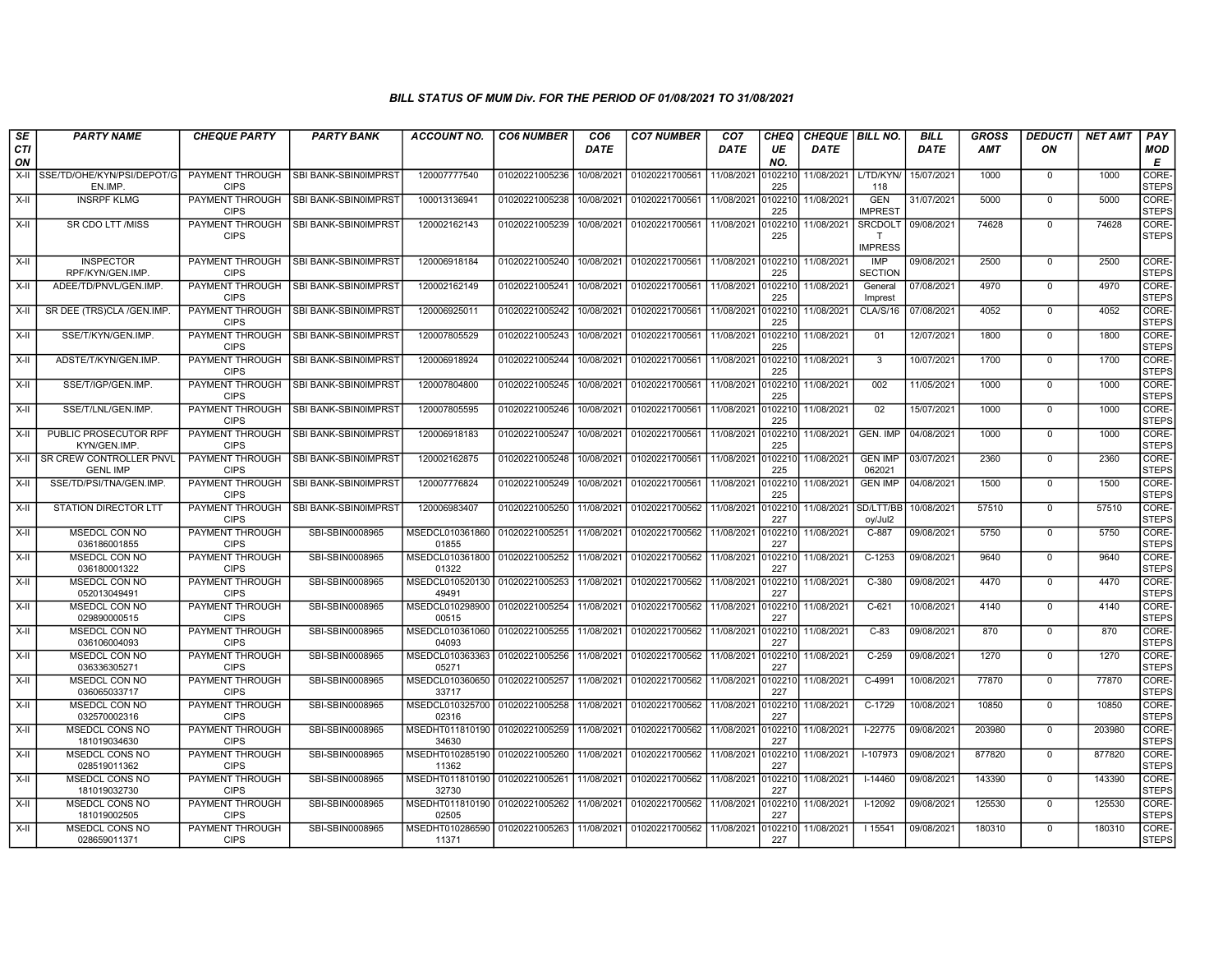| SE               | <b>PARTY NAME</b>                                 | <b>CHEQUE PARTY</b>                   | <b>PARTY BANK</b>    | <b>ACCOUNT NO.</b>                        | <b>CO6 NUMBER</b> | CO <sub>6</sub> | <b>CO7 NUMBER</b>         | CO <sub>7</sub>    | CHEQ           | <b>CHEQUE   BILL NO.</b> |                                | <b>BILL</b> | <b>GROSS</b> | <i><b>DEDUCTI</b></i> | <b>NET AMT</b> | <b>PAY</b>            |
|------------------|---------------------------------------------------|---------------------------------------|----------------------|-------------------------------------------|-------------------|-----------------|---------------------------|--------------------|----------------|--------------------------|--------------------------------|-------------|--------------|-----------------------|----------------|-----------------------|
| <b>CTI</b><br>ON |                                                   |                                       |                      |                                           |                   | <b>DATE</b>     |                           | <b>DATE</b>        | UE<br>NO.      | <b>DATE</b>              |                                | <b>DATE</b> | <b>AMT</b>   | ON                    |                | <b>MOD</b><br>Е       |
| $X-H$            | SSE/TD/OHE/KYN/PSI/DEPOT/G<br>EN.IMP.             | <b>PAYMENT THROUGH</b><br><b>CIPS</b> | SBI BANK-SBIN0IMPRST | 120007777540                              | 01020221005236    | 10/08/2021      | 01020221700561            | 11/08/2021         | 0102210<br>225 | 11/08/2021               | L/TD/KYN/<br>118               | 15/07/2021  | 1000         | $^{\circ}$            | 1000           | CORE-<br>STEPS        |
| $\overline{x}$   | <b>INSRPF KLMG</b>                                | PAYMENT THROUGH<br><b>CIPS</b>        | SBI BANK-SBIN0IMPRST | 100013136941                              | 01020221005238    | 10/08/2021      | 01020221700561            | 11/08/2021 0102210 | 225            | 11/08/2021               | <b>GEN</b><br><b>IMPREST</b>   | 31/07/2021  | 5000         | $\mathbf 0$           | 5000           | CORE-<br><b>STEPS</b> |
| X-II             | SR CDO LTT /MISS                                  | PAYMENT THROUGH<br><b>CIPS</b>        | SBI BANK-SBIN0IMPRST | 120002162143                              | 01020221005239    | 10/08/2021      | 01020221700561            | 11/08/2021         | 0102210<br>225 | 11/08/2021               | SRCDOLT<br>T<br><b>IMPRESS</b> | 09/08/2021  | 74628        | $\mathbf 0$           | 74628          | CORE-<br><b>STEPS</b> |
| $X-H$            | <b>INSPECTOR</b><br>RPF/KYN/GEN.IMP.              | <b>PAYMENT THROUGH</b><br><b>CIPS</b> | SBI BANK-SBIN0IMPRST | 120006918184                              | 01020221005240    | 10/08/2021      | 01020221700561            | 11/08/2021 0102210 | 225            | 11/08/2021               | <b>IMP</b><br><b>SECTION</b>   | 09/08/2021  | 2500         | $\mathbf 0$           | 2500           | CORE-<br><b>STEPS</b> |
| $X-I$            | ADEE/TD/PNVL/GEN.IMP.                             | PAYMENT THROUGH<br><b>CIPS</b>        | SBI BANK-SBIN0IMPRST | 120002162149                              | 01020221005241    | 10/08/2021      | 01020221700561            | 11/08/2021         | 010221<br>225  | 11/08/2021               | General<br>Imprest             | 07/08/2021  | 4970         | $\mathbf 0$           | 4970           | CORE-<br><b>STEPS</b> |
| $X-H$            | SR DEE (TRS)CLA /GEN.IMP                          | PAYMENT THROUGH<br><b>CIPS</b>        | SBI BANK-SBIN0IMPRST | 120006925011                              | 01020221005242    | 10/08/2021      | 01020221700561            | 11/08/2021         | 0102210<br>225 | 11/08/2021               | CLA/S/16                       | 07/08/2021  | 4052         | $\mathbf 0$           | 4052           | CORE-<br><b>STEPS</b> |
| X-II             | SSE/T/KYN/GEN.IMP.                                | <b>PAYMENT THROUGH</b><br><b>CIPS</b> | SBI BANK-SBIN0IMPRST | 120007805529                              | 01020221005243    | 10/08/2021      | 01020221700561            | 11/08/2021         | 0102210<br>225 | 11/08/2021               | 01                             | 12/07/2021  | 1800         | $\mathbf 0$           | 1800           | CORE-<br>STEPS        |
| X-II             | ADSTE/T/KYN/GEN.IMP.                              | PAYMENT THROUGH<br><b>CIPS</b>        | SBI BANK-SBIN0IMPRST | 120006918924                              | 01020221005244    | 10/08/2021      | 01020221700561            | 11/08/2021         | 0102210<br>225 | 11/08/2021               | 3                              | 10/07/2021  | 1700         | $\mathbf 0$           | 1700           | CORE-<br><b>STEPS</b> |
| X-II             | SSE/T/IGP/GEN.IMP.                                | PAYMENT THROUGH<br><b>CIPS</b>        | SBI BANK-SBIN0IMPRST | 120007804800                              | 01020221005245    | 10/08/2021      | 01020221700561            | 11/08/2021         | 010221<br>225  | 11/08/2021               | 002                            | 11/05/2021  | 1000         | $\mathbf 0$           | 1000           | CORE-<br><b>STEPS</b> |
| $X-H$            | SSE/T/LNL/GEN.IMP.                                | PAYMENT THROUGH<br><b>CIPS</b>        | SBI BANK-SBIN0IMPRST | 120007805595                              | 01020221005246    | 10/08/2021      | 01020221700561            | 11/08/2021         | 010221<br>225  | 11/08/2021               | 02                             | 15/07/2021  | 1000         | $\mathbf 0$           | 1000           | CORE-<br><b>STEPS</b> |
| X-II             | PUBLIC PROSECUTOR RPF<br>KYN/GEN.IMP              | <b>PAYMENT THROUGH</b><br><b>CIPS</b> | SBI BANK-SBIN0IMPRST | 120006918183                              | 01020221005247    | 10/08/2021      | 01020221700561            | 11/08/2021         | 010221<br>225  | 11/08/2021               | <b>GEN. IMP</b>                | 04/08/2021  | 1000         | $\Omega$              | 1000           | CORE-<br>STEPS        |
| X-II             | <b>SR CREW CONTROLLER PNVL</b><br><b>GENL IMP</b> | <b>PAYMENT THROUGH</b><br><b>CIPS</b> | SBI BANK-SBIN0IMPRST | 120002162875                              | 01020221005248    | 10/08/2021      | 01020221700561            | 11/08/2021         | 0102210<br>225 | 11/08/2021               | <b>GEN IMP</b><br>062021       | 03/07/2021  | 2360         | $\mathbf 0$           | 2360           | CORE-<br><b>STEPS</b> |
| X-II             | SSE/TD/PSI/TNA/GEN.IMP.                           | PAYMENT THROUGH<br><b>CIPS</b>        | SBI BANK-SBIN0IMPRST | 120007776824                              | 01020221005249    | 10/08/2021      | 01020221700561            | 11/08/2021         | 0102210<br>225 | 11/08/2021               | <b>GEN IMP</b>                 | 04/08/2021  | 1500         | $\Omega$              | 1500           | CORE-<br><b>STEPS</b> |
| X-II             | <b>STATION DIRECTOR LTT</b>                       | PAYMENT THROUGH<br><b>CIPS</b>        | SBI BANK-SBIN0IMPRST | 120006983407                              | 01020221005250    | 11/08/2021      | 01020221700562            | 11/08/2021         | 010221<br>227  | 11/08/2021               | SD/LTT/BB<br>oy/Jul2           | 10/08/2021  | 57510        | $\mathbf 0$           | 57510          | CORE-<br><b>STEPS</b> |
| X-II             | MSEDCL CON NO<br>036186001855                     | <b>PAYMENT THROUGH</b><br><b>CIPS</b> | SBI-SBIN0008965      | MSEDCL010361860<br>01855                  | 01020221005251    | 11/08/2021      | 01020221700562            | 11/08/2021         | 010221<br>227  | 11/08/2021               | C-887                          | 09/08/2021  | 5750         | $\mathbf 0$           | 5750           | CORE-<br>STEPS        |
| X-II             | <b>MSEDCL CON NO</b><br>036180001322              | PAYMENT THROUGH<br><b>CIPS</b>        | SBI-SBIN0008965      | MSEDCL010361800 01020221005252<br>01322   |                   | 11/08/2021      | 01020221700562            | 11/08/2021         | 0102210<br>227 | 11/08/2021               | $C-1253$                       | 09/08/2021  | 9640         | $\mathbf 0$           | 9640           | CORE-<br>STEPS        |
| X-II             | MSEDCL CON NO<br>052013049491                     | PAYMENT THROUGH<br><b>CIPS</b>        | SBI-SBIN0008965      | MSEDCL010520130<br>49491                  | 01020221005253    | 11/08/2021      | 01020221700562            | 11/08/2021         | 010221<br>227  | 11/08/2021               | $C-380$                        | 09/08/2021  | 4470         | $\Omega$              | 4470           | CORE-<br><b>STEPS</b> |
| X-II             | MSEDCL CON NO<br>029890000515                     | PAYMENT THROUGH<br><b>CIPS</b>        | SBI-SBIN0008965      | MSEDCL010298900<br>00515                  | 01020221005254    | 11/08/2021      | 01020221700562            | 11/08/2021         | 10221<br>227   | 11/08/2021               | $C-621$                        | 10/08/2021  | 4140         | $\mathbf 0$           | 4140           | CORE-<br><b>STEPS</b> |
| $X-II$           | MSEDCL CON NO<br>036106004093                     | PAYMENT THROUGH<br><b>CIPS</b>        | SBI-SBIN0008965      | MSEDCL010361060<br>04093                  | 01020221005255    | 11/08/2021      | 01020221700562            | 11/08/2021         | 010221<br>227  | 11/08/2021               | $C-83$                         | 09/08/2021  | 870          | $\overline{0}$        | 870            | CORE-<br><b>STEPS</b> |
| X-II             | <b>MSEDCL CON NO</b><br>036336305271              | PAYMENT THROUGH<br><b>CIPS</b>        | SBI-SBIN0008965      | MSEDCL010363363<br>05271                  | 01020221005256    | 11/08/2021      | 01020221700562            | 11/08/2021         | 0102210<br>227 | 11/08/2021               | $C-259$                        | 09/08/2021  | 1270         | $\mathbf 0$           | 1270           | CORE-<br>STEPS        |
| X-II             | MSEDCL CON NO<br>036065033717                     | <b>PAYMENT THROUGH</b><br><b>CIPS</b> | SBI-SBIN0008965      | MSEDCL010360650 01020221005257<br>33717   |                   | 11/08/2021      | 01020221700562 11/08/2021 |                    | 0102210<br>227 | 11/08/2021               | $C-4991$                       | 10/08/2021  | 77870        | $\mathbf 0$           | 77870          | CORE-<br><b>STEPS</b> |
| X-II             | MSEDCL CON NO<br>032570002316                     | PAYMENT THROUGH<br><b>CIPS</b>        | SBI-SBIN0008965      | MSEDCL010325700 01020221005258<br>02316   |                   | 11/08/2021      | 01020221700562            | 11/08/2021         | 0102210<br>227 | 11/08/2021               | C-1729                         | 10/08/2021  | 10850        | $\mathbf 0$           | 10850          | CORE-<br><b>STEPS</b> |
| $X-H$            | MSEDCL CONS NO<br>181019034630                    | PAYMENT THROUGH<br><b>CIPS</b>        | SBI-SBIN0008965      | MSEDHT011810190<br>34630                  | 01020221005259    | 11/08/2021      | 01020221700562            | 11/08/2021         | 10221<br>227   | 11/08/2021               | $I-22775$                      | 09/08/2021  | 203980       | $\overline{0}$        | 203980         | CORE-<br><b>STEPS</b> |
| X-II             | <b>MSEDCL CONS NO</b><br>028519011362             | PAYMENT THROUGH<br><b>CIPS</b>        | SBI-SBIN0008965      | MSEDHT010285190<br>11362                  | 01020221005260    | 11/08/2021      | 01020221700562            | 11/08/2021         | 0102210<br>227 | 11/08/2021               | $I-107973$                     | 09/08/2021  | 877820       | $\mathbf 0$           | 877820         | CORE-<br>STEPS        |
| X-II             | MSEDCL CONS NO<br>181019032730                    | <b>PAYMENT THROUGH</b><br><b>CIPS</b> | SBI-SBIN0008965      | MSEDHT011810190 01020221005261<br>32730   |                   | 11/08/2021      | 01020221700562            | 11/08/2021         | 010221<br>227  | 11/08/2021               | $I-14460$                      | 09/08/2021  | 143390       | $\mathbf 0$           | 143390         | CORE-<br><b>STEPS</b> |
| X-II             | MSEDCL CONS NO<br>181019002505                    | PAYMENT THROUGH<br><b>CIPS</b>        | SBI-SBIN0008965      | MSEDHT011810190 01020221005262<br>02505   |                   | 11/08/2021      | 01020221700562            | 11/08/2021         | 010221<br>227  | 11/08/2021               | I-12092                        | 09/08/202   | 125530       | $\mathbf 0$           | 125530         | CORE-<br><b>STEPS</b> |
| $X-H$            | MSEDCL CONS NO<br>028659011371                    | PAYMENT THROUGH<br><b>CIPS</b>        | SBI-SBIN0008965      | MSEDHT010286590   01020221005263<br>11371 |                   | 11/08/2021      | 01020221700562            | 11/08/2021         | 10221<br>227   | 11/08/2021               | 15541                          | 09/08/2021  | 180310       | $\mathbf 0$           | 180310         | CORE-<br>STEPS        |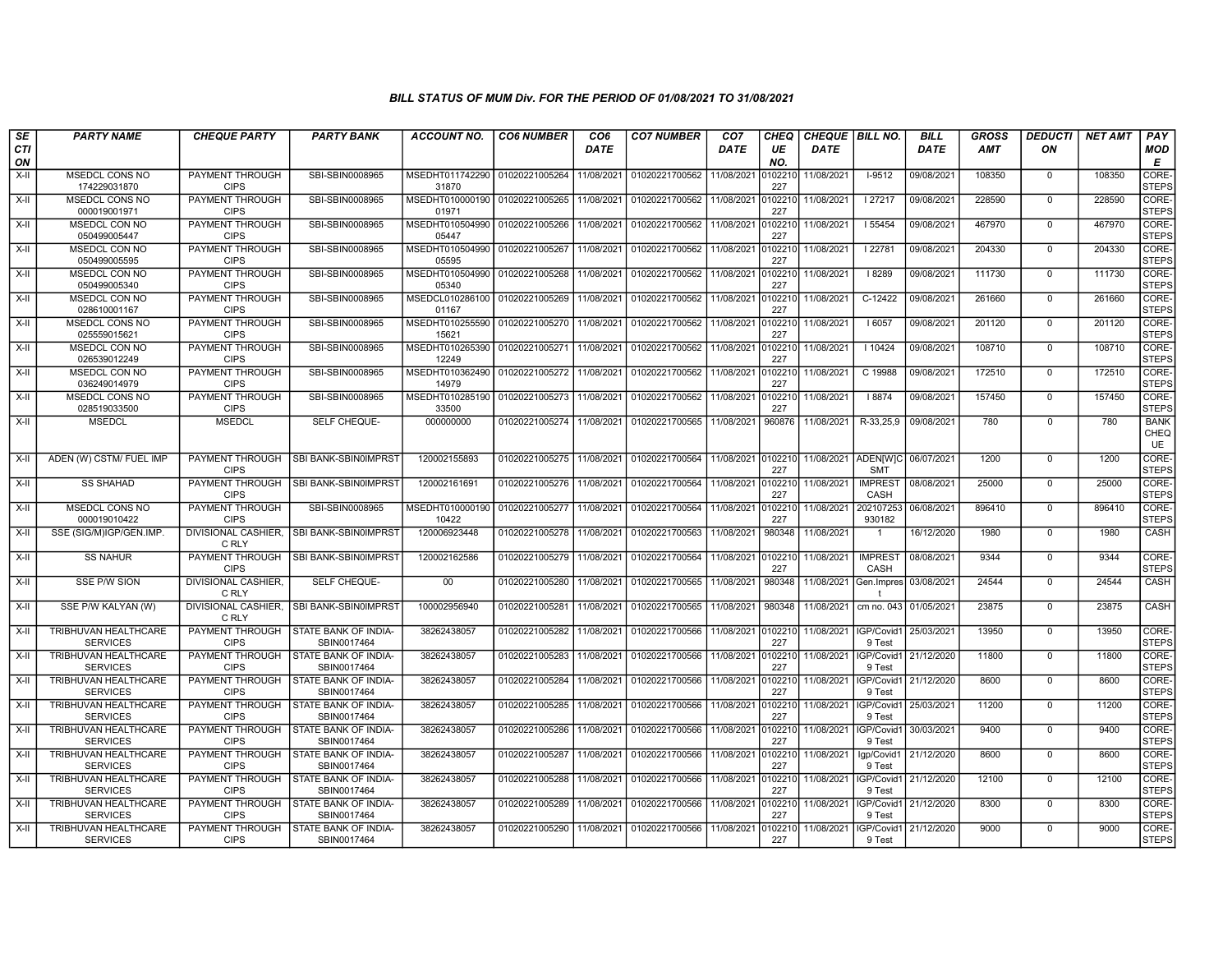| SE               | <b>PARTY NAME</b>                              | <b>CHEQUE PARTY</b>                   | <b>PARTY BANK</b>                          | ACCOUNT NO.              | <b>CO6 NUMBER</b> | CO <sub>6</sub> | <b>CO7 NUMBER</b> | CO <sub>7</sub> | CHEQ           | <b>CHEQUE   BILL NO.</b>      |                                   | <b>BILL</b> | GROSS  | <b>DEDUCTI</b> | <b>NET AMT</b> | <b>PAY</b>                |
|------------------|------------------------------------------------|---------------------------------------|--------------------------------------------|--------------------------|-------------------|-----------------|-------------------|-----------------|----------------|-------------------------------|-----------------------------------|-------------|--------|----------------|----------------|---------------------------|
| <b>CTI</b><br>ON |                                                |                                       |                                            |                          |                   | DATE            |                   | DATE            | UE<br>NO.      | DATE                          |                                   | DATE        | AMT    | ON             |                | <b>MOD</b><br>Е           |
| X-II             | MSEDCL CONS NO<br>174229031870                 | PAYMENT THROUGH<br><b>CIPS</b>        | SBI-SBIN0008965                            | MSEDHT011742290<br>31870 | 01020221005264    | 11/08/2021      | 01020221700562    | 11/08/2021      | 102210<br>227  | 11/08/2021                    | $I-9512$                          | 09/08/2021  | 108350 | $\mathbf 0$    | 108350         | CORE-<br><b>STEPS</b>     |
| $X-H$            | <b>MSEDCL CONS NO</b><br>000019001971          | <b>PAYMENT THROUGH</b><br><b>CIPS</b> | SBI-SBIN0008965                            | MSEDHT010000190<br>01971 | 01020221005265    | 11/08/2021      | 01020221700562    | 11/08/2021      | 102210<br>227  | 11/08/2021                    | 127217                            | 09/08/2021  | 228590 | $\mathbf 0$    | 228590         | CORE-<br><b>STEPS</b>     |
| X-II             | MSEDCL CON NO<br>050499005447                  | PAYMENT THROUGH<br><b>CIPS</b>        | SBI-SBIN0008965                            | MSEDHT010504990<br>05447 | 01020221005266    | 11/08/2021      | 01020221700562    | 11/08/2021      | 0102210<br>227 | 11/08/2021                    | 55454                             | 09/08/2021  | 467970 | $\Omega$       | 467970         | CORE-<br><b>STEPS</b>     |
| $X-H$            | MSEDCL CON NO<br>050499005595                  | PAYMENT THROUGH<br><b>CIPS</b>        | SBI-SBIN0008965                            | MSEDHT010504990<br>05595 | 01020221005267    | 11/08/2021      | 01020221700562    | 11/08/2021      | 102210<br>227  | 11/08/2021                    | 22781                             | 09/08/2021  | 204330 | $\mathbf 0$    | 204330         | CORE-<br><b>STEPS</b>     |
| $X-H$            | <b>MSEDCL CON NO</b><br>050499005340           | <b>PAYMENT THROUGH</b><br><b>CIPS</b> | SBI-SBIN0008965                            | MSEDHT010504990<br>05340 | 01020221005268    | 11/08/2021      | 01020221700562    | 11/08/2021      | 102210<br>227  | 11/08/2021                    | 8289                              | 09/08/2021  | 111730 | $\mathbf 0$    | 111730         | CORE-<br><b>STEPS</b>     |
| X-II             | MSEDCL CON NO<br>028610001167                  | <b>PAYMENT THROUGH</b><br><b>CIPS</b> | SBI-SBIN0008965                            | MSEDCL010286100<br>01167 | 01020221005269    | 11/08/2021      | 01020221700562    | 11/08/2021      | 102210<br>227  | 11/08/2021                    | $C-12422$                         | 09/08/2021  | 261660 | $\mathbf{0}$   | 261660         | CORE-<br><b>STEPS</b>     |
| X-II             | <b>MSEDCL CONS NO</b><br>025559015621          | PAYMENT THROUGH<br><b>CIPS</b>        | SBI-SBIN0008965                            | MSEDHT010255590<br>15621 | 01020221005270    | 11/08/2021      | 01020221700562    | 11/08/2021      | 102210<br>227  | 11/08/2021                    | 6057                              | 09/08/2021  | 201120 | $\Omega$       | 201120         | CORE-<br><b>STEPS</b>     |
| X-II             | MSEDCL CON NO<br>026539012249                  | PAYMENT THROUGH<br><b>CIPS</b>        | SBI-SBIN0008965                            | MSEDHT010265390<br>12249 | 01020221005271    | 11/08/2021      | 01020221700562    | 11/08/2021      | 102210<br>227  | 11/08/2021                    | 10424                             | 09/08/2021  | 108710 | $\Omega$       | 108710         | CORE-<br><b>STEPS</b>     |
| $X-H$            | <b>MSEDCL CON NO</b><br>036249014979           | <b>PAYMENT THROUGH</b><br><b>CIPS</b> | SBI-SBIN0008965                            | MSEDHT010362490<br>14979 | 01020221005272    | 11/08/2021      | 01020221700562    | 11/08/2021      | 102210<br>227  | 11/08/2021                    | C 19988                           | 09/08/2021  | 172510 | $\mathbf 0$    | 172510         | CORE-<br><b>STEPS</b>     |
| $X-H$            | <b>MSEDCL CONS NO</b><br>028519033500          | PAYMENT THROUGH<br><b>CIPS</b>        | SBI-SBIN0008965                            | MSEDHT010285190<br>33500 | 01020221005273    | 11/08/2021      | 01020221700562    | 11/08/2021      | 0102210<br>227 | 11/08/2021                    | 8874                              | 09/08/2021  | 157450 | $\mathbf 0$    | 157450         | CORE-<br><b>STEPS</b>     |
| X-II             | <b>MSEDCL</b>                                  | <b>MSEDCL</b>                         | SELF CHEQUE-                               | 000000000                | 01020221005274    | 11/08/2021      | 01020221700565    | 11/08/2021      | 960876         | 11/08/2021                    | R-33,25,9                         | 09/08/2021  | 780    | $\mathbf 0$    | 780            | <b>BANK</b><br>CHEQ<br>UE |
| $X-H$            | ADEN (W) CSTM/ FUEL IMP                        | <b>PAYMENT THROUGH</b><br><b>CIPS</b> | SBI BANK-SBIN0IMPRST                       | 120002155893             | 01020221005275    | 11/08/2021      | 01020221700564    |                 | 227            | 11/08/2021 0102210 11/08/2021 | ADEN[W]C 06/07/2021<br><b>SMT</b> |             | 1200   | $\mathbf 0$    | 1200           | CORE-<br><b>STEPS</b>     |
| X-II             | <b>SS SHAHAD</b>                               | PAYMENT THROUGH<br><b>CIPS</b>        | SBI BANK-SBIN0IMPRST                       | 120002161691             | 01020221005276    | 11/08/2021      | 01020221700564    | 11/08/2021      | 0102210<br>227 | 11/08/2021                    | <b>IMPREST</b><br>CASH            | 08/08/2021  | 25000  | $\mathbf{0}$   | 25000          | CORE-<br><b>STEPS</b>     |
| X-II             | MSEDCL CONS NO<br>000019010422                 | PAYMENT THROUGH<br><b>CIPS</b>        | SBI-SBIN0008965                            | MSEDHT010000190<br>10422 | 01020221005277    | 11/08/2021      | 01020221700564    | 11/08/2021      | 102210<br>227  | 11/08/2021                    | 202107253<br>930182               | 06/08/2021  | 896410 | $\Omega$       | 896410         | CORE-<br><b>STEPS</b>     |
| X-II             | SSE (SIG/M)IGP/GEN.IMP.                        | DIVISIONAL CASHIER.<br>C RLY          | SBI BANK-SBIN0IMPRST                       | 120006923448             | 01020221005278    | 11/08/2021      | 01020221700563    | 11/08/2021      | 980348         | 11/08/2021                    |                                   | 16/12/2020  | 1980   | $\Omega$       | 1980           | <b>CASH</b>               |
| $X-H$            | <b>SS NAHUR</b>                                | PAYMENT THROUGH<br><b>CIPS</b>        | SBI BANK-SBIN0IMPRST                       | 120002162586             | 01020221005279    | 11/08/2021      | 01020221700564    | 11/08/2021      | 102210<br>227  | 11/08/2021                    | <b>IMPREST</b><br>CASH            | 08/08/2021  | 9344   | $\Omega$       | 9344           | CORE-<br><b>STEPS</b>     |
| X-II             | <b>SSE P/W SION</b>                            | <b>DIVISIONAL CASHIER.</b><br>C RLY   | SELF CHEQUE-                               | 00                       | 01020221005280    | 11/08/2021      | 01020221700565    | 11/08/2021      | 980348         | 11/08/2021                    | Gen. Impres                       | 03/08/2021  | 24544  | $\mathbf 0$    | 24544          | <b>CASH</b>               |
| X-II             | SSE P/W KALYAN (W)                             | C RLY                                 | DIVISIONAL CASHIER. ISBI BANK-SBIN0IMPRST  | 100002956940             | 01020221005281    | 11/08/2021      | 01020221700565    | 11/08/2021      | 980348         | 11/08/2021                    | cm no. 043 01/05/2021             |             | 23875  | $\mathbf 0$    | 23875          | CASH                      |
| X-II             | TRIBHUVAN HEALTHCARE<br><b>SERVICES</b>        | PAYMENT THROUGH<br><b>CIPS</b>        | STATE BANK OF INDIA-<br>SBIN0017464        | 38262438057              | 01020221005282    | 11/08/2021      | 01020221700566    | 11/08/2021      | 0102210<br>227 | 11/08/2021                    | IGP/Covid1<br>9 Test              | 25/03/2021  | 13950  | $\Omega$       | 13950          | CORE-<br><b>STEPS</b>     |
| X-II             | <b>TRIBHUVAN HEALTHCARE</b><br><b>SERVICES</b> | PAYMENT THROUGH<br><b>CIPS</b>        | STATE BANK OF INDIA-<br>SBIN0017464        | 38262438057              | 01020221005283    | 11/08/2021      | 01020221700566    | 11/08/2021      | 102210<br>227  | 11/08/2021                    | IGP/Covid1<br>9 Test              | 21/12/2020  | 11800  | $\mathbf 0$    | 11800          | CORE-<br><b>STEPS</b>     |
| $X-H$            | TRIBHUVAN HEALTHCARE<br><b>SERVICES</b>        | <b>PAYMENT THROUGH</b><br><b>CIPS</b> | STATE BANK OF INDIA-<br>SBIN0017464        | 38262438057              | 01020221005284    | 11/08/2021      | 01020221700566    | 11/08/2021      | 0102210<br>227 | 11/08/2021                    | IGP/Covid1<br>9 Test              | 21/12/2020  | 8600   | $\Omega$       | 8600           | CORE-<br><b>STEPS</b>     |
| X-II             | TRIBHUVAN HEALTHCARE<br><b>SERVICES</b>        | PAYMENT THROUGH<br><b>CIPS</b>        | STATE BANK OF INDIA-<br>SBIN0017464        | 38262438057              | 01020221005285    | 11/08/2021      | 01020221700566    | 11/08/2021      | 102210<br>227  | 11/08/2021                    | IGP/Covid1<br>9 Test              | 25/03/2021  | 11200  | $\mathbf 0$    | 11200          | CORE-<br><b>STEPS</b>     |
| X-II             | <b>TRIBHUVAN HEALTHCARE</b><br><b>SERVICES</b> | PAYMENT THROUGH<br><b>CIPS</b>        | STATE BANK OF INDIA-<br>SBIN0017464        | 38262438057              | 01020221005286    | 11/08/2021      | 01020221700566    | 11/08/2021      | 102210<br>227  | 11/08/2021                    | GP/Covid1<br>9 Test               | 30/03/2021  | 9400   | $\mathbf 0$    | 9400           | CORE-<br><b>STEPS</b>     |
| X-II             | TRIBHUVAN HEALTHCARE<br><b>SERVICES</b>        | PAYMENT THROUGH<br><b>CIPS</b>        | STATE BANK OF INDIA-<br>SBIN0017464        | 38262438057              | 01020221005287    | 11/08/2021      | 01020221700566    | 11/08/2021      | 102210<br>227  | 11/08/2021                    | Igp/Covid1<br>9 Test              | 21/12/2020  | 8600   | $\mathbf 0$    | 8600           | CORE-<br><b>STEPS</b>     |
| X-II             | TRIBHUVAN HEALTHCARE<br><b>SERVICES</b>        | PAYMENT THROUGH<br><b>CIPS</b>        | <b>STATE BANK OF INDIA-</b><br>SBIN0017464 | 38262438057              | 01020221005288    | 11/08/2021      | 01020221700566    | 11/08/2021      | 102210<br>227  | 11/08/2021                    | GP/Covid1<br>9 Test               | 21/12/2020  | 12100  | $\mathbf{0}$   | 12100          | CORE-<br><b>STEPS</b>     |
| X-II             | TRIBHUVAN HEALTHCARE<br><b>SERVICES</b>        | PAYMENT THROUGH<br><b>CIPS</b>        | STATE BANK OF INDIA-<br>SBIN0017464        | 38262438057              | 01020221005289    | 11/08/2021      | 01020221700566    | 11/08/2021      | 102210<br>227  | 11/08/2021                    | GP/Covid1<br>9 Test               | 21/12/2020  | 8300   | $\Omega$       | 8300           | CORE-<br><b>STEPS</b>     |
| $X-H$            | TRIBHUVAN HEALTHCARE<br><b>SERVICES</b>        | PAYMENT THROUGH<br><b>CIPS</b>        | STATE BANK OF INDIA-<br>SBIN0017464        | 38262438057              | 01020221005290    | 11/08/2021      | 01020221700566    | 11/08/2021      | 102210<br>227  | 11/08/2021                    | GP/Covid1<br>9 Test               | 21/12/2020  | 9000   | $\mathbf 0$    | 9000           | CORE-<br><b>STEPS</b>     |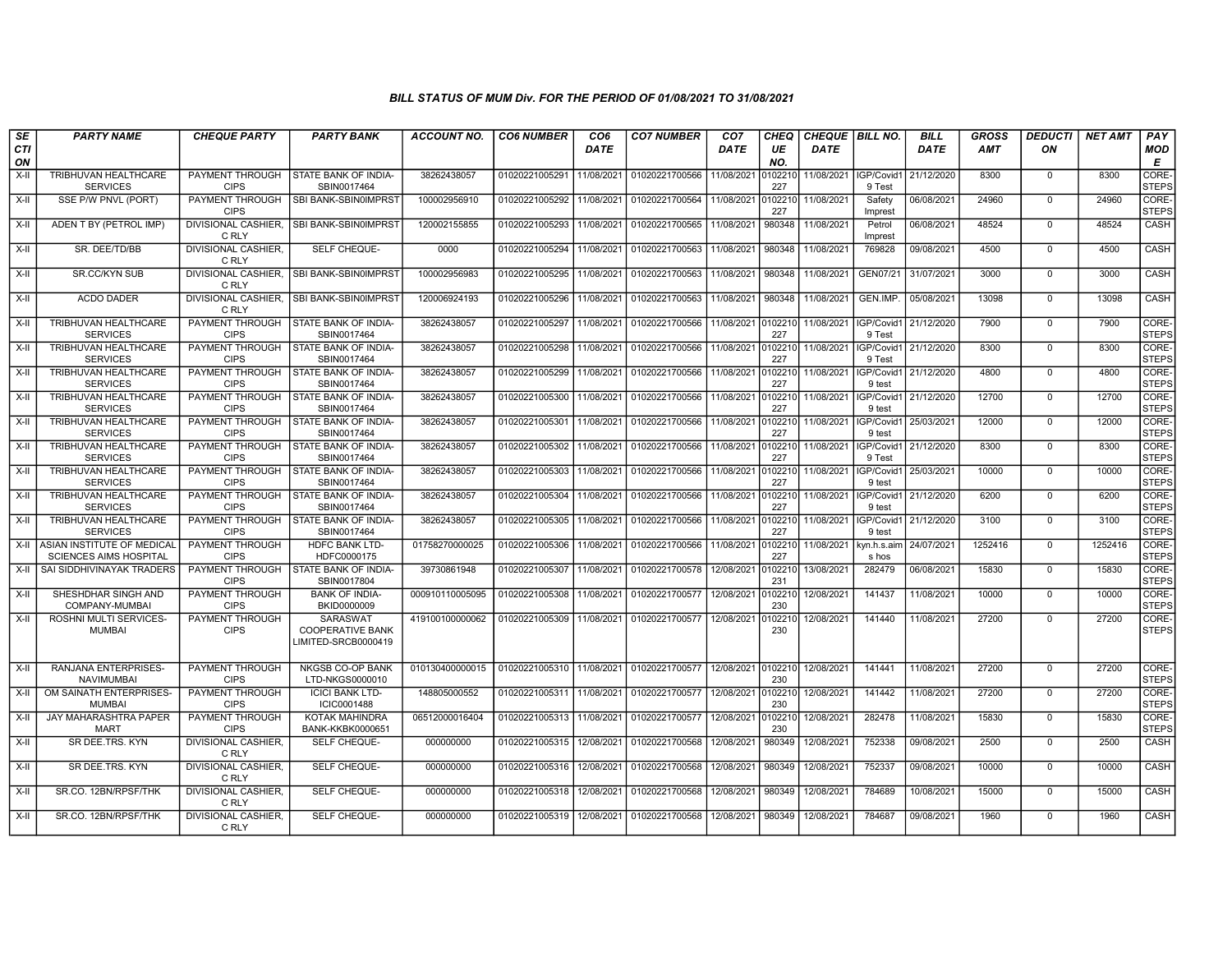| SE               | <b>PARTY NAME</b>                                           | <b>CHEQUE PARTY</b>                   | <b>PARTY BANK</b>                                          | ACCOUNT NO.     | <b>CO6 NUMBER</b> | CO6         | <b>CO7 NUMBER</b> | CO <sub>7</sub> | CHEQ           | <b>CHEQUE   BILL NO.</b> |                      | <b>BILL</b>           | GROSS      | <b>DEDUCTI</b> | <b>NET AMT</b> | <b>PAY</b>            |
|------------------|-------------------------------------------------------------|---------------------------------------|------------------------------------------------------------|-----------------|-------------------|-------------|-------------------|-----------------|----------------|--------------------------|----------------------|-----------------------|------------|----------------|----------------|-----------------------|
| <b>CTI</b><br>ON |                                                             |                                       |                                                            |                 |                   | <b>DATE</b> |                   | <b>DATE</b>     | UE<br>NO.      | <b>DATE</b>              |                      | <b>DATE</b>           | <b>AMT</b> | ON             |                | MOD<br>Е              |
| $X-H$            | TRIBHUVAN HEALTHCARE<br><b>SERVICES</b>                     | PAYMENT THROUGH<br><b>CIPS</b>        | <b>STATE BANK OF INDIA-</b><br>SBIN0017464                 | 38262438057     | 01020221005291    | 11/08/2021  | 01020221700566    | 11/08/2021      | 0102210<br>227 | 11/08/2021   IGP/Covid1  | 9 Test               | 21/12/2020            | 8300       | $\Omega$       | 8300           | CORE-<br><b>STEPS</b> |
| X-II             | SSE P/W PNVL (PORT)                                         | PAYMENT THROUGH<br><b>CIPS</b>        | SBI BANK-SBIN0IMPRST                                       | 100002956910    | 01020221005292    | 11/08/2021  | 01020221700564    | 11/08/2021      | 102210<br>227  | 11/08/2021               | Safety<br>Imprest    | 06/08/2021            | 24960      | $\mathbf{0}$   | 24960          | CORE-<br><b>STEPS</b> |
| $X-II$           | ADEN T BY (PETROL IMP)                                      | <b>DIVISIONAL CASHIER.</b><br>C RLY   | SBI BANK-SBIN0IMPRST                                       | 120002155855    | 01020221005293    | 11/08/2021  | 01020221700565    | 11/08/2021      | 980348         | 11/08/2021               | Petrol<br>Imprest    | 06/08/2021            | 48524      | $\Omega$       | 48524          | CASH                  |
| X-II             | SR. DEE/TD/BB                                               | DIVISIONAL CASHIER.<br>C RLY          | SELF CHEQUE-                                               | 0000            | 01020221005294    | 11/08/2021  | 01020221700563    | 11/08/2021      | 980348         | 11/08/2021               | 769828               | 09/08/2021            | 4500       | $\mathbf 0$    | 4500           | CASH                  |
| $X-H$            | <b>SR.CC/KYN SUB</b>                                        | <b>DIVISIONAL CASHIER.</b><br>C RLY   | SBI BANK-SBIN0IMPRST                                       | 100002956983    | 01020221005295    | 11/08/2021  | 01020221700563    | 11/08/2021      | 980348         | 11/08/2021               | GEN07/21             | 31/07/2021            | 3000       | $\mathbf 0$    | 3000           | <b>CASH</b>           |
| X-II             | <b>ACDO DADER</b>                                           | <b>DIVISIONAL CASHIER,</b><br>C RLY   | <b>SBI BANK-SBINOIMPRST</b>                                | 120006924193    | 01020221005296    | 11/08/2021  | 01020221700563    | 11/08/2021      | 980348         | 11/08/2021               | GEN.IMP.             | 05/08/2021            | 13098      | $^{\circ}$     | 13098          | CASH                  |
| X-II             | TRIBHUVAN HEALTHCARE<br><b>SERVICES</b>                     | PAYMENT THROUGH<br><b>CIPS</b>        | STATE BANK OF INDIA-<br>SBIN0017464                        | 38262438057     | 01020221005297    | 11/08/2021  | 01020221700566    | 11/08/2021      | 102210<br>227  | 11/08/2021               | IGP/Covid1<br>9 Test | 21/12/2020            | 7900       | $\Omega$       | 7900           | CORE-<br><b>STEPS</b> |
| X-II             | <b>TRIBHUVAN HEALTHCARE</b><br><b>SERVICES</b>              | PAYMENT THROUGH<br><b>CIPS</b>        | STATE BANK OF INDIA-<br>SBIN0017464                        | 38262438057     | 01020221005298    | 11/08/2021  | 01020221700566    | 11/08/2021      | 0102210<br>227 | 11/08/2021               | IGP/Covid1<br>9 Test | 21/12/2020            | 8300       | $\mathbf{0}$   | 8300           | CORE-<br><b>STEPS</b> |
| X-II             | TRIBHUVAN HEALTHCARE<br><b>SERVICES</b>                     | PAYMENT THROUGH<br><b>CIPS</b>        | STATE BANK OF INDIA-<br>SBIN0017464                        | 38262438057     | 01020221005299    | 11/08/2021  | 01020221700566    | 11/08/2021      | 102210<br>227  | 11/08/2021               | 9 test               | IGP/Covid1 21/12/2020 | 4800       | $\Omega$       | 4800           | CORE-<br><b>STEPS</b> |
| $X-H$            | TRIBHUVAN HEALTHCARE<br><b>SERVICES</b>                     | <b>PAYMENT THROUGH</b><br><b>CIPS</b> | STATE BANK OF INDIA-<br>SBIN0017464                        | 38262438057     | 01020221005300    | 11/08/2021  | 01020221700566    | 11/08/2021      | 0102210<br>227 | 11/08/2021               | IGP/Covid1<br>9 test | 21/12/2020            | 12700      | $\mathbf 0$    | 12700          | CORE-<br><b>STEPS</b> |
| X-II             | TRIBHUVAN HEALTHCARE<br><b>SERVICES</b>                     | PAYMENT THROUGH<br><b>CIPS</b>        | STATE BANK OF INDIA-<br>SBIN0017464                        | 38262438057     | 01020221005301    | 11/08/2021  | 01020221700566    | 11/08/2021      | 102210<br>227  | 11/08/2021               | IGP/Covid1<br>9 test | 25/03/2021            | 12000      | $\Omega$       | 12000          | CORE-<br><b>STEPS</b> |
| X-II             | TRIBHUVAN HEALTHCARE<br><b>SERVICES</b>                     | PAYMENT THROUGH<br><b>CIPS</b>        | STATE BANK OF INDIA-<br>SBIN0017464                        | 38262438057     | 01020221005302    | 11/08/2021  | 01020221700566    | 11/08/2021      | 102210<br>227  | 11/08/2021               | IGP/Covid1<br>9 Test | 21/12/2020            | 8300       | $\mathbf 0$    | 8300           | CORE-<br><b>STEPS</b> |
| X-II             | TRIBHUVAN HEALTHCARE<br><b>SERVICES</b>                     | PAYMENT THROUGH<br><b>CIPS</b>        | STATE BANK OF INDIA-<br>SBIN0017464                        | 38262438057     | 01020221005303    | 11/08/2021  | 01020221700566    | 11/08/2021      | 0102210<br>227 | 11/08/2021               | IGP/Covid1<br>9 test | 25/03/2021            | 10000      | $\Omega$       | 10000          | CORE-<br>STEPS        |
| X-II             | TRIBHUVAN HEALTHCARE<br><b>SERVICES</b>                     | PAYMENT THROUGH<br><b>CIPS</b>        | STATE BANK OF INDIA-<br>SBIN0017464                        | 38262438057     | 01020221005304    | 11/08/2021  | 01020221700566    | 11/08/2021      | 102210<br>227  | 11/08/2021               | IGP/Covid1<br>9 test | 21/12/2020            | 6200       | $\mathbf 0$    | 6200           | CORE-<br><b>STEPS</b> |
| $X-H$            | TRIBHUVAN HEALTHCARE<br><b>SERVICES</b>                     | PAYMENT THROUGH<br><b>CIPS</b>        | STATE BANK OF INDIA-<br>SBIN0017464                        | 38262438057     | 01020221005305    | 11/08/2021  | 01020221700566    | 11/08/2021      | 102210<br>227  | 11/08/2021               | IGP/Covid1<br>9 test | 21/12/2020            | 3100       | $\Omega$       | 3100           | CORE-<br><b>STEPS</b> |
| X-II             | ASIAN INSTITUTE OF MEDICAL<br><b>SCIENCES AIMS HOSPITAL</b> | PAYMENT THROUGH<br><b>CIPS</b>        | <b>HDFC BANK LTD-</b><br>HDFC0000175                       | 01758270000025  | 01020221005306    | 11/08/2021  | 01020221700566    | 11/08/2021      | 102210<br>227  | 11/08/2021               | kyn.h.s.aim<br>s hos | 24/07/2021            | 1252416    | $\mathbf 0$    | 1252416        | CORE-<br><b>STEPS</b> |
| $X-H$            | SAI SIDDHIVINAYAK TRADERS                                   | PAYMENT THROUGH<br><b>CIPS</b>        | STATE BANK OF INDIA-<br>SBIN0017804                        | 39730861948     | 01020221005307    | 11/08/2021  | 01020221700578    | 12/08/2021      | 102210<br>231  | 13/08/2021               | 282479               | 06/08/2021            | 15830      | $\Omega$       | 15830          | CORE-<br><b>STEPS</b> |
| X-II             | SHESHDHAR SINGH AND<br>COMPANY-MUMBAI                       | <b>PAYMENT THROUGH</b><br><b>CIPS</b> | <b>BANK OF INDIA-</b><br>BKID0000009                       | 000910110005095 | 01020221005308    | 11/08/2021  | 01020221700577    | 12/08/2021      | 0102210<br>230 | 12/08/2021               | 141437               | 11/08/2021            | 10000      | $\mathbf 0$    | 10000          | CORE-<br><b>STEPS</b> |
| $X-II$           | ROSHNI MULTI SERVICES-<br><b>MUMBAI</b>                     | PAYMENT THROUGH<br><b>CIPS</b>        | SARASWAT<br><b>COOPERATIVE BANK</b><br>LIMITED-SRCB0000419 | 419100100000062 | 01020221005309    | 11/08/2021  | 01020221700577    | 12/08/2021      | 102210<br>230  | 12/08/2021               | 141440               | 11/08/2021            | 27200      | $\Omega$       | 27200          | CORE-<br><b>STEPS</b> |
| $X-H$            | <b>RANJANA ENTERPRISES-</b><br><b>NAVIMUMBAI</b>            | PAYMENT THROUGH<br><b>CIPS</b>        | <b>NKGSB CO-OP BANK</b><br>LTD-NKGS0000010                 | 010130400000015 | 01020221005310    | 11/08/2021  | 01020221700577    | 12/08/2021      | 0102210<br>230 | 12/08/2021               | 141441               | 11/08/2021            | 27200      | $\Omega$       | 27200          | CORE-<br><b>STEPS</b> |
| X-II             | OM SAINATH ENTERPRISES-<br><b>MUMBAI</b>                    | <b>PAYMENT THROUGH</b><br><b>CIPS</b> | <b>ICICI BANK LTD-</b><br><b>ICIC0001488</b>               | 148805000552    | 01020221005311    | 11/08/2021  | 01020221700577    | 12/08/2021      | 102210<br>230  | 12/08/2021               | 141442               | 11/08/2021            | 27200      | $\mathbf 0$    | 27200          | CORE-<br><b>STEPS</b> |
| X-II             | <b>JAY MAHARASHTRA PAPER</b><br><b>MART</b>                 | PAYMENT THROUGH<br><b>CIPS</b>        | <b>KOTAK MAHINDRA</b><br>BANK-KKBK0000651                  | 06512000016404  | 01020221005313    | 11/08/2021  | 01020221700577    | 12/08/2021      | 102210<br>230  | 12/08/2021               | 282478               | 11/08/2021            | 15830      | $\mathbf 0$    | 15830          | CORE-<br><b>STEPS</b> |
| $X-H$            | SR DEE.TRS, KYN                                             | DIVISIONAL CASHIER.<br>C RLY          | SELF CHEQUE-                                               | 000000000       | 01020221005315    | 12/08/2021  | 01020221700568    | 12/08/2021      | 980349         | 12/08/2021               | 752338               | 09/08/2021            | 2500       | $^{\circ}$     | 2500           | CASH                  |
| $X-H$            | SR DEE.TRS. KYN                                             | <b>DIVISIONAL CASHIER.</b><br>C RLY   | <b>SELF CHEQUE-</b>                                        | 000000000       | 01020221005316    | 12/08/2021  | 01020221700568    | 12/08/2021      | 980349         | 12/08/2021               | 752337               | 09/08/2021            | 10000      | $\Omega$       | 10000          | <b>CASH</b>           |
| X-II             | SR.CO. 12BN/RPSF/THK                                        | <b>DIVISIONAL CASHIER.</b><br>C RLY   | SELF CHEQUE-                                               | 000000000       | 01020221005318    | 12/08/2021  | 01020221700568    | 12/08/2021      | 980349         | 12/08/2021               | 784689               | 10/08/2021            | 15000      | $\mathbf 0$    | 15000          | CASH                  |
| X-II             | SR.CO. 12BN/RPSF/THK                                        | DIVISIONAL CASHIER,<br>C RLY          | SELF CHEQUE-                                               | 000000000       | 01020221005319    | 12/08/2021  | 01020221700568    | 12/08/2021      | 980349         | 12/08/2021               | 784687               | 09/08/2021            | 1960       | $\Omega$       | 1960           | CASH                  |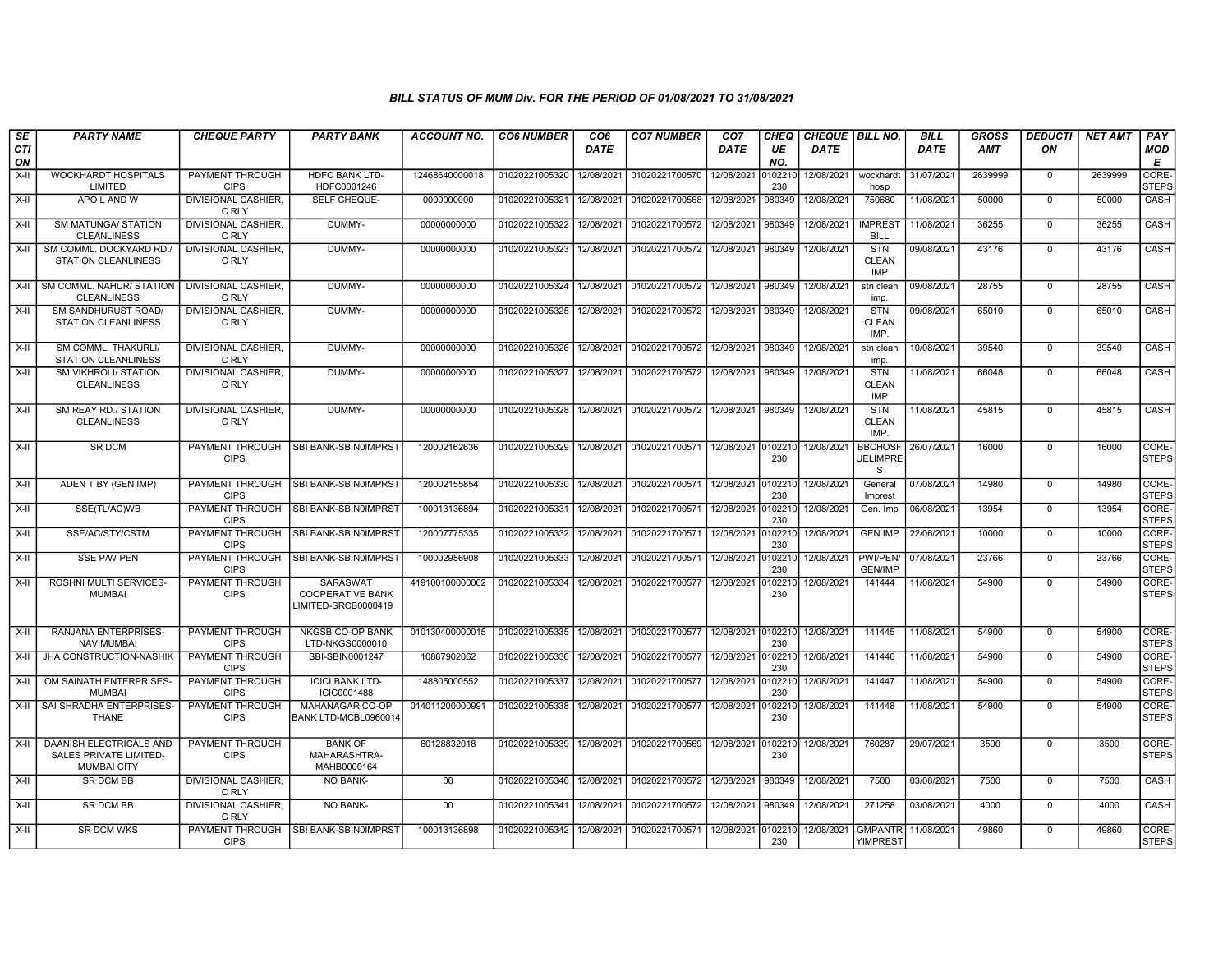| <b>SE</b><br>CTI | <b>PARTY NAME</b>                                                              | <b>CHEQUE PARTY</b>                   | <b>PARTY BANK</b>                                          | <b>ACCOUNT NO.</b> | <b>CO6 NUMBER</b> | CO <sub>6</sub><br><b>DATE</b> | <b>CO7 NUMBER</b>                    | CO <sub>7</sub><br>DATE | <b>CHEQ</b><br>UE | CHEQUE BILL NO.<br><b>DATE</b> |                                          | <b>BILL</b><br><b>DATE</b> | <b>GROSS</b><br>AMT | <b>DEDUCTI</b><br>ON | <b>NET AMT</b> | PAY<br><b>MOD</b>     |
|------------------|--------------------------------------------------------------------------------|---------------------------------------|------------------------------------------------------------|--------------------|-------------------|--------------------------------|--------------------------------------|-------------------------|-------------------|--------------------------------|------------------------------------------|----------------------------|---------------------|----------------------|----------------|-----------------------|
| ON               |                                                                                |                                       |                                                            |                    |                   |                                |                                      |                         | NO.               |                                |                                          |                            |                     |                      |                | Е                     |
| $X-H$            | <b>WOCKHARDT HOSPITALS</b><br>LIMITED                                          | <b>PAYMENT THROUGH</b><br><b>CIPS</b> | <b>HDFC BANK LTD-</b><br>HDFC0001246                       | 12468640000018     | 01020221005320    | 12/08/2021                     | 01020221700570                       | 12/08/2021              | 010221<br>230     | 12/08/2021                     | wockhardt<br>hosp                        | 31/07/2021                 | 2639999             | $\mathbf 0$          | 2639999        | CORE-<br><b>STEPS</b> |
| $X-H$            | APO L AND W                                                                    | <b>DIVISIONAL CASHIER.</b><br>C RLY   | <b>SELF CHEQUE-</b>                                        | 0000000000         | 01020221005321    | 12/08/2021                     | 01020221700568                       | 12/08/2021              | 980349            | 12/08/2021                     | 750680                                   | 11/08/2021                 | 50000               | $\mathbf 0$          | 50000          | CASH                  |
| X-II             | <b>SM MATUNGA/ STATION</b><br><b>CLEANLINESS</b>                               | <b>DIVISIONAL CASHIER.</b><br>C RLY   | DUMMY-                                                     | 00000000000        | 01020221005322    | 12/08/2021                     | 01020221700572                       | 12/08/2021              | 980349            | 12/08/2021                     | <b>IMPREST</b><br><b>BILL</b>            | 11/08/2021                 | 36255               | $\Omega$             | 36255          | CASH                  |
| X-II             | SM COMML. DOCKYARD RD./<br>STATION CLEANLINESS                                 | <b>DIVISIONAL CASHIER.</b><br>C RLY   | DUMMY-                                                     | 00000000000        | 01020221005323    | 12/08/2021                     | 01020221700572                       | 12/08/2021              | 980349            | 12/08/2021                     | <b>STN</b><br><b>CLEAN</b><br><b>IMP</b> | 09/08/2021                 | 43176               | $\overline{0}$       | 43176          | CASH                  |
| X-II             | SM COMML. NAHUR/ STATION<br><b>CLEANLINESS</b>                                 | DIVISIONAL CASHIER.<br>C RLY          | DUMMY-                                                     | 00000000000        | 01020221005324    | 12/08/2021                     | 01020221700572                       | 12/08/2021              | 980349            | 12/08/2021                     | stn clean<br>imp.                        | 09/08/2021                 | 28755               | $\mathbf 0$          | 28755          | CASH                  |
| $X-II$           | SM SANDHURUST ROAD/<br><b>STATION CLEANLINESS</b>                              | DIVISIONAL CASHIER,<br>C RLY          | DUMMY-                                                     | 00000000000        | 01020221005325    | 12/08/2021                     | 01020221700572                       | 12/08/2021              | 980349            | 12/08/2021                     | <b>STN</b><br><b>CLEAN</b><br>IMP.       | 09/08/2021                 | 65010               | $\Omega$             | 65010          | CASH                  |
| $X-H$            | SM COMML. THAKURLI/<br><b>STATION CLEANLINESS</b>                              | <b>DIVISIONAL CASHIER,</b><br>C RLY   | DUMMY-                                                     | 00000000000        | 01020221005326    | 12/08/2021                     | 01020221700572                       | 12/08/2021              | 980349            | 12/08/2021                     | stn clean<br>imp.                        | 10/08/2021                 | 39540               | $\mathbf 0$          | 39540          | CASH                  |
| $X-H$            | <b>SM VIKHROLI/ STATION</b><br><b>CLEANLINESS</b>                              | <b>DIVISIONAL CASHIER.</b><br>C RLY   | DUMMY-                                                     | 00000000000        | 01020221005327    | 12/08/2021                     | 01020221700572                       | 12/08/2021              | 980349            | 12/08/2021                     | <b>STN</b><br><b>CLEAN</b><br><b>IMP</b> | 11/08/2021                 | 66048               | $\Omega$             | 66048          | CASH                  |
| $X-H$            | SM REAY RD./ STATION<br><b>CLEANLINESS</b>                                     | <b>DIVISIONAL CASHIER.</b><br>C RLY   | DUMMY-                                                     | 00000000000        | 01020221005328    |                                | 12/08/2021 01020221700572 12/08/2021 |                         | 980349            | 12/08/2021                     | <b>STN</b><br><b>CLEAN</b><br>IMP.       | 11/08/2021                 | 45815               | $\Omega$             | 45815          | CASH                  |
| $X-H$            | <b>SR DCM</b>                                                                  | PAYMENT THROUGH<br><b>CIPS</b>        | SBI BANK-SBIN0IMPRST                                       | 120002162636       | 01020221005329    | 12/08/2021                     | 01020221700571                       | 12/08/2021 0102210      | 230               | 12/08/2021                     | <b>BBCHOSF</b><br><b>UELIMPRE</b><br>S   | 26/07/2021                 | 16000               | $\Omega$             | 16000          | CORE-<br><b>STEPS</b> |
| $X-II$           | ADEN T BY (GEN IMP)                                                            | PAYMENT THROUGH<br><b>CIPS</b>        | SBI BANK-SBIN0IMPRST                                       | 120002155854       | 01020221005330    | 12/08/2021                     | 01020221700571                       | 12/08/2021              | 0102210<br>230    | 12/08/2021                     | General<br>Imprest                       | 07/08/2021                 | 14980               | $\Omega$             | 14980          | CORE-<br><b>STEPS</b> |
| $X-H$            | SSE(TL/AC)WB                                                                   | PAYMENT THROUGH<br><b>CIPS</b>        | SBI BANK-SBIN0IMPRST                                       | 100013136894       | 01020221005331    | 12/08/2021                     | 01020221700571                       | 12/08/2021              | 0102210<br>230    | 12/08/2021                     | Gen. Imp                                 | 06/08/2021                 | 13954               | $\overline{0}$       | 13954          | CORE-<br><b>STEPS</b> |
| X-II             | SSE/AC/STY/CSTM                                                                | PAYMENT THROUGH<br><b>CIPS</b>        | SBI BANK-SBIN0IMPRST                                       | 120007775335       | 01020221005332    | 12/08/2021                     | 01020221700571                       | 12/08/2021              | 010221<br>230     | 12/08/2021                     | <b>GEN IMP</b>                           | 22/06/2021                 | 10000               | $\mathbf 0$          | 10000          | CORE-<br><b>STEPS</b> |
| X-II             | <b>SSE P/W PEN</b>                                                             | PAYMENT THROUGH<br><b>CIPS</b>        | SBI BANK-SBIN0IMPRST                                       | 100002956908       | 01020221005333    | 12/08/2021                     | 01020221700571                       | 12/08/2021              | 010221<br>230     | 12/08/2021                     | PWI/PEN/<br><b>GEN/IMP</b>               | 07/08/2021                 | 23766               | $\mathsf 0$          | 23766          | CORE-<br><b>STEPS</b> |
| X-II             | ROSHNI MULTI SERVICES-<br><b>MUMBAI</b>                                        | <b>PAYMENT THROUGH</b><br><b>CIPS</b> | SARASWAT<br><b>COOPERATIVE BANK</b><br>LIMITED-SRCB0000419 | 419100100000062    | 01020221005334    | 12/08/2021                     | 01020221700577                       | 12/08/2021              | 010221<br>230     | 12/08/2021                     | 141444                                   | 11/08/2021                 | 54900               | $\Omega$             | 54900          | CORE-<br><b>STEPS</b> |
| $X-II$           | RANJANA ENTERPRISES-<br><b>NAVIMUMBAI</b>                                      | PAYMENT THROUGH<br><b>CIPS</b>        | NKGSB CO-OP BANK<br>LTD-NKGS0000010                        | 010130400000015    | 01020221005335    | 12/08/2021                     | 01020221700577                       | 12/08/2021              | 010221<br>230     | 12/08/2021                     | 141445                                   | 11/08/2021                 | 54900               | $\mathbf 0$          | 54900          | CORE-<br><b>STEPS</b> |
| X-II             | JHA CONSTRUCTION-NASHIK                                                        | PAYMENT THROUGH<br><b>CIPS</b>        | SBI-SBIN0001247                                            | 10887902062        | 01020221005336    | 12/08/2021                     | 01020221700577                       | 12/08/2021              | 010221<br>230     | 12/08/2021                     | 141446                                   | 11/08/2021                 | 54900               | $\mathbf 0$          | 54900          | CORE-<br><b>STEPS</b> |
| $X-H$            | OM SAINATH ENTERPRISES-<br><b>MUMBAI</b>                                       | <b>PAYMENT THROUGH</b><br><b>CIPS</b> | <b>ICICI BANK LTD-</b><br>ICIC0001488                      | 148805000552       | 01020221005337    | 12/08/2021                     | 01020221700577                       | 12/08/2021              | 010221<br>230     | 12/08/2021                     | 141447                                   | 11/08/2021                 | 54900               | $\overline{0}$       | 54900          | CORE-<br><b>STEPS</b> |
| X-II             | SAI SHRADHA ENTERPRISES-<br><b>THANE</b>                                       | <b>PAYMENT THROUGH</b><br><b>CIPS</b> | MAHANAGAR CO-OP<br>BANK LTD-MCBL0960014                    | 014011200000991    | 01020221005338    | 12/08/2021                     | 01020221700577                       | 12/08/2021              | 010221<br>230     | 12/08/2021                     | 141448                                   | 11/08/2021                 | 54900               | $\Omega$             | 54900          | CORE-<br><b>STEPS</b> |
| $X-II$           | DAANISH ELECTRICALS AND<br><b>SALES PRIVATE LIMITED-</b><br><b>MUMBAI CITY</b> | PAYMENT THROUGH<br><b>CIPS</b>        | <b>BANK OF</b><br>MAHARASHTRA-<br>MAHB0000164              | 60128832018        | 01020221005339    | 12/08/2021                     | 01020221700569                       | 12/08/2021              | 010221<br>230     | 12/08/2021                     | 760287                                   | 29/07/2021                 | 3500                | $\overline{0}$       | 3500           | CORE-<br><b>STEPS</b> |
| X-II             | SR DCM BB                                                                      | <b>DIVISIONAL CASHIER.</b><br>C RLY   | <b>NO BANK-</b>                                            | 00                 | 01020221005340    | 12/08/2021                     | 01020221700572 12/08/2021            |                         | 980349            | 12/08/2021                     | 7500                                     | 03/08/2021                 | 7500                | $\mathbf{0}$         | 7500           | CASH                  |
| X-II             | <b>SR DCM BB</b>                                                               | <b>DIVISIONAL CASHIER,</b><br>C RLY   | <b>NO BANK-</b>                                            | 00                 | 01020221005341    | 12/08/2021                     | 01020221700572 12/08/2021            |                         | 980349            | 12/08/2021                     | 271258                                   | 03/08/2021                 | 4000                | $\Omega$             | 4000           | CASH                  |
| $X-H$            | <b>SR DCM WKS</b>                                                              | PAYMENT THROUGH<br><b>CIPS</b>        | SBI BANK-SBIN0IMPRST                                       | 100013136898       | 01020221005342    | 12/08/2021                     | 01020221700571 12/08/2021 0102210    |                         | 230               | 12/08/2021                     | <b>GMPANTR</b><br><b>YIMPREST</b>        | 11/08/2021                 | 49860               | $\mathbf 0$          | 49860          | CORE-<br><b>STEPS</b> |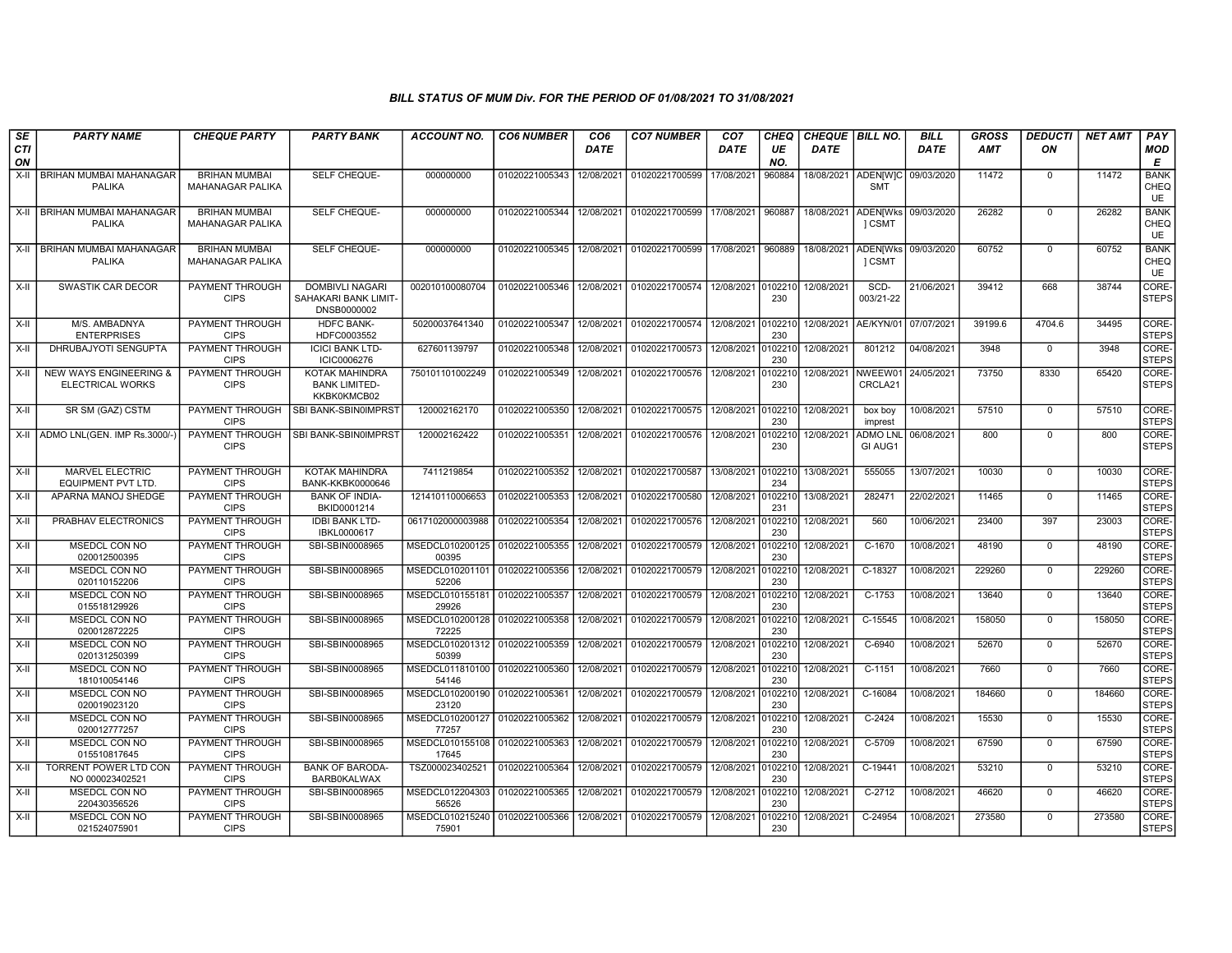| SE        | <b>PARTY NAME</b>                                 | <b>CHEQUE PARTY</b>                             | <b>PARTY BANK</b>                                             | ACCOUNT NO.                                        | <b>CO6 NUMBER</b>         | CO <sub>6</sub> | <b>CO7 NUMBER</b>                | CO <sub>7</sub>   | CHEQ           | CHEQUE   BILL NO. |                               | <b>BILL</b> | <b>GROSS</b> | <b>DEDUCTI</b> | <b>NET AMT</b> | <b>PAY</b>                       |
|-----------|---------------------------------------------------|-------------------------------------------------|---------------------------------------------------------------|----------------------------------------------------|---------------------------|-----------------|----------------------------------|-------------------|----------------|-------------------|-------------------------------|-------------|--------------|----------------|----------------|----------------------------------|
| CTI<br>ON |                                                   |                                                 |                                                               |                                                    |                           | <b>DATE</b>     |                                  | <b>DATE</b>       | UE<br>NO.      | <b>DATE</b>       |                               | <b>DATE</b> | <b>AMT</b>   | ON             |                | <b>MOD</b><br>E                  |
| $X-H$     | <b>BRIHAN MUMBAI MAHANAGAR</b><br><b>PALIKA</b>   | <b>BRIHAN MUMBAI</b><br>MAHANAGAR PALIKA        | SELF CHEQUE-                                                  | 000000000                                          | 01020221005343            | 12/08/2021      | 01020221700599                   | 17/08/2021        | 960884         | 18/08/2021        | <b>ADEN[W]C</b><br><b>SMT</b> | 09/03/2020  | 11472        | $\mathbf 0$    | 11472          | <b>BANK</b><br>CHEQ<br>UE        |
|           | X-II   BRIHAN MUMBAI MAHANAGAR<br><b>PALIKA</b>   | <b>BRIHAN MUMBAI</b><br>MAHANAGAR PALIKA        | SELF CHEQUE-                                                  | 000000000                                          | 01020221005344            | 12/08/2021      | 01020221700599                   | 17/08/2021        | 960887         | 18/08/2021        | <b>ADEN[Wks</b><br>1 CSMT     | 09/03/2020  | 26282        | $\mathbf 0$    | 26282          | <b>BANK</b><br>CHEQ<br>UE        |
|           | X-II   BRIHAN MUMBAI MAHANAGAR<br><b>PALIKA</b>   | <b>BRIHAN MUMBAI</b><br><b>MAHANAGAR PALIKA</b> | SELF CHEQUE-                                                  | 000000000                                          | 01020221005345 12/08/2021 |                 | 01020221700599                   | 17/08/2021        | 960889         | 18/08/2021        | <b>ADEN[Wks</b><br>1 CSMT     | 09/03/2020  | 60752        | $\mathbf 0$    | 60752          | <b>BANK</b><br>CHEQ<br><b>UE</b> |
| $X-H$     | SWASTIK CAR DECOR                                 | <b>PAYMENT THROUGH</b><br><b>CIPS</b>           | <b>DOMBIVLI NAGARI</b><br>SAHAKARI BANK LIMIT-<br>DNSB0000002 | 002010100080704                                    | 01020221005346 12/08/2021 |                 | 01020221700574 12/08/2021        |                   | 0102210<br>230 | 12/08/2021        | SCD-<br>003/21-22             | 21/06/2021  | 39412        | 668            | 38744          | CORE-<br>STEPS                   |
| X-II      | M/S. AMBADNYA<br><b>ENTERPRISES</b>               | PAYMENT THROUGH<br><b>CIPS</b>                  | <b>HDFC BANK-</b><br>HDFC0003552                              | 50200037641340                                     | 01020221005347            | 12/08/2021      | 01020221700574                   | 12/08/2021        | 010221<br>230  | 12/08/2021        | AE/KYN/01                     | 07/07/2021  | 39199.6      | 4704.6         | 34495          | CORE-<br>STEPS                   |
| X-II      | DHRUBAJYOTI SENGUPTA                              | <b>PAYMENT THROUGH</b><br><b>CIPS</b>           | <b>ICICI BANK LTD-</b><br>ICIC0006276                         | 627601139797                                       | 01020221005348            | 12/08/2021      | 01020221700573                   | 12/08/2021        | 010221<br>230  | 12/08/2021        | 801212                        | 04/08/2021  | 3948         | $\mathbf 0$    | 3948           | CORE-<br><b>STEPS</b>            |
|           | X-II   NEW WAYS ENGINEERING &<br>ELECTRICAL WORKS | PAYMENT THROUGH<br><b>CIPS</b>                  | KOTAK MAHINDRA<br><b>BANK LIMITED-</b><br>KKBK0KMCB02         | 750101101002249                                    | 01020221005349            | 12/08/2021      | 01020221700576                   | 12/08/2021        | 010221<br>230  | 12/08/2021        | NWEEW01<br>CRCLA21            | 24/05/2021  | 73750        | 8330           | 65420          | CORE-<br><b>STEPS</b>            |
| X-II      | SR SM (GAZ) CSTM                                  | PAYMENT THROUGH<br><b>CIPS</b>                  | SBI BANK-SBIN0IMPRST                                          | 120002162170                                       | 01020221005350 12/08/2021 |                 | 01020221700575 12/08/2021 010221 |                   | 230            | 12/08/2021        | box boy<br>imprest            | 10/08/2021  | 57510        | $\mathbf 0$    | 57510          | CORE-<br><b>STEPS</b>            |
|           | X-II ADMO LNL(GEN. IMP Rs.3000/-                  | <b>PAYMENT THROUGH</b><br><b>CIPS</b>           | SBI BANK-SBIN0IMPRST                                          | 120002162422                                       | 01020221005351            | 12/08/2021      | 01020221700576                   | 12/08/2021        | 010221<br>230  | 12/08/2021        | <b>ADMO LNL</b><br>GI AUG1    | 06/08/2021  | 800          | $\Omega$       | 800            | CORE-<br><b>STEPS</b>            |
| X-II      | MARVEL ELECTRIC<br><b>EQUIPMENT PVT LTD.</b>      | PAYMENT THROUGH<br><b>CIPS</b>                  | <b>KOTAK MAHINDRA</b><br><b>BANK-KKBK0000646</b>              | 7411219854                                         | 01020221005352 12/08/2021 |                 | 01020221700587                   | 13/08/2021 010221 | 234            | 13/08/2021        | 555055                        | 13/07/2021  | 10030        | $\Omega$       | 10030          | CORE-<br><b>STEPS</b>            |
| X-II      | APARNA MANOJ SHEDGE                               | PAYMENT THROUGH<br><b>CIPS</b>                  | <b>BANK OF INDIA-</b><br>BKID0001214                          | 121410110006653                                    | 01020221005353            | 12/08/2021      | 01020221700580                   | 12/08/2021        | 010221<br>231  | 13/08/2021        | 282471                        | 22/02/2021  | 11465        | $\mathbf 0$    | 11465          | CORE-<br><b>STEPS</b>            |
| X-II      | PRABHAV ELECTRONICS                               | PAYMENT THROUGH<br><b>CIPS</b>                  | <b>IDBI BANK LTD-</b><br>IBKL0000617                          | 0617102000003988                                   | 01020221005354            | 12/08/2021      | 01020221700576                   | 12/08/2021        | 010221<br>230  | 12/08/2021        | 560                           | 10/06/2021  | 23400        | 397            | 23003          | CORE-<br><b>STEPS</b>            |
| X-II      | MSEDCL CON NO<br>020012500395                     | PAYMENT THROUGH<br><b>CIPS</b>                  | SBI-SBIN0008965                                               | MSEDCL010200125 01020221005355<br>00395            |                           | 12/08/2021      | 01020221700579                   | 12/08/2021        | 010221<br>230  | 12/08/2021        | C-1670                        | 10/08/2021  | 48190        | $\Omega$       | 48190          | CORE-<br><b>STEPS</b>            |
| X-II      | MSEDCL CON NO<br>020110152206                     | <b>PAYMENT THROUGH</b><br><b>CIPS</b>           | SBI-SBIN0008965                                               | MSEDCL010201101 01020221005356<br>52206            |                           | 12/08/2021      | 01020221700579                   | 12/08/2021        | 010221<br>230  | 12/08/2021        | C-18327                       | 10/08/2021  | 229260       | $\mathbf 0$    | 229260         | CORE-<br><b>STEPS</b>            |
| X-II      | MSEDCL CON NO<br>015518129926                     | <b>PAYMENT THROUGH</b><br><b>CIPS</b>           | SBI-SBIN0008965                                               | MSEDCL010155181   01020221005357<br>29926          |                           | 12/08/2021      | 01020221700579                   | 12/08/2021        | 010221<br>230  | 12/08/2021        | $C-1753$                      | 10/08/2021  | 13640        | $\Omega$       | 13640          | CORE-<br><b>STEPS</b>            |
| X-II      | MSEDCL CON NO<br>020012872225                     | <b>PAYMENT THROUGH</b><br><b>CIPS</b>           | SBI-SBIN0008965                                               | MSEDCL010200128 01020221005358<br>72225            |                           | 12/08/2021      | 01020221700579                   | 12/08/2021        | 010221<br>230  | 12/08/2021        | C-15545                       | 10/08/2021  | 158050       | $\mathbf 0$    | 158050         | CORE-<br><b>STEPS</b>            |
| X-II      | MSEDCL CON NO<br>020131250399                     | <b>PAYMENT THROUGH</b><br><b>CIPS</b>           | SBI-SBIN0008965                                               | MSEDCL010201312 01020221005359<br>50399            |                           | 12/08/2021      | 01020221700579                   | 12/08/2021        | 010221<br>230  | 12/08/2021        | $C-6940$                      | 10/08/2021  | 52670        | $\mathbf 0$    | 52670          | CORE-<br><b>STEPS</b>            |
| X-II      | MSEDCL CON NO<br>181010054146                     | <b>PAYMENT THROUGH</b><br><b>CIPS</b>           | SBI-SBIN0008965                                               | MSEDCL011810100 01020221005360<br>54146            |                           | 12/08/2021      | 01020221700579                   | 12/08/2021        | 010221<br>230  | 12/08/2021        | $C-1151$                      | 10/08/2021  | 7660         | $\Omega$       | 7660           | CORE-<br>STEPS                   |
| X-II      | <b>MSEDCL CON NO</b><br>020019023120              | <b>PAYMENT THROUGH</b><br><b>CIPS</b>           | SBI-SBIN0008965                                               | MSEDCL010200190 01020221005361<br>23120            |                           | 12/08/2021      | 01020221700579                   | 12/08/2021        | 0102210<br>230 | 12/08/2021        | $C-16084$                     | 10/08/2021  | 184660       | $\mathbf 0$    | 184660         | CORE-<br><b>STEPS</b>            |
| X-II      | MSEDCL CON NO<br>020012777257                     | <b>PAYMENT THROUGH</b><br><b>CIPS</b>           | SBI-SBIN0008965                                               | MSEDCL010200127 01020221005362 12/08/2021<br>77257 |                           |                 | 01020221700579                   | 12/08/2021        | 010221<br>230  | 12/08/2021        | $C-2424$                      | 10/08/2021  | 15530        | $\mathbf 0$    | 15530          | CORE-<br><b>STEPS</b>            |
| X-II      | MSEDCL CON NO<br>015510817645                     | PAYMENT THROUGH<br><b>CIPS</b>                  | SBI-SBIN0008965                                               | MSEDCL010155108 01020221005363<br>17645            |                           | 12/08/2021      | 01020221700579                   | 12/08/2021        | 010221<br>230  | 12/08/2021        | C-5709                        | 10/08/2021  | 67590        | $\mathbf 0$    | 67590          | CORE-<br><b>STEPS</b>            |
| X-II      | TORRENT POWER LTD CON<br>NO 000023402521          | PAYMENT THROUGH<br><b>CIPS</b>                  | <b>BANK OF BARODA-</b><br><b>BARB0KALWAX</b>                  | TSZ000023402521                                    | 01020221005364            | 12/08/2021      | 01020221700579                   | 12/08/2021        | 010221<br>230  | 12/08/2021        | C-19441                       | 10/08/2021  | 53210        | $\mathbf 0$    | 53210          | CORE-<br><b>STEPS</b>            |
| X-II      | <b>MSEDCL CON NO</b><br>220430356526              | <b>PAYMENT THROUGH</b><br><b>CIPS</b>           | SBI-SBIN0008965                                               | MSEDCL012204303 01020221005365<br>56526            |                           | 12/08/2021      | 01020221700579                   | 12/08/2021        | 0102210<br>230 | 12/08/2021        | $C-2712$                      | 10/08/2021  | 46620        | $\Omega$       | 46620          | CORE-<br>STEPS                   |
| X-II      | MSEDCL CON NO<br>021524075901                     | <b>PAYMENT THROUGH</b><br><b>CIPS</b>           | SBI-SBIN0008965                                               | MSEDCL010215240 01020221005366 12/08/2021<br>75901 |                           |                 | 01020221700579 12/08/2021        |                   | 0102210<br>230 | 12/08/2021        | $C-24954$                     | 10/08/2021  | 273580       | $\mathbf 0$    | 273580         | CORE-<br><b>STEPS</b>            |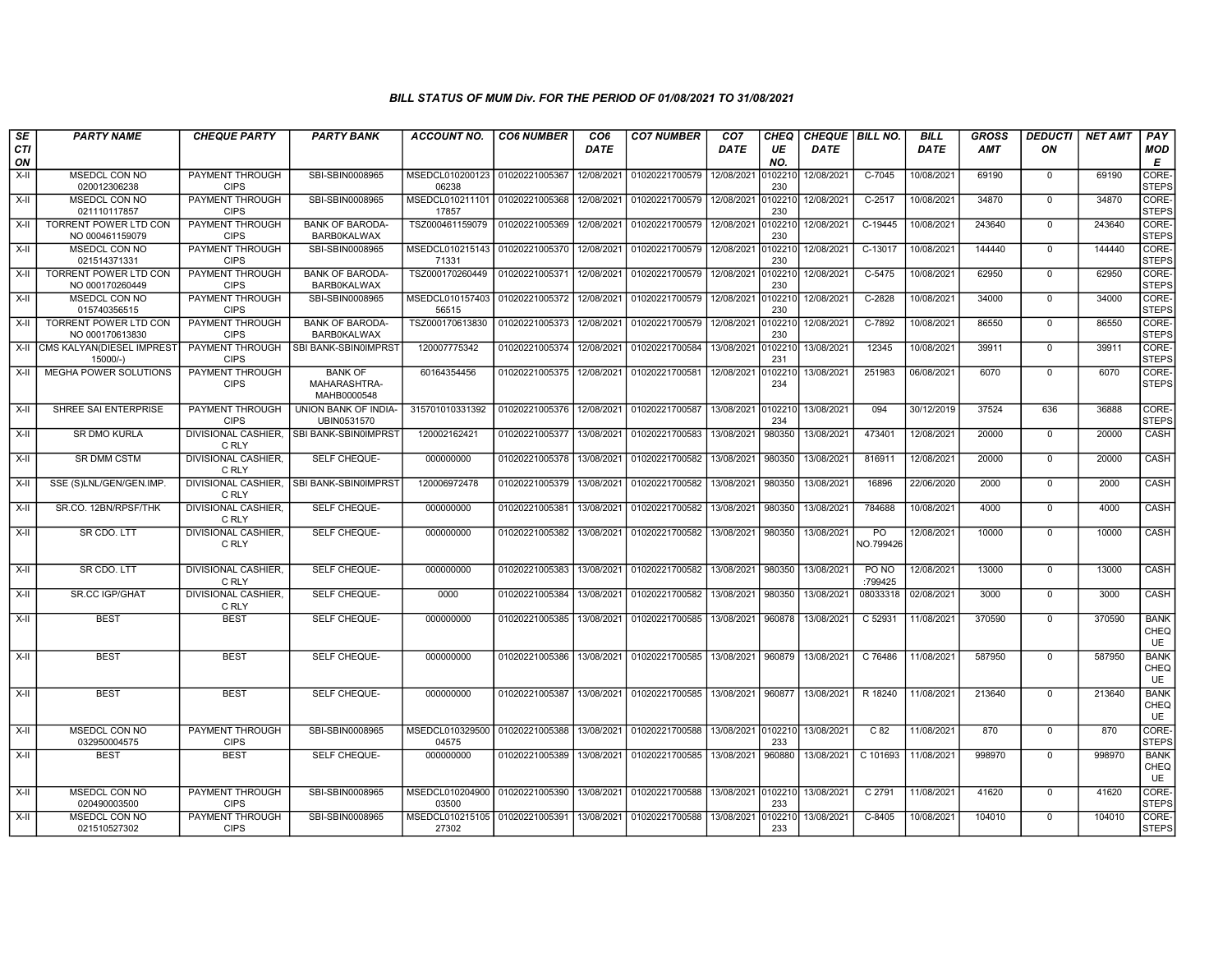| SE        | <b>PARTY NAME</b>                               | <b>CHEQUE PARTY</b>                   | <b>PARTY BANK</b>                             | <b>ACCOUNT NO.</b>                        | <b>CO6 NUMBER</b> | CO <sub>6</sub> | <b>CO7 NUMBER</b> | CO <sub>7</sub>    | <b>CHEQ</b>    | <b>CHEQUE   BILL NO.</b> |                  | <b>BILL</b> | GROSS  | <i><b>DEDUCTI</b></i> | NET AMT | <b>PAY</b>                       |
|-----------|-------------------------------------------------|---------------------------------------|-----------------------------------------------|-------------------------------------------|-------------------|-----------------|-------------------|--------------------|----------------|--------------------------|------------------|-------------|--------|-----------------------|---------|----------------------------------|
| CTI<br>ON |                                                 |                                       |                                               |                                           |                   | <b>DATE</b>     |                   | <b>DATE</b>        | UE<br>NO.      | <b>DATE</b>              |                  | <b>DATE</b> | AMT    | ON                    |         | <b>MOD</b><br>Е                  |
| X-II      | MSEDCL CON NO<br>020012306238                   | PAYMENT THROUGH<br><b>CIPS</b>        | SBI-SBIN0008965                               | MSEDCL010200123   01020221005367<br>06238 |                   | 12/08/2021      | 01020221700579    | 12/08/2021         | )102210<br>230 | 12/08/2021               | C-7045           | 10/08/2021  | 69190  | $\mathbf 0$           | 69190   | CORE-<br><b>STEPS</b>            |
| X-II      | MSEDCL CON NO<br>021110117857                   | <b>PAYMENT THROUGH</b><br><b>CIPS</b> | SBI-SBIN0008965                               | MSEDCL010211101 01020221005368<br>17857   |                   | 12/08/2021      | 01020221700579    | 12/08/2021         | 102210<br>230  | 12/08/2021               | $C-2517$         | 10/08/2021  | 34870  | $\mathbf 0$           | 34870   | CORE-<br>STEPS                   |
| $X-H$     | <b>TORRENT POWER LTD CON</b><br>NO 000461159079 | PAYMENT THROUGH<br><b>CIPS</b>        | <b>BANK OF BARODA</b><br><b>BARB0KALWAX</b>   | TSZ000461159079                           | 01020221005369    | 12/08/2021      | 01020221700579    | 12/08/2021         | 0102210<br>230 | 12/08/2021               | C-19445          | 10/08/2021  | 243640 | $\mathbf 0$           | 243640  | CORE-<br><b>STEPS</b>            |
| X-II      | MSEDCL CON NO<br>021514371331                   | PAYMENT THROUGH<br><b>CIPS</b>        | SBI-SBIN0008965                               | MSEDCL010215143<br>71331                  | 01020221005370    | 12/08/2021      | 01020221700579    | 12/08/2021         | 102210<br>230  | 12/08/2021               | C-13017          | 10/08/2021  | 144440 | $\mathbf 0$           | 144440  | CORE-<br><b>STEPS</b>            |
| $X-H$     | <b>TORRENT POWER LTD CON</b><br>NO 000170260449 | <b>PAYMENT THROUGH</b><br><b>CIPS</b> | <b>BANK OF BARODA-</b><br><b>BARB0KALWAX</b>  | TSZ000170260449                           | 01020221005371    | 12/08/2021      | 01020221700579    | 12/08/2021         | 102210<br>230  | 12/08/2021               | $C-5475$         | 10/08/2021  | 62950  | 0                     | 62950   | CORE-<br><b>STEPS</b>            |
| X-II      | MSEDCL CON NO<br>015740356515                   | PAYMENT THROUGH<br><b>CIPS</b>        | SBI-SBIN0008965                               | MSEDCL010157403 01020221005372<br>56515   |                   | 12/08/2021      | 01020221700579    | 12/08/2021         | 0102210<br>230 | 12/08/2021               | $C-2828$         | 10/08/2021  | 34000  | $^{\circ}$            | 34000   | CORE-<br><b>STEPS</b>            |
| X-II      | <b>TORRENT POWER LTD CON</b><br>NO 000170613830 | <b>PAYMENT THROUGH</b><br><b>CIPS</b> | <b>BANK OF BARODA</b><br><b>BARB0KALWAX</b>   | TSZ000170613830                           | 01020221005373    | 12/08/202       | 01020221700579    | 12/08/2021         | 102210<br>230  | 12/08/2021               | C-7892           | 10/08/2021  | 86550  | $\mathbf 0$           | 86550   | CORE-<br><b>STEPS</b>            |
| $X-H$     | CMS KALYAN(DIESEL IMPREST<br>$15000/-$          | PAYMENT THROUGH<br><b>CIPS</b>        | SBI BANK-SBIN0IMPRST                          | 120007775342                              | 01020221005374    | 12/08/2021      | 01020221700584    | 13/08/2021         | 0102210<br>231 | 13/08/2021               | 12345            | 10/08/2021  | 39911  | $\Omega$              | 39911   | CORE-<br><b>STEPS</b>            |
| $X-H$     | <b>MEGHA POWER SOLUTIONS</b>                    | PAYMENT THROUGH<br><b>CIPS</b>        | <b>BANK OF</b><br>MAHARASHTRA-<br>MAHB0000548 | 60164354456                               | 01020221005375    | 12/08/2021      | 01020221700581    | 12/08/2021         | 102210<br>234  | 13/08/2021               | 251983           | 06/08/2021  | 6070   | $\mathbf 0$           | 6070    | CORE-<br>STEPS                   |
| X-II      | SHREE SAI ENTERPRISE                            | PAYMENT THROUGH<br><b>CIPS</b>        | UNION BANK OF INDIA-<br>UBIN0531570           | 315701010331392                           | 01020221005376    | 12/08/2021      | 01020221700587    | 13/08/2021         | 0102210<br>234 | 13/08/2021               | 094              | 30/12/2019  | 37524  | 636                   | 36888   | CORE-<br><b>STEPS</b>            |
| X-II      | <b>SR DMO KURLA</b>                             | DIVISIONAL CASHIER,<br>C RLY          | <b>SBI BANK-SBIN0IMPRST</b>                   | 120002162421                              | 01020221005377    | 13/08/2021      | 01020221700583    | 13/08/2021         | 980350         | 13/08/2021               | 473401           | 12/08/2021  | 20000  | 0                     | 20000   | CASH                             |
| $X-H$     | <b>SR DMM CSTM</b>                              | <b>DIVISIONAL CASHIER.</b><br>C RLY   | SELF CHEQUE-                                  | 000000000                                 | 01020221005378    | 13/08/2021      | 01020221700582    | 13/08/2021         | 980350         | 13/08/2021               | 816911           | 12/08/2021  | 20000  | $\mathbf 0$           | 20000   | <b>CASH</b>                      |
| $X-H$     | SSE (S)LNL/GEN/GEN.IMP.                         | C RLY                                 | DIVISIONAL CASHIER, SBI BANK-SBIN0IMPRST      | 120006972478                              | 01020221005379    | 13/08/2021      | 01020221700582    | 13/08/2021         | 980350         | 13/08/2021               | 16896            | 22/06/2020  | 2000   | $\mathbf 0$           | 2000    | CASH                             |
| X-II      | SR.CO. 12BN/RPSF/THK                            | DIVISIONAL CASHIER,<br>C RLY          | SELF CHEQUE-                                  | 000000000                                 | 01020221005381    | 13/08/2021      | 01020221700582    | 13/08/2021         | 980350         | 13/08/2021               | 784688           | 10/08/2021  | 4000   | $\mathbf 0$           | 4000    | CASH                             |
| X-II      | SR CDO. LTT                                     | <b>DIVISIONAL CASHIER.</b><br>C RLY   | <b>SELF CHEQUE-</b>                           | 000000000                                 | 01020221005382    | 13/08/2021      | 01020221700582    | 13/08/2021         | 980350         | 13/08/2021               | PO<br>NO.799426  | 12/08/2021  | 10000  | $\mathbf 0$           | 10000   | CASH                             |
| $X-II$    | SR CDO. LTT                                     | DIVISIONAL CASHIER.<br>C RLY          | SELF CHEQUE-                                  | 000000000                                 | 01020221005383    | 13/08/2021      | 01020221700582    | 13/08/2021         | 980350         | 13/08/2021               | PO NO<br>:799425 | 12/08/2021  | 13000  | $\mathbf 0$           | 13000   | CASH                             |
| $X-H$     | <b>SR.CC IGP/GHAT</b>                           | <b>DIVISIONAL CASHIER.</b><br>C RLY   | SELF CHEQUE-                                  | 0000                                      | 01020221005384    | 13/08/2021      | 01020221700582    | 13/08/2021         | 980350         | 13/08/2021               | 08033318         | 02/08/2021  | 3000   | $\mathbf 0$           | 3000    | CASH                             |
| X-II      | <b>BEST</b>                                     | <b>BEST</b>                           | SELF CHEQUE-                                  | 000000000                                 | 01020221005385    | 13/08/2021      | 01020221700585    | 13/08/2021         | 960878         | 13/08/2021               | C 52931          | 11/08/2021  | 370590 | $\mathbf 0$           | 370590  | <b>BANK</b><br>CHEQ<br><b>UE</b> |
| X-II      | <b>BEST</b>                                     | <b>BEST</b>                           | <b>SELF CHEQUE-</b>                           | 000000000                                 | 01020221005386    | 13/08/2021      | 01020221700585    | 13/08/2021         | 960879         | 13/08/2021               | C 76486          | 11/08/2021  | 587950 | $\mathbf 0$           | 587950  | <b>BANK</b><br>CHEQ<br><b>UE</b> |
| X-II      | <b>BEST</b>                                     | <b>BEST</b>                           | SELF CHEQUE-                                  | 000000000                                 | 01020221005387    | 13/08/2021      | 01020221700585    | 13/08/2021         | 960877         | 13/08/2021               | R 18240          | 11/08/2021  | 213640 | $\mathbf 0$           | 213640  | <b>BANK</b><br>CHEQ<br>UE        |
| $X-H$     | <b>MSEDCL CON NO</b><br>032950004575            | <b>PAYMENT THROUGH</b><br><b>CIPS</b> | SBI-SBIN0008965                               | MSEDCL010329500<br>04575                  | 01020221005388    | 13/08/2021      | 01020221700588    | 13/08/2021 0102210 | 233            | 13/08/2021               | C82              | 11/08/2021  | 870    | $\mathbf 0$           | 870     | CORE-<br><b>STEPS</b>            |
| X-II      | <b>BEST</b>                                     | <b>BEST</b>                           | SELF CHEQUE-                                  | 000000000                                 | 01020221005389    | 13/08/2021      | 01020221700585    | 13/08/2021         | 960880         | 13/08/2021               | C 101693         | 11/08/2021  | 998970 | $\mathbf 0$           | 998970  | <b>BANK</b><br>CHEQ<br>UE        |
| $X-II$    | <b>MSEDCL CON NO</b><br>020490003500            | PAYMENT THROUGH<br><b>CIPS</b>        | SBI-SBIN0008965                               | MSEDCL010204900<br>03500                  | 01020221005390    | 13/08/2021      | 01020221700588    | 13/08/2021 0102210 | 233            | 13/08/2021               | C 2791           | 11/08/2021  | 41620  | $\mathbf 0$           | 41620   | CORE-<br>STEPS                   |
| X-II      | MSEDCL CON NO<br>021510527302                   | <b>PAYMENT THROUGH</b><br><b>CIPS</b> | SBI-SBIN0008965                               | MSEDCL010215105 01020221005391<br>27302   |                   | 13/08/2021      | 01020221700588    | 13/08/2021         | 102210<br>233  | 13/08/2021               | $C-8405$         | 10/08/2021  | 104010 | $\mathbf 0$           | 104010  | CORE-<br>STEPS                   |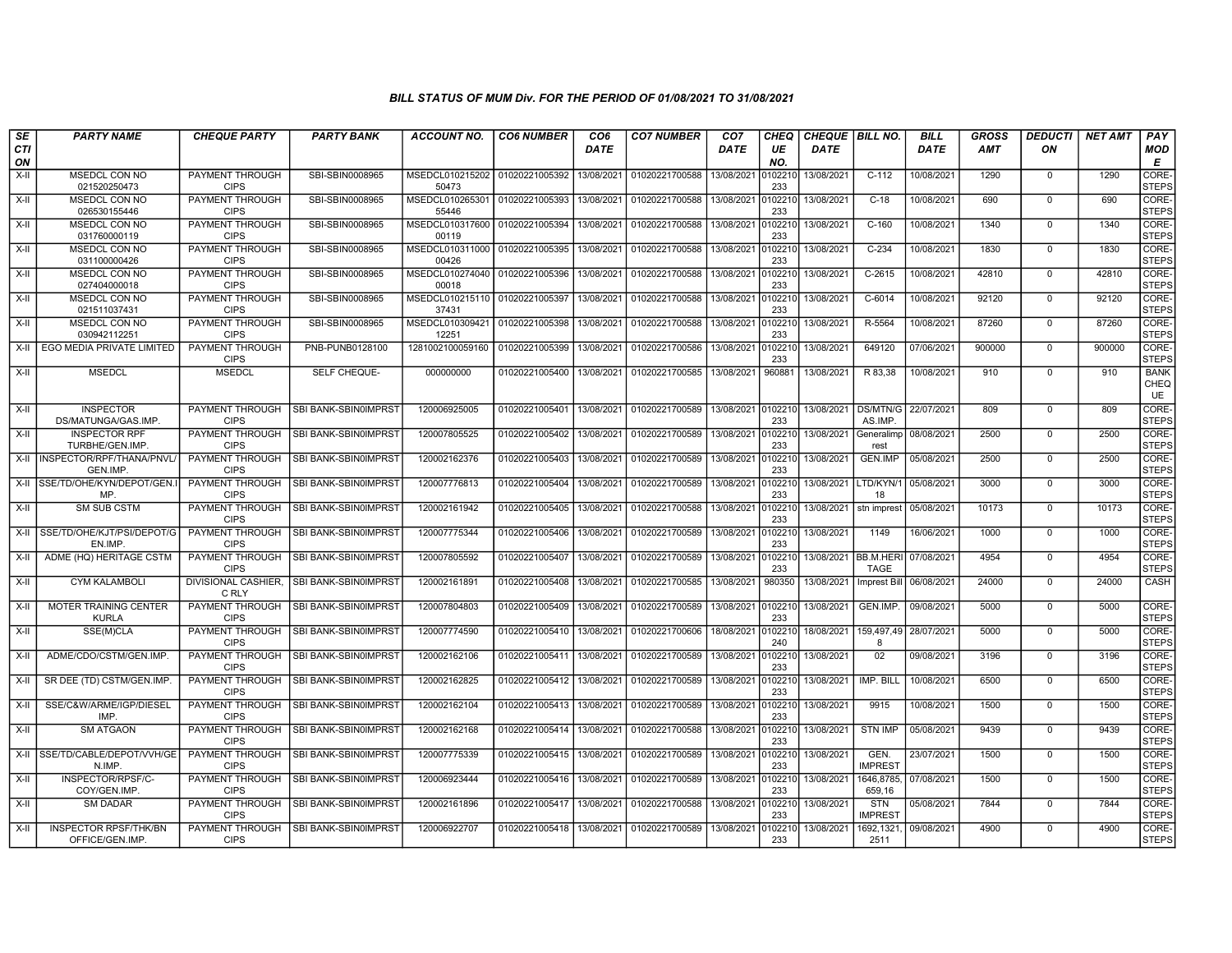| SE               | <b>PARTY NAME</b>                                | <b>CHEQUE PARTY</b>                   | <b>PARTY BANK</b>    | ACCOUNT NO.              | <b>CO6 NUMBER</b> | CO <sub>6</sub> | <b>CO7 NUMBER</b> | CO <sub>7</sub> | CHEQ           | <b>CHEQUE   BILL NO.</b> |                              | <b>BILL</b> | GROSS      | <b>DEDUCTI</b> | <b>NET AMT</b> | <b>PAY</b>                |
|------------------|--------------------------------------------------|---------------------------------------|----------------------|--------------------------|-------------------|-----------------|-------------------|-----------------|----------------|--------------------------|------------------------------|-------------|------------|----------------|----------------|---------------------------|
| <b>CTI</b><br>ON |                                                  |                                       |                      |                          |                   | DATE            |                   | DATE            | UE<br>NO.      | DATE                     |                              | DATE        | <b>AMT</b> | ON             |                | <b>MOD</b><br>E           |
| $X-H$            | MSEDCL CON NO<br>021520250473                    | PAYMENT THROUGH<br><b>CIPS</b>        | SBI-SBIN0008965      | MSEDCL010215202<br>50473 | 01020221005392    | 13/08/2021      | 01020221700588    | 13/08/2021      | 102210<br>233  | 13/08/2021               | $C-112$                      | 10/08/2021  | 1290       | $\mathbf 0$    | 1290           | CORE-<br><b>STEPS</b>     |
| $X-H$            | MSEDCL CON NO<br>026530155446                    | <b>PAYMENT THROUGH</b><br><b>CIPS</b> | SBI-SBIN0008965      | MSEDCL010265301<br>55446 | 01020221005393    | 13/08/2021      | 01020221700588    | 13/08/2021      | 102210<br>233  | 13/08/2021               | $C-18$                       | 10/08/2021  | 690        | $\mathbf 0$    | 690            | CORE-<br><b>STEPS</b>     |
| $X-II$           | MSEDCL CON NO<br>031760000119                    | PAYMENT THROUGH<br><b>CIPS</b>        | SBI-SBIN0008965      | MSEDCL010317600<br>00119 | 01020221005394    | 13/08/2021      | 01020221700588    | 13/08/2021      | 102210<br>233  | 13/08/2021               | $C-160$                      | 10/08/2021  | 1340       | $\Omega$       | 1340           | CORE-<br><b>STEPS</b>     |
| $X-H$            | MSEDCL CON NO<br>031100000426                    | PAYMENT THROUGH<br><b>CIPS</b>        | SBI-SBIN0008965      | MSEDCL010311000<br>00426 | 01020221005395    | 13/08/2021      | 01020221700588    | 13/08/2021      | 102210<br>233  | 13/08/2021               | $C-234$                      | 10/08/2021  | 1830       | $\mathbf 0$    | 1830           | CORE-<br><b>STEPS</b>     |
| $X-H$            | <b>MSEDCL CON NO</b><br>027404000018             | <b>PAYMENT THROUGH</b><br><b>CIPS</b> | SBI-SBIN0008965      | MSEDCL010274040<br>00018 | 01020221005396    | 13/08/2021      | 01020221700588    | 13/08/2021      | 102210<br>233  | 13/08/2021               | $C-2615$                     | 10/08/2021  | 42810      | $\mathbf 0$    | 42810          | CORE-<br><b>STEPS</b>     |
| X-II             | <b>MSEDCL CON NO</b><br>021511037431             | PAYMENT THROUGH<br><b>CIPS</b>        | SBI-SBIN0008965      | MSEDCL010215110<br>37431 | 01020221005397    | 13/08/2021      | 01020221700588    | 13/08/2021      | 102210<br>233  | 13/08/2021               | C-6014                       | 10/08/2021  | 92120      | $\mathbf{0}$   | 92120          | CORE-<br><b>STEPS</b>     |
| X-II             | MSEDCL CON NO<br>030942112251                    | PAYMENT THROUGH<br><b>CIPS</b>        | SBI-SBIN0008965      | MSEDCL010309421<br>12251 | 01020221005398    | 13/08/2021      | 01020221700588    | 13/08/2021      | 102210<br>233  | 13/08/2021               | R-5564                       | 10/08/2021  | 87260      | $\Omega$       | 87260          | CORE-<br><b>STEPS</b>     |
| X-II             | EGO MEDIA PRIVATE LIMITED                        | PAYMENT THROUGH<br><b>CIPS</b>        | PNB-PUNB0128100      | 1281002100059160         | 01020221005399    | 13/08/2021      | 01020221700586    | 13/08/2021      | 102210<br>233  | 13/08/2021               | 649120                       | 07/06/2021  | 900000     | $\Omega$       | 900000         | CORE-<br><b>STEPS</b>     |
| $X-H$            | <b>MSEDCL</b>                                    | <b>MSEDCL</b>                         | SELF CHEQUE-         | 000000000                | 01020221005400    | 13/08/2021      | 01020221700585    | 13/08/2021      | 960881         | 13/08/2021               | R 83,38                      | 10/08/2021  | 910        | $\mathbf 0$    | 910            | <b>BANK</b><br>CHEQ<br>UE |
| X-II             | <b>INSPECTOR</b><br>DS/MATUNGA/GAS.IMP.          | PAYMENT THROUGH<br><b>CIPS</b>        | SBI BANK-SBIN0IMPRST | 120006925005             | 01020221005401    | 13/08/2021      | 01020221700589    | 13/08/2021      | 0102210<br>233 | 13/08/2021               | DS/MTN/G<br>AS.IMP.          | 22/07/2021  | 809        | $\Omega$       | 809            | CORE-<br><b>STEPS</b>     |
| X-II             | <b>INSPECTOR RPF</b><br>TURBHE/GEN.IMP.          | PAYMENT THROUGH<br><b>CIPS</b>        | SBI BANK-SBIN0IMPRST | 120007805525             | 01020221005402    | 13/08/2021      | 01020221700589    | 13/08/2021      | 0102210<br>233 | 13/08/2021               | Generalimp<br>rest           | 08/08/2021  | 2500       | $\mathbf 0$    | 2500           | CORE-<br><b>STEPS</b>     |
|                  | X-II INSPECTOR/RPF/THANA/PNVL/<br><b>GEN.IMP</b> | <b>PAYMENT THROUGH</b><br><b>CIPS</b> | SBI BANK-SBIN0IMPRST | 120002162376             | 01020221005403    | 13/08/2021      | 01020221700589    | 13/08/2021      | 102210<br>233  | 13/08/2021               | <b>GEN.IMP</b>               | 05/08/2021  | 2500       | $\mathsf{O}$   | 2500           | CORE-<br><b>STEPS</b>     |
| X-II             | SSE/TD/OHE/KYN/DEPOT/GEN.I<br>MP.                | <b>PAYMENT THROUGH</b><br><b>CIPS</b> | SBI BANK-SBIN0IMPRST | 120007776813             | 01020221005404    | 13/08/2021      | 01020221700589    | 13/08/2021      | 0102210<br>233 | 13/08/2021 LTD/KYN/1     | 18                           | 05/08/2021  | 3000       | $\mathbf{0}$   | 3000           | CORE-<br><b>STEPS</b>     |
| $X-I$            | <b>SM SUB CSTM</b>                               | PAYMENT THROUGH<br><b>CIPS</b>        | SBI BANK-SBIN0IMPRST | 120002161942             | 01020221005405    | 13/08/2021      | 01020221700588    | 13/08/2021      | 102210<br>233  | 13/08/2021               | stn imprest                  | 05/08/2021  | 10173      | $\Omega$       | 10173          | CORE-<br><b>STEPS</b>     |
| X-II             | SSE/TD/OHE/KJT/PSI/DEPOT/G<br>EN.IMP.            | PAYMENT THROUGH<br><b>CIPS</b>        | SBI BANK-SBIN0IMPRST | 120007775344             | 01020221005406    | 13/08/2021      | 01020221700589    | 13/08/2021      | 102210<br>233  | 13/08/2021               | 1149                         | 16/06/2021  | 1000       | $\Omega$       | 1000           | CORE-<br><b>STEPS</b>     |
| X-II             | ADME (HQ) HERITAGE CSTM                          | <b>PAYMENT THROUGH</b><br><b>CIPS</b> | SBI BANK-SBIN0IMPRST | 120007805592             | 01020221005407    | 13/08/2021      | 01020221700589    | 13/08/2021      | 102210<br>233  | 13/08/2021 BB.M.HERI     | <b>TAGE</b>                  | 07/08/2021  | 4954       | $\Omega$       | 4954           | CORE-<br><b>STEPS</b>     |
| X-II             | <b>CYM KALAMBOLI</b>                             | <b>DIVISIONAL CASHIER.</b><br>C RLY   | SBI BANK-SBIN0IMPRST | 120002161891             | 01020221005408    | 13/08/2021      | 01020221700585    | 13/08/2021      | 980350         | 13/08/2021               | <b>Imprest Bill</b>          | 06/08/2021  | 24000      | $\mathbf 0$    | 24000          | CASH                      |
| X-II             | <b>MOTER TRAINING CENTER</b><br><b>KURLA</b>     | PAYMENT THROUGH<br><b>CIPS</b>        | SBI BANK-SBIN0IMPRST | 120007804803             | 01020221005409    | 13/08/2021      | 01020221700589    | 13/08/2021      | 0102210<br>233 | 13/08/2021               | GEN.IMP.                     | 09/08/2021  | 5000       | $\mathbf 0$    | 5000           | CORE-<br><b>STEPS</b>     |
| X-II             | SSE(M)CLA                                        | PAYMENT THROUGH<br><b>CIPS</b>        | SBI BANK-SBIN0IMPRST | 120007774590             | 01020221005410    | 13/08/2021      | 01020221700606    | 18/08/2021      | 102210<br>240  | 18/08/2021               | 159,497,49<br>8              | 28/07/2021  | 5000       | $\mathbf 0$    | 5000           | CORE-<br><b>STEPS</b>     |
| X-II             | ADME/CDO/CSTM/GEN.IMP.                           | PAYMENT THROUGH<br><b>CIPS</b>        | SBI BANK-SBIN0IMPRST | 120002162106             | 01020221005411    | 13/08/2021      | 01020221700589    | 13/08/2021      | 102210<br>233  | 13/08/2021               | 02                           | 09/08/2021  | 3196       | $\mathbf 0$    | 3196           | CORE-<br><b>STEPS</b>     |
| $X-H$            | SR DEE (TD) CSTM/GEN.IMP.                        | <b>PAYMENT THROUGH</b><br><b>CIPS</b> | SBI BANK-SBIN0IMPRST | 120002162825             | 01020221005412    | 13/08/2021      | 01020221700589    | 13/08/2021      | 0102210<br>233 | 13/08/2021               | IMP. BILL                    | 10/08/2021  | 6500       | 0              | 6500           | CORE-<br><b>STEPS</b>     |
| X-II             | SSE/C&W/ARME/IGP/DIESEL<br>IMP.                  | PAYMENT THROUGH<br><b>CIPS</b>        | SBI BANK-SBIN0IMPRST | 120002162104             | 01020221005413    | 13/08/2021      | 01020221700589    | 13/08/2021      | 102210<br>233  | 13/08/2021               | 9915                         | 10/08/2021  | 1500       | $\mathbf 0$    | 1500           | CORE-<br><b>STEPS</b>     |
| X-II             | <b>SM ATGAON</b>                                 | PAYMENT THROUGH<br><b>CIPS</b>        | SBI BANK-SBIN0IMPRST | 120002162168             | 01020221005414    | 13/08/2021      | 01020221700588    | 13/08/2021      | 102210<br>233  | 13/08/2021               | <b>STN IMP</b>               | 05/08/2021  | 9439       | $\mathbf 0$    | 9439           | CORE-<br><b>STEPS</b>     |
|                  | X-II SSE/TD/CABLE/DEPOT/VVH/GE<br>N.IMP.         | PAYMENT THROUGH<br><b>CIPS</b>        | SBI BANK-SBIN0IMPRST | 120007775339             | 01020221005415    | 13/08/2021      | 01020221700589    | 13/08/2021      | 102210<br>233  | 13/08/2021               | GEN.<br><b>IMPREST</b>       | 23/07/2021  | 1500       | $\mathbf 0$    | 1500           | CORE-<br><b>STEPS</b>     |
| X-II             | INSPECTOR/RPSF/C-<br>COY/GEN.IMP.                | PAYMENT THROUGH<br><b>CIPS</b>        | SBI BANK-SBIN0IMPRST | 120006923444             | 01020221005416    | 13/08/2021      | 01020221700589    | 13/08/2021      | 102210<br>233  | 13/08/2021               | 1646.8785.<br>659,16         | 07/08/2021  | 1500       | $\mathbf{0}$   | 1500           | CORE-<br><b>STEPS</b>     |
| X-II             | <b>SM DADAR</b>                                  | PAYMENT THROUGH<br><b>CIPS</b>        | SBI BANK-SBIN0IMPRST | 120002161896             | 01020221005417    | 13/08/2021      | 01020221700588    | 13/08/2021      | 102210<br>233  | 13/08/2021               | <b>STN</b><br><b>IMPREST</b> | 05/08/2021  | 7844       | $\Omega$       | 7844           | CORE-<br><b>STEPS</b>     |
| $X-H$            | <b>INSPECTOR RPSF/THK/BN</b><br>OFFICE/GEN.IMP   | PAYMENT THROUGH<br><b>CIPS</b>        | SBI BANK-SBIN0IMPRST | 120006922707             | 01020221005418    | 13/08/2021      | 01020221700589    | 13/08/2021      | 102210<br>233  | 13/08/2021               | 1692,1321<br>2511            | 09/08/2021  | 4900       | $\mathbf 0$    | 4900           | CORE-<br><b>STEPS</b>     |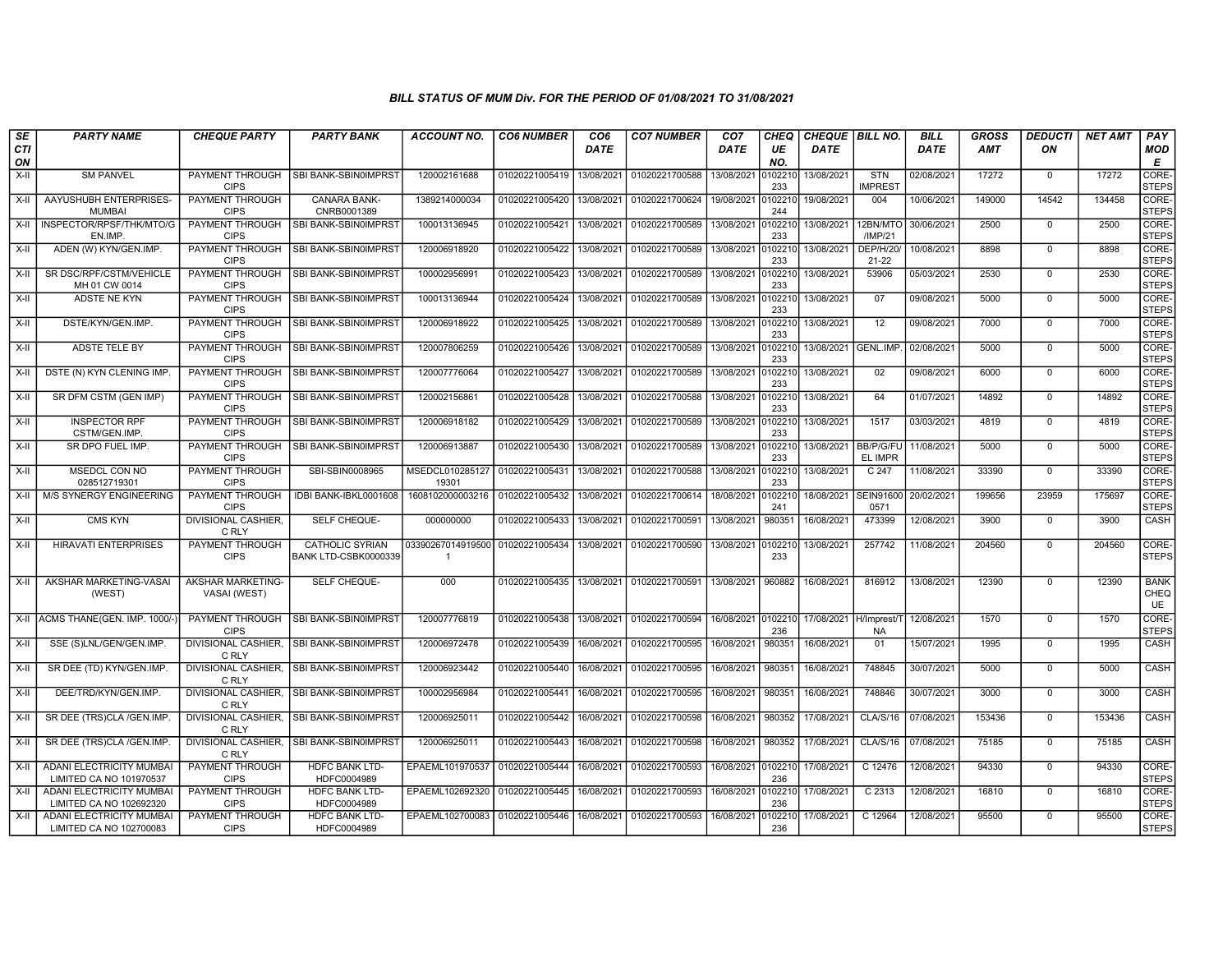| SE        | <b>PARTY NAME</b>                                   | <b>CHEQUE PARTY</b>                   | <b>PARTY BANK</b>                              | <b>ACCOUNT NO.</b>                               | <b>CO6 NUMBER</b>         | CO <sub>6</sub> | <b>CO7 NUMBER</b> | CO <sub>7</sub>    | CHEQ           | CHEQUE   BILL NO.      |                              | <b>BILL</b> | <b>GROSS</b> | <i><b>DEDUCTI</b></i> | <b>NET AMT</b> | <b>PAY</b>                  |
|-----------|-----------------------------------------------------|---------------------------------------|------------------------------------------------|--------------------------------------------------|---------------------------|-----------------|-------------------|--------------------|----------------|------------------------|------------------------------|-------------|--------------|-----------------------|----------------|-----------------------------|
| CTI<br>ON |                                                     |                                       |                                                |                                                  |                           | <b>DATE</b>     |                   | <b>DATE</b>        | UE<br>NO.      | <b>DATE</b>            |                              | <b>DATE</b> | AMT          | ON                    |                | <b>MOD</b><br>E             |
| X-II      | <b>SM PANVEL</b>                                    | PAYMENT THROUGH<br><b>CIPS</b>        | SBI BANK-SBIN0IMPRST                           | 120002161688                                     | 01020221005419            | 13/08/2021      | 01020221700588    | 13/08/2021         | 010221<br>233  | 13/08/2021             | STN<br><b>IMPREST</b>        | 02/08/2021  | 17272        | $\mathbf 0$           | 17272          | <b>CORE</b><br><b>STEPS</b> |
| X-II      | AAYUSHUBH ENTERPRISES-<br><b>MUMBAI</b>             | <b>PAYMENT THROUGH</b><br><b>CIPS</b> | <b>CANARA BANK-</b><br>CNRB0001389             | 1389214000034                                    | 01020221005420            | 13/08/2021      | 01020221700624    | 19/08/2021         | 010221<br>244  | 19/08/2021             | 004                          | 10/06/2021  | 149000       | 14542                 | 134458         | CORE-<br>STEPS              |
| X-II      | INSPECTOR/RPSF/THK/MTO/G<br>EN.IMP.                 | PAYMENT THROUGH<br><b>CIPS</b>        | SBI BANK-SBIN0IMPRST                           | 100013136945                                     | 01020221005421            | 13/08/2021      | 01020221700589    | 13/08/2021         | 010221<br>233  | 13/08/2021             | 12BN/MTO<br>/IMP/21          | 30/06/2021  | 2500         | $\mathbf 0$           | 2500           | CORE-<br><b>STEPS</b>       |
| X-II      | ADEN (W) KYN/GEN.IMP.                               | PAYMENT THROUGH<br><b>CIPS</b>        | SBI BANK-SBIN0IMPRST                           | 120006918920                                     | 01020221005422            | 13/08/2021      | 01020221700589    | 13/08/2021         | 010221<br>233  | 13/08/2021             | <b>DEP/H/20</b><br>$21 - 22$ | 10/08/2021  | 8898         | $\mathbf 0$           | 8898           | CORE-<br><b>STEPS</b>       |
| X-II      | SR DSC/RPF/CSTM/VEHICLE<br>MH 01 CW 0014            | <b>PAYMENT THROUGH</b><br><b>CIPS</b> | SBI BANK-SBIN0IMPRST                           | 100002956991                                     | 01020221005423            | 13/08/2021      | 01020221700589    | 13/08/2021         | 010221<br>233  | 13/08/2021             | 53906                        | 05/03/2021  | 2530         | $\mathbf 0$           | 2530           | CORE-<br><b>STEPS</b>       |
| X-II      | ADSTE NE KYN                                        | <b>PAYMENT THROUGH</b><br><b>CIPS</b> | SBI BANK-SBIN0IMPRST                           | 100013136944                                     | 01020221005424            | 13/08/2021      | 01020221700589    | 13/08/2021         | 0102210<br>233 | 13/08/2021             | 07                           | 09/08/2021  | 5000         | $\mathbf 0$           | 5000           | CORE-<br><b>STEPS</b>       |
| $X-II$    | DSTE/KYN/GEN.IMP.                                   | PAYMENT THROUGH<br><b>CIPS</b>        | SBI BANK-SBIN0IMPRST                           | 120006918922                                     | 01020221005425            | 13/08/2021      | 01020221700589    | 13/08/2021         | 010221<br>233  | 13/08/2021             | 12                           | 09/08/2021  | 7000         | $\mathsf 0$           | 7000           | CORE-<br>STEPS              |
| X-II      | <b>ADSTE TELE BY</b>                                | PAYMENT THROUGH<br><b>CIPS</b>        | SBI BANK-SBIN0IMPRST                           | 120007806259                                     | 01020221005426            | 13/08/2021      | 01020221700589    | 13/08/2021         | 010221<br>233  | 13/08/2021             | GENL.IMP.                    | 02/08/2021  | 5000         | $\mathbf 0$           | 5000           | CORE-<br><b>STEPS</b>       |
| $X-H$     | DSTE (N) KYN CLENING IMP                            | PAYMENT THROUGH<br><b>CIPS</b>        | SBI BANK-SBIN0IMPRST                           | 120007776064                                     | 01020221005427            | 13/08/2021      | 01020221700589    | 13/08/2021         | 010221<br>233  | 13/08/2021             | 02                           | 09/08/2021  | 6000         | $\mathbf 0$           | 6000           | CORE-<br><b>STEPS</b>       |
| X-II      | SR DFM CSTM (GEN IMP)                               | <b>PAYMENT THROUGH</b><br><b>CIPS</b> | SBI BANK-SBIN0IMPRST                           | 120002156861                                     | 01020221005428            | 13/08/2021      | 01020221700588    | 13/08/2021         | 010221<br>233  | 13/08/2021             | 64                           | 01/07/2021  | 14892        | $\mathbf 0$           | 14892          | CORE-<br><b>STEPS</b>       |
| X-II      | <b>INSPECTOR RPF</b><br>CSTM/GEN.IMP.               | PAYMENT THROUGH<br><b>CIPS</b>        | <b>SBI BANK-SBIN0IMPRST</b>                    | 120006918182                                     | 01020221005429            | 13/08/2021      | 01020221700589    | 13/08/2021         | 0102210<br>233 | 13/08/2021             | 1517                         | 03/03/2021  | 4819         | $\mathbf 0$           | 4819           | CORE-<br><b>STEPS</b>       |
| $X-II$    | SR DPO FUEL IMP.                                    | PAYMENT THROUGH<br><b>CIPS</b>        | SBI BANK-SBIN0IMPRST                           | 120006913887                                     | 01020221005430            | 13/08/2021      | 01020221700589    | 13/08/2021         | 010221<br>233  | 13/08/2021             | BB/P/G/FU<br>EL IMPR         | 11/08/2021  | 5000         | $\overline{0}$        | 5000           | CORE-<br>STEPS              |
| X-II      | <b>MSEDCL CON NO</b><br>028512719301                | <b>PAYMENT THROUGH</b><br><b>CIPS</b> | SBI-SBIN0008965                                | MSEDCL010285127 01020221005431<br>19301          |                           | 13/08/2021      | 01020221700588    | 13/08/2021         | 010221<br>233  | 13/08/2021             | C <sub>247</sub>             | 11/08/2021  | 33390        | $\mathbf 0$           | 33390          | CORE-<br><b>STEPS</b>       |
|           | X-II   M/S SYNERGY ENGINEERING                      | <b>PAYMENT THROUGH</b><br><b>CIPS</b> | IDBI BANK-IBKL0001608                          | 1608102000003216 01020221005432                  |                           | 13/08/2021      | 01020221700614    | 18/08/2021         | 010221<br>241  | 18/08/2021             | <b>SEIN91600</b><br>0571     | 20/02/2021  | 199656       | 23959                 | 175697         | CORE-<br><b>STEPS</b>       |
| X-II      | <b>CMS KYN</b>                                      | DIVISIONAL CASHIER.<br>C RLY          | SELF CHEQUE-                                   | 000000000                                        | 01020221005433            | 13/08/2021      | 01020221700591    | 13/08/2021         | 980351         | 16/08/2021             | 473399                       | 12/08/2021  | 3900         | $\mathsf 0$           | 3900           | CASH                        |
| X-II      | <b>HIRAVATI ENTERPRISES</b>                         | PAYMENT THROUGH<br><b>CIPS</b>        | <b>CATHOLIC SYRIAN</b><br>BANK LTD-CSBK0000339 | 03390267014919500 01020221005434<br>$\mathbf{1}$ |                           | 13/08/2021      | 01020221700590    | 13/08/2021 0102210 | 233            | 13/08/2021             | 257742                       | 11/08/2021  | 204560       | $\mathbf 0$           | 204560         | CORE-<br>Isteps             |
| X-II      | AKSHAR MARKETING-VASAI<br>(WEST)                    | AKSHAR MARKETING-<br>VASAI (WEST)     | SELF CHEQUE-                                   | 000                                              | 01020221005435 13/08/2021 |                 | 01020221700591    | 13/08/2021         | 960882         | 16/08/2021             | 816912                       | 13/08/2021  | 12390        | $\mathbf 0$           | 12390          | <b>BANK</b><br>CHEQ<br>UE   |
|           | X-II ACMS THANE(GEN. IMP. 1000/                     | <b>PAYMENT THROUGH</b><br><b>CIPS</b> | SBI BANK-SBIN0IMPRST                           | 120007776819                                     | 01020221005438            | 13/08/2021      | 01020221700594    | 16/08/2021 0102210 | 236            | 17/08/2021 H/Imprest/1 | <b>NA</b>                    | 12/08/2021  | 1570         | $\mathbf 0$           | 1570           | CORE-<br><b>STEPS</b>       |
| $X-H$     | SSE (S)LNL/GEN/GEN.IMP                              | C RLY                                 | DIVISIONAL CASHIER, SBI BANK-SBIN0IMPRST       | 120006972478                                     | 01020221005439            | 16/08/2021      | 01020221700595    | 16/08/2021         | 980351         | 16/08/2021             | 01                           | 15/07/2021  | 1995         | $\mathbf 0$           | 1995           | CASH                        |
| X-II      | SR DEE (TD) KYN/GEN.IMP.                            | DIVISIONAL CASHIER.<br>C RLY          | <b>ISBI BANK-SBIN0IMPRST</b>                   | 120006923442                                     | 01020221005440            | 16/08/2021      | 01020221700595    | 16/08/2021         | 980351         | 16/08/2021             | 748845                       | 30/07/2021  | 5000         | $\Omega$              | 5000           | CASH                        |
| X-II      | DEE/TRD/KYN/GEN.IMP.                                | DIVISIONAL CASHIER.<br>C RLY          | SBI BANK-SBIN0IMPRST                           | 100002956984                                     | 01020221005441            | 16/08/2021      | 01020221700595    | 16/08/2021         | 980351         | 16/08/2021             | 748846                       | 30/07/2021  | 3000         | $\mathbf 0$           | 3000           | CASH                        |
| $X-H$     | SR DEE (TRS)CLA /GEN.IMP                            | C RLY                                 | DIVISIONAL CASHIER. ISBI BANK-SBIN0IMPRST      | 120006925011                                     | 01020221005442            | 16/08/2021      | 01020221700598    | 16/08/2021         | 980352         | 17/08/2021             | <b>CLA/S/16</b>              | 07/08/2021  | 153436       | $\Omega$              | 153436         | CASH                        |
| X-II      | SR DEE (TRS)CLA /GEN.IMP.                           | C RLY                                 | DIVISIONAL CASHIER, SBI BANK-SBIN0IMPRST       | 120006925011                                     | 01020221005443            | 16/08/2021      | 01020221700598    | 16/08/2021         | 980352         | 17/08/2021             | <b>CLA/S/16</b>              | 07/08/2021  | 75185        | $\mathbf 0$           | 75185          | <b>CASH</b>                 |
| X-II      | ADANI ELECTRICITY MUMBAI<br>LIMITED CA NO 101970537 | PAYMENT THROUGH<br><b>CIPS</b>        | <b>HDFC BANK LTD-</b><br>HDFC0004989           | EPAEML101970537                                  | 01020221005444            | 16/08/2021      | 01020221700593    | 16/08/2021 0102210 | 236            | 17/08/2021             | C 12476                      | 12/08/2021  | 94330        | $\mathbf 0$           | 94330          | CORE-<br><b>STEPS</b>       |
| X-II      | ADANI ELECTRICITY MUMBA<br>LIMITED CA NO 102692320  | PAYMENT THROUGH<br><b>CIPS</b>        | <b>HDFC BANK LTD-</b><br>HDFC0004989           | EPAEML102692320                                  | 01020221005445            | 16/08/2021      | 01020221700593    | 16/08/2021         | 010221<br>236  | 17/08/2021             | C 2313                       | 12/08/2021  | 16810        | $\mathbf 0$           | 16810          | CORE-<br><b>STEPS</b>       |
| X-II      | ADANI ELECTRICITY MUMBAI<br>LIMITED CA NO 102700083 | PAYMENT THROUGH<br><b>CIPS</b>        | <b>HDFC BANK LTD-</b><br>HDFC0004989           | EPAEML102700083                                  | 01020221005446            | 16/08/2021      | 01020221700593    | 16/08/2021         | 0102210<br>236 | 17/08/2021             | C 12964                      | 12/08/2021  | 95500        | $\mathbf 0$           | 95500          | CORE-<br><b>STEPS</b>       |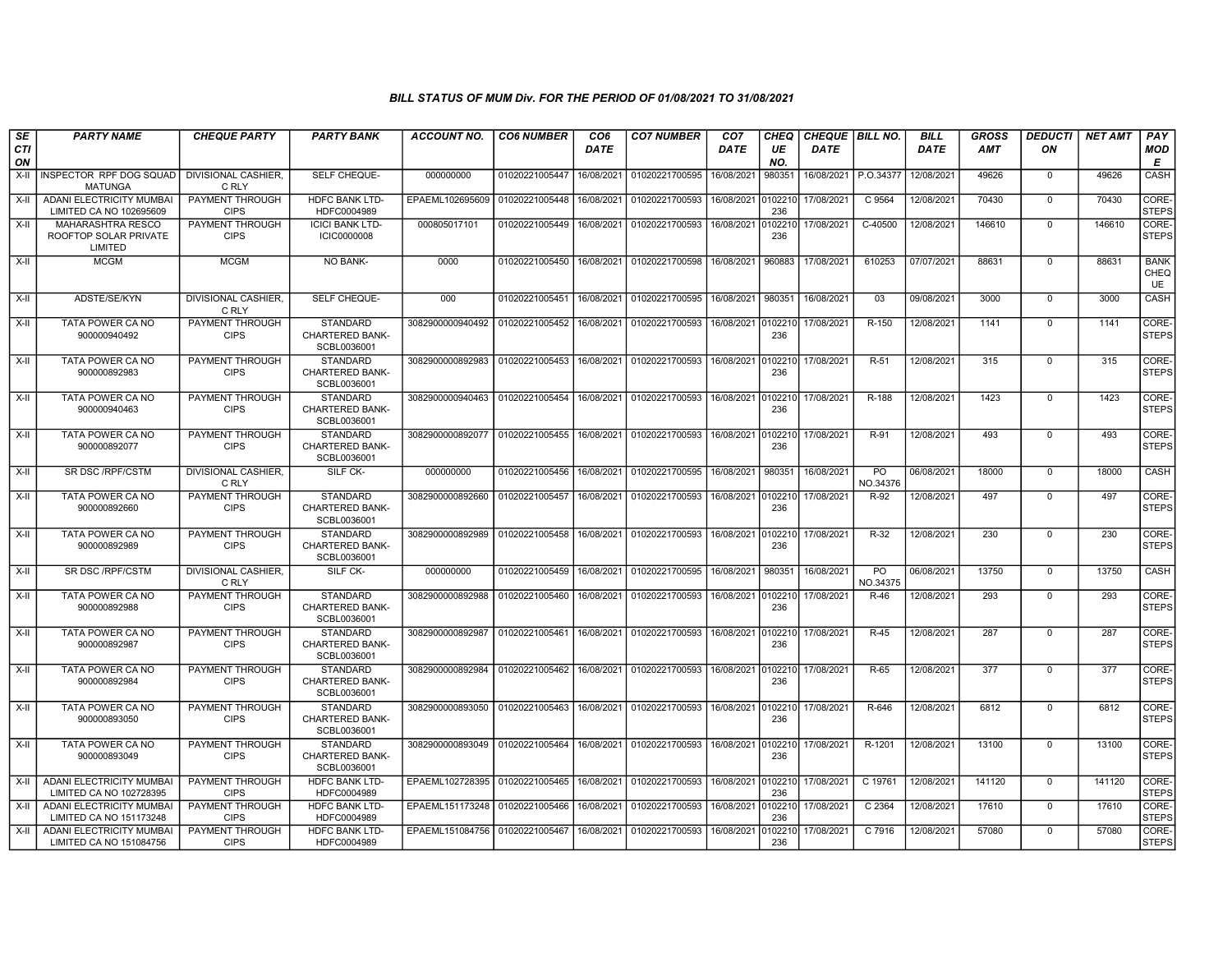| SE        | <b>PARTY NAME</b>                                          | <b>CHEQUE PARTY</b>                   | <b>PARTY BANK</b>                                        | ACCOUNT NO.                                                     | <b>CO6 NUMBER</b>         | CO <sub>6</sub> | <b>CO7 NUMBER</b>         | CO <sub>7</sub>    | <b>CHEQ</b>    | <b>CHEQUE   BILL NO.</b> |                            | <b>BILL</b> | GROSS  | <b>DEDUCTI</b> | <b>NET AMT</b> | <b>PAY</b>                       |
|-----------|------------------------------------------------------------|---------------------------------------|----------------------------------------------------------|-----------------------------------------------------------------|---------------------------|-----------------|---------------------------|--------------------|----------------|--------------------------|----------------------------|-------------|--------|----------------|----------------|----------------------------------|
| CTI<br>ON |                                                            |                                       |                                                          |                                                                 |                           | <b>DATE</b>     |                           | DATE               | UE<br>NO.      | DATE                     |                            | <b>DATE</b> | AMT    | ON             |                | MOD<br>Е                         |
| $X-H$     | INSPECTOR RPF DOG SQUAD<br><b>MATUNGA</b>                  | <b>DIVISIONAL CASHIER.</b><br>C RLY   | SELF CHEQUE-                                             | 000000000                                                       | 01020221005447            | 16/08/2021      | 01020221700595            | 16/08/2021         | 980351         | 16/08/2021 P.O.34377     |                            | 12/08/2021  | 49626  | $\mathbf 0$    | 49626          | CASH                             |
| $X-H$     | <b>ADANI ELECTRICITY MUMBAI</b><br>LIMITED CA NO 102695609 | <b>PAYMENT THROUGH</b><br><b>CIPS</b> | <b>HDFC BANK LTD-</b><br>HDFC0004989                     | EPAEML102695609                                                 | 01020221005448            | 16/08/2021      | 01020221700593            | 16/08/2021         | 0102210<br>236 | 17/08/2021               | C 9564                     | 12/08/2021  | 70430  | $\overline{0}$ | 70430          | CORE-<br><b>STEPS</b>            |
| X-II      | MAHARASHTRA RESCO<br>ROOFTOP SOLAR PRIVATE<br>LIMITED      | PAYMENT THROUGH<br><b>CIPS</b>        | <b>ICICI BANK LTD-</b><br><b>ICIC0000008</b>             | 000805017101                                                    | 01020221005449            | 16/08/2021      | 01020221700593            | 16/08/2021 0       | 0102210<br>236 | 17/08/2021               | C-40500                    | 12/08/2021  | 146610 | $\Omega$       | 146610         | CORE-<br><b>STEPS</b>            |
| $X-II$    | <b>MCGM</b>                                                | <b>MCGM</b>                           | NO BANK-                                                 | 0000                                                            | 01020221005450            | 16/08/2021      | 01020221700598            | 16/08/2021         | 960883         | 17/08/2021               | 610253                     | 07/07/2021  | 88631  | $\mathbf 0$    | 88631          | <b>BANK</b><br><b>CHEQ</b><br>UE |
| $X-H$     | ADSTE/SE/KYN                                               | <b>DIVISIONAL CASHIER.</b><br>C RLY   | <b>SELF CHEQUE-</b>                                      | 000                                                             | 01020221005451            | 16/08/2021      | 01020221700595            | 16/08/2021         | 980351         | 16/08/2021               | 03                         | 09/08/2021  | 3000   | $\mathbf 0$    | 3000           | CASH                             |
| X-II      | TATA POWER CA NO<br>900000940492                           | PAYMENT THROUGH<br><b>CIPS</b>        | <b>STANDARD</b><br><b>CHARTERED BANK-</b><br>SCBL0036001 | 3082900000940492                                                | 01020221005452            | 16/08/2021      | 01020221700593            | 16/08/2021 0102210 | 236            | 17/08/2021               | R-150                      | 12/08/2021  | 1141   | $\mathbf 0$    | 1141           | CORE-<br><b>STEPS</b>            |
| X-II      | TATA POWER CA NO<br>900000892983                           | PAYMENT THROUGH<br><b>CIPS</b>        | <b>STANDARD</b><br><b>CHARTERED BANK-</b><br>SCBL0036001 | 3082900000892983                                                | 01020221005453            | 16/08/2021      | 01020221700593            | 16/08/2021 0102210 | 236            | 17/08/2021               | R-51                       | 12/08/2021  | 315    | $\mathbf 0$    | 315            | CORE-<br>STEPS                   |
| X-II      | TATA POWER CA NO<br>900000940463                           | PAYMENT THROUGH<br><b>CIPS</b>        | <b>STANDARD</b><br><b>CHARTERED BANK-</b><br>SCBL0036001 | 3082900000940463                                                | 01020221005454            |                 | 16/08/2021 01020221700593 | 16/08/2021         | 0102210<br>236 | 17/08/2021               | R-188                      | 12/08/2021  | 1423   | $^{\circ}$     | 1423           | CORE-<br><b>STEPS</b>            |
| $X-H$     | TATA POWER CA NO<br>900000892077                           | PAYMENT THROUGH<br><b>CIPS</b>        | <b>STANDARD</b><br><b>CHARTERED BANK-</b><br>SCBL0036001 | 3082900000892077   01020221005455   16/08/2021   01020221700593 |                           |                 |                           | 16/08/2021         | 236            | 0102210 17/08/2021       | R-91                       | 12/08/2021  | 493    | $\Omega$       | 493            | CORE-<br>STEPS                   |
| X-II      | SR DSC / RPF/CSTM                                          | DIVISIONAL CASHIER,<br>C RLY          | SILF CK-                                                 | 000000000                                                       | 01020221005456            | 16/08/2021      | 01020221700595            | 16/08/2021         | 980351         | 16/08/2021               | PO<br>NO.34376             | 06/08/2021  | 18000  | $\mathbf 0$    | 18000          | CASH                             |
| X-II      | TATA POWER CA NO<br>900000892660                           | PAYMENT THROUGH<br><b>CIPS</b>        | <b>STANDARD</b><br><b>CHARTERED BANK-</b><br>SCBL0036001 | 3082900000892660                                                | 01020221005457            | 16/08/2021      | 01020221700593            | 16/08/2021         | 0102210<br>236 | 17/08/2021               | R-92                       | 12/08/2021  | 497    | $\mathbf 0$    | 497            | CORE-<br>STEPS                   |
| X-II      | TATA POWER CA NO<br>900000892989                           | PAYMENT THROUGH<br><b>CIPS</b>        | <b>STANDARD</b><br><b>CHARTERED BANK-</b><br>SCBL0036001 | 3082900000892989                                                | 01020221005458 16/08/2021 |                 | 01020221700593            | 16/08/2021 0102210 | 236            | 17/08/2021               | R-32                       | 12/08/2021  | 230    | $\mathbf 0$    | 230            | CORE-<br><b>STEPS</b>            |
| $X-II$    | SR DSC / RPF/CSTM                                          | DIVISIONAL CASHIER.<br>C RLY          | SILF CK-                                                 | 000000000                                                       | 01020221005459            | 16/08/2021      | 01020221700595            | 16/08/2021         | 980351         | 16/08/2021               | P <sub>O</sub><br>NO.34375 | 06/08/2021  | 13750  | $\mathbf 0$    | 13750          | CASH                             |
| $X-II$    | TATA POWER CA NO<br>900000892988                           | PAYMENT THROUGH<br><b>CIPS</b>        | <b>STANDARD</b><br><b>CHARTERED BANK-</b><br>SCBL0036001 | 3082900000892988                                                | 01020221005460            | 16/08/2021      | 01020221700593            | 16/08/2021         | 0102210<br>236 | 17/08/2021               | R-46                       | 12/08/2021  | 293    | 0              | 293            | CORE-<br><b>STEPS</b>            |
| X-II      | TATA POWER CA NO<br>900000892987                           | PAYMENT THROUGH<br><b>CIPS</b>        | <b>STANDARD</b><br><b>CHARTERED BANK-</b><br>SCBL0036001 | 3082900000892987                                                | 01020221005461            | 16/08/2021      | 01020221700593            | 16/08/2021         | 0102210<br>236 | 17/08/2021               | R-45                       | 12/08/2021  | 287    | $\mathbf 0$    | 287            | CORE-<br><b>STEPS</b>            |
| X-II      | TATA POWER CA NO<br>900000892984                           | PAYMENT THROUGH<br><b>CIPS</b>        | <b>STANDARD</b><br><b>CHARTERED BANK-</b><br>SCBL0036001 | 3082900000892984                                                | 01020221005462            | 16/08/2021      | 01020221700593            | 16/08/2021 0       | 0102210<br>236 | 17/08/2021               | $R-65$                     | 12/08/2021  | 377    | $\mathbf 0$    | 377            | CORE-<br>STEPS                   |
| X-II      | TATA POWER CA NO<br>900000893050                           | PAYMENT THROUGH<br><b>CIPS</b>        | <b>STANDARD</b><br><b>CHARTERED BANK-</b><br>SCBL0036001 | 3082900000893050                                                | 01020221005463            | 16/08/2021      | 01020221700593            | 16/08/2021         | 0102210<br>236 | 17/08/2021               | R-646                      | 12/08/2021  | 6812   | $\mathbf 0$    | 6812           | CORE-<br><b>STEPS</b>            |
| X-II      | TATA POWER CA NO<br>900000893049                           | PAYMENT THROUGH<br><b>CIPS</b>        | <b>STANDARD</b><br><b>CHARTERED BANK-</b><br>SCBL0036001 | 3082900000893049 01020221005464                                 |                           | 16/08/2021      | 01020221700593            | 16/08/2021         | 0102210<br>236 | 17/08/2021               | R-1201                     | 12/08/2021  | 13100  | $\Omega$       | 13100          | CORE-<br><b>STEPS</b>            |
| X-II      | <b>ADANI ELECTRICITY MUMBAI</b><br>LIMITED CA NO 102728395 | <b>PAYMENT THROUGH</b><br><b>CIPS</b> | <b>HDFC BANK LTD-</b><br>HDFC0004989                     | EPAEML102728395 01020221005465                                  |                           | 16/08/2021      | 01020221700593            | 16/08/2021         | 236            | 0102210 17/08/2021       | C 19761                    | 12/08/2021  | 141120 | $\overline{0}$ | 141120         | CORE-<br><b>STEPS</b>            |
| $X-II$    | <b>ADANI ELECTRICITY MUMBAI</b><br>LIMITED CA NO 151173248 | PAYMENT THROUGH<br><b>CIPS</b>        | <b>HDFC BANK LTD-</b><br>HDFC0004989                     | EPAEML151173248                                                 | 01020221005466            | 16/08/2021      | 01020221700593            | 16/08/2021         | 0102210<br>236 | 17/08/2021               | C 2364                     | 12/08/2021  | 17610  | $\mathbf 0$    | 17610          | CORE-<br>STEPS                   |
| X-II      | <b>ADANI ELECTRICITY MUMBAI</b><br>LIMITED CA NO 151084756 | PAYMENT THROUGH<br><b>CIPS</b>        | <b>HDFC BANK LTD-</b><br>HDFC0004989                     | EPAEML151084756 01020221005467                                  |                           | 16/08/2021      | 01020221700593            | 16/08/2021         | 102210<br>236  | 17/08/2021               | C 7916                     | 12/08/2021  | 57080  | $\Omega$       | 57080          | CORE-<br>STEPS                   |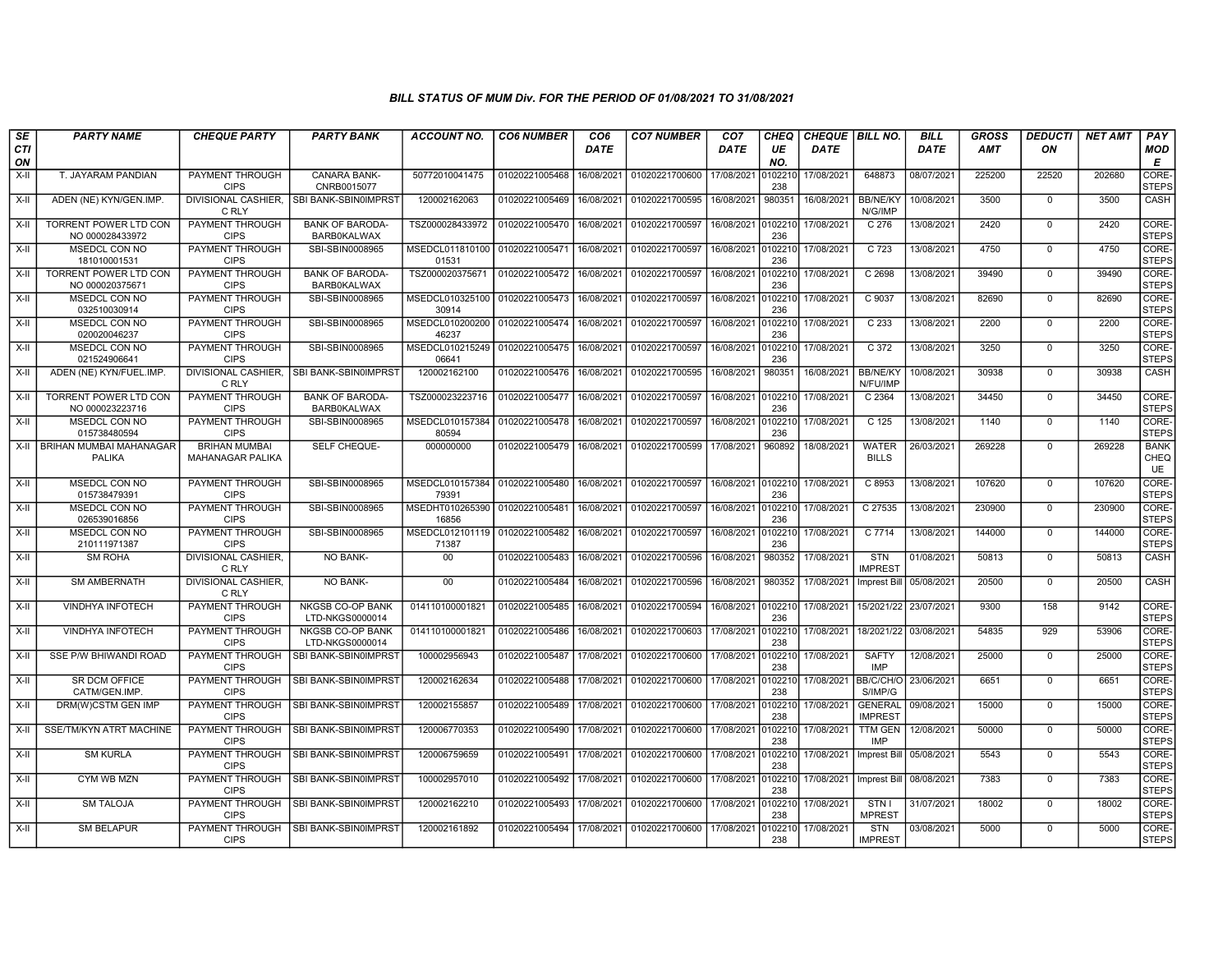| SE        | <b>PARTY NAME</b>                               | <b>CHEQUE PARTY</b>                      | <b>PARTY BANK</b>                            | ACCOUNT NO.              | <b>CO6 NUMBER</b> | CO <sub>6</sub> | <b>CO7 NUMBER</b> | CO <sub>7</sub> | CHEQ           | <b>CHEQUE   BILL NO.</b> |                                  | <b>BILL</b>               | GROSS  | <b>DEDUCTI</b> | <b>NET AMT</b> | PAY                       |
|-----------|-------------------------------------------------|------------------------------------------|----------------------------------------------|--------------------------|-------------------|-----------------|-------------------|-----------------|----------------|--------------------------|----------------------------------|---------------------------|--------|----------------|----------------|---------------------------|
| CTI<br>ON |                                                 |                                          |                                              |                          |                   | DATE            |                   | DATE            | UE<br>NO.      | DATE                     |                                  | DATE                      | AMT    | ON             |                | <b>MOD</b><br>Е           |
| X-II      | T. JAYARAM PANDIAN                              | PAYMENT THROUGH<br><b>CIPS</b>           | CANARA BANK-<br>CNRB0015077                  | 50772010041475           | 01020221005468    | 16/08/2021      | 01020221700600    | 17/08/2021      | 10221<br>238   | 17/08/2021               | 648873                           | 08/07/2021                | 225200 | 22520          | 202680         | CORE-<br><b>STEPS</b>     |
| $X-H$     | ADEN (NE) KYN/GEN.IMP.                          | <b>DIVISIONAL CASHIER,</b><br>C RLY      | SBI BANK-SBIN0IMPRST                         | 120002162063             | 01020221005469    | 16/08/2021      | 01020221700595    | 16/08/2021      | 980351         | 16/08/2021               | <b>BB/NE/KY</b><br>N/G/IMP       | 10/08/2021                | 3500   | $\mathbf 0$    | 3500           | CASH                      |
| $X-H$     | <b>TORRENT POWER LTD CON</b><br>NO 000028433972 | <b>PAYMENT THROUGH</b><br><b>CIPS</b>    | <b>BANK OF BARODA-</b><br><b>BARB0KALWAX</b> | TSZ000028433972          | 01020221005470    | 16/08/2021      | 01020221700597    | 16/08/2021      | 0102210<br>236 | 17/08/2021               | C 276                            | 13/08/2021                | 2420   | $\Omega$       | 2420           | CORE-<br><b>STEPS</b>     |
| $X-II$    | MSEDCL CON NO<br>181010001531                   | PAYMENT THROUGH<br><b>CIPS</b>           | SBI-SBIN0008965                              | MSEDCL011810100<br>01531 | 01020221005471    | 16/08/2021      | 01020221700597    | 16/08/2021      | 102210<br>236  | 17/08/2021               | C 723                            | 13/08/2021                | 4750   | $\mathbf 0$    | 4750           | CORE-<br><b>STEPS</b>     |
| X-II      | <b>TORRENT POWER LTD CON</b><br>NO 000020375671 | PAYMENT THROUGH<br><b>CIPS</b>           | <b>BANK OF BARODA-</b><br><b>BARB0KALWAX</b> | TSZ000020375671          | 01020221005472    | 16/08/2021      | 01020221700597    | 16/08/2021      | 0102210<br>236 | 17/08/2021               | C2698                            | 13/08/2021                | 39490  | $\mathbf 0$    | 39490          | CORE-<br><b>STEPS</b>     |
| X-II      | <b>MSEDCL CON NO</b><br>032510030914            | PAYMENT THROUGH<br><b>CIPS</b>           | SBI-SBIN0008965                              | MSEDCL010325100<br>30914 | 01020221005473    | 16/08/2021      | 01020221700597    | 16/08/2021      | 102210<br>236  | 17/08/2021               | C 9037                           | 13/08/2021                | 82690  | $\mathbf{0}$   | 82690          | CORE-<br><b>STEPS</b>     |
| $X-H$     | MSEDCL CON NO<br>020020046237                   | PAYMENT THROUGH<br><b>CIPS</b>           | SBI-SBIN0008965                              | MSEDCL010200200<br>46237 | 01020221005474    | 16/08/2021      | 01020221700597    | 16/08/2021      | 0102210<br>236 | 17/08/2021               | C 233                            | 13/08/2021                | 2200   | $\Omega$       | 2200           | CORE-<br>STEPS            |
| X-II      | MSEDCL CON NO<br>021524906641                   | PAYMENT THROUGH<br><b>CIPS</b>           | SBI-SBIN0008965                              | MSEDCL010215249<br>06641 | 01020221005475    | 16/08/2021      | 01020221700597    | 16/08/2021      | 102210<br>236  | 17/08/2021               | C 372                            | 13/08/2021                | 3250   | $\Omega$       | 3250           | CORE-<br><b>STEPS</b>     |
| $X-II$    | ADEN (NE) KYN/FUEL.IMP.                         | <b>DIVISIONAL CASHIER,</b><br>C RLY      | SBI BANK-SBIN0IMPRST                         | 120002162100             | 01020221005476    | 16/08/2021      | 01020221700595    | 16/08/2021      | 980351         | 16/08/2021               | <b>BB/NE/KY</b><br>N/FU/IMP      | 10/08/2021                | 30938  | 0              | 30938          | <b>CASH</b>               |
| $X-H$     | <b>TORRENT POWER LTD CON</b><br>NO 000023223716 | <b>PAYMENT THROUGH</b><br><b>CIPS</b>    | <b>BANK OF BARODA-</b><br><b>BARB0KALWAX</b> | TSZ000023223716          | 01020221005477    | 16/08/2021      | 01020221700597    | 16/08/2021      | 0102210<br>236 | 17/08/2021               | C 2364                           | 13/08/2021                | 34450  | $\mathbf 0$    | 34450          | CORE-<br><b>STEPS</b>     |
| X-II      | MSEDCL CON NO<br>015738480594                   | <b>PAYMENT THROUGH</b><br><b>CIPS</b>    | SBI-SBIN0008965                              | MSEDCL010157384<br>80594 | 01020221005478    | 16/08/2021      | 01020221700597    | 16/08/2021      | 102210<br>236  | 17/08/2021               | C 125                            | 13/08/2021                | 1140   | $\mathbf 0$    | 1140           | CORE-<br><b>STEPS</b>     |
| X-II      | BRIHAN MUMBAI MAHANAGAR<br><b>PALIKA</b>        | <b>BRIHAN MUMBAI</b><br>MAHANAGAR PALIKA | SELF CHEQUE-                                 | 000000000                | 01020221005479    | 16/08/2021      | 01020221700599    | 17/08/2021      | 960892         | 18/08/2021               | <b>WATER</b><br><b>BILLS</b>     | 26/03/2021                | 269228 | $\Omega$       | 269228         | <b>BANK</b><br>CHEQ<br>UE |
| X-II      | MSEDCL CON NO<br>015738479391                   | PAYMENT THROUGH<br><b>CIPS</b>           | SBI-SBIN0008965                              | MSEDCL010157384<br>79391 | 01020221005480    | 16/08/2021      | 01020221700597    | 16/08/2021      | 0102210<br>236 | 17/08/2021               | C 8953                           | 13/08/2021                | 107620 | $\mathbf{0}$   | 107620         | CORE-<br><b>STEPS</b>     |
| X-II      | MSEDCL CON NO<br>026539016856                   | PAYMENT THROUGH<br><b>CIPS</b>           | SBI-SBIN0008965                              | MSEDHT010265390<br>16856 | 01020221005481    | 16/08/2021      | 01020221700597    | 16/08/2021      | 102210<br>236  | 17/08/2021               | C 27535                          | 13/08/2021                | 230900 | $\mathbf{0}$   | 230900         | CORE-<br><b>STEPS</b>     |
| $X-II$    | <b>MSEDCL CON NO</b><br>210111971387            | PAYMENT THROUGH<br><b>CIPS</b>           | SBI-SBIN0008965                              | MSEDCL012101119<br>71387 | 01020221005482    | 16/08/2021      | 01020221700597    | 16/08/2021      | 102210<br>236  | 17/08/2021               | C 7714                           | 13/08/2021                | 144000 | $\Omega$       | 144000         | CORE-<br><b>STEPS</b>     |
| $X-H$     | <b>SM ROHA</b>                                  | <b>DIVISIONAL CASHIER,</b><br>C RLY      | <b>NO BANK-</b>                              | 00                       | 01020221005483    | 16/08/2021      | 01020221700596    | 16/08/2021      | 980352         | 17/08/2021               | STN<br><b>IMPREST</b>            | 01/08/2021                | 50813  | $\Omega$       | 50813          | <b>CASH</b>               |
| X-II      | <b>SM AMBERNATH</b>                             | <b>DIVISIONAL CASHIER.</b><br>C RLY      | NO BANK-                                     | 00                       | 01020221005484    | 16/08/2021      | 01020221700596    | 16/08/2021      | 980352         | 17/08/2021               | <b>Imprest Bill</b>              | 05/08/2021                | 20500  | $\mathbf 0$    | 20500          | CASH                      |
| X-II      | <b>VINDHYA INFOTECH</b>                         | PAYMENT THROUGH<br><b>CIPS</b>           | <b>NKGSB CO-OP BANK</b><br>LTD-NKGS0000014   | 014110100001821          | 01020221005485    | 16/08/2021      | 01020221700594    | 16/08/2021      | 0102210<br>236 | 17/08/2021               | 15/2021/22                       | 23/07/2021                | 9300   | 158            | 9142           | CORE-<br><b>STEPS</b>     |
| $X-II$    | VINDHYA INFOTECH                                | PAYMENT THROUGH<br><b>CIPS</b>           | NKGSB CO-OP BANK<br>LTD-NKGS0000014          | 014110100001821          | 01020221005486    | 16/08/2021      | 01020221700603    | 17/08/2021      | 102210<br>238  | 17/08/2021               | 18/2021/22                       | 03/08/2021                | 54835  | 929            | 53906          | CORE-<br><b>STEPS</b>     |
| X-II      | SSE P/W BHIWANDI ROAD                           | PAYMENT THROUGH<br><b>CIPS</b>           | SBI BANK-SBIN0IMPRST                         | 100002956943             | 01020221005487    | 17/08/2021      | 01020221700600    | 17/08/2021      | 102210<br>238  | 17/08/2021               | <b>SAFTY</b><br><b>IMP</b>       | 12/08/2021                | 25000  | $\mathbf 0$    | 25000          | CORE-<br><b>STEPS</b>     |
| $X-H$     | SR DCM OFFICE<br>CATM/GEN.IMP.                  | <b>PAYMENT THROUGH</b><br><b>CIPS</b>    | SBI BANK-SBIN0IMPRST                         | 120002162634             | 01020221005488    | 17/08/2021      | 01020221700600    | 17/08/2021      | 0102210<br>238 |                          | 17/08/2021 BB/C/CH/O<br>S/IMP/G  | 23/06/2021                | 6651   | $\Omega$       | 6651           | CORE-<br><b>STEPS</b>     |
| X-II      | DRM(W)CSTM GEN IMP                              | PAYMENT THROUGH<br><b>CIPS</b>           | SBI BANK-SBIN0IMPRST                         | 120002155857             | 01020221005489    | 17/08/2021      | 01020221700600    | 17/08/2021      | 102210<br>238  | 17/08/2021               | <b>GENERAL</b><br><b>IMPREST</b> | 09/08/2021                | 15000  | $\mathbf 0$    | 15000          | CORE-<br><b>STEPS</b>     |
| X-II      | SSE/TM/KYN ATRT MACHINE                         | PAYMENT THROUGH<br><b>CIPS</b>           | SBI BANK-SBIN0IMPRST                         | 120006770353             | 01020221005490    | 17/08/2021      | 01020221700600    | 17/08/2021      | 102210<br>238  | 17/08/2021               | TTM GEN<br><b>IMP</b>            | 12/08/2021                | 50000  | $\mathbf 0$    | 50000          | CORE-<br><b>STEPS</b>     |
| X-II      | <b>SM KURLA</b>                                 | PAYMENT THROUGH<br><b>CIPS</b>           | SBI BANK-SBIN0IMPRST                         | 120006759659             | 01020221005491    | 17/08/2021      | 01020221700600    | 17/08/2021      | 102210<br>238  | 17/08/2021               |                                  | Imprest Bill   05/08/2021 | 5543   | $\mathbf 0$    | 5543           | CORE-<br><b>STEPS</b>     |
| $X-H$     | <b>CYM WB MZN</b>                               | <b>PAYMENT THROUGH</b><br><b>CIPS</b>    | SBI BANK-SBIN0IMPRST                         | 100002957010             | 01020221005492    | 17/08/2021      | 01020221700600    | 17/08/2021      | 102210<br>238  | 17/08/2021               | Imprest Bill                     | 08/08/2021                | 7383   | $\mathbf{0}$   | 7383           | CORE-<br><b>STEPS</b>     |
| $X-II$    | <b>SM TALOJA</b>                                | PAYMENT THROUGH<br><b>CIPS</b>           | SBI BANK-SBIN0IMPRST                         | 120002162210             | 01020221005493    | 17/08/2021      | 01020221700600    | 17/08/2021      | 102210<br>238  | 17/08/2021               | STN I<br><b>MPREST</b>           | 31/07/2021                | 18002  | $\Omega$       | 18002          | CORE-<br><b>STEPS</b>     |
| $X-II$    | <b>SM BELAPUR</b>                               | PAYMENT THROUGH<br><b>CIPS</b>           | SBI BANK-SBIN0IMPRST                         | 120002161892             | 01020221005494    | 17/08/2021      | 01020221700600    | 17/08/2021      | 102210<br>238  | 17/08/2021               | <b>STN</b><br><b>IMPREST</b>     | 03/08/2021                | 5000   | $\mathbf 0$    | 5000           | CORE-<br><b>STEPS</b>     |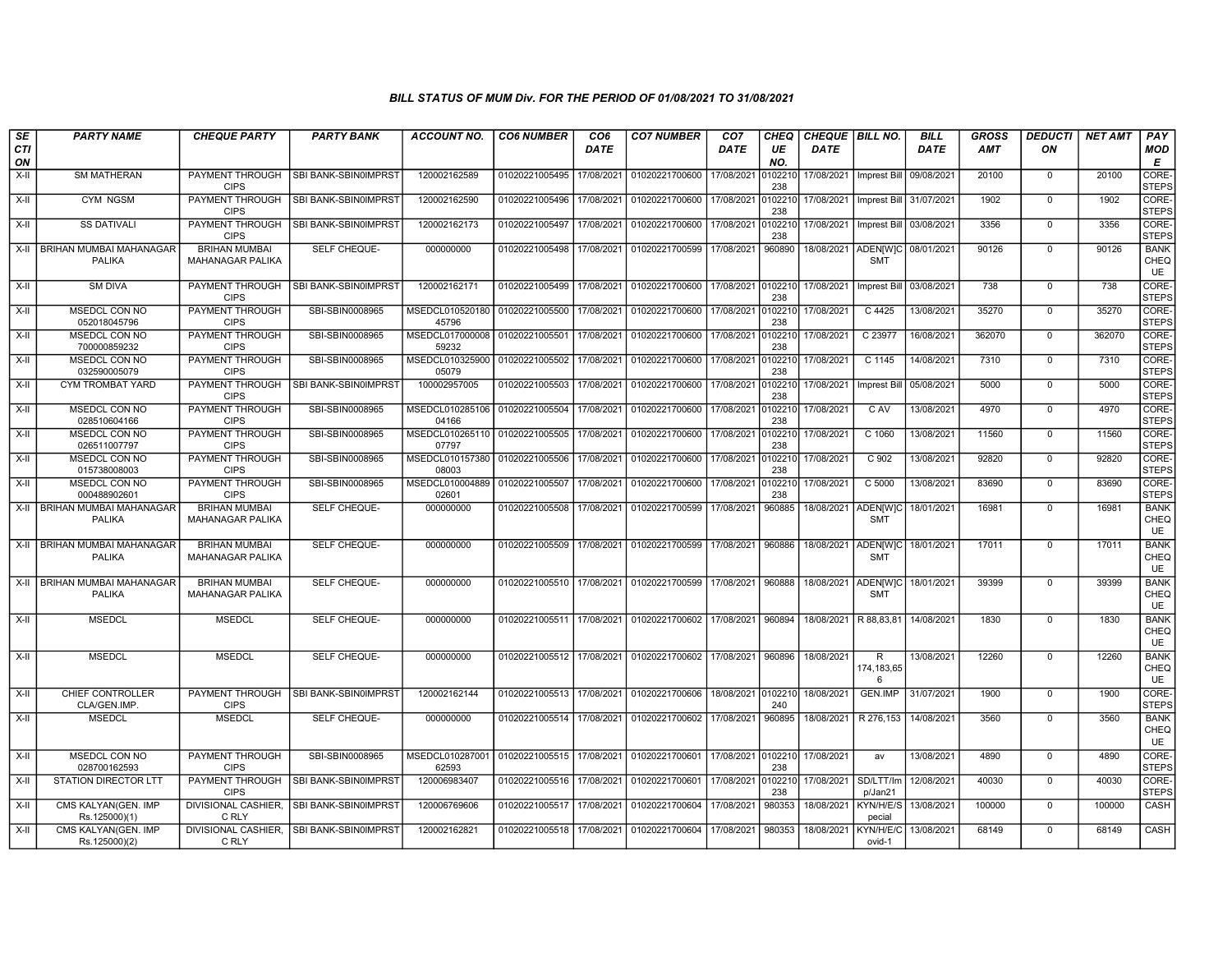| SE               | <b>PARTY NAME</b>                               | <b>CHEQUE PARTY</b>                             | <b>PARTY BANK</b>    | ACCOUNT NO.                               | <b>CO6 NUMBER</b> | CO <sub>6</sub> | <b>CO7 NUMBER</b> | CO <sub>7</sub>    | CHEQ           | <b>CHEQUE BILL NO.</b>    |                                  | <b>BILL</b> | <b>GROSS</b> | <b>DEDUCTI</b> | <b>NET AMT</b> | <b>PAY</b>                       |
|------------------|-------------------------------------------------|-------------------------------------------------|----------------------|-------------------------------------------|-------------------|-----------------|-------------------|--------------------|----------------|---------------------------|----------------------------------|-------------|--------------|----------------|----------------|----------------------------------|
| <b>CTI</b><br>ON |                                                 |                                                 |                      |                                           |                   | DATE            |                   | DATE               | UE<br>NO.      | DATE                      |                                  | <b>DATE</b> | AMT          | ON             |                | <b>MOD</b><br>E                  |
| $X-H$            | <b>SM MATHERAN</b>                              | PAYMENT THROUGH<br><b>CIPS</b>                  | SBI BANK-SBIN0IMPRST | 120002162589                              | 01020221005495    | 17/08/2021      | 01020221700600    | 17/08/2021         | 010221<br>238  | 17/08/2021   Imprest Bill |                                  | 09/08/2021  | 20100        | $\mathbf 0$    | 20100          | CORE-<br><b>STEPS</b>            |
| $X-H$            | <b>CYM NGSM</b>                                 | <b>PAYMENT THROUGH</b><br><b>CIPS</b>           | SBI BANK-SBIN0IMPRST | 120002162590                              | 01020221005496    | 17/08/2021      | 01020221700600    | 17/08/2021         | 010221<br>238  | 17/08/2021   Imprest Bill |                                  | 31/07/2021  | 1902         | $\mathbf 0$    | 1902           | CORE-<br><b>STEPS</b>            |
| $X-I$            | <b>SS DATIVALI</b>                              | PAYMENT THROUGH<br><b>CIPS</b>                  | SBI BANK-SBIN0IMPRST | 120002162173                              | 01020221005497    | 17/08/2021      | 01020221700600    | 17/08/2021         | 010221<br>238  | 17/08/2021                | Imprest Bill                     | 03/08/2021  | 3356         | $\mathbf 0$    | 3356           | CORE-<br>Isteps                  |
|                  | X-II BRIHAN MUMBAI MAHANAGAR<br><b>PALIKA</b>   | <b>BRIHAN MUMBAI</b><br><b>MAHANAGAR PALIKA</b> | <b>SELF CHEQUE-</b>  | 000000000                                 | 01020221005498    | 17/08/2021      | 01020221700599    | 17/08/2021         | 960890         | 18/08/2021                | <b>ADEN[W]C</b><br><b>SMT</b>    | 08/01/2021  | 90126        | $\mathbf 0$    | 90126          | <b>BANK</b><br>CHEQ<br>UE        |
| X-II             | SM DIVA                                         | PAYMENT THROUGH<br><b>CIPS</b>                  | SBI BANK-SBIN0IMPRST | 120002162171                              | 01020221005499    | 17/08/2021      | 01020221700600    | 17/08/2021 0102210 | 238            | 17/08/2021                | <b>Imprest Bill</b>              | 03/08/2021  | 738          | $\mathbf 0$    | 738            | <b>CORE</b><br><b>STEPS</b>      |
| $X-II$           | MSEDCL CON NO<br>052018045796                   | PAYMENT THROUGH<br><b>CIPS</b>                  | SBI-SBIN0008965      | MSEDCL010520180<br>45796                  | 01020221005500    | 17/08/2021      | 01020221700600    | 17/08/2021         | 0102210<br>238 | 17/08/2021                | C 4425                           | 13/08/2021  | 35270        | $\mathbf 0$    | 35270          | CORE-<br><b>STEPS</b>            |
| $X-H$            | MSEDCL CON NO<br>700000859232                   | PAYMENT THROUGH<br><b>CIPS</b>                  | SBI-SBIN0008965      | MSEDCL017000008 01020221005501<br>59232   |                   | 17/08/2021      | 01020221700600    | 17/08/2021         | 010221<br>238  | 17/08/2021                | C 23977                          | 16/08/2021  | 362070       | $\mathbf 0$    | 362070         | CORE-<br><b>STEPS</b>            |
| $X-H$            | <b>MSEDCL CON NO</b><br>032590005079            | <b>PAYMENT THROUGH</b><br><b>CIPS</b>           | SBI-SBIN0008965      | MSEDCL010325900<br>05079                  | 01020221005502    | 17/08/2021      | 01020221700600    | 17/08/2021         | 0102210<br>238 | 17/08/2021                | $C$ 1145                         | 14/08/2021  | 7310         | $\mathbf 0$    | 7310           | CORE-<br><b>STEPS</b>            |
| X-II             | CYM TROMBAT YARD                                | PAYMENT THROUGH<br><b>CIPS</b>                  | SBI BANK-SBIN0IMPRST | 100002957005                              | 01020221005503    | 17/08/2021      | 01020221700600    | 17/08/2021         | 10221<br>238   | 17/08/2021                | <b>Imprest Bill</b>              | 05/08/2021  | 5000         | $\mathbf 0$    | 5000           | CORE-<br><b>STEPS</b>            |
| X-II             | MSEDCL CON NO<br>028510604166                   | <b>PAYMENT THROUGH</b><br><b>CIPS</b>           | SBI-SBIN0008965      | MSEDCL010285106<br>04166                  | 01020221005504    | 17/08/2021      | 01020221700600    | 17/08/2021         | 010221<br>238  | 17/08/2021                | C AV                             | 13/08/2021  | 4970         | $\Omega$       | 4970           | CORE-<br><b>STEPS</b>            |
| X-II             | MSEDCL CON NO<br>026511007797                   | PAYMENT THROUGH<br><b>CIPS</b>                  | SBI-SBIN0008965      | MSEDCL010265110 01020221005505<br>07797   |                   | 17/08/2021      | 01020221700600    | 17/08/2021         | 010221<br>238  | 17/08/2021                | C 1060                           | 13/08/2021  | 11560        | $\mathbf 0$    | 11560          | CORE-<br><b>STEPS</b>            |
| X-II             | MSEDCL CON NO<br>015738008003                   | <b>PAYMENT THROUGH</b><br><b>CIPS</b>           | SBI-SBIN0008965      | MSEDCL010157380   01020221005506<br>08003 |                   | 17/08/2021      | 01020221700600    | 17/08/2021         | 010221<br>238  | 17/08/2021                | C 902                            | 13/08/2021  | 92820        | $\mathbf 0$    | 92820          | CORE-<br><b>STEPS</b>            |
| $X-II$           | MSEDCL CON NO<br>000488902601                   | PAYMENT THROUGH<br><b>CIPS</b>                  | SBI-SBIN0008965      | MSEDCL010004889<br>02601                  | 01020221005507    | 17/08/2021      | 01020221700600    | 17/08/2021         | 10221<br>238   | 17/08/2021                | C 5000                           | 13/08/2021  | 83690        | $\mathbf 0$    | 83690          | CORE-<br><b>STEPS</b>            |
|                  | X-II BRIHAN MUMBAI MAHANAGAR<br><b>PALIKA</b>   | <b>BRIHAN MUMBAI</b><br><b>MAHANAGAR PALIKA</b> | SELF CHEQUE-         | 000000000                                 | 01020221005508    | 17/08/2021      | 01020221700599    | 17/08/2021         | 960885         | 18/08/2021                | ADEN[W]<br><b>SMT</b>            | 18/01/2021  | 16981        | $\mathbf 0$    | 16981          | <b>BANK</b><br>CHEQ<br>UE        |
|                  | X-II   BRIHAN MUMBAI MAHANAGAR<br><b>PALIKA</b> | <b>BRIHAN MUMBAI</b><br><b>MAHANAGAR PALIKA</b> | SELF CHEQUE-         | 000000000                                 | 01020221005509    | 17/08/2021      | 01020221700599    | 17/08/2021         | 960886         | 18/08/2021                | ADEN[W]C<br><b>SMT</b>           | 18/01/2021  | 17011        | $\mathbf 0$    | 17011          | <b>BANK</b><br>CHEQ<br>UE        |
|                  | X-II BRIHAN MUMBAI MAHANAGAR<br><b>PALIKA</b>   | <b>BRIHAN MUMBAI</b><br><b>MAHANAGAR PALIKA</b> | SELF CHEQUE-         | 000000000                                 | 01020221005510    | 17/08/2021      | 01020221700599    | 17/08/2021         | 960888         | 18/08/2021                | <b>ADEN[W]C</b><br><b>SMT</b>    | 18/01/2021  | 39399        | $\mathbf 0$    | 39399          | <b>BANK</b><br>CHEQ<br>UE        |
| $X-I$            | <b>MSEDCL</b>                                   | <b>MSEDCL</b>                                   | SELF CHEQUE-         | 000000000                                 | 01020221005511    | 17/08/2021      | 01020221700602    | 17/08/2021         | 960894         | 18/08/2021                | R 88,83,81                       | 14/08/2021  | 1830         | $\Omega$       | 1830           | <b>BANK</b><br>CHEQ<br>UE        |
| X-II             | <b>MSEDCL</b>                                   | <b>MSEDCL</b>                                   | SELF CHEQUE-         | 000000000                                 | 01020221005512    | 17/08/2021      | 01020221700602    | 17/08/2021         | 960896         | 18/08/2021                | $\mathsf{R}$<br>174,183,65<br>-6 | 13/08/2021  | 12260        | $\Omega$       | 12260          | <b>BANK</b><br><b>CHEQ</b><br>UE |
| $X-II$           | CHIEF CONTROLLER<br>CLA/GEN.IMP                 | PAYMENT THROUGH<br><b>CIPS</b>                  | SBI BANK-SBIN0IMPRST | 120002162144                              | 01020221005513    | 17/08/2021      | 01020221700606    | 18/08/2021         | 0102210<br>240 | 18/08/2021                | <b>GEN.IMP</b>                   | 31/07/2021  | 1900         | $\Omega$       | 1900           | <b>CORE</b><br><b>STEPS</b>      |
| X-II             | <b>MSEDCL</b>                                   | <b>MSEDCL</b>                                   | <b>SELF CHEQUE-</b>  | 000000000                                 | 01020221005514    | 17/08/2021      | 01020221700602    | 17/08/2021         | 960895         | 18/08/2021                | R 276,153                        | 14/08/2021  | 3560         | $\Omega$       | 3560           | <b>BANK</b><br>CHEQ<br>UE        |
| $X-H$            | MSEDCL CON NO<br>028700162593                   | PAYMENT THROUGH<br><b>CIPS</b>                  | SBI-SBIN0008965      | MSEDCL010287001<br>62593                  | 01020221005515    | 17/08/2021      | 01020221700601    | 17/08/2021         | 0102210<br>238 | 17/08/2021                | av                               | 13/08/2021  | 4890         | $\mathbf 0$    | 4890           | CORE-<br><b>STEPS</b>            |
| X-II             | <b>STATION DIRECTOR LTT</b>                     | PAYMENT THROUGH<br><b>CIPS</b>                  | SBI BANK-SBIN0IMPRST | 120006983407                              | 01020221005516    | 17/08/2021      | 01020221700601    | 17/08/2021         | 0102210<br>238 | 17/08/2021                | SD/LTT/Im<br>p/Jan21             | 12/08/2021  | 40030        | $\mathbf 0$    | 40030          | CORE-<br>STEPS                   |
| X-II             | CMS KALYAN(GEN, IMP<br>Rs.125000)(1)            | DIVISIONAL CASHIER.<br>C RLY                    | SBI BANK-SBIN0IMPRST | 120006769606                              | 01020221005517    | 17/08/2021      | 01020221700604    | 17/08/2021         | 980353         | 18/08/2021                | KYN/H/E/S<br>pecial              | 13/08/2021  | 100000       | $\mathbf 0$    | 100000         | CASH                             |
| X-II             | CMS KALYAN(GEN. IMP<br>Rs.125000)(2)            | DIVISIONAL CASHIER,<br>C RLY                    | SBI BANK-SBIN0IMPRST | 120002162821                              | 01020221005518    | 17/08/2021      | 01020221700604    | 17/08/2021         | 980353         | 18/08/2021                | <b>KYN/H/E/C</b><br>ovid-1       | 13/08/2021  | 68149        | $\mathbf 0$    | 68149          | CASH                             |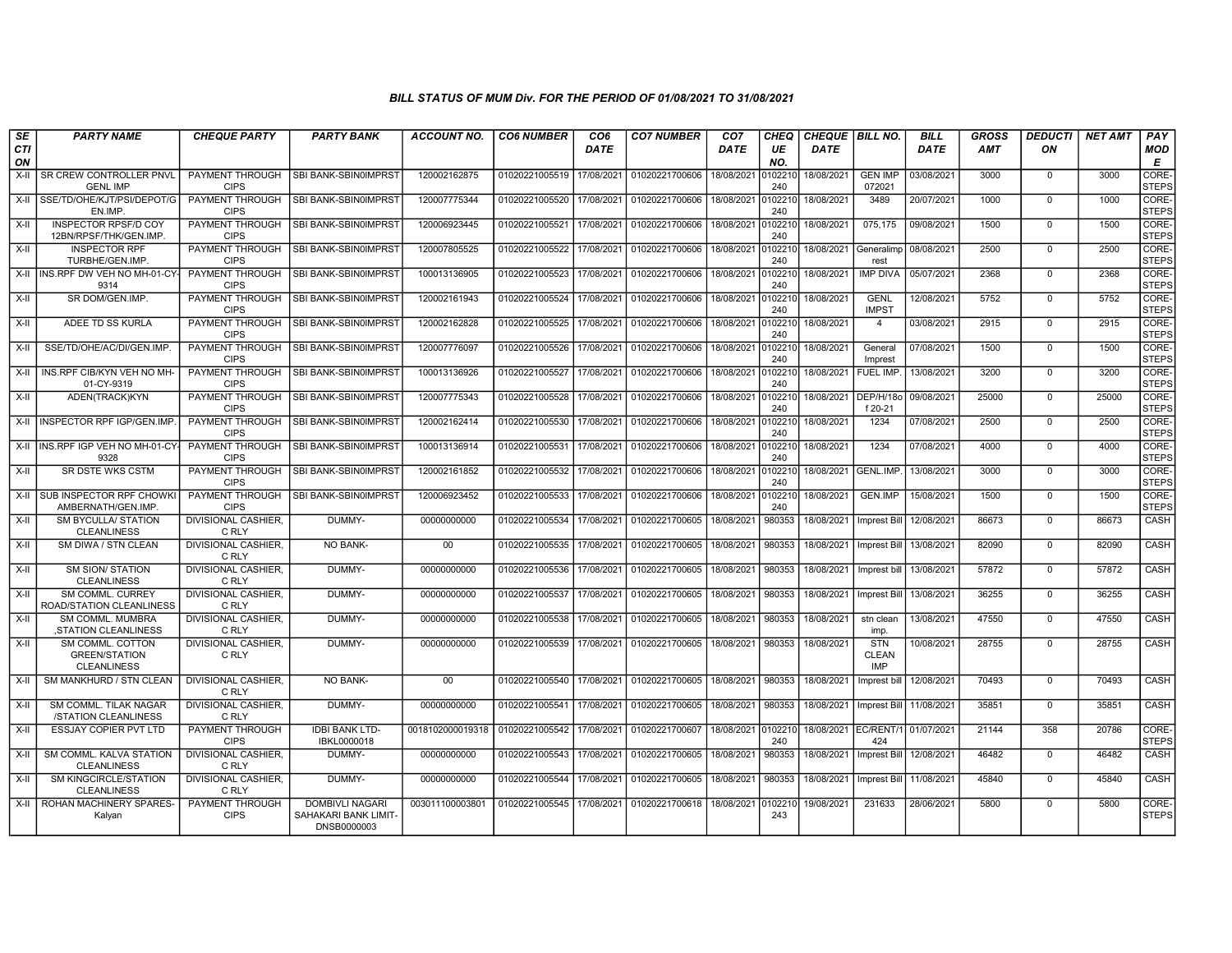| SE               | <b>PARTY NAME</b>                                              | <b>CHEQUE PARTY</b>                   | <b>PARTY BANK</b>                                             | <b>ACCOUNT NO.</b> | <b>CO6 NUMBER</b>         | CO <sub>6</sub> | <b>CO7 NUMBER</b> | CO <sub>7</sub> | CHEQ           | <b>CHEQUE   BILL NO.</b> |                                          | <b>BILL</b> | <b>GROSS</b> | <i><b>DEDUCTI</b></i> | <b>NET AMT</b> | <b>PAY</b>            |
|------------------|----------------------------------------------------------------|---------------------------------------|---------------------------------------------------------------|--------------------|---------------------------|-----------------|-------------------|-----------------|----------------|--------------------------|------------------------------------------|-------------|--------------|-----------------------|----------------|-----------------------|
| <b>CTI</b><br>ON |                                                                |                                       |                                                               |                    |                           | <b>DATE</b>     |                   | <b>DATE</b>     | UE<br>NO.      | <b>DATE</b>              |                                          | <b>DATE</b> | AMT          | ON                    |                | <b>MOD</b><br>E       |
| $X-H$            | <b>I SR CREW CONTROLLER PNVL</b><br><b>GENL IMP</b>            | PAYMENT THROUGH<br><b>CIPS</b>        | <b>SBI BANK-SBIN0IMPRST</b>                                   | 120002162875       | 01020221005519 17/08/2021 |                 | 01020221700606    | 18/08/2021      | 010221<br>240  | 18/08/2021               | <b>GEN IMP</b><br>072021                 | 03/08/2021  | 3000         | $\mathbf 0$           | 3000           | CORE-<br><b>STEPS</b> |
|                  | X-II SSE/TD/OHE/KJT/PSI/DEPOT/G<br>EN.IMP.                     | <b>PAYMENT THROUGH</b><br><b>CIPS</b> | SBI BANK-SBIN0IMPRST                                          | 120007775344       | 01020221005520            | 17/08/2021      | 01020221700606    | 18/08/2021      | 010221<br>240  | 18/08/2021               | 3489                                     | 20/07/2021  | 1000         | $\Omega$              | 1000           | CORE-<br><b>STEPS</b> |
| X-II             | <b>INSPECTOR RPSF/D COY</b><br>12BN/RPSF/THK/GEN.IMP.          | PAYMENT THROUGH<br><b>CIPS</b>        | SBI BANK-SBIN0IMPRST                                          | 120006923445       | 01020221005521            | 17/08/2021      | 01020221700606    | 18/08/2021      | 010221<br>240  | 18/08/2021               | 075,175                                  | 09/08/2021  | 1500         | $\mathbf 0$           | 1500           | CORE-<br><b>STEPS</b> |
| X-II             | <b>INSPECTOR RPF</b><br>TURBHE/GEN.IMP.                        | <b>PAYMENT THROUGH</b><br><b>CIPS</b> | SBI BANK-SBIN0IMPRST                                          | 120007805525       | 01020221005522            | 17/08/2021      | 01020221700606    | 18/08/2021      | 010221<br>240  | 18/08/2021               | Generalimp<br>rest                       | 08/08/2021  | 2500         | $\mathbf 0$           | 2500           | CORE-<br><b>STEPS</b> |
|                  | X-II INS.RPF DW VEH NO MH-01-CY-<br>9314                       | <b>PAYMENT THROUGH</b><br><b>CIPS</b> | SBI BANK-SBIN0IMPRST                                          | 100013136905       | 01020221005523            | 17/08/2021      | 01020221700606    | 18/08/2021      | 010221<br>240  | 18/08/2021               | <b>IMP DIVA</b>                          | 05/07/2021  | 2368         | $\mathbf 0$           | 2368           | CORE-<br><b>STEPS</b> |
| X-II             | SR DOM/GEN.IMP.                                                | <b>PAYMENT THROUGH</b><br><b>CIPS</b> | SBI BANK-SBIN0IMPRST                                          | 120002161943       | 01020221005524 17/08/2021 |                 | 01020221700606    | 18/08/2021      | 0102210<br>240 | 18/08/2021               | <b>GENL</b><br><b>IMPST</b>              | 12/08/2021  | 5752         | $\Omega$              | 5752           | CORE-<br><b>STEPS</b> |
| X-II             | ADEE TD SS KURLA                                               | PAYMENT THROUGH<br><b>CIPS</b>        | SBI BANK-SBIN0IMPRST                                          | 120002162828       | 01020221005525            | 17/08/2021      | 01020221700606    | 18/08/2021      | 0102210<br>240 | 18/08/2021               | $\overline{4}$                           | 03/08/2021  | 2915         | $\mathbf 0$           | 2915           | CORE-<br><b>STEPS</b> |
| X-II             | SSE/TD/OHE/AC/DI/GEN.IMP                                       | PAYMENT THROUGH<br><b>CIPS</b>        | SBI BANK-SBIN0IMPRST                                          | 120007776097       | 01020221005526            | 17/08/2021      | 01020221700606    | 18/08/2021      | 010221<br>240  | 18/08/2021               | General<br>Imprest                       | 07/08/2021  | 1500         | $\Omega$              | 1500           | CORE-<br><b>STEPS</b> |
| X-II             | INS.RPF CIB/KYN VEH NO MH<br>01-CY-9319                        | PAYMENT THROUGH<br><b>CIPS</b>        | SBI BANK-SBIN0IMPRST                                          | 100013136926       | 01020221005527            | 17/08/2021      | 01020221700606    | 18/08/2021      | 010221<br>240  | 18/08/2021               | FUEL IMP.                                | 13/08/2021  | 3200         | $\mathbf 0$           | 3200           | CORE-<br><b>STEPS</b> |
| X-II             | ADEN(TRACK)KYN                                                 | <b>PAYMENT THROUGH</b><br><b>CIPS</b> | SBI BANK-SBIN0IMPRST                                          | 120007775343       | 01020221005528            | 17/08/2021      | 01020221700606    | 18/08/2021      | 010221<br>240  | 18/08/2021               | DEP/H/18o<br>f 20-21                     | 09/08/2021  | 25000        | $\Omega$              | 25000          | CORE-<br><b>STEPS</b> |
|                  | X-II   INSPECTOR RPF IGP/GEN.IMP                               | PAYMENT THROUGH<br><b>CIPS</b>        | <b>SBI BANK-SBIN0IMPRST</b>                                   | 120002162414       | 01020221005530            | 17/08/2021      | 01020221700606    | 18/08/2021      | 010221<br>240  | 18/08/2021               | 1234                                     | 07/08/2021  | 2500         | $\mathbf 0$           | 2500           | CORE-<br>STEPS        |
|                  | X-II INS.RPF IGP VEH NO MH-01-CY-<br>9328                      | <b>PAYMENT THROUGH</b><br><b>CIPS</b> | SBI BANK-SBIN0IMPRST                                          | 100013136914       | 01020221005531            | 17/08/2021      | 01020221700606    | 18/08/2021      | 010221<br>240  | 18/08/2021               | 1234                                     | 07/08/2021  | 4000         | $\overline{0}$        | 4000           | CORE-<br><b>STEPS</b> |
| X-II             | SR DSTE WKS CSTM                                               | PAYMENT THROUGH<br><b>CIPS</b>        | SBI BANK-SBIN0IMPRST                                          | 120002161852       | 01020221005532            | 17/08/2021      | 01020221700606    | 18/08/2021      | 010221<br>240  | 18/08/2021               | GENL.IMP.                                | 13/08/2021  | 3000         | $\mathbf 0$           | 3000           | CORE-<br><b>STEPS</b> |
|                  | X-II SUB INSPECTOR RPF CHOWKI<br>AMBERNATH/GEN.IMP             | PAYMENT THROUGH<br><b>CIPS</b>        | <b>SBI BANK-SBIN0IMPRST</b>                                   | 120006923452       | 01020221005533            | 17/08/2021      | 01020221700606    | 18/08/2021      | 010221<br>240  | 18/08/2021               | <b>GEN.IMP</b>                           | 15/08/2021  | 1500         | $\mathbf 0$           | 1500           | CORE-<br><b>STEPS</b> |
| X-II             | <b>SM BYCULLA/ STATION</b><br><b>CLEANLINESS</b>               | <b>DIVISIONAL CASHIER.</b><br>C RLY   | DUMMY-                                                        | 00000000000        | 01020221005534            | 17/08/2021      | 01020221700605    | 18/08/2021      | 980353         | 18/08/2021               | Imprest Bill                             | 12/08/2021  | 86673        | $\Omega$              | 86673          | CASH                  |
| X-II             | SM DIWA / STN CLEAN                                            | <b>DIVISIONAL CASHIER.</b><br>C RLY   | <b>NO BANK-</b>                                               | 00                 | 01020221005535            | 17/08/2021      | 01020221700605    | 18/08/2021      | 980353         | 18/08/2021               | Imprest Bill                             | 13/08/2021  | 82090        | $\Omega$              | 82090          | CASH                  |
| X-II             | <b>SM SION/ STATION</b><br><b>CLEANLINESS</b>                  | <b>DIVISIONAL CASHIER.</b><br>C RLY   | DUMMY-                                                        | 00000000000        | 01020221005536            | 17/08/2021      | 01020221700605    | 18/08/2021      | 980353         | 18/08/2021               | Imprest bill                             | 13/08/2021  | 57872        | $\mathbf 0$           | 57872          | <b>CASH</b>           |
| X-II             | <b>SM COMML, CURREY</b><br>ROAD/STATION CLEANLINESS            | <b>DIVISIONAL CASHIER.</b><br>C RLY   | DUMMY-                                                        | 00000000000        | 01020221005537            | 17/08/2021      | 01020221700605    | 18/08/2021      | 980353         | 18/08/2021               | <b>Imprest Bill</b>                      | 13/08/2021  | 36255        | $\Omega$              | 36255          | CASH                  |
| $X-II$           | SM COMML, MUMBRA<br>STATION CLEANLINESS                        | DIVISIONAL CASHIER.<br>C RLY          | DUMMY-                                                        | 00000000000        | 01020221005538            | 17/08/2021      | 01020221700605    | 18/08/2021      | 980353         | 18/08/2021               | stn clean<br>imp.                        | 13/08/2021  | 47550        | $\Omega$              | 47550          | CASH                  |
| X-II             | SM COMML. COTTON<br><b>GREEN/STATION</b><br><b>CLEANLINESS</b> | DIVISIONAL CASHIER.<br>C RLY          | DUMMY-                                                        | 00000000000        | 01020221005539            | 17/08/2021      | 01020221700605    | 18/08/2021      | 980353         | 18/08/2021               | <b>STN</b><br><b>CLEAN</b><br><b>IMP</b> | 10/08/2021  | 28755        | $\Omega$              | 28755          | CASH                  |
| $X-H$            | SM MANKHURD / STN CLEAN                                        | <b>DIVISIONAL CASHIER.</b><br>C RLY   | <b>NO BANK-</b>                                               | 00                 | 01020221005540            | 17/08/2021      | 01020221700605    | 18/08/2021      | 980353         | 18/08/2021               | Imprest bill                             | 12/08/2021  | 70493        | $\overline{0}$        | 70493          | CASH                  |
| X-II             | SM COMML. TILAK NAGAR<br>/STATION CLEANLINESS                  | DIVISIONAL CASHIER,<br>C RLY          | DUMMY-                                                        | 00000000000        | 01020221005541            | 17/08/2021      | 01020221700605    | 18/08/2021      | 980353         | 18/08/2021               | <b>Imprest Bill</b>                      | 11/08/2021  | 35851        | $\Omega$              | 35851          | CASH                  |
| X-II             | <b>ESSJAY COPIER PVT LTD</b>                                   | PAYMENT THROUGH<br><b>CIPS</b>        | <b>IDBI BANK LTD-</b><br>IBKL0000018                          | 0018102000019318   | 01020221005542            | 17/08/2021      | 01020221700607    | 18/08/2021      | 010221<br>240  | 18/08/2021               | EC/RENT/1<br>424                         | 01/07/2021  | 21144        | 358                   | 20786          | CORE-<br><b>STEPS</b> |
| X-II             | SM COMML. KALVA STATION<br><b>CLEANLINESS</b>                  | DIVISIONAL CASHIER,<br>C RLY          | DUMMY-                                                        | 00000000000        | 01020221005543 17/08/2021 |                 | 01020221700605    | 18/08/2021      | 980353         | 18/08/2021               | Imprest Bill                             | 12/08/2021  | 46482        | $\Omega$              | 46482          | <b>CASH</b>           |
| X-II             | <b>SM KINGCIRCLE/STATION</b><br><b>CLEANLINESS</b>             | <b>DIVISIONAL CASHIER.</b><br>C RLY   | DUMMY-                                                        | 00000000000        | 01020221005544            | 17/08/2021      | 01020221700605    | 18/08/2021      | 980353         | 18/08/2021               | Imprest Bill                             | 11/08/2021  | 45840        | $\mathbf 0$           | 45840          | CASH                  |
|                  | X-II   ROHAN MACHINERY SPARES-<br>Kalyan                       | PAYMENT THROUGH<br><b>CIPS</b>        | <b>DOMBIVLI NAGARI</b><br>SAHAKARI BANK LIMIT-<br>DNSB0000003 | 003011100003801    | 01020221005545            | 17/08/2021      | 01020221700618    | 18/08/2021      | 010221<br>243  | 19/08/2021               | 231633                                   | 28/06/2021  | 5800         | $\Omega$              | 5800           | CORE-<br>Isteps       |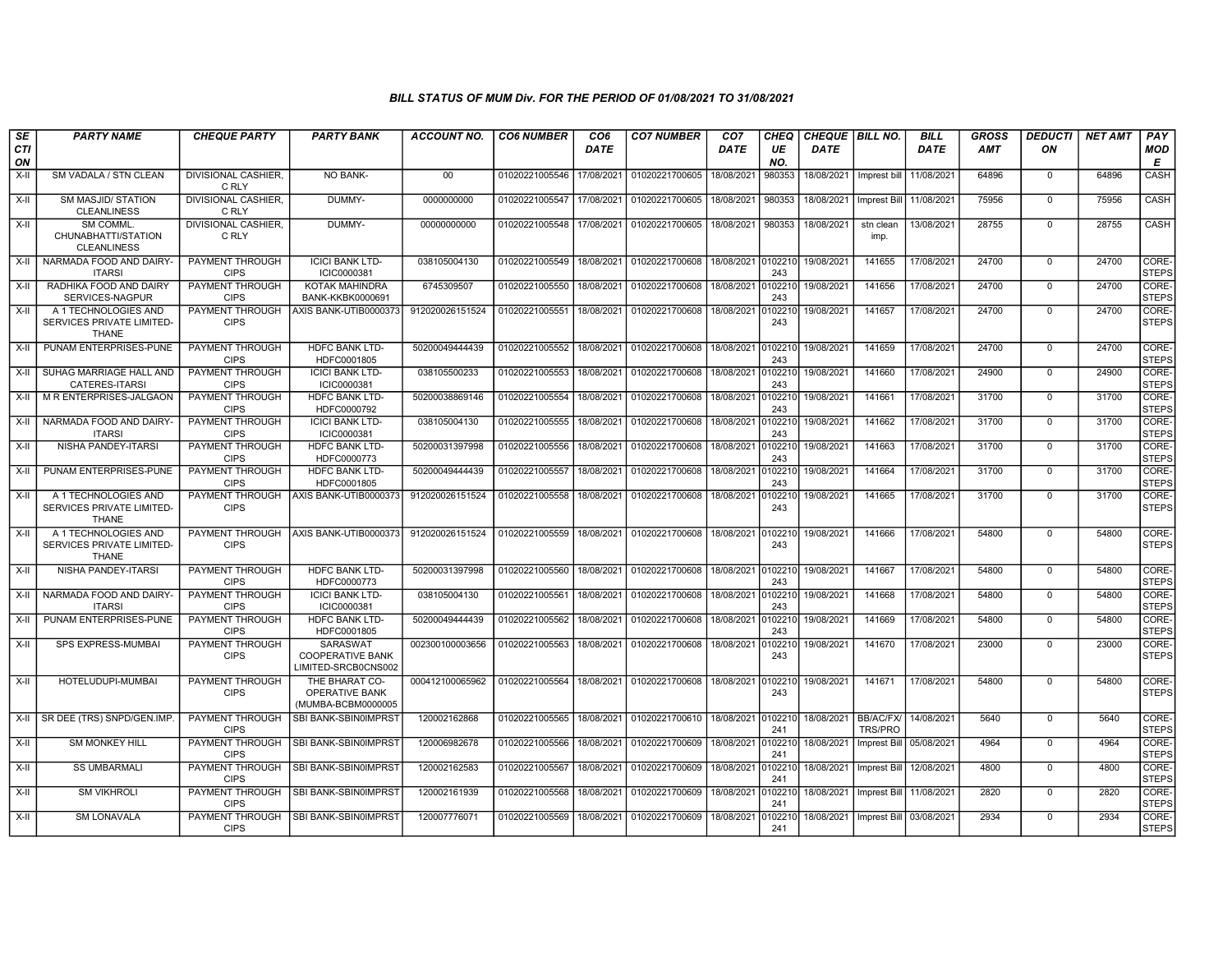| SE        | <b>PARTY NAME</b>                                                 | <b>CHEQUE PARTY</b>                   | <b>PARTY BANK</b>                                                 | ACCOUNT NO.     | <b>CO6 NUMBER</b> | CO6         | <b>CO7 NUMBER</b>                | CO7                | CHEQ           | CHEQUE   BILL NO. |                                    | BILL        | <b>GROSS</b> | <i><b>DEDUCTI</b></i> | NET AMT | PAY                   |
|-----------|-------------------------------------------------------------------|---------------------------------------|-------------------------------------------------------------------|-----------------|-------------------|-------------|----------------------------------|--------------------|----------------|-------------------|------------------------------------|-------------|--------------|-----------------------|---------|-----------------------|
| CTI<br>ON |                                                                   |                                       |                                                                   |                 |                   | <b>DATE</b> |                                  | <b>DATE</b>        | UE<br>NO.      | <b>DATE</b>       |                                    | <b>DATE</b> | <b>AMT</b>   | ON                    |         | MOD<br>E              |
| $X-H$     | SM VADALA / STN CLEAN                                             | <b>DIVISIONAL CASHIER.</b><br>C RLY   | NO BANK-                                                          | 00              | 01020221005546    | 17/08/2021  | 01020221700605                   | 18/08/2021         | 980353         | 18/08/2021        | Imprest bill                       | 11/08/2021  | 64896        | $\mathbf 0$           | 64896   | CASH                  |
| $X-H$     | <b>SM MASJID/ STATION</b><br><b>CLEANLINESS</b>                   | <b>DIVISIONAL CASHIER.</b><br>C RLY   | DUMMY-                                                            | 0000000000      | 01020221005547    | 17/08/2021  | 01020221700605                   | 18/08/2021         | 980353         | 18/08/2021        | Imprest Bill                       | 11/08/2021  | 75956        | $\Omega$              | 75956   | CASH                  |
| X-II      | <b>SM COMML</b><br>CHUNABHATTI/STATION<br><b>CLEANLINESS</b>      | DIVISIONAL CASHIER,<br>C RLY          | DUMMY-                                                            | 00000000000     | 01020221005548    | 17/08/2021  | 01020221700605                   | 18/08/2021         | 980353         | 18/08/2021        | stn clean<br>imp.                  | 13/08/2021  | 28755        | $\Omega$              | 28755   | CASH                  |
| X-II      | NARMADA FOOD AND DAIRY-<br><b>ITARSI</b>                          | PAYMENT THROUGH<br><b>CIPS</b>        | <b>ICICI BANK LTD-</b><br>ICIC0000381                             | 038105004130    | 01020221005549    | 18/08/2021  | 01020221700608                   | 18/08/2021 0102210 | 243            | 19/08/2021        | 141655                             | 17/08/2021  | 24700        | $\mathbf 0$           | 24700   | CORE-<br><b>STEPS</b> |
| $X-II$    | RADHIKA FOOD AND DAIRY<br>SERVICES-NAGPUR                         | PAYMENT THROUGH<br><b>CIPS</b>        | <b>KOTAK MAHINDRA</b><br>BANK-KKBK0000691                         | 6745309507      | 01020221005550    | 18/08/2021  | 01020221700608                   | 18/08/2021         | 10221<br>243   | 19/08/2021        | 141656                             | 17/08/2021  | 24700        | $\mathbf 0$           | 24700   | CORE-<br><b>STEPS</b> |
| X-II      | A 1 TECHNOLOGIES AND<br>SERVICES PRIVATE LIMITED-<br><b>THANE</b> | <b>PAYMENT THROUGH</b><br><b>CIPS</b> | AXIS BANK-UTIB0000373                                             | 912020026151524 | 01020221005551    | 18/08/2021  | 01020221700608                   | 18/08/2021         | 010221<br>243  | 19/08/2021        | 141657                             | 17/08/2021  | 24700        | $\Omega$              | 24700   | CORE-<br><b>STEPS</b> |
| X-II      | PUNAM ENTERPRISES-PUNE                                            | PAYMENT THROUGH<br><b>CIPS</b>        | HDFC BANK LTD-<br>HDFC0001805                                     | 50200049444439  | 01020221005552    | 18/08/2021  | 01020221700608                   | 18/08/2021         | 010221<br>243  | 19/08/2021        | 141659                             | 17/08/2021  | 24700        | $\mathbf 0$           | 24700   | CORE-<br><b>STEPS</b> |
| X-II      | SUHAG MARRIAGE HALL AND<br><b>CATERES-ITARSI</b>                  | PAYMENT THROUGH<br><b>CIPS</b>        | <b>ICICI BANK LTD-</b><br>ICIC0000381                             | 038105500233    | 01020221005553    | 18/08/2021  | 01020221700608                   | 18/08/2021         | 10221<br>243   | 19/08/2021        | 141660                             | 17/08/2021  | 24900        | $\mathbf 0$           | 24900   | CORE-<br><b>STEPS</b> |
| X-II      | M R ENTERPRISES-JALGAON                                           | PAYMENT THROUGH<br><b>CIPS</b>        | <b>HDFC BANK LTD-</b><br>HDFC0000792                              | 50200038869146  | 01020221005554    | 18/08/2021  | 01020221700608                   | 18/08/2021         | 10221<br>243   | 19/08/2021        | 141661                             | 17/08/2021  | 31700        | $\overline{0}$        | 31700   | CORE-<br><b>STEPS</b> |
| $X-H$     | NARMADA FOOD AND DAIRY<br><b>ITARSI</b>                           | PAYMENT THROUGH<br><b>CIPS</b>        | <b>ICICI BANK LTD-</b><br>ICIC0000381                             | 038105004130    | 01020221005555    | 18/08/2021  | 01020221700608                   | 18/08/2021         | 010221<br>243  | 19/08/2021        | 141662                             | 17/08/2021  | 31700        | $\mathbf 0$           | 31700   | CORE-<br><b>STEPS</b> |
| X-II      | NISHA PANDEY-ITARSI                                               | PAYMENT THROUGH<br><b>CIPS</b>        | <b>HDFC BANK LTD-</b><br>HDFC0000773                              | 50200031397998  | 01020221005556    | 18/08/2021  | 01020221700608                   | 18/08/2021         | 102210<br>243  | 19/08/2021        | 141663                             | 17/08/2021  | 31700        | $\mathbf 0$           | 31700   | CORE-<br><b>STEPS</b> |
| X-II      | PUNAM ENTERPRISES-PUNE                                            | PAYMENT THROUGH<br><b>CIPS</b>        | <b>HDFC BANK LTD-</b><br>HDFC0001805                              | 50200049444439  | 01020221005557    | 18/08/2021  | 01020221700608                   | 18/08/2021         | 0102210<br>243 | 19/08/2021        | 141664                             | 17/08/2021  | 31700        | $\mathbf 0$           | 31700   | CORE-<br><b>STEPS</b> |
| X-II      | A 1 TECHNOLOGIES AND<br>SERVICES PRIVATE LIMITED-<br><b>THANE</b> | PAYMENT THROUGH<br><b>CIPS</b>        | AXIS BANK-UTIB0000373                                             | 912020026151524 | 01020221005558    | 18/08/2021  | 01020221700608                   | 18/08/2021         | 010221<br>243  | 19/08/2021        | 141665                             | 17/08/2021  | 31700        | $\mathbf 0$           | 31700   | CORE-<br><b>STEPS</b> |
| X-II      | A 1 TECHNOLOGIES AND<br>SERVICES PRIVATE LIMITED-<br><b>THANE</b> | PAYMENT THROUGH<br><b>CIPS</b>        | AXIS BANK-UTIB0000373                                             | 912020026151524 | 01020221005559    | 18/08/2021  | 01020221700608                   | 18/08/2021         | 010221<br>243  | 19/08/2021        | 141666                             | 17/08/2021  | 54800        | $\mathbf 0$           | 54800   | CORE-<br><b>STEPS</b> |
| X-II      | <b>NISHA PANDEY-ITARSI</b>                                        | <b>PAYMENT THROUGH</b><br><b>CIPS</b> | <b>HDFC BANK LTD-</b><br>HDFC0000773                              | 50200031397998  | 01020221005560    | 18/08/2021  | 01020221700608 18/08/2021        |                    | 0102210<br>243 | 19/08/2021        | 141667                             | 17/08/2021  | 54800        | $\overline{0}$        | 54800   | CORE-<br><b>STEPS</b> |
| $X-H$     | NARMADA FOOD AND DAIRY-<br><b>ITARSI</b>                          | PAYMENT THROUGH<br><b>CIPS</b>        | <b>ICICI BANK LTD-</b><br>ICIC0000381                             | 038105004130    | 01020221005561    | 18/08/2021  | 01020221700608                   | 18/08/2021         | 10221<br>243   | 19/08/2021        | 141668                             | 17/08/2021  | 54800        | $\Omega$              | 54800   | CORE-<br><b>STEPS</b> |
| X-II      | PUNAM ENTERPRISES-PUNE                                            | PAYMENT THROUGH<br><b>CIPS</b>        | HDFC BANK LTD-<br>HDFC0001805                                     | 50200049444439  | 01020221005562    | 18/08/2021  | 01020221700608                   | 18/08/2021         | 10221<br>243   | 19/08/2021        | 141669                             | 17/08/2021  | 54800        | $\overline{0}$        | 54800   | CORE-<br><b>STEPS</b> |
| X-II      | SPS EXPRESS-MUMBAI                                                | PAYMENT THROUGH<br><b>CIPS</b>        | <b>SARASWAT</b><br><b>COOPERATIVE BANK</b><br>LIMITED-SRCB0CNS002 | 002300100003656 | 01020221005563    | 18/08/2021  | 01020221700608                   | 18/08/2021         | 102210<br>243  | 19/08/2021        | 141670                             | 17/08/2021  | 23000        | $\mathbf 0$           | 23000   | CORE-<br><b>STEPS</b> |
| X-II      | HOTELUDUPI-MUMBAI                                                 | PAYMENT THROUGH<br><b>CIPS</b>        | THE BHARAT CO-<br>OPERATIVE BANK<br>(MUMBA-BCBM0000005            | 000412100065962 | 01020221005564    | 18/08/2021  | 01020221700608                   | 18/08/2021         | 010221<br>243  | 19/08/2021        | 141671                             | 17/08/2021  | 54800        | $\mathbf 0$           | 54800   | CORE-<br><b>STEPS</b> |
| X-II      | SR DEE (TRS) SNPD/GEN.IMP                                         | PAYMENT THROUGH<br><b>CIPS</b>        | SBI BANK-SBIN0IMPRST                                              | 120002162868    | 01020221005565    | 18/08/2021  | 01020221700610 18/08/2021 010221 |                    | 241            | 18/08/2021        | <b>BB/AC/FX/</b><br><b>TRS/PRO</b> | 14/08/2021  | 5640         | $\Omega$              | 5640    | CORE-<br><b>STEPS</b> |
| $X-II$    | <b>SM MONKEY HILL</b>                                             | PAYMENT THROUGH<br><b>CIPS</b>        | SBI BANK-SBIN0IMPRST                                              | 120006982678    | 01020221005566    | 18/08/2021  | 01020221700609                   | 18/08/2021         | 010221<br>241  | 18/08/2021        | Imprest Bill                       | 05/08/2021  | 4964         | $\Omega$              | 4964    | CORE-<br><b>STEPS</b> |
| X-II      | <b>SS UMBARMALI</b>                                               | PAYMENT THROUGH<br><b>CIPS</b>        | SBI BANK-SBIN0IMPRST                                              | 120002162583    | 01020221005567    | 18/08/2021  | 01020221700609                   | 18/08/2021         | 010221<br>241  | 18/08/2021        | <b>Imprest Bill</b>                | 12/08/2021  | 4800         | $\mathbf 0$           | 4800    | CORE-<br><b>STEPS</b> |
| X-II      | <b>SM VIKHROLI</b>                                                | PAYMENT THROUGH<br><b>CIPS</b>        | SBI BANK-SBIN0IMPRST                                              | 120002161939    | 01020221005568    | 18/08/2021  | 01020221700609                   | 18/08/2021         | 0102210<br>241 | 18/08/2021        | Imprest Bill                       | 11/08/2021  | 2820         | $\Omega$              | 2820    | CORE-<br><b>STEPS</b> |
| X-II      | <b>SM LONAVALA</b>                                                | PAYMENT THROUGH<br><b>CIPS</b>        | <b>SBI BANK-SBIN0IMPRST</b>                                       | 120007776071    | 01020221005569    | 18/08/2021  | 01020221700609                   | 18/08/2021         | 10221<br>241   | 18/08/2021        | Imprest Bill                       | 03/08/2021  | 2934         | $\mathbf 0$           | 2934    | CORE-<br><b>STEPS</b> |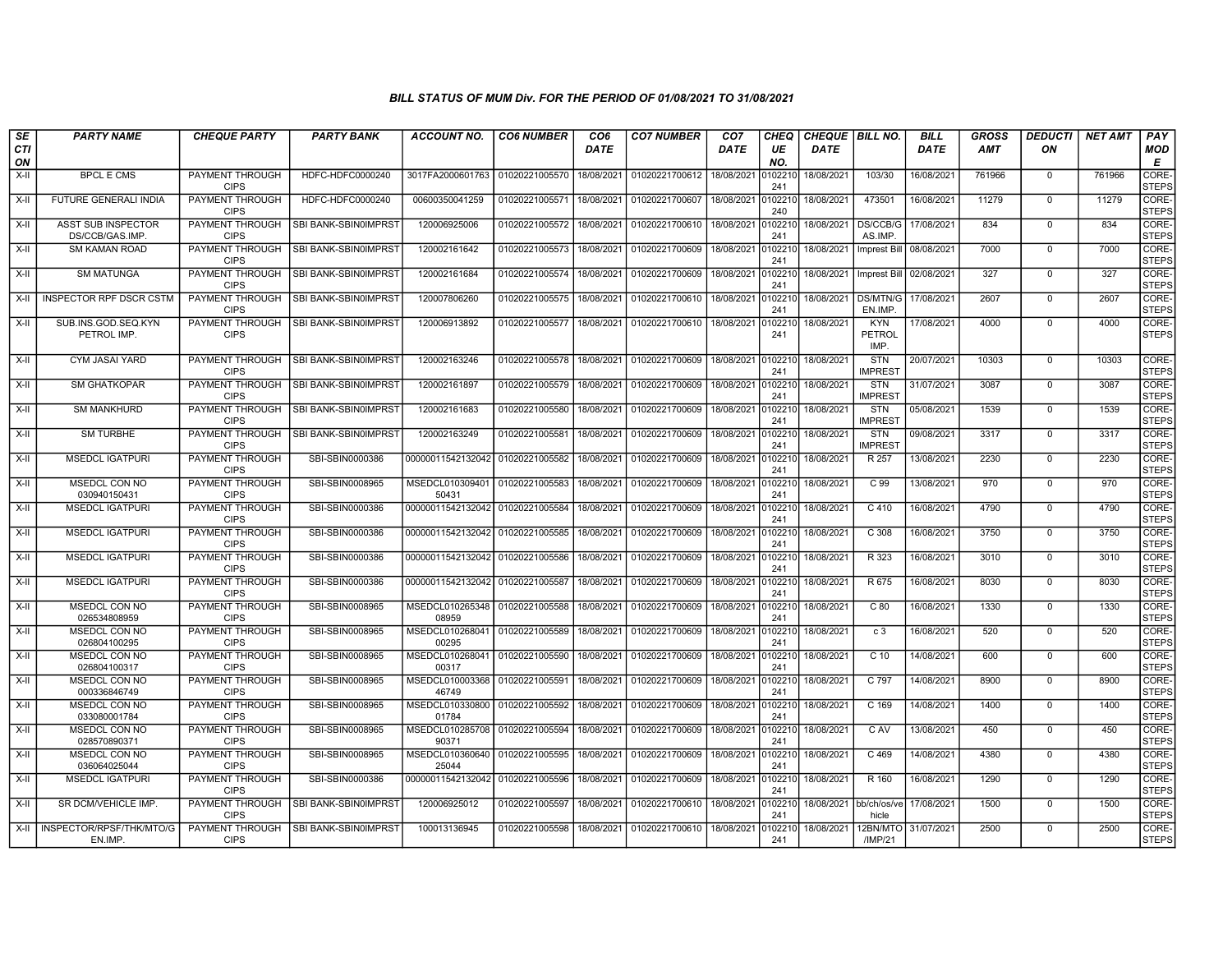| SE               | <b>PARTY NAME</b>                           | <b>CHEQUE PARTY</b>                   | <b>PARTY BANK</b>           | ACCOUNT NO.                               | <b>CO6 NUMBER</b> | CO <sub>6</sub> | <b>CO7 NUMBER</b>         | CO <sub>7</sub>    | CHEQ          | <b>CHEQUE BILL NO.</b> |                                     | <b>BILL</b> | <b>GROSS</b> | <i><b>DEDUCTI</b></i> | <b>NET AMT</b> | <b>PAY</b>            |
|------------------|---------------------------------------------|---------------------------------------|-----------------------------|-------------------------------------------|-------------------|-----------------|---------------------------|--------------------|---------------|------------------------|-------------------------------------|-------------|--------------|-----------------------|----------------|-----------------------|
| <b>CTI</b><br>ON |                                             |                                       |                             |                                           |                   | DATE            |                           | <b>DATE</b>        | UE<br>NO.     | <b>DATE</b>            |                                     | <b>DATE</b> | <b>AMT</b>   | ON                    |                | MOD<br>E              |
| X-II             | <b>BPCL E CMS</b>                           | PAYMENT THROUGH<br><b>CIPS</b>        | HDFC-HDFC0000240            | 3017FA2000601763 01020221005570           |                   | 18/08/2021      | 01020221700612            | 18/08/2021         | 010221<br>241 | 18/08/2021             | 103/30                              | 16/08/2021  | 761966       | $\mathbf 0$           | 761966         | CORE-<br><b>STEPS</b> |
| X-II             | <b>FUTURE GENERALI INDIA</b>                | <b>PAYMENT THROUGH</b><br><b>CIPS</b> | HDFC-HDFC0000240            | 00600350041259                            | 01020221005571    | 18/08/2021      | 01020221700607            | 18/08/2021         | 010221<br>240 | 18/08/2021             | 473501                              | 16/08/2021  | 11279        | $\mathbf 0$           | 11279          | CORE-<br><b>STEPS</b> |
| X-II             | <b>ASST SUB INSPECTOR</b><br>DS/CCB/GAS.IMP | PAYMENT THROUGH<br><b>CIPS</b>        | SBI BANK-SBIN0IMPRST        | 120006925006                              | 01020221005572    | 18/08/2021      | 01020221700610            | 18/08/2021         | 010221<br>241 | 18/08/2021             | DS/CCB/G<br>AS.IMP                  | 17/08/2021  | 834          | $\Omega$              | 834            | CORE-<br><b>STEPS</b> |
| X-II             | <b>SM KAMAN ROAD</b>                        | PAYMENT THROUGH<br><b>CIPS</b>        | SBI BANK-SBIN0IMPRST        | 120002161642                              | 01020221005573    | 18/08/2021      | 01020221700609            | 18/08/2021         | 010221<br>241 | 18/08/2021             | Imprest Bill                        | 08/08/2021  | 7000         | $\Omega$              | 7000           | CORE-<br>STEPS        |
| X-II             | <b>SM MATUNGA</b>                           | <b>PAYMENT THROUGH</b><br><b>CIPS</b> | SBI BANK-SBIN0IMPRST        | 120002161684                              | 01020221005574    | 18/08/2021      | 01020221700609            | 18/08/2021         | 010221<br>241 | 18/08/2021             | Imprest Bill 02/08/2021             |             | 327          | $\mathbf 0$           | 327            | CORE-<br><b>STEPS</b> |
|                  | X-II INSPECTOR RPF DSCR CSTM                | PAYMENT THROUGH<br><b>CIPS</b>        | SBI BANK-SBIN0IMPRST        | 120007806260                              | 01020221005575    | 18/08/2021      | 01020221700610 18/08/2021 |                    | 010221<br>241 | 18/08/2021             | DS/MTN/G<br>EN.IMP.                 | 17/08/2021  | 2607         | $\mathbf 0$           | 2607           | CORE-<br>STEPS        |
| X-II             | SUB.INS.GOD.SEQ.KYN<br>PETROL IMP.          | PAYMENT THROUGH<br><b>CIPS</b>        | SBI BANK-SBIN0IMPRST        | 120006913892                              | 01020221005577    | 18/08/2021      | 01020221700610            | 18/08/2021         | 010221<br>241 | 18/08/2021             | <b>KYN</b><br><b>PETROL</b><br>IMP. | 17/08/2021  | 4000         | $\mathbf 0$           | 4000           | CORE-<br><b>STEPS</b> |
| X-II             | CYM JASAI YARD                              | PAYMENT THROUGH<br><b>CIPS</b>        | <b>SBI BANK-SBIN0IMPRST</b> | 120002163246                              | 01020221005578    | 18/08/2021      | 01020221700609            | 18/08/2021 0102210 | 241           | 18/08/2021             | <b>STN</b><br><b>IMPREST</b>        | 20/07/2021  | 10303        | $\mathbf 0$           | 10303          | CORE-<br>STEPS        |
| X-II             | <b>SM GHATKOPAR</b>                         | PAYMENT THROUGH<br><b>CIPS</b>        | SBI BANK-SBIN0IMPRST        | 120002161897                              | 01020221005579    | 18/08/2021      | 01020221700609            | 18/08/2021         | 010221<br>241 | 18/08/2021             | <b>STN</b><br><b>IMPREST</b>        | 31/07/2021  | 3087         | $\mathbf 0$           | 3087           | CORE-<br>STEPS        |
| X-II             | <b>SM MANKHURD</b>                          | <b>PAYMENT THROUGH</b><br><b>CIPS</b> | SBI BANK-SBIN0IMPRST        | 120002161683                              | 01020221005580    | 18/08/2021      | 01020221700609            | 18/08/2021         | 010221<br>241 | 18/08/2021             | <b>STN</b><br><b>IMPREST</b>        | 05/08/2021  | 1539         | $\Omega$              | 1539           | CORE-<br><b>STEPS</b> |
| X-II             | <b>SM TURBHE</b>                            | PAYMENT THROUGH<br><b>CIPS</b>        | SBI BANK-SBIN0IMPRST        | 120002163249                              | 01020221005581    | 18/08/2021      | 01020221700609            | 18/08/2021         | 010221<br>241 | 18/08/2021             | <b>STN</b><br><b>IMPREST</b>        | 09/08/2021  | 3317         | $\mathbf 0$           | 3317           | CORE-<br><b>STEPS</b> |
| $X-H$            | <b>MSEDCL IGATPURI</b>                      | <b>PAYMENT THROUGH</b><br><b>CIPS</b> | SBI-SBIN0000386             | 00000011542132042 01020221005582          |                   | 18/08/2021      | 01020221700609            | 18/08/2021         | 010221<br>241 | 18/08/2021             | R 257                               | 13/08/2021  | 2230         | $\mathbf 0$           | 2230           | CORE-<br><b>STEPS</b> |
| $X-H$            | MSEDCL CON NO<br>030940150431               | PAYMENT THROUGH<br><b>CIPS</b>        | SBI-SBIN0008965             | MSEDCL010309401<br>50431                  | 01020221005583    | 18/08/2021      | 01020221700609            | 18/08/2021         | 010221<br>241 | 18/08/2021             | C 99                                | 13/08/2021  | 970          | $\mathbf 0$           | 970            | CORE-<br>STEPS        |
| X-II             | <b>MSEDCL IGATPURI</b>                      | PAYMENT THROUGH<br><b>CIPS</b>        | SBI-SBIN0000386             | 00000011542132042 01020221005584          |                   | 18/08/2021      | 01020221700609            | 18/08/2021         | 010221<br>241 | 18/08/2021             | C 410                               | 16/08/2021  | 4790         | $\mathbf 0$           | 4790           | CORE-<br><b>STEPS</b> |
| X-II             | <b>MSEDCL IGATPURI</b>                      | PAYMENT THROUGH<br><b>CIPS</b>        | SBI-SBIN0000386             | 00000011542132042 01020221005585          |                   | 18/08/2021      | 01020221700609            | 18/08/2021         | 010221<br>241 | 18/08/2021             | C <sub>308</sub>                    | 16/08/2021  | 3750         | $\Omega$              | 3750           | CORE-<br><b>STEPS</b> |
| X-II             | <b>MSEDCL IGATPURI</b>                      | <b>PAYMENT THROUGH</b><br><b>CIPS</b> | SBI-SBIN0000386             | 00000011542132042 01020221005586          |                   | 18/08/2021      | 01020221700609            | 18/08/2021         | 010221<br>241 | 18/08/2021             | R 323                               | 16/08/2021  | 3010         | $\mathbf 0$           | 3010           | CORE-<br><b>STEPS</b> |
| X-II             | <b>MSEDCL IGATPURI</b>                      | <b>PAYMENT THROUGH</b><br><b>CIPS</b> | SBI-SBIN0000386             | 00000011542132042101020221005587          |                   | 18/08/2021      | 01020221700609            | 18/08/2021         | 010221<br>241 | 18/08/2021             | R 675                               | 16/08/2021  | 8030         | $\mathbf 0$           | 8030           | CORE-<br><b>STEPS</b> |
| X-II             | MSEDCL CON NO<br>026534808959               | <b>PAYMENT THROUGH</b><br><b>CIPS</b> | SBI-SBIN0008965             | MSEDCL010265348 01020221005588<br>08959   |                   | 18/08/2021      | 01020221700609            | 18/08/2021         | 010221<br>241 | 18/08/2021             | C80                                 | 16/08/2021  | 1330         | $\mathbf 0$           | 1330           | CORE-<br><b>STEPS</b> |
| X-II             | MSEDCL CON NO<br>026804100295               | PAYMENT THROUGH<br><b>CIPS</b>        | SBI-SBIN0008965             | MSEDCL010268041 01020221005589<br>00295   |                   | 18/08/2021      | 01020221700609            | 18/08/2021         | 010221<br>241 | 18/08/2021             | c <sub>3</sub>                      | 16/08/2021  | 520          | $\Omega$              | 520            | CORE-<br><b>STEPS</b> |
| X-II             | <b>MSEDCL CON NO</b><br>026804100317        | <b>PAYMENT THROUGH</b><br><b>CIPS</b> | SBI-SBIN0008965             | MSEDCL010268041 01020221005590<br>00317   |                   | 18/08/2021      | 01020221700609            | 18/08/2021         | 010221<br>241 | 18/08/2021             | C <sub>10</sub>                     | 14/08/2021  | 600          | $\mathbf 0$           | 600            | CORE-<br><b>STEPS</b> |
| X-II             | <b>MSEDCL CON NO</b><br>000336846749        | <b>PAYMENT THROUGH</b><br><b>CIPS</b> | SBI-SBIN0008965             | MSEDCL010003368 01020221005591<br>46749   |                   | 18/08/2021      | 01020221700609            | 18/08/2021 0102210 | 241           | 18/08/2021             | $C$ 797                             | 14/08/2021  | 8900         | $\mathbf 0$           | 8900           | CORE-<br><b>STEPS</b> |
| X-II             | MSEDCL CON NO<br>033080001784               | PAYMENT THROUGH<br><b>CIPS</b>        | SBI-SBIN0008965             | MSEDCL010330800 01020221005592<br>01784   |                   | 18/08/2021      | 01020221700609            | 18/08/2021         | 010221<br>241 | 18/08/2021             | C 169                               | 14/08/2021  | 1400         | $\mathbf 0$           | 1400           | CORE-<br><b>STEPS</b> |
| X-II             | MSEDCL CON NO<br>028570890371               | PAYMENT THROUGH<br><b>CIPS</b>        | SBI-SBIN0008965             | MSEDCL010285708   01020221005594<br>90371 |                   | 18/08/2021      | 01020221700609            | 18/08/2021         | 010221<br>241 | 18/08/2021             | C AV                                | 13/08/2021  | 450          | $\mathbf 0$           | 450            | CORE-<br>STEPS        |
| X-II             | <b>MSEDCL CON NO</b><br>036064025044        | <b>PAYMENT THROUGH</b><br><b>CIPS</b> | SBI-SBIN0008965             | MSEDCL010360640 01020221005595<br>25044   |                   | 18/08/2021      | 01020221700609            | 18/08/2021         | 010221<br>241 | 18/08/2021             | $C$ 469                             | 14/08/2021  | 4380         | $\mathbf 0$           | 4380           | CORE-<br>STEPS        |
| X-II             | <b>MSEDCL IGATPURI</b>                      | <b>PAYMENT THROUGH</b><br><b>CIPS</b> | SBI-SBIN0000386             |                                           |                   | 18/08/2021      | 01020221700609            | 18/08/2021         | 010221<br>241 | 18/08/2021             | R 160                               | 16/08/2021  | 1290         | $\mathbf 0$           | 1290           | CORE-<br><b>STEPS</b> |
| X-II             | SR DCM/VEHICLE IMP.                         | PAYMENT THROUGH<br><b>CIPS</b>        | SBI BANK-SBIN0IMPRST        | 120006925012                              | 01020221005597    | 18/08/2021      | 01020221700610            | 18/08/2021         | 010221<br>241 | 18/08/2021             | bb/ch/os/v<br>hicle                 | 17/08/2021  | 1500         | $\Omega$              | 1500           | CORE-<br><b>STEPS</b> |
|                  | X-II   INSPECTOR/RPSF/THK/MTO/G<br>EN.IMP.  | PAYMENT THROUGH<br><b>CIPS</b>        | SBI BANK-SBIN0IMPRST        | 100013136945                              | 01020221005598    | 18/08/2021      | 01020221700610            | 18/08/2021         | 010221<br>241 | 18/08/2021             | 12BN/MTO<br>/IMP/21                 | 31/07/2021  | 2500         | $\mathbf 0$           | 2500           | CORE-<br>STEPS        |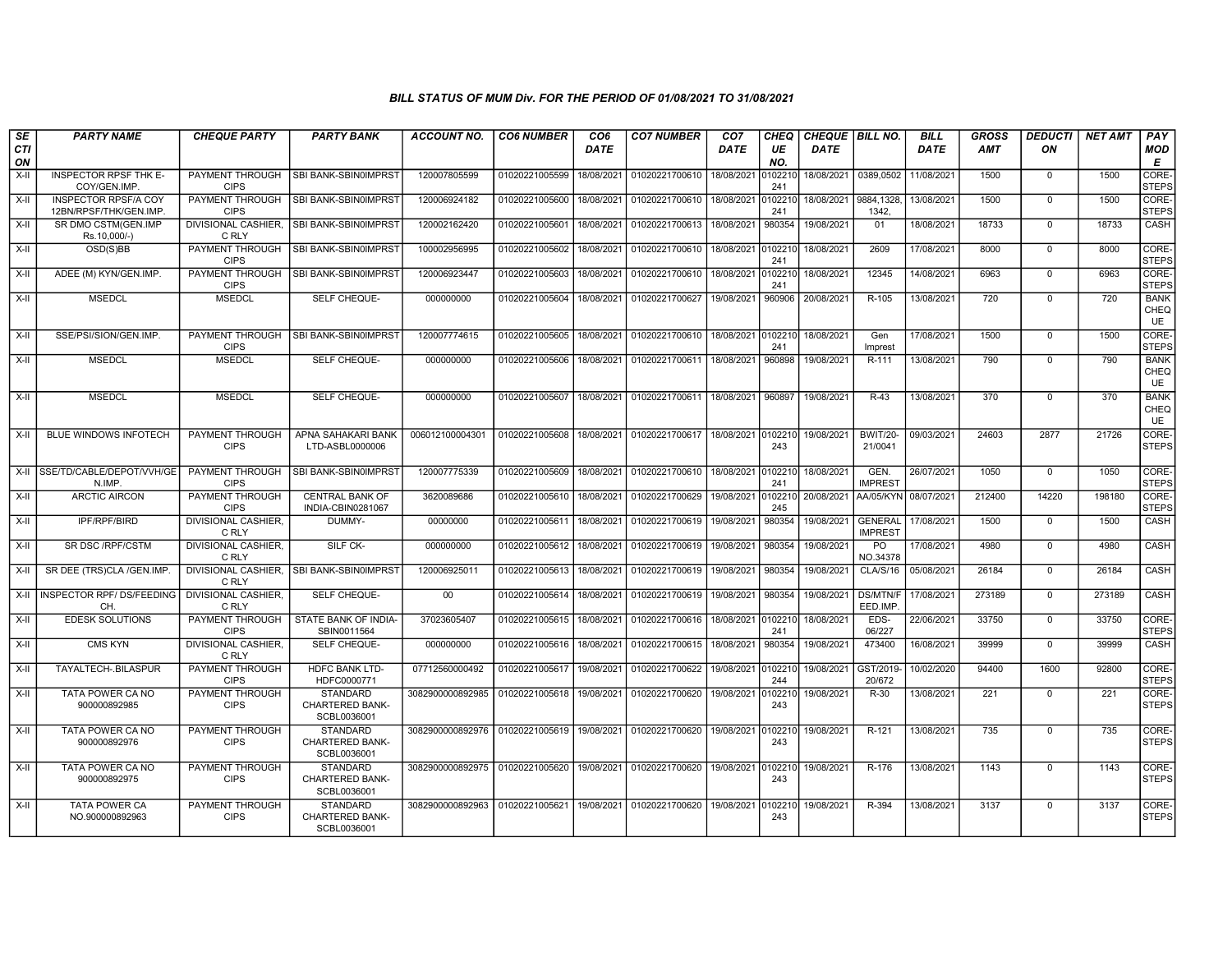| SE<br><b>CTI</b> | <b>PARTY NAME</b>                           | <b>CHEQUE PARTY</b>                   | <b>PARTY BANK</b>                                        | <b>ACCOUNT NO.</b>                                                          | <b>CO6 NUMBER</b>         | CO <sub>6</sub><br><b>DATE</b> | <b>CO7 NUMBER</b>                                           | CO <sub>7</sub><br><b>DATE</b> | <b>CHEQ</b><br>UE | CHEQUE   BILL NO.<br><b>DATE</b> |                                  | <b>BILL</b><br><b>DATE</b> | <b>GROSS</b><br>AMT | <b>DEDUCTI</b><br>ON | <b>NET AMT</b> | PAY<br><b>MOD</b>                |
|------------------|---------------------------------------------|---------------------------------------|----------------------------------------------------------|-----------------------------------------------------------------------------|---------------------------|--------------------------------|-------------------------------------------------------------|--------------------------------|-------------------|----------------------------------|----------------------------------|----------------------------|---------------------|----------------------|----------------|----------------------------------|
| ON<br>X-II       | <b>INSPECTOR RPSF THK E-</b>                | <b>PAYMENT THROUGH</b>                | SBI BANK-SBIN0IMPRST                                     | 120007805599                                                                | 01020221005599            | 18/08/2021                     | 01020221700610                                              | 18/08/2021                     | NO.<br>010221     |                                  | 18/08/2021 0389,0502             | 11/08/2021                 | 1500                | 0                    | 1500           | E<br>CORE-                       |
| X-II             | COY/GEN.IMP.<br><b>INSPECTOR RPSF/A COY</b> | <b>CIPS</b><br><b>PAYMENT THROUGH</b> | SBI BANK-SBIN0IMPRST                                     | 120006924182                                                                | 01020221005600            | 18/08/2021                     | 01020221700610                                              | 18/08/2021                     | 241<br>010221     | 18/08/2021                       | 9884,1328,                       | 13/08/2021                 | 1500                | $\overline{0}$       | 1500           | <b>STEPS</b><br>CORE-            |
|                  | 12BN/RPSF/THK/GEN.IMP.                      | <b>CIPS</b>                           |                                                          |                                                                             |                           |                                |                                                             |                                | 241               |                                  | 1342.                            |                            |                     |                      |                | STEPS                            |
| X-II             | SR DMO CSTM(GEN.IMP<br>Rs.10,000/-)         | <b>DIVISIONAL CASHIER.</b><br>C RLY   | SBI BANK-SBIN0IMPRST                                     | 120002162420                                                                | 01020221005601            | 18/08/2021                     | 01020221700613                                              | 18/08/2021                     | 980354            | 19/08/2021                       | 01                               | 18/08/2021                 | 18733               | $\Omega$             | 18733          | CASH                             |
| X-II             | OSD(S)BB                                    | PAYMENT THROUGH<br><b>CIPS</b>        | <b>SBI BANK-SBIN0IMPRST</b>                              | 100002956995                                                                | 01020221005602            | 18/08/2021                     | 01020221700610                                              | 18/08/2021                     | 010221<br>241     | 18/08/2021                       | 2609                             | 17/08/2021                 | 8000                | $\mathbf 0$          | 8000           | CORE-<br><b>STEPS</b>            |
| X-II             | ADEE (M) KYN/GEN.IMP.                       | PAYMENT THROUGH<br><b>CIPS</b>        | <b>SBI BANK-SBIN0IMPRST</b>                              | 120006923447                                                                | 01020221005603            | 18/08/2021                     | 01020221700610 18/08/2021 010221                            |                                | 241               | 18/08/2021                       | 12345                            | 14/08/2021                 | 6963                | $\mathbf{0}$         | 6963           | CORE-<br><b>STEPS</b>            |
| X-II             | <b>MSEDCL</b>                               | <b>MSEDCL</b>                         | SELF CHEQUE-                                             | 000000000                                                                   | 01020221005604            | 18/08/2021                     | 01020221700627                                              | 19/08/2021                     | 960906            | 20/08/2021                       | R-105                            | 13/08/2021                 | 720                 | $\Omega$             | 720            | <b>BANK</b><br>CHEQ<br><b>UE</b> |
| X-II             | SSE/PSI/SION/GEN.IMP.                       | PAYMENT THROUGH<br><b>CIPS</b>        | <b>ISBI BANK-SBIN0IMPRST</b>                             | 120007774615                                                                |                           |                                | 01020221005605 18/08/2021 01020221700610 18/08/2021 0102210 |                                | 241               | 18/08/2021                       | Gen<br>Imprest                   | 17/08/2021                 | 1500                | $\Omega$             | 1500           | CORE-<br><b>STEPS</b>            |
| X-II             | <b>MSEDCL</b>                               | <b>MSEDCL</b>                         | SELF CHEQUE-                                             | 000000000                                                                   | 01020221005606            | 18/08/2021                     | 01020221700611                                              | 18/08/2021                     | 960898            | 19/08/2021                       | R-111                            | 13/08/2021                 | 790                 | $\Omega$             | 790            | <b>BANK</b><br>CHEQ<br>UE        |
| X-II             | <b>MSEDCL</b>                               | <b>MSEDCL</b>                         | SELF CHEQUE-                                             | 000000000                                                                   | 01020221005607            | 18/08/2021                     | 01020221700611                                              | 18/08/2021                     | 960897            | 19/08/2021                       | $R-43$                           | 13/08/2021                 | 370                 | $\Omega$             | 370            | <b>BANK</b><br>CHEQ<br><b>UE</b> |
| X-II             | <b>BLUE WINDOWS INFOTECH</b>                | PAYMENT THROUGH<br><b>CIPS</b>        | APNA SAHAKARI BANK<br>LTD-ASBL0000006                    | 006012100004301                                                             | 01020221005608            | 18/08/2021                     | 01020221700617                                              | 18/08/2021 0102210             | 243               | 19/08/2021                       | <b>BWIT/20-</b><br>21/0041       | 09/03/2021                 | 24603               | 2877                 | 21726          | CORE-<br><b>STEPS</b>            |
|                  | X-II SSE/TD/CABLE/DEPOT/VVH/GE<br>N.IMP.    | <b>PAYMENT THROUGH</b><br><b>CIPS</b> | SBI BANK-SBIN0IMPRST                                     | 120007775339                                                                | 01020221005609            | 18/08/2021                     | 01020221700610 18/08/2021 010221                            |                                | 241               | 18/08/2021                       | GEN.<br><b>IMPREST</b>           | 26/07/2021                 | 1050                | $\mathbf 0$          | 1050           | CORE-<br><b>STEPS</b>            |
| X-II             | <b>ARCTIC AIRCON</b>                        | PAYMENT THROUGH<br><b>CIPS</b>        | <b>CENTRAL BANK OF</b><br>INDIA-CBIN0281067              | 3620089686                                                                  | 01020221005610 18/08/2021 |                                | 01020221700629                                              | 19/08/2021                     | 0102210<br>245    | 20/08/2021                       | AA/05/KYN 08/07/2021             |                            | 212400              | 14220                | 198180         | CORE-<br><b>STEPS</b>            |
| X-II             | IPF/RPF/BIRD                                | <b>DIVISIONAL CASHIER.</b><br>C RLY   | DUMMY-                                                   | 00000000                                                                    | 01020221005611            | 18/08/2021                     | 01020221700619                                              | 19/08/2021                     | 980354            | 19/08/2021                       | <b>GENERAL</b><br><b>IMPREST</b> | 17/08/2021                 | 1500                | $\overline{0}$       | 1500           | CASH                             |
| X-II             | <b>SR DSC/RPF/CSTM</b>                      | <b>DIVISIONAL CASHIER.</b><br>C RLY   | SILF CK-                                                 | 000000000                                                                   | 01020221005612            | 18/08/2021                     | 01020221700619 19/08/2021                                   |                                | 980354            | 19/08/2021                       | PO<br>NO.34378                   | 17/08/2021                 | 4980                | $\mathbf{0}$         | 4980           | CASH                             |
| $X-H$            | SR DEE (TRS)CLA /GEN.IMP.                   | C RLY                                 | DIVISIONAL CASHIER, SBI BANK-SBIN0IMPRST                 | 120006925011                                                                | 01020221005613            | 18/08/2021                     | 01020221700619                                              | 19/08/2021                     | 980354            | 19/08/2021                       | <b>CLA/S/16</b>                  | 05/08/2021                 | 26184               | $\overline{0}$       | 26184          | <b>CASH</b>                      |
|                  | X-II INSPECTOR RPF/DS/FEEDING<br><b>CH</b>  | <b>DIVISIONAL CASHIER.</b><br>C RLY   | SELF CHEQUE-                                             | $00\,$                                                                      | 01020221005614            | 18/08/2021                     | 01020221700619                                              | 19/08/2021                     | 980354            | 19/08/2021                       | <b>DS/MTN/F</b><br>EED.IMP.      | 17/08/2021                 | 273189              | $\mathbf 0$          | 273189         | CASH                             |
| X-II             | <b>EDESK SOLUTIONS</b>                      | <b>PAYMENT THROUGH</b><br><b>CIPS</b> | STATE BANK OF INDIA-<br>SBIN0011564                      | 37023605407                                                                 | 01020221005615 18/08/2021 |                                | 01020221700616                                              | 18/08/2021 0102210             | 241               | 18/08/2021                       | EDS-<br>06/227                   | 22/06/2021                 | 33750               | $\mathbf{0}$         | 33750          | CORE-<br><b>STEPS</b>            |
| X-II             | <b>CMS KYN</b>                              | <b>DIVISIONAL CASHIER.</b><br>C RLY   | SELF CHEQUE-                                             | 000000000                                                                   | 01020221005616            | 18/08/2021                     | 01020221700615                                              | 18/08/2021                     | 980354            | 19/08/2021                       | 473400                           | 16/08/2021                 | 39999               | $\mathbf 0$          | 39999          | CASH                             |
| X-II             | TAYALTECH-.BILASPUR                         | <b>PAYMENT THROUGH</b><br><b>CIPS</b> | <b>HDFC BANK LTD-</b><br>HDFC0000771                     | 07712560000492                                                              | 01020221005617            | 19/08/2021                     | 01020221700622                                              | 19/08/2021                     | 010221<br>244     | 19/08/2021                       | GST/2019<br>20/672               | 10/02/2020                 | 94400               | 1600                 | 92800          | CORE-<br><b>STEPS</b>            |
| X-II             | TATA POWER CA NO<br>900000892985            | PAYMENT THROUGH<br><b>CIPS</b>        | <b>STANDARD</b><br>CHARTERED BANK-<br>SCBL0036001        | 3082900000892985                                                            | 01020221005618 19/08/2021 |                                | 01020221700620                                              | 19/08/2021                     | 010221<br>243     | 19/08/2021                       | R-30                             | 13/08/2021                 | 221                 | $\Omega$             | 221            | CORE-<br><b>STEPS</b>            |
| X-II             | TATA POWER CA NO<br>900000892976            | PAYMENT THROUGH<br><b>CIPS</b>        | <b>STANDARD</b><br><b>CHARTERED BANK-</b><br>SCBL0036001 | 3082900000892976 01020221005619 19/08/2021 01020221700620 19/08/2021 010221 |                           |                                |                                                             |                                | 243               | 19/08/2021                       | R-121                            | 13/08/2021                 | 735                 | $\mathbf 0$          | 735            | CORE-<br><b>STEPS</b>            |
| X-II             | TATA POWER CA NO<br>900000892975            | PAYMENT THROUGH<br><b>CIPS</b>        | <b>STANDARD</b><br><b>CHARTERED BANK-</b><br>SCBL0036001 | 3082900000892975 01020221005620 19/08/2021                                  |                           |                                | 01020221700620 19/08/2021 010221                            |                                | 243               | 19/08/2021                       | R-176                            | 13/08/2021                 | 1143                | $\mathbf 0$          | 1143           | CORE-<br><b>STEPS</b>            |
| X-II             | <b>TATA POWER CA</b><br>NO.900000892963     | PAYMENT THROUGH<br><b>CIPS</b>        | <b>STANDARD</b><br>CHARTERED BANK-<br>SCBL0036001        | 3082900000892963                                                            | 01020221005621            | 19/08/2021                     | 01020221700620                                              | 19/08/2021                     | 010221<br>243     | 19/08/2021                       | R-394                            | 13/08/2021                 | 3137                | $\mathbf 0$          | 3137           | CORE-<br><b>STEPS</b>            |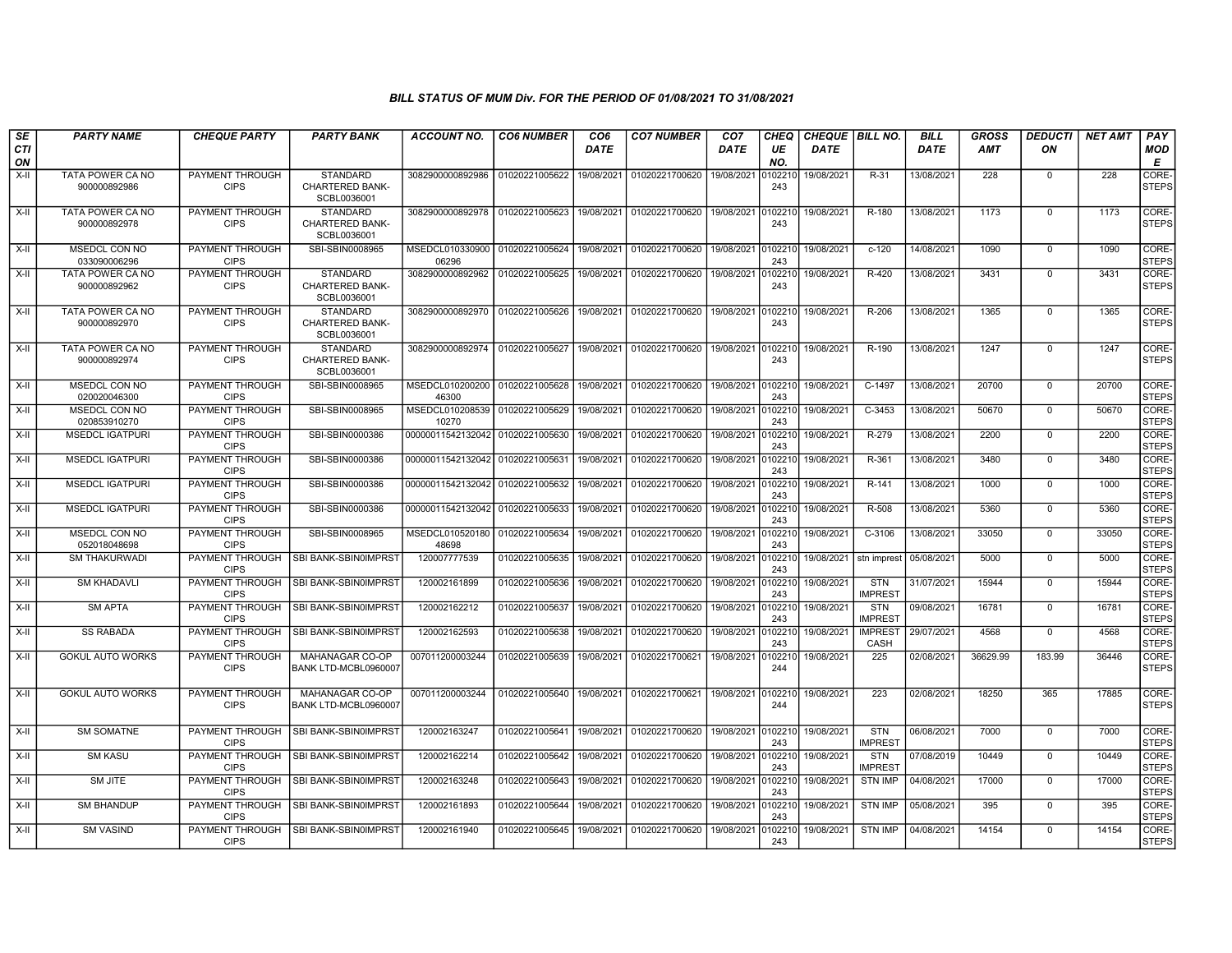| SE               | <b>PARTY NAME</b>                    | <b>CHEQUE PARTY</b>                   | <b>PARTY BANK</b>                                        | <b>ACCOUNT NO.</b>              | <b>CO6 NUMBER</b> | CO <sub>6</sub> | <b>CO7 NUMBER</b> | CO <sub>7</sub> | <b>CHEQ</b>    | <b>CHEQUE   BILL NO.</b> |                              | <b>BILL</b> | <b>GROSS</b> | <b>DEDUCTI</b> | <b>NET AMT</b> | PAY                   |
|------------------|--------------------------------------|---------------------------------------|----------------------------------------------------------|---------------------------------|-------------------|-----------------|-------------------|-----------------|----------------|--------------------------|------------------------------|-------------|--------------|----------------|----------------|-----------------------|
| <b>CTI</b><br>ON |                                      |                                       |                                                          |                                 |                   | <b>DATE</b>     |                   | DATE            | UE<br>NO.      | <b>DATE</b>              |                              | <b>DATE</b> | <b>AMT</b>   | ON             |                | <b>MOD</b><br>Е       |
| $X-H$            | TATA POWER CA NO<br>900000892986     | <b>PAYMENT THROUGH</b><br><b>CIPS</b> | <b>STANDARD</b><br><b>CHARTERED BANK-</b><br>SCBL0036001 | 3082900000892986                | 01020221005622    | 19/08/2021      | 01020221700620    | 19/08/2021      | 102210<br>243  | 19/08/2021               | R-31                         | 13/08/2021  | 228          | $\mathbf{0}$   | 228            | CORE-<br><b>STEPS</b> |
| X-II             | TATA POWER CA NO<br>900000892978     | PAYMENT THROUGH<br><b>CIPS</b>        | <b>STANDARD</b><br><b>CHARTERED BANK-</b><br>SCBL0036001 | 3082900000892978 01020221005623 |                   | 19/08/2021      | 01020221700620    | 19/08/2021      | 102210<br>243  | 19/08/2021               | R-180                        | 13/08/2021  | 1173         | $\Omega$       | 1173           | CORE-<br><b>STEPS</b> |
| X-II             | MSEDCL CON NO<br>033090006296        | PAYMENT THROUGH<br><b>CIPS</b>        | SBI-SBIN0008965                                          | MSEDCL010330900<br>06296        | 01020221005624    | 19/08/2021      | 01020221700620    | 19/08/2021      | 102210<br>243  | 19/08/2021               | $c-120$                      | 14/08/2021  | 1090         | $\mathbf 0$    | 1090           | CORE-<br><b>STEPS</b> |
| X-II             | TATA POWER CA NO<br>900000892962     | PAYMENT THROUGH<br><b>CIPS</b>        | STANDARD<br>CHARTERED BANK-<br>SCBL0036001               | 3082900000892962                | 01020221005625    | 19/08/2021      | 01020221700620    | 19/08/2021      | 0102210<br>243 | 19/08/2021               | R-420                        | 13/08/2021  | 3431         | $\mathbf 0$    | 3431           | CORE-<br><b>STEPS</b> |
| X-II             | TATA POWER CA NO<br>900000892970     | PAYMENT THROUGH<br><b>CIPS</b>        | <b>STANDARD</b><br><b>CHARTERED BANK-</b><br>SCBL0036001 | 3082900000892970                | 01020221005626    | 19/08/2021      | 01020221700620    | 19/08/2021      | 102210<br>243  | 19/08/2021               | R-206                        | 13/08/2021  | 1365         | $\mathbf 0$    | 1365           | CORE-<br><b>STEPS</b> |
| $X-H$            | TATA POWER CA NO<br>900000892974     | PAYMENT THROUGH<br><b>CIPS</b>        | <b>STANDARD</b><br><b>CHARTERED BANK-</b><br>SCBL0036001 | 3082900000892974                | 01020221005627    | 19/08/2021      | 01020221700620    | 19/08/2021      | 102210<br>243  | 19/08/2021               | R-190                        | 13/08/2021  | 1247         | $\mathbf 0$    | 1247           | CORE-<br><b>STEPS</b> |
| X-II             | MSEDCL CON NO<br>020020046300        | PAYMENT THROUGH<br><b>CIPS</b>        | SBI-SBIN0008965                                          | MSEDCL010200200<br>46300        | 01020221005628    | 19/08/2021      | 01020221700620    | 19/08/2021      | 102210<br>243  | 19/08/2021               | C-1497                       | 13/08/2021  | 20700        | $\mathbf 0$    | 20700          | CORE-<br><b>STEPS</b> |
| X-II             | <b>MSEDCL CON NO</b><br>020853910270 | PAYMENT THROUGH<br><b>CIPS</b>        | SBI-SBIN0008965                                          | MSEDCL010208539<br>10270        | 01020221005629    | 19/08/2021      | 01020221700620    | 19/08/2021      | 102210<br>243  | 19/08/2021               | $C-3453$                     | 13/08/2021  | 50670        | $\mathbf 0$    | 50670          | CORE-<br><b>STEPS</b> |
| X-II             | <b>MSEDCL IGATPURI</b>               | PAYMENT THROUGH<br><b>CIPS</b>        | SBI-SBIN0000386                                          | 00000011542132042               | 01020221005630    | 19/08/2021      | 01020221700620    | 19/08/2021      | 102210<br>243  | 19/08/2021               | R-279                        | 13/08/2021  | 2200         | $\mathbf 0$    | 2200           | CORE-<br><b>STEPS</b> |
| X-II             | <b>MSEDCL IGATPURI</b>               | PAYMENT THROUGH<br><b>CIPS</b>        | SBI-SBIN0000386                                          | 00000011542132042               | 01020221005631    | 19/08/2021      | 01020221700620    | 19/08/2021      | 102210<br>243  | 19/08/2021               | R-361                        | 13/08/2021  | 3480         | $\Omega$       | 3480           | CORE-<br><b>STEPS</b> |
| X-II             | <b>MSEDCL IGATPURI</b>               | PAYMENT THROUGH<br><b>CIPS</b>        | SBI-SBIN0000386                                          | 00000011542132042               | 01020221005632    | 19/08/2021      | 01020221700620    | 19/08/2021      | 102210<br>243  | 19/08/2021               | R-141                        | 13/08/2021  | 1000         | $\mathbf 0$    | 1000           | CORE-<br><b>STEPS</b> |
| X-II             | <b>MSEDCL IGATPURI</b>               | PAYMENT THROUGH<br><b>CIPS</b>        | SBI-SBIN0000386                                          | 00000011542132042               | 01020221005633    | 19/08/2021      | 01020221700620    | 19/08/2021      | 102210<br>243  | 19/08/2021               | R-508                        | 13/08/2021  | 5360         | $\mathbf{0}$   | 5360           | CORE-<br><b>STEPS</b> |
| $X-H$            | <b>MSEDCL CON NO</b><br>052018048698 | <b>PAYMENT THROUGH</b><br><b>CIPS</b> | SBI-SBIN0008965                                          | MSEDCL010520180<br>48698        | 01020221005634    | 19/08/2021      | 01020221700620    | 19/08/2021      | 102210<br>243  | 19/08/2021               | $C-3106$                     | 13/08/2021  | 33050        | $\mathbf 0$    | 33050          | CORE-<br><b>STEPS</b> |
| X-II             | <b>SM THAKURWADI</b>                 | PAYMENT THROUGH<br><b>CIPS</b>        | SBI BANK-SBIN0IMPRST                                     | 120007777539                    | 01020221005635    | 19/08/2021      | 01020221700620    | 19/08/2021      | 102210<br>243  | 19/08/2021               | stn imprest                  | 05/08/2021  | 5000         | $\mathbf{0}$   | 5000           | CORE-<br><b>STEPS</b> |
| $X-H$            | <b>SM KHADAVLI</b>                   | PAYMENT THROUGH<br><b>CIPS</b>        | SBI BANK-SBIN0IMPRST                                     | 120002161899                    | 01020221005636    | 19/08/2021      | 01020221700620    | 19/08/2021      | 0102210<br>243 | 19/08/2021               | <b>STN</b><br><b>IMPREST</b> | 31/07/2021  | 15944        | $\mathbf{0}$   | 15944          | CORE-<br><b>STEPS</b> |
| X-II             | <b>SM APTA</b>                       | PAYMENT THROUGH<br><b>CIPS</b>        | SBI BANK-SBIN0IMPRST                                     | 120002162212                    | 01020221005637    | 19/08/2021      | 01020221700620    | 19/08/2021      | 102210<br>243  | 19/08/2021               | <b>STN</b><br><b>IMPREST</b> | 09/08/2021  | 16781        | $\mathbf{0}$   | 16781          | CORE-<br><b>STEPS</b> |
| $X-H$            | <b>SS RABADA</b>                     | <b>PAYMENT THROUGH</b><br><b>CIPS</b> | SBI BANK-SBIN0IMPRST                                     | 120002162593                    | 01020221005638    | 19/08/2021      | 01020221700620    | 19/08/2021      | 102210<br>243  | 19/08/2021               | <b>IMPREST</b><br>CASH       | 29/07/2021  | 4568         | $\Omega$       | 4568           | CORE-<br><b>STEPS</b> |
| X-II             | <b>GOKUL AUTO WORKS</b>              | PAYMENT THROUGH<br><b>CIPS</b>        | <b>MAHANAGAR CO-OP</b><br>BANK LTD-MCBL0960007           | 007011200003244                 | 01020221005639    | 19/08/2021      | 01020221700621    | 19/08/2021      | 102210<br>244  | 19/08/2021               | 225                          | 02/08/2021  | 36629.99     | 183.99         | 36446          | CORE-<br><b>STEPS</b> |
| X-II             | <b>GOKUL AUTO WORKS</b>              | PAYMENT THROUGH<br><b>CIPS</b>        | MAHANAGAR CO-OP<br>BANK LTD-MCBL0960007                  | 007011200003244                 | 01020221005640    | 19/08/2021      | 01020221700621    | 19/08/2021      | 102210<br>244  | 19/08/2021               | 223                          | 02/08/2021  | 18250        | 365            | 17885          | CORE-<br><b>STEPS</b> |
| $X-II$           | <b>SM SOMATNE</b>                    | PAYMENT THROUGH<br><b>CIPS</b>        | SBI BANK-SBIN0IMPRST                                     | 120002163247                    | 01020221005641    | 19/08/2021      | 01020221700620    | 19/08/2021      | 102210<br>243  | 19/08/2021               | <b>STN</b><br><b>IMPREST</b> | 06/08/2021  | 7000         | $\mathbf 0$    | 7000           | CORE-<br><b>STEPS</b> |
| X-II             | <b>SM KASU</b>                       | PAYMENT THROUGH<br><b>CIPS</b>        | SBI BANK-SBIN0IMPRST                                     | 120002162214                    | 01020221005642    | 19/08/2021      | 01020221700620    | 19/08/2021      | 102210<br>243  | 19/08/2021               | <b>STN</b><br><b>IMPREST</b> | 07/08/2019  | 10449        | $\mathbf 0$    | 10449          | CORE-<br><b>STEPS</b> |
| $X-H$            | <b>SM JITE</b>                       | PAYMENT THROUGH<br><b>CIPS</b>        | SBI BANK-SBIN0IMPRST                                     | 120002163248                    | 01020221005643    | 19/08/2021      | 01020221700620    | 19/08/2021      | 102210<br>243  | 19/08/2021               | <b>STN IMP</b>               | 04/08/2021  | 17000        | $^{\circ}$     | 17000          | CORE-<br><b>STEPS</b> |
| X-II             | <b>SM BHANDUP</b>                    | PAYMENT THROUGH<br><b>CIPS</b>        | SBI BANK-SBIN0IMPRST                                     | 120002161893                    | 01020221005644    | 19/08/2021      | 01020221700620    | 19/08/2021      | 102210<br>243  | 19/08/2021               | <b>STN IMP</b>               | 05/08/2021  | 395          | $^{\circ}$     | 395            | CORE-<br><b>STEPS</b> |
| X-II             | <b>SM VASIND</b>                     | PAYMENT THROUGH<br><b>CIPS</b>        | SBI BANK-SBIN0IMPRST                                     | 120002161940                    | 01020221005645    | 19/08/2021      | 01020221700620    | 19/08/2021      | 102210<br>243  | 19/08/2021               | <b>STN IMP</b>               | 04/08/2021  | 14154        | $\mathbf 0$    | 14154          | CORE-<br><b>STEPS</b> |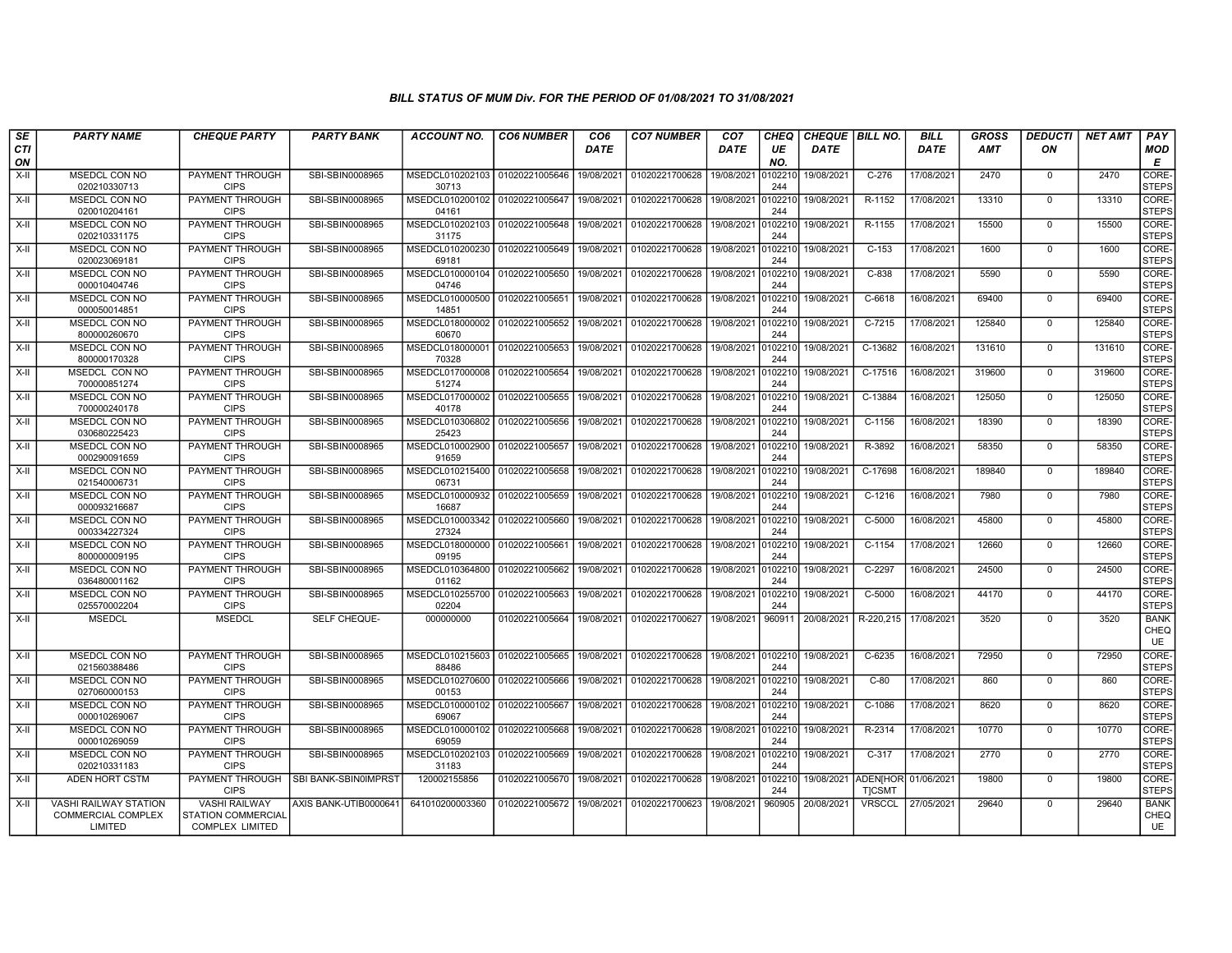| SE               | <b>PARTY NAME</b>                     | <b>CHEQUE PARTY</b>                                 | <b>PARTY BANK</b>     | ACCOUNT NO.                               | <b>CO6 NUMBER</b> | CO6         | <b>CO7 NUMBER</b> | CO <sub>7</sub> | CHEQ           | <b>CHEQUE   BILL NO.</b> |                                | <b>BILL</b> | GROSS      | <b>DEDUCTI</b> | <b>NET AMT</b> | <b>PAY</b>                  |
|------------------|---------------------------------------|-----------------------------------------------------|-----------------------|-------------------------------------------|-------------------|-------------|-------------------|-----------------|----------------|--------------------------|--------------------------------|-------------|------------|----------------|----------------|-----------------------------|
| <b>CTI</b><br>ON |                                       |                                                     |                       |                                           |                   | <b>DATE</b> |                   | <b>DATE</b>     | UE<br>NO.      | <b>DATE</b>              |                                | <b>DATE</b> | <b>AMT</b> | ON             |                | MOD<br>Е                    |
| $X-H$            | MSEDCL CON NO<br>020210330713         | <b>PAYMENT THROUGH</b><br><b>CIPS</b>               | SBI-SBIN0008965       | MSEDCL010202103<br>30713                  | 01020221005646    | 19/08/2021  | 01020221700628    | 19/08/2021      | 102210<br>244  | 19/08/2021               | $C-276$                        | 17/08/2021  | 2470       | $\mathbf 0$    | 2470           | CORE-<br><b>STEPS</b>       |
| X-II             | MSEDCL CON NO<br>020010204161         | PAYMENT THROUGH<br><b>CIPS</b>                      | SBI-SBIN0008965       | MSEDCL010200102   01020221005647<br>04161 |                   | 19/08/2021  | 01020221700628    | 19/08/2021      | 102210<br>244  | 19/08/2021               | R-1152                         | 17/08/2021  | 13310      | $\mathbf 0$    | 13310          | CORE-<br><b>STEPS</b>       |
| $X-II$           | MSEDCL CON NO<br>020210331175         | PAYMENT THROUGH<br><b>CIPS</b>                      | SBI-SBIN0008965       | MSEDCL010202103<br>31175                  | 01020221005648    | 19/08/2021  | 01020221700628    | 19/08/2021      | 0102210<br>244 | 19/08/2021               | R-1155                         | 17/08/2021  | 15500      | $\Omega$       | 15500          | CORE-<br><b>STEPS</b>       |
| X-II             | <b>MSEDCL CON NO</b><br>020023069181  | PAYMENT THROUGH<br><b>CIPS</b>                      | SBI-SBIN0008965       | MSEDCL010200230   01020221005649<br>69181 |                   | 19/08/2021  | 01020221700628    | 19/08/2021      | 102210<br>244  | 19/08/2021               | $C-153$                        | 17/08/2021  | 1600       | $\mathbf 0$    | 1600           | CORE-<br><b>STEPS</b>       |
| $X-H$            | <b>MSEDCL CON NO</b><br>000010404746  | PAYMENT THROUGH<br><b>CIPS</b>                      | SBI-SBIN0008965       | MSEDCL010000104<br>04746                  | 01020221005650    | 19/08/2021  | 01020221700628    | 19/08/2021      | 102210<br>244  | 19/08/2021               | $C-838$                        | 17/08/2021  | 5590       | $\mathbf 0$    | 5590           | CORE-<br><b>STEPS</b>       |
| X-II             | MSEDCL CON NO<br>000050014851         | PAYMENT THROUGH<br><b>CIPS</b>                      | SBI-SBIN0008965       | MSEDCL010000500<br>14851                  | 01020221005651    | 19/08/2021  | 01020221700628    | 19/08/2021      | 0102210<br>244 | 19/08/2021               | C-6618                         | 16/08/2021  | 69400      | $\mathbf 0$    | 69400          | CORE-<br><b>STEPS</b>       |
| X-II             | MSEDCL CON NO<br>800000260670         | PAYMENT THROUGH<br><b>CIPS</b>                      | SBI-SBIN0008965       | MSEDCL018000002<br>60670                  | 01020221005652    | 19/08/2021  | 01020221700628    | 19/08/2021      | 102210<br>244  | 19/08/2021               | C-7215                         | 17/08/2021  | 125840     | $\Omega$       | 125840         | CORE-<br><b>STEPS</b>       |
| X-II             | MSEDCL CON NO<br>800000170328         | PAYMENT THROUGH<br><b>CIPS</b>                      | SBI-SBIN0008965       | MSEDCL018000001<br>70328                  | 01020221005653    | 19/08/2021  | 01020221700628    | 19/08/2021      | 0102210<br>244 | 19/08/2021               | C-13682                        | 16/08/2021  | 131610     | $\mathbf{0}$   | 131610         | CORE-<br><b>STEPS</b>       |
| X-II             | MSEDCL CON NO<br>700000851274         | PAYMENT THROUGH<br><b>CIPS</b>                      | SBI-SBIN0008965       | MSEDCL017000008 01020221005654<br>51274   |                   | 19/08/2021  | 01020221700628    | 19/08/2021      | 102210<br>244  | 19/08/2021               | $C-17516$                      | 16/08/2021  | 319600     | $\Omega$       | 319600         | CORE-<br><b>STEPS</b>       |
| $X-H$            | MSEDCL CON NO<br>700000240178         | <b>PAYMENT THROUGH</b><br><b>CIPS</b>               | SBI-SBIN0008965       | MSEDCL017000002<br>40178                  | 01020221005655    | 19/08/2021  | 01020221700628    | 19/08/2021      | 0102210<br>244 | 19/08/2021               | C-13884                        | 16/08/2021  | 125050     | $\mathbf 0$    | 125050         | CORE-<br><b>STEPS</b>       |
| X-II             | MSEDCL CON NO<br>030680225423         | PAYMENT THROUGH<br><b>CIPS</b>                      | SBI-SBIN0008965       | MSEDCL010306802<br>25423                  | 01020221005656    | 19/08/2021  | 01020221700628    | 19/08/2021      | 102210<br>244  | 19/08/2021               | C-1156                         | 16/08/2021  | 18390      | $\Omega$       | 18390          | CORE-<br><b>STEPS</b>       |
| X-II             | MSEDCL CON NO<br>000290091659         | PAYMENT THROUGH<br><b>CIPS</b>                      | SBI-SBIN0008965       | MSEDCL010002900<br>91659                  | 01020221005657    | 19/08/2021  | 01020221700628    | 19/08/2021      | 102210<br>244  | 19/08/2021               | R-3892                         | 16/08/2021  | 58350      | $\mathbf 0$    | 58350          | CORE-<br><b>STEPS</b>       |
| X-II             | MSEDCL CON NO<br>021540006731         | PAYMENT THROUGH<br><b>CIPS</b>                      | SBI-SBIN0008965       | MSEDCL010215400   01020221005658<br>06731 |                   | 19/08/2021  | 01020221700628    | 19/08/2021      | 0102210<br>244 | 19/08/2021               | C-17698                        | 16/08/2021  | 189840     | $\Omega$       | 189840         | CORE-<br><b>STEPS</b>       |
| X-II             | <b>MSEDCL CON NO</b><br>000093216687  | PAYMENT THROUGH<br><b>CIPS</b>                      | SBI-SBIN0008965       | MSEDCL010000932<br>16687                  | 01020221005659    | 19/08/2021  | 01020221700628    | 19/08/2021      | 102210<br>244  | 19/08/2021               | $C-1216$                       | 16/08/2021  | 7980       | $\mathbf 0$    | 7980           | CORE-<br><b>STEPS</b>       |
| X-II             | MSEDCL CON NO<br>000334227324         | PAYMENT THROUGH<br><b>CIPS</b>                      | SBI-SBIN0008965       | MSEDCL010003342 01020221005660<br>27324   |                   | 19/08/2021  | 01020221700628    | 19/08/2021      | 0102210<br>244 | 19/08/2021               | $C-5000$                       | 16/08/2021  | 45800      | $\Omega$       | 45800          | CORE-<br><b>STEPS</b>       |
| X-II             | MSEDCL CON NO<br>800000009195         | PAYMENT THROUGH<br><b>CIPS</b>                      | SBI-SBIN0008965       | MSEDCL018000000<br>09195                  | 01020221005661    | 19/08/2021  | 01020221700628    | 19/08/2021      | 102210<br>244  | 19/08/2021               | C-1154                         | 17/08/2021  | 12660      | $\mathbf 0$    | 12660          | CORE-<br><b>STEPS</b>       |
| X-II             | <b>MSEDCL CON NO</b><br>036480001162  | PAYMENT THROUGH<br><b>CIPS</b>                      | SBI-SBIN0008965       | MSEDCL010364800<br>01162                  | 01020221005662    | 19/08/2021  | 01020221700628    | 19/08/2021      | 102210<br>244  | 19/08/2021               | $C-2297$                       | 16/08/2021  | 24500      | $\Omega$       | 24500          | CORE-<br><b>STEPS</b>       |
| X-II             | MSEDCL CON NO<br>025570002204         | <b>PAYMENT THROUGH</b><br><b>CIPS</b>               | SBI-SBIN0008965       | MSEDCL010255700 01020221005663<br>02204   |                   | 19/08/2021  | 01020221700628    | 19/08/2021      | 0102210<br>244 | 19/08/2021               | C-5000                         | 16/08/2021  | 44170      | $\mathbf 0$    | 44170          | CORE-<br><b>STEPS</b>       |
| X-II             | <b>MSEDCL</b>                         | <b>MSEDCL</b>                                       | SELF CHEQUE-          | 000000000                                 | 01020221005664    | 19/08/2021  | 01020221700627    | 19/08/2021      | 960911         | 20/08/2021               | R-220,215                      | 17/08/2021  | 3520       | $\mathbf 0$    | 3520           | <b>BANK</b><br>CHEQ         |
| X-II             | <b>MSEDCL CON NO</b>                  | <b>PAYMENT THROUGH</b>                              | SBI-SBIN0008965       | MSEDCL010215603                           | 01020221005665    | 19/08/2021  | 01020221700628    | 19/08/2021      | 0102210        | 19/08/2021               | C-6235                         | 16/08/2021  | 72950      | $\mathbf 0$    | 72950          | UE<br>CORE-                 |
| $X-II$           | 021560388486<br><b>MSEDCL CON NO</b>  | <b>CIPS</b><br><b>PAYMENT THROUGH</b>               | SBI-SBIN0008965       | 88486<br>MSEDCL010270600                  | 01020221005666    | 19/08/2021  | 01020221700628    | 19/08/2021      | 244<br>0102210 | 19/08/2021               | $C-80$                         | 17/08/2021  | 860        | $\Omega$       | 860            | <b>STEPS</b><br>CORE-       |
| X-II             | 027060000153<br>MSEDCL CON NO         | <b>CIPS</b><br>PAYMENT THROUGH                      | SBI-SBIN0008965       | 00153<br>MSEDCL010000102                  | 01020221005667    | 19/08/2021  | 01020221700628    | 19/08/2021      | 244<br>102210  | 19/08/2021               | C-1086                         | 17/08/2021  | 8620       | $\mathbf 0$    | 8620           | <b>STEPS</b><br>CORE-       |
| $X-II$           | 000010269067<br><b>MSEDCL CON NO</b>  | <b>CIPS</b><br>PAYMENT THROUGH                      | SBI-SBIN0008965       | 69067<br>MSEDCL010000102                  | 01020221005668    | 19/08/2021  | 01020221700628    | 19/08/2021      | 244<br>102210  | 19/08/2021               | R-2314                         | 17/08/2021  | 10770      | $\Omega$       | 10770          | <b>STEPS</b><br>CORE-       |
| X-II             | 000010269059<br><b>MSEDCL CON NO</b>  | <b>CIPS</b><br>PAYMENT THROUGH                      | SBI-SBIN0008965       | 69059<br>MSEDCL010202103                  | 01020221005669    | 19/08/2021  | 01020221700628    | 19/08/2021      | 244<br>0102210 | 19/08/2021               | $C-317$                        | 17/08/2021  | 2770       | $\mathbf{0}$   | 2770           | <b>STEPS</b><br>CORE-       |
| $X-H$            | 020210331183<br><b>ADEN HORT CSTM</b> | <b>CIPS</b><br>PAYMENT THROUGH                      | SBI BANK-SBIN0IMPRST  | 31183<br>120002155856                     | 01020221005670    | 19/08/2021  | 01020221700628    | 19/08/2021      | 244<br>102210  | 19/08/2021               | ADEN[HOR 01/06/2021            |             | 19800      | $\mathbf 0$    | 19800          | <b>STEPS</b><br>CORE-       |
| X-II             | VASHI RAILWAY STATION                 | <b>CIPS</b><br><b>VASHI RAILWAY</b>                 | AXIS BANK-UTIB0000641 | 641010200003360                           | 01020221005672    | 19/08/2021  | 01020221700623    | 19/08/2021      | 244<br>960905  | 20/08/2021               | <b>TICSMT</b><br><b>VRSCCL</b> | 27/05/2021  | 29640      | $\mathbf 0$    | 29640          | <b>STEPS</b><br><b>BANK</b> |
|                  | <b>COMMERCIAL COMPLEX</b><br>LIMITED  | <b>STATION COMMERCIAL</b><br><b>COMPLEX LIMITED</b> |                       |                                           |                   |             |                   |                 |                |                          |                                |             |            |                |                | CHEQ<br><b>UE</b>           |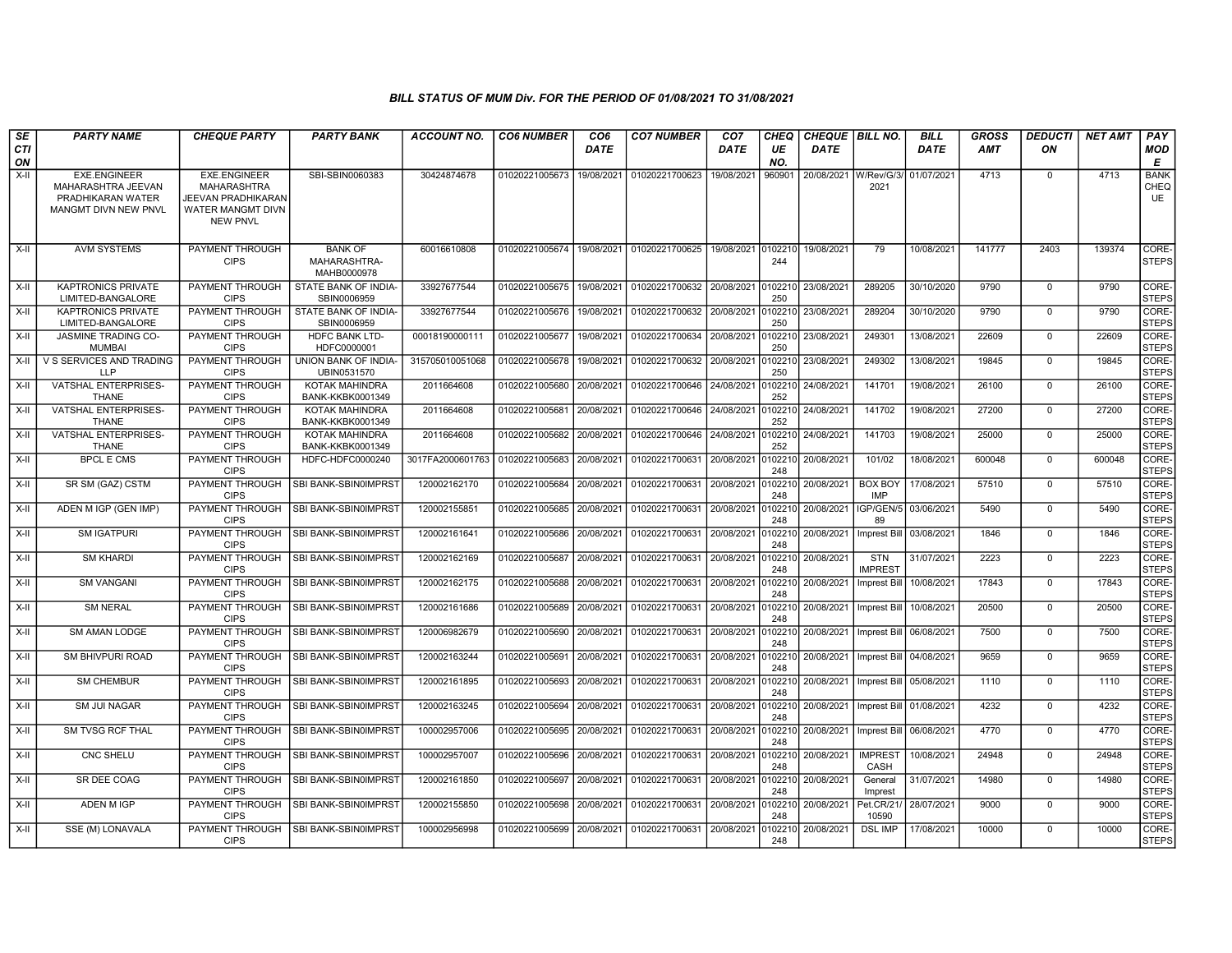| SE               | <b>PARTY NAME</b>                              | <b>CHEQUE PARTY</b>                   | <b>PARTY BANK</b>                          | <b>ACCOUNT NO.</b> | <b>CO6 NUMBER</b> | CO <sub>6</sub> | <b>CO7 NUMBER</b>         | CO <sub>7</sub> | CHEQ           | CHEQUE   BILL NO. |                              | <b>BILL</b> | <b>GROSS</b> | <b>DEDUCTI</b> | <b>NET AMT</b> | PAY                         |
|------------------|------------------------------------------------|---------------------------------------|--------------------------------------------|--------------------|-------------------|-----------------|---------------------------|-----------------|----------------|-------------------|------------------------------|-------------|--------------|----------------|----------------|-----------------------------|
| <b>CTI</b><br>ON |                                                |                                       |                                            |                    |                   | DATE            |                           | <b>DATE</b>     | UE<br>NO.      | DATE              |                              | <b>DATE</b> | <b>AMT</b>   | ΟN             |                | <b>MOD</b><br>Е             |
| $X-H$            | <b>EXE.ENGINEER</b>                            | <b>EXE.ENGINEER</b>                   | SBI-SBIN0060383                            | 30424874678        | 01020221005673    | 19/08/2021      | 01020221700623            | 19/08/2021      | 960901         | 20/08/2021        | W/Rev/G/3                    | 01/07/2021  | 4713         | $\mathbf{0}$   | 4713           | <b>BANK</b>                 |
|                  | MAHARASHTRA JEEVAN<br>PRADHIKARAN WATER        | MAHARASHTRA<br>JEEVAN PRADHIKARAN     |                                            |                    |                   |                 |                           |                 |                |                   | 2021                         |             |              |                |                | CHEQ<br>UE                  |
|                  | MANGMT DIVN NEW PNVL                           | WATER MANGMT DIVN                     |                                            |                    |                   |                 |                           |                 |                |                   |                              |             |              |                |                |                             |
|                  |                                                | <b>NEW PNVL</b>                       |                                            |                    |                   |                 |                           |                 |                |                   |                              |             |              |                |                |                             |
| X-II             | <b>AVM SYSTEMS</b>                             | PAYMENT THROUGH                       | <b>BANK OF</b>                             | 60016610808        | 01020221005674    | 19/08/2021      | 01020221700625            | 19/08/2021      | 0102210        | 19/08/2021        | 79                           | 10/08/2021  | 141777       | 2403           | 139374         | CORE-                       |
|                  |                                                | <b>CIPS</b>                           | MAHARASHTRA-<br>MAHB0000978                |                    |                   |                 |                           |                 | 244            |                   |                              |             |              |                |                | <b>STEPS</b>                |
| $X-H$            | <b>KAPTRONICS PRIVATE</b><br>LIMITED-BANGALORE | <b>PAYMENT THROUGH</b><br><b>CIPS</b> | STATE BANK OF INDIA-<br>SBIN0006959        | 33927677544        | 01020221005675    | 19/08/2021      | 01020221700632 20/08/2021 |                 | 0102210<br>250 | 23/08/2021        | 289205                       | 30/10/2020  | 9790         | $\mathbf 0$    | 9790           | CORE-<br>STEPS              |
| X-II             | <b>KAPTRONICS PRIVATE</b><br>LIMITED-BANGALORE | PAYMENT THROUGH<br><b>CIPS</b>        | STATE BANK OF INDIA-<br>SBIN0006959        | 33927677544        | 01020221005676    | 19/08/2021      | 01020221700632            | 20/08/2021      | 0102210<br>250 | 23/08/2021        | 289204                       | 30/10/2020  | 9790         | $\mathbf{0}$   | 9790           | CORE-<br>STEPS              |
| X-II             | <b>JASMINE TRADING CO-</b><br><b>MUMBAI</b>    | PAYMENT THROUGH<br><b>CIPS</b>        | <b>HDFC BANK LTD-</b><br>HDFC0000001       | 00018190000111     | 01020221005677    | 19/08/2021      | 01020221700634            | 20/08/2021      | 102210<br>250  | 23/08/2021        | 249301                       | 13/08/2021  | 22609        | $\mathbf 0$    | 22609          | <b>CORE</b><br><b>STEPS</b> |
| X-II             | V S SERVICES AND TRADING<br><b>LLP</b>         | PAYMENT THROUGH<br><b>CIPS</b>        | <b>UNION BANK OF INDIA-</b><br>UBIN0531570 | 315705010051068    | 01020221005678    | 19/08/2021      | 01020221700632            | 20/08/2021      | 010221<br>250  | 23/08/2021        | 249302                       | 13/08/2021  | 19845        | $\mathbf 0$    | 19845          | CORE-<br><b>STEPS</b>       |
| X-II             | VATSHAL ENTERPRISES-<br><b>THANE</b>           | PAYMENT THROUGH<br><b>CIPS</b>        | KOTAK MAHINDRA<br>BANK-KKBK0001349         | 2011664608         | 01020221005680    | 20/08/2021      | 01020221700646            | 24/08/2021      | 10221<br>252   | 24/08/2021        | 141701                       | 19/08/2021  | 26100        | $\mathbf 0$    | 26100          | CORE-<br><b>STEPS</b>       |
| X-II             | <b>VATSHAL ENTERPRISES-</b>                    | <b>PAYMENT THROUGH</b>                | KOTAK MAHINDRA                             | 2011664608         | 01020221005681    | 20/08/2021      | 01020221700646 24/08/2021 |                 | 10221          | 24/08/2021        | 141702                       | 19/08/202   | 27200        | $\mathbf 0$    | 27200          | CORE-                       |
| $X-II$           | <b>THANE</b><br>VATSHAL ENTERPRISES-           | <b>CIPS</b><br>PAYMENT THROUGH        | BANK-KKBK0001349<br>KOTAK MAHINDRA         | 2011664608         | 01020221005682    | 20/08/2021      | 01020221700646            | 24/08/2021      | 252<br>0102210 | 24/08/2021        | 141703                       | 19/08/2021  | 25000        | $\mathbf 0$    | 25000          | <b>STEPS</b><br>CORE-       |
|                  | THANE                                          | <b>CIPS</b>                           | BANK-KKBK0001349                           |                    |                   |                 |                           |                 | 252            |                   |                              |             |              |                |                | <b>STEPS</b>                |
| $X-H$            | <b>BPCL E CMS</b>                              | PAYMENT THROUGH<br><b>CIPS</b>        | HDFC-HDFC0000240                           | 3017FA2000601763   | 01020221005683    | 20/08/2021      | 01020221700631            | 20/08/2021      | 0102210<br>248 | 20/08/2021        | 101/02                       | 18/08/2021  | 600048       | $\mathbf 0$    | 600048         | CORE-<br><b>STEPS</b>       |
| X-II             | SR SM (GAZ) CSTM                               | PAYMENT THROUGH<br><b>CIPS</b>        | SBI BANK-SBIN0IMPRST                       | 120002162170       | 01020221005684    | 20/08/2021      | 01020221700631            | 20/08/2021      | 010221<br>248  | 20/08/2021        | <b>BOX BOY</b><br>IMP        | 17/08/2021  | 57510        | $\mathbf 0$    | 57510          | CORE-<br><b>STEPS</b>       |
| X-II             | ADEN M IGP (GEN IMP)                           | <b>PAYMENT THROUGH</b><br><b>CIPS</b> | SBI BANK-SBIN0IMPRST                       | 120002155851       | 01020221005685    | 20/08/2021      | 01020221700631            | 20/08/2021      | 010221<br>248  | 20/08/2021        | IGP/GEN/5<br>89              | 03/06/2021  | 5490         | $\mathbf 0$    | 5490           | CORE-<br><b>STEPS</b>       |
| X-II             | <b>SM IGATPURI</b>                             | PAYMENT THROUGH<br><b>CIPS</b>        | SBI BANK-SBIN0IMPRST                       | 120002161641       | 01020221005686    | 20/08/2021      | 01020221700631            | 20/08/2021      | 0102210<br>248 | 20/08/2021        | Imprest Bill                 | 03/08/2021  | 1846         | $\mathbf 0$    | 1846           | <b>CORE</b><br><b>STEPS</b> |
| X-II             | <b>SM KHARDI</b>                               | PAYMENT THROUGH<br><b>CIPS</b>        | SBI BANK-SBIN0IMPRST                       | 120002162169       | 01020221005687    | 20/08/2021      | 01020221700631            | 20/08/2021      | 010221<br>248  | 20/08/2021        | <b>STN</b><br><b>IMPREST</b> | 31/07/2021  | 2223         | $\mathbf 0$    | 2223           | CORE-<br><b>STEPS</b>       |
| X-II             | <b>SM VANGANI</b>                              | <b>PAYMENT THROUGH</b><br><b>CIPS</b> | SBI BANK-SBIN0IMPRST                       | 120002162175       | 01020221005688    | 20/08/2021      | 01020221700631            | 20/08/2021      | 010221<br>248  | 20/08/2021        | <b>Imprest Bill</b>          | 10/08/2021  | 17843        | $\mathbf 0$    | 17843          | CORE-<br><b>STEPS</b>       |
| X-II             | <b>SM NERAL</b>                                | <b>PAYMENT THROUGH</b><br><b>CIPS</b> | SBI BANK-SBIN0IMPRST                       | 120002161686       | 01020221005689    | 20/08/2021      | 01020221700631            | 20/08/2021      | 10221<br>248   | 20/08/2021        | Imprest Bil                  | 10/08/202   | 20500        | $\mathbf 0$    | 20500          | CORE-<br><b>STEPS</b>       |
| $X-H$            | SM AMAN LODGE                                  | PAYMENT THROUGH<br><b>CIPS</b>        | SBI BANK-SBIN0IMPRST                       | 120006982679       | 01020221005690    | 20/08/2021      | 01020221700631            | 20/08/2021      | 010221<br>248  | 20/08/2021        | Imprest Bill                 | 06/08/2021  | 7500         | $\mathsf 0$    | 7500           | <b>CORE</b><br><b>STEPS</b> |
| $X-II$           | <b>SM BHIVPURI ROAD</b>                        | PAYMENT THROUGH<br><b>CIPS</b>        | SBI BANK-SBIN0IMPRST                       | 120002163244       | 01020221005691    | 20/08/2021      | 01020221700631            | 20/08/2021      | 0102210<br>248 | 20/08/2021        | Imprest Bill                 | 04/08/2021  | 9659         | $\mathbf 0$    | 9659           | CORE-<br><b>STEPS</b>       |
| X-II             | <b>SM CHEMBUR</b>                              | PAYMENT THROUGH<br><b>CIPS</b>        | SBI BANK-SBIN0IMPRST                       | 120002161895       | 01020221005693    | 20/08/2021      | 01020221700631            | 20/08/2021      | 0102210<br>248 | 20/08/2021        | Imprest Bill                 | 05/08/2021  | 1110         | $\mathbf 0$    | 1110           | CORE-<br><b>STEPS</b>       |
| X-II             | <b>SM JUI NAGAR</b>                            | PAYMENT THROUGH<br><b>CIPS</b>        | SBI BANK-SBIN0IMPRST                       | 120002163245       | 01020221005694    | 20/08/2021      | 01020221700631            | 20/08/2021      | 010221<br>248  | 20/08/2021        | Imprest Bill   01/08/2021    |             | 4232         | $\mathbf 0$    | 4232           | CORE-<br>STEPS              |
| X-II             | SM TVSG RCF THAL                               | PAYMENT THROUGH<br><b>CIPS</b>        | SBI BANK-SBIN0IMPRS                        | 100002957006       | 01020221005695    | 20/08/2021      | 01020221700631            | 20/08/2021      | 0102210<br>248 | 20/08/2021        | Imprest Bill                 | 06/08/2021  | 4770         | $\mathsf 0$    | 4770           | CORE-<br><b>STEPS</b>       |
| X-II             | <b>CNC SHELU</b>                               | PAYMENT THROUGH<br><b>CIPS</b>        | SBI BANK-SBIN0IMPRST                       | 100002957007       | 01020221005696    | 20/08/2021      | 01020221700631            | 20/08/2021      | 010221<br>248  | 20/08/2021        | <b>IMPREST</b><br>CASH       | 10/08/2021  | 24948        | $\mathbf 0$    | 24948          | <b>CORE</b><br><b>STEPS</b> |
| X-II             | SR DEE COAG                                    | PAYMENT THROUGH<br><b>CIPS</b>        | SBI BANK-SBIN0IMPRST                       | 120002161850       | 01020221005697    | 20/08/2021      | 01020221700631            | 20/08/2021      | 010221<br>248  | 20/08/2021        | General<br>Imprest           | 31/07/2021  | 14980        | $\mathbf 0$    | 14980          | CORE-<br><b>STEPS</b>       |
| X-II             | <b>ADEN M IGP</b>                              | <b>PAYMENT THROUGH</b><br><b>CIPS</b> | SBI BANK-SBIN0IMPRST                       | 120002155850       | 01020221005698    | 20/08/2021      | 01020221700631            | 20/08/2021      | 010221<br>248  | 20/08/2021        | Pet.CR/21<br>10590           | 28/07/2021  | 9000         | $\mathbf 0$    | 9000           | CORE-<br><b>STEPS</b>       |
| X-II             | SSE (M) LONAVALA                               | PAYMENT THROUGH<br><b>CIPS</b>        | SBI BANK-SBIN0IMPRST                       | 100002956998       | 01020221005699    | 20/08/2021      | 01020221700631            | 20/08/2021      | 0102210<br>248 | 20/08/2021        | <b>DSL IMP</b>               | 17/08/2021  | 10000        | $\mathbf 0$    | 10000          | CORE-<br><b>STEPS</b>       |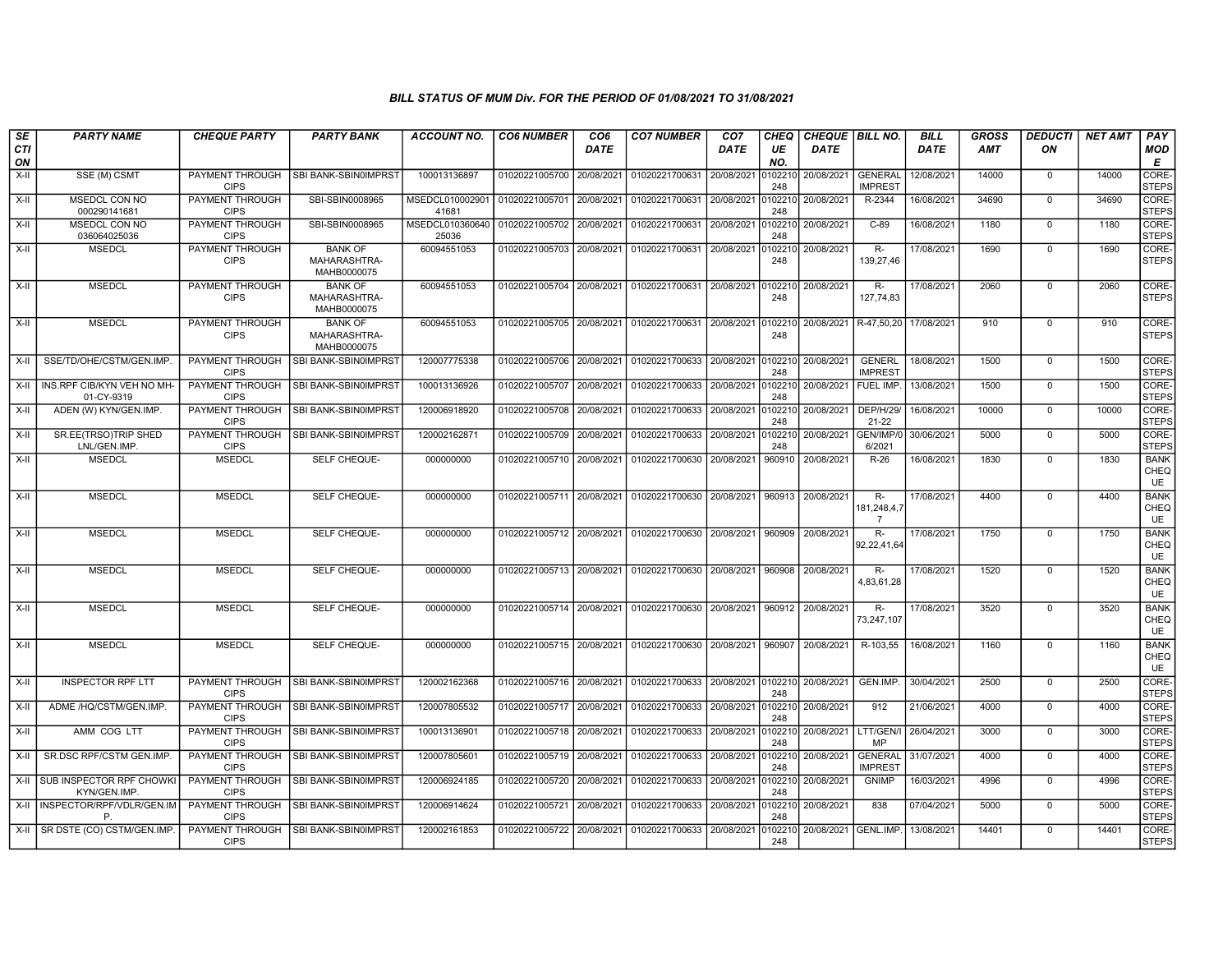| SE               | <b>PARTY NAME</b>                            | <b>CHEQUE PARTY</b>                   | <b>PARTY BANK</b>                             | <b>ACCOUNT NO.</b>       | <b>CO6 NUMBER</b>         | CO <sub>6</sub> | <b>CO7 NUMBER</b>                            | CO <sub>7</sub> | <b>CHEQ</b>    | <b>CHEQUE   BILL NO.</b> |                                  | <b>BILL</b> | <b>GROSS</b> | <b>DEDUCTI</b> | <b>NET AMT</b> | PAY                              |
|------------------|----------------------------------------------|---------------------------------------|-----------------------------------------------|--------------------------|---------------------------|-----------------|----------------------------------------------|-----------------|----------------|--------------------------|----------------------------------|-------------|--------------|----------------|----------------|----------------------------------|
| <b>CTI</b><br>ON |                                              |                                       |                                               |                          |                           | DATE            |                                              | DATE            | UE<br>NO.      | DATE                     |                                  | <b>DATE</b> | <b>AMT</b>   | ON             |                | <b>MOD</b><br>E                  |
| $X-H$            | SSE (M) CSMT                                 | <b>PAYMENT THROUGH</b><br><b>CIPS</b> | SBI BANK-SBIN0IMPRST                          | 100013136897             | 01020221005700 20/08/2021 |                 | 01020221700631                               | 20/08/2021      | 102210<br>248  | 20/08/2021               | <b>GENERAL</b><br><b>IMPREST</b> | 12/08/2021  | 14000        | $\mathbf 0$    | 14000          | CORE-<br><b>STEPS</b>            |
| $X-II$           | <b>MSEDCL CON NO</b><br>000290141681         | <b>PAYMENT THROUGH</b><br><b>CIPS</b> | SBI-SBIN0008965                               | MSEDCL010002901<br>41681 | 01020221005701            | 20/08/2021      | 01020221700631 20/08/2021                    |                 | 0102210<br>248 | 20/08/2021               | R-2344                           | 16/08/2021  | 34690        | $\mathbf 0$    | 34690          | CORE-<br><b>STEPS</b>            |
| X-II             | MSEDCL CON NO<br>036064025036                | PAYMENT THROUGH<br><b>CIPS</b>        | SBI-SBIN0008965                               | MSEDCL010360640<br>25036 | 01020221005702            | 20/08/2021      | 01020221700631                               | 20/08/2021      | 102210<br>248  | 20/08/2021               | $C-89$                           | 16/08/2021  | 1180         | $\mathbf 0$    | 1180           | CORE-<br><b>STEPS</b>            |
| X-II             | <b>MSEDCL</b>                                | PAYMENT THROUGH<br><b>CIPS</b>        | <b>BANK OF</b><br>MAHARASHTRA-<br>MAHB0000075 | 60094551053              | 01020221005703            | 20/08/2021      | 01020221700631                               | 20/08/2021      | 102210<br>248  | 20/08/2021               | R-<br>139,27,46                  | 17/08/2021  | 1690         | $\mathbf 0$    | 1690           | CORE-<br><b>STEPS</b>            |
| X-II             | <b>MSEDCL</b>                                | PAYMENT THROUGH<br><b>CIPS</b>        | <b>BANK OF</b><br>MAHARASHTRA-<br>MAHB0000075 | 60094551053              | 01020221005704            | 20/08/2021      | 01020221700631                               | 20/08/2021      | 0102210<br>248 | 20/08/2021               | $R-$<br>127,74,83                | 17/08/2021  | 2060         | $\mathbf 0$    | 2060           | CORE-<br><b>STEPS</b>            |
| X-II             | <b>MSEDCL</b>                                | PAYMENT THROUGH<br><b>CIPS</b>        | <b>BANK OF</b><br>MAHARASHTRA-<br>MAHB0000075 | 60094551053              | 01020221005705 20/08/2021 |                 | 01020221700631 20/08/2021 0102210            |                 | 248            | 20/08/2021               | R-47,50,20                       | 17/08/2021  | 910          | $\mathbf{0}$   | 910            | CORE-<br><b>STEPS</b>            |
| X-II             | SSE/TD/OHE/CSTM/GEN.IMP                      | PAYMENT THROUGH<br><b>CIPS</b>        | SBI BANK-SBIN0IMPRST                          | 120007775338             | 01020221005706 20/08/2021 |                 | 01020221700633 20/08/2021                    |                 | 248            | 0102210 20/08/2021       | <b>GENERL</b><br><b>IMPREST</b>  | 18/08/2021  | 1500         | $\mathbf 0$    | 1500           | CORE-<br><b>STEPS</b>            |
| X-II             | INS.RPF CIB/KYN VEH NO MH-<br>01-CY-9319     | PAYMENT THROUGH<br><b>CIPS</b>        | SBI BANK-SBIN0IMPRST                          | 100013136926             | 01020221005707            | 20/08/2021      | 01020221700633                               | 20/08/2021      | 102210<br>248  | 20/08/2021               | <b>FUEL IMP</b>                  | 13/08/2021  | 1500         | $\mathbf 0$    | 1500           | CORE-<br><b>STEPS</b>            |
| X-II             | ADEN (W) KYN/GEN.IMP.                        | <b>PAYMENT THROUGH</b><br><b>CIPS</b> | SBI BANK-SBIN0IMPRST                          | 120006918920             | 01020221005708            | 20/08/2021      | 01020221700633 20/08/2021                    |                 | 0102210<br>248 | 20/08/2021               | <b>DEP/H/29/</b><br>21-22        | 16/08/2021  | 10000        | $\mathbf 0$    | 10000          | CORE-<br><b>STEPS</b>            |
| $X-II$           | SR.EE(TRSO)TRIP SHED<br>LNL/GEN.IMP          | PAYMENT THROUGH<br><b>CIPS</b>        | SBI BANK-SBIN0IMPRST                          | 120002162871             | 01020221005709            | 20/08/2021      | 01020221700633                               | 20/08/2021      | 102210<br>248  | 20/08/2021               | GEN/IMP/0<br>6/2021              | 30/06/2021  | 5000         | $\mathbf 0$    | 5000           | CORE-<br><b>STEPS</b>            |
| $X-II$           | <b>MSEDCL</b>                                | <b>MSEDCL</b>                         | SELF CHEQUE-                                  | 000000000                | 01020221005710            | 20/08/2021      | 01020221700630                               | 20/08/2021      | 960910         | 20/08/2021               | $R-26$                           | 16/08/2021  | 1830         | $\mathbf 0$    | 1830           | <b>BANK</b><br>CHEQ<br><b>UE</b> |
| X-II             | <b>MSEDCL</b>                                | <b>MSEDCL</b>                         | SELF CHEQUE-                                  | 000000000                | 01020221005711 20/08/2021 |                 | 01020221700630 20/08/2021                    |                 | 960913         | 20/08/2021               | $R-$<br>181,248,4,7<br>7         | 17/08/2021  | 4400         | $\mathbf{0}$   | 4400           | <b>BANK</b><br>CHEQ<br><b>UE</b> |
| X-II             | <b>MSEDCL</b>                                | <b>MSEDCL</b>                         | SELF CHEQUE-                                  | 000000000                | 01020221005712 20/08/2021 |                 | 01020221700630 20/08/2021                    |                 | 960909         | 20/08/2021               | R-<br>92,22,41,64                | 17/08/2021  | 1750         | $\mathbf{0}$   | 1750           | <b>BANK</b><br>CHEQ<br><b>UE</b> |
| $X-H$            | <b>MSEDCL</b>                                | <b>MSEDCL</b>                         | SELF CHEQUE-                                  | 000000000                | 01020221005713 20/08/2021 |                 | 01020221700630                               | 20/08/2021      | 960908         | 20/08/2021               | $R-$<br>4,83,61,28               | 17/08/2021  | 1520         | $\mathbf{0}$   | 1520           | <b>BANK</b><br>CHEQ<br>UE        |
| X-II             | <b>MSEDCL</b>                                | <b>MSEDCL</b>                         | SELF CHEQUE-                                  | 000000000                | 01020221005714 20/08/2021 |                 | 01020221700630 20/08/2021                    |                 | 960912         | 20/08/2021               | <b>R-</b><br>73,247,107          | 17/08/2021  | 3520         | $\mathbf 0$    | 3520           | <b>BANK</b><br>CHEQ<br>UE        |
| $X-H$            | <b>MSEDCL</b>                                | <b>MSEDCL</b>                         | SELF CHEQUE-                                  | 000000000                | 01020221005715 20/08/2021 |                 | 01020221700630 20/08/2021                    |                 | 960907         | 20/08/2021               | R-103,55                         | 16/08/2021  | 1160         | $\mathbf 0$    | 1160           | <b>BANK</b><br>CHEQ<br>UE        |
| $X-H$            | <b>INSPECTOR RPF LTT</b>                     | PAYMENT THROUGH<br><b>CIPS</b>        | SBI BANK-SBIN0IMPRST                          | 120002162368             | 01020221005716 20/08/2021 |                 | 01020221700633 20/08/2021 0102210 20/08/2021 |                 | 248            |                          | GEN.IMP.                         | 30/04/2021  | 2500         | $\mathbf 0$    | 2500           | CORE-<br><b>STEPS</b>            |
| X-II             | ADME /HQ/CSTM/GEN.IMP                        | <b>PAYMENT THROUGH</b><br><b>CIPS</b> | SBI BANK-SBIN0IMPRST                          | 120007805532             | 01020221005717 20/08/2021 |                 | 01020221700633 20/08/2021                    |                 | 102210<br>248  | 20/08/2021               | 912                              | 21/06/2021  | 4000         | $\mathbf 0$    | 4000           | CORE-<br><b>STEPS</b>            |
| X-II             | AMM COG LTT                                  | PAYMENT THROUGH<br><b>CIPS</b>        | SBI BANK-SBIN0IMPRST                          | 100013136901             | 01020221005718            | 20/08/2021      | 01020221700633                               | 20/08/2021      | 102210<br>248  | 20/08/2021               | LTT/GEN/I<br>MP                  | 26/04/2021  | 3000         | $\mathbf 0$    | 3000           | CORE-<br><b>STEPS</b>            |
| X-II             | SR.DSC RPF/CSTM GEN.IMP                      | PAYMENT THROUGH<br><b>CIPS</b>        | SBI BANK-SBIN0IMPRST                          | 120007805601             | 01020221005719            | 20/08/2021      | 01020221700633                               | 20/08/2021      | 0102210<br>248 | 20/08/2021               | <b>GENERAL</b><br><b>IMPREST</b> | 31/07/2021  | 4000         | $\mathbf 0$    | 4000           | CORE-<br><b>STEPS</b>            |
|                  | X-II SUB INSPECTOR RPF CHOWKI<br>KYN/GEN.IMP | PAYMENT THROUGH<br><b>CIPS</b>        | SBI BANK-SBIN0IMPRST                          | 120006924185             | 01020221005720            | 20/08/2021      | 01020221700633                               | 20/08/2021      | 102210<br>248  | 20/08/2021               | <b>GNIMP</b>                     | 16/03/2021  | 4996         | $\mathbf{0}$   | 4996           | CORE-<br><b>STEPS</b>            |
|                  | X-II INSPECTOR/RPF/VDLR/GEN.IM               | <b>PAYMENT THROUGH</b><br><b>CIPS</b> | SBI BANK-SBIN0IMPRST                          | 120006914624             | 01020221005721            | 20/08/2021      | 01020221700633                               | 20/08/2021      | 102210<br>248  | 20/08/2021               | 838                              | 07/04/2021  | 5000         | $\mathbf 0$    | 5000           | CORE-<br><b>STEPS</b>            |
|                  | X-II   SR DSTE (CO) CSTM/GEN.IMP.            | PAYMENT THROUGH<br><b>CIPS</b>        | SBI BANK-SBIN0IMPRST                          | 120002161853             | 01020221005722            | 20/08/2021      | 01020221700633                               | 20/08/2021      | 102210<br>248  | 20/08/2021 GENL.IMP.     |                                  | 13/08/2021  | 14401        | $\mathbf 0$    | 14401          | CORE-<br><b>STEPS</b>            |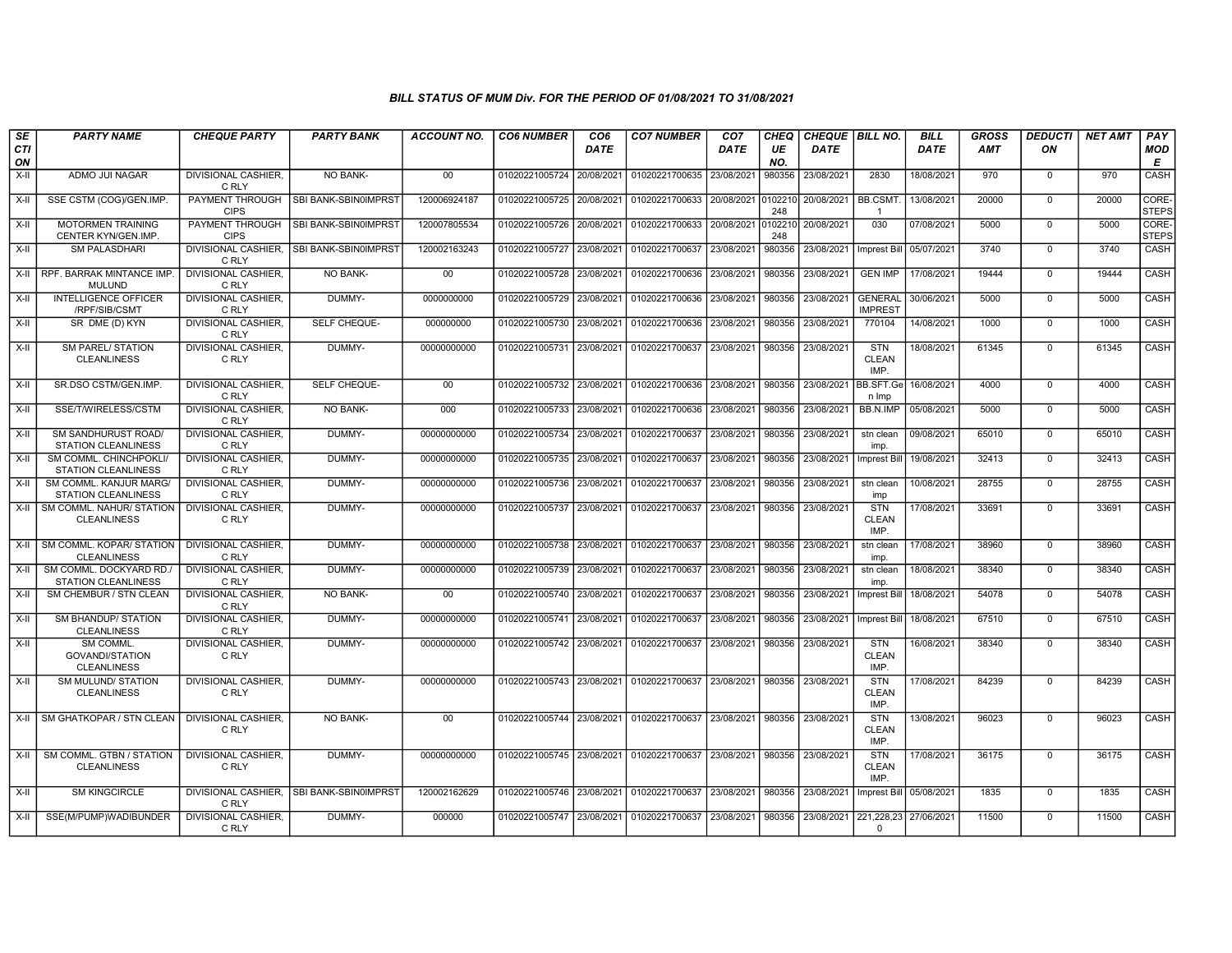| SE               | <b>PARTY NAME</b>                                                    | <b>CHEQUE PARTY</b>                   | <b>PARTY BANK</b>                         | ACCOUNT NO.  | <b>CO6 NUMBER</b>         | CO <sub>6</sub> | <b>CO7 NUMBER</b>                                          | CO <sub>7</sub> | CHEQ           | CHEQUE   BILL NO. |                                    | <b>BILL</b> | <b>GROSS</b> | <i><b>DEDUCTI</b></i> | NET AMT | <b>PAY</b>            |
|------------------|----------------------------------------------------------------------|---------------------------------------|-------------------------------------------|--------------|---------------------------|-----------------|------------------------------------------------------------|-----------------|----------------|-------------------|------------------------------------|-------------|--------------|-----------------------|---------|-----------------------|
| <b>CTI</b><br>ON |                                                                      |                                       |                                           |              |                           | <b>DATE</b>     |                                                            | <b>DATE</b>     | UE<br>NO.      | <b>DATE</b>       |                                    | <b>DATE</b> | <b>AMT</b>   | ON                    |         | <b>MOD</b><br>E       |
| $X-H$            | ADMO JUI NAGAR                                                       | <b>DIVISIONAL CASHIER,</b><br>C RLY   | NO BANK-                                  | $00\,$       | 01020221005724            | 20/08/2021      | 01020221700635                                             | 23/08/2021      | 980356         | 23/08/2021        | 2830                               | 18/08/2021  | 970          | $\mathbf 0$           | 970     | CASH                  |
| $X-II$           | SSE CSTM (COG)/GEN.IMP.                                              | <b>PAYMENT THROUGH</b><br><b>CIPS</b> | <b>SBI BANK-SBIN0IMPRST</b>               | 120006924187 | 01020221005725 20/08/2021 |                 | 01020221700633 20/08/2021 0102210                          |                 | 248            | 20/08/2021        | BB.CSMT.<br>$\overline{1}$         | 13/08/2021  | 20000        | $\mathbf 0$           | 20000   | CORE-<br><b>STEPS</b> |
| X-II             | <b>MOTORMEN TRAINING</b><br>CENTER KYN/GEN.IMP.                      | PAYMENT THROUGH<br><b>CIPS</b>        | SBI BANK-SBIN0IMPRST                      | 120007805534 | 01020221005726 20/08/2021 |                 | 01020221700633 20/08/2021                                  |                 | 0102210<br>248 | 20/08/2021        | 030                                | 07/08/2021  | 5000         | $\mathbf 0$           | 5000    | CORE-<br><b>STEPS</b> |
| $X-H$            | <b>SM PALASDHARI</b>                                                 | C RLY                                 | DIVISIONAL CASHIER, SBI BANK-SBIN0IMPRST  | 120002163243 | 01020221005727            | 23/08/2021      | 01020221700637                                             | 23/08/2021      | 980356         | 23/08/2021        | Imprest Bill                       | 05/07/2021  | 3740         | $\mathbf 0$           | 3740    | CASH                  |
| X-II             | <b>RPF. BARRAK MINTANCE IMP</b><br><b>MULUND</b>                     | <b>DIVISIONAL CASHIER,</b><br>C RLY   | <b>NO BANK-</b>                           | 00           | 01020221005728            | 23/08/2021      | 01020221700636                                             | 23/08/2021      | 980356         | 23/08/2021        | <b>GEN IMP</b>                     | 17/08/2021  | 19444        | $\Omega$              | 19444   | <b>CASH</b>           |
| X-II             | <b>INTELLIGENCE OFFICER</b><br>/RPF/SIB/CSMT                         | <b>DIVISIONAL CASHIER,</b><br>C RLY   | DUMMY-                                    | 0000000000   | 01020221005729            | 23/08/2021      | 01020221700636                                             | 23/08/2021      | 980356         | 23/08/2021        | <b>GENERAL</b><br><b>IMPREST</b>   | 30/06/2021  | 5000         | $\mathbf 0$           | 5000    | <b>CASH</b>           |
| $X-H$            | SR DME (D) KYN                                                       | DIVISIONAL CASHIER,<br>C RLY          | SELF CHEQUE-                              | 000000000    | 01020221005730 23/08/2021 |                 | 01020221700636                                             | 23/08/2021      | 980356         | 23/08/2021        | 770104                             | 14/08/2021  | 1000         | $\Omega$              | 1000    | CASH                  |
| $X-II$           | <b>SM PAREL/ STATION</b><br><b>CLEANLINESS</b>                       | DIVISIONAL CASHIER,<br>C RLY          | DUMMY-                                    | 00000000000  | 01020221005731 23/08/2021 |                 | 01020221700637 23/08/2021                                  |                 | 980356         | 23/08/2021        | <b>STN</b><br><b>CLEAN</b><br>IMP. | 18/08/2021  | 61345        | $\mathbf 0$           | 61345   | CASH                  |
| X-II             | SR.DSO CSTM/GEN.IMP.                                                 | DIVISIONAL CASHIER,<br>C RLY          | SELF CHEQUE-                              | $00\,$       | 01020221005732 23/08/2021 |                 | 01020221700636 23/08/2021                                  |                 | 980356         | 23/08/2021        | BB.SFT.Ge<br>n Imp                 | 16/08/2021  | 4000         | $\mathbf 0$           | 4000    | CASH                  |
| X-II             | SSE/T/WIRELESS/CSTM                                                  | DIVISIONAL CASHIER,<br>C RLY          | NO BANK-                                  | 000          | 01020221005733 23/08/2021 |                 | 01020221700636 23/08/2021                                  |                 | 980356         | 23/08/2021        | BB.N.IMP                           | 05/08/2021  | 5000         | $\mathbf{0}$          | 5000    | CASH                  |
| X-II             | <b>SM SANDHURUST ROAD</b><br><b>STATION CLEANLINESS</b>              | <b>DIVISIONAL CASHIER.</b><br>C RLY   | DUMMY-                                    | 00000000000  | 01020221005734 23/08/2021 |                 | 01020221700637 23/08/2021                                  |                 | 980356         | 23/08/2021        | stn clean<br>imp.                  | 09/08/2021  | 65010        | $\Omega$              | 65010   | CASH                  |
| X-II             | SM COMML. CHINCHPOKLI<br><b>STATION CLEANLINESS</b>                  | <b>DIVISIONAL CASHIER,</b><br>C RLY   | DUMMY-                                    | 00000000000  | 01020221005735            | 23/08/2021      | 01020221700637                                             | 23/08/2021      | 980356         | 23/08/2021        | <b>Imprest Bill</b>                | 19/08/2021  | 32413        | $\mathbf 0$           | 32413   | <b>CASH</b>           |
| $X-H$            | SM COMML. KANJUR MARG/<br>STATION CLEANLINESS                        | <b>DIVISIONAL CASHIER,</b><br>C RLY   | DUMMY-                                    | 00000000000  | 01020221005736            | 23/08/2021      | 01020221700637                                             | 23/08/2021      | 980356         | 23/08/2021        | stn clean<br>imp                   | 10/08/2021  | 28755        | $\mathbf 0$           | 28755   | CASH                  |
| X-II             | SM COMML. NAHUR/ STATION<br><b>CLEANLINESS</b>                       | DIVISIONAL CASHIER.<br>C RLY          | DUMMY-                                    | 00000000000  | 01020221005737 23/08/2021 |                 | 01020221700637 23/08/2021                                  |                 | 980356         | 23/08/2021        | <b>STN</b><br><b>CLEAN</b><br>IMP. | 17/08/2021  | 33691        | $\Omega$              | 33691   | CASH                  |
| $X-H$            | SM COMML, KOPAR/ STATION   DIVISIONAL CASHIER.<br><b>CLEANLINESS</b> | C RLY                                 | DUMMY-                                    | 00000000000  |                           |                 | 01020221005738 23/08/2021 01020221700637 23/08/2021 980356 |                 |                | 23/08/2021        | stn clean<br>imp.                  | 17/08/2021  | 38960        | $^{\circ}$            | 38960   | CASH                  |
| X-II             | SM COMML. DOCKYARD RD.<br><b>STATION CLEANLINESS</b>                 | <b>DIVISIONAL CASHIER,</b><br>C RLY   | DUMMY-                                    | 00000000000  | 01020221005739 23/08/2021 |                 | 01020221700637                                             | 23/08/2021      | 980356         | 23/08/2021        | stn clean<br>imp.                  | 18/08/2021  | 38340        | $\mathbf 0$           | 38340   | CASH                  |
| $X-II$           | SM CHEMBUR / STN CLEAN                                               | <b>DIVISIONAL CASHIER.</b><br>C RLY   | <b>NO BANK-</b>                           | 00           | 01020221005740 23/08/2021 |                 | 01020221700637 23/08/2021                                  |                 | 980356         | 23/08/2021        | <b>Imprest Bill</b>                | 18/08/2021  | 54078        | $\Omega$              | 54078   | CASH                  |
| X-II             | <b>SM BHANDUP/ STATION</b><br><b>CLEANLINESS</b>                     | <b>DIVISIONAL CASHIER,</b><br>C RLY   | DUMMY-                                    | 00000000000  | 01020221005741 23/08/2021 |                 | 01020221700637 23/08/2021                                  |                 | 980356         | 23/08/2021        | <b>Imprest Bill</b>                | 18/08/2021  | 67510        | $\mathbf 0$           | 67510   | CASH                  |
| $X-H$            | SM COMML<br><b>GOVANDI/STATION</b><br><b>CLEANLINESS</b>             | <b>DIVISIONAL CASHIER,</b><br>C RLY   | DUMMY-                                    | 00000000000  | 01020221005742 23/08/2021 |                 | 01020221700637 23/08/2021                                  |                 | 980356         | 23/08/2021        | <b>STN</b><br><b>CLEAN</b><br>IMP. | 16/08/2021  | 38340        | $\overline{0}$        | 38340   | CASH                  |
| $X-H$            | <b>SM MULUND/ STATION</b><br><b>CLEANLINESS</b>                      | DIVISIONAL CASHIER,<br>C RLY          | DUMMY-                                    | 00000000000  |                           |                 | 01020221005743 23/08/2021 01020221700637 23/08/2021        |                 | 980356         | 23/08/2021        | <b>STN</b><br><b>CLEAN</b><br>IMP. | 17/08/2021  | 84239        | $\overline{0}$        | 84239   | CASH                  |
| $X-II$           | SM GHATKOPAR / STN CLEAN                                             | DIVISIONAL CASHIER.<br>C RLY          | NO BANK-                                  | $00\,$       | 01020221005744 23/08/2021 |                 | 01020221700637 23/08/2021                                  |                 | 980356         | 23/08/2021        | <b>STN</b><br><b>CLEAN</b><br>IMP. | 13/08/2021  | 96023        | $\mathbf 0$           | 96023   | CASH                  |
| $X-H$            | SM COMML, GTBN / STATION<br><b>CLEANLINESS</b>                       | DIVISIONAL CASHIER.<br>C RLY          | DUMMY-                                    | 00000000000  |                           |                 | 01020221005745 23/08/2021 01020221700637 23/08/2021        |                 |                | 980356 23/08/2021 | <b>STN</b><br><b>CLEAN</b><br>IMP. | 17/08/2021  | 36175        | $\mathbf 0$           | 36175   | CASH                  |
| $X-H$            | <b>SM KINGCIRCLE</b>                                                 | C RLY                                 | DIVISIONAL CASHIER. ISBI BANK-SBIN0IMPRST | 120002162629 | 01020221005746 23/08/2021 |                 | 01020221700637 23/08/2021                                  |                 | 980356         | 23/08/2021        | Imprest Bill                       | 05/08/2021  | 1835         | $\Omega$              | 1835    | CASH                  |
| X-II             | SSE(M/PUMP)WADIBUNDER                                                | <b>DIVISIONAL CASHIER.</b><br>C RLY   | DUMMY-                                    | 000000       | 01020221005747 23/08/2021 |                 | 01020221700637 23/08/2021                                  |                 | 980356         | 23/08/2021        | 221,228,23<br>$\Omega$             | 27/06/2021  | 11500        | $\mathbf 0$           | 11500   | CASH                  |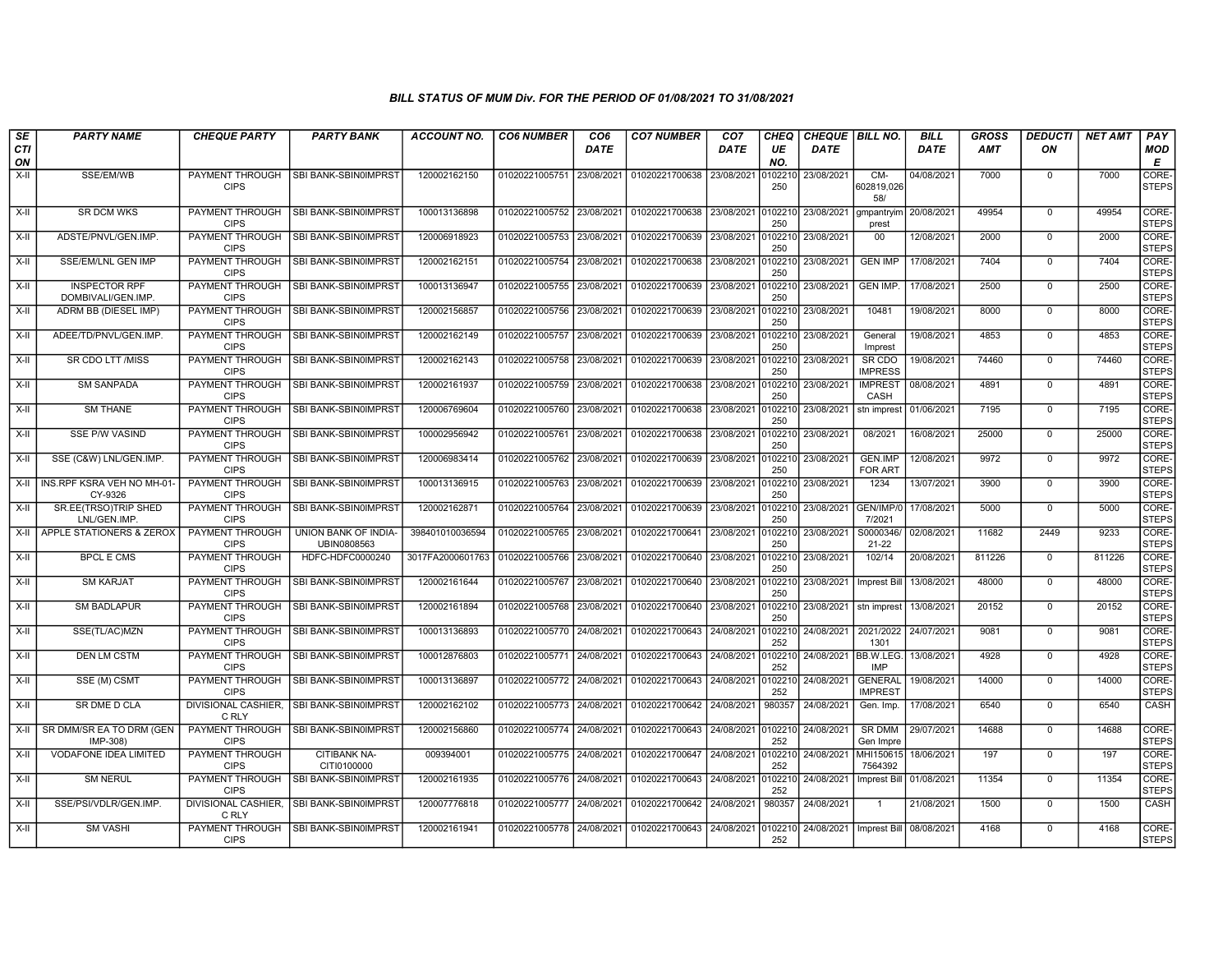| SE               | <b>PARTY NAME</b>                          | <b>CHEQUE PARTY</b>                   | <b>PARTY BANK</b>                   | ACCOUNT NO.      | <b>CO6 NUMBER</b>         | CO6         | <b>CO7 NUMBER</b>         | CO <sub>7</sub> | <b>CHEQ</b>    |             | <b>CHEQUE   BILL NO.</b>         | BILL        | GROSS      | <b>DEDUCTI</b> | <b>NET AMT</b> | <b>PAY</b>                       |
|------------------|--------------------------------------------|---------------------------------------|-------------------------------------|------------------|---------------------------|-------------|---------------------------|-----------------|----------------|-------------|----------------------------------|-------------|------------|----------------|----------------|----------------------------------|
| <b>CTI</b><br>ON |                                            |                                       |                                     |                  |                           | <b>DATE</b> |                           | <b>DATE</b>     | UE<br>NO.      | <b>DATE</b> |                                  | <b>DATE</b> | <b>AMT</b> | ON             |                | MOD<br>Е                         |
| $X-H$            | SSE/EM/WB                                  | PAYMENT THROUGH                       | SBI BANK-SBIN0IMPRST                | 120002162150     | 01020221005751 23/08/2021 |             | 01020221700638            | 23/08/2021      | 010221         | 23/08/2021  | CM-                              | 04/08/2021  | 7000       | $\mathbf 0$    | 7000           | CORE-                            |
|                  |                                            | <b>CIPS</b>                           |                                     |                  |                           |             |                           |                 | 250            |             | 602819,026<br>58/                |             |            |                |                | <b>STEPS</b>                     |
| $X-II$           | <b>SR DCM WKS</b>                          | PAYMENT THROUGH<br><b>CIPS</b>        | SBI BANK-SBIN0IMPRST                | 100013136898     | 01020221005752 23/08/2021 |             | 01020221700638 23/08/2021 |                 | 0102210<br>250 | 23/08/2021  | gmpantryim<br>prest              | 20/08/2021  | 49954      | $\overline{0}$ | 49954          | CORE <sub></sub><br><b>STEPS</b> |
| X-II             | ADSTE/PNVL/GEN.IMP.                        | PAYMENT THROUGH<br><b>CIPS</b>        | SBI BANK-SBIN0IMPRST                | 120006918923     | 01020221005753 23/08/2021 |             | 01020221700639            | 23/08/2021      | 0102210<br>250 | 23/08/2021  | 00                               | 12/08/2021  | 2000       | $\mathbf 0$    | 2000           | CORE-<br><b>STEPS</b>            |
| X-II             | SSE/EM/LNL GEN IMP                         | PAYMENT THROUGH<br><b>CIPS</b>        | SBI BANK-SBIN0IMPRST                | 120002162151     | 01020221005754 23/08/2021 |             | 01020221700638            | 23/08/2021      | 0102210<br>250 | 23/08/2021  | <b>GEN IMP</b>                   | 17/08/2021  | 7404       | $\Omega$       | 7404           | CORE-<br><b>STEPS</b>            |
| X-II             | <b>INSPECTOR RPF</b><br>DOMBIVALI/GEN.IMP. | <b>PAYMENT THROUGH</b><br><b>CIPS</b> | SBI BANK-SBIN0IMPRST                | 100013136947     | 01020221005755 23/08/2021 |             | 01020221700639            | 23/08/2021      | 010221<br>250  | 23/08/2021  | <b>GEN IMP.</b>                  | 17/08/2021  | 2500       | $\mathbf 0$    | 2500           | CORE-<br><b>STEPS</b>            |
| $X-II$           | ADRM BB (DIESEL IMP)                       | PAYMENT THROUGH<br><b>CIPS</b>        | SBI BANK-SBIN0IMPRST                | 120002156857     | 01020221005756 23/08/2021 |             | 01020221700639            | 23/08/2021      | 0102210<br>250 | 23/08/2021  | 10481                            | 19/08/2021  | 8000       | $\mathbf 0$    | 8000           | CORE-<br><b>STEPS</b>            |
| X-II             | ADEE/TD/PNVL/GEN.IMP.                      | PAYMENT THROUGH<br><b>CIPS</b>        | SBI BANK-SBIN0IMPRST                | 120002162149     | 01020221005757            | 23/08/2021  | 01020221700639            | 23/08/2021      | 0102210<br>250 | 23/08/2021  | General<br>Imprest               | 19/08/2021  | 4853       | $\mathbf 0$    | 4853           | CORE-<br><b>STEPS</b>            |
| X-II             | SR CDO LTT /MISS                           | PAYMENT THROUGH<br><b>CIPS</b>        | I SBI BANK-SBIN0IMPRST              | 120002162143     | 01020221005758 23/08/2021 |             | 01020221700639            | 23/08/2021      | 0102210<br>250 | 23/08/2021  | SR CDO<br><b>IMPRESS</b>         | 19/08/2021  | 74460      | $\Omega$       | 74460          | CORE-<br>STEPS                   |
| X-II             | <b>SM SANPADA</b>                          | PAYMENT THROUGH<br><b>CIPS</b>        | SBI BANK-SBIN0IMPRST                | 120002161937     | 01020221005759 23/08/2021 |             | 01020221700638            | 23/08/2021      | 0102210<br>250 | 23/08/2021  | <b>IMPREST</b><br>CASH           | 08/08/2021  | 4891       | $\mathbf 0$    | 4891           | CORE-<br>STEPS                   |
| X-II             | <b>SM THANE</b>                            | PAYMENT THROUGH<br><b>CIPS</b>        | SBI BANK-SBIN0IMPRST                | 120006769604     | 01020221005760 23/08/2021 |             | 01020221700638            | 23/08/2021      | 0102210<br>250 | 23/08/2021  | stn imprest                      | 01/06/2021  | 7195       | $\Omega$       | 7195           | CORE-<br><b>STEPS</b>            |
| X-II             | SSE P/W VASIND                             | PAYMENT THROUGH<br><b>CIPS</b>        | SBI BANK-SBIN0IMPRS                 | 100002956942     | 01020221005761            | 23/08/2021  | 01020221700638            | 23/08/2021      | 010221<br>250  | 23/08/2021  | 08/2021                          | 16/08/2021  | 25000      | $\Omega$       | 25000          | CORE-<br><b>STEPS</b>            |
| X-II             | SSE (C&W) LNL/GEN.IMP.                     | <b>PAYMENT THROUGH</b><br><b>CIPS</b> | SBI BANK-SBIN0IMPRST                | 120006983414     | 01020221005762 23/08/2021 |             | 01020221700639            | 23/08/2021      | 010221<br>250  | 23/08/2021  | GEN.IMP<br><b>FOR ART</b>        | 12/08/2021  | 9972       | $\Omega$       | 9972           | CORE-<br><b>STEPS</b>            |
| X-II             | INS.RPF KSRA VEH NO MH-01<br>CY-9326       | PAYMENT THROUGH<br><b>CIPS</b>        | SBI BANK-SBIN0IMPRST                | 100013136915     | 01020221005763 23/08/2021 |             | 01020221700639            | 23/08/2021      | 010221<br>250  | 23/08/2021  | 1234                             | 13/07/2021  | 3900       | $\mathbf 0$    | 3900           | CORE-<br><b>STEPS</b>            |
| X-II             | SR.EE(TRSO)TRIP SHED<br>LNL/GEN.IMP        | PAYMENT THROUGH<br><b>CIPS</b>        | SBI BANK-SBIN0IMPRST                | 120002162871     | 01020221005764            | 23/08/2021  | 01020221700639            | 23/08/2021      | 0102210<br>250 | 23/08/2021  | GEN/IMP/0<br>7/2021              | 17/08/2021  | 5000       | $\mathbf 0$    | 5000           | CORE-<br><b>STEPS</b>            |
| X-II             | APPLE STATIONERS & ZEROX                   | PAYMENT THROUGH<br><b>CIPS</b>        | UNION BANK OF INDIA-<br>UBIN0808563 | 398401010036594  | 01020221005765 23/08/2021 |             | 01020221700641            | 23/08/2021      | 0102210<br>250 | 23/08/2021  | S0000346/<br>$21 - 22$           | 02/08/2021  | 11682      | 2449           | 9233           | CORE-<br><b>STEPS</b>            |
| X-II             | <b>BPCL E CMS</b>                          | <b>PAYMENT THROUGH</b><br><b>CIPS</b> | HDFC-HDFC0000240                    | 3017FA2000601763 | 01020221005766            | 23/08/2021  | 01020221700640            | 23/08/2021      | 0102210<br>250 | 23/08/2021  | 102/14                           | 20/08/2021  | 811226     | $\Omega$       | 811226         | CORE-<br><b>STEPS</b>            |
| X-II             | <b>SM KARJAT</b>                           | PAYMENT THROUGH<br><b>CIPS</b>        | SBI BANK-SBIN0IMPRST                | 120002161644     | 01020221005767            | 23/08/2021  | 01020221700640            | 23/08/2021      | 0102210<br>250 | 23/08/2021  | <b>Imprest Bill</b>              | 13/08/2021  | 48000      | $\mathbf 0$    | 48000          | CORE-<br><b>STEPS</b>            |
| X-II             | <b>SM BADLAPUR</b>                         | PAYMENT THROUGH<br><b>CIPS</b>        | SBI BANK-SBIN0IMPRST                | 120002161894     | 01020221005768 23/08/2021 |             | 01020221700640            | 23/08/2021      | 0102210<br>250 | 23/08/2021  | stn imprest                      | 13/08/2021  | 20152      | $\mathbf 0$    | 20152          | CORE-<br><b>STEPS</b>            |
| X-II             | SSE(TL/AC)MZN                              | PAYMENT THROUGH<br><b>CIPS</b>        | SBI BANK-SBIN0IMPRST                | 100013136893     | 01020221005770 24/08/2021 |             | 01020221700643            | 24/08/2021      | 0102210<br>252 | 24/08/2021  | 2021/2022<br>1301                | 24/07/2021  | 9081       | $\Omega$       | 9081           | CORE-<br><b>STEPS</b>            |
| X-II             | <b>DEN LM CSTM</b>                         | <b>PAYMENT THROUGH</b><br><b>CIPS</b> | SBI BANK-SBIN0IMPRST                | 100012876803     | 01020221005771 24/08/2021 |             | 01020221700643            | 24/08/2021      | 010221<br>252  | 24/08/2021  | BB.W.LEG.<br><b>IMP</b>          | 13/08/2021  | 4928       | $\mathbf 0$    | 4928           | CORE-<br><b>STEPS</b>            |
| $X-II$           | SSE (M) CSMT                               | <b>PAYMENT THROUGH</b><br><b>CIPS</b> | SBI BANK-SBIN0IMPRST                | 100013136897     | 01020221005772 24/08/2021 |             | 01020221700643            | 24/08/2021      | 010221<br>252  | 24/08/2021  | <b>GENERAL</b><br><b>IMPREST</b> | 19/08/2021  | 14000      | $\mathbf 0$    | 14000          | CORE-<br><b>STEPS</b>            |
| X-II             | SR DME D CLA                               | DIVISIONAL CASHIER,<br>C RLY          | <b>SBI BANK-SBIN0IMPRST</b>         | 120002162102     | 01020221005773 24/08/2021 |             | 01020221700642            | 24/08/2021      | 980357         | 24/08/2021  | Gen. Imp.                        | 17/08/2021  | 6540       | $\mathbf 0$    | 6540           | CASH                             |
| $X-II$           | SR DMM/SR EA TO DRM (GEN<br>IMP-308)       | PAYMENT THROUGH<br><b>CIPS</b>        | SBI BANK-SBIN0IMPRST                | 120002156860     | 01020221005774 24/08/2021 |             | 01020221700643            | 24/08/2021      | 0102210<br>252 | 24/08/2021  | <b>SR DMM</b><br>Gen Impre       | 29/07/2021  | 14688      | $\Omega$       | 14688          | CORE-<br><b>STEPS</b>            |
| X-II             | <b>VODAFONE IDEA LIMITED</b>               | PAYMENT THROUGH<br><b>CIPS</b>        | CITIBANK NA-<br>CITI0100000         | 009394001        | 01020221005775 24/08/2021 |             | 01020221700647            | 24/08/2021      | 0102210<br>252 | 24/08/2021  | MHI150615<br>7564392             | 18/06/2021  | 197        | $\mathbf 0$    | 197            | CORE-<br><b>STEPS</b>            |
| X-II             | <b>SM NERUL</b>                            | PAYMENT THROUGH<br><b>CIPS</b>        | <b>SBI BANK-SBIN0IMPRST</b>         | 120002161935     | 01020221005776 24/08/2021 |             | 01020221700643            | 24/08/2021      | 0102210<br>252 | 24/08/2021  | Imprest Bill                     | 01/08/2021  | 11354      | $\mathbf 0$    | 11354          | CORE-<br><b>STEPS</b>            |
| $X-II$           | SSE/PSI/VDLR/GEN.IMP.                      | DIVISIONAL CASHIER.<br>C RLY          | SBI BANK-SBIN0IMPRST                | 120007776818     | 01020221005777 24/08/2021 |             | 01020221700642            | 24/08/2021      | 980357         | 24/08/2021  |                                  | 21/08/2021  | 1500       | $\Omega$       | 1500           | CASH                             |
| $X-H$            | <b>SM VASHI</b>                            | PAYMENT THROUGH<br><b>CIPS</b>        | SBI BANK-SBIN0IMPRST                | 120002161941     | 01020221005778 24/08/2021 |             | 01020221700643 24/08/2021 |                 | 0102210<br>252 | 24/08/2021  | Imprest Bill                     | 08/08/2021  | 4168       | $\Omega$       | 4168           | CORE-<br><b>STEPS</b>            |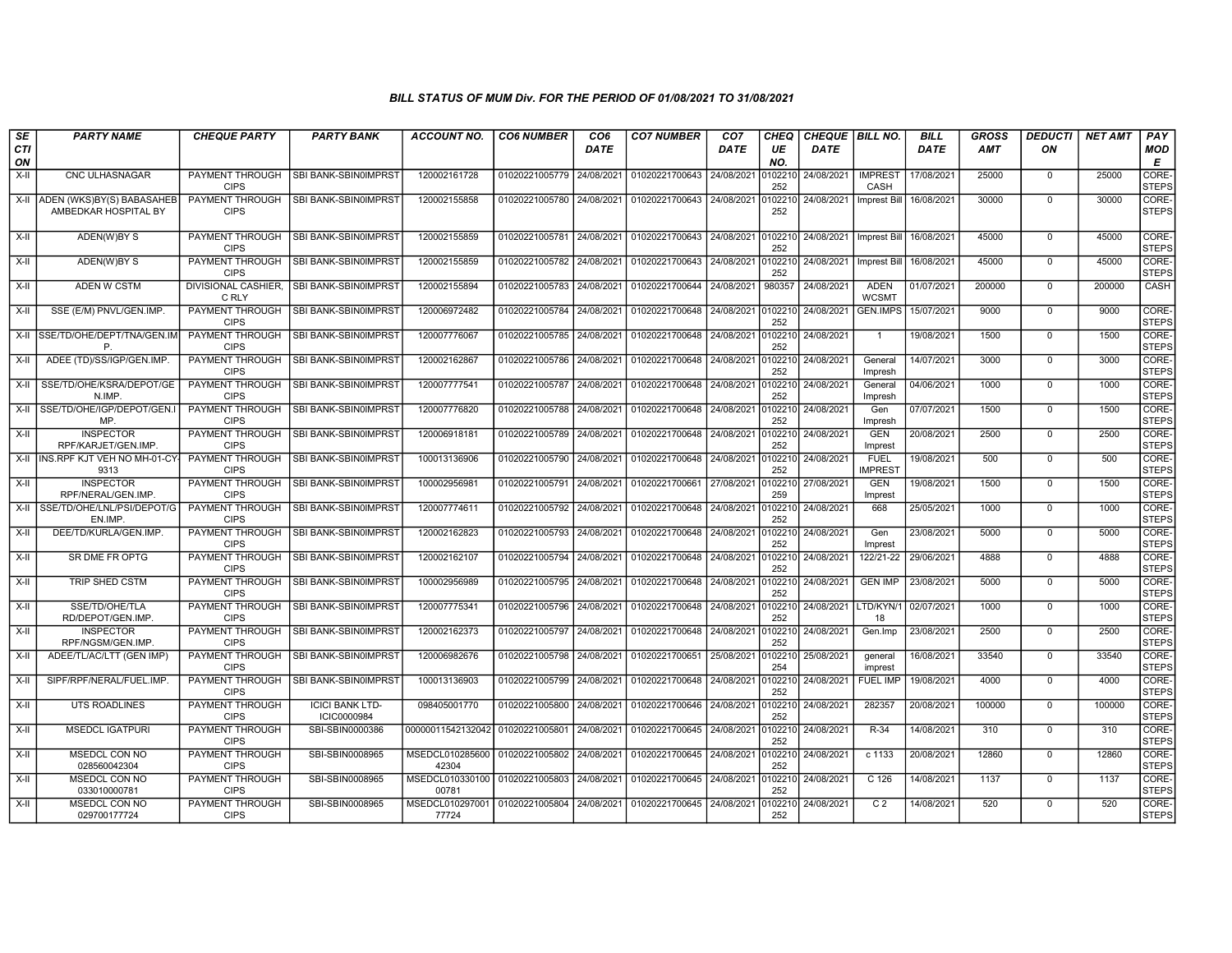| SE        | <b>PARTY NAME</b>                                 | <b>CHEQUE PARTY</b>                   | <b>PARTY BANK</b>                            | <b>ACCOUNT NO.</b>                                 | <b>CO6 NUMBER</b>         | CO <sub>6</sub> | <b>CO7 NUMBER</b>         | CO <sub>7</sub> | <b>CHEQ</b>    | CHEQUE BILL NO.    |                               | <b>BILL</b> | <b>GROSS</b> | <b>DEDUCTI</b> | <b>NET AMT</b> | PAY                   |
|-----------|---------------------------------------------------|---------------------------------------|----------------------------------------------|----------------------------------------------------|---------------------------|-----------------|---------------------------|-----------------|----------------|--------------------|-------------------------------|-------------|--------------|----------------|----------------|-----------------------|
| CTI<br>ON |                                                   |                                       |                                              |                                                    |                           | <b>DATE</b>     |                           | DATE            | UE<br>NO.      | <b>DATE</b>        |                               | <b>DATE</b> | <b>AMT</b>   | ON             |                | <b>MOD</b><br>E       |
| $X-H$     | <b>CNC ULHASNAGAR</b>                             | PAYMENT THROUGH<br><b>CIPS</b>        | SBI BANK-SBIN0IMPRST                         | 120002161728                                       | 01020221005779 24/08/2021 |                 | 01020221700643            | 24/08/2021      | 0102210<br>252 | 24/08/2021         | <b>IMPREST</b><br>CASH        | 17/08/2021  | 25000        | $\mathbf 0$    | 25000          | CORE-<br><b>STEPS</b> |
| X-II      | ADEN (WKS)BY(S) BABASAHEB<br>AMBEDKAR HOSPITAL BY | PAYMENT THROUGH<br><b>CIPS</b>        | <b>SBI BANK-SBIN0IMPRST</b>                  | 120002155858                                       | 01020221005780 24/08/2021 |                 | 01020221700643 24/08/2021 |                 | 0102210<br>252 | 24/08/2021         | Imprest Bill                  | 16/08/2021  | 30000        | $\overline{0}$ | 30000          | CORE-<br>STEPS        |
| X-II      | ADEN(W)BY S                                       | PAYMENT THROUGH<br><b>CIPS</b>        | SBI BANK-SBIN0IMPRST                         | 120002155859                                       | 01020221005781 24/08/2021 |                 | 01020221700643 24/08/2021 |                 | 0102210<br>252 | 24/08/2021         | Imprest Bill                  | 16/08/2021  | 45000        | $\mathbf 0$    | 45000          | CORE-<br><b>STEPS</b> |
| $X-H$     | ADEN(W)BY S                                       | <b>PAYMENT THROUGH</b><br><b>CIPS</b> | SBI BANK-SBIN0IMPRST                         | 120002155859                                       | 01020221005782 24/08/2021 |                 | 01020221700643 24/08/2021 |                 | 0102210<br>252 | 24/08/2021         | <b>Imprest Bill</b>           | 16/08/2021  | 45000        | $\Omega$       | 45000          | CORE-<br><b>STEPS</b> |
| X-II      | <b>ADEN W CSTM</b>                                | C RLY                                 | DIVISIONAL CASHIER, SBI BANK-SBIN0IMPRST     | 120002155894                                       | 01020221005783 24/08/2021 |                 | 01020221700644            | 24/08/2021      | 980357         | 24/08/2021         | <b>ADEN</b><br><b>WCSMT</b>   | 01/07/2021  | 200000       | $\mathbf 0$    | 200000         | CASH                  |
| X-II      | SSE (E/M) PNVL/GEN.IMP                            | PAYMENT THROUGH<br><b>CIPS</b>        | SBI BANK-SBIN0IMPRST                         | 120006972482                                       | 01020221005784 24/08/2021 |                 | 01020221700648            | 24/08/2021      | 0102210<br>252 | 24/08/2021         | <b>GEN.IMPS</b>               | 15/07/2021  | 9000         | $\mathbf 0$    | 9000           | CORE-<br><b>STEPS</b> |
| X-II      | SSE/TD/OHE/DEPT/TNA/GEN.IM<br>P.                  | PAYMENT THROUGH<br><b>CIPS</b>        | SBI BANK-SBIN0IMPRST                         | 120007776067                                       | 01020221005785 24/08/2021 |                 | 01020221700648            | 24/08/2021      | 0102210<br>252 | 24/08/2021         | $\overline{1}$                | 19/08/2021  | 1500         | $\Omega$       | 1500           | CORE-<br><b>STEPS</b> |
| X-II      | ADEE (TD)/SS/IGP/GEN.IMP                          | PAYMENT THROUGH<br><b>CIPS</b>        | I SBI BANK-SBIN0IMPRST                       | 120002162867                                       | 01020221005786 24/08/2021 |                 | 01020221700648            | 24/08/2021      | 0102210<br>252 | 24/08/2021         | General<br>Impresh            | 14/07/2021  | 3000         | $\Omega$       | 3000           | CORE-<br><b>STEPS</b> |
| X-II      | SSE/TD/OHE/KSRA/DEPOT/GE<br>N.IMP                 | <b>PAYMENT THROUGH</b><br><b>CIPS</b> | SBI BANK-SBIN0IMPRST                         | 120007777541                                       | 01020221005787            | 24/08/2021      | 01020221700648            | 24/08/2021      | 0102210<br>252 | 24/08/2021         | General<br>Impresh            | 04/06/2021  | 1000         | $\Omega$       | 1000           | CORE-<br><b>STEPS</b> |
| $X-H$     | SSE/TD/OHE/IGP/DEPOT/GEN.<br>MP.                  | PAYMENT THROUGH<br><b>CIPS</b>        | SBI BANK-SBIN0IMPRST                         | 120007776820                                       | 01020221005788 24/08/2021 |                 | 01020221700648            | 24/08/2021      | 010221<br>252  | 24/08/2021         | Gen<br>Impresh                | 07/07/2021  | 1500         | $\Omega$       | 1500           | CORE-<br><b>STEPS</b> |
| X-II      | <b>INSPECTOR</b><br>RPF/KARJET/GEN.IMP.           | PAYMENT THROUGH<br><b>CIPS</b>        | SBI BANK-SBIN0IMPRST                         | 120006918181                                       | 01020221005789 24/08/2021 |                 | 01020221700648            | 24/08/2021      | 0102210<br>252 | 24/08/2021         | <b>GEN</b><br>Imprest         | 20/08/2021  | 2500         | $\mathbf 0$    | 2500           | CORE-<br><b>STEPS</b> |
|           | X-II INS.RPF KJT VEH NO MH-01-CY-<br>9313         | PAYMENT THROUGH<br><b>CIPS</b>        | SBI BANK-SBIN0IMPRST                         | 100013136906                                       | 01020221005790 24/08/2021 |                 | 01020221700648 24/08/2021 |                 | 252            | 0102210 24/08/2021 | <b>FUEL</b><br><b>IMPREST</b> | 19/08/2021  | 500          | $\mathbf 0$    | 500            | CORE-<br>STEPS        |
| X-II      | <b>INSPECTOR</b><br>RPF/NERAL/GEN.IMP.            | <b>PAYMENT THROUGH</b><br><b>CIPS</b> | SBI BANK-SBIN0IMPRST                         | 100002956981                                       | 01020221005791            | 24/08/2021      | 01020221700661            | 27/08/2021      | 0102210<br>259 | 27/08/2021         | <b>GEN</b><br>Imprest         | 19/08/2021  | 1500         | $\Omega$       | 1500           | CORE-<br><b>STEPS</b> |
| $X-H$     | SSE/TD/OHE/LNL/PSI/DEPOT/G<br>EN.IMP.             | PAYMENT THROUGH<br><b>CIPS</b>        | SBI BANK-SBIN0IMPRST                         | 120007774611                                       | 01020221005792 24/08/2021 |                 | 01020221700648            | 24/08/2021      | 010221<br>252  | 24/08/2021         | 668                           | 25/05/2021  | 1000         | $\overline{0}$ | 1000           | CORE-<br><b>STEPS</b> |
| X-II      | DEE/TD/KURLA/GEN.IMP.                             | PAYMENT THROUGH<br><b>CIPS</b>        | <b>SBI BANK-SBIN0IMPRST</b>                  | 120002162823                                       | 01020221005793 24/08/2021 |                 | 01020221700648 24/08/2021 |                 | 0102210<br>252 | 24/08/2021         | Gen<br>Imprest                | 23/08/2021  | 5000         | $\mathbf 0$    | 5000           | CORE-<br>STEPS        |
| X-II      | SR DME FR OPTG                                    | PAYMENT THROUGH<br><b>CIPS</b>        | SBI BANK-SBIN0IMPRST                         | 120002162107                                       | 01020221005794 24/08/2021 |                 | 01020221700648 24/08/2021 |                 | 0102210<br>252 | 24/08/2021         | 122/21-22                     | 29/06/2021  | 4888         | $\mathbf 0$    | 4888           | CORE-<br><b>STEPS</b> |
| X-II      | TRIP SHED CSTM                                    | PAYMENT THROUGH<br><b>CIPS</b>        | SBI BANK-SBIN0IMPRST                         | 100002956989                                       | 01020221005795 24/08/2021 |                 | 01020221700648            | 24/08/2021      | 0102210<br>252 | 24/08/2021         | <b>GEN IMP</b>                | 23/08/2021  | 5000         | $\mathbf 0$    | 5000           | CORE-<br><b>STEPS</b> |
| X-II      | SSE/TD/OHE/TLA<br>RD/DEPOT/GEN.IMP.               | PAYMENT THROUGH<br><b>CIPS</b>        | SBI BANK-SBIN0IMPRST                         | 120007775341                                       | 01020221005796 24/08/2021 |                 | 01020221700648            | 24/08/2021      | 0102210<br>252 | 24/08/2021         | LTD/KYN/1<br>18               | 02/07/2021  | 1000         | $\Omega$       | 1000           | CORE-<br><b>STEPS</b> |
| X-II      | <b>INSPECTOR</b><br>RPF/NGSM/GEN.IMP.             | PAYMENT THROUGH<br><b>CIPS</b>        | SBI BANK-SBIN0IMPRST                         | 120002162373                                       | 01020221005797 24/08/2021 |                 | 01020221700648            | 24/08/2021      | 0102210<br>252 | 24/08/2021         | Gen.Imp                       | 23/08/2021  | 2500         | $\Omega$       | 2500           | CORE-<br><b>STEPS</b> |
| X-II      | ADEE/TL/AC/LTT (GEN IMP)                          | PAYMENT THROUGH<br><b>CIPS</b>        | ISBI BANK-SBIN0IMPRS <sup>-</sup>            | 120006982676                                       | 01020221005798            | 24/08/2021      | 01020221700651            | 25/08/2021      | 010221<br>254  | 25/08/2021         | general<br>imprest            | 16/08/2021  | 33540        | $\mathbf 0$    | 33540          | CORE-<br><b>STEPS</b> |
| X-II      | SIPF/RPF/NERAL/FUEL.IMP                           | <b>PAYMENT THROUGH</b><br><b>CIPS</b> | SBI BANK-SBIN0IMPRST                         | 100013136903                                       | 01020221005799 24/08/2021 |                 | 01020221700648            | 24/08/2021      | 0102210<br>252 | 24/08/2021         | <b>FUEL IMP</b>               | 19/08/2021  | 4000         | $\mathbf 0$    | 4000           | CORE-<br><b>STEPS</b> |
| X-II      | <b>UTS ROADLINES</b>                              | PAYMENT THROUGH<br><b>CIPS</b>        | <b>ICICI BANK LTD-</b><br><b>ICIC0000984</b> | 098405001770                                       | 01020221005800 24/08/2021 |                 | 01020221700646            | 24/08/2021      | 0102210<br>252 | 24/08/2021         | 282357                        | 20/08/2021  | 100000       | $\Omega$       | 100000         | CORE-<br><b>STEPS</b> |
| X-II      | <b>MSEDCL IGATPURI</b>                            | PAYMENT THROUGH<br><b>CIPS</b>        | SBI-SBIN0000386                              | 00000011542132042 01020221005801                   |                           | 24/08/2021      | 01020221700645            | 24/08/2021      | 0102210<br>252 | 24/08/2021         | R-34                          | 14/08/2021  | 310          | $\mathbf 0$    | 310            | CORE-<br><b>STEPS</b> |
| $X-II$    | MSEDCL CON NO<br>028560042304                     | <b>PAYMENT THROUGH</b><br><b>CIPS</b> | SBI-SBIN0008965                              | MSEDCL010285600<br>42304                           | 01020221005802 24/08/2021 |                 | 01020221700645            | 24/08/2021      | 0102210<br>252 | 24/08/2021         | $c$ 1133                      | 20/08/2021  | 12860        | $\mathbf 0$    | 12860          | CORE-<br><b>STEPS</b> |
| X-II      | MSEDCL CON NO<br>033010000781                     | <b>PAYMENT THROUGH</b><br><b>CIPS</b> | SBI-SBIN0008965                              | MSEDCL010330100 01020221005803 24/08/2021<br>00781 |                           |                 | 01020221700645 24/08/2021 |                 | 0102210<br>252 | 24/08/2021         | C 126                         | 14/08/2021  | 1137         | $\mathbf 0$    | 1137           | CORE-<br><b>STEPS</b> |
| X-II      | MSEDCL CON NO<br>029700177724                     | PAYMENT THROUGH<br><b>CIPS</b>        | SBI-SBIN0008965                              | MSEDCL010297001<br>77724                           | 01020221005804 24/08/2021 |                 | 01020221700645            | 24/08/2021      | 0102210<br>252 | 24/08/2021         | C <sub>2</sub>                | 14/08/2021  | 520          | $\Omega$       | 520            | CORE-<br><b>STEPS</b> |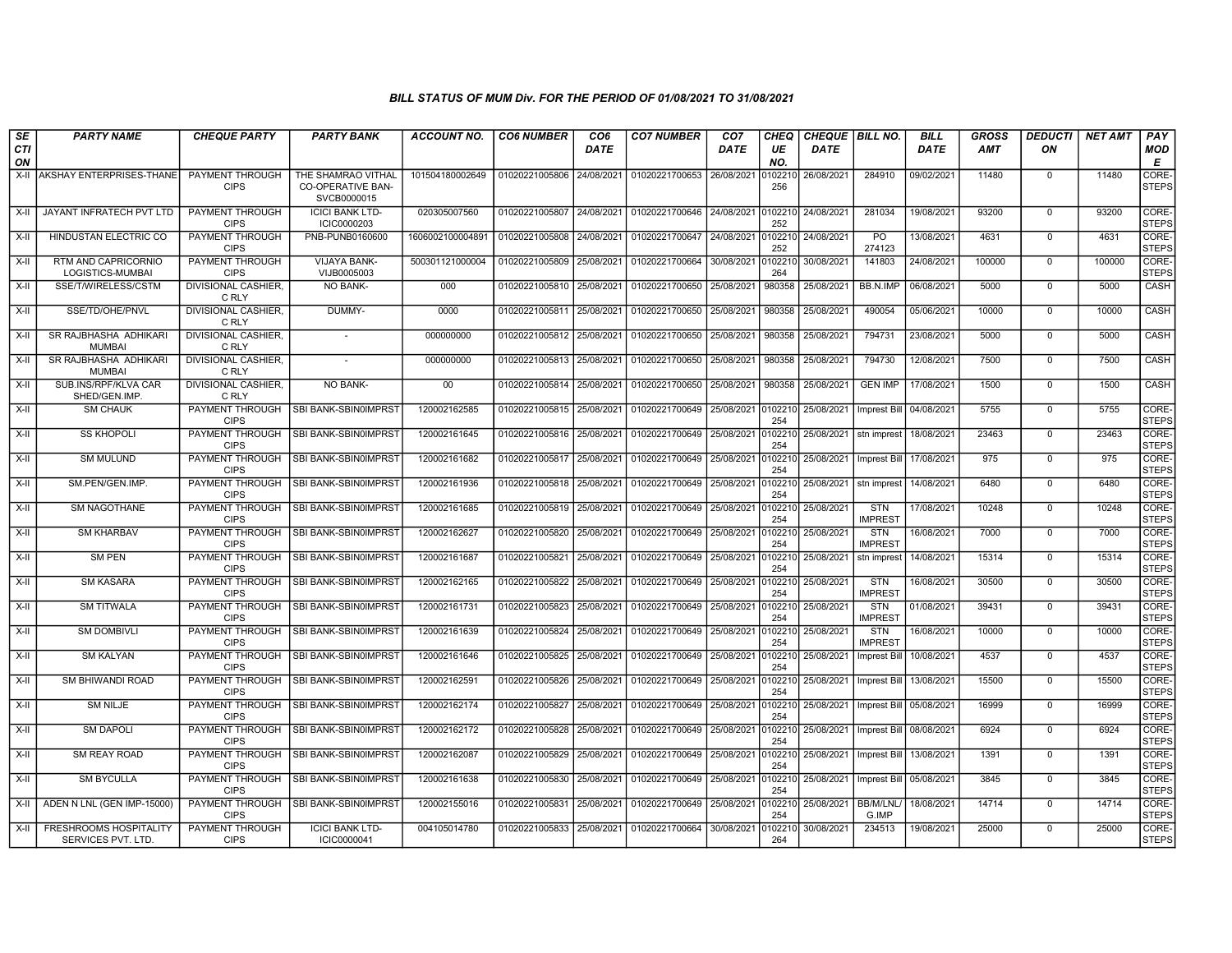| SE               | <b>PARTY NAME</b>                            | <b>CHEQUE PARTY</b>                   | <b>PARTY BANK</b>                                             | ACCOUNT NO.      | <b>CO6 NUMBER</b> | CO <sub>6</sub> | <b>CO7 NUMBER</b>         | CO <sub>7</sub> | CHEQ           | <b>CHEQUE   BILL NO.</b> |                              | <b>BILL</b> | GROSS      | <b>DEDUCTI</b> | <b>NET AMT</b> | <b>PAY</b>            |
|------------------|----------------------------------------------|---------------------------------------|---------------------------------------------------------------|------------------|-------------------|-----------------|---------------------------|-----------------|----------------|--------------------------|------------------------------|-------------|------------|----------------|----------------|-----------------------|
| <b>CTI</b><br>ON |                                              |                                       |                                                               |                  |                   | DATE            |                           | DATE            | UE<br>NO.      | DATE                     |                              | DATE        | <b>AMT</b> | ON             |                | <b>MOD</b><br>Е       |
| X-II             | AKSHAY ENTERPRISES-THANE                     | PAYMENT THROUGH<br><b>CIPS</b>        | THE SHAMRAO VITHAL<br><b>CO-OPERATIVE BAN-</b><br>SVCB0000015 | 101504180002649  | 01020221005806    | 24/08/2021      | 01020221700653            | 26/08/2021      | 102210<br>256  | 26/08/2021               | 284910                       | 09/02/2021  | 11480      | $\mathbf{0}$   | 11480          | CORE-<br><b>STEPS</b> |
| X-II             | <b>JAYANT INFRATECH PVT LTD</b>              | PAYMENT THROUGH<br><b>CIPS</b>        | <b>ICICI BANK LTD-</b><br>ICIC0000203                         | 020305007560     | 01020221005807    | 24/08/2021      | 01020221700646            | 24/08/2021      | 102210<br>252  | 24/08/2021               | 281034                       | 19/08/2021  | 93200      | $\mathbf 0$    | 93200          | CORE-<br><b>STEPS</b> |
| X-II             | HINDUSTAN ELECTRIC CO                        | PAYMENT THROUGH<br><b>CIPS</b>        | PNB-PUNB0160600                                               | 1606002100004891 | 01020221005808    | 24/08/2021      | 01020221700647            | 24/08/2021      | 0102210<br>252 | 24/08/2021               | PO.<br>274123                | 13/08/2021  | 4631       | $\mathbf 0$    | 4631           | CORE-<br><b>STEPS</b> |
| X-II             | RTM AND CAPRICORNIO<br>LOGISTICS-MUMBAI      | <b>PAYMENT THROUGH</b><br><b>CIPS</b> | VIJAYA BANK-<br>VIJB0005003                                   | 500301121000004  | 01020221005809    | 25/08/2021      | 01020221700664            | 30/08/2021      | 102210<br>264  | 30/08/2021               | 141803                       | 24/08/2021  | 100000     | $\Omega$       | 100000         | CORE-<br><b>STEPS</b> |
| X-II             | SSE/T/WIRELESS/CSTM                          | DIVISIONAL CASHIER,<br>C RLY          | NO BANK-                                                      | 000              | 01020221005810    | 25/08/2021      | 01020221700650            | 25/08/2021      | 980358         | 25/08/2021               | BB.N.IMP                     | 06/08/2021  | 5000       | $\mathbf 0$    | 5000           | CASH                  |
| $X-II$           | SSE/TD/OHE/PNVL                              | <b>DIVISIONAL CASHIER.</b><br>C RLY   | DUMMY-                                                        | 0000             | 01020221005811    | 25/08/2021      | 01020221700650            | 25/08/2021      | 980358         | 25/08/2021               | 490054                       | 05/06/2021  | 10000      | $^{\circ}$     | 10000          | CASH                  |
| X-II             | SR RAJBHASHA ADHIKARI<br><b>MUMBAI</b>       | <b>DIVISIONAL CASHIER,</b><br>C RLY   |                                                               | 000000000        | 01020221005812    | 25/08/2021      | 01020221700650            | 25/08/2021      | 980358         | 25/08/2021               | 794731                       | 23/08/2021  | 5000       | $\mathbf{0}$   | 5000           | <b>CASH</b>           |
| X-II             | SR RAJBHASHA ADHIKARI<br><b>MUMBAI</b>       | <b>DIVISIONAL CASHIER,</b><br>C RLY   |                                                               | 000000000        | 01020221005813    | 25/08/2021      | 01020221700650            | 25/08/2021      | 980358         | 25/08/2021               | 794730                       | 12/08/2021  | 7500       | $\mathbf 0$    | 7500           | <b>CASH</b>           |
| X-II             | SUB.INS/RPF/KLVA CAR<br>SHED/GEN.IMP.        | DIVISIONAL CASHIER,<br>C RLY          | NO BANK-                                                      | $00\,$           | 01020221005814    | 25/08/2021      | 01020221700650            | 25/08/2021      | 980358         | 25/08/2021               | <b>GEN IMP</b>               | 17/08/2021  | 1500       | $\mathbf 0$    | 1500           | CASH                  |
| X-II             | <b>SM CHAUK</b>                              | PAYMENT THROUGH<br><b>CIPS</b>        | SBI BANK-SBIN0IMPRST                                          | 120002162585     | 01020221005815    | 25/08/2021      | 01020221700649            | 25/08/2021      | 0102210<br>254 | 25/08/2021               | Imprest Bill                 | 04/08/2021  | 5755       | $\mathbf 0$    | 5755           | CORE-<br><b>STEPS</b> |
| X-II             | <b>SS KHOPOLI</b>                            | PAYMENT THROUGH<br><b>CIPS</b>        | SBI BANK-SBIN0IMPRST                                          | 120002161645     | 01020221005816    | 25/08/2021      | 01020221700649            | 25/08/2021      | 102210<br>254  | 25/08/2021               | stn imprest                  | 18/08/2021  | 23463      | $\Omega$       | 23463          | CORE-<br><b>STEPS</b> |
| $X-H$            | <b>SM MULUND</b>                             | <b>PAYMENT THROUGH</b><br><b>CIPS</b> | SBI BANK-SBIN0IMPRST                                          | 120002161682     | 01020221005817    | 25/08/2021      | 01020221700649            | 25/08/2021      | 102210<br>254  | 25/08/2021               | Imprest Bill                 | 17/08/2021  | 975        | $\mathbf 0$    | 975            | CORE-<br><b>STEPS</b> |
| X-II             | SM.PEN/GEN.IMP.                              | PAYMENT THROUGH<br><b>CIPS</b>        | SBI BANK-SBIN0IMPRST                                          | 120002161936     | 01020221005818    | 25/08/2021      | 01020221700649            | 25/08/2021      | )102210<br>254 | 25/08/2021               | stn imprest                  | 14/08/2021  | 6480       | $\mathbf{0}$   | 6480           | CORE-<br><b>STEPS</b> |
| X-II             | <b>SM NAGOTHANE</b>                          | PAYMENT THROUGH<br><b>CIPS</b>        | SBI BANK-SBIN0IMPRST                                          | 120002161685     | 01020221005819    | 25/08/2021      | 01020221700649            | 25/08/2021      | 102210<br>254  | 25/08/2021               | <b>STN</b><br><b>IMPREST</b> | 17/08/2021  | 10248      | $\mathbf{0}$   | 10248          | CORE-<br><b>STEPS</b> |
| X-II             | <b>SM KHARBAV</b>                            | PAYMENT THROUGH<br><b>CIPS</b>        | SBI BANK-SBIN0IMPRST                                          | 120002162627     | 01020221005820    | 25/08/2021      | 01020221700649            | 25/08/2021      | 102210<br>254  | 25/08/2021               | <b>STN</b><br>IMPREST        | 16/08/2021  | 7000       | $\Omega$       | 7000           | CORE-<br><b>STEPS</b> |
| $X-H$            | <b>SM PEN</b>                                | <b>PAYMENT THROUGH</b><br><b>CIPS</b> | SBI BANK-SBIN0IMPRST                                          | 120002161687     | 01020221005821    | 25/08/2021      | 01020221700649            | 25/08/2021      | 102210<br>254  | 25/08/2021               | stn imprest                  | 14/08/2021  | 15314      | $\mathbf 0$    | 15314          | CORE-<br><b>STEPS</b> |
| X-II             | <b>SM KASARA</b>                             | PAYMENT THROUGH<br><b>CIPS</b>        | SBI BANK-SBIN0IMPRST                                          | 120002162165     | 01020221005822    | 25/08/2021      | 01020221700649            | 25/08/2021      | 0102210<br>254 | 25/08/2021               | <b>STN</b><br><b>IMPREST</b> | 16/08/2021  | 30500      | $\mathbf 0$    | 30500          | CORE-<br><b>STEPS</b> |
| X-II             | <b>SM TITWALA</b>                            | PAYMENT THROUGH<br><b>CIPS</b>        | SBI BANK-SBIN0IMPRST                                          | 120002161731     | 01020221005823    | 25/08/2021      | 01020221700649            | 25/08/2021      | 102210<br>254  | 25/08/2021               | <b>STN</b><br><b>IMPREST</b> | 01/08/2021  | 39431      | $\mathbf{0}$   | 39431          | CORE-<br><b>STEPS</b> |
| X-II             | <b>SM DOMBIVLI</b>                           | PAYMENT THROUGH<br><b>CIPS</b>        | SBI BANK-SBIN0IMPRST                                          | 120002161639     | 01020221005824    | 25/08/2021      | 01020221700649            | 25/08/2021      | 0102210<br>254 | 25/08/2021               | <b>STN</b><br><b>IMPREST</b> | 16/08/2021  | 10000      | $\Omega$       | 10000          | CORE-<br><b>STEPS</b> |
| X-II             | <b>SM KALYAN</b>                             | <b>PAYMENT THROUGH</b><br><b>CIPS</b> | SBI BANK-SBIN0IMPRST                                          | 120002161646     | 01020221005825    | 25/08/2021      | 01020221700649            | 25/08/2021      | 102210<br>254  | 25/08/2021               | <b>Imprest Bill</b>          | 10/08/2021  | 4537       | $\mathbf 0$    | 4537           | CORE-<br><b>STEPS</b> |
| X-II             | SM BHIWANDI ROAD                             | PAYMENT THROUGH<br><b>CIPS</b>        | SBI BANK-SBIN0IMPRST                                          | 120002162591     | 01020221005826    | 25/08/2021      | 01020221700649            | 25/08/2021      | 102210<br>254  | 25/08/2021               | <b>Imprest Bill</b>          | 13/08/2021  | 15500      | $\mathbf{0}$   | 15500          | CORE-<br><b>STEPS</b> |
| X-II             | <b>SM NILJE</b>                              | PAYMENT THROUGH<br><b>CIPS</b>        | SBI BANK-SBIN0IMPRST                                          | 120002162174     | 01020221005827    | 25/08/2021      | 01020221700649            | 25/08/2021      | 102210<br>254  | 25/08/2021               | Imprest Bill 05/08/2021      |             | 16999      | $\Omega$       | 16999          | CORE-<br><b>STEPS</b> |
| $X-H$            | <b>SM DAPOLI</b>                             | PAYMENT THROUGH<br><b>CIPS</b>        | SBI BANK-SBIN0IMPRST                                          | 120002162172     | 01020221005828    | 25/08/2021      | 01020221700649            | 25/08/2021      | 102210<br>254  | 25/08/2021               | Imprest Bill   08/08/2021    |             | 6924       | $\mathbf{0}$   | 6924           | CORE-<br><b>STEPS</b> |
| $X-H$            | <b>SM REAY ROAD</b>                          | PAYMENT THROUGH<br><b>CIPS</b>        | SBI BANK-SBIN0IMPRST                                          | 120002162087     | 01020221005829    | 25/08/2021      | 01020221700649            | 25/08/2021      | 102210<br>254  | 25/08/2021               | Imprest Bill                 | 13/08/2021  | 1391       | $\mathbf 0$    | 1391           | CORE-<br><b>STEPS</b> |
| X-II             | <b>SM BYCULLA</b>                            | PAYMENT THROUGH<br><b>CIPS</b>        | SBI BANK-SBIN0IMPRST                                          | 120002161638     | 01020221005830    | 25/08/2021      | 01020221700649 25/08/2021 |                 | 102210<br>254  | 25/08/2021               | Imprest Bill                 | 05/08/2021  | 3845       | $\mathbf 0$    | 3845           | CORE-<br><b>STEPS</b> |
| X-II             | ADEN N LNL (GEN IMP-15000)                   | PAYMENT THROUGH<br><b>CIPS</b>        | SBI BANK-SBIN0IMPRST                                          | 120002155016     | 01020221005831    | 25/08/2021      | 01020221700649            | 25/08/2021      | 0102210<br>254 | 25/08/2021               | BB/M/LNL/<br>G.IMP           | 18/08/2021  | 14714      | $\mathbf{0}$   | 14714          | CORE-<br><b>STEPS</b> |
| X-II             | FRESHROOMS HOSPITALITY<br>SERVICES PVT. LTD. | PAYMENT THROUGH<br><b>CIPS</b>        | <b>ICICI BANK LTD-</b><br>ICIC0000041                         | 004105014780     | 01020221005833    | 25/08/2021      | 01020221700664            | 30/08/2021      | 102210<br>264  | 30/08/2021               | 234513                       | 19/08/2021  | 25000      | $\mathbf{0}$   | 25000          | CORE-<br><b>STEPS</b> |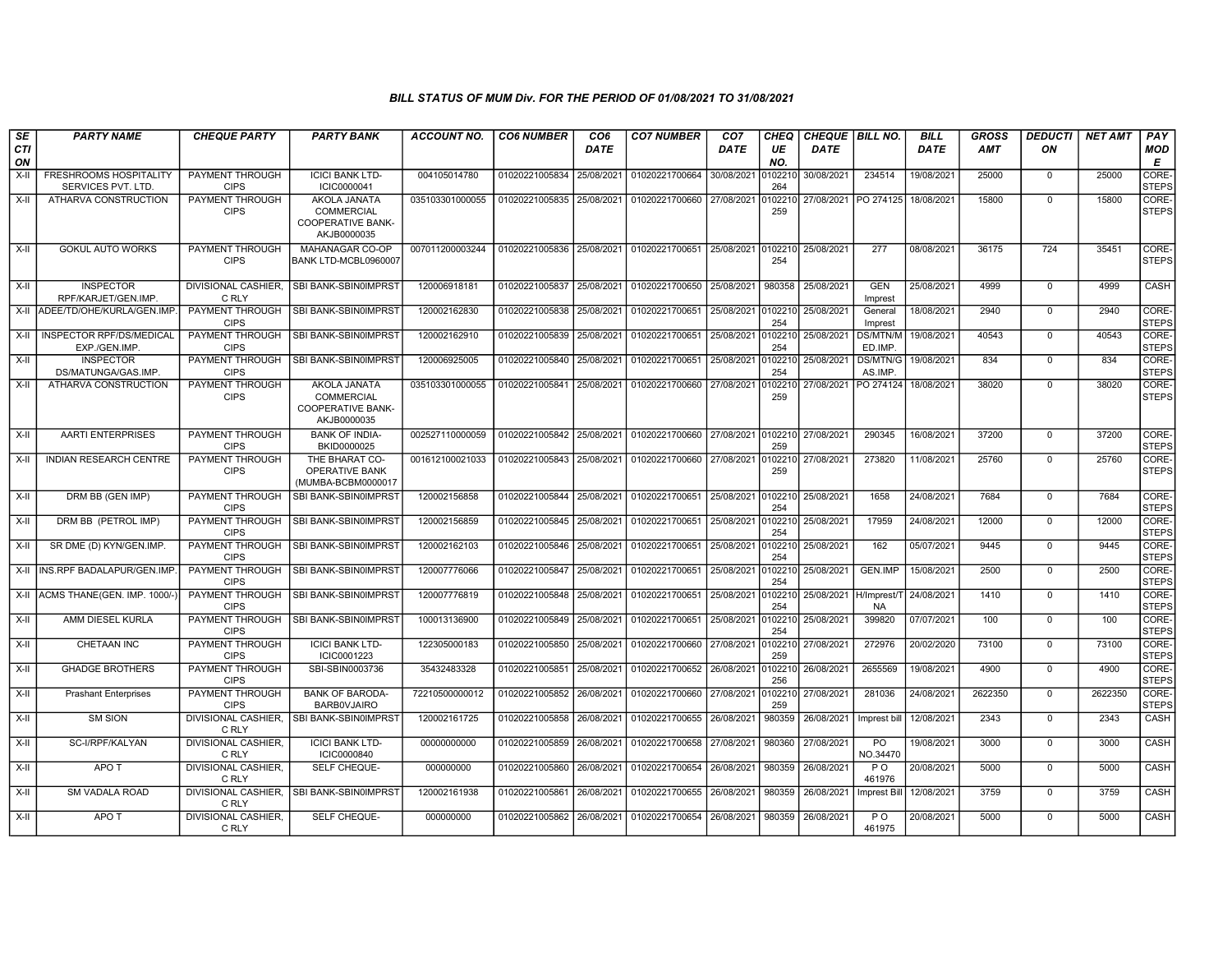| SE               | <b>PARTY NAME</b>                                   | <b>CHEQUE PARTY</b>                   | <b>PARTY BANK</b>                                                                   | <b>ACCOUNT NO.</b> | <b>CO6 NUMBER</b>         | CO <sub>6</sub> | <b>CO7 NUMBER</b>           | CO <sub>7</sub> | CHEQ           | <b>CHEQUE   BILL NO.</b> |                            | <b>BILL</b> | <b>GROSS</b> | <i><b>DEDUCTI</b></i> | <b>NET AMT</b> | <b>PAY</b>                  |
|------------------|-----------------------------------------------------|---------------------------------------|-------------------------------------------------------------------------------------|--------------------|---------------------------|-----------------|-----------------------------|-----------------|----------------|--------------------------|----------------------------|-------------|--------------|-----------------------|----------------|-----------------------------|
| <b>CTI</b><br>ON |                                                     |                                       |                                                                                     |                    |                           | <b>DATE</b>     |                             | <b>DATE</b>     | UE<br>NO.      | <b>DATE</b>              |                            | <b>DATE</b> | AMT          | ON                    |                | <b>MOD</b><br>Е             |
| $X-H$            | <b>FRESHROOMS HOSPITALITY</b><br>SERVICES PVT. LTD. | PAYMENT THROUGH<br><b>CIPS</b>        | <b>ICICI BANK LTD-</b><br>ICIC0000041                                               | 004105014780       | 01020221005834            | 25/08/2021      | 01020221700664 30/08/2021   |                 | 102210<br>264  | 30/08/2021               | 234514                     | 19/08/2021  | 25000        | $\mathbf 0$           | 25000          | <b>CORE</b><br><b>STEPS</b> |
| $X-H$            | ATHARVA CONSTRUCTION                                | <b>PAYMENT THROUGH</b><br><b>CIPS</b> | <b>AKOLA JANATA</b><br><b>COMMERCIAL</b><br><b>COOPERATIVE BANK-</b><br>AKJB0000035 | 035103301000055    | 01020221005835            | 25/08/2021      | 01020221700660 27/08/2021   |                 | 102210<br>259  | 27/08/2021   PO 274125   |                            | 18/08/2021  | 15800        | $\overline{0}$        | 15800          | CORE-<br><b>STEPS</b>       |
| X-II             | <b>GOKUL AUTO WORKS</b>                             | PAYMENT THROUGH<br><b>CIPS</b>        | MAHANAGAR CO-OP<br>BANK LTD-MCBL0960007                                             | 007011200003244    | 01020221005836 25/08/2021 |                 | 01020221700651 25/08/2021 l |                 | 254            | 0102210 25/08/2021       | 277                        | 08/08/2021  | 36175        | 724                   | 35451          | CORE-<br><b>STEPS</b>       |
| X-II             | <b>INSPECTOR</b><br>RPF/KARJET/GEN.IMP.             | <b>DIVISIONAL CASHIER.</b><br>C RLY   | SBI BANK-SBIN0IMPRST                                                                | 120006918181       | 01020221005837            | 25/08/2021      | 01020221700650 25/08/2021   |                 | 980358         | 25/08/2021               | <b>GEN</b><br>Imprest      | 25/08/2021  | 4999         | $\mathbf 0$           | 4999           | <b>CASH</b>                 |
| $X-H$            | ADEE/TD/OHE/KURLA/GEN.IMP                           | PAYMENT THROUGH<br><b>CIPS</b>        | SBI BANK-SBIN0IMPRST                                                                | 120002162830       | 01020221005838            | 25/08/2021      | 01020221700651              | 25/08/2021      | 0102210<br>254 | 25/08/2021               | General<br>Imprest         | 18/08/2021  | 2940         | $\Omega$              | 2940           | CORE-<br><b>STEPS</b>       |
| X-II             | <b>INSPECTOR RPF/DS/MEDICAL</b><br>EXP./GEN.IMP.    | <b>PAYMENT THROUGH</b><br><b>CIPS</b> | SBI BANK-SBIN0IMPRST                                                                | 120002162910       | 01020221005839            | 25/08/2021      | 01020221700651              | 25/08/2021      | 0102210<br>254 | 25/08/2021               | <b>DS/MTN/M</b><br>ED.IMP. | 19/08/2021  | 40543        | $\mathbf 0$           | 40543          | CORE-<br><b>STEPS</b>       |
| X-II             | <b>INSPECTOR</b><br>DS/MATUNGA/GAS.IMP.             | <b>PAYMENT THROUGH</b><br><b>CIPS</b> | SBI BANK-SBIN0IMPRST                                                                | 120006925005       | 01020221005840            | 25/08/2021      | 01020221700651              | 25/08/2021      | 102210<br>254  | 25/08/2021               | DS/MTN/G<br>AS.IMP.        | 19/08/2021  | 834          | $\mathbf 0$           | 834            | CORE-<br><b>STEPS</b>       |
| $X-II$           | ATHARVA CONSTRUCTION                                | PAYMENT THROUGH<br><b>CIPS</b>        | <b>AKOLA JANATA</b><br>COMMERCIAL<br><b>COOPERATIVE BANK-</b><br>AKJB0000035        | 035103301000055    | 01020221005841            | 25/08/2021      | 01020221700660              | 27/08/2021      | 102210<br>259  | 27/08/2021               | PO 274124                  | 18/08/2021  | 38020        | $\overline{0}$        | 38020          | CORE-<br><b>STEPS</b>       |
| X-II             | <b>AARTI ENTERPRISES</b>                            | PAYMENT THROUGH<br><b>CIPS</b>        | <b>BANK OF INDIA-</b><br>BKID0000025                                                | 002527110000059    | 01020221005842            | 25/08/2021      | 01020221700660              | 27/08/2021      | 259            | 0102210 27/08/2021       | 290345                     | 16/08/2021  | 37200        | $\mathbf 0$           | 37200          | CORE-<br>STEPS              |
| $X-II$           | <b>INDIAN RESEARCH CENTRE</b>                       | PAYMENT THROUGH<br><b>CIPS</b>        | THE BHARAT CO-<br>OPERATIVE BANK<br>(MUMBA-BCBM0000017                              | 001612100021033    | 01020221005843            | 25/08/2021      | 01020221700660              | 27/08/2021      | 102210<br>259  | 27/08/2021               | 273820                     | 11/08/2021  | 25760        | $\Omega$              | 25760          | CORE-<br><b>STEPS</b>       |
| X-II             | DRM BB (GEN IMP)                                    | PAYMENT THROUGH<br><b>CIPS</b>        | SBI BANK-SBIN0IMPRST                                                                | 120002156858       | 01020221005844            | 25/08/2021      | 01020221700651              | 25/08/2021      | 0102210<br>254 | 25/08/2021               | 1658                       | 24/08/2021  | 7684         | $\mathbf 0$           | 7684           | <b>CORE</b><br><b>STEPS</b> |
| $X-II$           | DRM BB (PETROL IMP)                                 | PAYMENT THROUGH<br><b>CIPS</b>        | SBI BANK-SBIN0IMPRST                                                                | 120002156859       | 01020221005845            | 25/08/2021      | 01020221700651              | 25/08/2021      | 0102210<br>254 | 25/08/2021               | 17959                      | 24/08/2021  | 12000        | $\mathbf 0$           | 12000          | CORE-<br>Isteps             |
| X-II             | SR DME (D) KYN/GEN.IMP.                             | <b>PAYMENT THROUGH</b><br><b>CIPS</b> | SBI BANK-SBIN0IMPRST                                                                | 120002162103       | 01020221005846 25/08/2021 |                 | 01020221700651 25/08/2021   |                 | 254            | 0102210 25/08/2021       | 162                        | 05/07/2021  | 9445         | $\mathbf 0$           | 9445           | CORE-<br><b>STEPS</b>       |
| $X-H$            | INS.RPF BADALAPUR/GEN.IMP                           | PAYMENT THROUGH<br><b>CIPS</b>        | SBI BANK-SBIN0IMPRST                                                                | 120007776066       | 01020221005847            | 25/08/2021      | 01020221700651              | 25/08/2021      | 0102210<br>254 | 25/08/2021               | <b>GEN.IMP</b>             | 15/08/2021  | 2500         | $\overline{0}$        | 2500           | CORE-<br>STEPS              |
| $X-H$            | ACMS THANE(GEN. IMP. 1000/-                         | <b>PAYMENT THROUGH</b><br><b>CIPS</b> | SBI BANK-SBIN0IMPRST                                                                | 120007776819       | 01020221005848            | 25/08/2021      | 01020221700651              | 25/08/2021      | 0102210<br>254 | 25/08/2021 H/Imprest/    | <b>NA</b>                  | 24/08/2021  | 1410         | $\Omega$              | 1410           | <b>CORE</b><br><b>STEPS</b> |
| X-II             | AMM DIESEL KURLA                                    | PAYMENT THROUGH<br><b>CIPS</b>        | SBI BANK-SBIN0IMPRST                                                                | 100013136900       | 01020221005849            | 25/08/2021      | 01020221700651              | 25/08/2021      | 102210<br>254  | 25/08/2021               | 399820                     | 07/07/2021  | 100          | $\mathbf 0$           | 100            | CORE-<br><b>STEPS</b>       |
| $X-H$            | <b>CHETAAN INC</b>                                  | <b>PAYMENT THROUGH</b><br><b>CIPS</b> | <b>ICICI BANK LTD-</b><br>ICIC0001223                                               | 122305000183       | 01020221005850            | 25/08/2021      | 01020221700660              | 27/08/2021      | 102210<br>259  | 27/08/2021               | 272976                     | 20/02/2020  | 73100        | $\overline{0}$        | 73100          | CORE-<br><b>STEPS</b>       |
| X-II             | <b>GHADGE BROTHERS</b>                              | PAYMENT THROUGH<br><b>CIPS</b>        | SBI-SBIN0003736                                                                     | 35432483328        | 01020221005851            | 25/08/2021      | 01020221700652 26/08/2021   |                 | 256            | 0102210 26/08/2021       | 2655569                    | 19/08/2021  | 4900         | $\mathbf 0$           | 4900           | CORE-<br><b>STEPS</b>       |
| $X-H$            | <b>Prashant Enterprises</b>                         | PAYMENT THROUGH<br><b>CIPS</b>        | <b>BANK OF BARODA-</b><br><b>BARBOVJAIRO</b>                                        | 72210500000012     | 01020221005852            | 26/08/2021      | 01020221700660              | 27/08/2021      | 102210<br>259  | 27/08/2021               | 281036                     | 24/08/2021  | 2622350      | $\mathbf 0$           | 2622350        | CORE-<br><b>STEPS</b>       |
| $X-H$            | <b>SM SION</b>                                      | DIVISIONAL CASHIER.<br>C RLY          | SBI BANK-SBIN0IMPRST                                                                | 120002161725       | 01020221005858            | 26/08/2021      | 01020221700655              | 26/08/2021      | 980359         | 26/08/2021               | Imprest bill               | 12/08/2021  | 2343         | $\Omega$              | 2343           | CASH                        |
| X-II             | SC-I/RPF/KALYAN                                     | DIVISIONAL CASHIER.<br>C RLY          | <b>ICICI BANK LTD-</b><br>ICIC0000840                                               | 00000000000        | 01020221005859            | 26/08/2021      | 01020221700658              | 27/08/2021      | 980360         | 27/08/2021               | PO<br>NO.34470             | 19/08/2021  | 3000         | $\mathbf 0$           | 3000           | <b>CASH</b>                 |
| $X-H$            | APO T                                               | <b>DIVISIONAL CASHIER,</b><br>C RLY   | SELF CHEQUE-                                                                        | 000000000          | 01020221005860            | 26/08/2021      | 01020221700654              | 26/08/2021      | 980359         | 26/08/2021               | $P$ O<br>461976            | 20/08/2021  | 5000         | $\overline{0}$        | 5000           | CASH                        |
| X-II             | <b>SM VADALA ROAD</b>                               | DIVISIONAL CASHIER.<br>C RLY          | SBI BANK-SBIN0IMPRST                                                                | 120002161938       | 01020221005861            | 26/08/2021      | 01020221700655 26/08/2021   |                 | 980359         | 26/08/2021               | <b>Imprest Bill</b>        | 12/08/2021  | 3759         | $\Omega$              | 3759           | CASH                        |
| $X-II$           | APO T                                               | <b>DIVISIONAL CASHIER.</b><br>C RLY   | SELF CHEQUE-                                                                        | 000000000          | 01020221005862            | 26/08/2021      | 01020221700654 26/08/2021   |                 | 980359         | 26/08/2021               | P <sub>O</sub><br>461975   | 20/08/2021  | 5000         | $\mathbf 0$           | 5000           | CASH                        |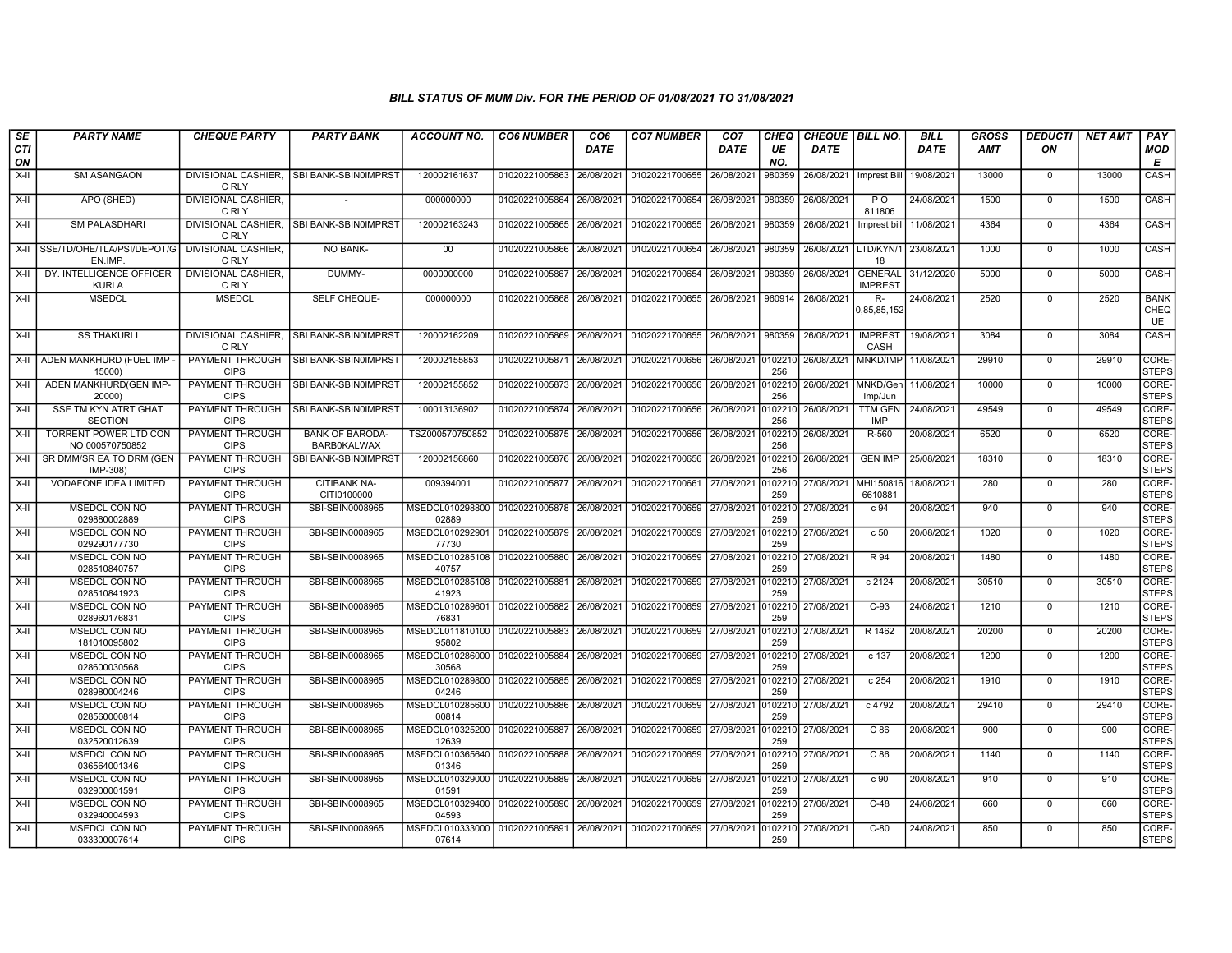| SE               | <b>PARTY NAME</b>                             | <b>CHEQUE PARTY</b>                   | <b>PARTY BANK</b>                            | ACCOUNT NO.                             | <b>CO6 NUMBER</b>         | CO <sub>6</sub> | <b>CO7 NUMBER</b>                 | CO <sub>7</sub> | CHEQ           | <b>CHEQUE BILL NO.</b> |                                  | <b>BILL</b> | <b>GROSS</b> | <i><b>DEDUCTI</b></i> | NET AMT | <b>PAY</b>                |
|------------------|-----------------------------------------------|---------------------------------------|----------------------------------------------|-----------------------------------------|---------------------------|-----------------|-----------------------------------|-----------------|----------------|------------------------|----------------------------------|-------------|--------------|-----------------------|---------|---------------------------|
| <b>CTI</b><br>ON |                                               |                                       |                                              |                                         |                           | DATE            |                                   | <b>DATE</b>     | UE<br>NO.      | DATE                   |                                  | <b>DATE</b> | <b>AMT</b>   | ON                    |         | MOD<br>E                  |
| X-II             | <b>SM ASANGAON</b>                            | DIVISIONAL CASHIER,<br>C RLY          | SBI BANK-SBIN0IMPRST                         | 120002161637                            | 01020221005863            | 26/08/2021      | 01020221700655                    | 26/08/2021      | 980359         | 26/08/2021             | Imprest Bill                     | 19/08/2021  | 13000        | $\mathbf 0$           | 13000   | <b>CASH</b>               |
| $X-H$            | APO (SHED)                                    | <b>DIVISIONAL CASHIER,</b><br>C RLY   |                                              | 000000000                               | 01020221005864            | 26/08/2021      | 01020221700654                    | 26/08/2021      | 980359         | 26/08/2021             | $P$ O<br>811806                  | 24/08/2021  | 1500         | $\mathbf 0$           | 1500    | <b>CASH</b>               |
| $X-II$           | <b>SM PALASDHARI</b>                          | C RLY                                 | DIVISIONAL CASHIER, SBI BANK-SBIN0IMPRST     | 120002163243                            | 01020221005865            | 26/08/2021      | 01020221700655 26/08/2021         |                 | 980359         | 26/08/2021             | Imprest bill                     | 11/08/2021  | 4364         | $\mathbf 0$           | 4364    | CASH                      |
|                  | X-II SSE/TD/OHE/TLA/PSI/DEPOT/G<br>EN.IMP.    | DIVISIONAL CASHIER,<br>C RLY          | <b>NO BANK-</b>                              | 00                                      | 01020221005866            | 26/08/2021      | 01020221700654                    | 26/08/2021      | 980359         | 26/08/2021             | LTD/KYN/1<br>18                  | 23/08/2021  | 1000         | $\mathbf 0$           | 1000    | CASH                      |
| X-II             | DY. INTELLIGENCE OFFICER<br><b>KURLA</b>      | <b>DIVISIONAL CASHIER,</b><br>C RLY   | DUMMY-                                       | 0000000000                              | 01020221005867            | 26/08/2021      | 01020221700654                    | 26/08/2021      | 980359         | 26/08/2021             | <b>GENERAL</b><br><b>IMPREST</b> | 31/12/2020  | 5000         | $\mathbf 0$           | 5000    | CASH                      |
| X-II             | <b>MSEDCL</b>                                 | <b>MSEDCL</b>                         | SELF CHEQUE-                                 | 000000000                               | 01020221005868            | 26/08/2021      | 01020221700655 26/08/2021         |                 | 960914         | 26/08/2021             | $R -$<br>0,85,85,152             | 24/08/2021  | 2520         | $\mathbf 0$           | 2520    | <b>BANK</b><br>CHEQ<br>UE |
| $X-H$            | <b>SS THAKURLI</b>                            | DIVISIONAL CASHIER,<br>C RLY          | SBI BANK-SBIN0IMPRST                         | 120002162209                            | 01020221005869            | 26/08/2021      | 01020221700655 26/08/2021         |                 | 980359         | 26/08/2021             | <b>IMPREST</b><br>CASH           | 19/08/2021  | 3084         | $\mathbf 0$           | 3084    | CASH                      |
| X-II             | ADEN MANKHURD (FUEL IMP<br>15000)             | <b>PAYMENT THROUGH</b><br><b>CIPS</b> | SBI BANK-SBIN0IMPRST                         | 120002155853                            | 01020221005871 26/08/2021 |                 | 01020221700656 26/08/2021 0102210 |                 | 256            | 26/08/2021             | MNKD/IMP 11/08/2021              |             | 29910        | $\mathbf 0$           | 29910   | CORE-<br>STEPS            |
| X-II             | ADEN MANKHURD(GEN IMP-<br>20000)              | PAYMENT THROUGH<br><b>CIPS</b>        | SBI BANK-SBIN0IMPRST                         | 120002155852                            | 01020221005873            | 26/08/2021      | 01020221700656                    | 26/08/2021      | 0102210<br>256 | 26/08/2021             | MNKD/Ger<br>Imp/Jun              | 11/08/2021  | 10000        | $\mathbf 0$           | 10000   | CORE-<br>STEPS            |
| X-II             | <b>SSE TM KYN ATRT GHAT</b><br><b>SECTION</b> | <b>PAYMENT THROUGH</b><br><b>CIPS</b> | SBI BANK-SBIN0IMPRST                         | 100013136902                            | 01020221005874            | 26/08/2021      | 01020221700656                    | 26/08/2021      | 010221<br>256  | 26/08/2021             | <b>TTM GEN</b><br><b>IMP</b>     | 24/08/2021  | 49549        | $\Omega$              | 49549   | CORE-<br><b>STEPS</b>     |
| X-II             | TORRENT POWER LTD CON<br>NO 000570750852      | PAYMENT THROUGH<br><b>CIPS</b>        | <b>BANK OF BARODA-</b><br><b>BARB0KALWAX</b> | TSZ000570750852                         | 01020221005875            | 26/08/2021      | 01020221700656                    | 26/08/2021      | 102210<br>256  | 26/08/2021             | R-560                            | 20/08/2021  | 6520         | $\mathbf 0$           | 6520    | CORE-<br><b>STEPS</b>     |
| $X-H$            | SR DMM/SR EA TO DRM (GEN<br>IMP-308)          | <b>PAYMENT THROUGH</b><br><b>CIPS</b> | SBI BANK-SBIN0IMPRST                         | 120002156860                            | 01020221005876            | 26/08/2021      | 01020221700656                    | 26/08/2021      | 0102210<br>256 | 26/08/2021             | <b>GEN IMP</b>                   | 25/08/2021  | 18310        | $\overline{0}$        | 18310   | CORE-<br><b>STEPS</b>     |
| X-II             | VODAFONE IDEA LIMITED                         | PAYMENT THROUGH<br><b>CIPS</b>        | <b>CITIBANK NA-</b><br>CITI0100000           | 009394001                               | 01020221005877            | 26/08/2021      | 01020221700661                    | 27/08/2021      | 0102210<br>259 | 27/08/2021             | MHI150816<br>6610881             | 18/08/2021  | 280          | $\mathbf 0$           | 280     | CORE-<br>STEPS            |
| X-II             | MSEDCL CON NO<br>029880002889                 | <b>PAYMENT THROUGH</b><br><b>CIPS</b> | SBI-SBIN0008965                              | MSEDCL010298800<br>02889                | 01020221005878            | 26/08/2021      | 01020221700659 27/08/2021         |                 | 102210<br>259  | 27/08/2021             | c 94                             | 20/08/2021  | 940          | $\mathbf 0$           | 940     | CORE-<br><b>STEPS</b>     |
| X-II             | <b>MSEDCL CON NO</b><br>029290177730          | PAYMENT THROUGH<br><b>CIPS</b>        | SBI-SBIN0008965                              | MSEDCL010292901<br>77730                | 01020221005879 26/08/2021 |                 | 01020221700659 27/08/2021         |                 | 0102210<br>259 | 27/08/2021             | c 50                             | 20/08/2021  | 1020         | $\Omega$              | 1020    | CORE-<br><b>STEPS</b>     |
| $X-H$            | <b>MSEDCL CON NO</b><br>028510840757          | <b>PAYMENT THROUGH</b><br><b>CIPS</b> | SBI-SBIN0008965                              | MSEDCL010285108<br>40757                | 01020221005880            | 26/08/2021      | 01020221700659 27/08/2021         |                 | 0102210<br>259 | 27/08/2021             | R 94                             | 20/08/2021  | 1480         | $\mathbf 0$           | 1480    | CORE-<br><b>STEPS</b>     |
| X-II             | MSEDCL CON NO<br>028510841923                 | <b>PAYMENT THROUGH</b><br><b>CIPS</b> | SBI-SBIN0008965                              | MSEDCL010285108<br>41923                | 01020221005881            | 26/08/2021      | 01020221700659                    | 27/08/2021      | 010221<br>259  | 27/08/2021             | c 2124                           | 20/08/2021  | 30510        | $\mathbf 0$           | 30510   | CORE-<br><b>STEPS</b>     |
| X-II             | MSEDCL CON NO<br>028960176831                 | PAYMENT THROUGH<br><b>CIPS</b>        | SBI-SBIN0008965                              | MSEDCL010289601<br>76831                | 01020221005882            | 26/08/2021      | 01020221700659                    | 27/08/2021      | 010221<br>259  | 27/08/2021             | $C-93$                           | 24/08/2021  | 1210         | $\mathbf 0$           | 1210    | CORE-<br><b>STEPS</b>     |
| X-II             | MSEDCL CON NO<br>181010095802                 | PAYMENT THROUGH<br><b>CIPS</b>        | SBI-SBIN0008965                              | MSEDCL011810100<br>95802                | 01020221005883            | 26/08/2021      | 01020221700659                    | 27/08/2021      | 010221<br>259  | 27/08/2021             | R 1462                           | 20/08/202   | 20200        | $\mathbf 0$           | 20200   | CORE-<br><b>STEPS</b>     |
| $X-H$            | <b>MSEDCL CON NO</b><br>028600030568          | PAYMENT THROUGH<br><b>CIPS</b>        | SBI-SBIN0008965                              | MSEDCL010286000<br>30568                | 01020221005884            | 26/08/2021      | 01020221700659                    | 27/08/2021      | 0102210<br>259 | 27/08/2021             | c 137                            | 20/08/2021  | 1200         | $\mathbf 0$           | 1200    | CORE-<br><b>STEPS</b>     |
| $X-H$            | MSEDCL CON NO<br>028980004246                 | <b>PAYMENT THROUGH</b><br><b>CIPS</b> | SBI-SBIN0008965                              | MSEDCL010289800<br>04246                | 01020221005885            | 26/08/2021      | 01020221700659 27/08/2021         |                 | 0102210<br>259 | 27/08/2021             | c254                             | 20/08/2021  | 1910         | $\Omega$              | 1910    | CORE-<br><b>STEPS</b>     |
| X-II             | MSEDCL CON NO<br>028560000814                 | PAYMENT THROUGH<br><b>CIPS</b>        | SBI-SBIN0008965                              | MSEDCL010285600<br>00814                | 01020221005886            | 26/08/2021      | 01020221700659 27/08/2021         |                 | 0102210<br>259 | 27/08/2021             | c 4792                           | 20/08/2021  | 29410        | $\mathbf 0$           | 29410   | CORE-<br><b>STEPS</b>     |
| X-II             | MSEDCL CON NO<br>032520012639                 | PAYMENT THROUGH<br><b>CIPS</b>        | SBI-SBIN0008965                              | MSEDCL010325200<br>12639                | 01020221005887            | 26/08/2021      | 01020221700659                    | 27/08/2021      | 102210<br>259  | 27/08/2021             | C 86                             | 20/08/2021  | 900          | $\mathbf 0$           | 900     | CORE-<br>STEPS            |
| X-II             | <b>MSEDCL CON NO</b><br>036564001346          | <b>PAYMENT THROUGH</b><br><b>CIPS</b> | SBI-SBIN0008965                              | MSEDCL010365640<br>01346                | 01020221005888            | 26/08/2021      | 01020221700659 27/08/2021         |                 | 0102210<br>259 | 27/08/2021             | C86                              | 20/08/2021  | 1140         | $\mathbf 0$           | 1140    | CORE-<br><b>STEPS</b>     |
| X-II             | MSEDCL CON NO<br>032900001591                 | <b>PAYMENT THROUGH</b><br><b>CIPS</b> | SBI-SBIN0008965                              | MSEDCL010329000<br>01591                | 01020221005889            | 26/08/2021      | 01020221700659 27/08/2021         |                 | 0102210<br>259 | 27/08/2021             | c 90                             | 20/08/2021  | 910          | $\mathbf 0$           | 910     | CORE-<br><b>STEPS</b>     |
| X-II             | MSEDCL CON NO<br>032940004593                 | PAYMENT THROUGH<br><b>CIPS</b>        | SBI-SBIN0008965                              | MSEDCL010329400<br>04593                | 01020221005890            | 26/08/2021      | 01020221700659                    | 27/08/2021      | 0102210<br>259 | 27/08/2021             | $C-48$                           | 24/08/2021  | 660          | $\mathbf 0$           | 660     | CORE-<br><b>STEPS</b>     |
| $X-H$            | MSEDCL CON NO<br>033300007614                 | PAYMENT THROUGH<br><b>CIPS</b>        | SBI-SBIN0008965                              | MSEDCL010333000 01020221005891<br>07614 |                           | 26/08/2021      | 01020221700659                    | 27/08/2021      | 102210<br>259  | 27/08/2021             | $C-80$                           | 24/08/2021  | 850          | $\mathbf 0$           | 850     | CORE-<br>STEPS            |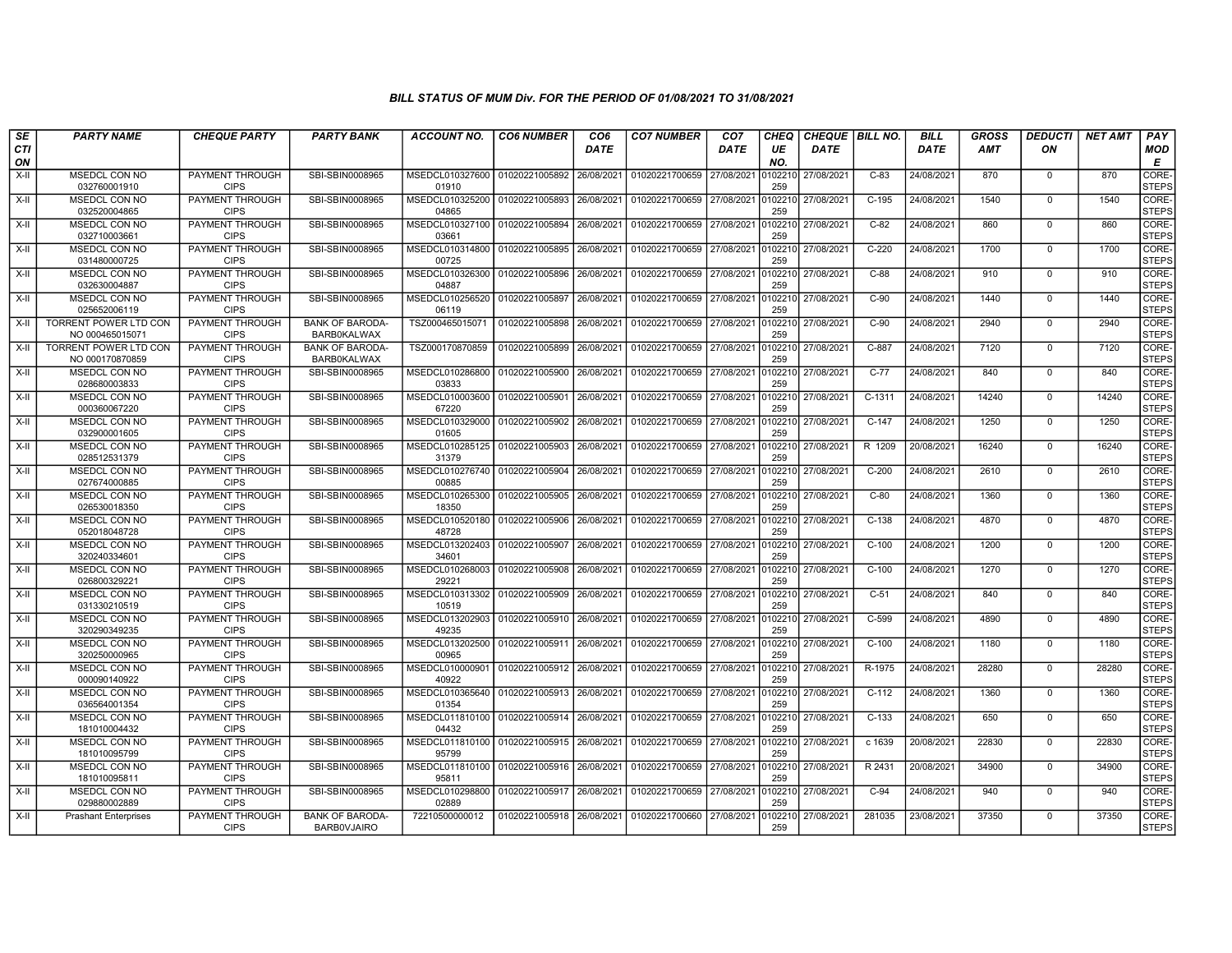| SE               | <b>PARTY NAME</b>                               | <b>CHEQUE PARTY</b>                   | <b>PARTY BANK</b>                            | ACCOUNT NO.                                          | <b>CO6 NUMBER</b>         | CO <sub>6</sub> | <b>CO7 NUMBER</b>         | CO <sub>7</sub> | CHEQ           | <b>CHEQUE   BILL NO.</b> |          | <b>BILL</b> | <b>GROSS</b> | <i><b>DEDUCTI</b></i> | <b>NET AMT</b> | <b>PAY</b>            |
|------------------|-------------------------------------------------|---------------------------------------|----------------------------------------------|------------------------------------------------------|---------------------------|-----------------|---------------------------|-----------------|----------------|--------------------------|----------|-------------|--------------|-----------------------|----------------|-----------------------|
| <b>CTI</b><br>ON |                                                 |                                       |                                              |                                                      |                           | <b>DATE</b>     |                           | <b>DATE</b>     | UE<br>NO.      | <b>DATE</b>              |          | <b>DATE</b> | <b>AMT</b>   | ON                    |                | <b>MOD</b><br>E       |
| $X-H$            | MSEDCL CON NO<br>032760001910                   | <b>PAYMENT THROUGH</b><br><b>CIPS</b> | SBI-SBIN0008965                              | MSEDCL010327600 01020221005892<br>01910              |                           | 26/08/2021      | 01020221700659            | 27/08/2021      | 0102210<br>259 | 27/08/2021               | $C-83$   | 24/08/2021  | 870          | $\mathbf 0$           | 870            | CORE-<br><b>STEPS</b> |
| X-II             | MSEDCL CON NO<br>032520004865                   | <b>PAYMENT THROUGH</b><br><b>CIPS</b> | SBI-SBIN0008965                              | MSEDCL010325200   01020221005893<br>04865            |                           | 26/08/2021      | 01020221700659 27/08/2021 |                 | 102210<br>259  | 27/08/2021               | $C-195$  | 24/08/2021  | 1540         | $\mathbf 0$           | 1540           | CORE-<br><b>STEPS</b> |
| $X-II$           | MSEDCL CON NO<br>032710003661                   | PAYMENT THROUGH<br><b>CIPS</b>        | SBI-SBIN0008965                              | MSEDCL010327100<br>03661                             | 01020221005894            | 26/08/2021      | 01020221700659            | 27/08/2021      | 0102210<br>259 | 27/08/2021               | $C-82$   | 24/08/2021  | 860          | $\Omega$              | 860            | CORE-<br><b>STEPS</b> |
| X-II             | <b>MSEDCL CON NO</b><br>031480000725            | PAYMENT THROUGH<br><b>CIPS</b>        | SBI-SBIN0008965                              | MSEDCL010314800 01020221005895<br>00725              |                           | 26/08/2021      | 01020221700659            | 27/08/2021      | 0102210<br>259 | 27/08/2021               | $C-220$  | 24/08/2021  | 1700         | $\mathbf 0$           | 1700           | CORE-<br><b>STEPS</b> |
| $X-H$            | <b>MSEDCL CON NO</b><br>032630004887            | PAYMENT THROUGH<br><b>CIPS</b>        | SBI-SBIN0008965                              | MSEDCL010326300<br>04887                             | 01020221005896            | 26/08/2021      | 01020221700659            | 27/08/2021      | 0102210<br>259 | 27/08/2021               | $C-88$   | 24/08/2021  | 910          | $\mathbf 0$           | 910            | CORE-<br><b>STEPS</b> |
| X-II             | MSEDCL CON NO<br>025652006119                   | PAYMENT THROUGH<br><b>CIPS</b>        | SBI-SBIN0008965                              | MSEDCL010256520 01020221005897<br>06119              |                           | 26/08/2021      | 01020221700659 27/08/2021 |                 | 0102210<br>259 | 27/08/2021               | $C-90$   | 24/08/2021  | 1440         | $\mathbf 0$           | 1440           | CORE-<br><b>STEPS</b> |
| X-II             | <b>TORRENT POWER LTD CON</b><br>NO 000465015071 | PAYMENT THROUGH<br><b>CIPS</b>        | <b>BANK OF BARODA-</b><br><b>BARB0KALWAX</b> | TSZ000465015071                                      | 01020221005898            | 26/08/2021      | 01020221700659            | 27/08/2021      | 102210<br>259  | 27/08/2021               | $C-90$   | 24/08/2021  | 2940         | $\mathbf 0$           | 2940           | CORE-<br>STEPS        |
| X-II             | <b>TORRENT POWER LTD CON</b><br>NO 000170870859 | PAYMENT THROUGH<br><b>CIPS</b>        | <b>BANK OF BARODA-</b><br><b>BARB0KALWAX</b> | TSZ000170870859                                      | 01020221005899            | 26/08/2021      | 01020221700659            | 27/08/2021      | 0102210<br>259 | 27/08/2021               | $C-887$  | 24/08/2021  | 7120         | $\mathbf 0$           | 7120           | CORE-<br><b>STEPS</b> |
| X-II             | <b>MSEDCL CON NO</b><br>028680003833            | PAYMENT THROUGH<br><b>CIPS</b>        | SBI-SBIN0008965                              | MSEDCL010286800<br>03833                             | 01020221005900            | 26/08/2021      | 01020221700659 27/08/2021 |                 | 0102210<br>259 | 27/08/2021               | $C-77$   | 24/08/2021  | 840          | $\Omega$              | 840            | CORE-<br><b>STEPS</b> |
| $X-H$            | <b>MSEDCL CON NO</b><br>000360067220            | <b>PAYMENT THROUGH</b><br><b>CIPS</b> | SBI-SBIN0008965                              | MSEDCL010003600 01020221005901<br>67220              |                           | 26/08/2021      | 01020221700659 27/08/2021 |                 | 0102210<br>259 | 27/08/2021               | $C-1311$ | 24/08/2021  | 14240        | $\mathbf 0$           | 14240          | CORE-<br><b>STEPS</b> |
| X-II             | MSEDCL CON NO<br>032900001605                   | PAYMENT THROUGH<br><b>CIPS</b>        | SBI-SBIN0008965                              | MSEDCL010329000 01020221005902 26/08/2021<br>01605   |                           |                 | 01020221700659 27/08/2021 |                 | 0102210<br>259 | 27/08/2021               | $C-147$  | 24/08/2021  | 1250         | $\Omega$              | 1250           | CORE-<br><b>STEPS</b> |
| X-II             | MSEDCL CON NO<br>028512531379                   | PAYMENT THROUGH<br><b>CIPS</b>        | SBI-SBIN0008965                              | MSEDCL010285125 01020221005903<br>31379              |                           | 26/08/2021      | 01020221700659 27/08/2021 |                 | 0102210<br>259 | 27/08/2021               | R 1209   | 20/08/2021  | 16240        | $\mathbf 0$           | 16240          | CORE-<br><b>STEPS</b> |
| X-II             | MSEDCL CON NO<br>027674000885                   | PAYMENT THROUGH<br><b>CIPS</b>        | SBI-SBIN0008965                              | MSEDCL010276740 01020221005904 26/08/2021<br>00885   |                           |                 | 01020221700659 27/08/2021 |                 | 010221<br>259  | 27/08/2021               | $C-200$  | 24/08/2021  | 2610         | $\Omega$              | 2610           | CORE-<br><b>STEPS</b> |
| X-II             | MSEDCL CON NO<br>026530018350                   | PAYMENT THROUGH<br><b>CIPS</b>        | SBI-SBIN0008965                              | MSEDCL010265300   01020221005905<br>18350            |                           | 26/08/2021      | 01020221700659            | 27/08/2021      | 0102210<br>259 | 27/08/2021               | $C-80$   | 24/08/2021  | 1360         | $\mathbf 0$           | 1360           | CORE-<br><b>STEPS</b> |
| $X-II$           | MSEDCL CON NO<br>052018048728                   | PAYMENT THROUGH<br><b>CIPS</b>        | SBI-SBIN0008965                              | MSEDCL010520180 01020221005906<br>48728              |                           | 26/08/2021      | 01020221700659 27/08/2021 |                 | 010221<br>259  | 27/08/2021               | $C-138$  | 24/08/2021  | 4870         | $\Omega$              | 4870           | CORE-<br><b>STEPS</b> |
| X-II             | MSEDCL CON NO<br>320240334601                   | PAYMENT THROUGH<br><b>CIPS</b>        | SBI-SBIN0008965                              | MSEDCL013202403<br>34601                             | 01020221005907            | 26/08/2021      | 01020221700659 27/08/2021 |                 | 0102210<br>259 | 27/08/2021               | $C-100$  | 24/08/2021  | 1200         | $\mathbf 0$           | 1200           | CORE-<br><b>STEPS</b> |
| $X-II$           | <b>MSEDCL CON NO</b><br>026800329221            | PAYMENT THROUGH<br><b>CIPS</b>        | SBI-SBIN0008965                              | MSEDCL010268003<br>29221                             | 01020221005908            | 26/08/2021      | 01020221700659            | 27/08/2021      | 0102210<br>259 | 27/08/2021               | $C-100$  | 24/08/2021  | 1270         | $\Omega$              | 1270           | CORE-<br><b>STEPS</b> |
| X-II             | <b>MSEDCL CON NO</b><br>031330210519            | <b>PAYMENT THROUGH</b><br><b>CIPS</b> | SBI-SBIN0008965                              | MSEDCL010313302 01020221005909<br>10519              |                           | 26/08/2021      | 01020221700659 27/08/2021 |                 | 0102210<br>259 | 27/08/2021               | $C-51$   | 24/08/2021  | 840          | $\mathbf 0$           | 840            | CORE-<br><b>STEPS</b> |
| $X-II$           | MSEDCL CON NO<br>320290349235                   | PAYMENT THROUGH<br><b>CIPS</b>        | SBI-SBIN0008965                              | MSEDCL013202903<br>49235                             | 01020221005910            | 26/08/2021      | 01020221700659            | 27/08/2021      | 0102210<br>259 | 27/08/2021               | C-599    | 24/08/2021  | 4890         | $\Omega$              | 4890           | CORE-<br>STEPS        |
| X-II             | MSEDCL CON NO<br>320250000965                   | <b>PAYMENT THROUGH</b><br><b>CIPS</b> | SBI-SBIN0008965                              | MSEDCL013202500   01020221005911 26/08/2021<br>00965 |                           |                 | 01020221700659 27/08/2021 |                 | 102210<br>259  | 27/08/2021               | $C-100$  | 24/08/2021  | 1180         | $\mathbf 0$           | 1180           | CORE-<br><b>STEPS</b> |
| $X-II$           | <b>MSEDCL CON NO</b><br>000090140922            | PAYMENT THROUGH<br><b>CIPS</b>        | SBI-SBIN0008965                              | MSEDCL010000901<br>40922                             | 01020221005912 26/08/2021 |                 | 01020221700659 27/08/2021 |                 | 0102210<br>259 | 27/08/2021               | R-1975   | 24/08/2021  | 28280        | $\mathbf 0$           | 28280          | CORE-<br><b>STEPS</b> |
| X-II             | <b>MSEDCL CON NO</b><br>036564001354            | <b>PAYMENT THROUGH</b><br><b>CIPS</b> | SBI-SBIN0008965                              | MSEDCL010365640 01020221005913 26/08/2021<br>01354   |                           |                 | 01020221700659 27/08/2021 |                 | 10221<br>259   | 27/08/2021               | $C-112$  | 24/08/2021  | 1360         | $\mathbf 0$           | 1360           | CORE-<br><b>STEPS</b> |
| X-II             | MSEDCL CON NO<br>181010004432                   | PAYMENT THROUGH<br><b>CIPS</b>        | SBI-SBIN0008965                              | MSEDCL011810100<br>04432                             | 01020221005914            | 26/08/2021      | 01020221700659            | 27/08/2021      | 10221<br>259   | 27/08/2021               | $C-133$  | 24/08/2021  | 650          | $\mathbf 0$           | 650            | CORE-<br><b>STEPS</b> |
| X-II             | MSEDCL CON NO<br>181010095799                   | PAYMENT THROUGH<br><b>CIPS</b>        | SBI-SBIN0008965                              | MSEDCL011810100 01020221005915<br>95799              |                           | 26/08/2021      | 01020221700659            | 27/08/2021      | 0102210<br>259 | 27/08/2021               | c 1639   | 20/08/2021  | 22830        | $\mathbf 0$           | 22830          | CORE-<br><b>STEPS</b> |
| $X-II$           | <b>MSEDCL CON NO</b><br>181010095811            | PAYMENT THROUGH<br><b>CIPS</b>        | SBI-SBIN0008965                              | MSEDCL011810100 01020221005916 26/08/2021<br>95811   |                           |                 | 01020221700659 27/08/2021 |                 | 102210<br>259  | 27/08/2021               | R 2431   | 20/08/2021  | 34900        | $\Omega$              | 34900          | CORE-<br><b>STEPS</b> |
| X-II             | <b>MSEDCL CON NO</b><br>029880002889            | <b>PAYMENT THROUGH</b><br><b>CIPS</b> | SBI-SBIN0008965                              | MSEDCL010298800<br>02889                             | 01020221005917 26/08/2021 |                 | 01020221700659 27/08/2021 |                 | 0102210<br>259 | 27/08/2021               | $C-94$   | 24/08/2021  | 940          | $\mathbf 0$           | 940            | CORE-<br><b>STEPS</b> |
| X-II             | <b>Prashant Enterprises</b>                     | PAYMENT THROUGH<br><b>CIPS</b>        | <b>BANK OF BARODA-</b><br><b>BARBOVJAIRO</b> | 72210500000012                                       | 01020221005918 26/08/2021 |                 | 01020221700660 27/08/2021 |                 | 102210<br>259  | 27/08/2021               | 281035   | 23/08/2021  | 37350        | $\Omega$              | 37350          | CORE-<br><b>STEPS</b> |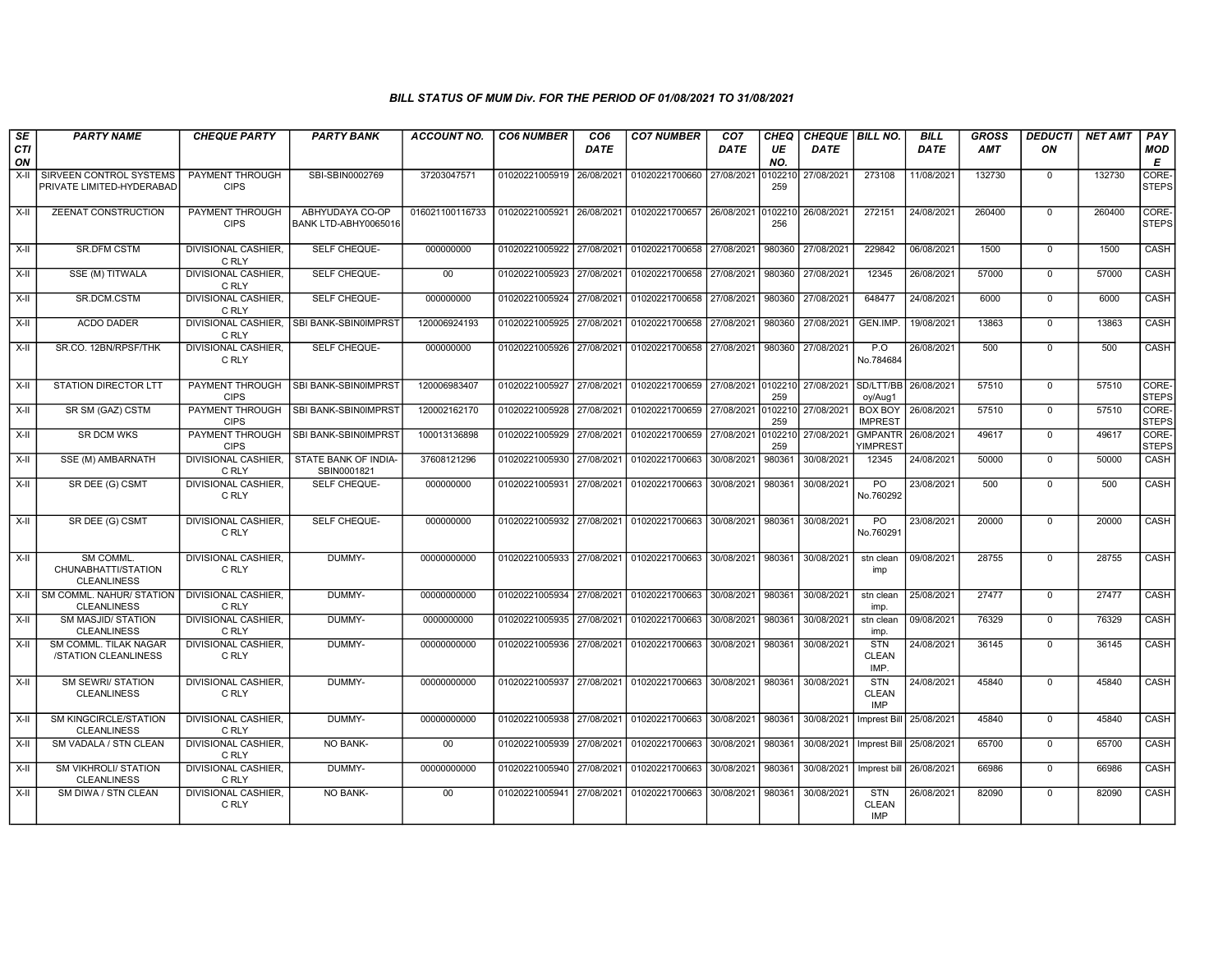| SE                 | <b>PARTY NAME</b>                                     | <b>CHEQUE PARTY</b>                   | <b>PARTY BANK</b>                        | <b>ACCOUNT NO.</b> | <b>CO6 NUMBER</b>         | CO <sub>6</sub> | <b>CO7 NUMBER</b>                            | CO <sub>7</sub> | <b>CHEQ</b>    | <b>CHEQUE BILL NO.</b> |                                          | <b>BILL</b> | <b>GROSS</b> | DEDUCTI        | <b>NET AMT</b> | PAY                   |
|--------------------|-------------------------------------------------------|---------------------------------------|------------------------------------------|--------------------|---------------------------|-----------------|----------------------------------------------|-----------------|----------------|------------------------|------------------------------------------|-------------|--------------|----------------|----------------|-----------------------|
| <b>CTI</b><br>ON   |                                                       |                                       |                                          |                    |                           | DATE            |                                              | <b>DATE</b>     | UE<br>NO.      | DATE                   |                                          | DATE        | <b>AMT</b>   | ON             |                | <b>MOD</b><br>E       |
| $\overline{x}$ -II | SIRVEEN CONTROL SYSTEMS<br>PRIVATE LIMITED-HYDERABAD  | PAYMENT THROUGH<br><b>CIPS</b>        | SBI-SBIN0002769                          | 37203047571        | 01020221005919 26/08/2021 |                 | 01020221700660                               | 27/08/2021      | 010221<br>259  | 27/08/2021             | 273108                                   | 11/08/2021  | 132730       | $\mathbf 0$    | 132730         | CORE-<br><b>STEPS</b> |
| $X-H$              | ZEENAT CONSTRUCTION                                   | PAYMENT THROUGH<br><b>CIPS</b>        | ABHYUDAYA CO-OP<br>BANK LTD-ABHY0065016  | 016021100116733    | 01020221005921 26/08/2021 |                 | 01020221700657 26/08/2021 0102210            |                 | 256            | 26/08/2021             | 272151                                   | 24/08/2021  | 260400       | $\mathbf 0$    | 260400         | CORE-<br><b>STEPS</b> |
| X-II               | <b>SR.DFM CSTM</b>                                    | DIVISIONAL CASHIER,<br>C RLY          | SELF CHEQUE-                             | 000000000          | 01020221005922 27/08/2021 |                 | 01020221700658 27/08/2021                    |                 | 980360         | 27/08/2021             | 229842                                   | 06/08/2021  | 1500         | $\mathbf 0$    | 1500           | CASH                  |
| $X-H$              | SSE (M) TITWALA                                       | DIVISIONAL CASHIER,<br>C RLY          | SELF CHEQUE-                             | 00                 | 01020221005923 27/08/2021 |                 | 01020221700658 27/08/2021                    |                 | 980360         | 27/08/2021             | 12345                                    | 26/08/2021  | 57000        | $\overline{0}$ | 57000          | CASH                  |
| X-II               | SR.DCM.CSTM                                           | <b>DIVISIONAL CASHIER.</b><br>C RLY   | <b>SELF CHEQUE-</b>                      | 000000000          | 01020221005924 27/08/2021 |                 | 01020221700658 27/08/2021                    |                 | 980360         | 27/08/2021             | 648477                                   | 24/08/2021  | 6000         | $\Omega$       | 6000           | CASH                  |
| $X-H$              | <b>ACDO DADER</b>                                     | C RLY                                 | DIVISIONAL CASHIER, SBI BANK-SBIN0IMPRST | 120006924193       | 01020221005925 27/08/2021 |                 | 01020221700658 27/08/2021                    |                 | 980360         | 27/08/2021             | GEN.IMP                                  | 19/08/2021  | 13863        | $\mathbf 0$    | 13863          | <b>CASH</b>           |
| X-II               | SR.CO. 12BN/RPSF/THK                                  | DIVISIONAL CASHIER,<br>C RLY          | SELF CHEQUE-                             | 000000000          | 01020221005926 27/08/2021 |                 | 01020221700658 27/08/2021                    |                 | 980360         | 27/08/2021             | P.O<br>No.784684                         | 26/08/2021  | 500          | $\mathbf 0$    | 500            | CASH                  |
| $X-H$              | <b>STATION DIRECTOR LTT</b>                           | PAYMENT THROUGH<br><b>CIPS</b>        | SBI BANK-SBIN0IMPRST                     | 120006983407       | 01020221005927 27/08/2021 |                 | 01020221700659 27/08/2021 0102210 27/08/2021 |                 | 259            |                        | SD/LTT/BB<br>oy/Aug1                     | 26/08/2021  | 57510        | $\overline{0}$ | 57510          | CORE-<br><b>STEPS</b> |
| $X-H$              | SR SM (GAZ) CSTM                                      | <b>PAYMENT THROUGH</b><br><b>CIPS</b> | SBI BANK-SBIN0IMPRST                     | 120002162170       | 01020221005928 27/08/2021 |                 | 01020221700659 27/08/2021                    |                 | 0102210<br>259 | 27/08/2021             | <b>BOX BOY</b><br><b>IMPREST</b>         | 26/08/2021  | 57510        | $\mathbf 0$    | 57510          | CORE-<br><b>STEPS</b> |
| $X-II$             | <b>SR DCM WKS</b>                                     | PAYMENT THROUGH<br><b>CIPS</b>        | SBI BANK-SBIN0IMPRST                     | 100013136898       | 01020221005929            | 27/08/2021      | 01020221700659                               | 27/08/2021      | 10221<br>259   | 27/08/2021             | <b>GMPANTR</b><br>YIMPRES <sub>1</sub>   | 26/08/2021  | 49617        | $\mathbf 0$    | 49617          | CORE-<br><b>STEPS</b> |
| $X-H$              | SSE (M) AMBARNATH                                     | <b>DIVISIONAL CASHIER.</b><br>C RLY   | STATE BANK OF INDIA-<br>SBIN0001821      | 37608121296        | 01020221005930 27/08/2021 |                 | 01020221700663 30/08/2021                    |                 | 980361         | 30/08/2021             | 12345                                    | 24/08/2021  | 50000        | $\mathbf 0$    | 50000          | CASH                  |
| $X-H$              | SR DEE (G) CSMT                                       | DIVISIONAL CASHIER,<br>C RLY          | SELF CHEQUE-                             | 000000000          | 01020221005931 27/08/2021 |                 | 01020221700663 30/08/2021                    |                 | 980361         | 30/08/2021             | PO<br>No.760292                          | 23/08/2021  | 500          | $\mathbf 0$    | 500            | CASH                  |
| $X-H$              | SR DEE (G) CSMT                                       | DIVISIONAL CASHIER,<br>C RLY          | SELF CHEQUE-                             | 000000000          | 01020221005932 27/08/2021 |                 | 01020221700663 30/08/2021                    |                 | 980361         | 30/08/2021             | PO<br>No.76029                           | 23/08/2021  | 20000        | $\mathbf 0$    | 20000          | CASH                  |
| X-II               | SM COMML<br>CHUNABHATTI/STATION<br><b>CLEANLINESS</b> | DIVISIONAL CASHIER,<br>C RLY          | DUMMY-                                   | 00000000000        | 01020221005933 27/08/2021 |                 | 01020221700663 30/08/2021                    |                 | 980361         | 30/08/2021             | stn clean<br>imp                         | 09/08/2021  | 28755        | $\mathbf 0$    | 28755          | CASH                  |
| X-II               | SM COMML, NAHUR/ STATION<br><b>CLEANLINESS</b>        | <b>DIVISIONAL CASHIER.</b><br>C RLY   | DUMMY-                                   | 00000000000        | 01020221005934 27/08/2021 |                 | 01020221700663 30/08/2021                    |                 | 980361         | 30/08/2021             | stn clean<br>imp.                        | 25/08/2021  | 27477        | $\mathbf 0$    | 27477          | <b>CASH</b>           |
| X-II               | <b>SM MASJID/ STATION</b><br><b>CLEANLINESS</b>       | <b>DIVISIONAL CASHIER.</b><br>C RLY   | DUMMY-                                   | 0000000000         | 01020221005935            | 27/08/2021      | 01020221700663                               | 30/08/2021      | 980361         | 30/08/2021             | stn clean<br>imp.                        | 09/08/2021  | 76329        | $\Omega$       | 76329          | CASH                  |
| $X-I$              | SM COMML. TILAK NAGAR<br>/STATION CLEANLINESS         | <b>DIVISIONAL CASHIER.</b><br>C RLY   | DUMMY-                                   | 00000000000        | 01020221005936            | 27/08/2021      | 01020221700663                               | 30/08/2021      | 980361         | 30/08/2021             | <b>STN</b><br><b>CLEAN</b><br>IMP.       | 24/08/2021  | 36145        | $\Omega$       | 36145          | CASH                  |
| $X-H$              | <b>SM SEWRI/ STATION</b><br><b>CLEANLINESS</b>        | <b>DIVISIONAL CASHIER,</b><br>C RLY   | DUMMY-                                   | 00000000000        | 01020221005937            | 27/08/2021      | 01020221700663 30/08/2021                    |                 | 980361         | 30/08/2021             | <b>STN</b><br><b>CLEAN</b><br><b>IMP</b> | 24/08/2021  | 45840        | $\mathbf 0$    | 45840          | CASH                  |
| $X-H$              | <b>SM KINGCIRCLE/STATION</b><br><b>CLEANLINESS</b>    | DIVISIONAL CASHIER,<br>C RLY          | DUMMY-                                   | 00000000000        | 01020221005938            | 27/08/2021      | 01020221700663                               | 30/08/2021      | 980361         | 30/08/2021             | <b>Imprest Bill</b>                      | 25/08/2021  | 45840        | $\mathbf 0$    | 45840          | <b>CASH</b>           |
| X-II               | SM VADALA / STN CLEAN                                 | <b>DIVISIONAL CASHIER,</b><br>C RLY   | NO BANK-                                 | 00                 | 01020221005939 27/08/2021 |                 | 01020221700663 30/08/2021                    |                 | 980361         | 30/08/2021             | Imprest Bill 25/08/2021                  |             | 65700        | $\Omega$       | 65700          | <b>CASH</b>           |
| X-II               | <b>SM VIKHROLI/ STATION</b><br><b>CLEANLINESS</b>     | <b>DIVISIONAL CASHIER,</b><br>C RLY   | DUMMY-                                   | 00000000000        | 01020221005940 27/08/2021 |                 | 01020221700663                               | 30/08/2021      | 980361         | 30/08/2021             | Imprest bill                             | 26/08/2021  | 66986        | $\mathbf 0$    | 66986          | CASH                  |
| X-II               | SM DIWA / STN CLEAN                                   | DIVISIONAL CASHIER,<br>C RLY          | NO BANK-                                 | 00                 | 01020221005941            | 27/08/2021      | 01020221700663                               | 30/08/2021      | 980361         | 30/08/2021             | <b>STN</b><br><b>CLEAN</b><br>IMP        | 26/08/2021  | 82090        | $\mathbf 0$    | 82090          | CASH                  |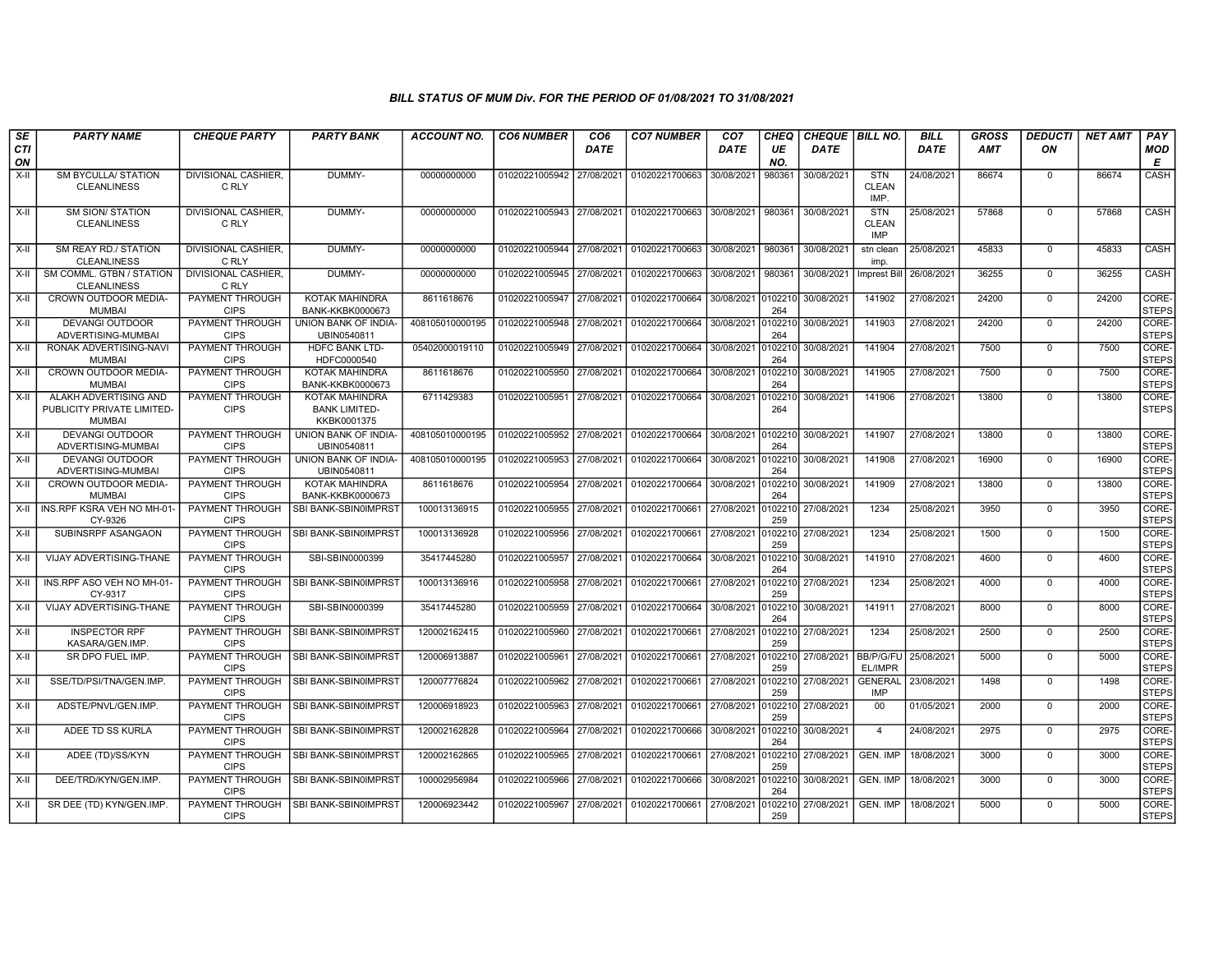| SE               | <b>PARTY NAME</b>                                                    | <b>CHEQUE PARTY</b>                   | <b>PARTY BANK</b>                                     | <b>ACCOUNT NO.</b> | <b>CO6 NUMBER</b> | CO <sub>6</sub> | <b>CO7 NUMBER</b>                | CO <sub>7</sub> | <b>CHEQ</b>    | CHEQUE BILL NO. |                                          | <b>BILL</b> | GROSS      | <b>DEDUCTI</b> | <b>NET AMT</b> | PAY                   |
|------------------|----------------------------------------------------------------------|---------------------------------------|-------------------------------------------------------|--------------------|-------------------|-----------------|----------------------------------|-----------------|----------------|-----------------|------------------------------------------|-------------|------------|----------------|----------------|-----------------------|
| <b>CTI</b><br>ON |                                                                      |                                       |                                                       |                    |                   | <b>DATE</b>     |                                  | <b>DATE</b>     | UE<br>NO.      | <b>DATE</b>     |                                          | <b>DATE</b> | <b>AMT</b> | ON             |                | <b>MOD</b><br>E       |
| $X-H$            | <b>SM BYCULLA/ STATION</b><br><b>CLEANLINESS</b>                     | <b>DIVISIONAL CASHIER.</b><br>C RLY   | DUMMY-                                                | 00000000000        | 01020221005942    | 27/08/2021      | 01020221700663                   | 30/08/2021      | 980361         | 30/08/2021      | <b>STN</b><br><b>CLEAN</b><br>IMP.       | 24/08/2021  | 86674      | $\Omega$       | 86674          | CASH                  |
| $X-II$           | <b>SM SION/ STATION</b><br><b>CLEANLINESS</b>                        | DIVISIONAL CASHIER,<br>C RLY          | DUMMY-                                                | 00000000000        | 01020221005943    | 27/08/2021      | 01020221700663                   | 30/08/2021      | 980361         | 30/08/2021      | <b>STN</b><br><b>CLEAN</b><br><b>IMP</b> | 25/08/2021  | 57868      | $\Omega$       | 57868          | CASH                  |
| X-II             | SM REAY RD./ STATION<br><b>CLEANLINESS</b>                           | DIVISIONAL CASHIER,<br>C RLY          | DUMMY-                                                | 00000000000        | 01020221005944    | 27/08/2021      | 01020221700663                   | 30/08/2021      | 980361         | 30/08/2021      | stn clean<br>imp.                        | 25/08/2021  | 45833      | $\mathbf 0$    | 45833          | CASH                  |
| X-II             | SM COMML, GTBN / STATION<br><b>CLEANLINESS</b>                       | DIVISIONAL CASHIER,<br>C RLY          | DUMMY-                                                | 00000000000        | 01020221005945    | 27/08/2021      | 01020221700663                   | 30/08/2021      | 980361         | 30/08/2021      | Imprest Bill                             | 26/08/2021  | 36255      | $\mathbf 0$    | 36255          | CASH                  |
| $X-II$           | CROWN OUTDOOR MEDIA<br><b>MUMBAI</b>                                 | PAYMENT THROUGH<br><b>CIPS</b>        | <b>KOTAK MAHINDRA</b><br><b>BANK-KKBK0000673</b>      | 8611618676         | 01020221005947    | 27/08/2021      | 01020221700664                   | 30/08/2021      | 010221<br>264  | 30/08/2021      | 141902                                   | 27/08/2021  | 24200      | $\Omega$       | 24200          | CORE-<br><b>STEPS</b> |
| $X-H$            | <b>DEVANGI OUTDOOR</b><br>ADVERTISING-MUMBAI                         | <b>PAYMENT THROUGH</b><br><b>CIPS</b> | <b>UNION BANK OF INDIA-</b><br>UBIN0540811            | 408105010000195    | 01020221005948    | 27/08/2021      | 01020221700664                   | 30/08/2021      | 0102210<br>264 | 30/08/2021      | 141903                                   | 27/08/2021  | 24200      | $\Omega$       | 24200          | CORE-<br><b>STEPS</b> |
| $X-II$           | RONAK ADVERTISING-NAVI<br><b>MUMBAI</b>                              | PAYMENT THROUGH<br><b>CIPS</b>        | <b>HDFC BANK LTD-</b><br>HDFC0000540                  | 05402000019110     | 01020221005949    | 27/08/2021      | 01020221700664                   | 30/08/2021      | 010221<br>264  | 30/08/2021      | 141904                                   | 27/08/2021  | 7500       | $\mathbf 0$    | 7500           | CORE-<br><b>STEPS</b> |
| X-II             | CROWN OUTDOOR MEDIA-<br><b>MUMBAI</b>                                | PAYMENT THROUGH<br><b>CIPS</b>        | <b>KOTAK MAHINDRA</b><br><b>BANK-KKBK0000673</b>      | 8611618676         | 01020221005950    | 27/08/2021      | 01020221700664                   | 30/08/2021      | 010221<br>264  | 30/08/2021      | 141905                                   | 27/08/2021  | 7500       | $\mathbf 0$    | 7500           | CORE-<br><b>STEPS</b> |
| $X-II$           | ALAKH ADVERTISING AND<br>PUBLICITY PRIVATE LIMITED-<br><b>MUMBAI</b> | PAYMENT THROUGH<br><b>CIPS</b>        | KOTAK MAHINDRA<br><b>BANK LIMITED-</b><br>KKBK0001375 | 6711429383         | 01020221005951    | 27/08/2021      | 01020221700664                   | 30/08/2021      | 010221<br>264  | 30/08/2021      | 141906                                   | 27/08/2021  | 13800      | $\mathbf 0$    | 13800          | CORE-<br><b>STEPS</b> |
| X-II             | <b>DEVANGI OUTDOOR</b><br>ADVERTISING-MUMBAI                         | PAYMENT THROUGH<br><b>CIPS</b>        | UNION BANK OF INDIA-<br>UBIN0540811                   | 408105010000195    | 01020221005952    | 27/08/2021      | 01020221700664                   | 30/08/2021      | 010221<br>264  | 30/08/2021      | 141907                                   | 27/08/2021  | 13800      | $\mathbf 0$    | 13800          | CORE-<br><b>STEPS</b> |
| X-II             | <b>DEVANGI OUTDOOR</b><br>ADVERTISING-MUMBAI                         | PAYMENT THROUGH<br><b>CIPS</b>        | UNION BANK OF INDIA-<br>UBIN0540811                   | 408105010000195    | 01020221005953    | 27/08/2021      | 01020221700664                   | 30/08/2021      | 010221<br>264  | 30/08/2021      | 141908                                   | 27/08/2021  | 16900      | $\mathbf 0$    | 16900          | CORE-<br><b>STEPS</b> |
| $X-H$            | CROWN OUTDOOR MEDIA-<br><b>MUMBAI</b>                                | PAYMENT THROUGH<br><b>CIPS</b>        | <b>KOTAK MAHINDRA</b><br><b>BANK-KKBK0000673</b>      | 8611618676         | 01020221005954    | 27/08/2021      | 01020221700664                   | 30/08/2021      | 010221<br>264  | 30/08/2021      | 141909                                   | 27/08/2021  | 13800      | $\Omega$       | 13800          | CORE-<br><b>STEPS</b> |
| X-II             | INS.RPF KSRA VEH NO MH-01<br>CY-9326                                 | <b>PAYMENT THROUGH</b><br><b>CIPS</b> | SBI BANK-SBIN0IMPRST                                  | 100013136915       | 01020221005955    | 27/08/2021      | 01020221700661                   | 27/08/2021      | 010221<br>259  | 27/08/2021      | 1234                                     | 25/08/2021  | 3950       | $\mathbf 0$    | 3950           | CORE-<br><b>STEPS</b> |
| X-II             | SUBINSRPF ASANGAON                                                   | PAYMENT THROUGH<br><b>CIPS</b>        | SBI BANK-SBIN0IMPRST                                  | 100013136928       | 01020221005956    | 27/08/2021      | 01020221700661                   | 27/08/2021      | 010221<br>259  | 27/08/2021      | 1234                                     | 25/08/2021  | 1500       | $\Omega$       | 1500           | CORE-<br><b>STEPS</b> |
| $X-II$           | <b>VIJAY ADVERTISING-THANE</b>                                       | <b>PAYMENT THROUGH</b><br><b>CIPS</b> | SBI-SBIN0000399                                       | 35417445280        | 01020221005957    | 27/08/2021      | 01020221700664                   | 30/08/2021      | 010221<br>264  | 30/08/2021      | 141910                                   | 27/08/2021  | 4600       | $\Omega$       | 4600           | CORE-<br><b>STEPS</b> |
| X-II             | INS.RPF ASO VEH NO MH-01<br>CY-9317                                  | <b>PAYMENT THROUGH</b><br><b>CIPS</b> | SBI BANK-SBIN0IMPRST                                  | 100013136916       | 01020221005958    | 27/08/2021      | 01020221700661                   | 27/08/2021      | 010221<br>259  | 27/08/2021      | 1234                                     | 25/08/2021  | 4000       | $\mathbf 0$    | 4000           | CORE-<br><b>STEPS</b> |
| $X-H$            | VIJAY ADVERTISING-THANE                                              | <b>PAYMENT THROUGH</b><br><b>CIPS</b> | SBI-SBIN0000399                                       | 35417445280        | 01020221005959    | 27/08/2021      | 01020221700664 30/08/2021 010221 |                 | 264            | 30/08/2021      | 141911                                   | 27/08/2021  | 8000       | $\mathbf 0$    | 8000           | CORE-<br><b>STEPS</b> |
| X-II             | <b>INSPECTOR RPF</b><br>KASARA/GEN.IMP.                              | PAYMENT THROUGH<br><b>CIPS</b>        | SBI BANK-SBIN0IMPRST                                  | 120002162415       | 01020221005960    | 27/08/2021      | 01020221700661                   | 27/08/2021      | 0102210<br>259 | 27/08/2021      | 1234                                     | 25/08/2021  | 2500       | $\Omega$       | 2500           | CORE-<br><b>STEPS</b> |
| $X-II$           | SR DPO FUEL IMP.                                                     | PAYMENT THROUGH<br><b>CIPS</b>        | SBI BANK-SBIN0IMPRST                                  | 120006913887       | 01020221005961    | 27/08/2021      | 01020221700661                   | 27/08/2021      | 010221<br>259  | 27/08/2021      | BB/P/G/FU<br>EL/IMPR                     | 25/08/2021  | 5000       | $\Omega$       | 5000           | CORE-<br><b>STEPS</b> |
| $X-H$            | SSE/TD/PSI/TNA/GEN.IMP                                               | <b>PAYMENT THROUGH</b><br><b>CIPS</b> | SBI BANK-SBIN0IMPRST                                  | 120007776824       | 01020221005962    | 27/08/2021      | 01020221700661                   | 27/08/2021      | 0102210<br>259 | 27/08/2021      | <b>GENERAL</b><br><b>IMP</b>             | 23/08/2021  | 1498       | $\overline{0}$ | 1498           | CORE-<br><b>STEPS</b> |
| $X-H$            | ADSTE/PNVL/GEN.IMP.                                                  | PAYMENT THROUGH<br><b>CIPS</b>        | SBI BANK-SBIN0IMPRST                                  | 120006918923       | 01020221005963    | 27/08/2021      | 01020221700661                   | 27/08/2021      | 0102210<br>259 | 27/08/2021      | 0 <sub>0</sub>                           | 01/05/2021  | 2000       | $\Omega$       | 2000           | CORE-<br><b>STEPS</b> |
| X-II             | ADEE TD SS KURLA                                                     | PAYMENT THROUGH<br><b>CIPS</b>        | SBI BANK-SBIN0IMPRST                                  | 120002162828       | 01020221005964    | 27/08/2021      | 01020221700666                   | 30/08/2021      | 010221<br>264  | 30/08/2021      | $\overline{4}$                           | 24/08/2021  | 2975       | $\mathbf 0$    | 2975           | CORE-<br><b>STEPS</b> |
| $X-II$           | ADEE (TD)/SS/KYN                                                     | PAYMENT THROUGH<br><b>CIPS</b>        | SBI BANK-SBIN0IMPRST                                  | 120002162865       | 01020221005965    | 27/08/2021      | 01020221700661                   | 27/08/2021      | 010221<br>259  | 27/08/2021      | GEN. IMP                                 | 18/08/2021  | 3000       | $\Omega$       | 3000           | CORE-<br><b>STEPS</b> |
| X-II             | DEE/TRD/KYN/GEN.IMP.                                                 | PAYMENT THROUGH<br><b>CIPS</b>        | SBI BANK-SBIN0IMPRST                                  | 100002956984       | 01020221005966    | 27/08/2021      | 01020221700666                   | 30/08/2021      | 0102210<br>264 | 30/08/2021      | GEN. IMP                                 | 18/08/2021  | 3000       | $\mathbf 0$    | 3000           | CORE-<br><b>STEPS</b> |
| X-II             | SR DEE (TD) KYN/GEN.IMP.                                             | PAYMENT THROUGH<br><b>CIPS</b>        | SBI BANK-SBIN0IMPRST                                  | 120006923442       | 01020221005967    | 27/08/2021      | 01020221700661                   | 27/08/2021      | 0102210<br>259 | 27/08/2021      | GEN. IMP                                 | 18/08/2021  | 5000       | $\mathbf 0$    | 5000           | CORE-<br><b>STEPS</b> |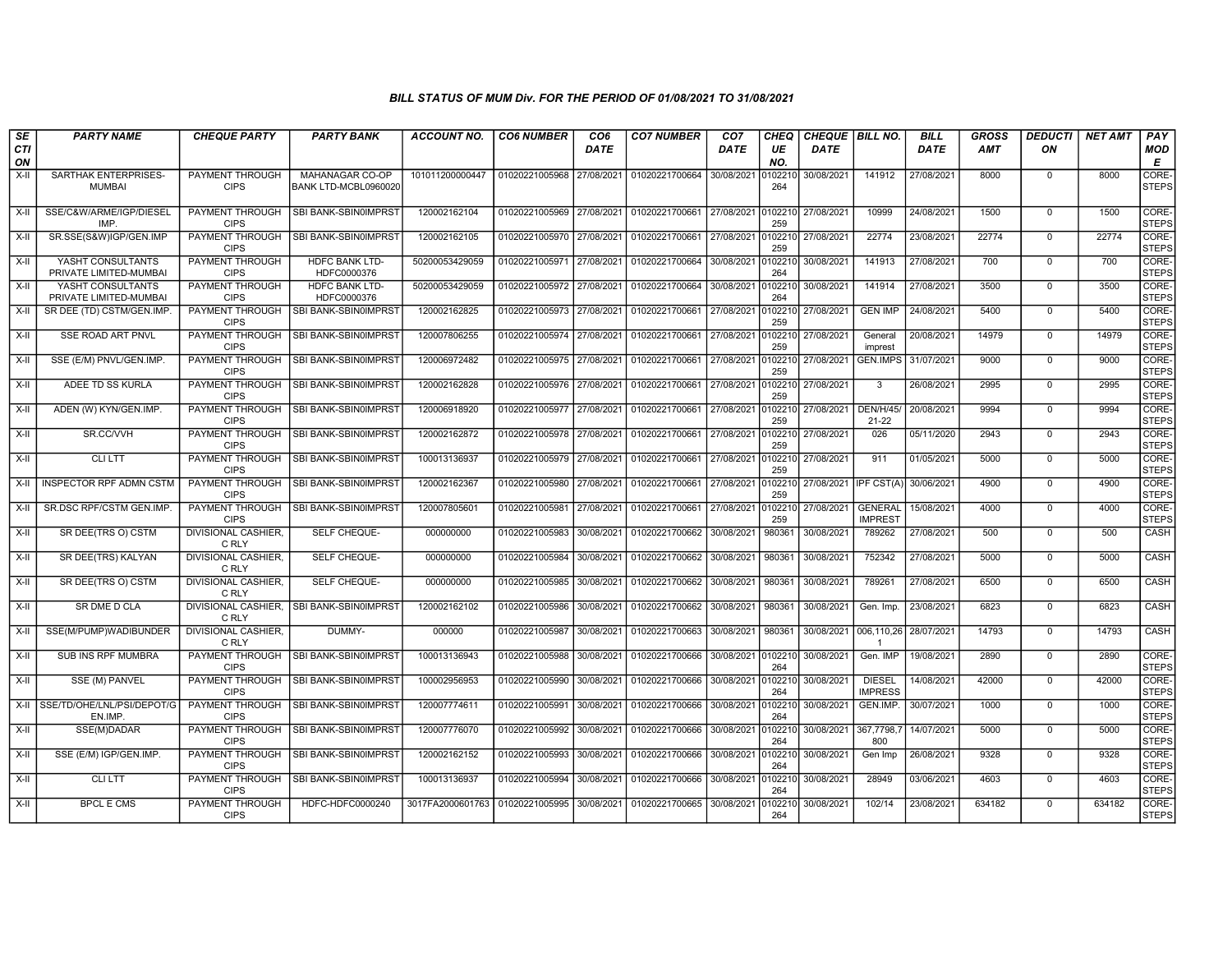| SE        | <b>PARTY NAME</b>                           | <b>CHEQUE PARTY</b>                   | <b>PARTY BANK</b>                       | <b>ACCOUNT NO.</b> | <b>CO6 NUMBER</b>         | CO <sub>6</sub> | <b>CO7 NUMBER</b> | CO <sub>7</sub> | CHEQ           | CHEQUE BILL NO. |                                  | <b>BILL</b> | <b>GROSS</b> | DEDUCTI        | <b>NET AMT</b> | PAY                   |
|-----------|---------------------------------------------|---------------------------------------|-----------------------------------------|--------------------|---------------------------|-----------------|-------------------|-----------------|----------------|-----------------|----------------------------------|-------------|--------------|----------------|----------------|-----------------------|
| CTI<br>ON |                                             |                                       |                                         |                    |                           | <b>DATE</b>     |                   | DATE            | UE<br>NO.      | <b>DATE</b>     |                                  | DATE        | <b>AMT</b>   | ON             |                | <b>MOD</b><br>E       |
| X-II      | SARTHAK ENTERPRISES-<br><b>MUMBAI</b>       | PAYMENT THROUGH<br><b>CIPS</b>        | MAHANAGAR CO-OP<br>BANK LTD-MCBL0960020 | 101011200000447    | 01020221005968 27/08/2021 |                 | 01020221700664    | 30/08/2021      | 010221<br>264  | 30/08/2021      | 141912                           | 27/08/2021  | 8000         | $\mathbf 0$    | 8000           | CORE-<br><b>STEPS</b> |
| X-II      | SSE/C&W/ARME/IGP/DIESEL<br>IMP              | PAYMENT THROUGH<br><b>CIPS</b>        | SBI BANK-SBIN0IMPRST                    | 120002162104       | 01020221005969 27/08/2021 |                 | 01020221700661    | 27/08/2021      | 010221<br>259  | 27/08/2021      | 10999                            | 24/08/2021  | 1500         | $^{\circ}$     | 1500           | CORE-<br><b>STEPS</b> |
| X-II      | SR.SSE(S&W)IGP/GEN.IMP                      | PAYMENT THROUGH<br><b>CIPS</b>        | SBI BANK-SBIN0IMPRST                    | 120002162105       | 01020221005970 27/08/2021 |                 | 01020221700661    | 27/08/2021      | 0102210<br>259 | 27/08/2021      | 22774                            | 23/08/2021  | 22774        | $\mathbf 0$    | 22774          | CORE-<br><b>STEPS</b> |
| $X-H$     | YASHT CONSULTANTS<br>PRIVATE LIMITED-MUMBAI | <b>PAYMENT THROUGH</b><br><b>CIPS</b> | <b>HDFC BANK LTD-</b><br>HDFC0000376    | 50200053429059     | 01020221005971 27/08/2021 |                 | 01020221700664    | 30/08/2021      | 010221<br>264  | 30/08/2021      | 141913                           | 27/08/2021  | 700          | $\mathbf 0$    | 700            | CORE-<br><b>STEPS</b> |
| $X-H$     | YASHT CONSULTANTS<br>PRIVATE LIMITED-MUMBAI | PAYMENT THROUGH<br><b>CIPS</b>        | <b>HDFC BANK LTD-</b><br>HDFC0000376    | 50200053429059     | 01020221005972 27/08/2021 |                 | 01020221700664    | 30/08/2021      | 010221<br>264  | 30/08/2021      | 141914                           | 27/08/2021  | 3500         | $\Omega$       | 3500           | CORE-<br><b>STEPS</b> |
| X-II      | SR DEE (TD) CSTM/GEN.IMP                    | PAYMENT THROUGH<br><b>CIPS</b>        | SBI BANK-SBIN0IMPRST                    | 120002162825       | 01020221005973 27/08/2021 |                 | 01020221700661    | 27/08/2021      | 0102210<br>259 | 27/08/2021      | <b>GEN IMP</b>                   | 24/08/2021  | 5400         | $\mathbf 0$    | 5400           | CORE-<br><b>STEPS</b> |
| X-II      | <b>SSE ROAD ART PNVL</b>                    | PAYMENT THROUGH<br><b>CIPS</b>        | SBI BANK-SBIN0IMPRST                    | 120007806255       | 01020221005974 27/08/2021 |                 | 01020221700661    | 27/08/2021      | 010221<br>259  | 27/08/2021      | General<br>imprest               | 20/08/2021  | 14979        | $\mathbf 0$    | 14979          | CORE-<br><b>STEPS</b> |
| X-II      | SSE (E/M) PNVL/GEN.IMP.                     | PAYMENT THROUGH<br><b>CIPS</b>        | SBI BANK-SBIN0IMPRST                    | 120006972482       | 01020221005975 27/08/2021 |                 | 01020221700661    | 27/08/2021      | 0102210<br>259 | 27/08/2021      | <b>GEN.IMPS</b>                  | 31/07/2021  | 9000         | $^{\circ}$     | 9000           | CORE-<br><b>STEPS</b> |
| X-II      | ADEE TD SS KURLA                            | PAYMENT THROUGH<br><b>CIPS</b>        | SBI BANK-SBIN0IMPRST                    | 120002162828       | 01020221005976 27/08/2021 |                 | 01020221700661    | 27/08/2021      | 0102210<br>259 | 27/08/2021      | $\mathcal{R}$                    | 26/08/2021  | 2995         | $\mathbf 0$    | 2995           | CORE-<br><b>STEPS</b> |
| X-II      | ADEN (W) KYN/GEN.IMP.                       | PAYMENT THROUGH<br><b>CIPS</b>        | SBI BANK-SBIN0IMPRST                    | 120006918920       | 01020221005977 27/08/2021 |                 | 01020221700661    | 27/08/2021      | 010221<br>259  | 27/08/2021      | <b>DEN/H/45/</b><br>$21 - 22$    | 20/08/2021  | 9994         | $\mathbf 0$    | 9994           | CORE-<br><b>STEPS</b> |
| X-II      | SR.CC/VVH                                   | PAYMENT THROUGH<br><b>CIPS</b>        | SBI BANK-SBIN0IMPRST                    | 120002162872       | 01020221005978 27/08/2021 |                 | 01020221700661    | 27/08/2021      | 0102210<br>259 | 27/08/2021      | 026                              | 05/11/2020  | 2943         | $^{\circ}$     | 2943           | CORE-<br><b>STEPS</b> |
| X-II      | <b>CLILTT</b>                               | PAYMENT THROUGH<br><b>CIPS</b>        | SBI BANK-SBIN0IMPRST                    | 100013136937       | 01020221005979 27/08/2021 |                 | 01020221700661    | 27/08/2021      | 0102210<br>259 | 27/08/2021      | 911                              | 01/05/2021  | 5000         | $\mathbf 0$    | 5000           | CORE-<br><b>STEPS</b> |
| $X-H$     | <b>INSPECTOR RPF ADMN CSTM</b>              | PAYMENT THROUGH<br><b>CIPS</b>        | SBI BANK-SBIN0IMPRST                    | 120002162367       | 01020221005980 27/08/2021 |                 | 01020221700661    | 27/08/2021      | 010221<br>259  | 27/08/2021      | <b>IPF CST(A</b>                 | 30/06/2021  | 4900         | $\Omega$       | 4900           | CORE-<br><b>STEPS</b> |
| $X-II$    | SR.DSC RPF/CSTM GEN.IMP                     | PAYMENT THROUGH<br><b>CIPS</b>        | SBI BANK-SBIN0IMPRST                    | 120007805601       | 01020221005981            | 27/08/2021      | 01020221700661    | 27/08/2021      | 010221<br>259  | 27/08/2021      | <b>GENERAL</b><br><b>IMPREST</b> | 15/08/2021  | 4000         | $\overline{0}$ | 4000           | CORE-<br><b>STEPS</b> |
| X-II      | SR DEE(TRS O) CSTM                          | <b>DIVISIONAL CASHIER,</b><br>C RLY   | SELF CHEQUE-                            | 000000000          | 01020221005983            | 30/08/2021      | 01020221700662    | 30/08/2021      | 980361         | 30/08/2021      | 789262                           | 27/08/2021  | 500          | $\mathbf 0$    | 500            | CASH                  |
| X-II      | SR DEE(TRS) KALYAN                          | <b>DIVISIONAL CASHIER,</b><br>C RLY   | SELF CHEQUE-                            | 000000000          | 01020221005984            | 30/08/2021      | 01020221700662    | 30/08/2021      | 980361         | 30/08/2021      | 752342                           | 27/08/2021  | 5000         | $\mathbf 0$    | 5000           | CASH                  |
| X-II      | SR DEE(TRS O) CSTM                          | DIVISIONAL CASHIER,<br>C RLY          | SELF CHEQUE-                            | 000000000          | 01020221005985 30/08/2021 |                 | 01020221700662    | 30/08/2021      | 980361         | 30/08/2021      | 789261                           | 27/08/2021  | 6500         | $\mathbf 0$    | 6500           | CASH                  |
| X-II      | SR DME D CLA                                | DIVISIONAL CASHIER.<br>C RLY          | SBI BANK-SBIN0IMPRST                    | 120002162102       | 01020221005986            | 30/08/2021      | 01020221700662    | 30/08/2021      | 980361         | 30/08/2021      | Gen. Imp.                        | 23/08/2021  | 6823         | $\mathbf 0$    | 6823           | CASH                  |
| X-II      | SSE(M/PUMP)WADIBUNDER                       | DIVISIONAL CASHIER,<br>C RLY          | DUMMY-                                  | 000000             | 01020221005987            | 30/08/2021      | 01020221700663    | 30/08/2021      | 980361         | 30/08/2021      | 006,110,26                       | 28/07/2021  | 14793        | $\mathbf 0$    | 14793          | CASH                  |
| X-II      | <b>SUB INS RPF MUMBRA</b>                   | <b>CIPS</b>                           | PAYMENT THROUGH   SBI BANK-SBIN0IMPRST  | 100013136943       | 01020221005988            | 30/08/2021      | 01020221700666    | 30/08/2021      | 010221<br>264  | 30/08/2021      | Gen. IMP                         | 19/08/2021  | 2890         | $\mathbf 0$    | 2890           | CORE-<br><b>STEPS</b> |
| $X-H$     | SSE (M) PANVEL                              | PAYMENT THROUGH<br><b>CIPS</b>        | SBI BANK-SBIN0IMPRST                    | 100002956953       | 01020221005990            | 30/08/2021      | 01020221700666    | 30/08/2021      | 0102210<br>264 | 30/08/2021      | <b>DIESEL</b><br><b>IMPRESS</b>  | 14/08/2021  | 42000        | $\mathbf 0$    | 42000          | CORE-<br><b>STEPS</b> |
|           | X-II SSE/TD/OHE/LNL/PSI/DEPOT/G<br>EN.IMP.  | PAYMENT THROUGH<br><b>CIPS</b>        | SBI BANK-SBIN0IMPRST                    | 120007774611       | 01020221005991            | 30/08/2021      | 01020221700666    | 30/08/2021      | 0102210<br>264 | 30/08/2021      | GEN.IMP.                         | 30/07/2021  | 1000         | $\mathbf 0$    | 1000           | CORE-<br><b>STEPS</b> |
| X-II      | SSE(M)DADAR                                 | PAYMENT THROUGH<br><b>CIPS</b>        | <b>SBI BANK-SBIN0IMPRST</b>             | 120007776070       | 01020221005992            | 30/08/2021      | 01020221700666    | 30/08/2021      | 010221<br>264  | 30/08/2021      | 367,7798,7<br>800                | 14/07/2021  | 5000         | $\mathbf 0$    | 5000           | CORE-<br><b>STEPS</b> |
| X-II      | SSE (E/M) IGP/GEN.IMP.                      | PAYMENT THROUGH<br><b>CIPS</b>        | SBI BANK-SBIN0IMPRST                    | 120002162152       | 01020221005993            | 30/08/2021      | 01020221700666    | 30/08/2021      | 010221<br>264  | 30/08/2021      | Gen Imp                          | 26/08/2021  | 9328         | $\mathbf 0$    | 9328           | CORE-<br><b>STEPS</b> |
| X-II      | <b>CLILTT</b>                               | PAYMENT THROUGH<br><b>CIPS</b>        | SBI BANK-SBIN0IMPRST                    | 100013136937       | 01020221005994 30/08/2021 |                 | 01020221700666    | 30/08/2021      | 0102210<br>264 | 30/08/2021      | 28949                            | 03/06/2021  | 4603         | $\mathbf 0$    | 4603           | CORE-<br><b>STEPS</b> |
| $X-H$     | <b>BPCL E CMS</b>                           | PAYMENT THROUGH<br><b>CIPS</b>        | HDFC-HDFC0000240                        | 3017FA2000601763   | 01020221005995            | 30/08/2021      | 01020221700665    | 30/08/2021      | 010221<br>264  | 30/08/2021      | 102/14                           | 23/08/2021  | 634182       | $\mathbf 0$    | 634182         | CORE-<br><b>STEPS</b> |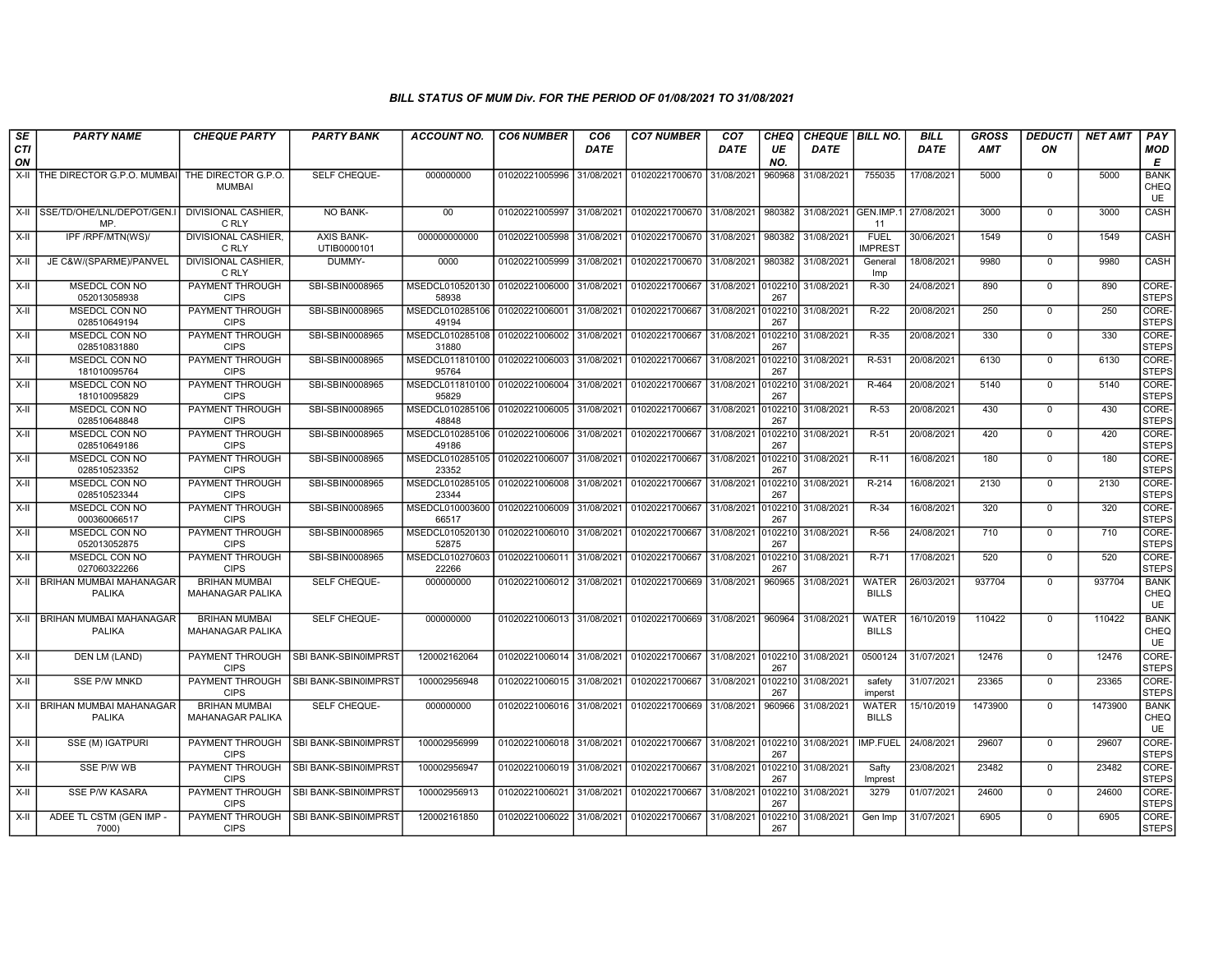| SE               | <b>PARTY NAME</b>                               | <b>CHEQUE PARTY</b>                             | <b>PARTY BANK</b>                | <b>ACCOUNT NO.</b>                                     | <b>CO6 NUMBER</b>         | CO <sub>6</sub> | <b>CO7 NUMBER</b>                                   | CO <sub>7</sub>               | <b>CHEQ</b>    | CHEQUE   BILL NO.  |                               | <b>BILL</b> | GROSS   | <b>DEDUCTI</b> | <b>NET AMT</b> | <b>PAY</b>                       |
|------------------|-------------------------------------------------|-------------------------------------------------|----------------------------------|--------------------------------------------------------|---------------------------|-----------------|-----------------------------------------------------|-------------------------------|----------------|--------------------|-------------------------------|-------------|---------|----------------|----------------|----------------------------------|
| <b>CTI</b><br>ON |                                                 |                                                 |                                  |                                                        |                           | <b>DATE</b>     |                                                     | <b>DATE</b>                   | UE<br>NO.      | <b>DATE</b>        |                               | <b>DATE</b> | AMT     | ON             |                | <b>MOD</b><br>Е                  |
|                  | X-II THE DIRECTOR G.P.O. MUMBAI                 | THE DIRECTOR G.P.O.<br><b>MUMBAI</b>            | SELF CHEQUE-                     | 000000000                                              | 01020221005996 31/08/2021 |                 | 01020221700670 31/08/2021                           |                               | 960968         | 31/08/2021         | 755035                        | 17/08/2021  | 5000    | $\mathbf 0$    | 5000           | <b>BANK</b><br>CHEQ<br>UE        |
|                  | X-II SSE/TD/OHE/LNL/DEPOT/GEN.I<br>MP.          | DIVISIONAL CASHIER,<br>C RLY                    | NO BANK-                         | 00                                                     | 01020221005997            | 31/08/2021      | 01020221700670 31/08/2021                           |                               | 980382         | 31/08/2021         | GEN.IMP.1 27/08/2021<br>-11   |             | 3000    | $\mathbf 0$    | 3000           | CASH                             |
| $X-H$            | IPF /RPF/MTN(WS)/                               | <b>DIVISIONAL CASHIER.</b><br>C RLY             | <b>AXIS BANK-</b><br>UTIB0000101 | 000000000000                                           | 01020221005998 31/08/2021 |                 | 01020221700670 31/08/2021                           |                               | 980382         | 31/08/2021         | <b>FUEL</b><br><b>IMPREST</b> | 30/06/2021  | 1549    | $\mathbf 0$    | 1549           | CASH                             |
| X-II             | JE C&W/(SPARME)/PANVEL                          | <b>DIVISIONAL CASHIER,</b><br>C RLY             | DUMMY-                           | 0000                                                   | 01020221005999 31/08/2021 |                 | 01020221700670 31/08/2021                           |                               | 980382         | 31/08/2021         | General<br>Imp                | 18/08/2021  | 9980    | $\Omega$       | 9980           | <b>CASH</b>                      |
| X-II             | MSEDCL CON NO<br>052013058938                   | PAYMENT THROUGH<br><b>CIPS</b>                  | SBI-SBIN0008965                  | MSEDCL010520130<br>58938                               | 01020221006000            | 31/08/2021      | 01020221700667                                      | 31/08/2021                    | 0102210<br>267 | 31/08/2021         | R-30                          | 24/08/2021  | 890     | $\mathbf 0$    | 890            | CORE-<br><b>STEPS</b>            |
| $X-II$           | MSEDCL CON NO<br>028510649194                   | PAYMENT THROUGH<br><b>CIPS</b>                  | SBI-SBIN0008965                  | MSEDCL010285106 01020221006001<br>49194                |                           | 31/08/2021      | 01020221700667                                      | 31/08/2021                    | 0102210<br>267 | 31/08/2021         | $R-22$                        | 20/08/2021  | 250     | $\Omega$       | 250            | CORE-<br><b>STEPS</b>            |
| X-II             | MSEDCL CON NO<br>028510831880                   | <b>PAYMENT THROUGH</b><br><b>CIPS</b>           | SBI-SBIN0008965                  | MSEDCL010285108 01020221006002 31/08/2021<br>31880     |                           |                 | 01020221700667                                      | 31/08/2021                    | 0102210<br>267 | 31/08/2021         | R-35                          | 20/08/2021  | 330     | $\mathbf 0$    | 330            | CORE-<br><b>STEPS</b>            |
| X-II             | MSEDCL CON NO<br>181010095764                   | PAYMENT THROUGH<br><b>CIPS</b>                  | SBI-SBIN0008965                  | MSEDCL011810100 01020221006003 31/08/2021<br>95764     |                           |                 | 01020221700667                                      | 31/08/2021                    | 0102210<br>267 | 31/08/2021         | R-531                         | 20/08/2021  | 6130    | $\mathbf 0$    | 6130           | CORE-<br><b>STEPS</b>            |
| X-II             | MSEDCL CON NO<br>181010095829                   | PAYMENT THROUGH<br><b>CIPS</b>                  | SBI-SBIN0008965                  | MSEDCL011810100 01020221006004 31/08/2021<br>95829     |                           |                 | 01020221700667                                      | 31/08/2021                    | 0102210<br>267 | 31/08/2021         | R-464                         | 20/08/2021  | 5140    | $\Omega$       | 5140           | CORE-<br><b>STEPS</b>            |
| X-II             | MSEDCL CON NO<br>028510648848                   | PAYMENT THROUGH<br><b>CIPS</b>                  | SBI-SBIN0008965                  | MSEDCL010285106 01020221006005 31/08/2021<br>48848     |                           |                 | 01020221700667                                      | 31/08/2021                    | 0102210<br>267 | 31/08/2021         | $R-53$                        | 20/08/2021  | 430     | $\overline{0}$ | 430            | CORE-<br><b>STEPS</b>            |
| X-II             | <b>MSEDCL CON NO</b><br>028510649186            | PAYMENT THROUGH<br><b>CIPS</b>                  | SBI-SBIN0008965                  | MSEDCL010285106   01020221006006   31/08/2021<br>49186 |                           |                 | 01020221700667                                      | 31/08/2021                    | 0102210<br>267 | 31/08/2021         | $R-51$                        | 20/08/2021  | 420     | $\Omega$       | 420            | CORE-<br><b>STEPS</b>            |
| $X-H$            | MSEDCL CON NO<br>028510523352                   | <b>PAYMENT THROUGH</b><br><b>CIPS</b>           | SBI-SBIN0008965                  | MSEDCL010285105 01020221006007 31/08/2021<br>23352     |                           |                 | 01020221700667                                      | 31/08/2021                    | 0102210<br>267 | 31/08/2021         | $R-11$                        | 16/08/2021  | 180     | $\mathbf 0$    | 180            | CORE-<br><b>STEPS</b>            |
| X-II             | MSEDCL CON NO<br>028510523344                   | PAYMENT THROUGH<br><b>CIPS</b>                  | SBI-SBIN0008965                  | MSEDCL010285105 01020221006008 31/08/2021<br>23344     |                           |                 | 01020221700667                                      | 31/08/2021                    | 0102210<br>267 | 31/08/2021         | R-214                         | 16/08/2021  | 2130    | $\Omega$       | 2130           | CORE-<br><b>STEPS</b>            |
| X-II             | MSEDCL CON NO<br>000360066517                   | PAYMENT THROUGH<br><b>CIPS</b>                  | SBI-SBIN0008965                  | MSEDCL010003600 01020221006009 31/08/2021<br>66517     |                           |                 | 01020221700667                                      | 31/08/2021                    | 0102210<br>267 | 31/08/2021         | R-34                          | 16/08/2021  | 320     | $\Omega$       | 320            | CORE-<br><b>STEPS</b>            |
| $X-II$           | MSEDCL CON NO<br>052013052875                   | PAYMENT THROUGH<br><b>CIPS</b>                  | SBI-SBIN0008965                  | MSEDCL010520130 01020221006010 31/08/2021<br>52875     |                           |                 | 01020221700667                                      | 31/08/2021                    | 0102210<br>267 | 31/08/2021         | $R-56$                        | 24/08/2021  | 710     | $\overline{0}$ | 710            | CORE-<br><b>STEPS</b>            |
| X-II             | MSEDCL CON NO<br>027060322266                   | <b>PAYMENT THROUGH</b><br><b>CIPS</b>           | SBI-SBIN0008965                  | MSEDCL010270603 01020221006011 31/08/2021<br>22266     |                           |                 | 01020221700667                                      | 31/08/2021                    | 0102210<br>267 | 31/08/2021         | R-71                          | 17/08/2021  | 520     | $\Omega$       | 520            | CORE-<br><b>STEPS</b>            |
|                  | X-II BRIHAN MUMBAI MAHANAGAR<br><b>PALIKA</b>   | <b>BRIHAN MUMBAI</b><br><b>MAHANAGAR PALIKA</b> | SELF CHEQUE-                     | 000000000                                              | 01020221006012 31/08/2021 |                 | 01020221700669                                      | 31/08/2021                    | 960965         | 31/08/2021         | <b>WATER</b><br><b>BILLS</b>  | 26/03/2021  | 937704  | $\mathbf 0$    | 937704         | <b>BANK</b><br>CHEQ<br><b>UE</b> |
|                  | X-II   BRIHAN MUMBAI MAHANAGAR<br><b>PALIKA</b> | <b>BRIHAN MUMBAI</b><br><b>MAHANAGAR PALIKA</b> | SELF CHEQUE-                     | 000000000                                              |                           |                 | 01020221006013 31/08/2021 01020221700669 31/08/2021 |                               | 960964         | 31/08/2021         | <b>WATER</b><br><b>BILLS</b>  | 16/10/2019  | 110422  | $\mathbf 0$    | 110422         | <b>BANK</b><br>CHEQ<br><b>UE</b> |
| X-II             | DEN LM (LAND)                                   | PAYMENT THROUGH<br><b>CIPS</b>                  | SBI BANK-SBIN0IMPRST             | 120002162064                                           | 01020221006014 31/08/2021 |                 | 01020221700667                                      | 31/08/2021 0102210 31/08/2021 | 267            |                    | 0500124                       | 31/07/2021  | 12476   | $\mathbf 0$    | 12476          | CORE-<br><b>STEPS</b>            |
| $X-H$            | <b>SSE P/W MNKD</b>                             | PAYMENT THROUGH<br><b>CIPS</b>                  | SBI BANK-SBIN0IMPRST             | 100002956948                                           | 01020221006015 31/08/2021 |                 | 01020221700667                                      | 31/08/2021                    | 010221<br>267  | 31/08/2021         | safety<br>imperst             | 31/07/2021  | 23365   | $\Omega$       | 23365          | CORE-<br><b>STEPS</b>            |
|                  | X-II   BRIHAN MUMBAI MAHANAGAR<br><b>PALIKA</b> | <b>BRIHAN MUMBAI</b><br><b>MAHANAGAR PALIKA</b> | SELF CHEQUE-                     | 000000000                                              | 01020221006016 31/08/2021 |                 | 01020221700669                                      | 31/08/2021                    | 960966         | 31/08/2021         | <b>WATER</b><br><b>BILLS</b>  | 15/10/2019  | 1473900 | $\mathbf 0$    | 1473900        | <b>BANK</b><br>CHEQ<br>UE        |
| X-II             | SSE (M) IGATPURI                                | PAYMENT THROUGH<br><b>CIPS</b>                  | SBI BANK-SBIN0IMPRST             | 100002956999                                           | 01020221006018 31/08/2021 |                 | 01020221700667                                      | 31/08/2021                    | 0102210<br>267 | 31/08/2021         | <b>IMP.FUEL</b>               | 24/08/2021  | 29607   | $\mathbf 0$    | 29607          | CORE-<br><b>STEPS</b>            |
| $X-H$            | SSE P/W WB                                      | <b>PAYMENT THROUGH</b><br><b>CIPS</b>           | SBI BANK-SBIN0IMPRST             | 100002956947                                           | 01020221006019 31/08/2021 |                 | 01020221700667                                      | 31/08/2021                    | 267            | 0102210 31/08/2021 | Safty<br>Imprest              | 23/08/2021  | 23482   | $\overline{0}$ | 23482          | CORE-<br><b>STEPS</b>            |
| X-II             | <b>SSE P/W KASARA</b>                           | PAYMENT THROUGH<br><b>CIPS</b>                  | SBI BANK-SBIN0IMPRST             | 100002956913                                           | 01020221006021 31/08/2021 |                 | 01020221700667                                      | 31/08/2021                    | 0102210<br>267 | 31/08/2021         | 3279                          | 01/07/2021  | 24600   | $\Omega$       | 24600          | CORE-<br><b>STEPS</b>            |
| X-II             | ADEE TL CSTM (GEN IMP -<br>7000)                | <b>PAYMENT THROUGH</b><br><b>CIPS</b>           | SBI BANK-SBIN0IMPRST             | 120002161850                                           | 01020221006022 31/08/2021 |                 | 01020221700667                                      | 31/08/2021                    | 0102210<br>267 | 31/08/2021         | Gen Imp                       | 31/07/2021  | 6905    | $\mathbf 0$    | 6905           | CORE-<br><b>STEPS</b>            |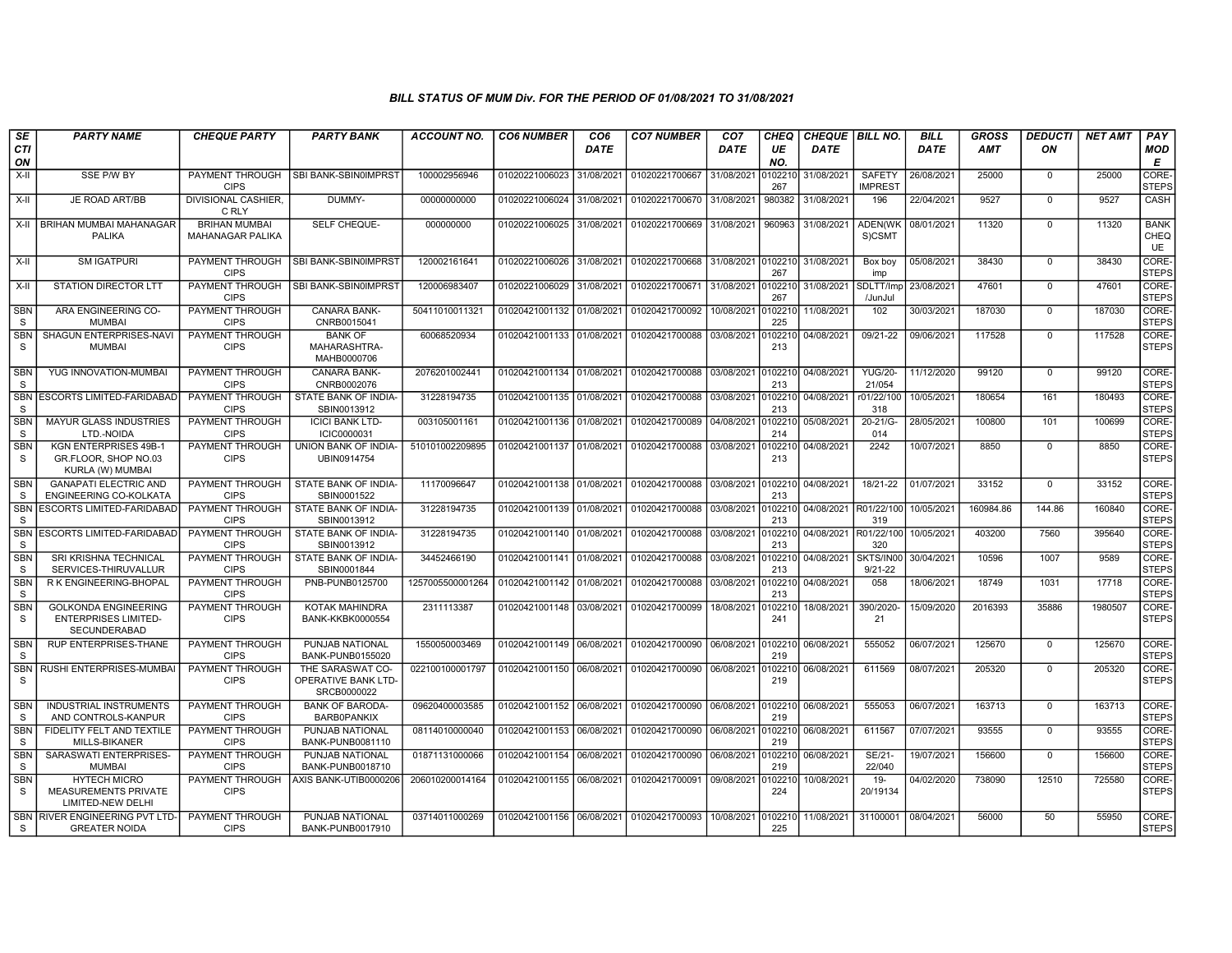| SE                         | <b>PARTY NAME</b>                                                                 | <b>CHEQUE PARTY</b>                             | <b>PARTY BANK</b>                                      | <b>ACCOUNT NO.</b> | <b>CO6 NUMBER</b>         | CO <sub>6</sub> | <b>CO7 NUMBER</b>                 | CO <sub>7</sub> | <b>CHEQ</b>    | <b>CHEQUE   BILL NO.</b> |                                 | <b>BILL</b> | <b>GROSS</b> | <b>DEDUCTI</b> | <b>NET AMT</b> | <b>PAY</b>                       |
|----------------------------|-----------------------------------------------------------------------------------|-------------------------------------------------|--------------------------------------------------------|--------------------|---------------------------|-----------------|-----------------------------------|-----------------|----------------|--------------------------|---------------------------------|-------------|--------------|----------------|----------------|----------------------------------|
| <b>CTI</b><br>ON           |                                                                                   |                                                 |                                                        |                    |                           | <b>DATE</b>     |                                   | <b>DATE</b>     | UE<br>NO.      | <b>DATE</b>              |                                 | DATE        | AMT          | ON             |                | MOD<br>Е                         |
| $X-H$                      | SSE P/W BY                                                                        | <b>PAYMENT THROUGH</b><br><b>CIPS</b>           | SBI BANK-SBIN0IMPRST                                   | 100002956946       | 01020221006023 31/08/2021 |                 | 01020221700667 31/08/2021         |                 | 0102210<br>267 | 31/08/2021               | <b>SAFETY</b><br><b>IMPREST</b> | 26/08/2021  | 25000        | $\mathbf 0$    | 25000          | CORE-<br><b>STEPS</b>            |
| $X-H$                      | <b>JE ROAD ART/BB</b>                                                             | <b>DIVISIONAL CASHIER</b><br>C RLY              | DUMMY-                                                 | 00000000000        | 01020221006024            | 31/08/2021      | 01020221700670 31/08/2021         |                 | 980382         | 31/08/2021               | 196                             | 22/04/2021  | 9527         | $\Omega$       | 9527           | CASH                             |
| $X-H$                      | BRIHAN MUMBAI MAHANAGAR<br><b>PALIKA</b>                                          | <b>BRIHAN MUMBAI</b><br><b>MAHANAGAR PALIKA</b> | SELF CHEQUE-                                           | 000000000          | 01020221006025            | 31/08/2021      | 01020221700669 31/08/2021         |                 | 960963         | 31/08/2021               | <b>ADEN/WK</b><br>S)CSMT        | 08/01/2021  | 11320        | $\Omega$       | 11320          | <b>BANK</b><br>CHEQ<br><b>UE</b> |
| X-II                       | <b>SM IGATPURI</b>                                                                | PAYMENT THROUGH<br><b>CIPS</b>                  | SBI BANK-SBIN0IMPRST                                   | 120002161641       | 01020221006026 31/08/2021 |                 | 01020221700668 31/08/2021 0102210 |                 | 267            | 31/08/2021               | Box boy<br>imp                  | 05/08/2021  | 38430        | $\Omega$       | 38430          | CORE-<br><b>STEPS</b>            |
| X-II                       | <b>STATION DIRECTOR LTT</b>                                                       | PAYMENT THROUGH<br><b>CIPS</b>                  | SBI BANK-SBIN0IMPRST                                   | 120006983407       | 01020221006029            | 31/08/2021      | 01020221700671                    | 31/08/2021      | 010221<br>267  | 31/08/2021               | SDLTT/Imp<br>/JunJul            | 23/08/2021  | 47601        | $\mathbf 0$    | 47601          | CORE-<br><b>STEPS</b>            |
| <b>SBN</b><br>S            | ARA ENGINEERING CO-<br><b>MUMBAI</b>                                              | PAYMENT THROUGH<br><b>CIPS</b>                  | <b>CANARA BANK-</b><br>CNRB0015041                     | 50411010011321     | 01020421001132            | 01/08/2021      | 01020421700092                    | 10/08/2021      | 010221<br>225  | 11/08/2021               | 102                             | 30/03/202   | 187030       | $\Omega$       | 187030         | CORE-<br><b>STEPS</b>            |
| <b>SBN</b><br><sub>S</sub> | SHAGUN ENTERPRISES-NAVI<br><b>MUMBAI</b>                                          | PAYMENT THROUGH<br><b>CIPS</b>                  | <b>BANK OF</b><br>MAHARASHTRA-<br>MAHB0000706          | 60068520934        | 01020421001133            | 01/08/2021      | 01020421700088                    | 03/08/2021      | 0102210<br>213 | 04/08/2021               | 09/21-22                        | 09/06/2021  | 117528       | $\mathbf 0$    | 117528         | CORE-<br><b>STEPS</b>            |
| <b>SBN</b><br><sub>S</sub> | YUG INNOVATION-MUMBAI                                                             | PAYMENT THROUGH<br><b>CIPS</b>                  | CANARA BANK-<br>CNRB0002076                            | 2076201002441      | 01020421001134 01/08/2021 |                 | 01020421700088                    | 03/08/2021      | 0102210<br>213 | 04/08/2021               | <b>YUG/20-</b><br>21/054        | 11/12/2020  | 99120        | $\mathbf 0$    | 99120          | CORE-<br><b>STEPS</b>            |
| <b>SBN</b><br><sub>S</sub> | <b>ESCORTS LIMITED-FARIDABAD</b>                                                  | PAYMENT THROUGH<br><b>CIPS</b>                  | STATE BANK OF INDIA-<br>SBIN0013912                    | 31228194735        | 01020421001135 01/08/2021 |                 | 01020421700088                    | 03/08/2021      | 0102210<br>213 | 04/08/2021               | r01/22/100<br>318               | 10/05/2021  | 180654       | 161            | 180493         | CORE-<br><b>STEPS</b>            |
| SBN<br>S.                  | <b>MAYUR GLASS INDUSTRIES</b><br>LTD.-NOIDA                                       | <b>PAYMENT THROUGH</b><br><b>CIPS</b>           | <b>ICICI BANK LTD-</b><br>ICIC0000031                  | 003105001161       | 01020421001136 01/08/2021 |                 | 01020421700089                    | 04/08/2021      | 0102210<br>214 | 05/08/2021               | $20 - 21/G -$<br>014            | 28/05/2021  | 100800       | 101            | 100699         | CORE-<br><b>STEPS</b>            |
| SBN<br>S                   | KGN ENTERPRISES 49B-1<br>GR.FLOOR, SHOP NO.03<br>KURLA (W) MUMBAI                 | PAYMENT THROUGH<br><b>CIPS</b>                  | UNION BANK OF INDIA-<br>UBIN0914754                    | 510101002209895    | 01020421001137 01/08/2021 |                 | 01020421700088                    | 03/08/2021      | 0102210<br>213 | 04/08/2021               | 2242                            | 10/07/2021  | 8850         | $\mathbf 0$    | 8850           | CORE-<br><b>STEPS</b>            |
| <b>SBN</b><br><sub>S</sub> | <b>GANAPATI ELECTRIC AND</b><br>ENGINEERING CO-KOLKATA                            | <b>PAYMENT THROUGH</b><br><b>CIPS</b>           | STATE BANK OF INDIA-<br>SBIN0001522                    | 11170096647        | 01020421001138 01/08/2021 |                 | 01020421700088 03/08/2021 0102210 |                 | 213            | 04/08/2021               | 18/21-22                        | 01/07/2021  | 33152        | $\Omega$       | 33152          | CORE-<br><b>STEPS</b>            |
| <b>SBN</b><br><sub>S</sub> | <b>ESCORTS LIMITED-FARIDABAD</b>                                                  | PAYMENT THROUGH<br><b>CIPS</b>                  | STATE BANK OF INDIA-<br>SBIN0013912                    | 31228194735        | 01020421001139 01/08/2021 |                 | 01020421700088 03/08/2021         |                 | 0102210<br>213 | 04/08/2021               | R01/22/100<br>319               | 10/05/2021  | 160984.86    | 144.86         | 160840         | CORE-<br><b>STEPS</b>            |
| <b>SBN</b><br><sub>S</sub> | <b>ESCORTS LIMITED-FARIDABAD</b>                                                  | PAYMENT THROUGH<br><b>CIPS</b>                  | STATE BANK OF INDIA-<br>SBIN0013912                    | 31228194735        | 01020421001140 01/08/2021 |                 | 01020421700088                    | 03/08/2021      | 010221<br>213  | 04/08/2021               | R01/22/100<br>320               | 10/05/2021  | 403200       | 7560           | 395640         | CORE-<br><b>STEPS</b>            |
| <b>SBN</b><br><sub>S</sub> | SRI KRISHNA TECHNICAL<br>SERVICES-THIRUVALLUR                                     | PAYMENT THROUGH<br><b>CIPS</b>                  | STATE BANK OF INDIA-<br>SBIN0001844                    | 34452466190        | 01020421001141 01/08/2021 |                 | 01020421700088                    | 03/08/2021      | 010221<br>213  | 04/08/2021               | SKTS/IN00<br>$9/21 - 22$        | 30/04/2021  | 10596        | 1007           | 9589           | CORE-<br><b>STEPS</b>            |
| <b>SBN</b><br><sub>S</sub> | R K ENGINEERING-BHOPAL                                                            | <b>PAYMENT THROUGH</b><br><b>CIPS</b>           | PNB-PUNB0125700                                        | 1257005500001264   | 01020421001142 01/08/2021 |                 | 01020421700088 03/08/2021         |                 | 0102210<br>213 | 04/08/2021               | 058                             | 18/06/2021  | 18749        | 1031           | 17718          | CORE-<br><b>STEPS</b>            |
| SBN<br><sub>S</sub>        | <b>GOLKONDA ENGINEERING</b><br><b>ENTERPRISES LIMITED-</b><br><b>SECUNDERABAD</b> | PAYMENT THROUGH<br><b>CIPS</b>                  | KOTAK MAHINDRA<br><b>BANK-KKBK0000554</b>              | 2311113387         | 01020421001148 03/08/2021 |                 | 01020421700099                    | 18/08/2021      | 10221<br>241   | 18/08/2021               | 390/2020-<br>21                 | 15/09/2020  | 2016393      | 35886          | 1980507        | CORE-<br><b>STEPS</b>            |
| <b>SBN</b><br>S.           | <b>RUP ENTERPRISES-THANE</b>                                                      | <b>PAYMENT THROUGH</b><br><b>CIPS</b>           | PUNJAB NATIONAL<br>BANK-PUNB0155020                    | 1550050003469      | 01020421001149 06/08/2021 |                 | 01020421700090 06/08/2021 010221  |                 | 219            | 06/08/2021               | 555052                          | 06/07/2021  | 125670       | $\mathbf 0$    | 125670         | CORE-<br><b>STEPS</b>            |
| <b>SBN</b><br>S            | <b>RUSHI ENTERPRISES-MUMBAI</b>                                                   | <b>PAYMENT THROUGH</b><br><b>CIPS</b>           | THE SARASWAT CO-<br>OPERATIVE BANK LTD-<br>SRCB0000022 | 022100100001797    | 01020421001150 06/08/2021 |                 | 01020421700090 06/08/2021         |                 | 010221<br>219  | 06/08/2021               | 611569                          | 08/07/2021  | 205320       | $\Omega$       | 205320         | CORE-<br><b>STEPS</b>            |
| <b>SBN</b><br><sub>S</sub> | <b>INDUSTRIAL INSTRUMENTS</b><br>AND CONTROLS-KANPUR                              | PAYMENT THROUGH<br><b>CIPS</b>                  | <b>BANK OF BARODA-</b><br>BARB0PANKIX                  | 09620400003585     | 01020421001152 06/08/2021 |                 | 01020421700090 06/08/2021         |                 | 0102210<br>219 | 06/08/2021               | 555053                          | 06/07/2021  | 163713       | $\Omega$       | 163713         | CORE-<br><b>STEPS</b>            |
| <b>SBN</b><br><sub>S</sub> | FIDELITY FELT AND TEXTILE<br>MILLS-BIKANER                                        | PAYMENT THROUGH<br><b>CIPS</b>                  | PUNJAB NATIONAL<br>BANK-PUNB0081110                    | 08114010000040     | 01020421001153            | 06/08/2021      | 01020421700090 06/08/2021         |                 | 0102210<br>219 | 06/08/2021               | 611567                          | 07/07/2021  | 93555        | $\mathbf 0$    | 93555          | CORE-<br><b>STEPS</b>            |
| <b>SBN</b><br>S            | SARASWATI ENTERPRISES<br><b>MUMBAI</b>                                            | <b>PAYMENT THROUGH</b><br><b>CIPS</b>           | PUNJAB NATIONAL<br>BANK-PUNB0018710                    | 01871131000066     | 01020421001154            | 06/08/2021      | 01020421700090 06/08/2021         |                 | 010221<br>219  | 06/08/2021               | SE/21-<br>22/040                | 19/07/2021  | 156600       | $\Omega$       | 156600         | CORE-<br><b>STEPS</b>            |
| <b>SBN</b><br><sub>S</sub> | <b>HYTECH MICRO</b><br><b>MEASUREMENTS PRIVATE</b><br><b>LIMITED-NEW DELHI</b>    | PAYMENT THROUGH<br><b>CIPS</b>                  | AXIS BANK-UTIB0000206                                  | 206010200014164    | 01020421001155            | 06/08/2021      | 01020421700091                    | 09/08/2021      | 010221<br>224  | 10/08/2021               | $19 -$<br>20/19134              | 04/02/2020  | 738090       | 12510          | 725580         | CORE-<br><b>STEPS</b>            |
| <b>SBN</b><br>S.           | <b>IRIVER ENGINEERING PVT LTD-</b><br><b>GREATER NOIDA</b>                        | <b>PAYMENT THROUGH</b><br><b>CIPS</b>           | PUNJAB NATIONAL<br>BANK-PUNB0017910                    | 03714011000269     | 01020421001156 06/08/2021 |                 | 01020421700093                    | 10/08/2021      | 010221<br>225  | 11/08/2021               | 31100001                        | 08/04/2021  | 56000        | 50             | 55950          | CORE-<br><b>STEPS</b>            |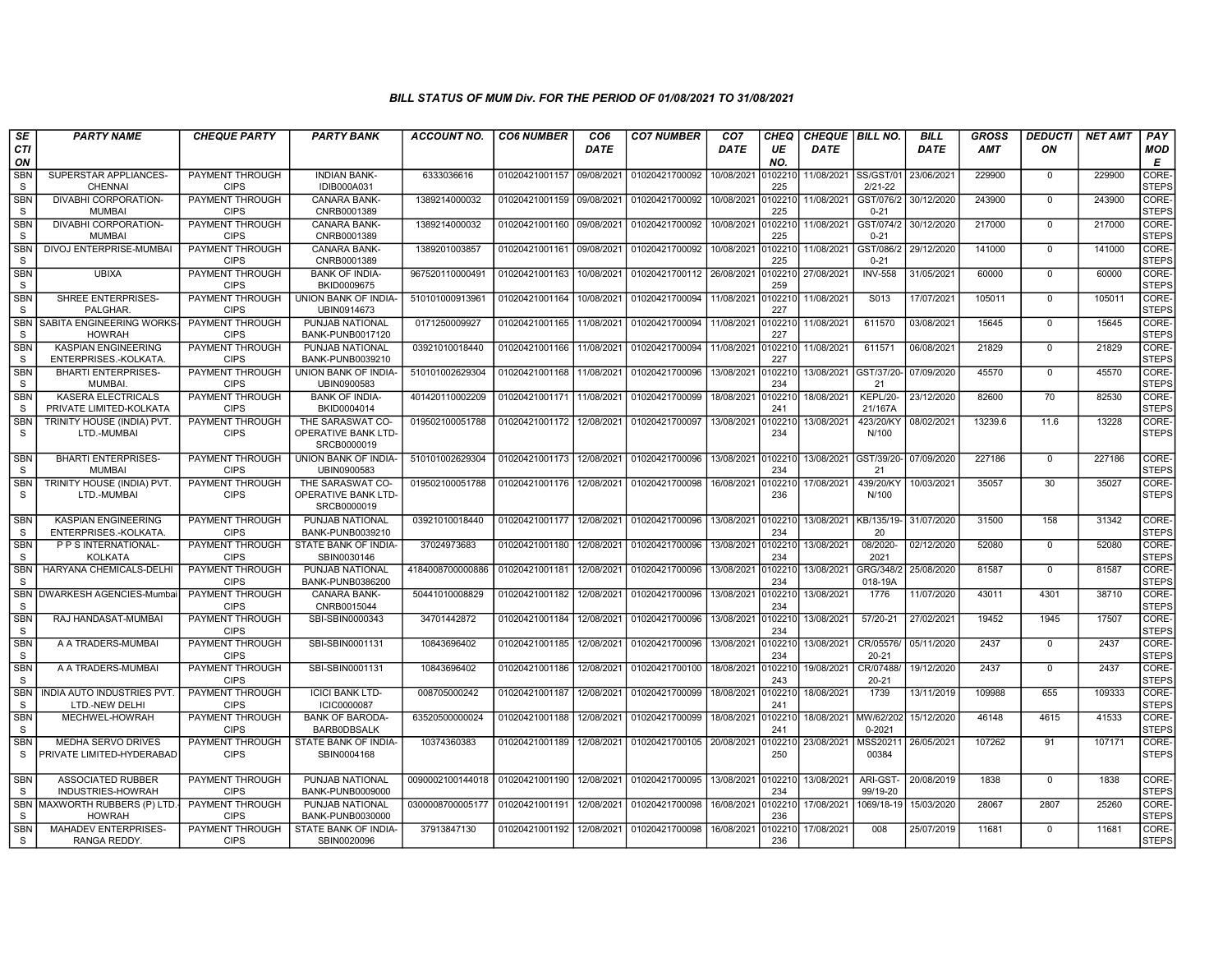| SE                         | <b>PARTY NAME</b>                                    | <b>CHEQUE PARTY</b>                   | <b>PARTY BANK</b>                                      | ACCOUNT NO.                     | <b>CO6 NUMBER</b> | CO <sub>6</sub> | <b>CO7 NUMBER</b> | CO <sub>7</sub> | CHEQ           | <b>CHEQUE   BILL NO.</b> |                          | <b>BILL</b> | GROSS      | <b>DEDUCTI</b> | <b>NET AMT</b> | PAY                         |
|----------------------------|------------------------------------------------------|---------------------------------------|--------------------------------------------------------|---------------------------------|-------------------|-----------------|-------------------|-----------------|----------------|--------------------------|--------------------------|-------------|------------|----------------|----------------|-----------------------------|
| CTI<br>ON                  |                                                      |                                       |                                                        |                                 |                   | DATE            |                   | DATE            | UE<br>NO.      | DATE                     |                          | DATE        | <b>AMT</b> | ON             |                | <b>MOD</b><br>E             |
| SBN<br>S                   | SUPERSTAR APPLIANCES-<br><b>CHENNAI</b>              | PAYMENT THROUGH<br><b>CIPS</b>        | <b>INDIAN BANK-</b><br>IDIB000A031                     | 6333036616                      | 01020421001157    | 09/08/2021      | 01020421700092    | 10/08/2021      | 10221<br>225   | 11/08/2021               | SS/GST/01<br>$2/21 - 22$ | 23/06/2021  | 229900     | $\mathbf{0}$   | 229900         | <b>CORE</b><br><b>STEPS</b> |
| <b>SBN</b><br>S            | <b>DIVABHI CORPORATION-</b><br><b>MUMBAI</b>         | <b>PAYMENT THROUGH</b><br><b>CIPS</b> | CANARA BANK-<br>CNRB0001389                            | 1389214000032                   | 01020421001159    | 09/08/2021      | 01020421700092    | 10/08/2021      | 102210<br>225  | 11/08/2021               | GST/076/2<br>$0 - 21$    | 30/12/2020  | 243900     | $\mathbf 0$    | 243900         | CORE-<br><b>STEPS</b>       |
| <b>SBN</b><br>S.           | DIVABHI CORPORATION-<br><b>MUMBAI</b>                | <b>PAYMENT THROUGH</b><br><b>CIPS</b> | <b>CANARA BANK-</b><br>CNRB0001389                     | 1389214000032                   | 01020421001160    | 09/08/2021      | 01020421700092    | 10/08/2021      | 102210<br>225  | 11/08/2021               | GST/074/2<br>$0 - 21$    | 30/12/2020  | 217000     | $\mathbf 0$    | 217000         | CORE-<br><b>STEPS</b>       |
| <b>SBN</b><br>S.           | DIVOJ ENTERPRISE-MUMBAI                              | PAYMENT THROUGH<br><b>CIPS</b>        | <b>CANARA BANK-</b><br>CNRB0001389                     | 1389201003857                   | 01020421001161    | 09/08/2021      | 01020421700092    | 10/08/2021      | 102210<br>225  | 11/08/2021               | GST/086/2<br>$0 - 21$    | 29/12/2020  | 141000     | $\mathbf{0}$   | 141000         | CORE-<br><b>STEPS</b>       |
| <b>SBN</b><br><sub>S</sub> | <b>UBIXA</b>                                         | PAYMENT THROUGH<br><b>CIPS</b>        | <b>BANK OF INDIA-</b><br>BKID0009675                   | 967520110000491                 | 01020421001163    | 10/08/2021      | 01020421700112    | 26/08/2021      | 102210<br>259  | 27/08/2021               | <b>INV-558</b>           | 31/05/2021  | 60000      | $\mathbf 0$    | 60000          | CORE-<br><b>STEPS</b>       |
| <b>SBN</b><br>S            | SHREE ENTERPRISES-<br>PALGHAR.                       | PAYMENT THROUGH<br><b>CIPS</b>        | UNION BANK OF INDIA-<br>UBIN0914673                    | 510101000913961                 | 01020421001164    | 10/08/2021      | 01020421700094    | 11/08/2021      | 102210<br>227  | 11/08/2021               | S013                     | 17/07/2021  | 105011     | $\mathbf 0$    | 105011         | CORE-<br><b>STEPS</b>       |
| <b>SBN</b><br><sub>S</sub> | SABITA ENGINEERING WORKS-<br><b>HOWRAH</b>           | PAYMENT THROUGH<br><b>CIPS</b>        | PUNJAB NATIONAL<br>BANK-PUNB0017120                    | 0171250009927                   | 01020421001165    | 11/08/2021      | 01020421700094    | 11/08/2021      | 0102210<br>227 | 11/08/2021               | 611570                   | 03/08/2021  | 15645      | $\mathbf 0$    | 15645          | CORE-<br><b>STEPS</b>       |
| <b>SBN</b><br>S            | <b>KASPIAN ENGINEERING</b><br>ENTERPRISES.-KOLKATA   | PAYMENT THROUGH<br><b>CIPS</b>        | PUNJAB NATIONAL<br>BANK-PUNB0039210                    | 03921010018440                  | 01020421001166    | 11/08/2021      | 01020421700094    | 11/08/2021      | 102210<br>227  | 11/08/2021               | 611571                   | 06/08/2021  | 21829      | $\mathbf 0$    | 21829          | CORE-<br><b>STEPS</b>       |
| <b>SBN</b><br>S            | <b>BHARTI ENTERPRISES-</b><br><b>MUMBAI</b>          | PAYMENT THROUGH<br><b>CIPS</b>        | UNION BANK OF INDIA-<br>UBIN0900583                    | 510101002629304                 | 01020421001168    | 11/08/2021      | 01020421700096    | 13/08/2021      | 10221<br>234   | 13/08/2021               | GST/37/20-<br>21         | 07/09/2020  | 45570      | $\Omega$       | 45570          | CORE-<br><b>STEPS</b>       |
| <b>SBN</b><br><sub>S</sub> | <b>KASERA ELECTRICALS</b><br>PRIVATE LIMITED-KOLKATA | <b>PAYMENT THROUGH</b><br><b>CIPS</b> | <b>BANK OF INDIA-</b><br>BKID0004014                   | 401420110002209                 | 01020421001171    | 11/08/2021      | 01020421700099    | 18/08/2021      | 102210<br>241  | 18/08/2021               | KEPL/20-<br>21/167A      | 23/12/2020  | 82600      | 70             | 82530          | CORE-<br><b>STEPS</b>       |
| <b>SBN</b><br><sub>S</sub> | TRINITY HOUSE (INDIA) PVT.<br>LTD.-MUMBAI            | PAYMENT THROUGH<br><b>CIPS</b>        | THE SARASWAT CO-<br>OPERATIVE BANK LTD-<br>SRCB0000019 | 019502100051788                 | 01020421001172    | 12/08/2021      | 01020421700097    | 13/08/2021      | 0102210<br>234 | 13/08/2021               | 423/20/KY<br>N/100       | 08/02/2021  | 13239.6    | 11.6           | 13228          | CORE-<br><b>STEPS</b>       |
| <b>SBN</b><br>S            | <b>BHARTI ENTERPRISES-</b><br><b>MUMBAI</b>          | <b>PAYMENT THROUGH</b><br><b>CIPS</b> | <b>UNION BANK OF INDIA-</b><br>UBIN0900583             | 510101002629304                 | 01020421001173    | 12/08/2021      | 01020421700096    | 13/08/2021      | 0102210<br>234 | 13/08/2021               | GST/39/20-<br>21         | 07/09/2020  | 227186     | $\Omega$       | 227186         | CORE-<br><b>STEPS</b>       |
| <b>SBN</b><br><sub>S</sub> | TRINITY HOUSE (INDIA) PVT<br>LTD.-MUMBAI             | PAYMENT THROUGH<br><b>CIPS</b>        | THE SARASWAT CO-<br>OPERATIVE BANK LTD-<br>SRCB0000019 | 019502100051788                 | 01020421001176    | 12/08/2021      | 01020421700098    | 16/08/2021      | 102210<br>236  | 17/08/2021               | 439/20/KY<br>N/100       | 10/03/2021  | 35057      | 30             | 35027          | CORE-<br><b>STEPS</b>       |
| <b>SBN</b><br>S.           | <b>KASPIAN ENGINEERING</b><br>ENTERPRISES.-KOLKATA   | PAYMENT THROUGH<br><b>CIPS</b>        | PUNJAB NATIONAL<br>BANK-PUNB0039210                    | 03921010018440                  | 01020421001177    | 12/08/2021      | 01020421700096    | 13/08/2021      | 102210<br>234  | 13/08/2021 KB/135/19     | 20                       | 31/07/2020  | 31500      | 158            | 31342          | CORE-<br><b>STEPS</b>       |
| <b>SBN</b><br>S.           | P P S INTERNATIONAL-<br><b>KOLKATA</b>               | <b>PAYMENT THROUGH</b><br><b>CIPS</b> | STATE BANK OF INDIA-<br>SBIN0030146                    | 37024973683                     | 01020421001180    | 12/08/2021      | 01020421700096    | 13/08/2021      | 0102210<br>234 | 13/08/2021               | 08/2020-<br>2021         | 02/12/2020  | 52080      | $\mathbf{0}$   | 52080          | CORE-<br><b>STEPS</b>       |
| <b>SBN</b><br><sub>S</sub> | HARYANA CHEMICALS-DELHI                              | PAYMENT THROUGH<br><b>CIPS</b>        | PUNJAB NATIONAL<br>BANK-PUNB0386200                    | 4184008700000886                | 01020421001181    | 12/08/2021      | 01020421700096    | 13/08/2021      | 102210<br>234  | 13/08/2021               | GRG/348/2<br>018-19A     | 25/08/2020  | 81587      | $\mathbf 0$    | 81587          | CORE-<br><b>STEPS</b>       |
| <b>SBN</b><br><sub>S</sub> | DWARKESH AGENCIES-Mumba                              | PAYMENT THROUGH<br><b>CIPS</b>        | CANARA BANK-<br>CNRB0015044                            | 50441010008829                  | 01020421001182    | 12/08/2021      | 01020421700096    | 13/08/2021      | 0102210<br>234 | 13/08/2021               | 1776                     | 11/07/2020  | 43011      | 4301           | 38710          | CORE-<br><b>STEPS</b>       |
| <b>SBN</b><br><sub>S</sub> | RAJ HANDASAT-MUMBAI                                  | <b>PAYMENT THROUGH</b><br><b>CIPS</b> | SBI-SBIN0000343                                        | 34701442872                     | 01020421001184    | 12/08/2021      | 01020421700096    | 13/08/2021      | 0102210<br>234 | 13/08/2021               | $57/20-21$               | 27/02/2021  | 19452      | 1945           | 17507          | CORE-<br><b>STEPS</b>       |
| <b>SBN</b><br><sub>S</sub> | A A TRADERS-MUMBAI                                   | PAYMENT THROUGH<br><b>CIPS</b>        | SBI-SBIN0001131                                        | 10843696402                     | 01020421001185    | 12/08/2021      | 01020421700096    | 13/08/2021      | 102210<br>234  | 13/08/2021               | CR/05576/<br>$20 - 21$   | 05/11/2020  | 2437       | $\mathbf{0}$   | 2437           | CORE-<br><b>STEPS</b>       |
| <b>SBN</b><br>S.           | A A TRADERS-MUMBAI                                   | PAYMENT THROUGH<br><b>CIPS</b>        | SBI-SBIN0001131                                        | 10843696402                     | 01020421001186    | 12/08/2021      | 01020421700100    | 18/08/2021      | 102210<br>243  | 19/08/2021               | CR/07488/<br>20-21       | 19/12/2020  | 2437       | $\Omega$       | 2437           | CORE-<br><b>STEPS</b>       |
| <b>SBN</b><br>S            | INDIA AUTO INDUSTRIES PVT<br>LTD.-NEW DELHI          | PAYMENT THROUGH<br><b>CIPS</b>        | <b>ICICI BANK LTD-</b><br><b>ICIC0000087</b>           | 008705000242                    | 01020421001187    | 12/08/2021      | 01020421700099    | 18/08/2021      | 102210<br>241  | 18/08/2021               | 1739                     | 13/11/2019  | 109988     | 655            | 109333         | CORE-<br><b>STEPS</b>       |
| <b>SBN</b><br><sub>S</sub> | MECHWEL-HOWRAH                                       | <b>PAYMENT THROUGH</b><br><b>CIPS</b> | <b>BANK OF BARODA</b><br><b>BARBODBSALK</b>            | 63520500000024                  | 01020421001188    | 12/08/2021      | 01020421700099    | 18/08/2021      | 0102210<br>241 | 18/08/2021 MW/62/202     | $0 - 2021$               | 15/12/2020  | 46148      | 4615           | 41533          | CORE-<br><b>STEPS</b>       |
| <b>SBN</b><br>S            | MEDHA SERVO DRIVES<br>PRIVATE LIMITED-HYDERABAD      | PAYMENT THROUGH<br><b>CIPS</b>        | STATE BANK OF INDIA-<br>SBIN0004168                    | 10374360383                     | 01020421001189    | 12/08/2021      | 01020421700105    | 20/08/2021      | 102210<br>250  | 23/08/2021               | MSS20211<br>00384        | 26/05/2021  | 107262     | 91             | 107171         | CORE-<br><b>STEPS</b>       |
| <b>SBN</b><br>S            | <b>ASSOCIATED RUBBER</b><br>INDUSTRIES-HOWRAH        | PAYMENT THROUGH<br><b>CIPS</b>        | PUNJAB NATIONAL<br>BANK-PUNB0009000                    | 0090002100144018 01020421001190 |                   | 12/08/2021      | 01020421700095    | 13/08/2021      | 0102210<br>234 | 13/08/2021               | ARI-GST-<br>99/19-20     | 20/08/2019  | 1838       | $\mathbf 0$    | 1838           | CORE-<br><b>STEPS</b>       |
| <b>SBN</b><br>S            | MAXWORTH RUBBERS (P) LTD.<br><b>HOWRAH</b>           | PAYMENT THROUGH<br><b>CIPS</b>        | PUNJAB NATIONAL<br>BANK-PUNB0030000                    | 0300008700005177                | 01020421001191    | 12/08/2021      | 01020421700098    | 16/08/2021      | 0102210<br>236 | 17/08/2021               | 1069/18-19               | 15/03/2020  | 28067      | 2807           | 25260          | CORE-<br><b>STEPS</b>       |
| <b>SBN</b><br>S.           | MAHADEV ENTERPRISES-<br>RANGA REDDY.                 | PAYMENT THROUGH<br><b>CIPS</b>        | STATE BANK OF INDIA-<br>SBIN0020096                    | 37913847130                     | 01020421001192    | 12/08/2021      | 01020421700098    | 16/08/2021      | 102210<br>236  | 17/08/2021               | 008                      | 25/07/2019  | 11681      | $\mathbf 0$    | 11681          | CORE-<br><b>STEPS</b>       |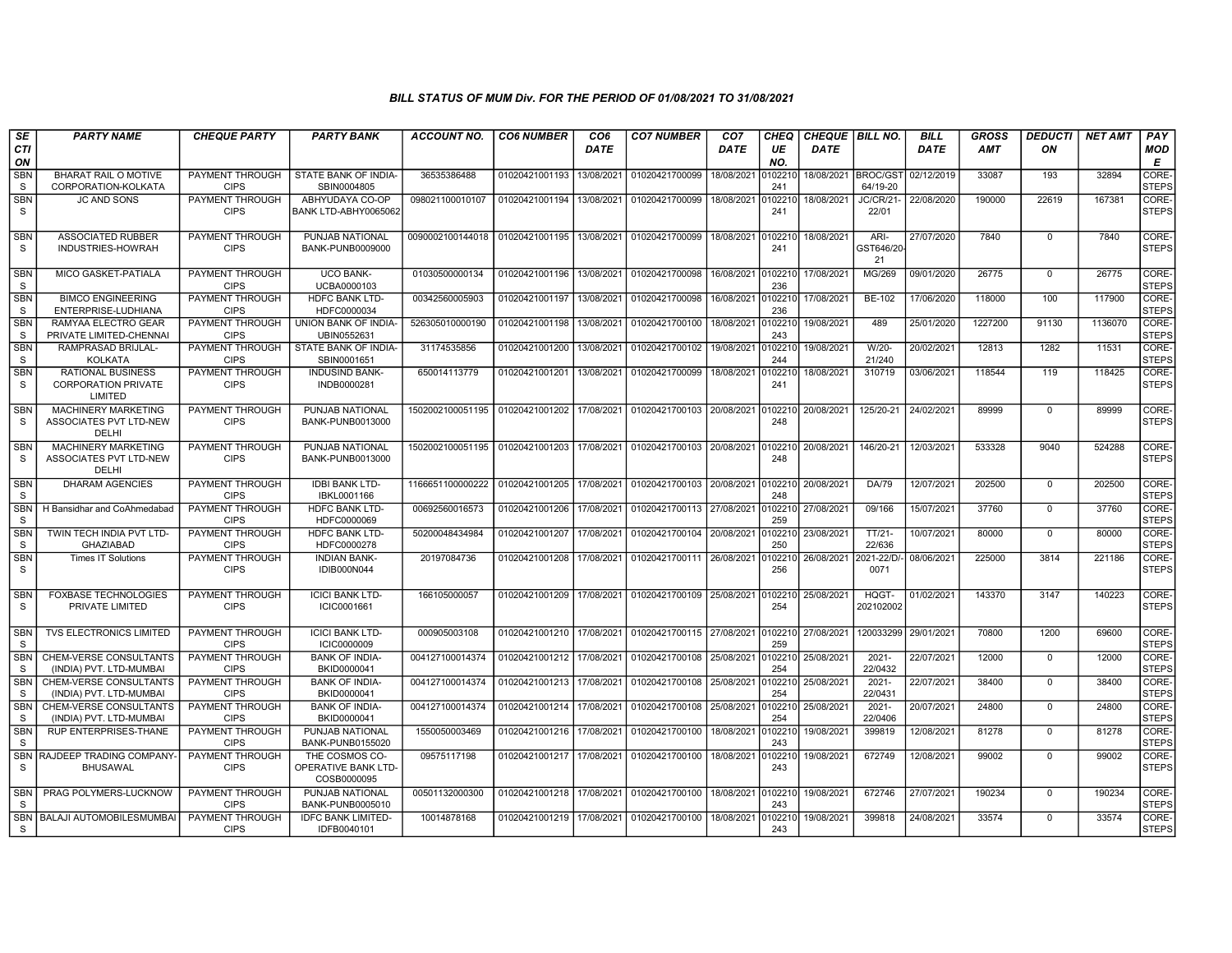| SE                         | <b>PARTY NAME</b>                                                    | <b>CHEQUE PARTY</b>                   | <b>PARTY BANK</b>                                    | <b>ACCOUNT NO.</b>                                                   | <b>CO6 NUMBER</b> | CO <sub>6</sub> | <b>CO7 NUMBER</b>         | CO <sub>7</sub> | <b>CHEQ</b>    | <b>CHEQUE   BILL NO.</b> |                           | <b>BILL</b> | <b>GROSS</b> | <b>DEDUCTI</b> | <b>NET AMT</b> | PAY                   |
|----------------------------|----------------------------------------------------------------------|---------------------------------------|------------------------------------------------------|----------------------------------------------------------------------|-------------------|-----------------|---------------------------|-----------------|----------------|--------------------------|---------------------------|-------------|--------------|----------------|----------------|-----------------------|
| CTI<br>ON                  |                                                                      |                                       |                                                      |                                                                      |                   | <b>DATE</b>     |                           | <b>DATE</b>     | UE<br>NO.      | <b>DATE</b>              |                           | <b>DATE</b> | AMT          | ON             |                | MOD<br>Е              |
| <b>SBN</b><br><sub>S</sub> | <b>BHARAT RAIL O MOTIVE</b><br>CORPORATION-KOLKATA                   | PAYMENT THROUGH<br><b>CIPS</b>        | STATE BANK OF INDIA-<br>SBIN0004805                  | 36535386488                                                          | 01020421001193    | 13/08/2021      | 01020421700099            | 18/08/2021      | 102210<br>241  | 18/08/2021 BROC/GST      | 64/19-20                  | 02/12/2019  | 33087        | 193            | 32894          | CORE-<br><b>STEPS</b> |
| <b>SBN</b><br><sub>S</sub> | <b>JC AND SONS</b>                                                   | <b>PAYMENT THROUGH</b><br><b>CIPS</b> | ABHYUDAYA CO-OP<br>BANK LTD-ABHY0065062              | 098021100010107                                                      | 01020421001194    | 13/08/2021      | 01020421700099            | 18/08/2021      | 102210<br>241  | 18/08/2021               | <b>JC/CR/21-</b><br>22/01 | 22/08/2020  | 190000       | 22619          | 167381         | CORE-<br><b>STEPS</b> |
| <b>SBN</b><br><b>S</b>     | <b>ASSOCIATED RUBBER</b><br>INDUSTRIES-HOWRAH                        | PAYMENT THROUGH<br><b>CIPS</b>        | PUNJAB NATIONAL<br>BANK-PUNB0009000                  | 0090002100144018   01020421001195                                    |                   | 13/08/2021      | 01020421700099            | 18/08/2021      | 0102210<br>241 | 18/08/2021               | ARI-<br>GST646/20<br>21   | 27/07/2020  | 7840         | $\mathbf 0$    | 7840           | CORE-<br><b>STEPS</b> |
| <b>SBN</b><br>S            | MICO GASKET-PATIALA                                                  | PAYMENT THROUGH<br><b>CIPS</b>        | <b>UCO BANK-</b><br>UCBA0000103                      | 01030500000134                                                       | 01020421001196    | 13/08/2021      | 01020421700098            | 16/08/2021      | 102210<br>236  | 17/08/2021               | MG/269                    | 09/01/2020  | 26775        | $\mathbf 0$    | 26775          | CORE-<br><b>STEPS</b> |
| <b>SBN</b><br><sub>S</sub> | <b>BIMCO ENGINEERING</b><br>ENTERPRISE-LUDHIANA                      | PAYMENT THROUGH<br><b>CIPS</b>        | <b>HDFC BANK LTD-</b><br>HDFC0000034                 | 00342560005903                                                       | 01020421001197    | 13/08/2021      | 01020421700098            | 16/08/2021      | 0102210<br>236 | 17/08/2021               | BE-102                    | 17/06/2020  | 118000       | 100            | 117900         | CORE-<br><b>STEPS</b> |
| <b>SBN</b><br><sub>S</sub> | RAMYAA ELECTRO GEAR<br>PRIVATE LIMITED-CHENNAI                       | PAYMENT THROUGH<br><b>CIPS</b>        | UNION BANK OF INDIA-<br>UBIN0552631                  | 526305010000190                                                      | 01020421001198    | 13/08/2021      | 01020421700100            | 18/08/2021      | 102210<br>243  | 19/08/2021               | 489                       | 25/01/2020  | 1227200      | 91130          | 1136070        | CORE-<br><b>STEPS</b> |
| <b>SBN</b><br><sub>S</sub> | RAMPRASAD BRIJLAL-<br><b>KOLKATA</b>                                 | PAYMENT THROUGH<br><b>CIPS</b>        | STATE BANK OF INDIA-<br>SBIN0001651                  | 31174535856                                                          | 01020421001200    | 13/08/2021      | 01020421700102            | 19/08/2021      | 102210<br>244  | 19/08/2021               | $W/20-$<br>21/240         | 20/02/2021  | 12813        | 1282           | 11531          | CORE-<br><b>STEPS</b> |
| <b>SBN</b><br>S.           | <b>RATIONAL BUSINESS</b><br><b>CORPORATION PRIVATE</b><br>LIMITED    | PAYMENT THROUGH<br><b>CIPS</b>        | <b>INDUSIND BANK-</b><br>INDB0000281                 | 650014113779                                                         | 01020421001201    | 13/08/2021      | 01020421700099            | 18/08/2021      | 102210<br>241  | 18/08/2021               | 310719                    | 03/06/2021  | 118544       | 119            | 118425         | CORE-<br><b>STEPS</b> |
| <b>SBN</b><br><sub>S</sub> | <b>MACHINERY MARKETING</b><br><b>ASSOCIATES PVT LTD-NEW</b><br>DELHI | PAYMENT THROUGH<br><b>CIPS</b>        | PUNJAB NATIONAL<br>BANK-PUNB0013000                  | 1502002100051195丨01020421001202丨17/08/2021丨01020421700103丨20/08/2021 |                   |                 |                           |                 | )102210<br>248 | 20/08/2021               | 125/20-21                 | 24/02/2021  | 89999        | $\Omega$       | 89999          | CORE-<br><b>STEPS</b> |
| <b>SBN</b><br><sub>S</sub> | <b>MACHINERY MARKETING</b><br><b>ASSOCIATES PVT LTD-NEW</b><br>DELHI | PAYMENT THROUGH<br><b>CIPS</b>        | PUNJAB NATIONAL<br>BANK-PUNB0013000                  | 1502002100051195 01020421001203 17/08/2021                           |                   |                 | 01020421700103 20/08/2021 |                 | 102210<br>248  | 20/08/2021               | 146/20-21                 | 12/03/2021  | 533328       | 9040           | 524288         | CORE-<br><b>STEPS</b> |
| <b>SBN</b><br><sub>S</sub> | <b>DHARAM AGENCIES</b>                                               | PAYMENT THROUGH<br><b>CIPS</b>        | <b>IDBI BANK LTD-</b><br>IBKL0001166                 | 1166651100000222                                                     | 01020421001205    | 17/08/2021      | 01020421700103 20/08/2021 |                 | 102210<br>248  | 20/08/2021               | DA/79                     | 12/07/2021  | 202500       | $\Omega$       | 202500         | CORE-<br><b>STEPS</b> |
| <b>SBN</b><br><sub>S</sub> | H Bansidhar and CoAhmedabad                                          | PAYMENT THROUGH<br><b>CIPS</b>        | HDFC BANK LTD-<br>HDFC0000069                        | 00692560016573                                                       | 01020421001206    | 17/08/2021      | 01020421700113 27/08/2021 |                 | 0102210<br>259 | 27/08/2021               | 09/166                    | 15/07/2021  | 37760        | $\mathbf{0}$   | 37760          | CORE-<br><b>STEPS</b> |
| <b>SBN</b><br>S            | TWIN TECH INDIA PVT LTD-<br><b>GHAZIABAD</b>                         | <b>PAYMENT THROUGH</b><br><b>CIPS</b> | <b>HDFC BANK LTD-</b><br>HDFC0000278                 | 50200048434984                                                       | 01020421001207    | 17/08/2021      | 01020421700104            | 20/08/2021      | 102210<br>250  | 23/08/2021               | $TT/21-$<br>22/636        | 10/07/2021  | 80000        | $\Omega$       | 80000          | CORE-<br><b>STEPS</b> |
| SBN<br><sub>S</sub>        | <b>Times IT Solutions</b>                                            | PAYMENT THROUGH<br><b>CIPS</b>        | <b>INDIAN BANK-</b><br>IDIB000N044                   | 20197084736                                                          | 01020421001208    | 17/08/2021      | 01020421700111            | 26/08/2021      | 102210<br>256  | 26/08/2021               | 021-22/D/<br>0071         | 08/06/2021  | 225000       | 3814           | 221186         | CORE-<br><b>STEPS</b> |
| <b>SBN</b><br>S.           | <b>FOXBASE TECHNOLOGIES</b><br>PRIVATE LIMITED                       | PAYMENT THROUGH<br><b>CIPS</b>        | <b>ICICI BANK LTD-</b><br>ICIC0001661                | 166105000057                                                         | 01020421001209    |                 | 17/08/2021 01020421700109 | 25/08/2021      | 0102210<br>254 | 25/08/2021               | HQGT-<br>202102002        | 01/02/2021  | 143370       | 3147           | 140223         | CORE-<br><b>STEPS</b> |
| <b>SBN</b><br><sub>S</sub> | <b>TVS ELECTRONICS LIMITED</b>                                       | PAYMENT THROUGH<br><b>CIPS</b>        | <b>ICICI BANK LTD-</b><br><b>ICIC0000009</b>         | 000905003108                                                         | 01020421001210    | 17/08/2021      | 01020421700115            | 27/08/2021      | 0102210<br>259 | 27/08/2021               | 120033299                 | 29/01/2021  | 70800        | 1200           | 69600          | CORE-<br><b>STEPS</b> |
| SBN<br><sub>S</sub>        | CHEM-VERSE CONSULTANTS<br>(INDIA) PVT. LTD-MUMBAI                    | PAYMENT THROUGH<br><b>CIPS</b>        | <b>BANK OF INDIA-</b><br>BKID0000041                 | 004127100014374                                                      | 01020421001212    | 17/08/2021      | 01020421700108            | 25/08/2021      | 102210<br>254  | 25/08/2021               | $2021 -$<br>22/0432       | 22/07/2021  | 12000        | $\mathbf 0$    | 12000          | CORE-<br><b>STEPS</b> |
| <b>SBN</b><br><sub>S</sub> | <b>CHEM-VERSE CONSULTANTS</b><br>(INDIA) PVT. LTD-MUMBAI             | <b>PAYMENT THROUGH</b><br><b>CIPS</b> | <b>BANK OF INDIA-</b><br>BKID0000041                 | 004127100014374                                                      | 01020421001213    | 17/08/2021      | 01020421700108            | 25/08/2021      | 102210<br>254  | 25/08/2021               | $2021 -$<br>22/0431       | 22/07/2021  | 38400        | $\mathbf 0$    | 38400          | CORE-<br><b>STEPS</b> |
| <b>SBN</b><br><sub>S</sub> | CHEM-VERSE CONSULTANTS<br>(INDIA) PVT. LTD-MUMBAI                    | PAYMENT THROUGH<br><b>CIPS</b>        | <b>BANK OF INDIA-</b><br>BKID0000041                 | 004127100014374                                                      | 01020421001214    | 17/08/2021      | 01020421700108            | 25/08/2021      | 102210<br>254  | 25/08/2021               | $2021 -$<br>22/0406       | 20/07/2021  | 24800        | $\Omega$       | 24800          | CORE-<br><b>STEPS</b> |
| <b>SBN</b><br>S.           | <b>RUP ENTERPRISES-THANE</b>                                         | PAYMENT THROUGH<br><b>CIPS</b>        | PUNJAB NATIONAL<br>BANK-PUNB0155020                  | 1550050003469                                                        | 01020421001216    | 17/08/2021      | 01020421700100            | 18/08/2021      | 102210<br>243  | 19/08/2021               | 399819                    | 12/08/2021  | 81278        | $\mathbf 0$    | 81278          | CORE-<br><b>STEPS</b> |
| <b>SBN</b><br>S            | RAJDEEP TRADING COMPANY<br><b>BHUSAWAL</b>                           | PAYMENT THROUGH<br><b>CIPS</b>        | THE COSMOS CO-<br>OPERATIVE BANK LTD-<br>COSB0000095 | 09575117198                                                          | 01020421001217    | 17/08/2021      | 01020421700100            | 18/08/2021      | 102210<br>243  | 19/08/2021               | 672749                    | 12/08/2021  | 99002        | $\Omega$       | 99002          | CORE-<br><b>STEPS</b> |
| <b>SBN</b><br><sub>S</sub> | PRAG POLYMERS-LUCKNOW                                                | PAYMENT THROUGH<br><b>CIPS</b>        | PUNJAB NATIONAL<br>BANK-PUNB0005010                  | 00501132000300                                                       | 01020421001218    | 17/08/2021      | 01020421700100            | 18/08/2021      | 0102210<br>243 | 19/08/2021               | 672746                    | 27/07/2021  | 190234       | $\mathbf 0$    | 190234         | CORE-<br><b>STEPS</b> |
| <b>S</b>                   | SBN   BALAJI AUTOMOBILESMUMBAI                                       | PAYMENT THROUGH<br><b>CIPS</b>        | <b>IDFC BANK LIMITED-</b><br>IDFB0040101             | 10014878168                                                          | 01020421001219    | 17/08/2021      | 01020421700100            | 18/08/2021      | 102210<br>243  | 19/08/2021               | 399818                    | 24/08/2021  | 33574        | $\mathbf{0}$   | 33574          | CORE-<br>STEPS        |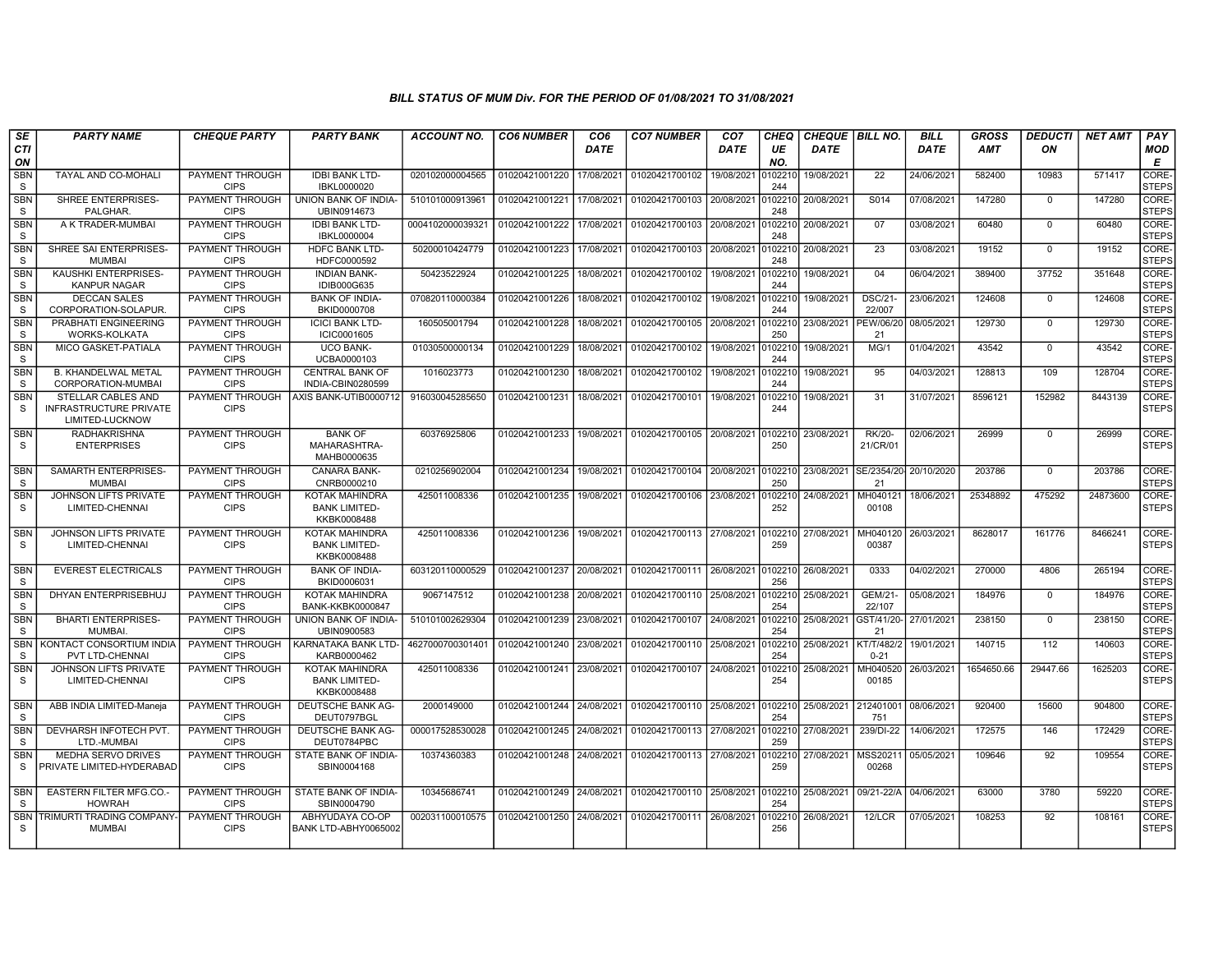| SE                         | <b>PARTY NAME</b>                                               | <b>CHEQUE PARTY</b>                   | <b>PARTY BANK</b>                                            | <b>ACCOUNT NO.</b> | <b>CO6 NUMBER</b>         | CO <sub>6</sub> | <b>CO7 NUMBER</b>                                                      | CO <sub>7</sub> | <b>CHEQ</b>    | <b>CHEQUE   BILL NO.</b> |                             | <b>BILL</b> | <b>GROSS</b> | <b>DEDUCTI</b> | <b>NET AMT</b> | PAY                   |
|----------------------------|-----------------------------------------------------------------|---------------------------------------|--------------------------------------------------------------|--------------------|---------------------------|-----------------|------------------------------------------------------------------------|-----------------|----------------|--------------------------|-----------------------------|-------------|--------------|----------------|----------------|-----------------------|
| CTI<br>ON                  |                                                                 |                                       |                                                              |                    |                           | <b>DATE</b>     |                                                                        | DATE            | UE<br>NO.      | <b>DATE</b>              |                             | <b>DATE</b> | <b>AMT</b>   | ON             |                | MOD<br>Е              |
| <b>SBN</b><br>S            | TAYAL AND CO-MOHALI                                             | PAYMENT THROUGH<br><b>CIPS</b>        | <b>IDBI BANK LTD-</b><br>IBKL0000020                         | 020102000004565    | 01020421001220            | 17/08/2021      | 01020421700102                                                         | 19/08/2021      | 102210<br>244  | 19/08/2021               | 22                          | 24/06/2021  | 582400       | 10983          | 571417         | CORE-<br><b>STEPS</b> |
| <b>SBN</b><br>S            | SHREE ENTERPRISES-<br>PALGHAR.                                  | PAYMENT THROUGH<br><b>CIPS</b>        | UNION BANK OF INDIA-<br>UBIN0914673                          | 510101000913961    | 01020421001221            | 17/08/2021      | 01020421700103 20/08/2021                                              |                 | 0102210<br>248 | 20/08/2021               | S <sub>014</sub>            | 07/08/2021  | 147280       | $\mathbf 0$    | 147280         | CORE-<br><b>STEPS</b> |
| SBN<br>S                   | A K TRADER-MUMBAI                                               | PAYMENT THROUGH<br><b>CIPS</b>        | <b>IDBI BANK LTD-</b><br>IBKL0000004                         | 0004102000039321   | 01020421001222            | 17/08/2021      | 01020421700103                                                         | 20/08/2021      | 0102210<br>248 | 20/08/2021               | 07                          | 03/08/2021  | 60480        | $\mathbf 0$    | 60480          | CORE-<br><b>STEPS</b> |
| <b>SBN</b><br>S            | SHREE SAI ENTERPRISES-<br><b>MUMBAI</b>                         | PAYMENT THROUGH<br><b>CIPS</b>        | <b>HDFC BANK LTD-</b><br>HDFC0000592                         | 50200010424779     | 01020421001223            | 17/08/2021      | 01020421700103                                                         | 20/08/2021      | 102210<br>248  | 20/08/2021               | 23                          | 03/08/2021  | 19152        | $\overline{0}$ | 19152          | CORE-<br><b>STEPS</b> |
| <b>SBN</b><br><sub>S</sub> | <b>KAUSHKI ENTERPRISES-</b><br><b>KANPUR NAGAR</b>              | PAYMENT THROUGH<br><b>CIPS</b>        | <b>INDIAN BANK-</b><br>IDIB000G635                           | 50423522924        | 01020421001225            | 18/08/2021      | 01020421700102                                                         | 19/08/2021      | 0102210<br>244 | 19/08/2021               | 04                          | 06/04/2021  | 389400       | 37752          | 351648         | CORE-<br><b>STEPS</b> |
| <b>SBN</b><br>S            | <b>DECCAN SALES</b><br>CORPORATION-SOLAPUR.                     | PAYMENT THROUGH<br><b>CIPS</b>        | <b>BANK OF INDIA-</b><br>BKID0000708                         | 070820110000384    | 01020421001226            | 18/08/2021      | 01020421700102                                                         | 19/08/2021      | 102210<br>244  | 19/08/2021               | <b>DSC/21-</b><br>22/007    | 23/06/2021  | 124608       | $\Omega$       | 124608         | CORE-<br><b>STEPS</b> |
| SBN<br>S                   | PRABHATI ENGINEERING<br>WORKS-KOLKATA                           | PAYMENT THROUGH<br><b>CIPS</b>        | <b>ICICI BANK LTD-</b><br>ICIC0001605                        | 160505001794       | 01020421001228            | 18/08/2021      | 01020421700105                                                         | 20/08/2021      | 0102210<br>250 | 23/08/2021               | PEW/06/20<br>21             | 08/05/2021  | 129730       | $\Omega$       | 129730         | CORE-<br><b>STEPS</b> |
| <b>SBN</b><br>S.           | MICO GASKET-PATIALA                                             | PAYMENT THROUGH<br><b>CIPS</b>        | <b>UCO BANK-</b><br>UCBA0000103                              | 01030500000134     | 01020421001229            | 18/08/2021      | 01020421700102                                                         | 19/08/2021      | 102210<br>244  | 19/08/2021               | MG/1                        | 01/04/2021  | 43542        | $\mathbf 0$    | 43542          | CORE-<br><b>STEPS</b> |
| <b>SBN</b><br><sub>S</sub> | <b>B. KHANDELWAL METAL</b><br>CORPORATION-MUMBAI                | <b>PAYMENT THROUGH</b><br><b>CIPS</b> | <b>CENTRAL BANK OF</b><br>INDIA-CBIN0280599                  | 1016023773         | 01020421001230            | 18/08/2021      | 01020421700102                                                         | 19/08/2021      | 0102210<br>244 | 19/08/2021               | 95                          | 04/03/2021  | 128813       | 109            | 128704         | CORE-<br><b>STEPS</b> |
| <b>SBN</b><br><sub>S</sub> | STELLAR CABLES AND<br>INFRASTRUCTURE PRIVATE<br>LIMITED-LUCKNOW | PAYMENT THROUGH<br><b>CIPS</b>        | AXIS BANK-UTIB0000712                                        | 916030045285650    | 01020421001231            | 18/08/2021      | 01020421700101                                                         | 19/08/2021      | 102210<br>244  | 19/08/2021               | 31                          | 31/07/2021  | 8596121      | 152982         | 8443139        | CORE-<br><b>STEPS</b> |
| <b>SBN</b><br><sub>S</sub> | <b>RADHAKRISHNA</b><br><b>ENTERPRISES</b>                       | PAYMENT THROUGH<br><b>CIPS</b>        | <b>BANK OF</b><br>MAHARASHTRA-<br>MAHB0000635                | 60376925806        | 01020421001233            | 19/08/2021      | 01020421700105 20/08/2021                                              |                 | 102210<br>250  | 23/08/2021               | <b>RK/20-</b><br>21/CR/01   | 02/06/2021  | 26999        | $\mathbf 0$    | 26999          | CORE-<br><b>STEPS</b> |
| <b>SBN</b><br><sub>S</sub> | <b>SAMARTH ENTERPRISES-</b><br><b>MUMBAI</b>                    | PAYMENT THROUGH<br><b>CIPS</b>        | CANARA BANK-<br>CNRB0000210                                  | 0210256902004      | 01020421001234            | 19/08/2021      | 01020421700104 20/08/2021                                              |                 | 0102210<br>250 | 23/08/2021 SE/2354/20    | 21                          | 20/10/2020  | 203786       | $\mathbf 0$    | 203786         | CORE-<br><b>STEPS</b> |
| <b>SBN</b><br>S            | <b>JOHNSON LIFTS PRIVATE</b><br>LIMITED-CHENNAI                 | PAYMENT THROUGH<br><b>CIPS</b>        | <b>KOTAK MAHINDRA</b><br><b>BANK LIMITED-</b><br>KKBK0008488 | 425011008336       | 01020421001235            | 19/08/2021      | 01020421700106                                                         | 23/08/2021      | 0102210<br>252 | 24/08/2021               | MH040121<br>00108           | 18/06/2021  | 25348892     | 475292         | 24873600       | CORE-<br><b>STEPS</b> |
| SBN<br><sub>S</sub>        | JOHNSON LIFTS PRIVATE<br>LIMITED-CHENNAI                        | PAYMENT THROUGH<br><b>CIPS</b>        | <b>KOTAK MAHINDRA</b><br><b>BANK LIMITED-</b><br>KKBK0008488 | 425011008336       | 01020421001236            | 19/08/2021      | 01020421700113 27/08/2021                                              |                 | 0102210<br>259 | 27/08/2021               | MH040120<br>00387           | 26/03/2021  | 8628017      | 161776         | 8466241        | CORE-<br><b>STEPS</b> |
| <b>SBN</b><br><sub>S</sub> | <b>EVEREST ELECTRICALS</b>                                      | PAYMENT THROUGH<br><b>CIPS</b>        | <b>BANK OF INDIA-</b><br>BKID0006031                         | 603120110000529    |                           |                 | 01020421001237 20/08/2021 01020421700111 26/08/2021 0102210 26/08/2021 |                 | 256            |                          | 0333                        | 04/02/2021  | 270000       | 4806           | 265194         | CORE-<br><b>STEPS</b> |
| SBN<br><sub>S</sub>        | DHYAN ENTERPRISEBHUJ                                            | PAYMENT THROUGH<br><b>CIPS</b>        | <b>KOTAK MAHINDRA</b><br><b>BANK-KKBK0000847</b>             | 9067147512         | 01020421001238            | 20/08/2021      | 01020421700110 25/08/2021                                              |                 | 102210<br>254  | 25/08/2021               | <b>GEM/21-</b><br>22/107    | 05/08/2021  | 184976       | $\mathbf 0$    | 184976         | CORE-<br><b>STEPS</b> |
| <b>SBN</b><br>S            | <b>BHARTI ENTERPRISES-</b><br><b>MUMBAI</b>                     | PAYMENT THROUGH<br><b>CIPS</b>        | UNION BANK OF INDIA-<br>UBIN0900583                          | 510101002629304    | 01020421001239            | 23/08/2021      | 01020421700107                                                         | 24/08/2021      | 102210<br>254  | 25/08/2021               | GST/41/20-127/01/2021<br>21 |             | 238150       | $\Omega$       | 238150         | CORE-<br><b>STEPS</b> |
| <b>SBN</b><br><sub>S</sub> | KONTACT CONSORTIUM INDIA<br>PVT LTD-CHENNAI                     | PAYMENT THROUGH<br><b>CIPS</b>        | KARNATAKA BANK LTD-<br>KARB0000462                           | 4627000700301401   | 01020421001240 23/08/2021 |                 | 01020421700110 25/08/2021                                              |                 | 102210<br>254  | 25/08/2021               | KT/T/482/2<br>$0 - 21$      | 19/01/2021  | 140715       | 112            | 140603         | CORE-<br><b>STEPS</b> |
| <b>SBN</b><br>S.           | <b>JOHNSON LIFTS PRIVATE</b><br>LIMITED-CHENNAI                 | <b>PAYMENT THROUGH</b><br><b>CIPS</b> | <b>KOTAK MAHINDRA</b><br><b>BANK LIMITED-</b><br>KKBK0008488 | 425011008336       |                           |                 | 01020421001241 23/08/2021 01020421700107 24/08/2021                    |                 | 0102210<br>254 | 25/08/2021               | MH040520<br>00185           | 26/03/2021  | 1654650.66   | 29447.66       | 1625203        | CORE-<br><b>STEPS</b> |
| <b>SBN</b><br><sub>S</sub> | ABB INDIA LIMITED-Maneja                                        | PAYMENT THROUGH<br><b>CIPS</b>        | DEUTSCHE BANK AG-<br>DEUT0797BGL                             | 2000149000         | 01020421001244 24/08/2021 |                 | 01020421700110 25/08/2021                                              |                 | 0102210<br>254 | 25/08/2021               | 212401001<br>751            | 08/06/2021  | 920400       | 15600          | 904800         | CORE-<br><b>STEPS</b> |
| <b>SBN</b><br><sub>S</sub> | DEVHARSH INFOTECH PVT.<br>LTD.-MUMBAI                           | PAYMENT THROUGH<br><b>CIPS</b>        | DEUTSCHE BANK AG-<br>DEUT0784PBC                             | 000017528530028    | 01020421001245            | 24/08/2021      | 01020421700113 27/08/2021                                              |                 | 102210<br>259  | 27/08/2021               | 239/DI-22                   | 14/06/2021  | 172575       | 146            | 172429         | CORE-<br><b>STEPS</b> |
| <b>SBN</b><br><sub>S</sub> | <b>MEDHA SERVO DRIVES</b><br>PRIVATE LIMITED-HYDERABAD          | PAYMENT THROUGH<br><b>CIPS</b>        | STATE BANK OF INDIA-<br>SBIN0004168                          | 10374360383        | 01020421001248 24/08/2021 |                 | 01020421700113 27/08/2021                                              |                 | 102210<br>259  | 27/08/2021               | MSS20211<br>00268           | 05/05/2021  | 109646       | 92             | 109554         | CORE-<br><b>STEPS</b> |
| <b>SBN</b><br>S.           | <b>EASTERN FILTER MFG.CO.</b><br><b>HOWRAH</b>                  | PAYMENT THROUGH<br><b>CIPS</b>        | STATE BANK OF INDIA-<br>SBIN0004790                          | 10345686741        | 01020421001249            | 24/08/2021      | 01020421700110 25/08/2021                                              |                 | 102210<br>254  | 25/08/2021               | 09/21-22/A                  | 04/06/2021  | 63000        | 3780           | 59220          | CORE-<br><b>STEPS</b> |
| <b>SBN</b><br>S            | TRIMURTI TRADING COMPANY-<br><b>MUMBAI</b>                      | PAYMENT THROUGH<br><b>CIPS</b>        | ABHYUDAYA CO-OP<br>BANK LTD-ABHY0065002                      | 002031100010575    | 01020421001250 24/08/2021 |                 | 01020421700111 26/08/2021                                              |                 | 102210<br>256  | 26/08/2021               | 12/LCR                      | 07/05/2021  | 108253       | 92             | 108161         | CORE-<br><b>STEPS</b> |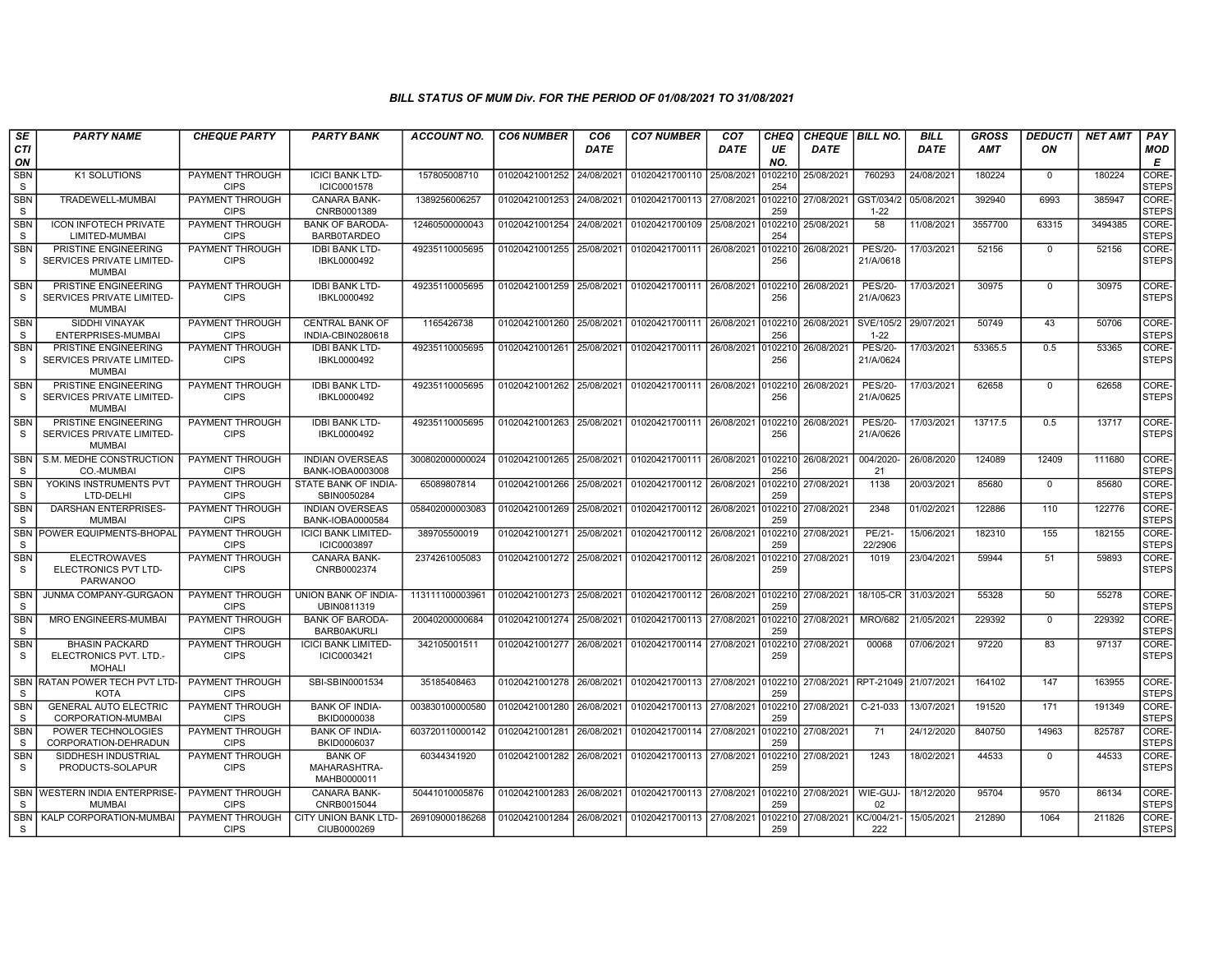| SE                         | <b>PARTY NAME</b>                                                  | <b>CHEQUE PARTY</b>                   | <b>PARTY BANK</b>                             | ACCOUNT NO.     | <b>CO6 NUMBER</b>         | CO6         | <b>CO7 NUMBER</b>                 | CO7         | CHEQ           | <b>CHEQUE   BILL NO.</b>                |                             | <b>BILL</b> | GROSS   | <b>DEDUCTI</b> | NET AMT | <b>PAY</b>                       |
|----------------------------|--------------------------------------------------------------------|---------------------------------------|-----------------------------------------------|-----------------|---------------------------|-------------|-----------------------------------|-------------|----------------|-----------------------------------------|-----------------------------|-------------|---------|----------------|---------|----------------------------------|
| <b>CTI</b><br>ON           |                                                                    |                                       |                                               |                 |                           | <b>DATE</b> |                                   | <b>DATE</b> | UE<br>NO.      | <b>DATE</b>                             |                             | <b>DATE</b> | AMT     | ON             |         | <b>MOD</b><br>Е                  |
| <b>SBN</b><br><sub>S</sub> | K1 SOLUTIONS                                                       | PAYMENT THROUGH<br><b>CIPS</b>        | <b>ICICI BANK LTD-</b><br>ICIC0001578         | 157805008710    | 01020421001252            | 24/08/2021  | 01020421700110 25/08/2021         |             | 102210<br>254  | 25/08/2021                              | 760293                      | 24/08/2021  | 180224  | $^{\circ}$     | 180224  | <b>CORE</b><br><b>STEPS</b>      |
| <b>SBN</b><br>S            | TRADEWELL-MUMBAI                                                   | PAYMENT THROUGH<br><b>CIPS</b>        | <b>CANARA BANK-</b><br>CNRB0001389            | 1389256006257   | 01020421001253            | 24/08/2021  | 01020421700113 27/08/2021         |             | 102210<br>259  | 27/08/2021                              | GST/034/2<br>$1 - 22$       | 05/08/2021  | 392940  | 6993           | 385947  | CORE-<br><b>STEPS</b>            |
| <b>SBN</b><br><sub>S</sub> | <b>ICON INFOTECH PRIVATE</b><br>LIMITED-MUMBAI                     | PAYMENT THROUGH<br><b>CIPS</b>        | <b>BANK OF BARODA</b><br><b>BARB0TARDEO</b>   | 12460500000043  | 01020421001254            | 24/08/2021  | 01020421700109                    | 25/08/2021  | 254            | )102210 25/08/2021                      | 58                          | 11/08/2021  | 3557700 | 63315          | 3494385 | CORE-<br><b>STEPS</b>            |
| <b>SBN</b><br>S.           | PRISTINE ENGINEERING<br>SERVICES PRIVATE LIMITED-<br><b>MUMBAI</b> | PAYMENT THROUGH<br><b>CIPS</b>        | <b>IDBI BANK LTD-</b><br>IBKL0000492          | 49235110005695  | 01020421001255            | 25/08/2021  | 01020421700111                    | 26/08/2021  | 102210<br>256  | 26/08/2021                              | <b>PES/20-</b><br>21/A/0618 | 17/03/2021  | 52156   | $\mathbf 0$    | 52156   | CORE-<br><b>STEPS</b>            |
| SBN<br>S                   | PRISTINE ENGINEERING<br>SERVICES PRIVATE LIMITED-<br><b>MUMBAI</b> | PAYMENT THROUGH<br><b>CIPS</b>        | <b>IDBI BANK LTD-</b><br>IBKL0000492          | 49235110005695  | 01020421001259            | 25/08/2021  | 01020421700111 26/08/2021         |             | 102210<br>256  | 26/08/2021                              | <b>PES/20-</b><br>21/A/0623 | 17/03/2021  | 30975   | $\mathbf 0$    | 30975   | CORE-<br><b>STEPS</b>            |
| <b>SBN</b><br>S            | <b>SIDDHI VINAYAK</b><br>ENTERPRISES-MUMBAI                        | <b>PAYMENT THROUGH</b><br><b>CIPS</b> | <b>CENTRAL BANK OF</b><br>INDIA-CBIN0280618   | 1165426738      | 01020421001260            | 25/08/2021  | 01020421700111 26/08/2021         |             | 102210<br>256  | 26/08/2021                              | SVE/105/2<br>$1 - 22$       | 29/07/2021  | 50749   | 43             | 50706   | CORE-<br>STEPS                   |
| <b>SBN</b><br><sub>S</sub> | PRISTINE ENGINEERING<br>SERVICES PRIVATE LIMITED-<br><b>MUMBAI</b> | PAYMENT THROUGH<br><b>CIPS</b>        | <b>IDBI BANK LTD-</b><br>IBKL0000492          | 49235110005695  | 01020421001261            | 25/08/2021  | 01020421700111                    | 26/08/2021  | 0102210<br>256 | 26/08/2021                              | <b>PES/20-</b><br>21/A/0624 | 17/03/2021  | 53365.5 | 0.5            | 53365   | CORE-<br><b>STEPS</b>            |
| <b>SBN</b><br>S.           | PRISTINE ENGINEERING<br>SERVICES PRIVATE LIMITED-<br><b>MUMBAI</b> | PAYMENT THROUGH<br><b>CIPS</b>        | <b>IDBI BANK LTD-</b><br>IBKL0000492          | 49235110005695  | 01020421001262            | 25/08/2021  | 01020421700111 26/08/2021         |             | 102210<br>256  | 26/08/2021                              | <b>PES/20-</b><br>21/A/0625 | 17/03/2021  | 62658   | $\Omega$       | 62658   | CORE-<br><b>STEPS</b>            |
| <b>SBN</b><br>S.           | PRISTINE ENGINEERING<br>SERVICES PRIVATE LIMITED-<br><b>MUMBAI</b> | PAYMENT THROUGH<br><b>CIPS</b>        | <b>IDBI BANK LTD-</b><br>IBKL0000492          | 49235110005695  | 01020421001263 25/08/2021 |             | 01020421700111 26/08/2021 0102210 |             | 256            | 26/08/2021                              | <b>PES/20-</b><br>21/A/0626 | 17/03/2021  | 13717.5 | 0.5            | 13717   | CORE-<br><b>STEPS</b>            |
| <b>SBN</b><br>S.           | S.M. MEDHE CONSTRUCTION<br>CO.-MUMBAI                              | PAYMENT THROUGH<br><b>CIPS</b>        | <b>INDIAN OVERSEAS</b><br>BANK-IOBA0003008    | 300802000000024 | 01020421001265            | 25/08/2021  | 01020421700111                    | 26/08/2021  | 0102210<br>256 | 26/08/2021                              | 004/2020-<br>21             | 26/08/2020  | 124089  | 12409          | 111680  | CORE <sub></sub><br><b>STEPS</b> |
| <b>SBN</b><br>S            | YOKINS INSTRUMENTS PVT<br>LTD-DELHI                                | PAYMENT THROUGH<br><b>CIPS</b>        | STATE BANK OF INDIA-<br>SBIN0050284           | 65089807814     | 01020421001266            | 25/08/2021  | 01020421700112 26/08/2021         |             | 102210<br>259  | 27/08/2021                              | 1138                        | 20/03/2021  | 85680   | $\mathbf 0$    | 85680   | CORE-<br>STEPS                   |
| <b>SBN</b><br>S            | <b>DARSHAN ENTERPRISES-</b><br><b>MUMBAI</b>                       | PAYMENT THROUGH<br><b>CIPS</b>        | <b>INDIAN OVERSEAS</b><br>BANK-IOBA0000584    | 058402000003083 | 01020421001269            | 25/08/2021  | 01020421700112 26/08/2021         |             | 259            | 0102210 27/08/2021                      | 2348                        | 01/02/2021  | 122886  | 110            | 122776  | CORE-<br>STEPS                   |
| <b>SBN</b><br>S            | POWER EQUIPMENTS-BHOPAL                                            | PAYMENT THROUGH<br><b>CIPS</b>        | <b>ICICI BANK LIMITED-</b><br>ICIC0003897     | 389705500019    | 01020421001271            | 25/08/2021  | 01020421700112                    | 26/08/2021  | 102210<br>259  | 27/08/2021                              | PE/21-<br>22/2906           | 15/06/2021  | 182310  | 155            | 182155  | CORE-<br><b>STEPS</b>            |
| <b>SBN</b><br><sub>S</sub> | <b>ELECTROWAVES</b><br>ELECTRONICS PVT LTD-<br><b>PARWANOO</b>     | PAYMENT THROUGH<br><b>CIPS</b>        | <b>CANARA BANK-</b><br>CNRB0002374            | 2374261005083   | 01020421001272            | 25/08/2021  | 01020421700112                    | 26/08/2021  | 102210<br>259  | 27/08/2021                              | 1019                        | 23/04/2021  | 59944   | 51             | 59893   | CORE-<br><b>STEPS</b>            |
| <b>SBN</b><br><sub>S</sub> | <b>JUNMA COMPANY-GURGAON</b>                                       | PAYMENT THROUGH<br><b>CIPS</b>        | UNION BANK OF INDIA-<br>UBIN0811319           | 113111100003961 | 01020421001273            | 25/08/2021  | 01020421700112                    | 26/08/2021  | 0102210<br>259 | 27/08/2021                              | 18/105-CR                   | 31/03/202   | 55328   | 50             | 55278   | CORE-<br><b>STEPS</b>            |
| SBN<br>S                   | MRO ENGINEERS-MUMBAI                                               | PAYMENT THROUGH<br><b>CIPS</b>        | <b>BANK OF BARODA</b><br><b>BARB0AKURLI</b>   | 20040200000684  | 01020421001274 25/08/2021 |             | 01020421700113                    | 27/08/2021  | 102210<br>259  | 27/08/2021                              | <b>MRO/682</b>              | 21/05/202   | 229392  | $\Omega$       | 229392  | CORE-<br><b>STEPS</b>            |
| <b>SBN</b><br><sub>S</sub> | <b>BHASIN PACKARD</b><br>ELECTRONICS PVT. LTD.-<br><b>MOHALI</b>   | PAYMENT THROUGH<br><b>CIPS</b>        | <b>ICICI BANK LIMITED-</b><br>ICIC0003421     | 342105001511    | 01020421001277            | 26/08/2021  | 01020421700114 27/08/2021         |             | 102210<br>259  | 27/08/2021                              | 00068                       | 07/06/2021  | 97220   | 83             | 97137   | CORE-<br><b>STEPS</b>            |
| <b>SBN</b><br><sub>S</sub> | RATAN POWER TECH PVT LTD-<br><b>KOTA</b>                           | <b>PAYMENT THROUGH</b><br><b>CIPS</b> | SBI-SBIN0001534                               | 35185408463     | 01020421001278 26/08/2021 |             | 01020421700113 27/08/2021         |             | 259            | 0102210 27/08/2021 RPT-21049 21/07/2021 |                             |             | 164102  | 147            | 163955  | CORE-<br><b>STEPS</b>            |
| <b>SBN</b><br>S            | <b>GENERAL AUTO ELECTRIC</b><br>CORPORATION-MUMBAI                 | PAYMENT THROUGH<br><b>CIPS</b>        | <b>BANK OF INDIA-</b><br>BKID0000038          | 003830100000580 | 01020421001280            | 26/08/2021  | 01020421700113                    | 27/08/2021  | 102210<br>259  | 27/08/2021                              | C-21-033                    | 13/07/2021  | 191520  | 171            | 191349  | CORE-<br><b>STEPS</b>            |
| SBN<br><sub>S</sub>        | POWER TECHNOLOGIES<br>CORPORATION-DEHRADUN                         | PAYMENT THROUGH<br><b>CIPS</b>        | <b>BANK OF INDIA-</b><br>BKID0006037          | 603720110000142 | 01020421001281            | 26/08/2021  | 01020421700114 27/08/2021         |             | 102210<br>259  | 27/08/2021                              | 71                          | 24/12/2020  | 840750  | 14963          | 825787  | CORE-<br><b>STEPS</b>            |
| <b>SBN</b><br><sub>S</sub> | SIDDHESH INDUSTRIAL<br>PRODUCTS-SOLAPUR                            | PAYMENT THROUGH<br><b>CIPS</b>        | <b>BANK OF</b><br>MAHARASHTRA-<br>MAHB0000011 | 60344341920     | 01020421001282            | 26/08/2021  | 01020421700113 27/08/2021         |             | 259            | 0102210 27/08/2021                      | 1243                        | 18/02/2021  | 44533   | $\Omega$       | 44533   | CORE-<br><b>STEPS</b>            |
| <sub>S</sub>               | SBN WESTERN INDIA ENTERPRISE-<br><b>MUMBAI</b>                     | PAYMENT THROUGH<br><b>CIPS</b>        | <b>CANARA BANK-</b><br>CNRB0015044            | 50441010005876  | 01020421001283            | 26/08/2021  | 01020421700113 27/08/2021         |             | 259            | 0102210 27/08/2021                      | WIE-GUJ-<br>02              | 18/12/2020  | 95704   | 9570           | 86134   | CORE-<br>STEPS                   |
| SBN  <br>S.                | KALP CORPORATION-MUMBAI                                            | PAYMENT THROUGH<br><b>CIPS</b>        | <b>CITY UNION BANK LTD-</b><br>CIUB0000269    | 269109000186268 | 01020421001284            | 26/08/2021  | 01020421700113 27/08/2021         |             | 259            | )102210  27/08/2021                     | KC/004/21<br>222            | 15/05/2021  | 212890  | 1064           | 211826  | CORE-<br>STEPS                   |